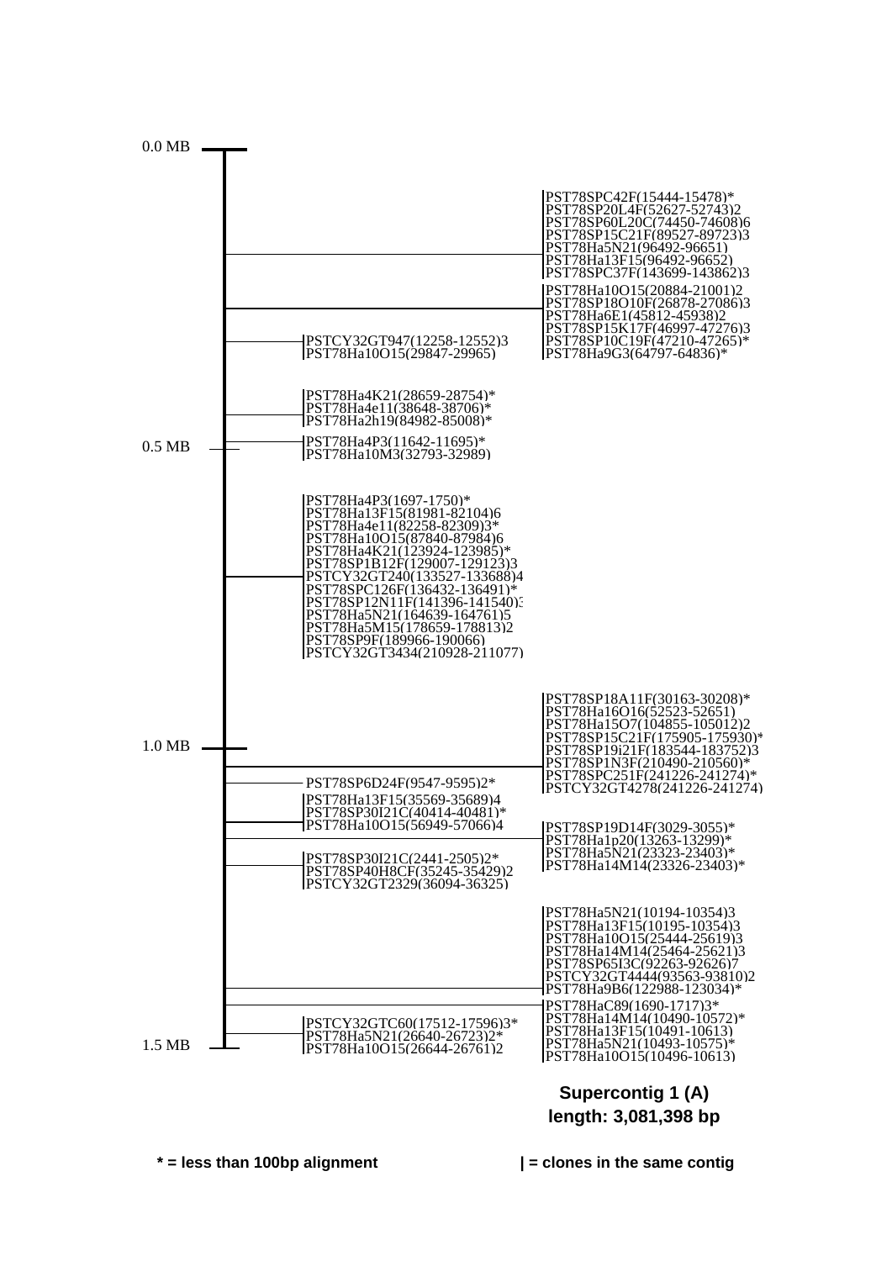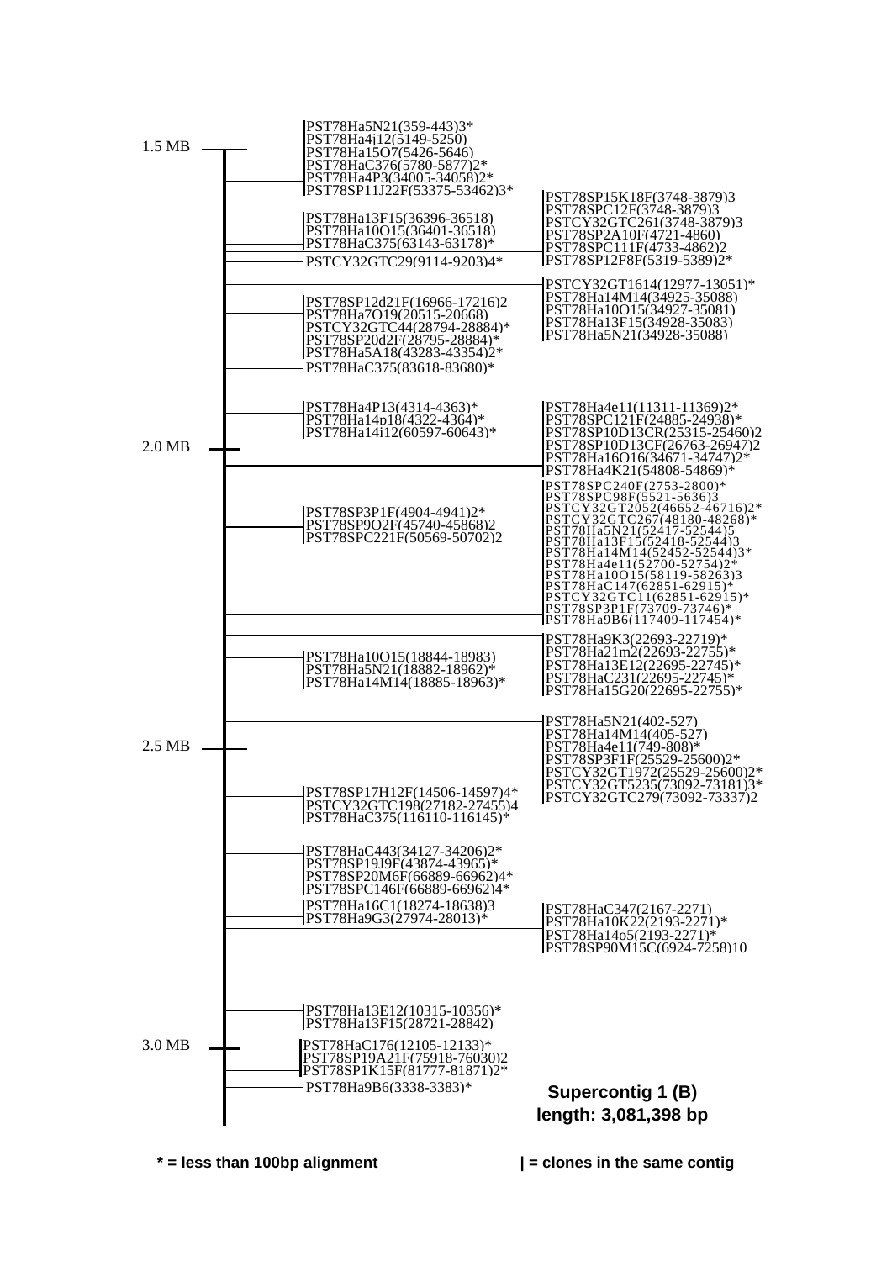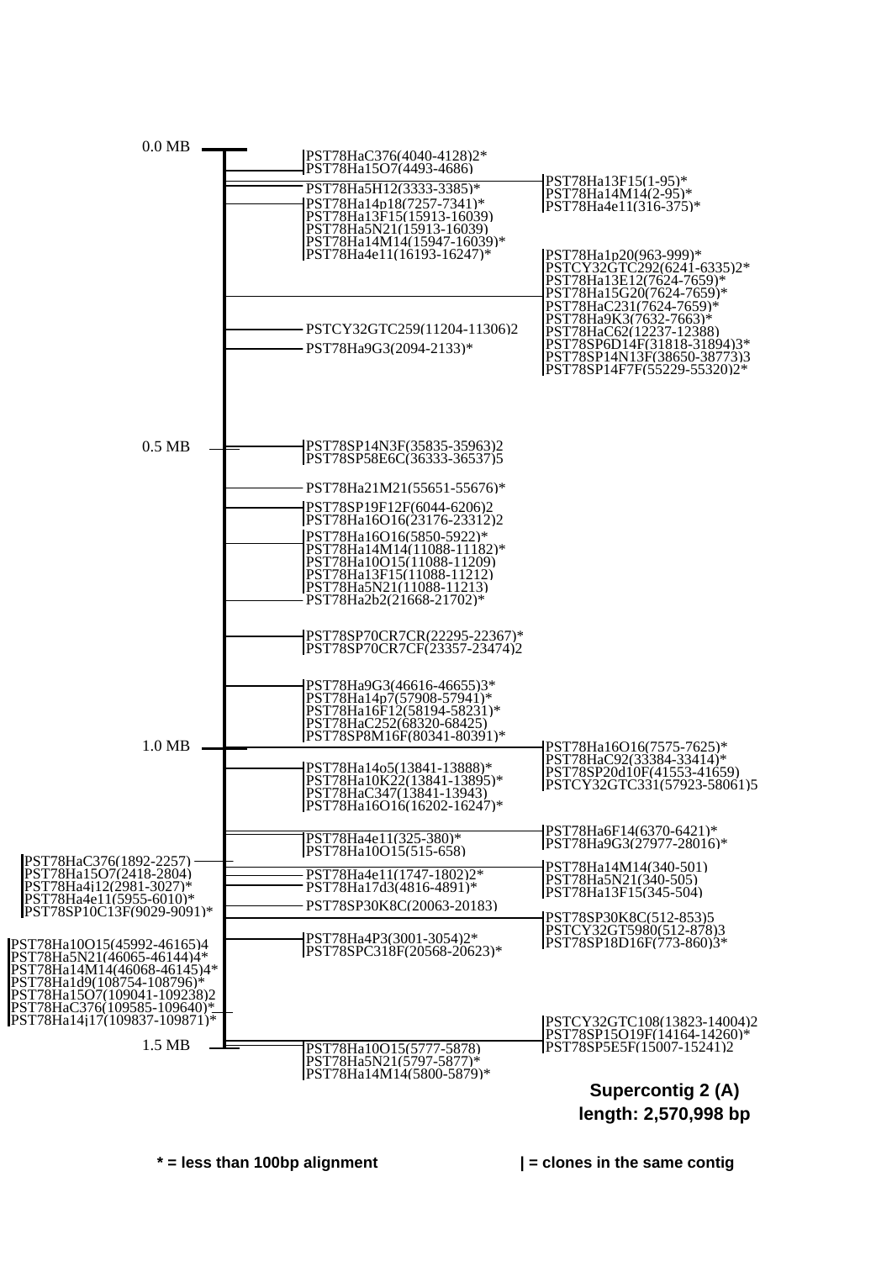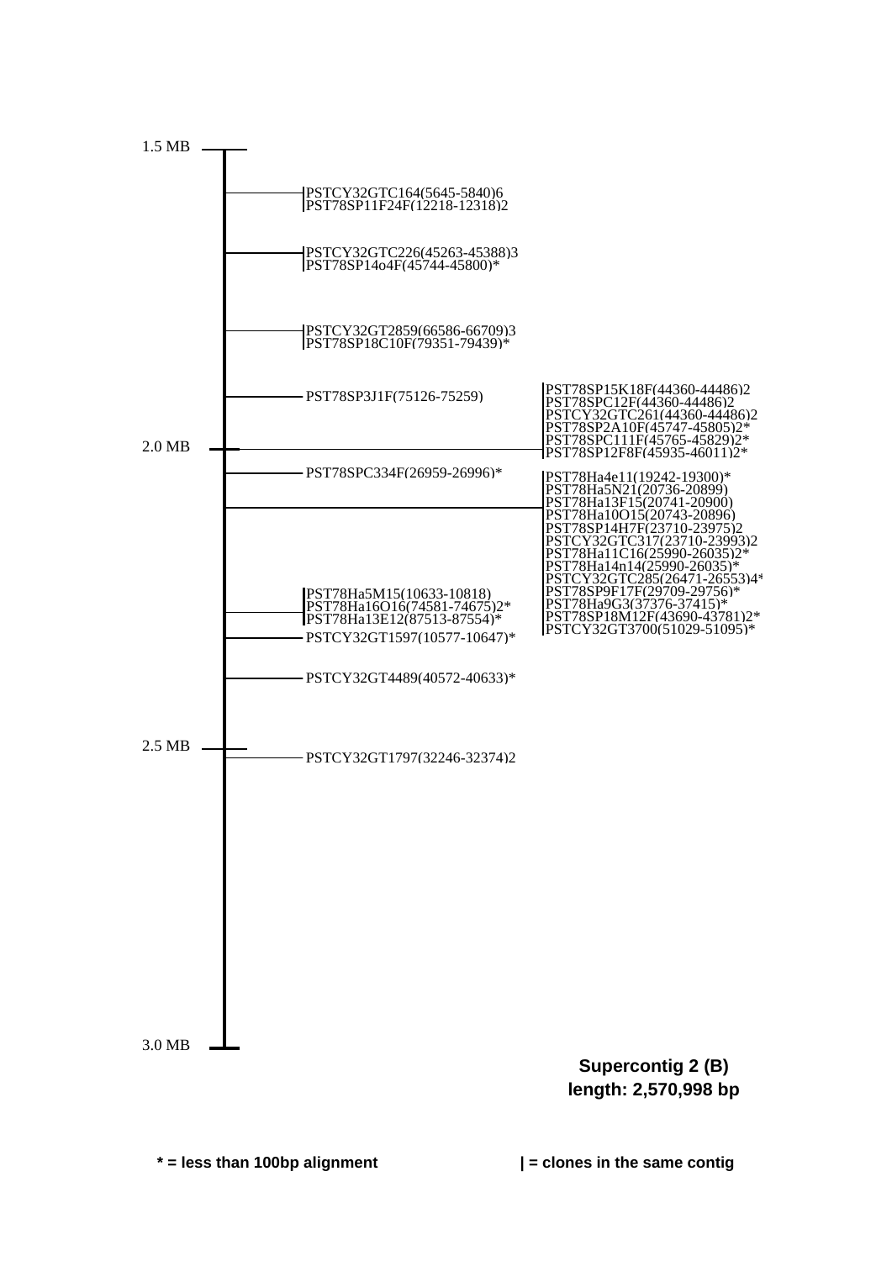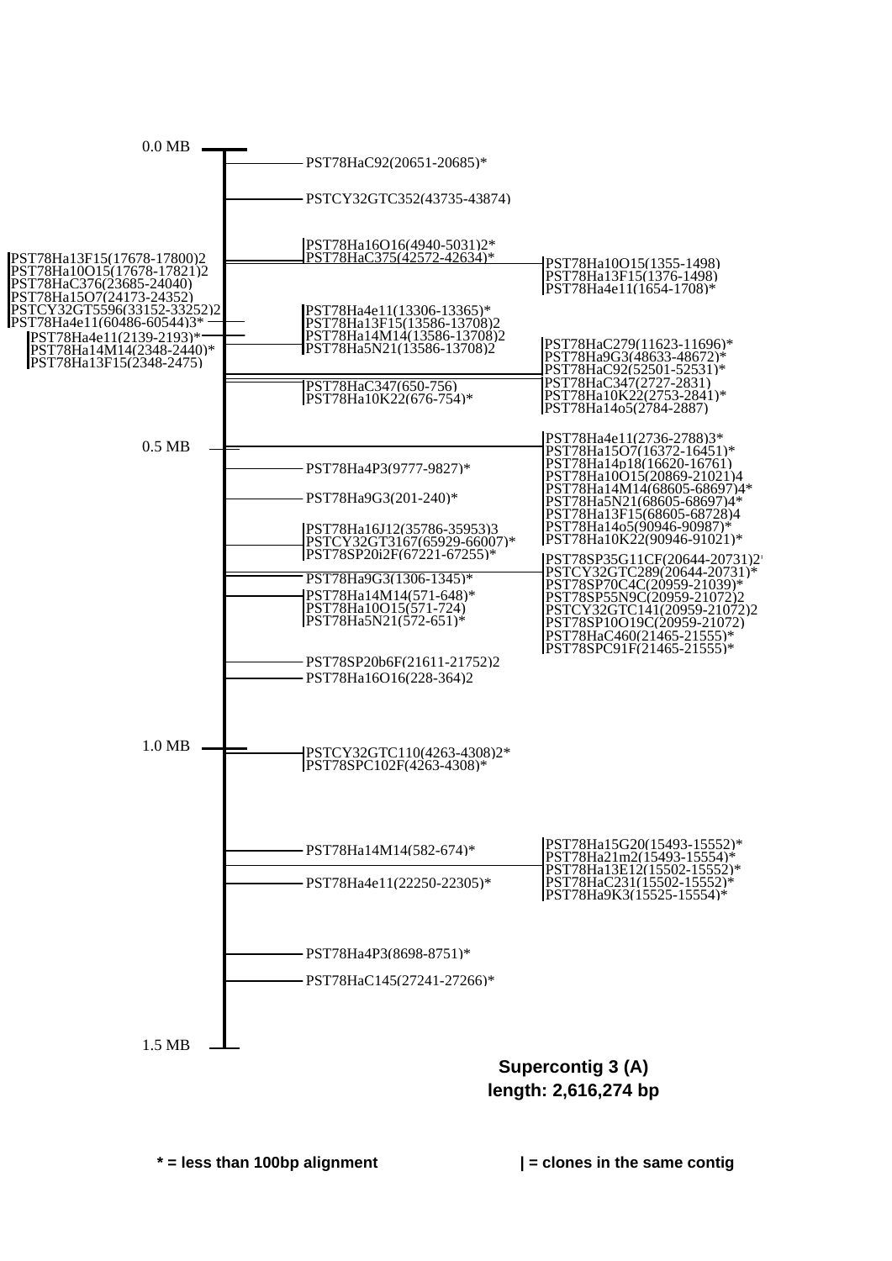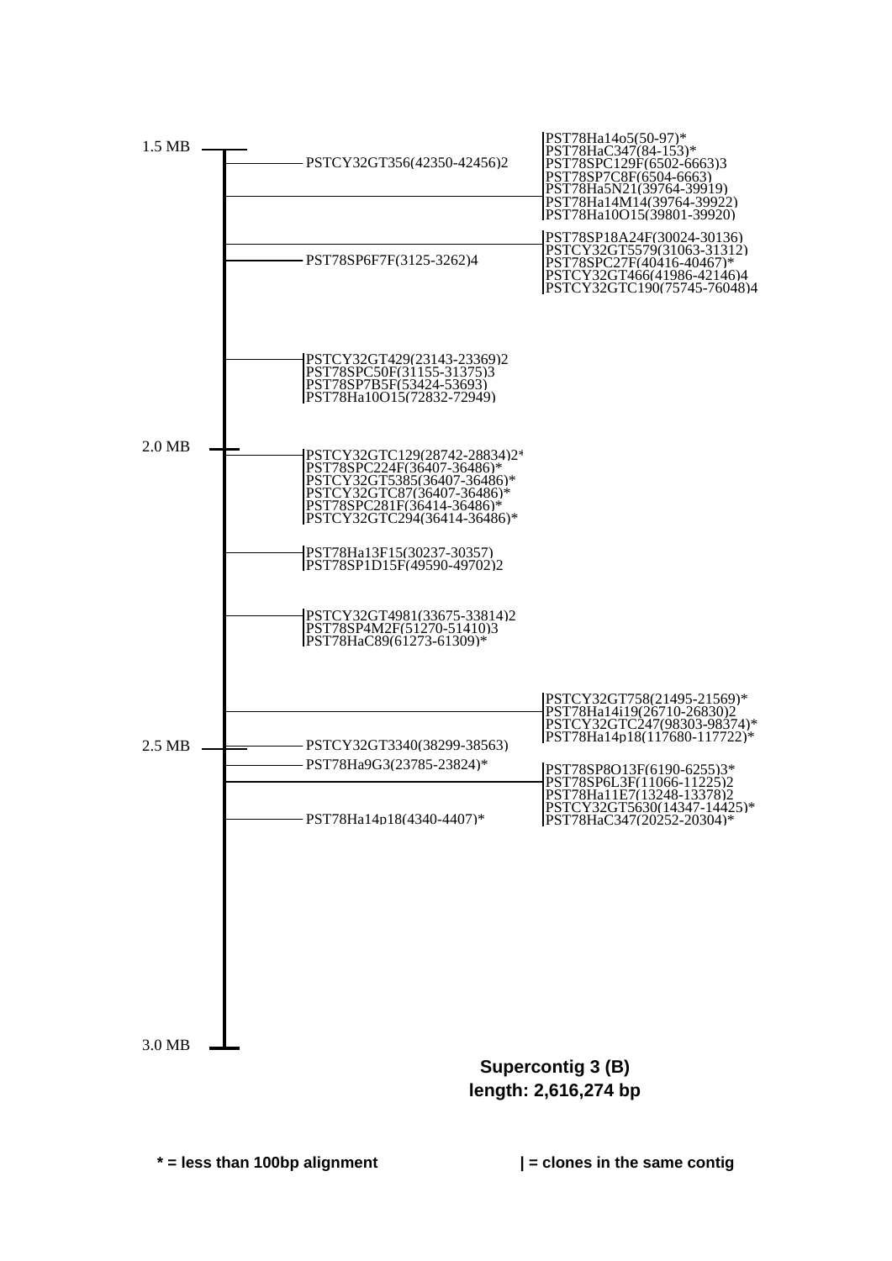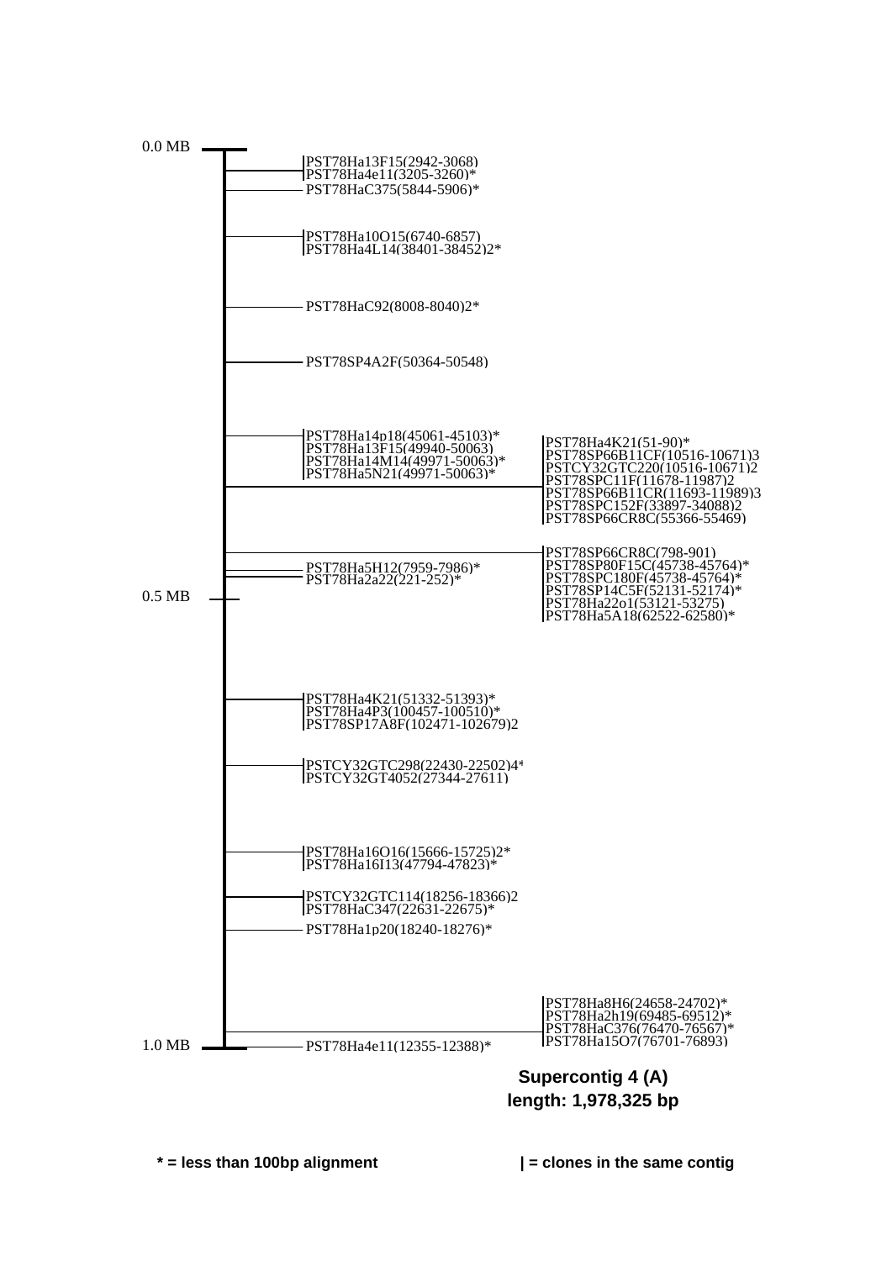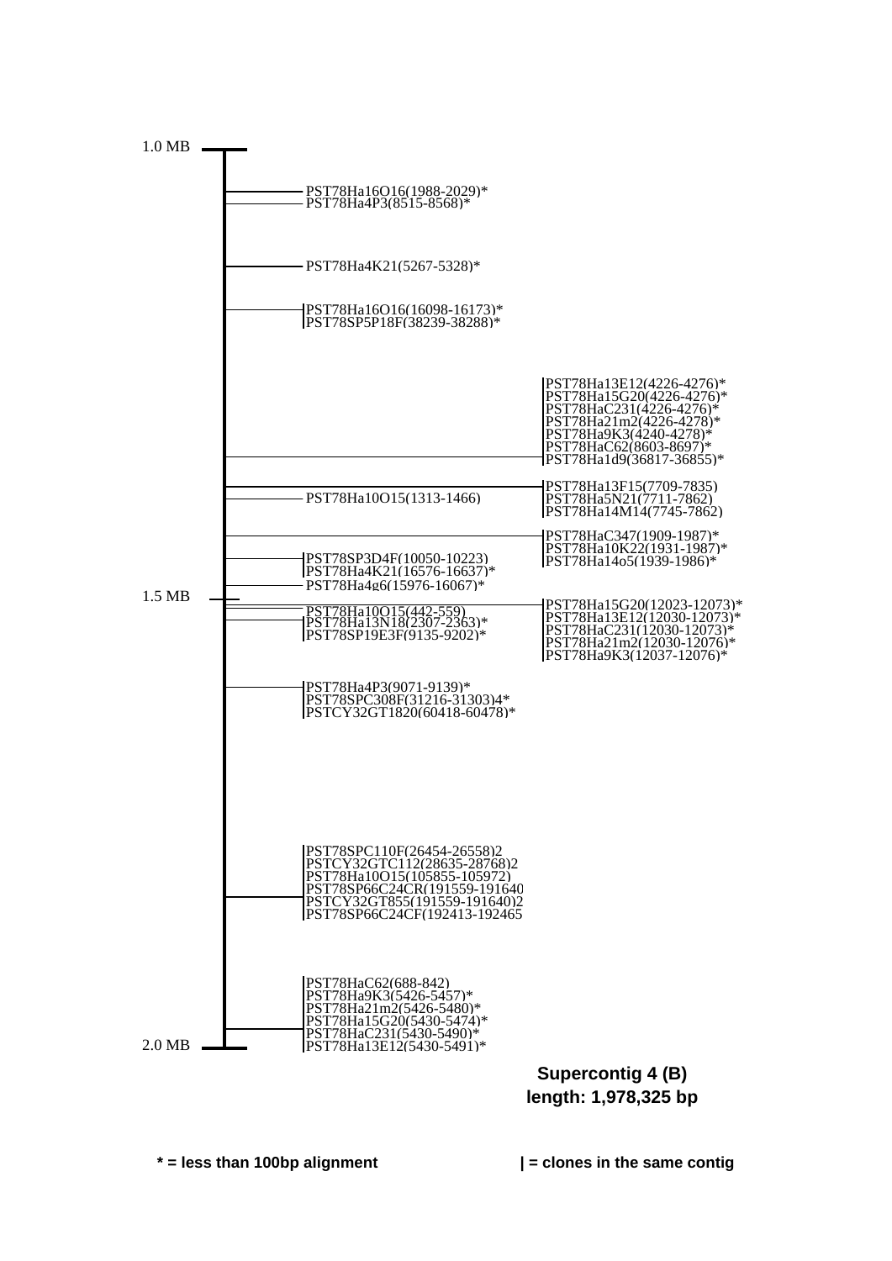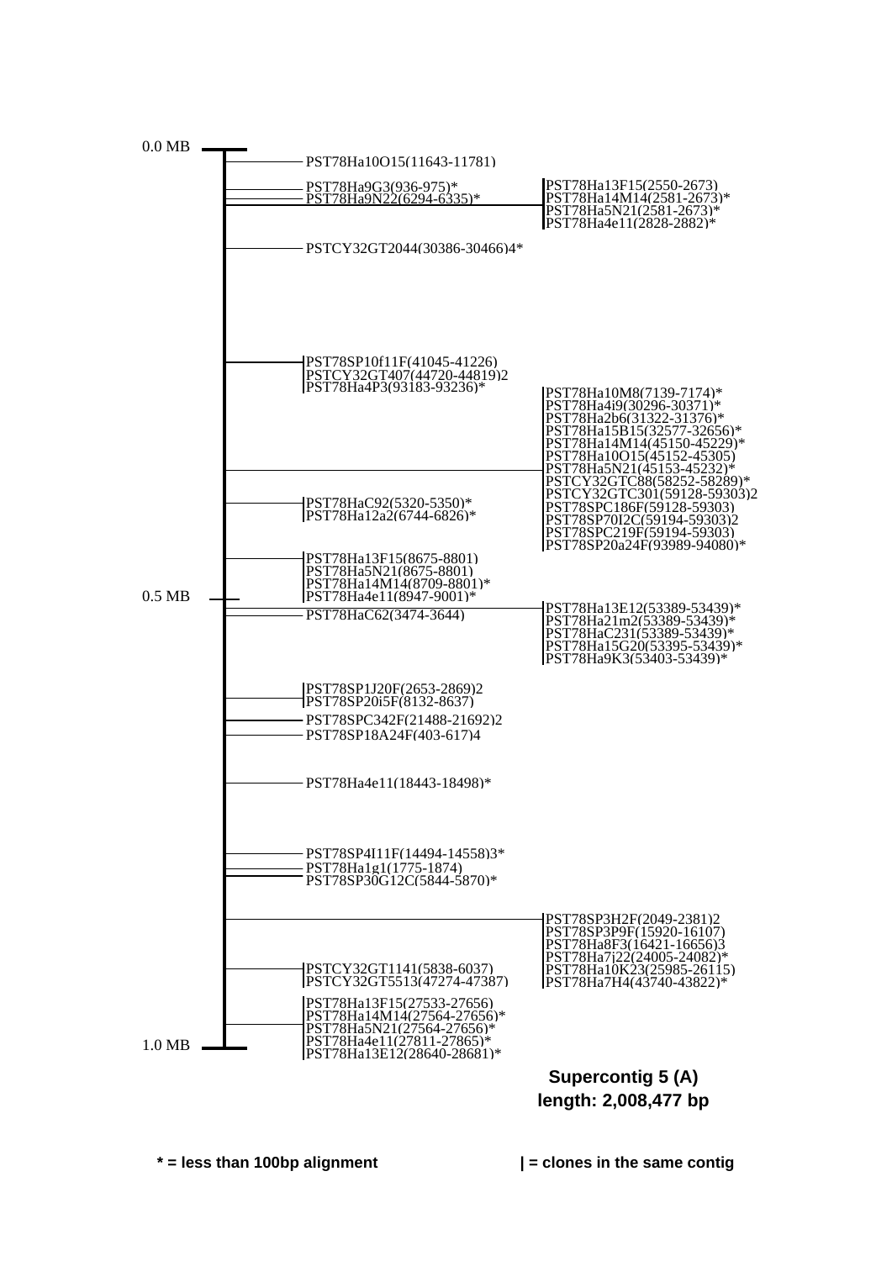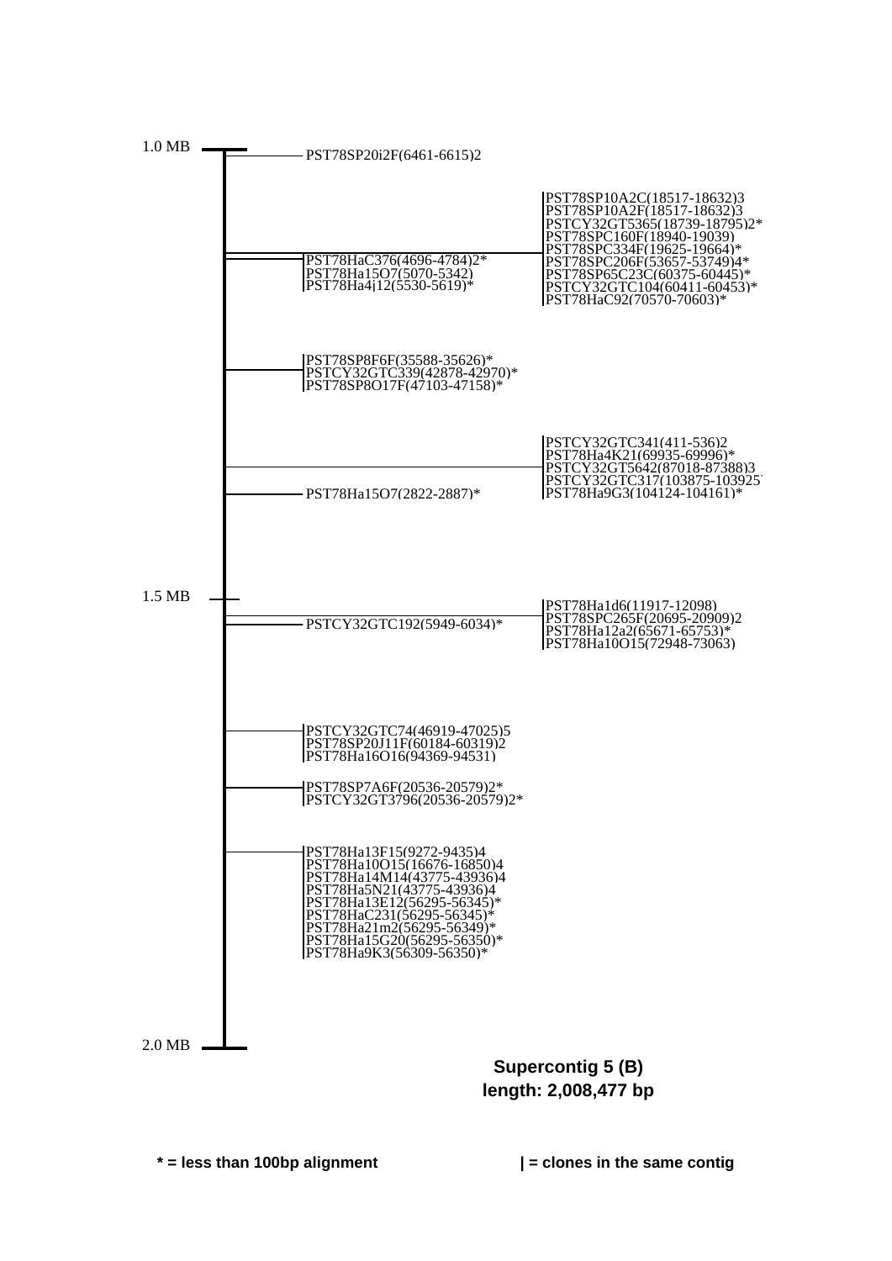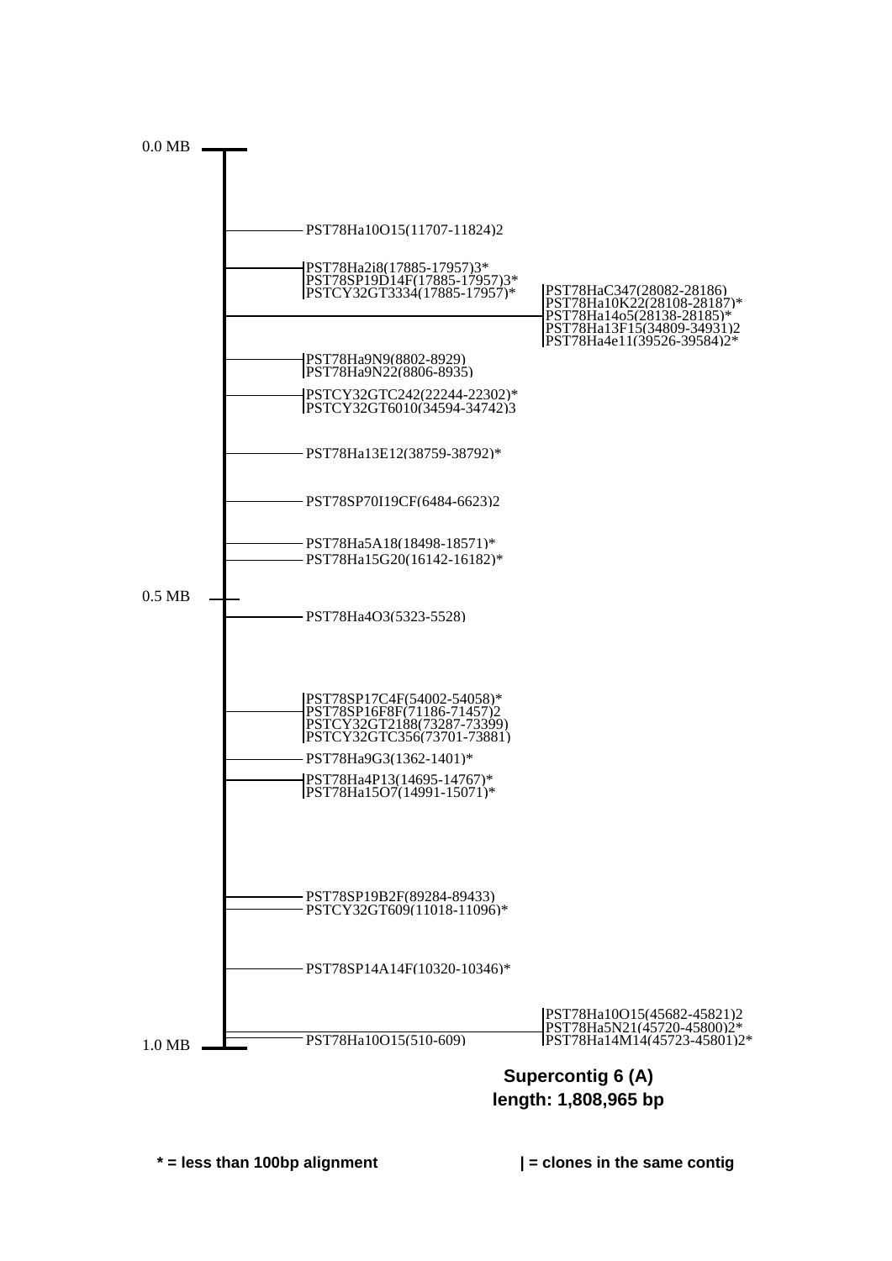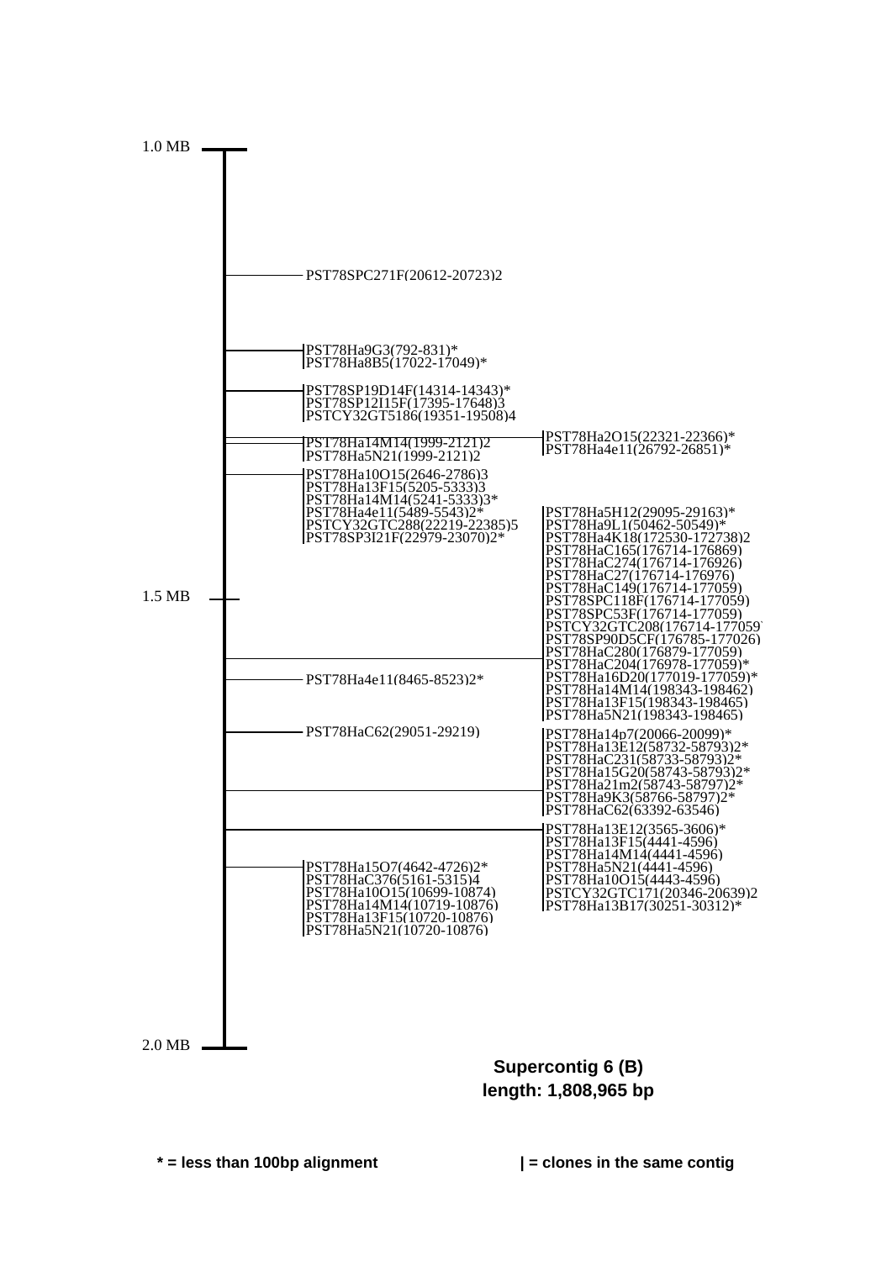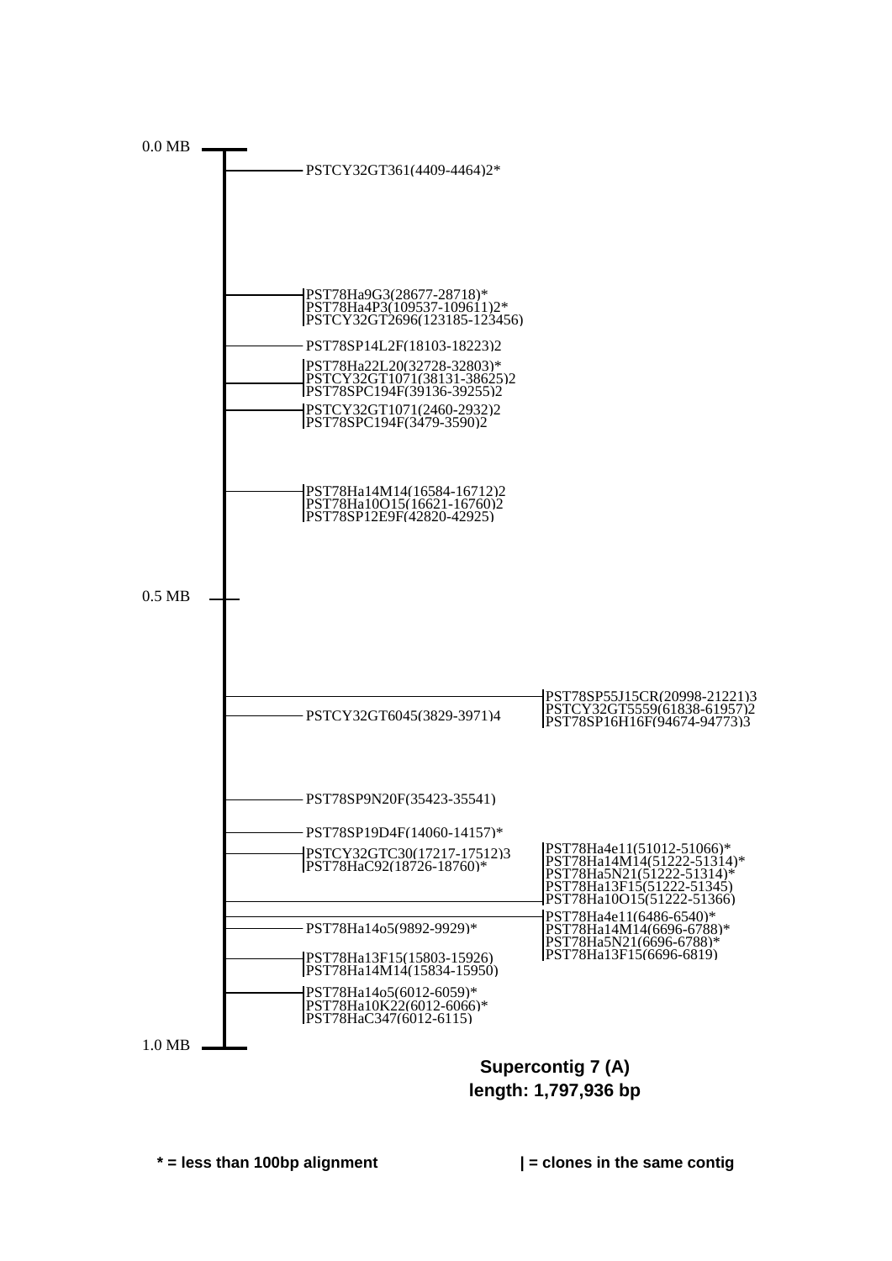

**length: 1,797,936 bp**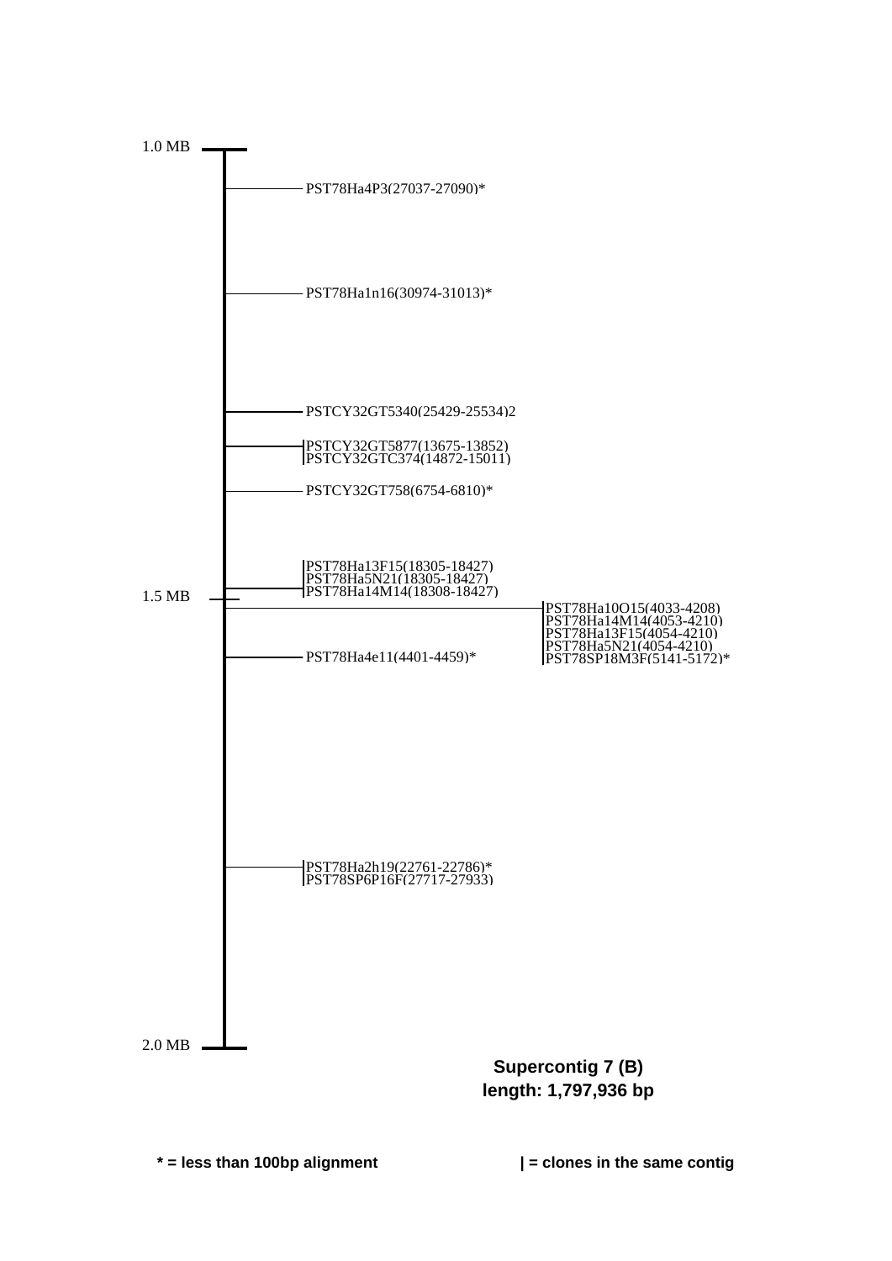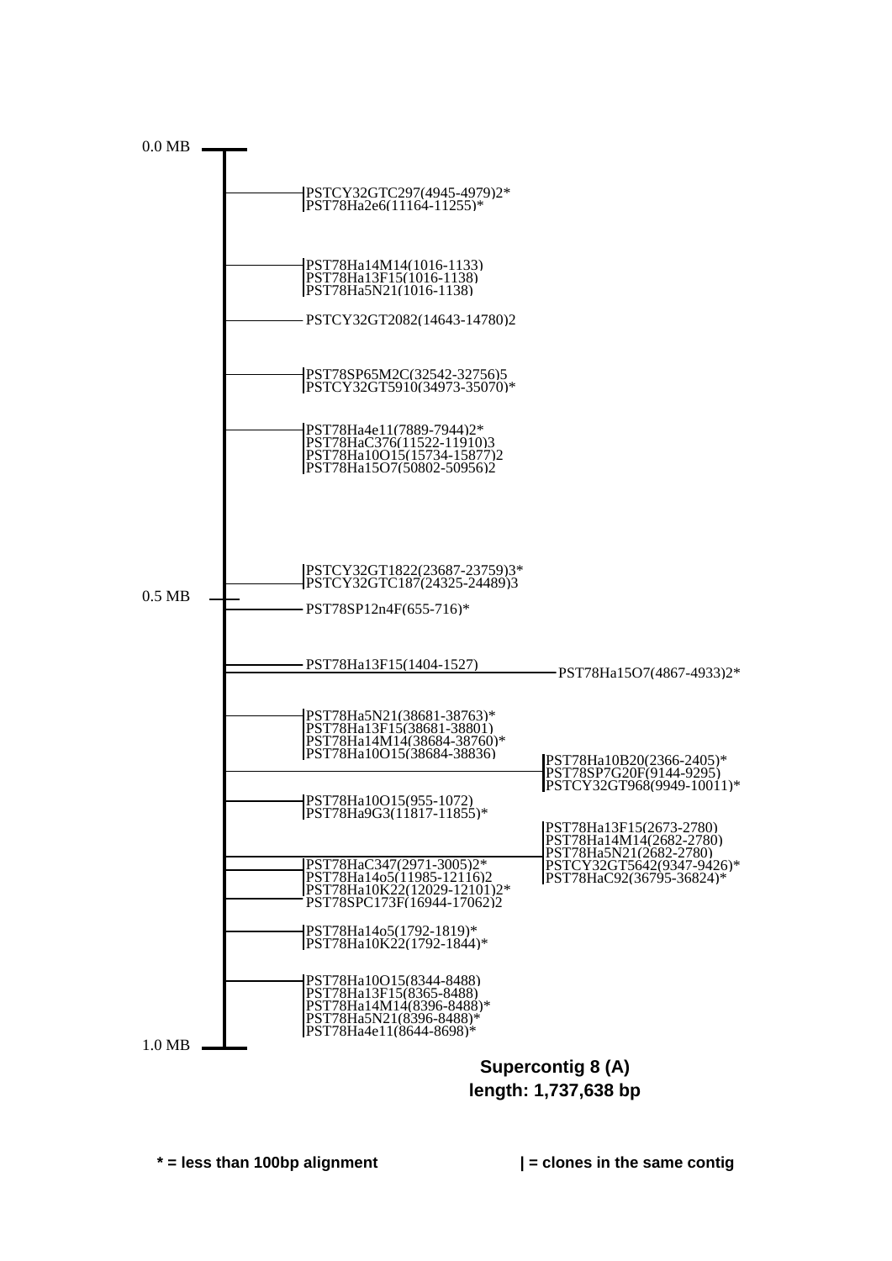

**length: 1,737,638 bp**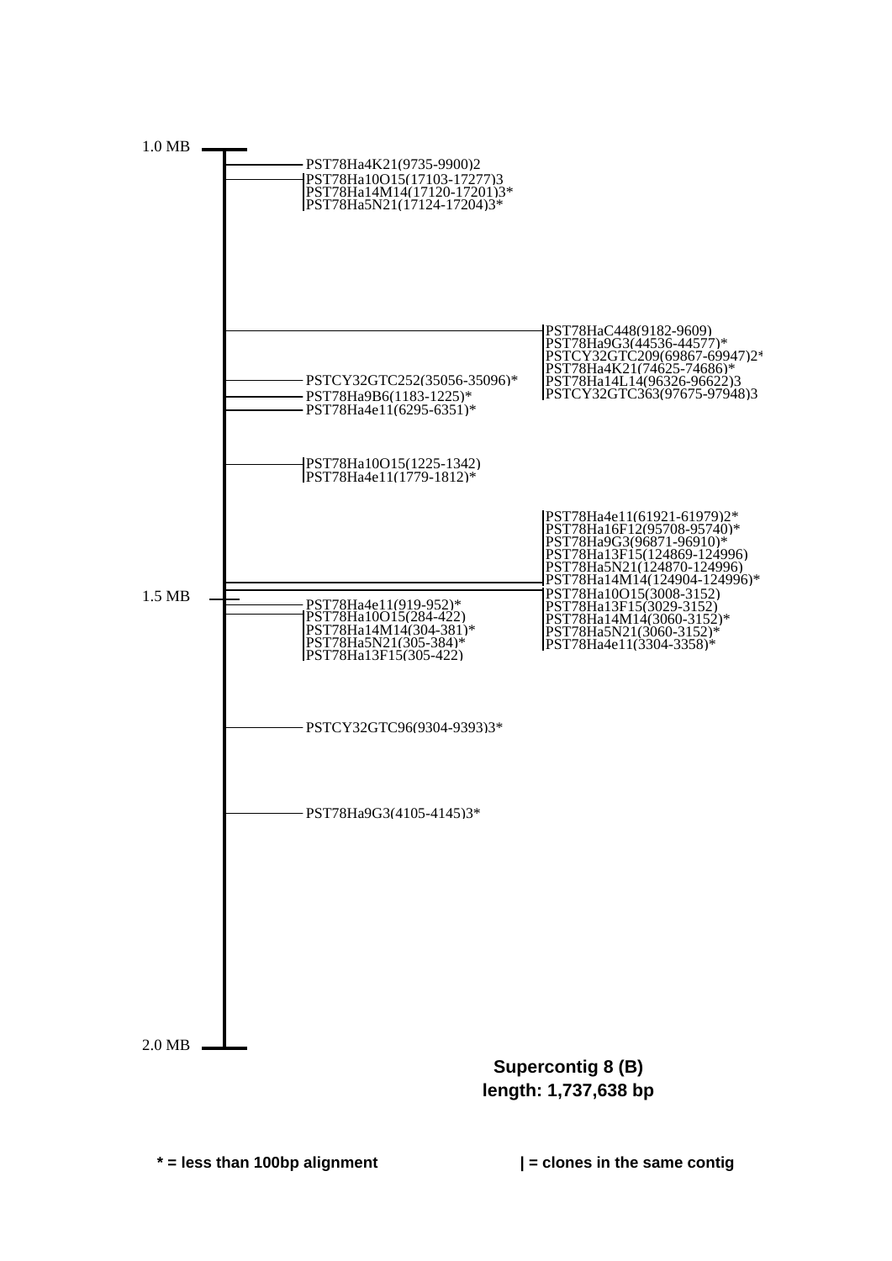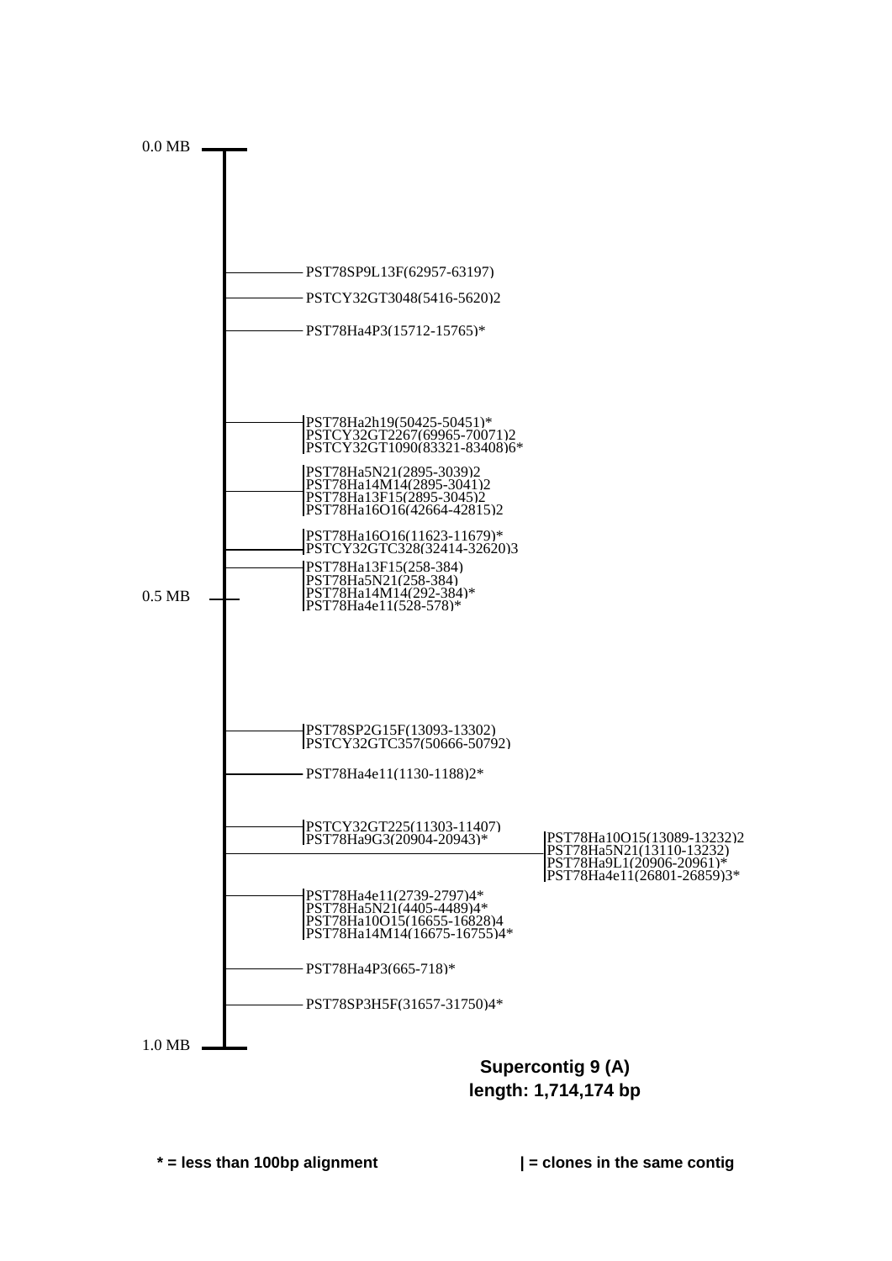

**length: 1,714,174 bp**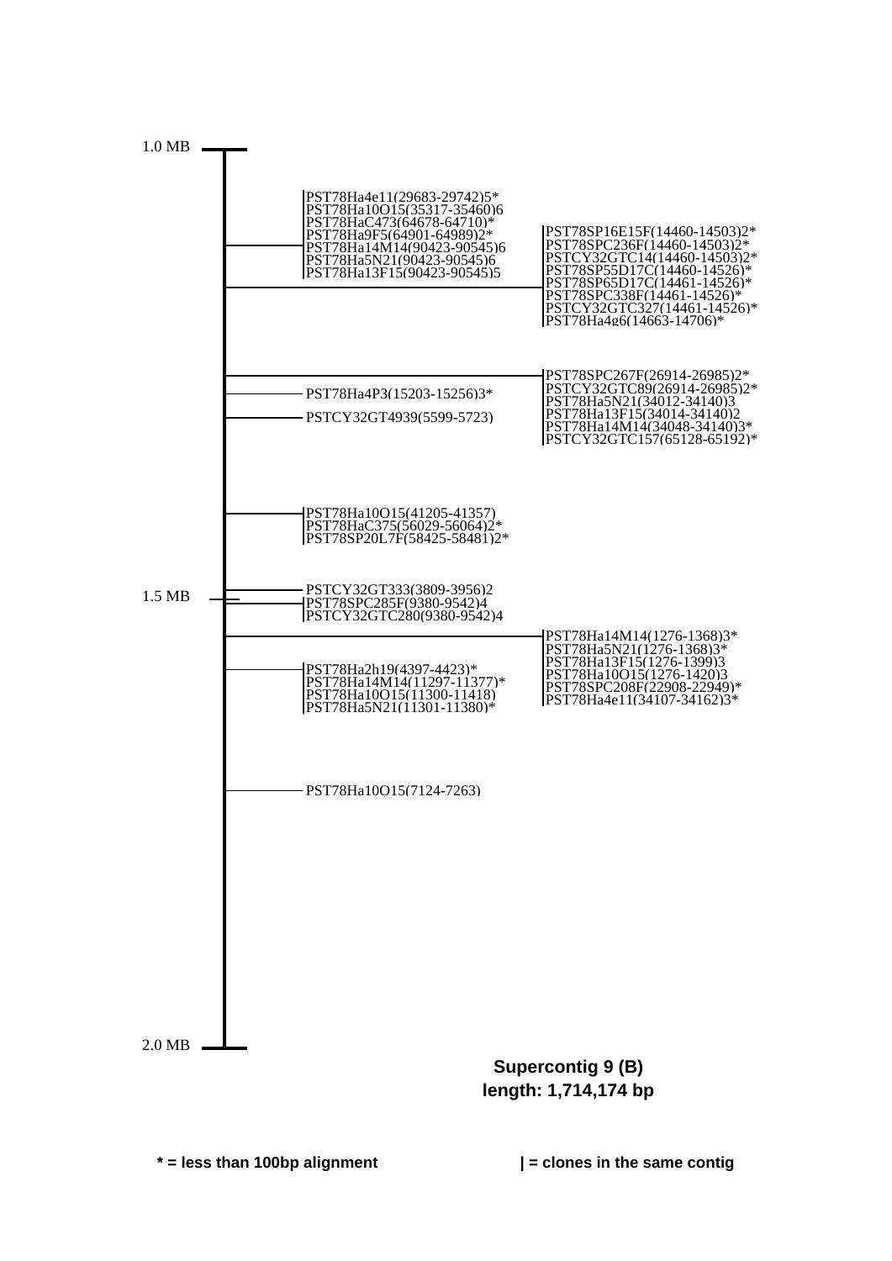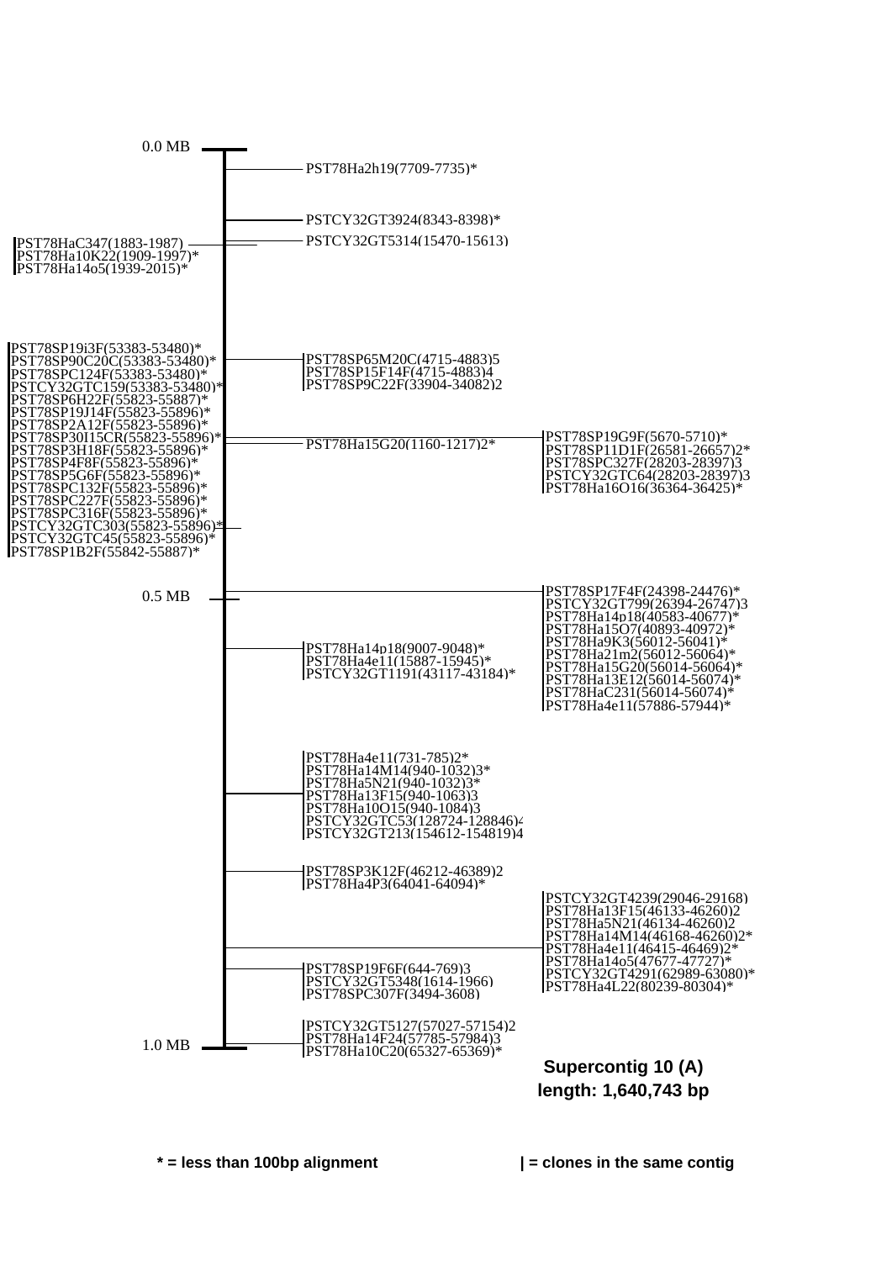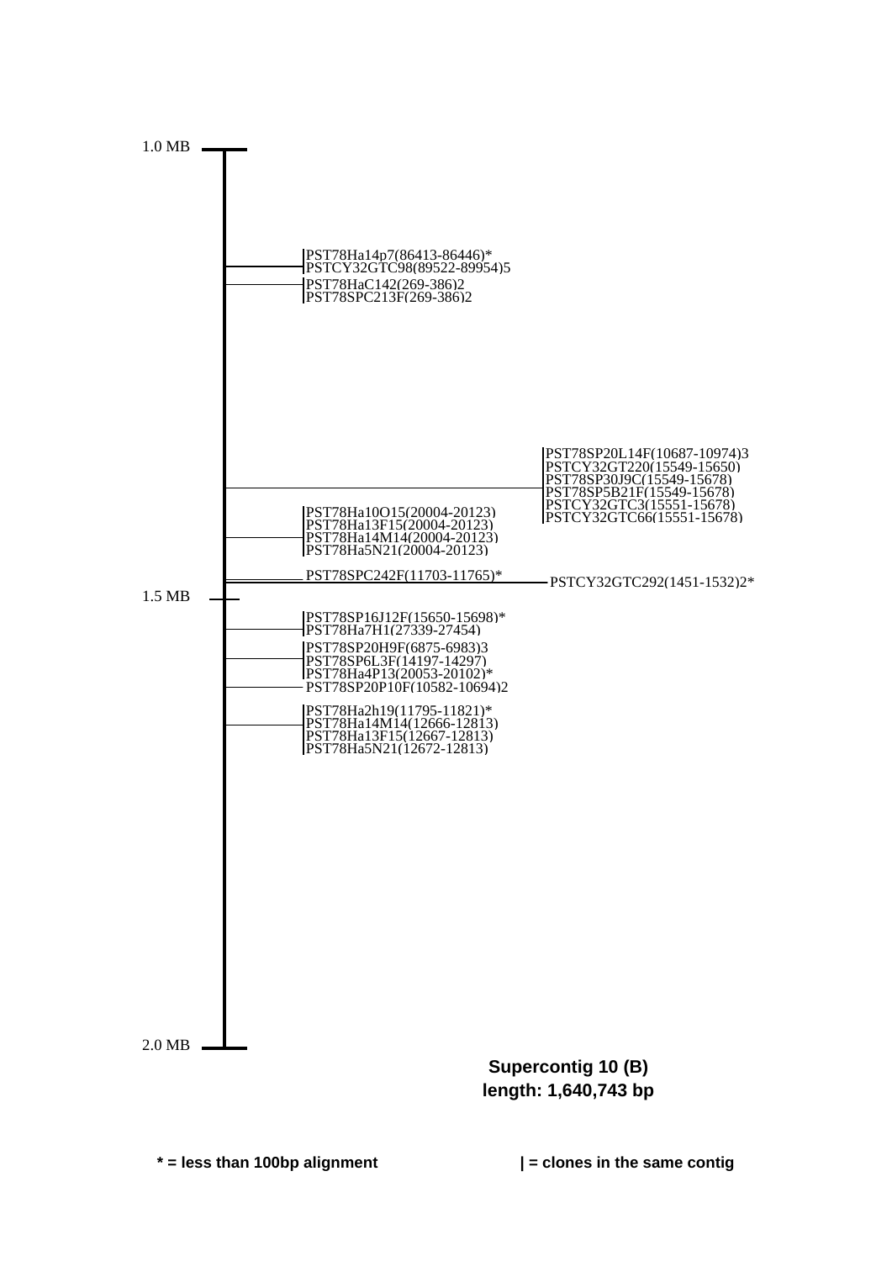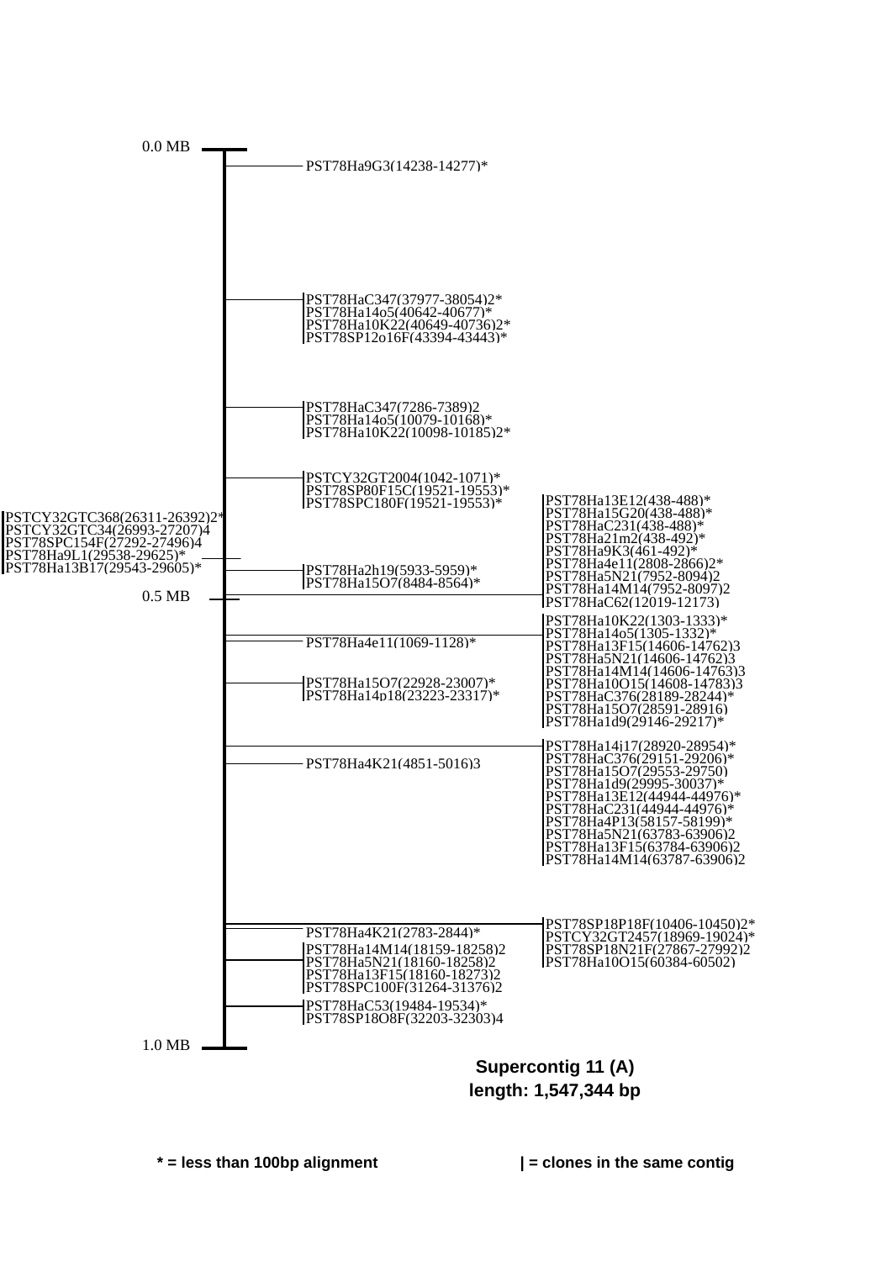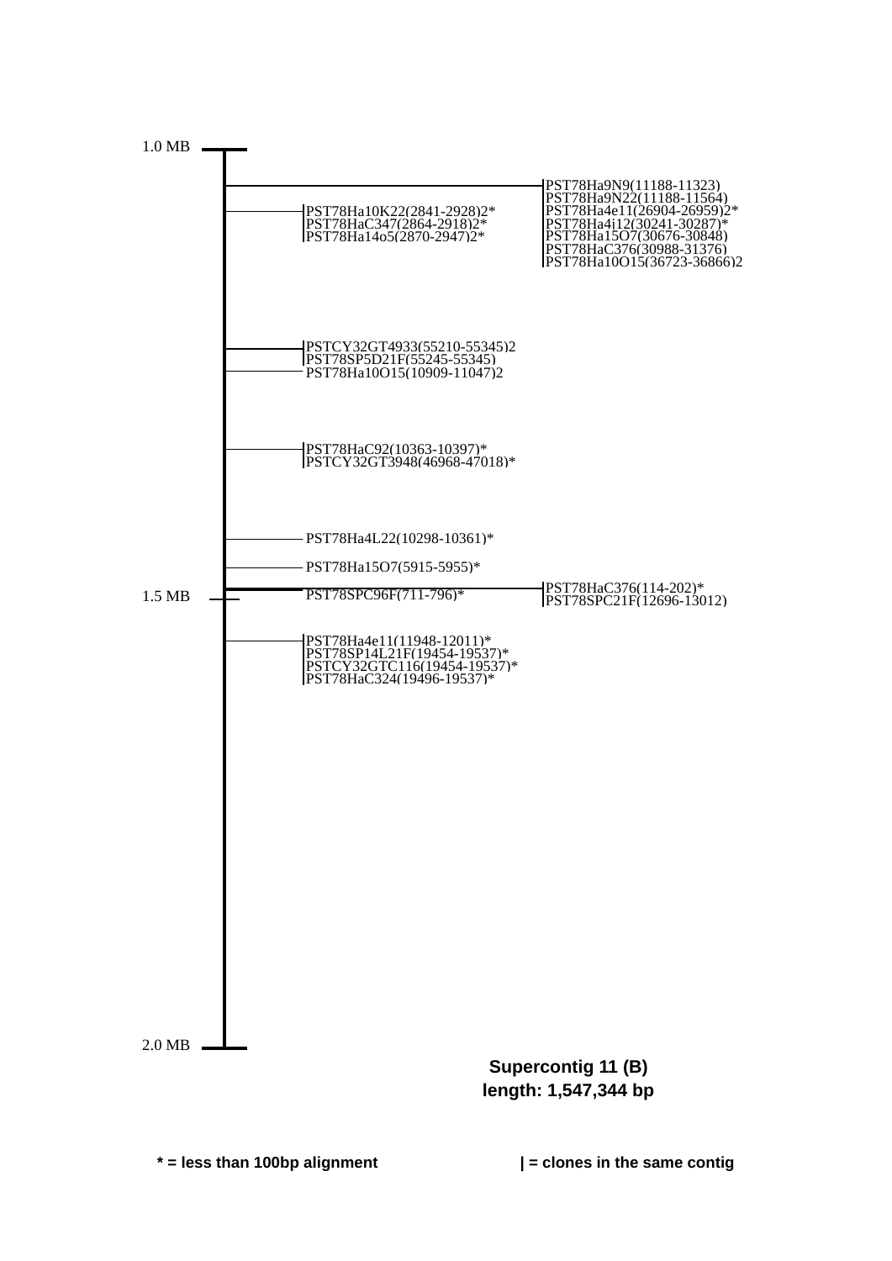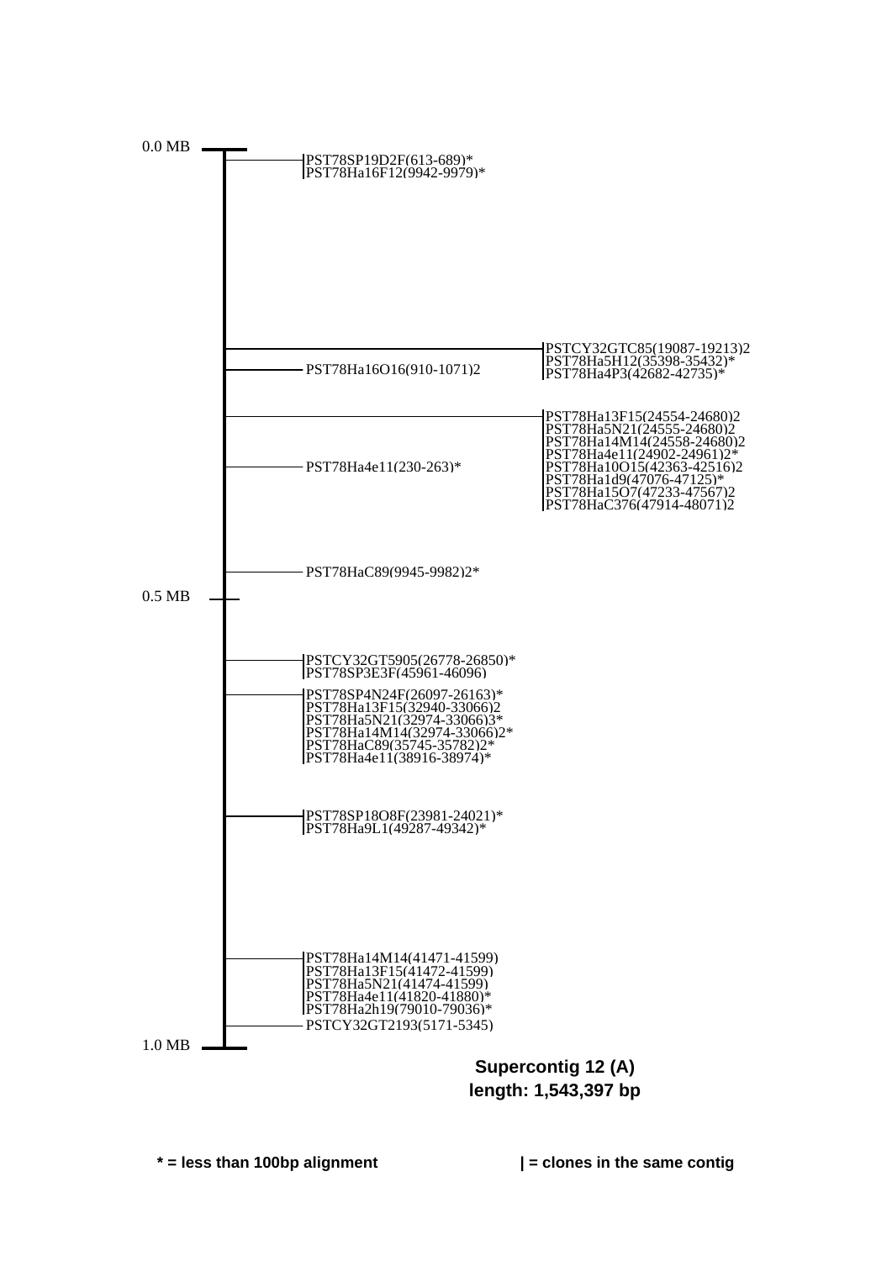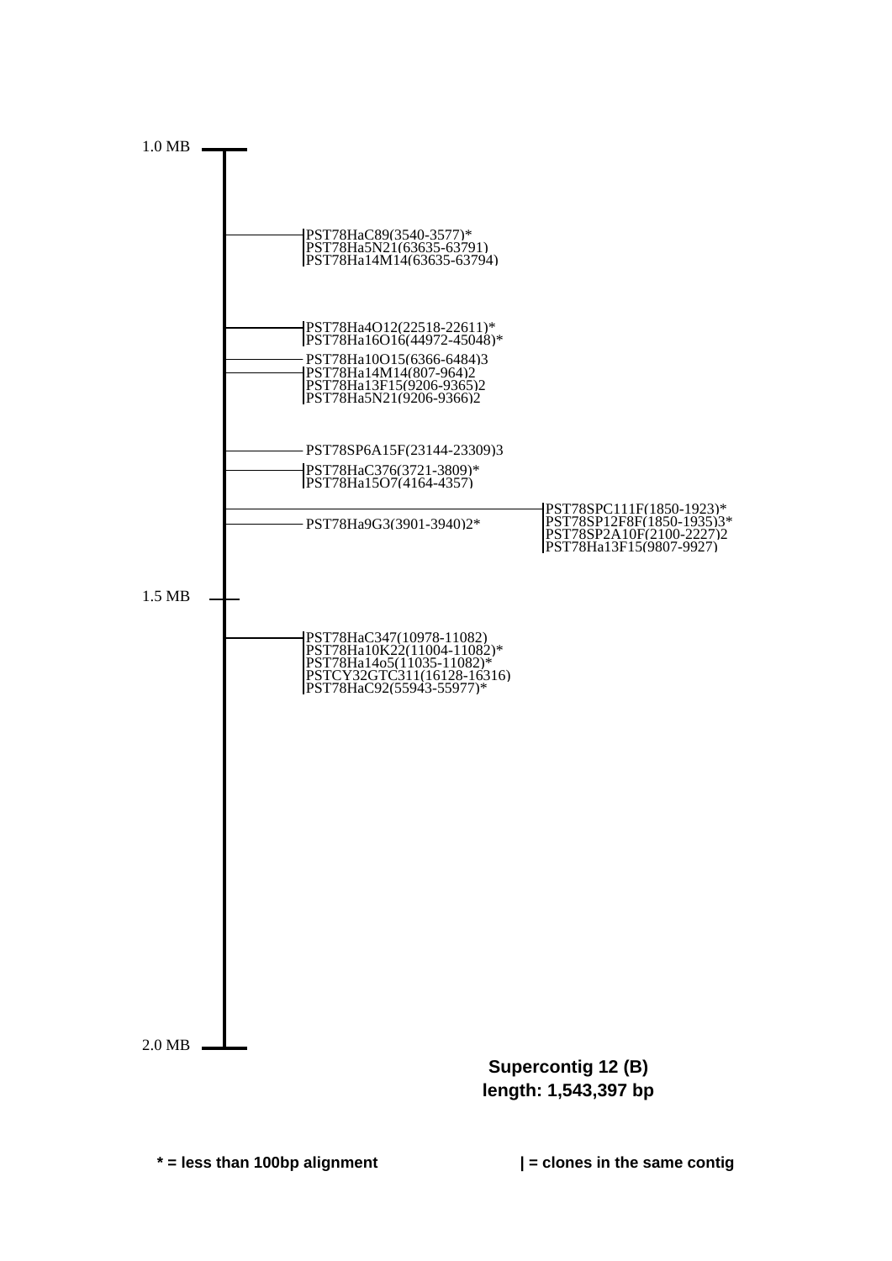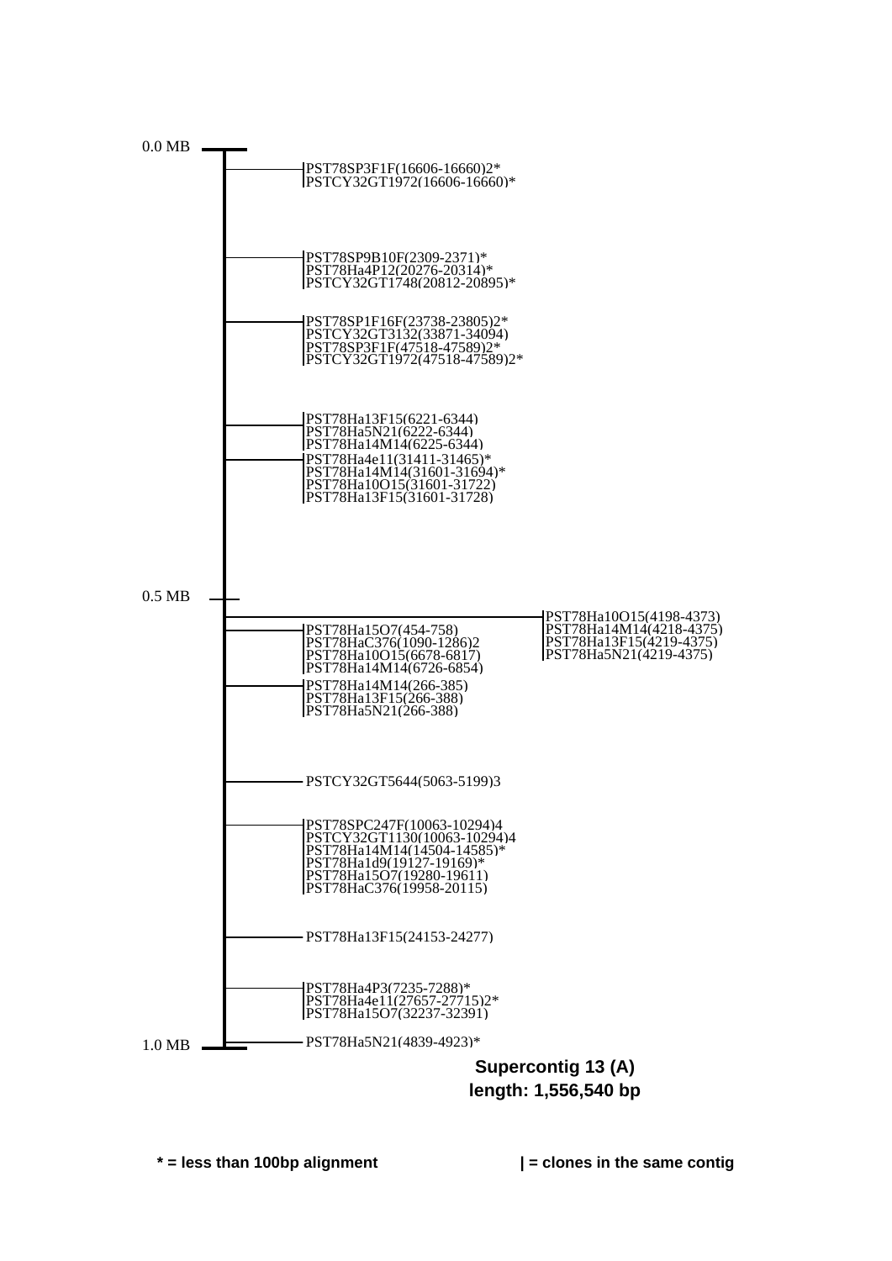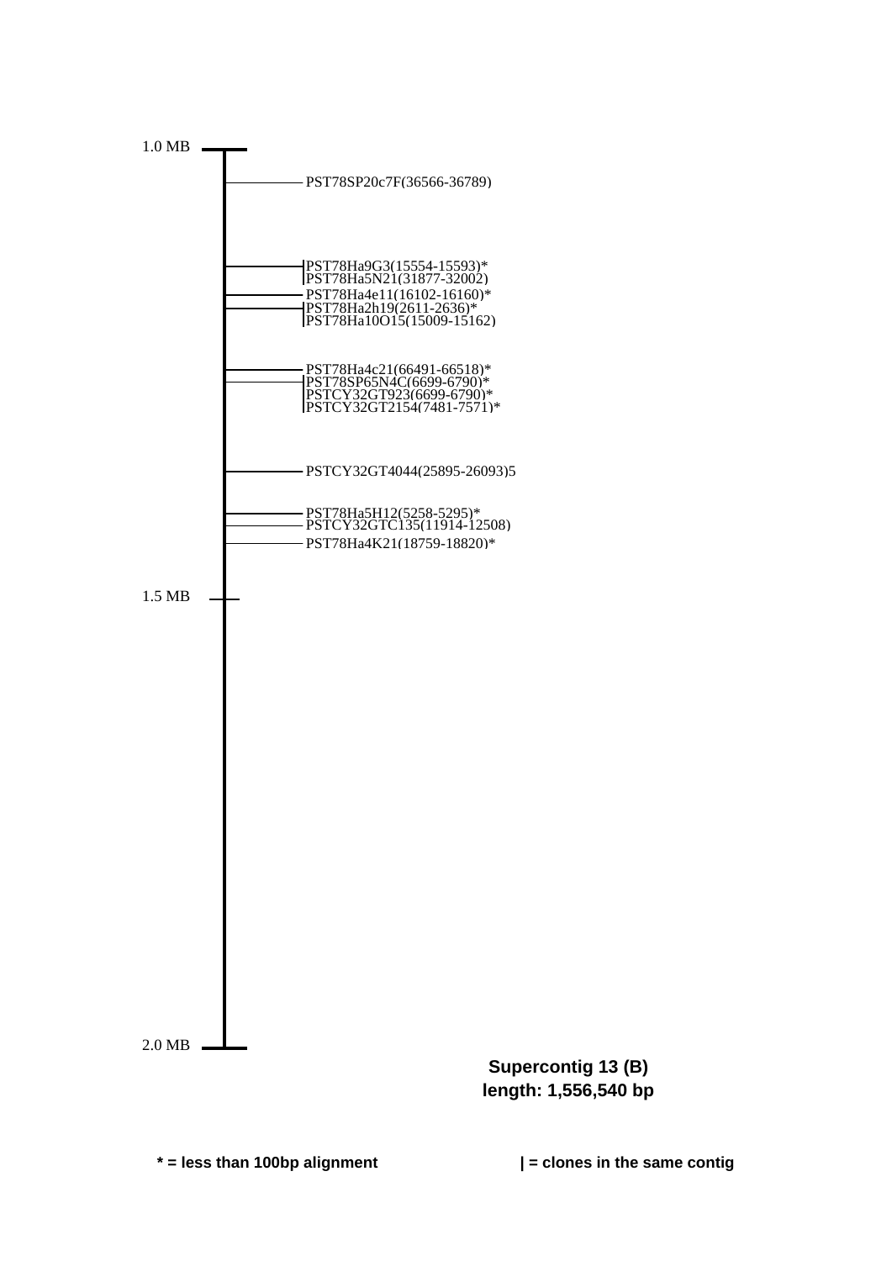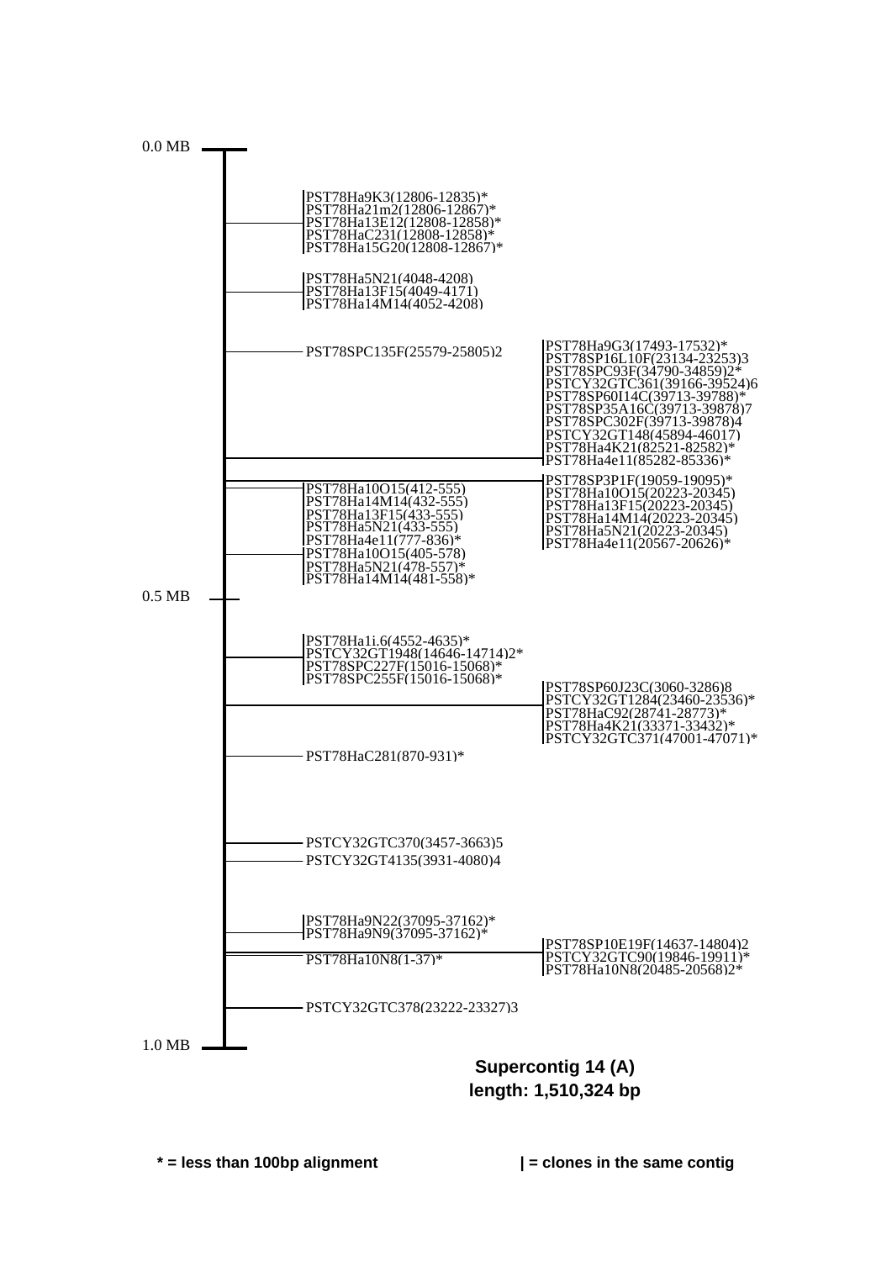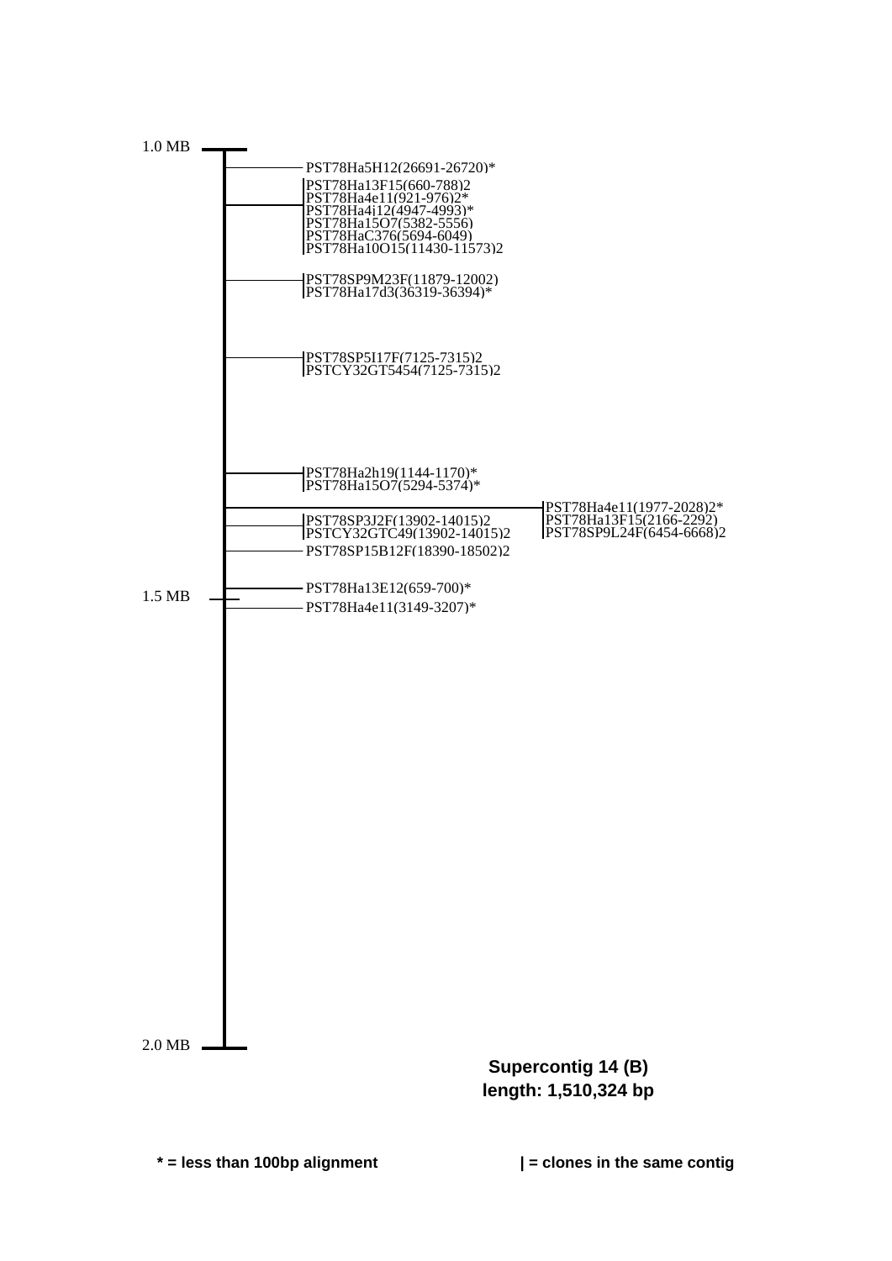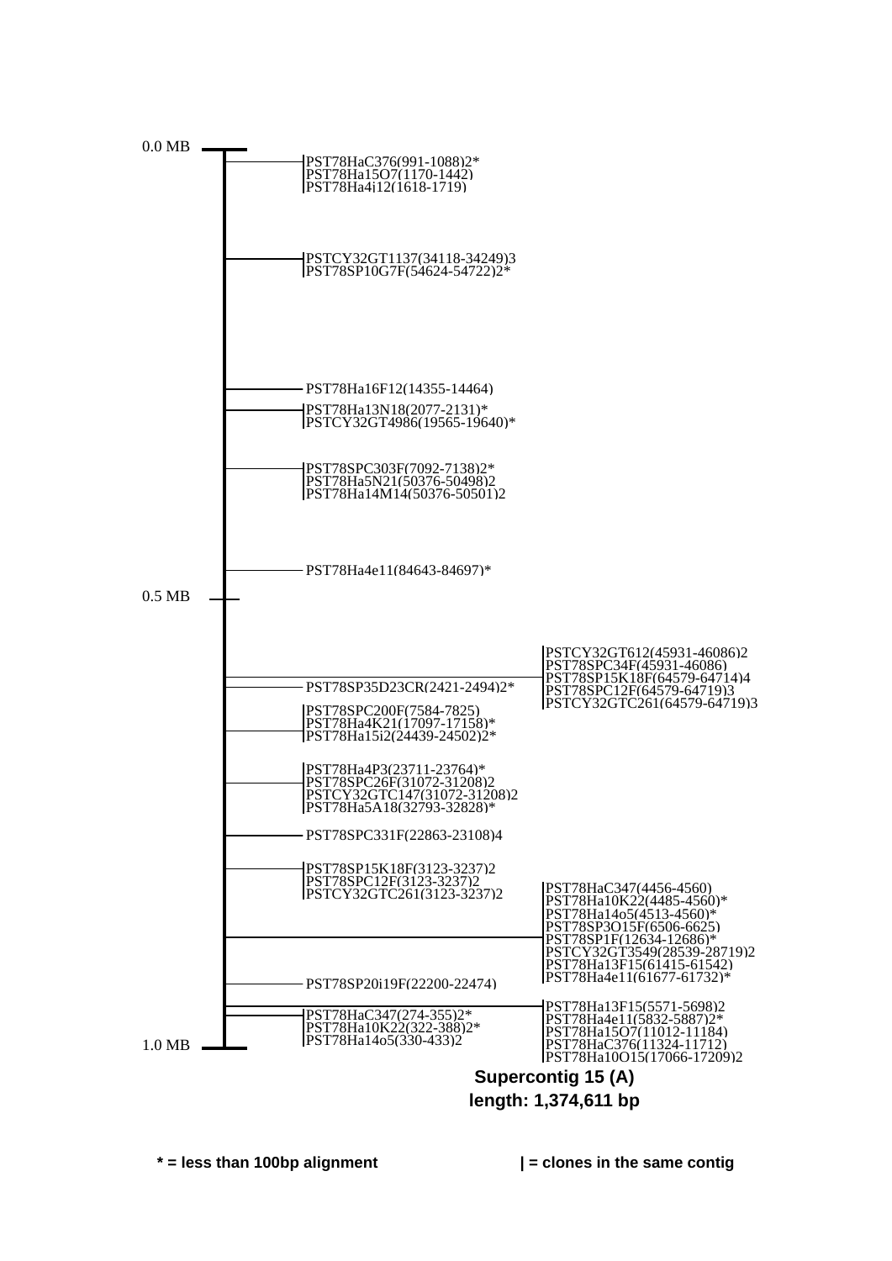

**\* = less than 100bp alignment | = clones in the same contig**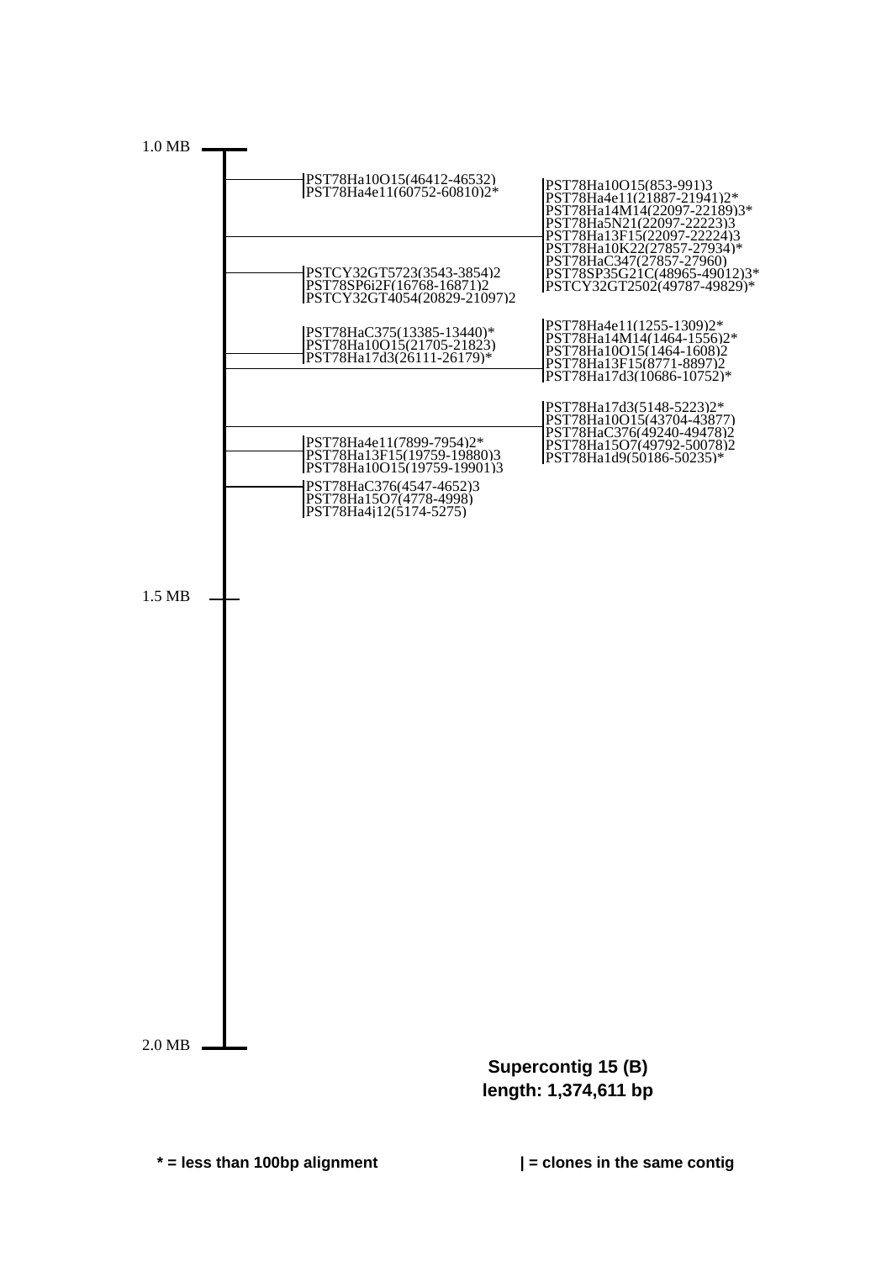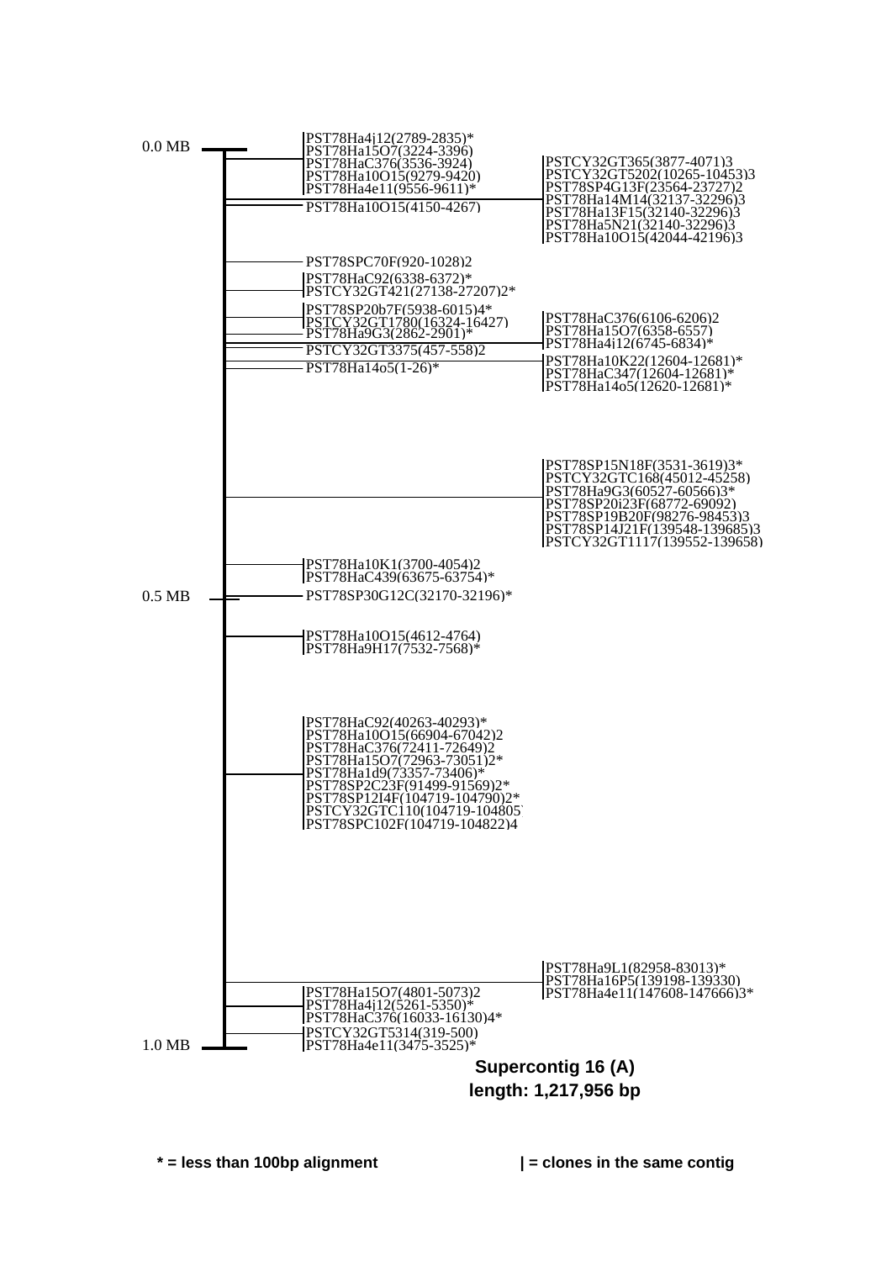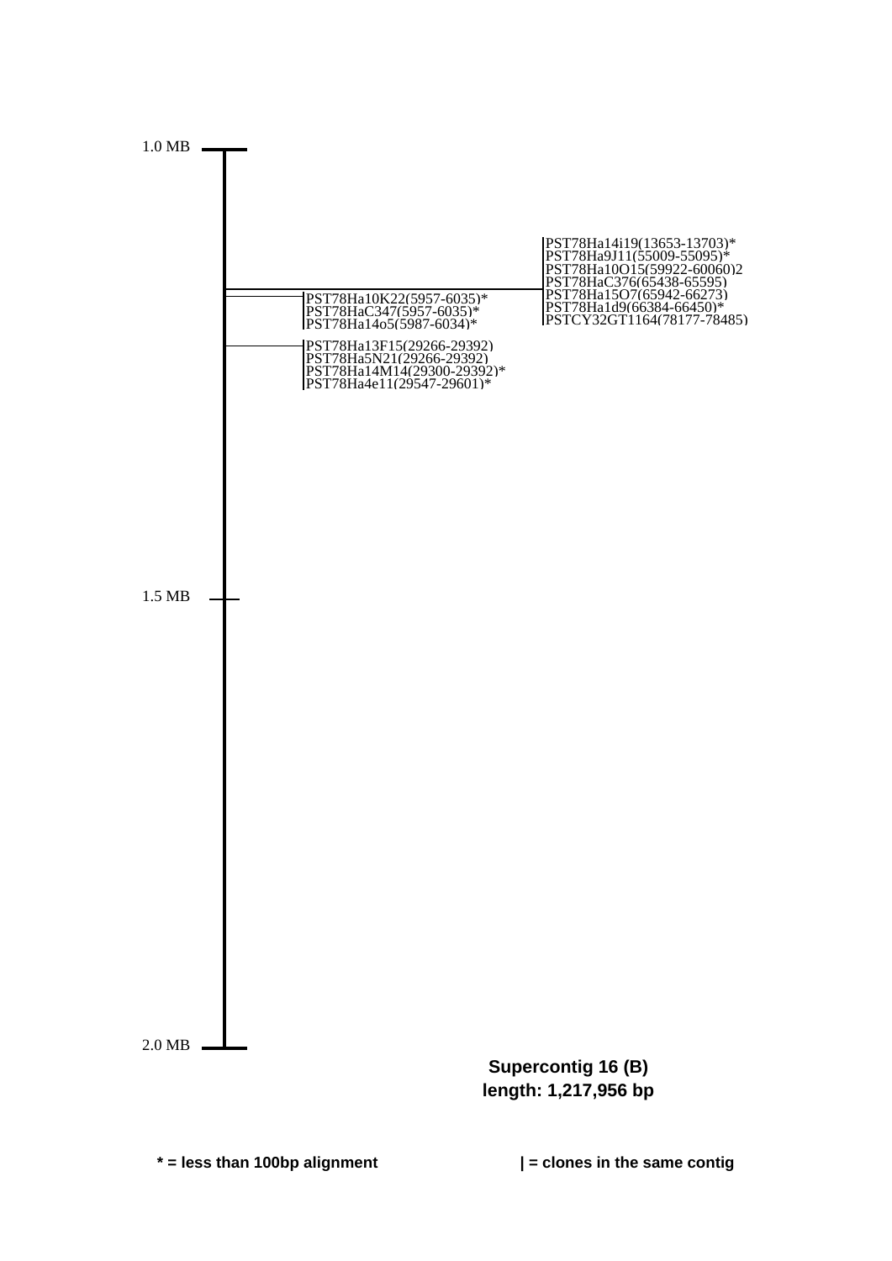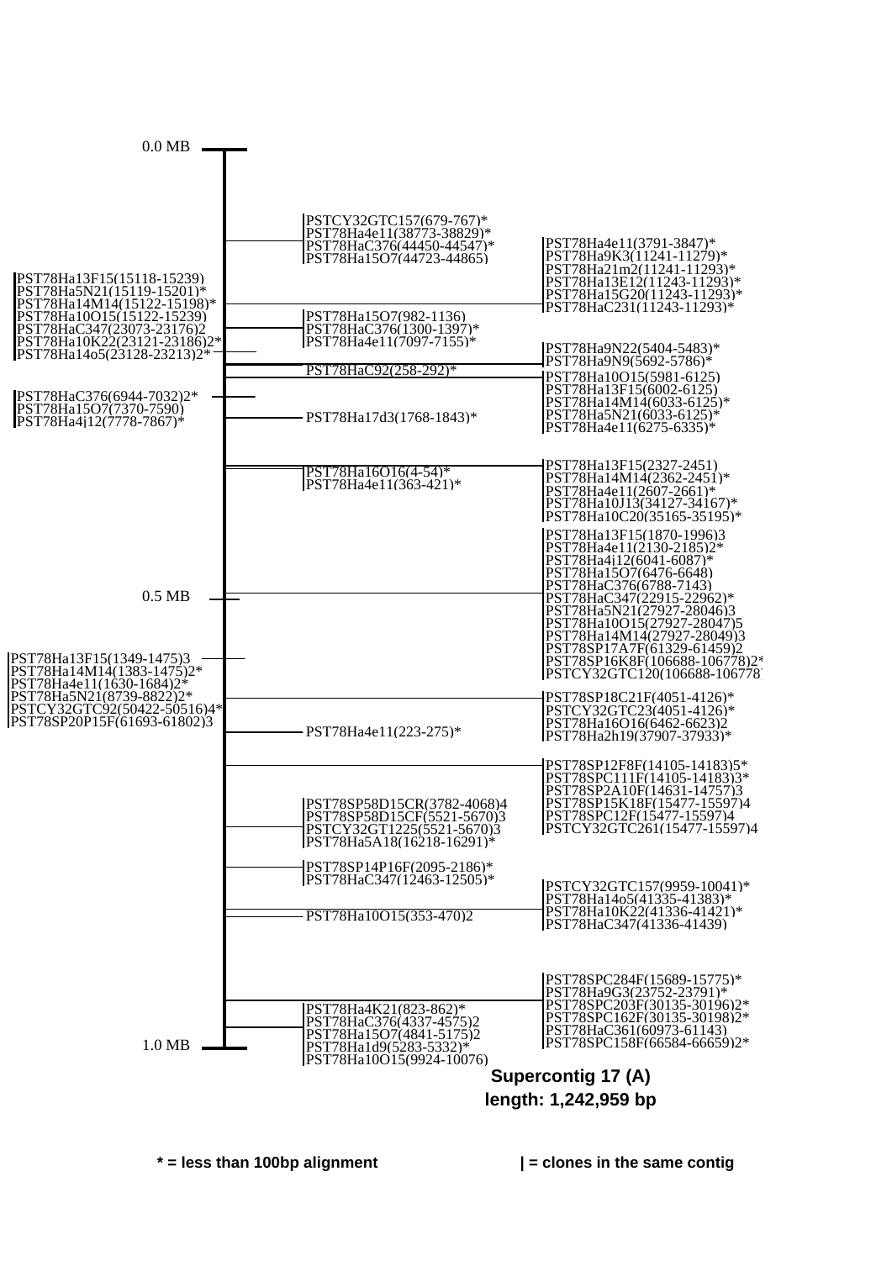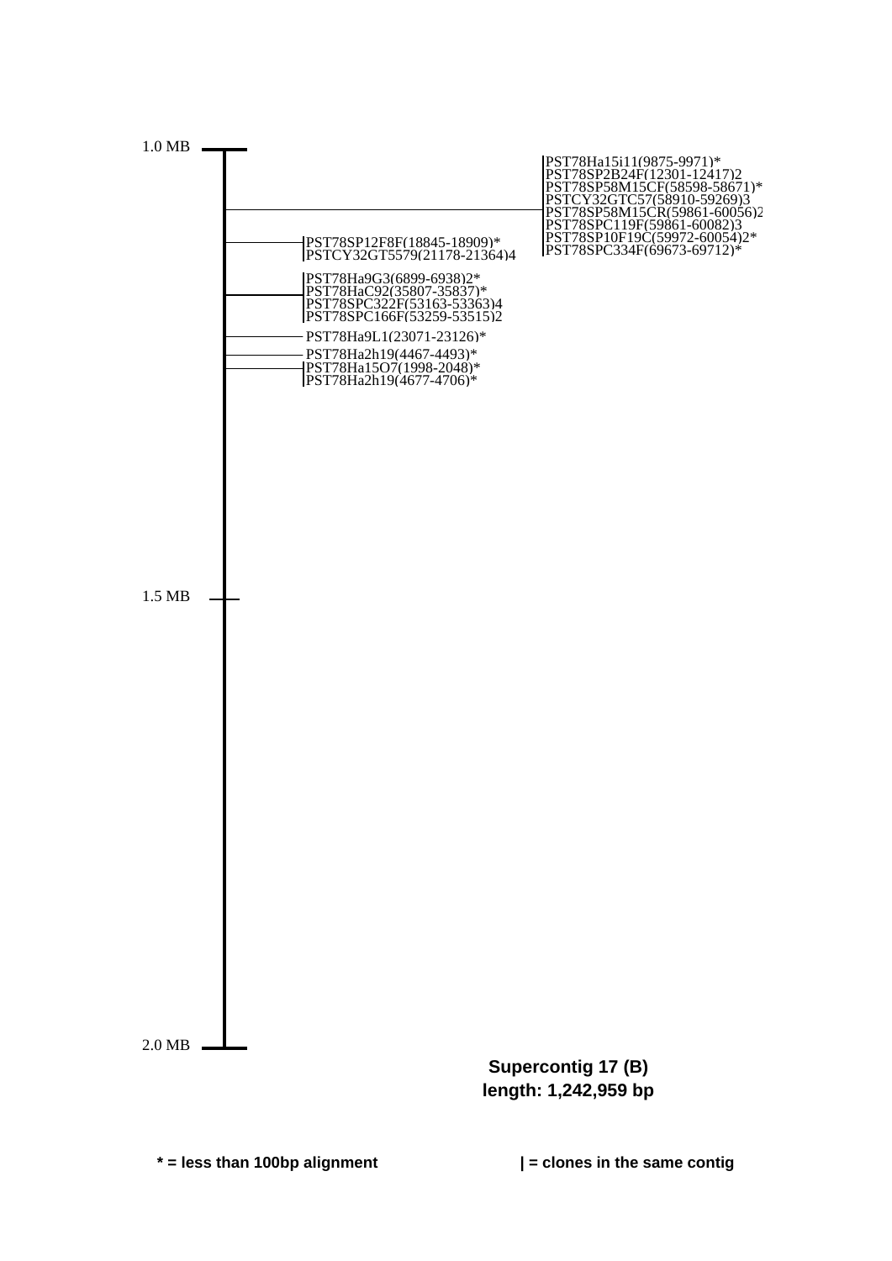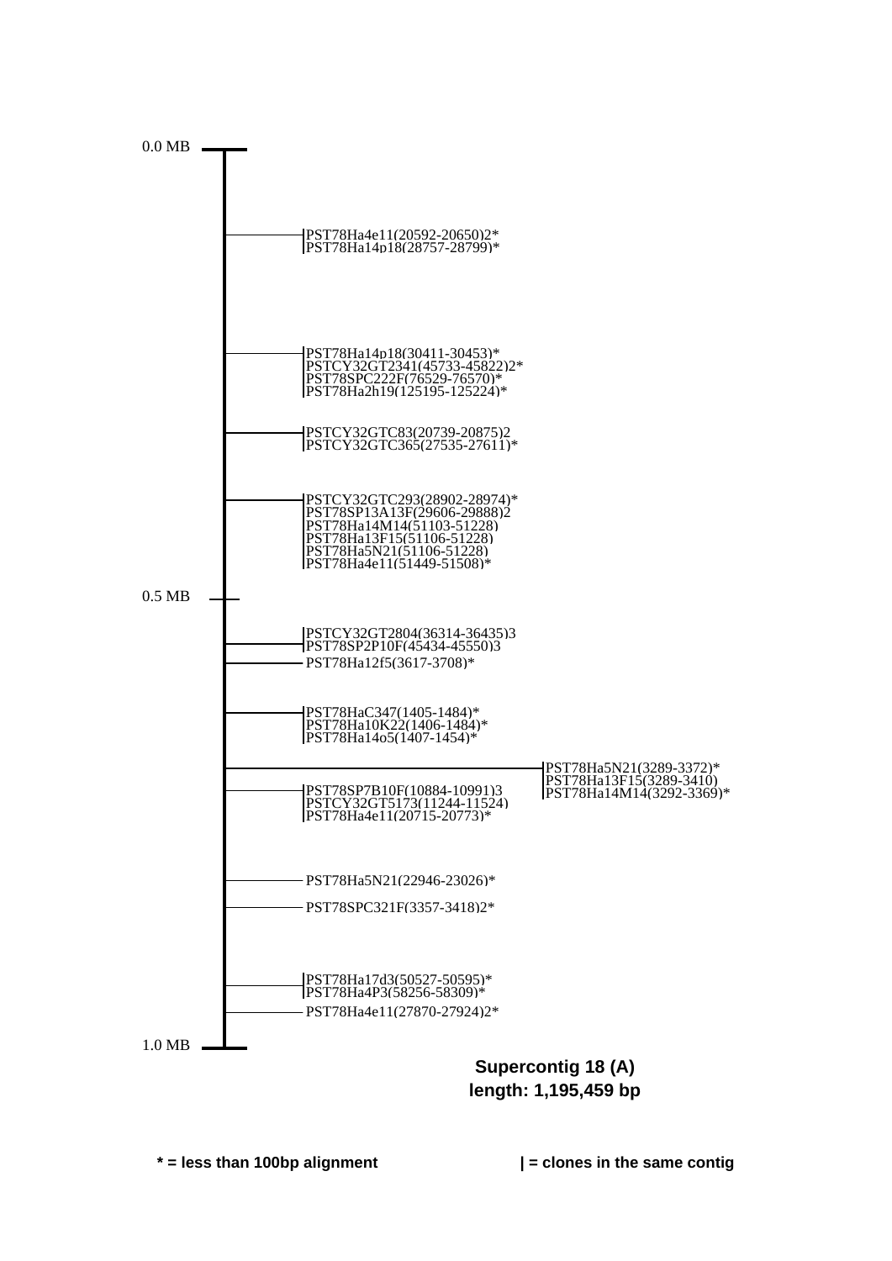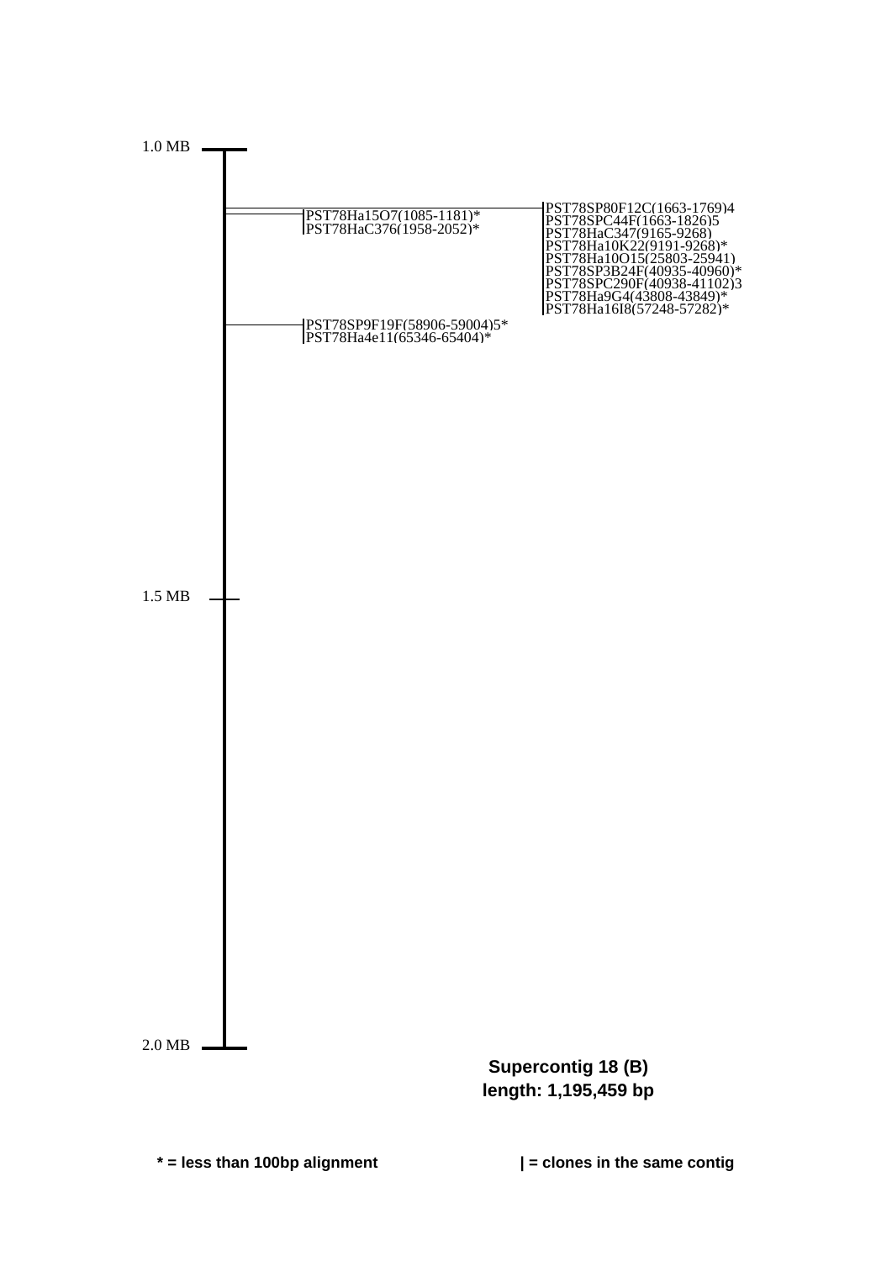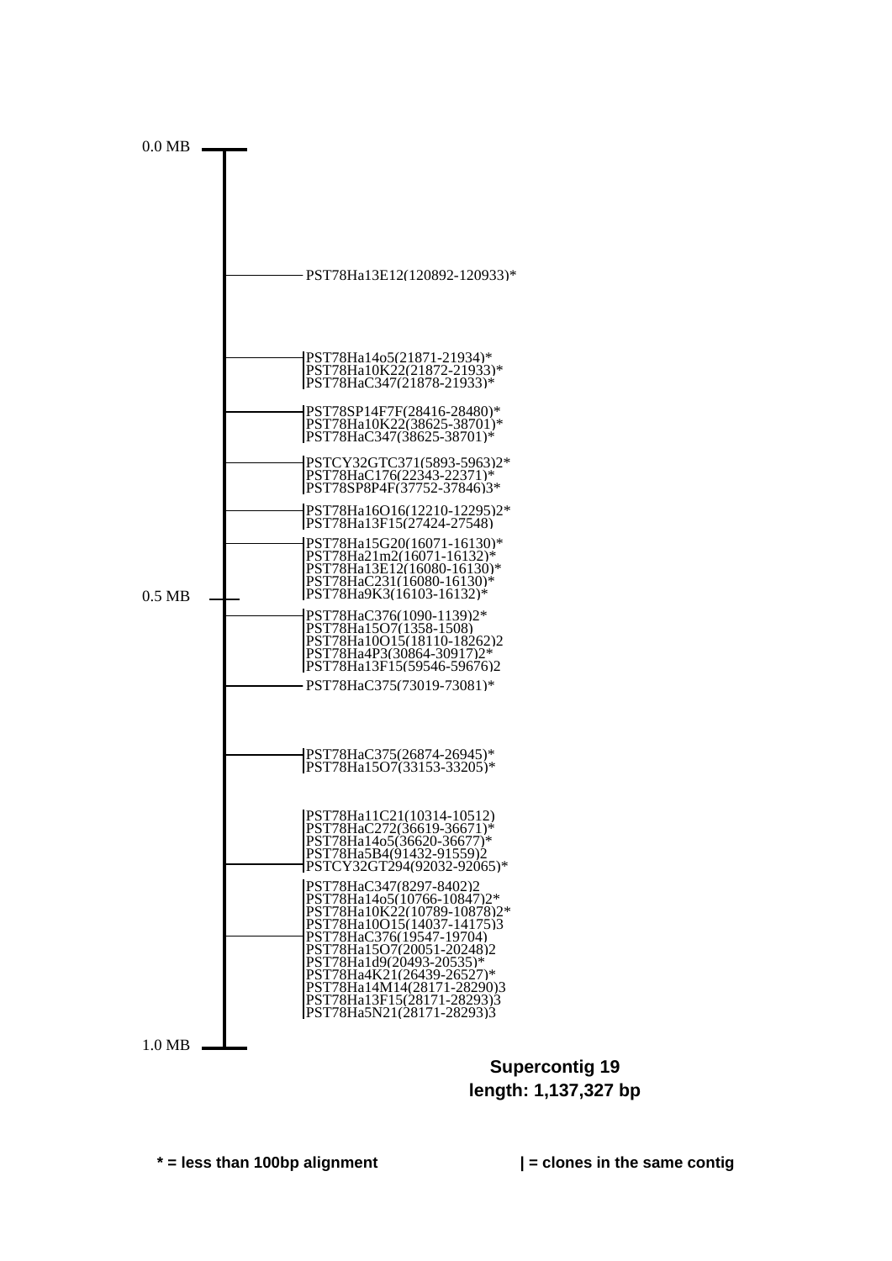

**Supercontig 19 length: 1,137,327 bp**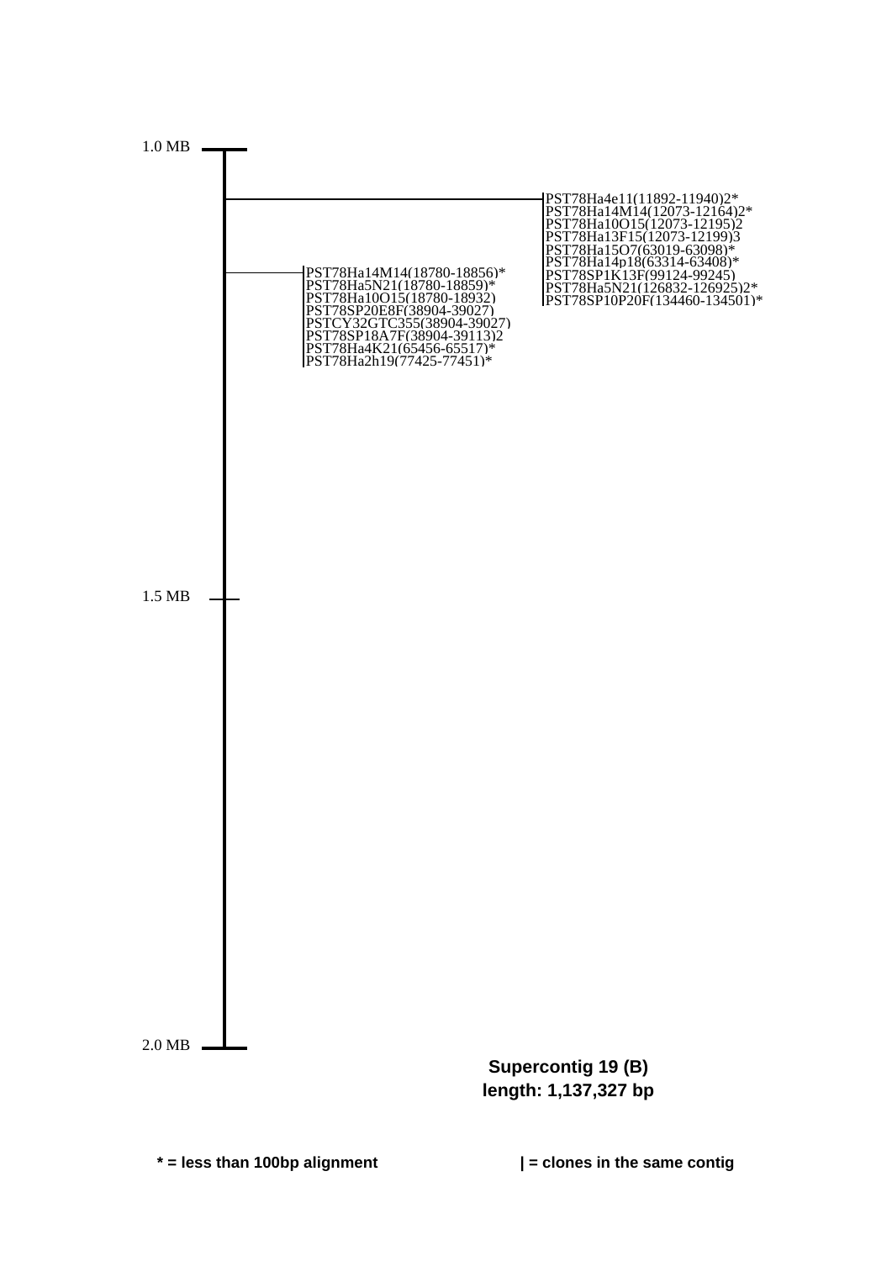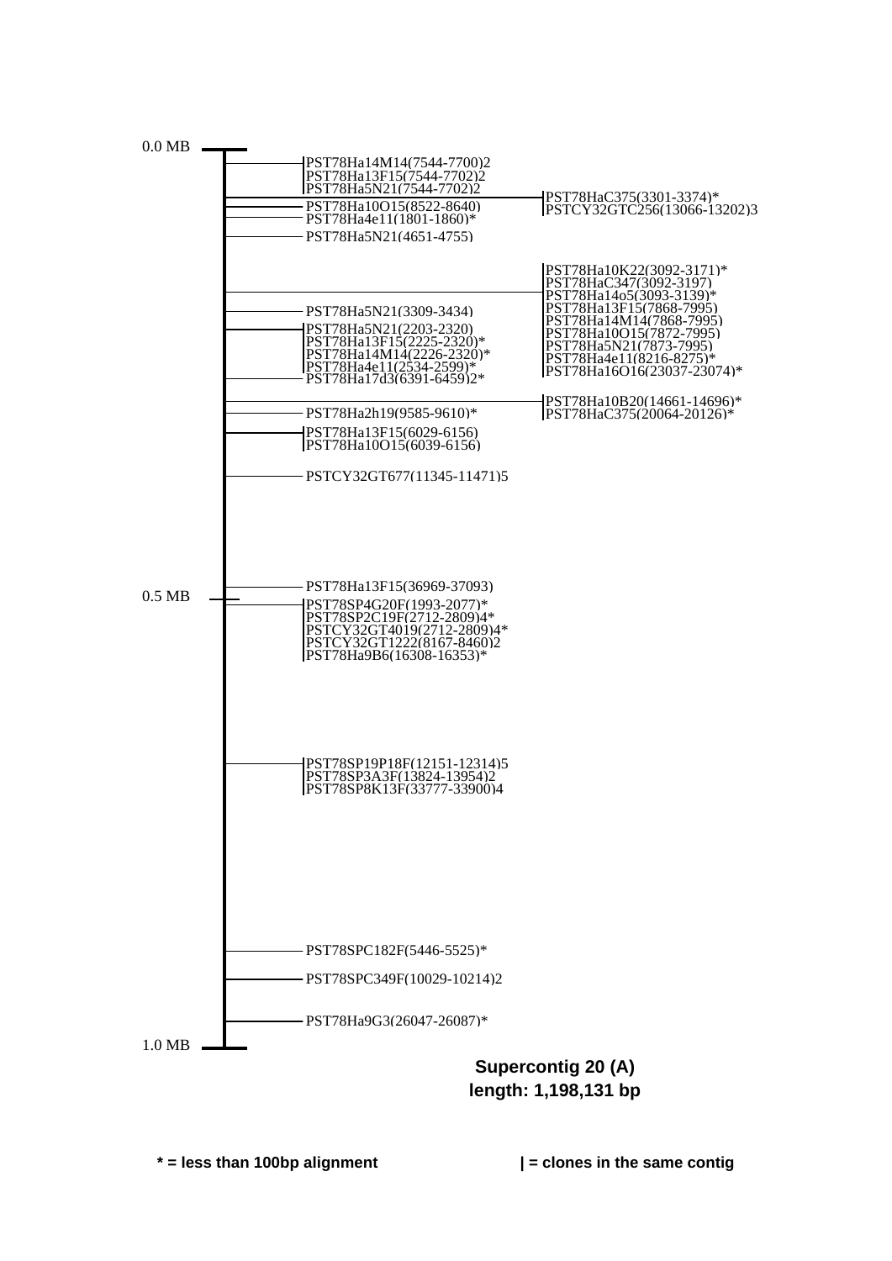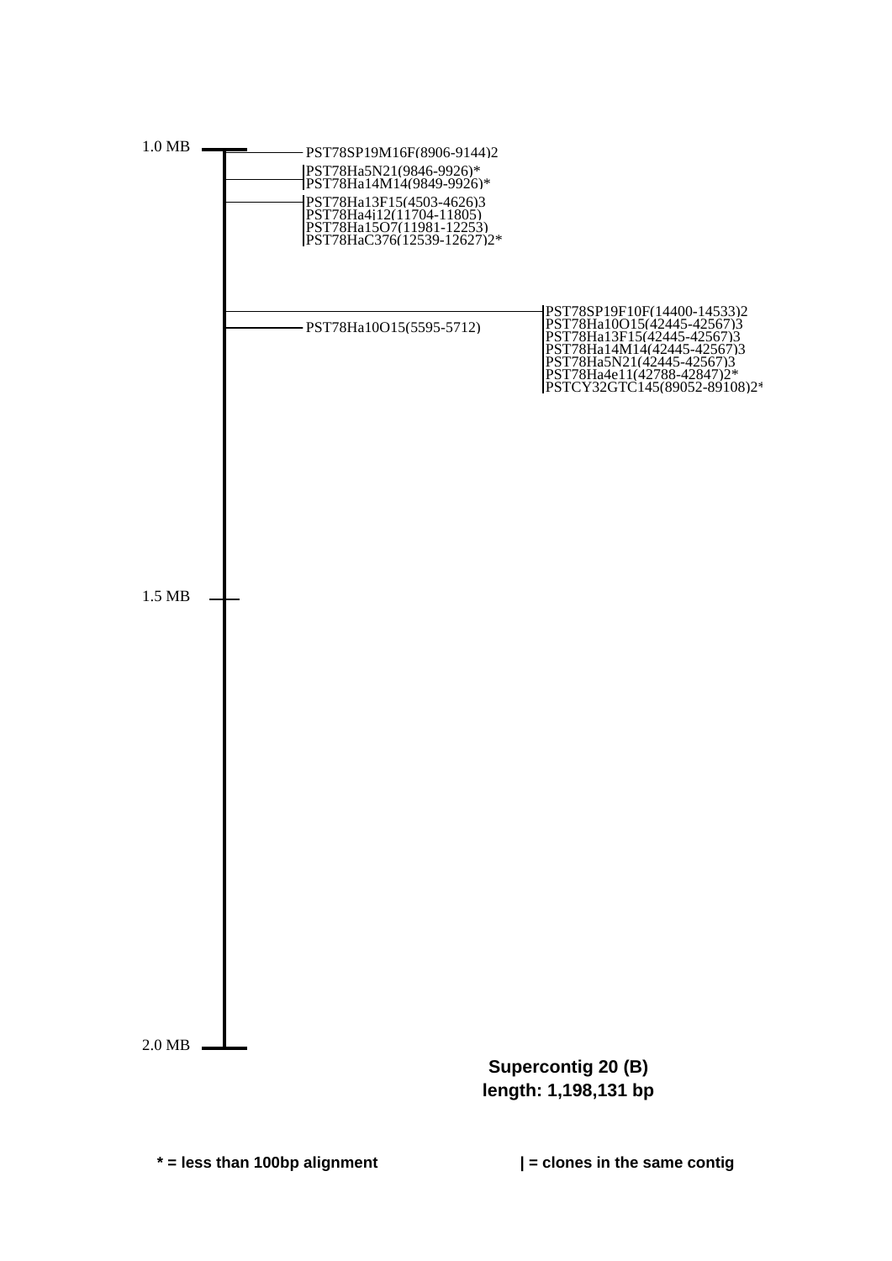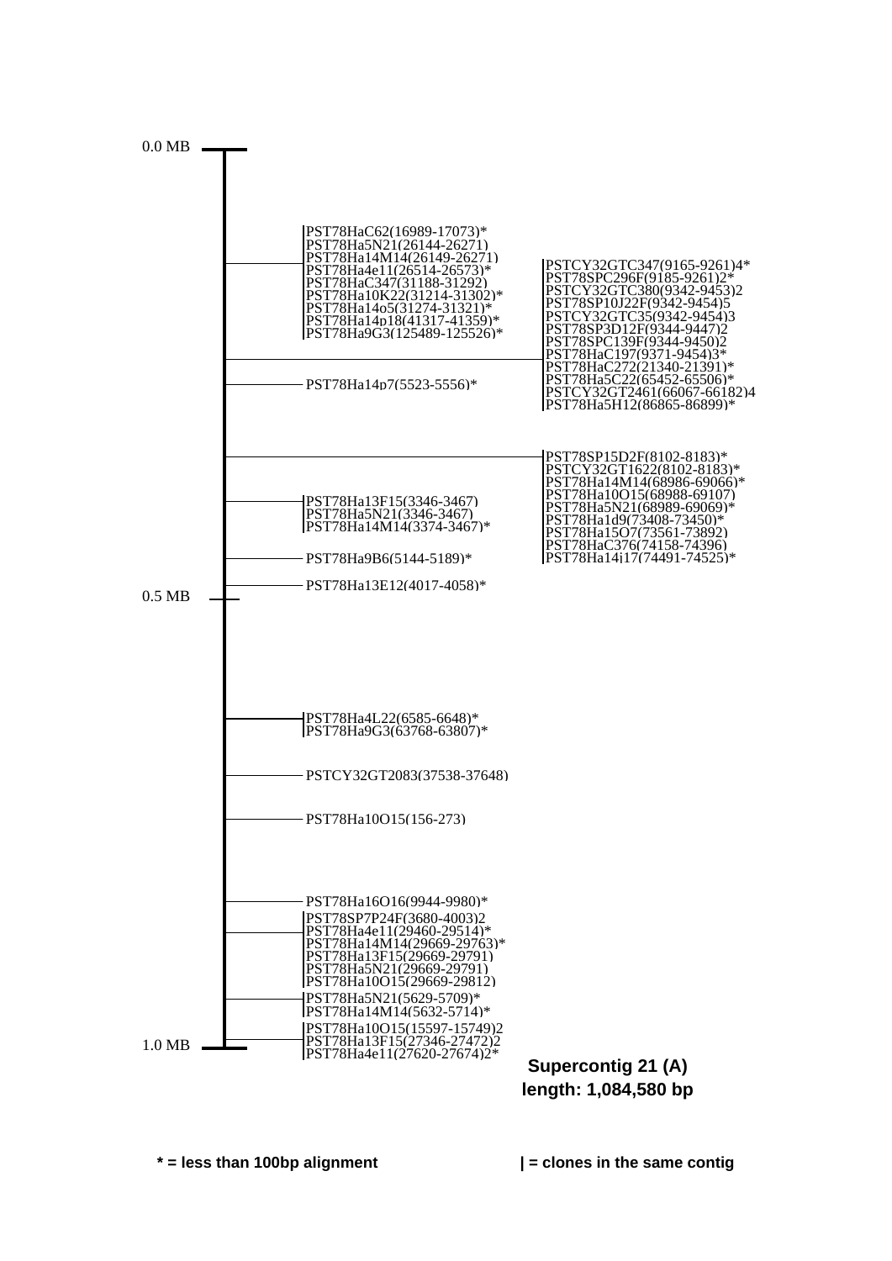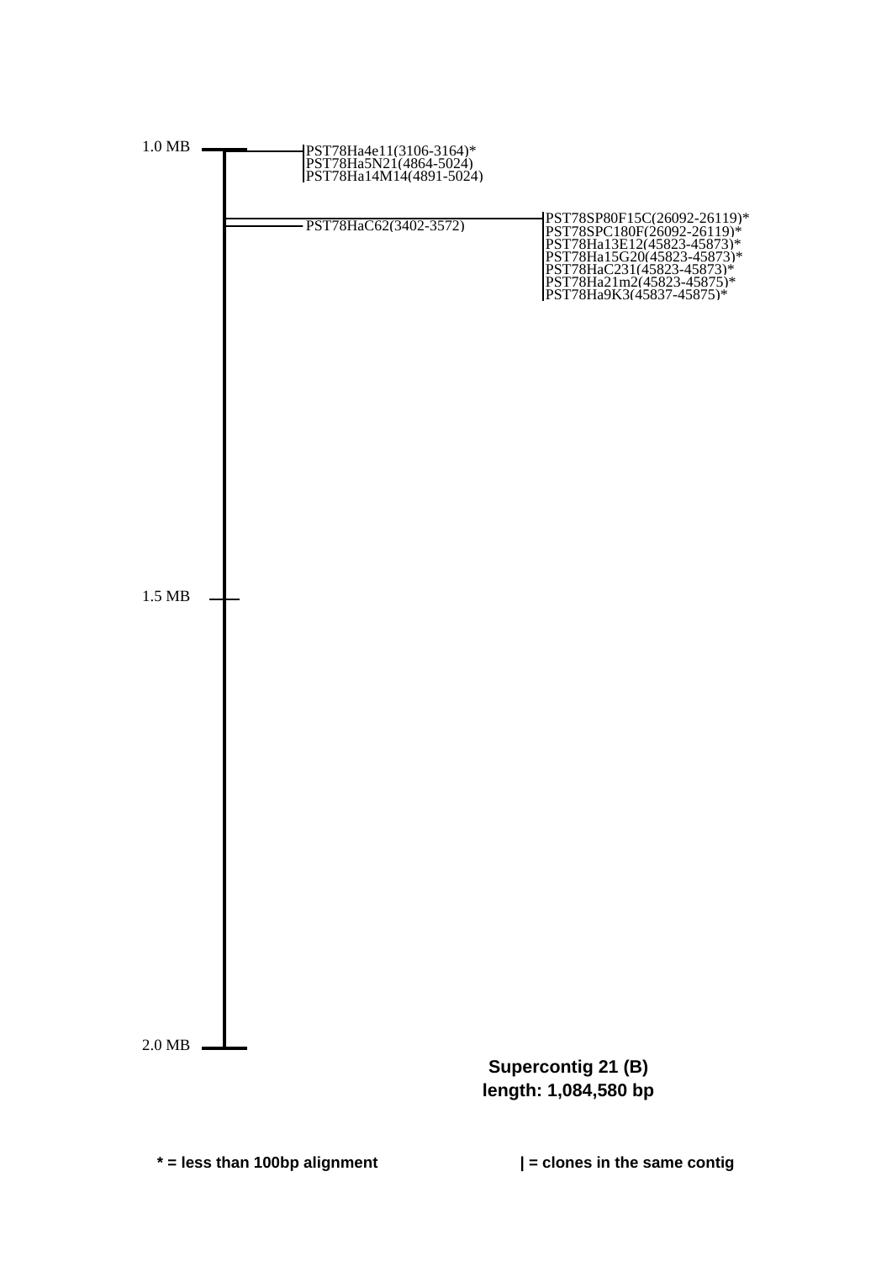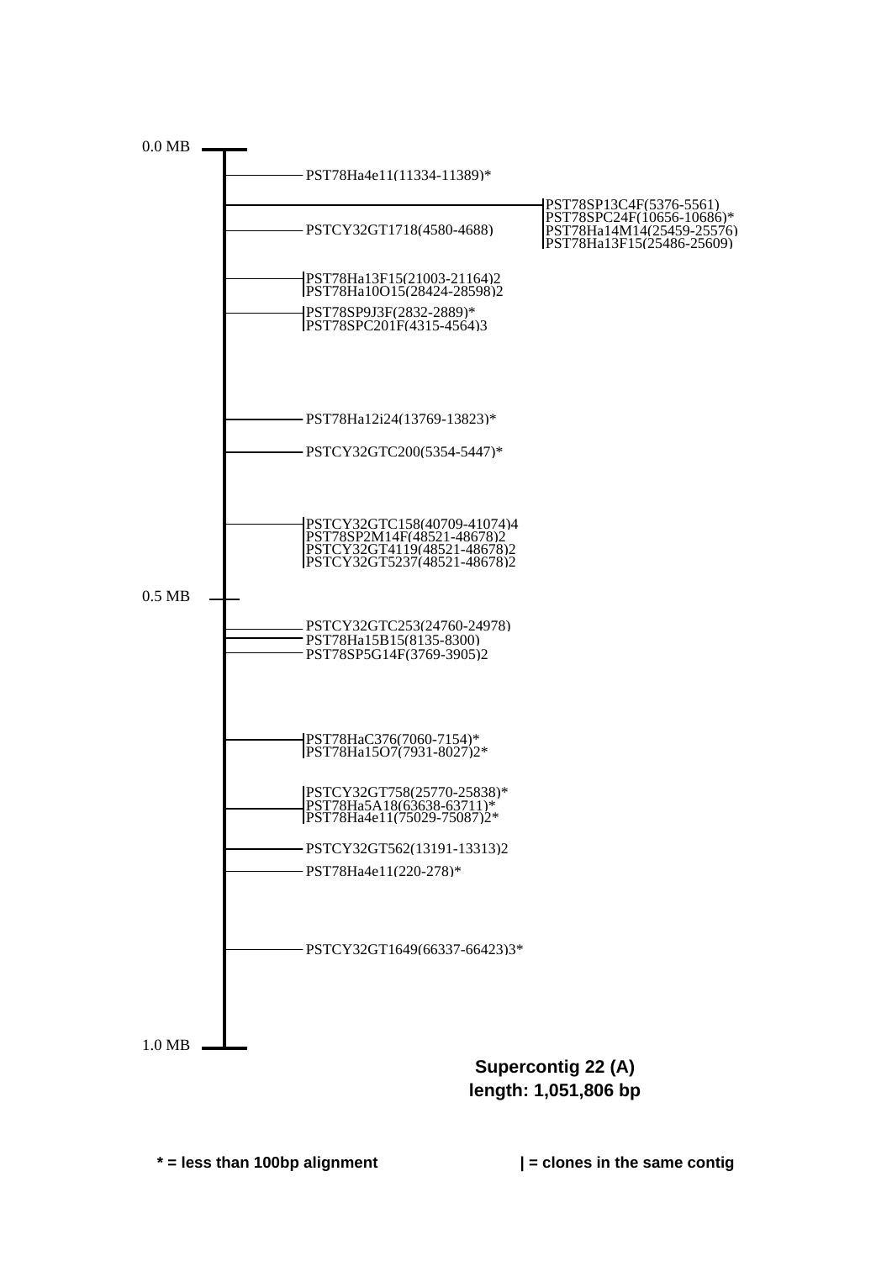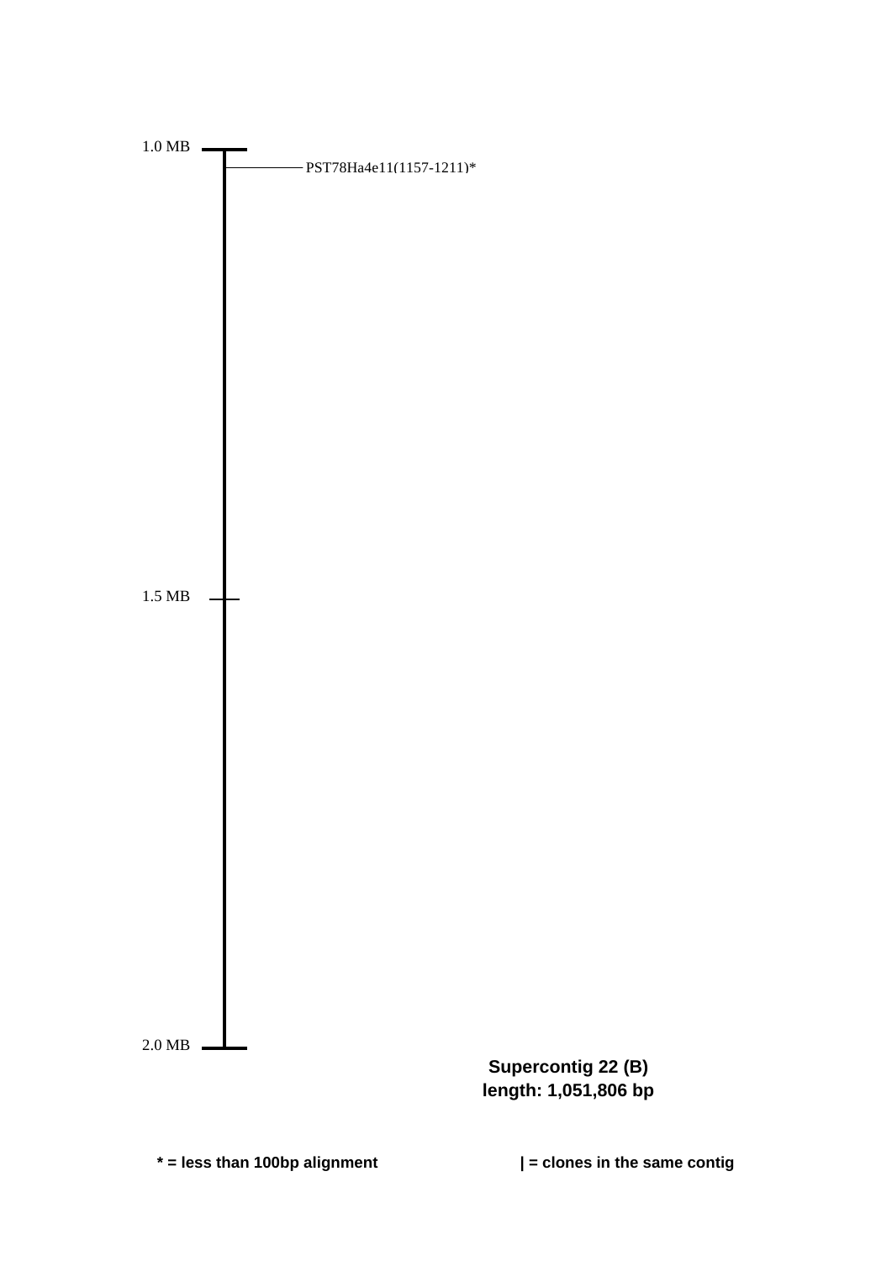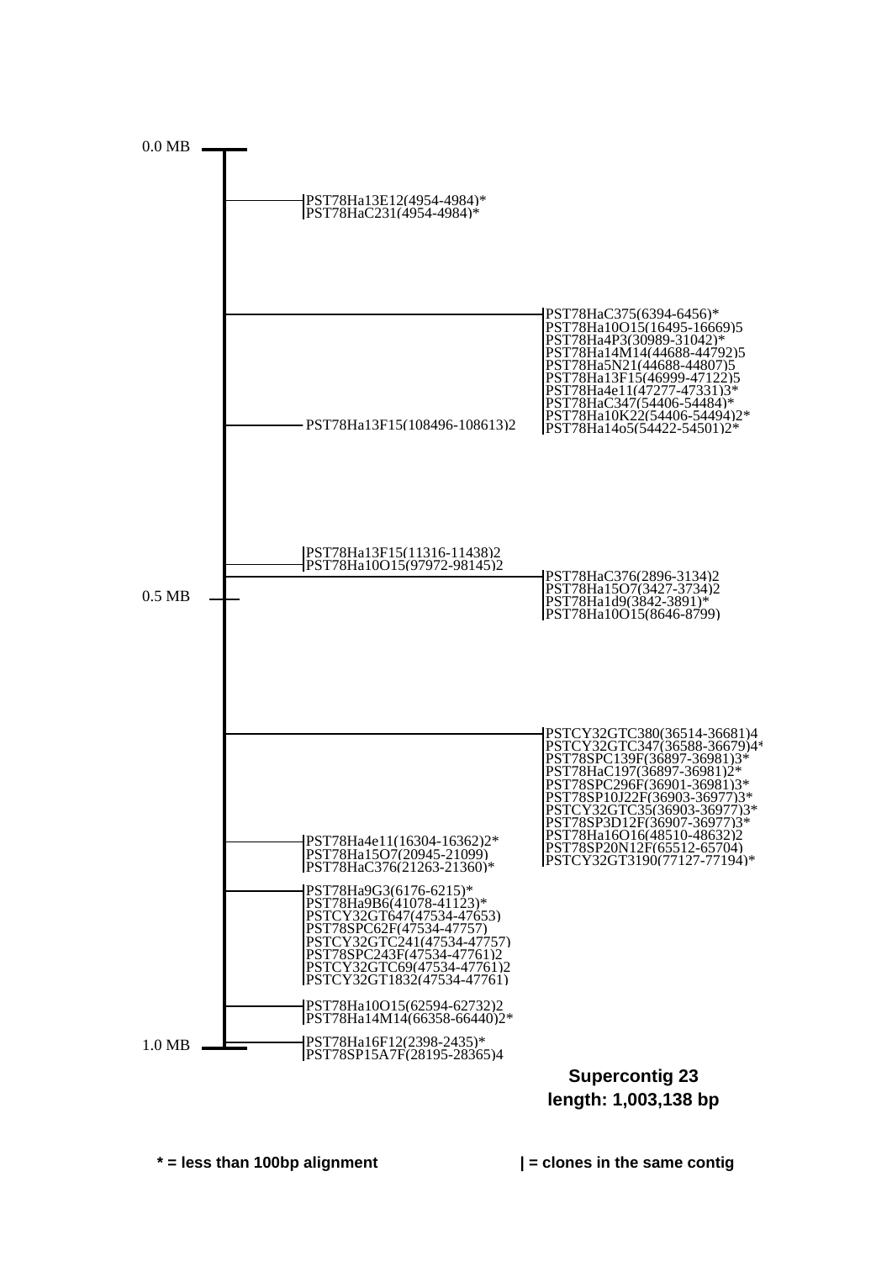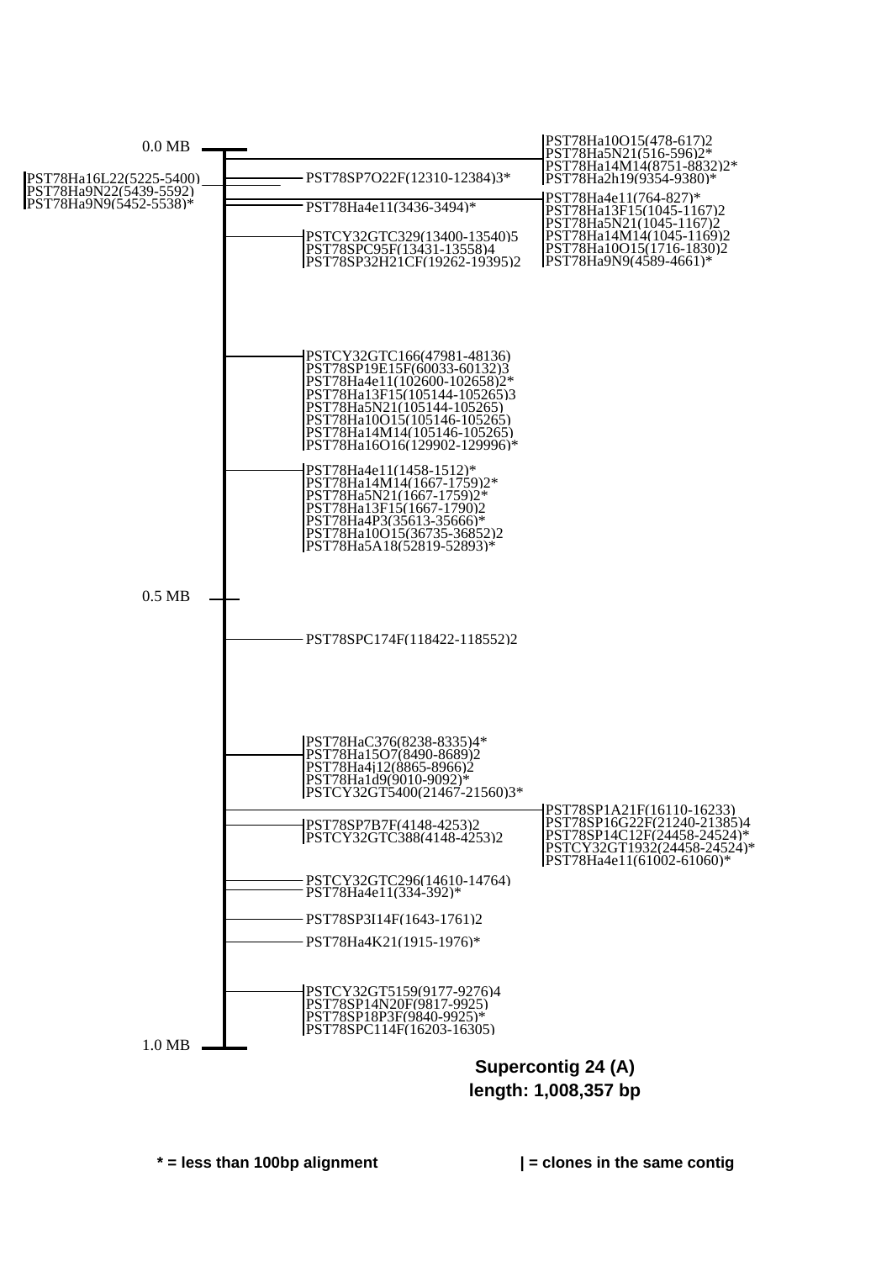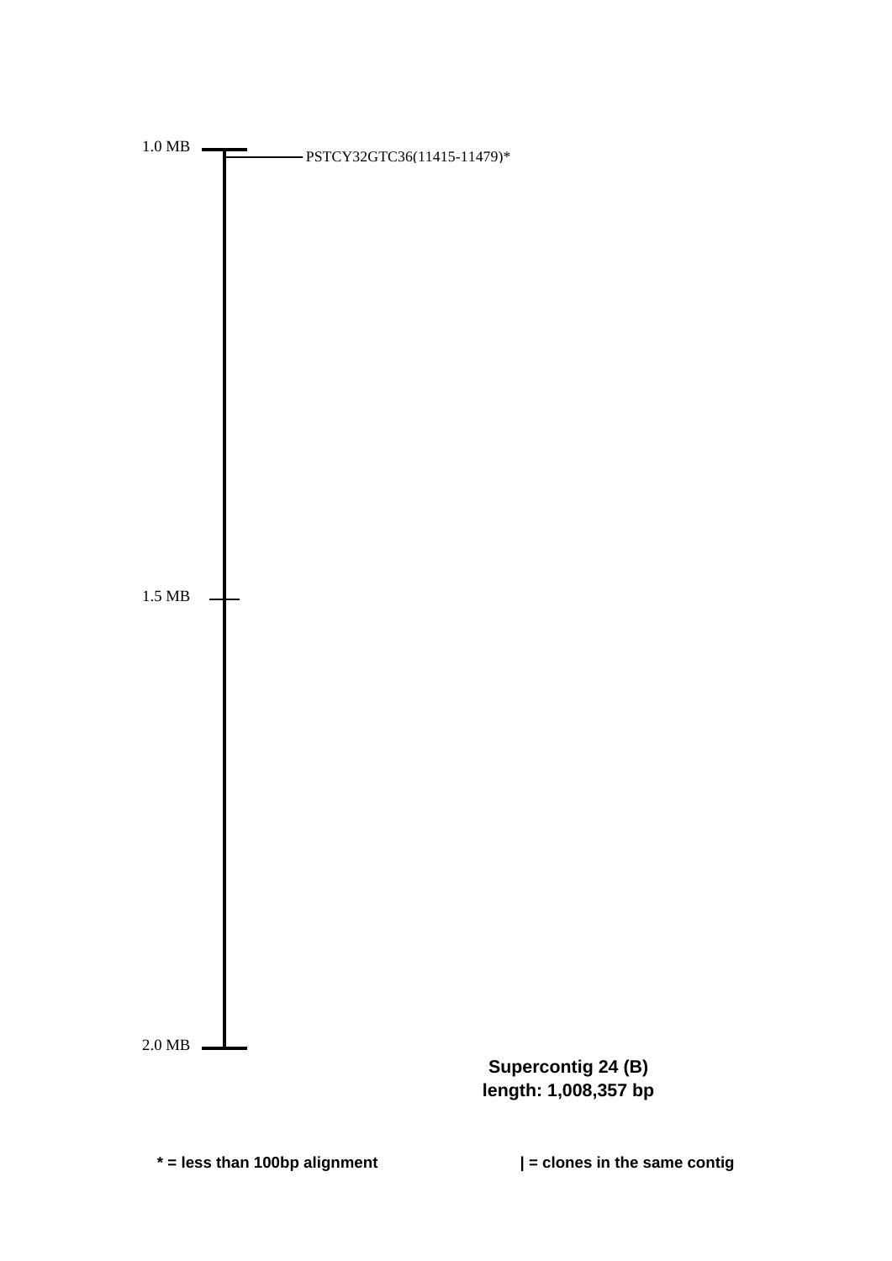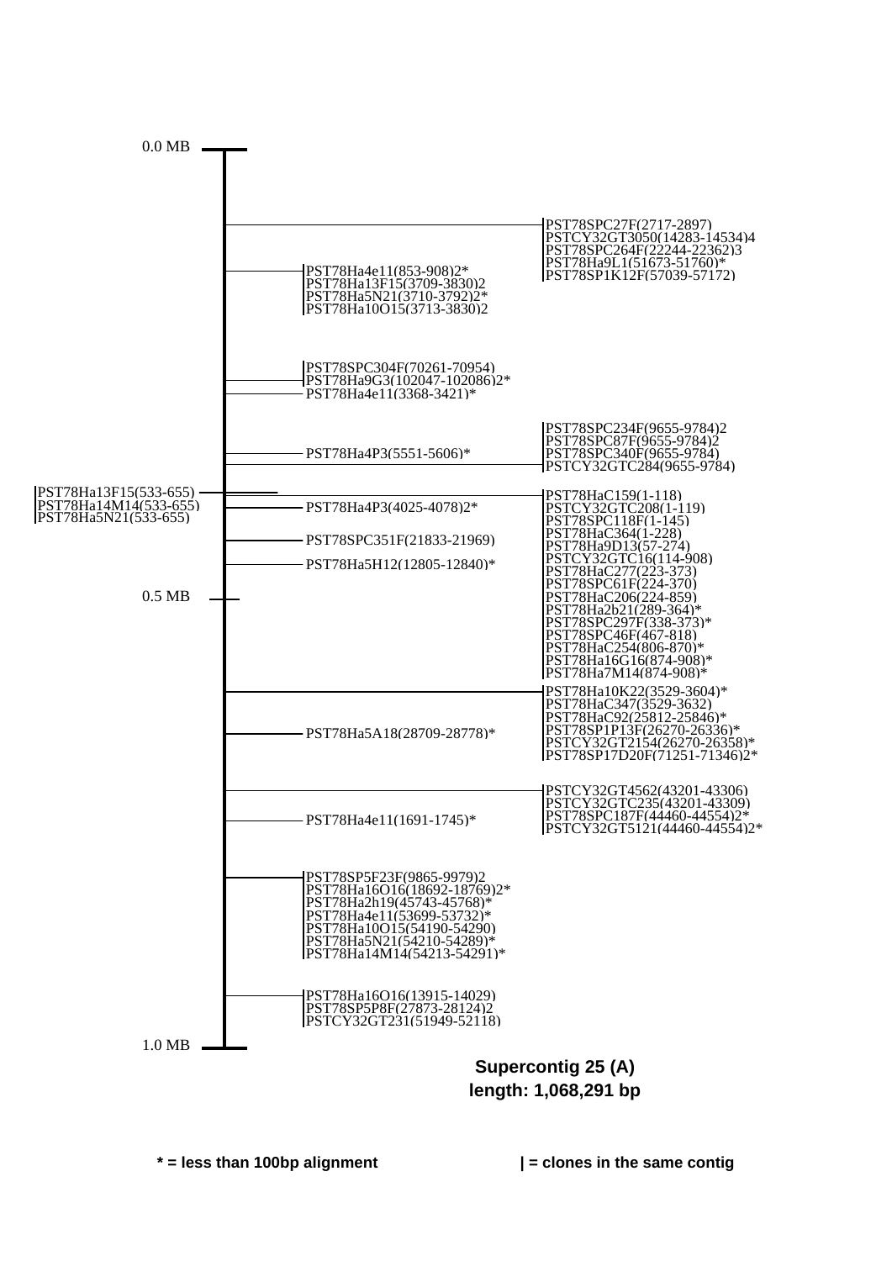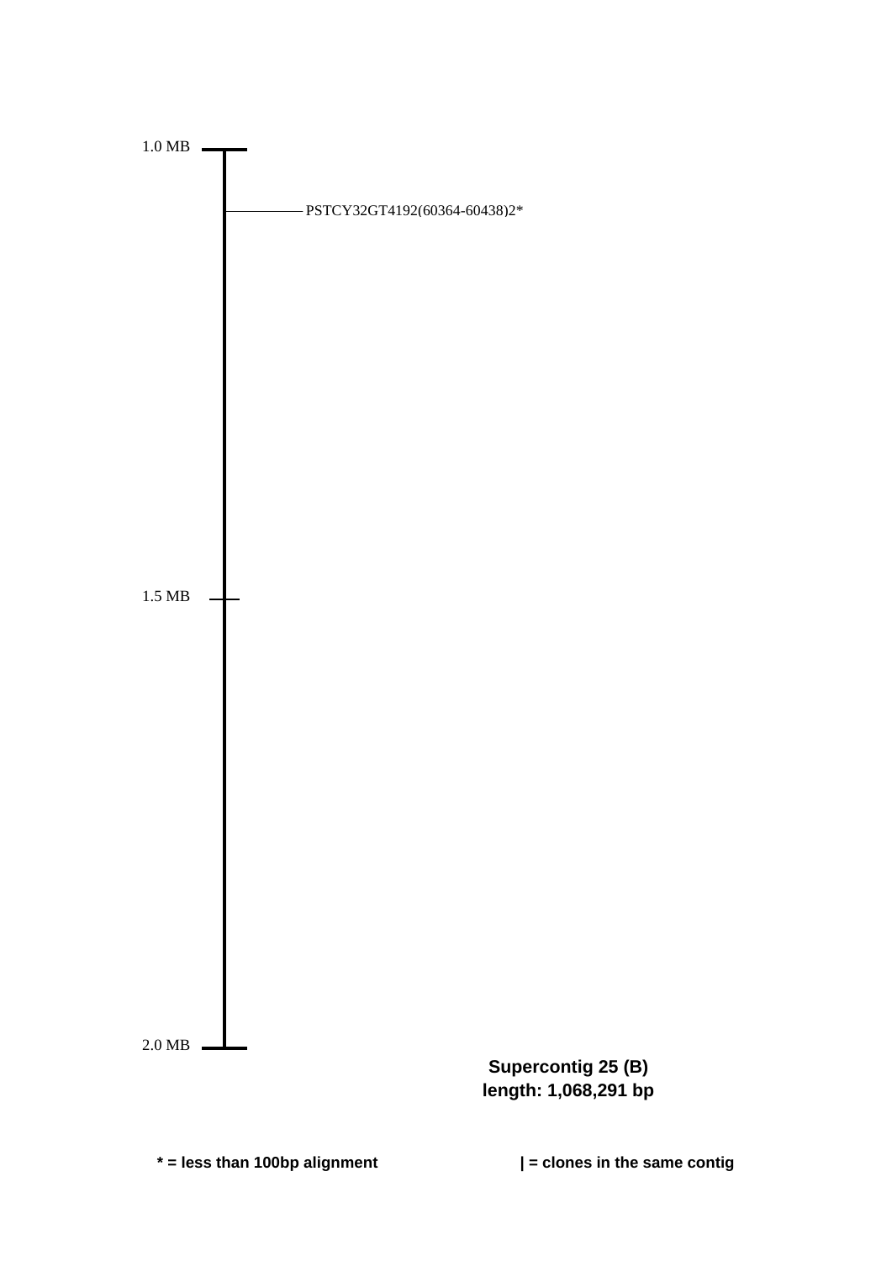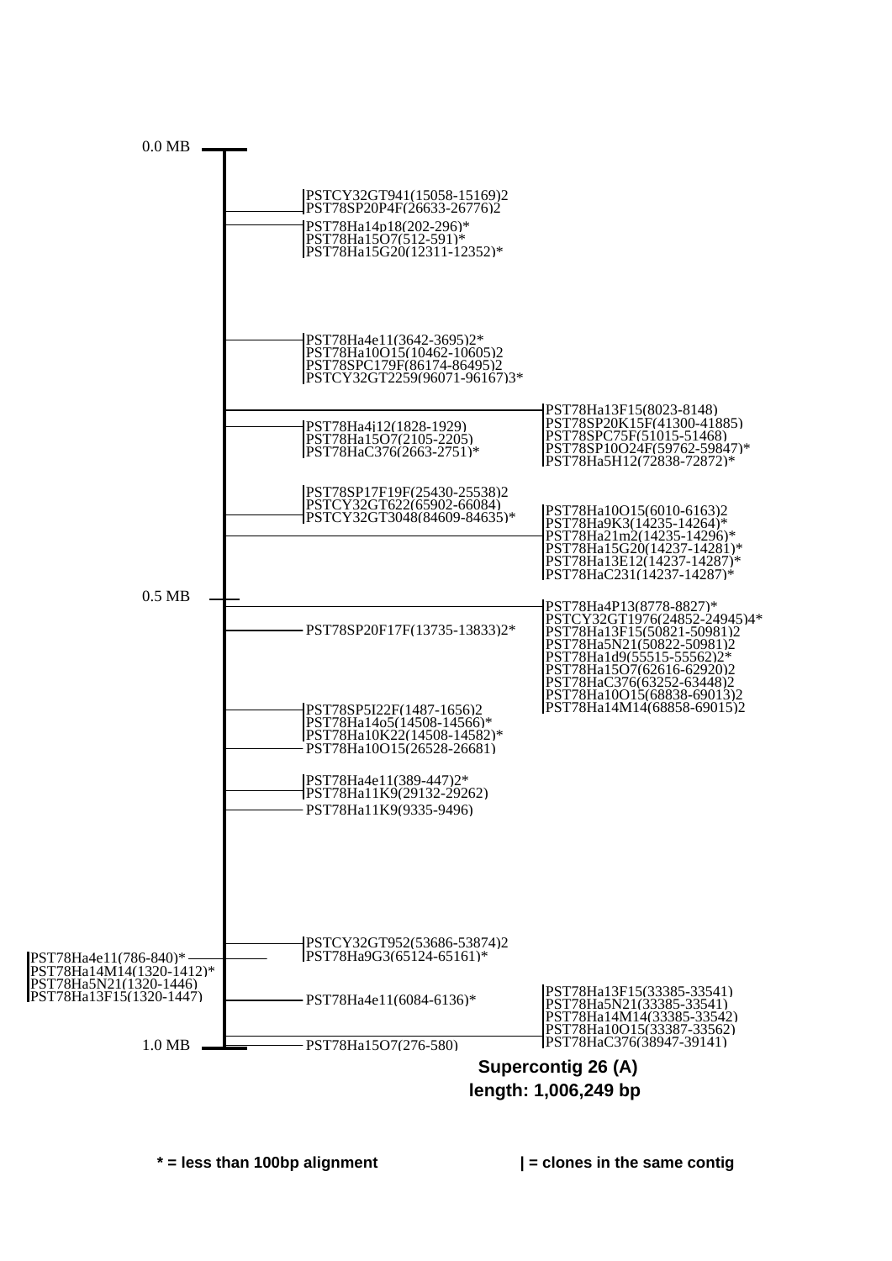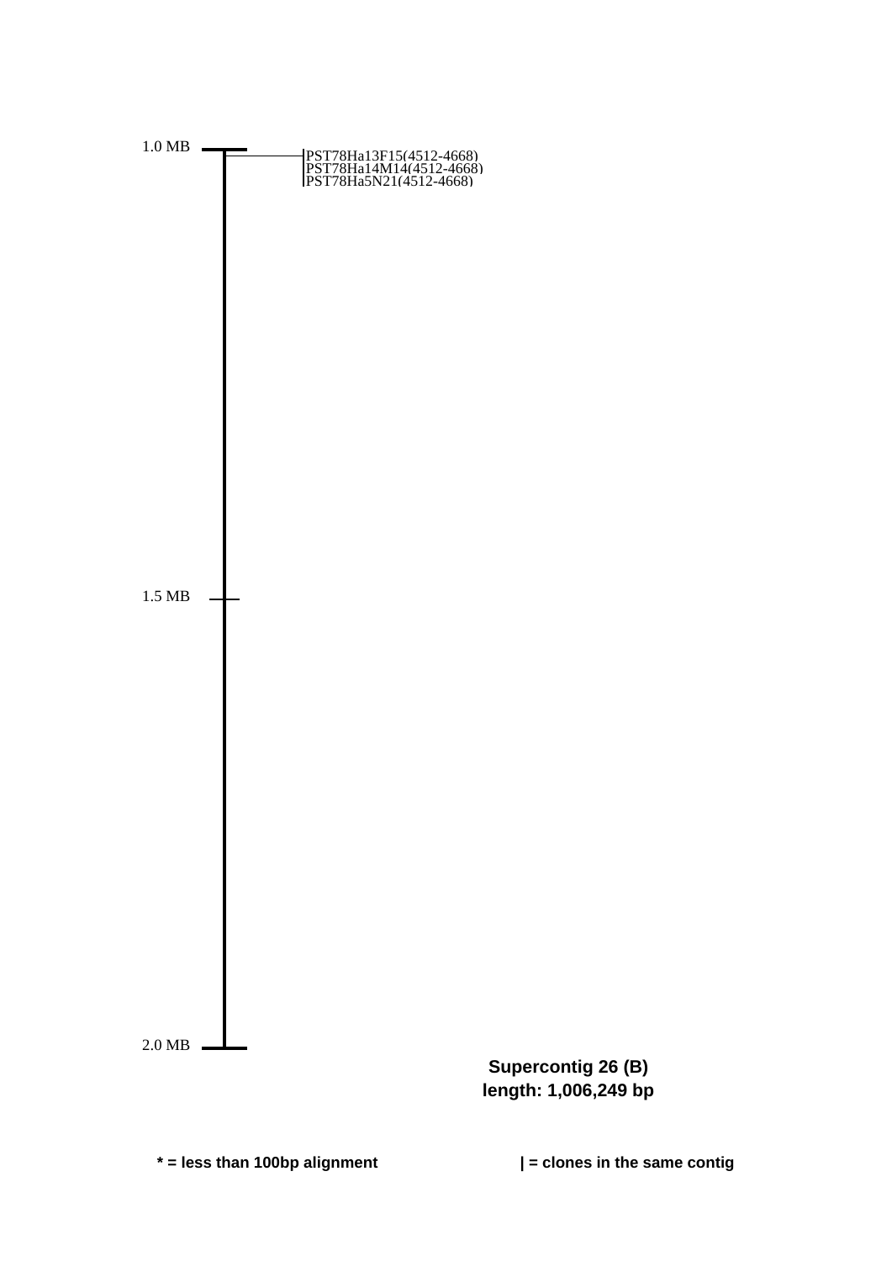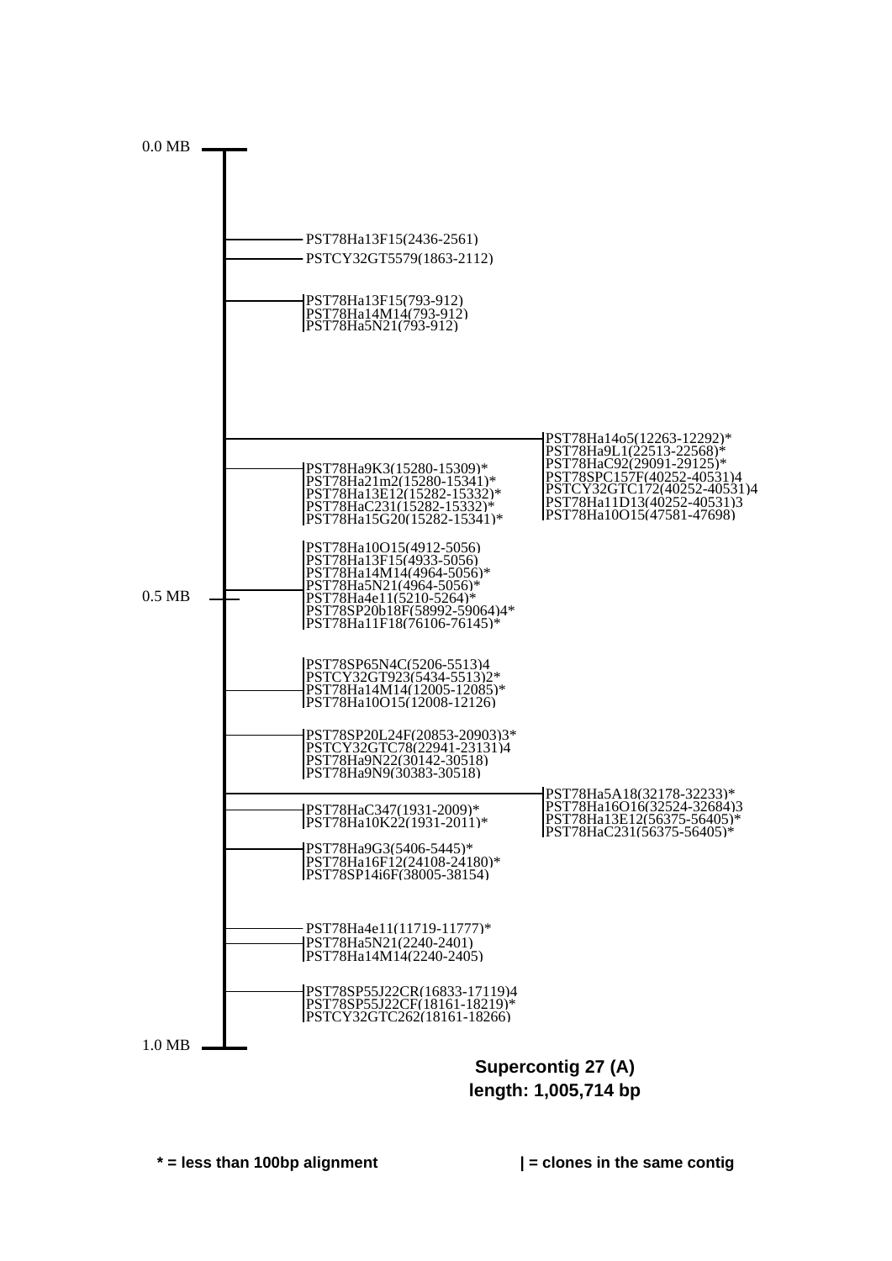

**length: 1,005,714 bp**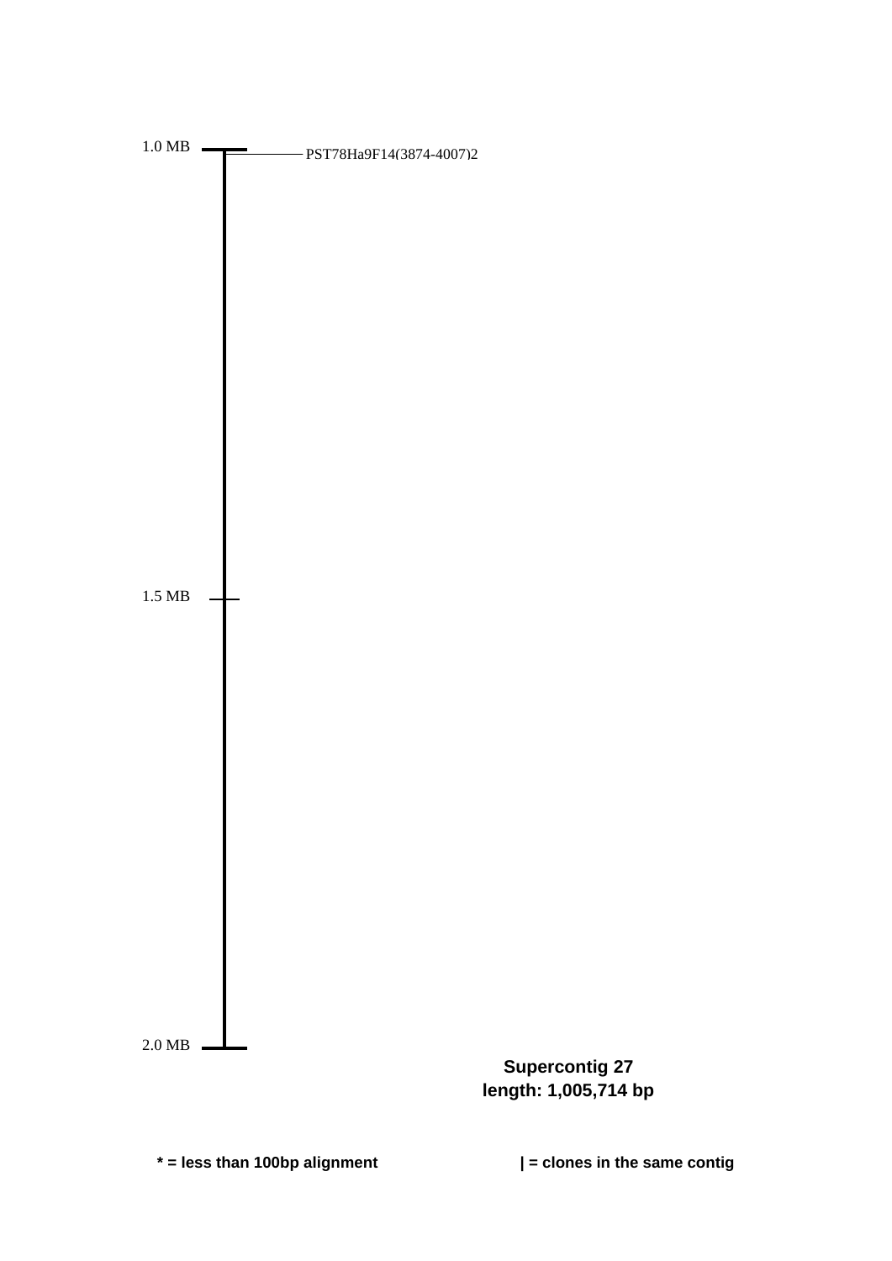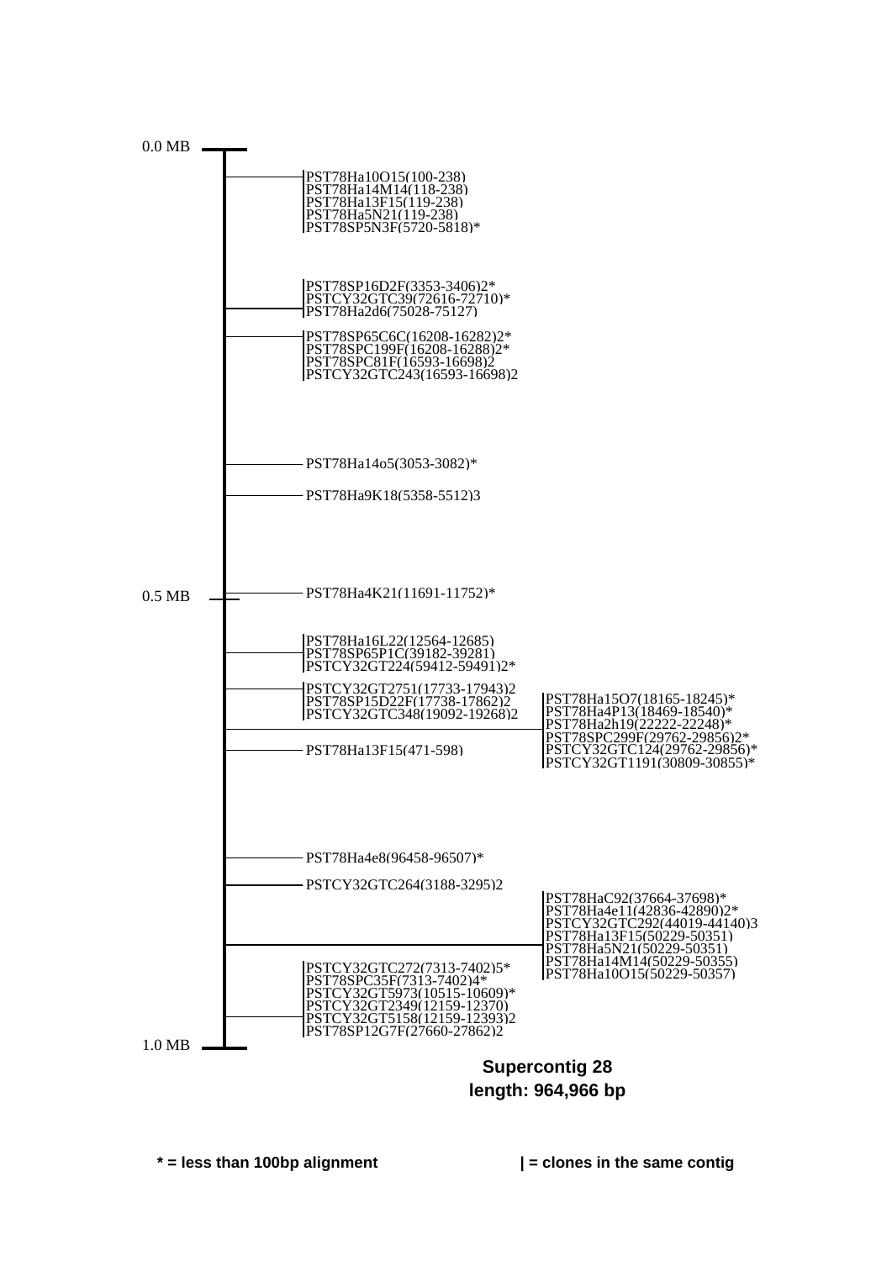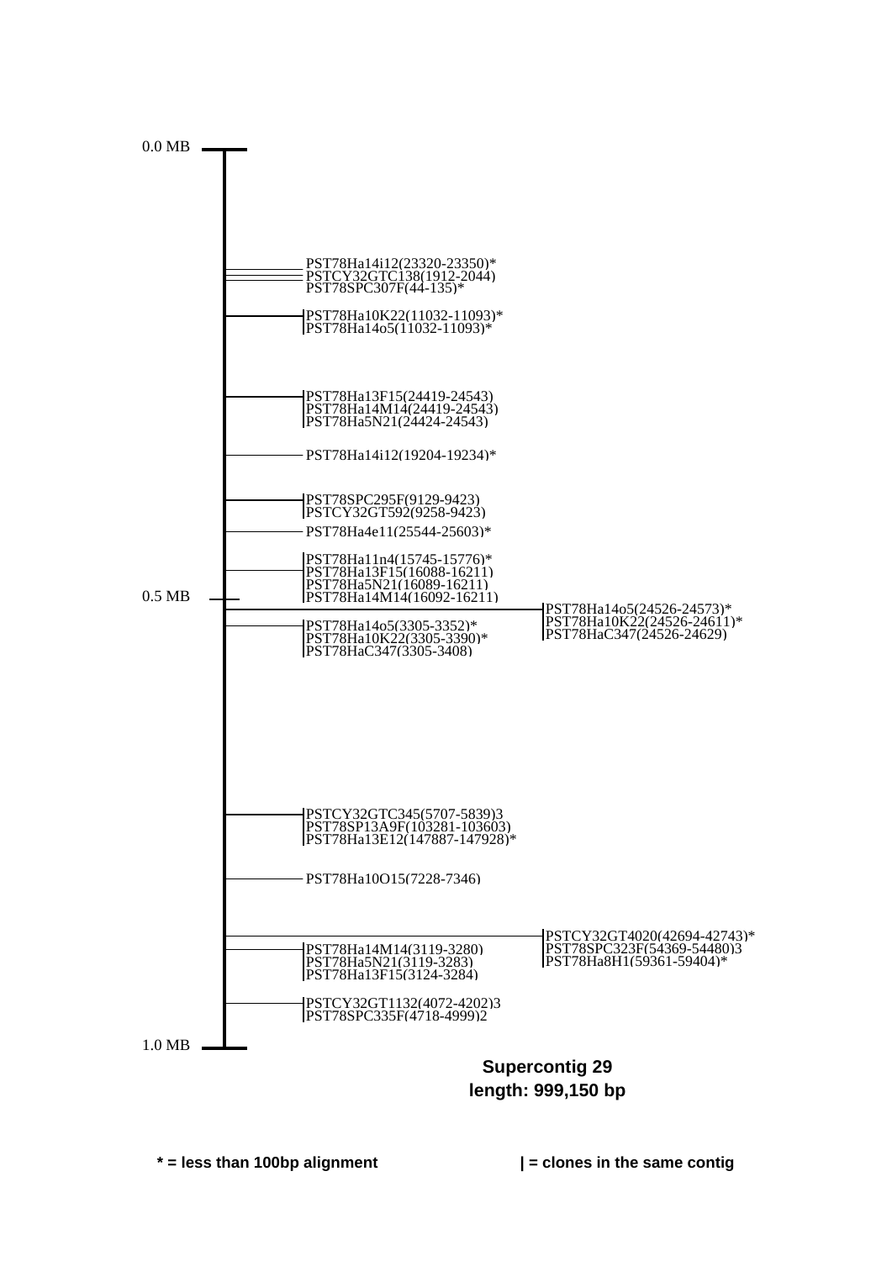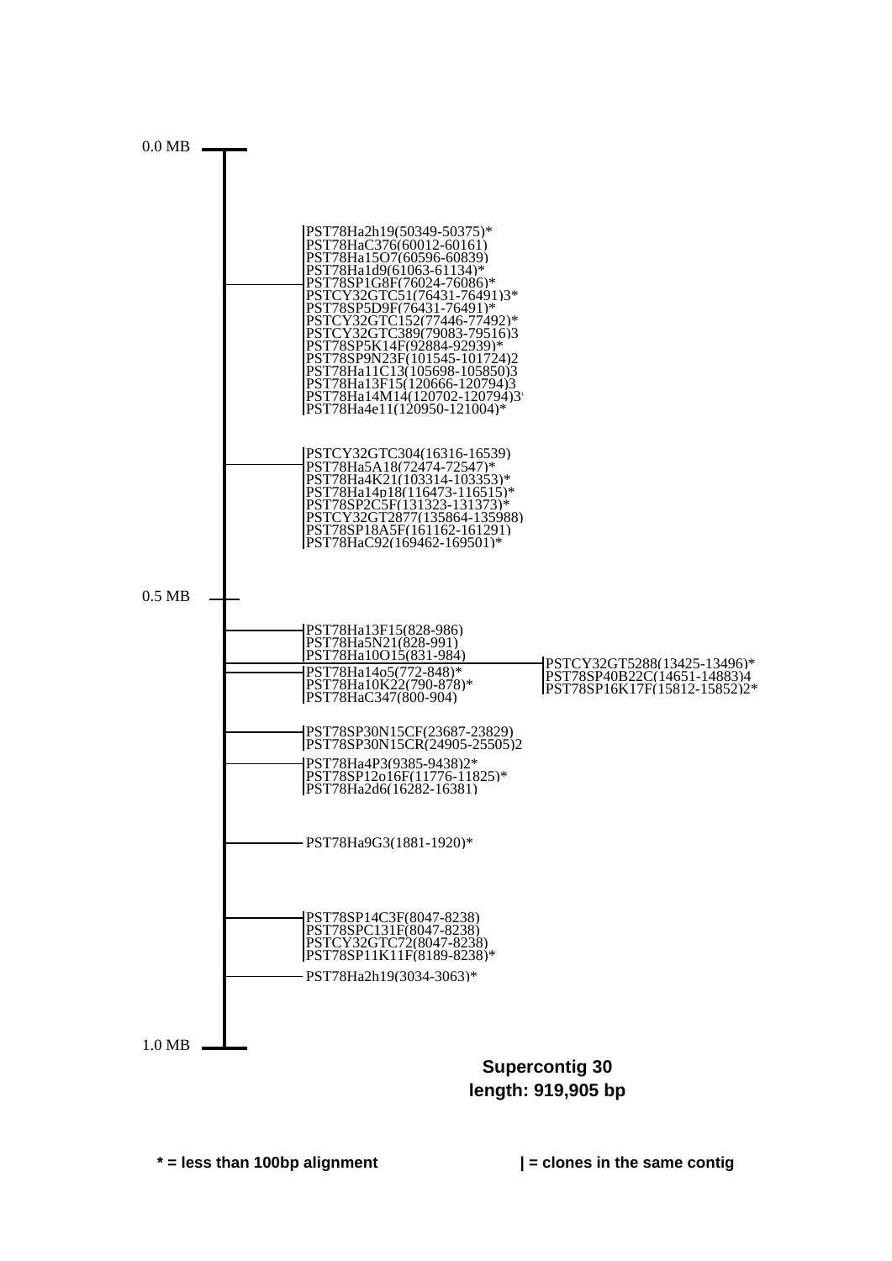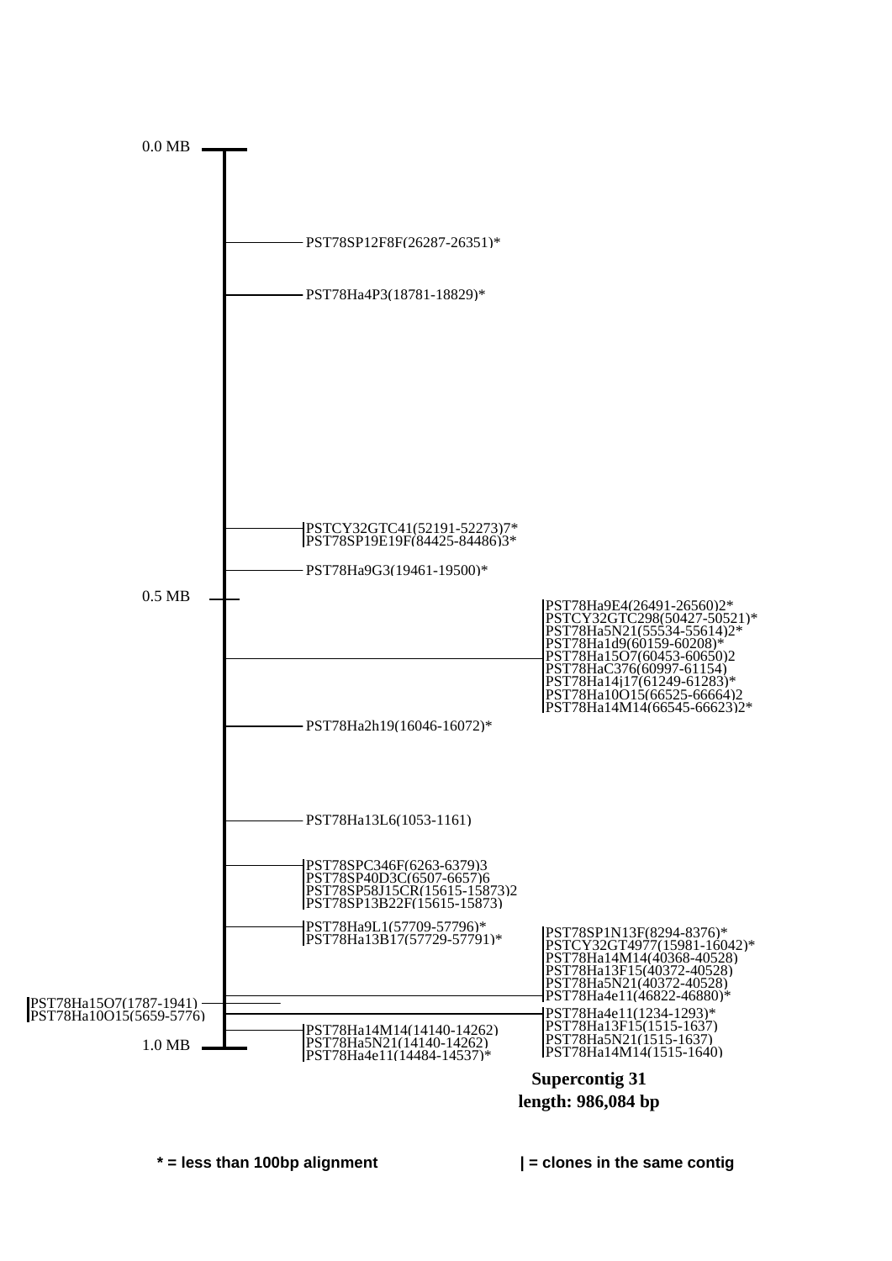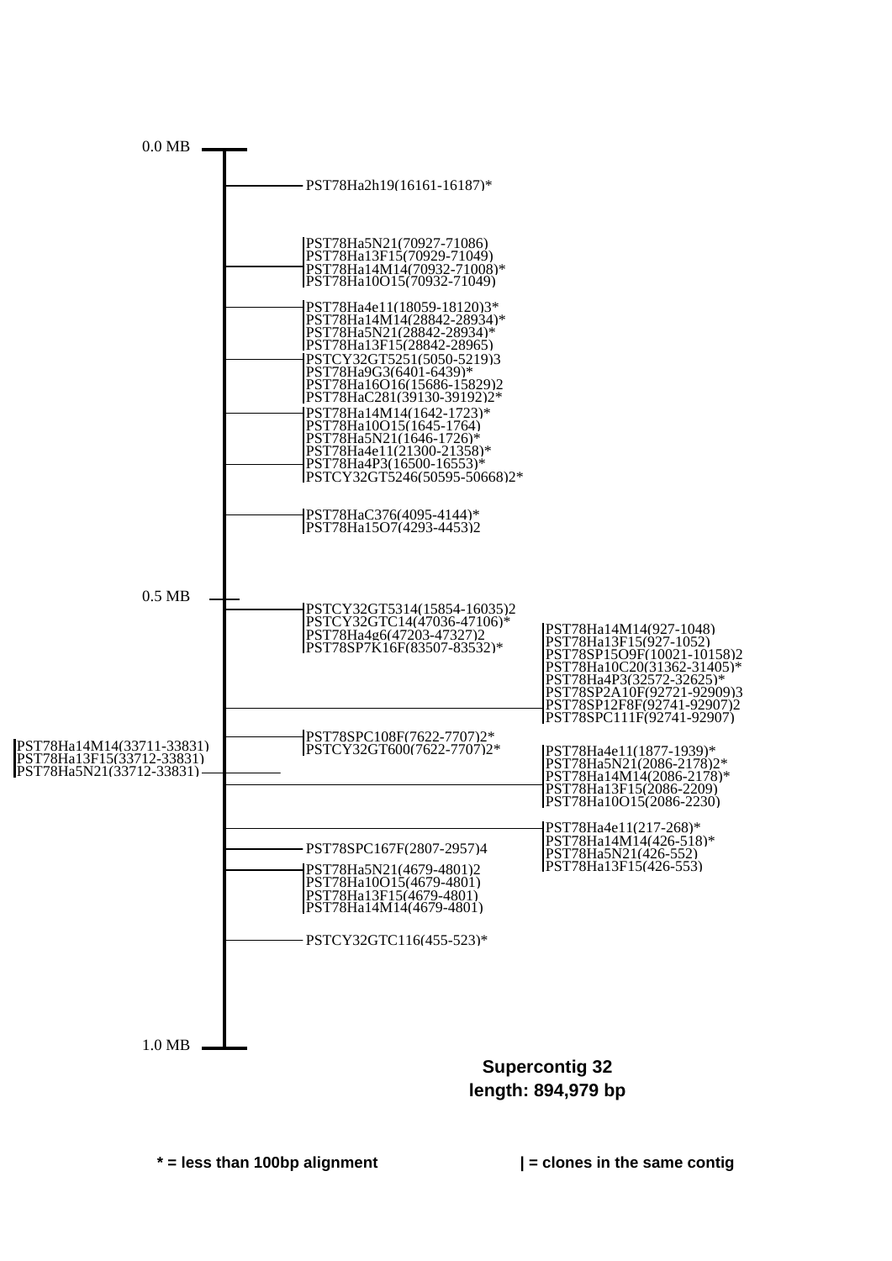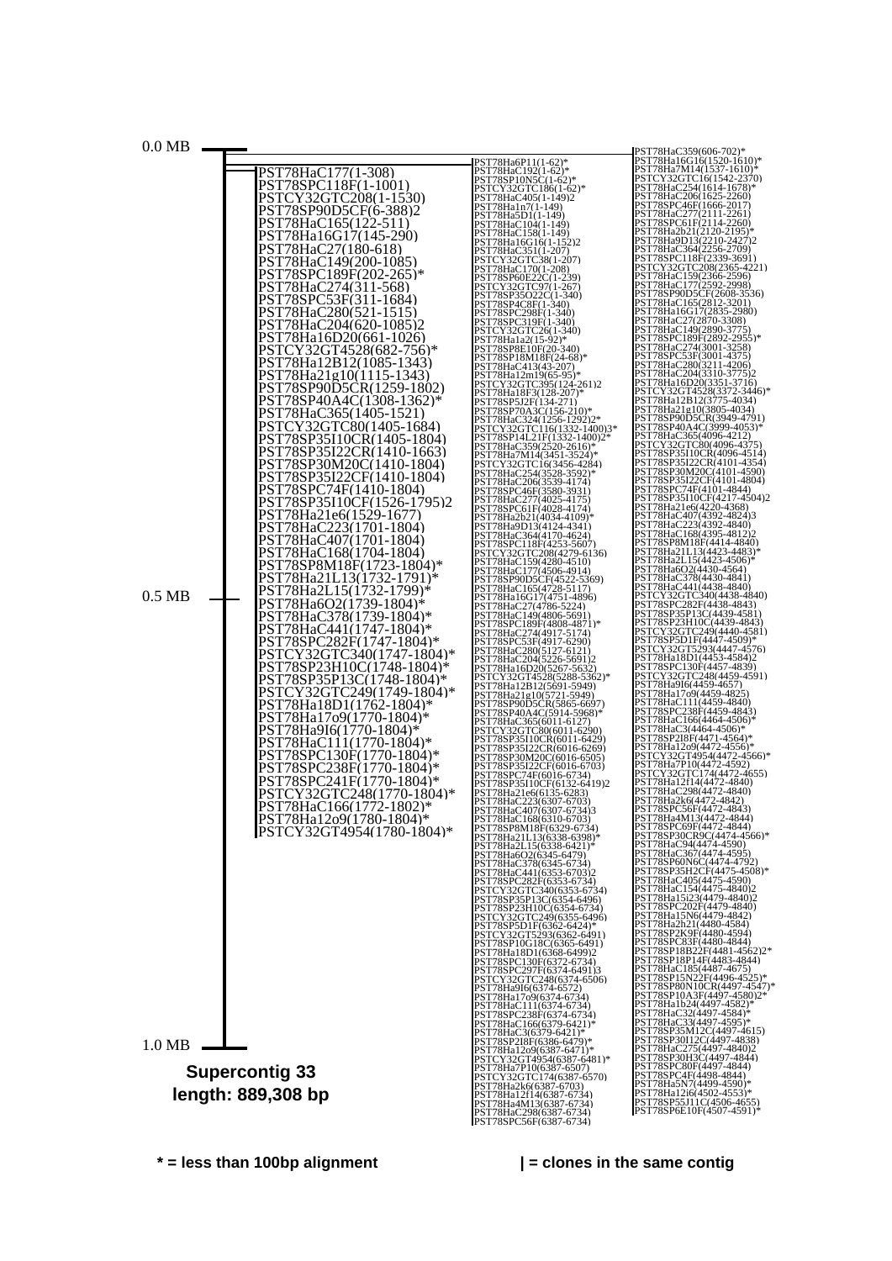

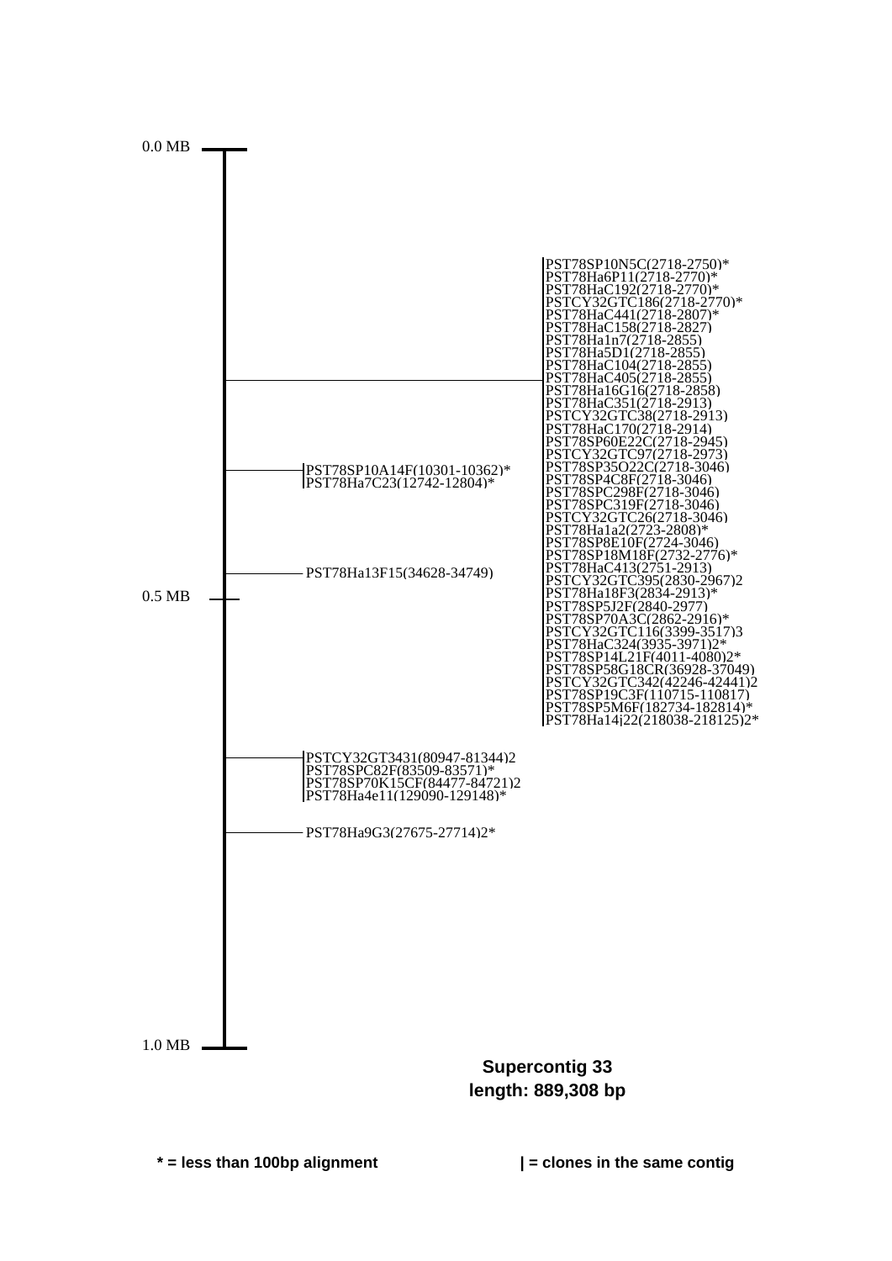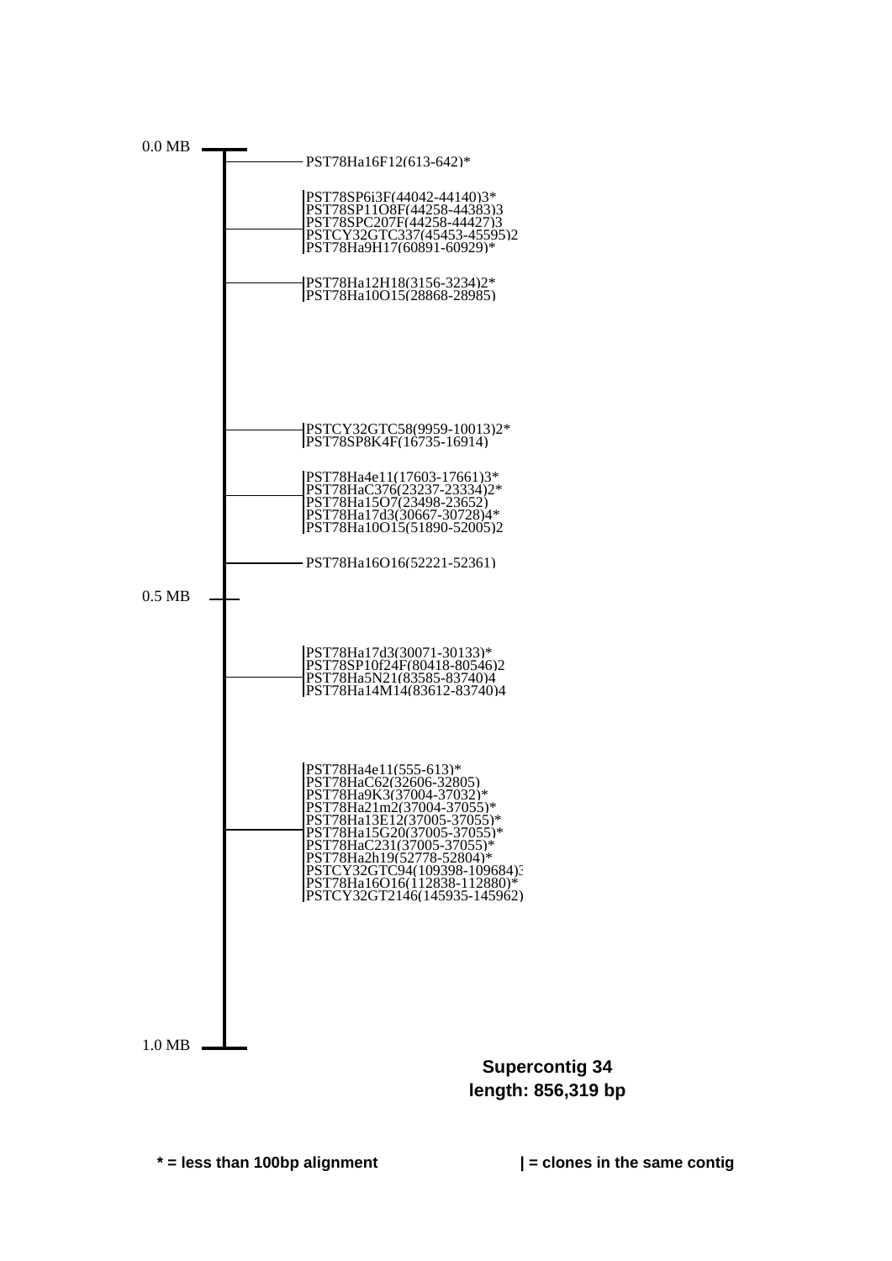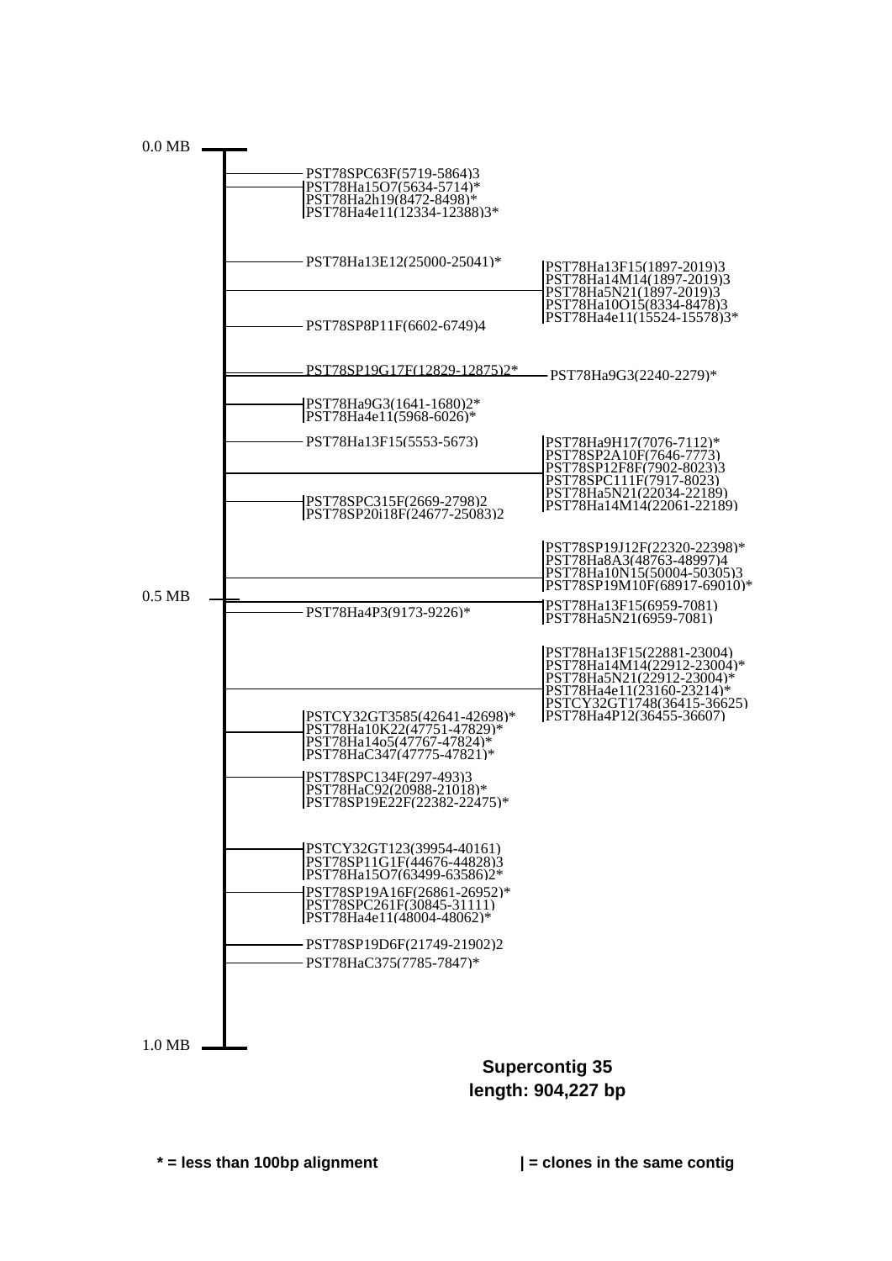

**length: 904,227 bp**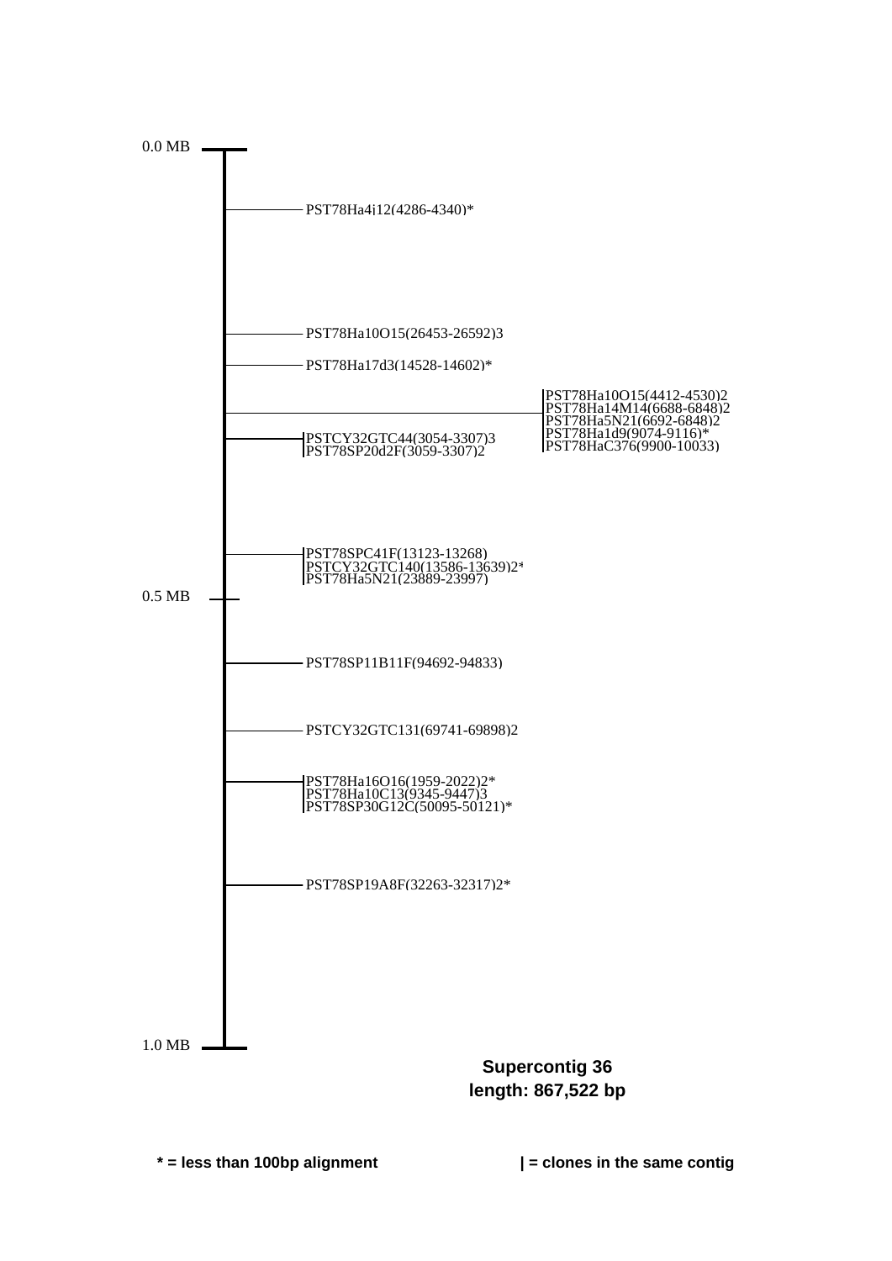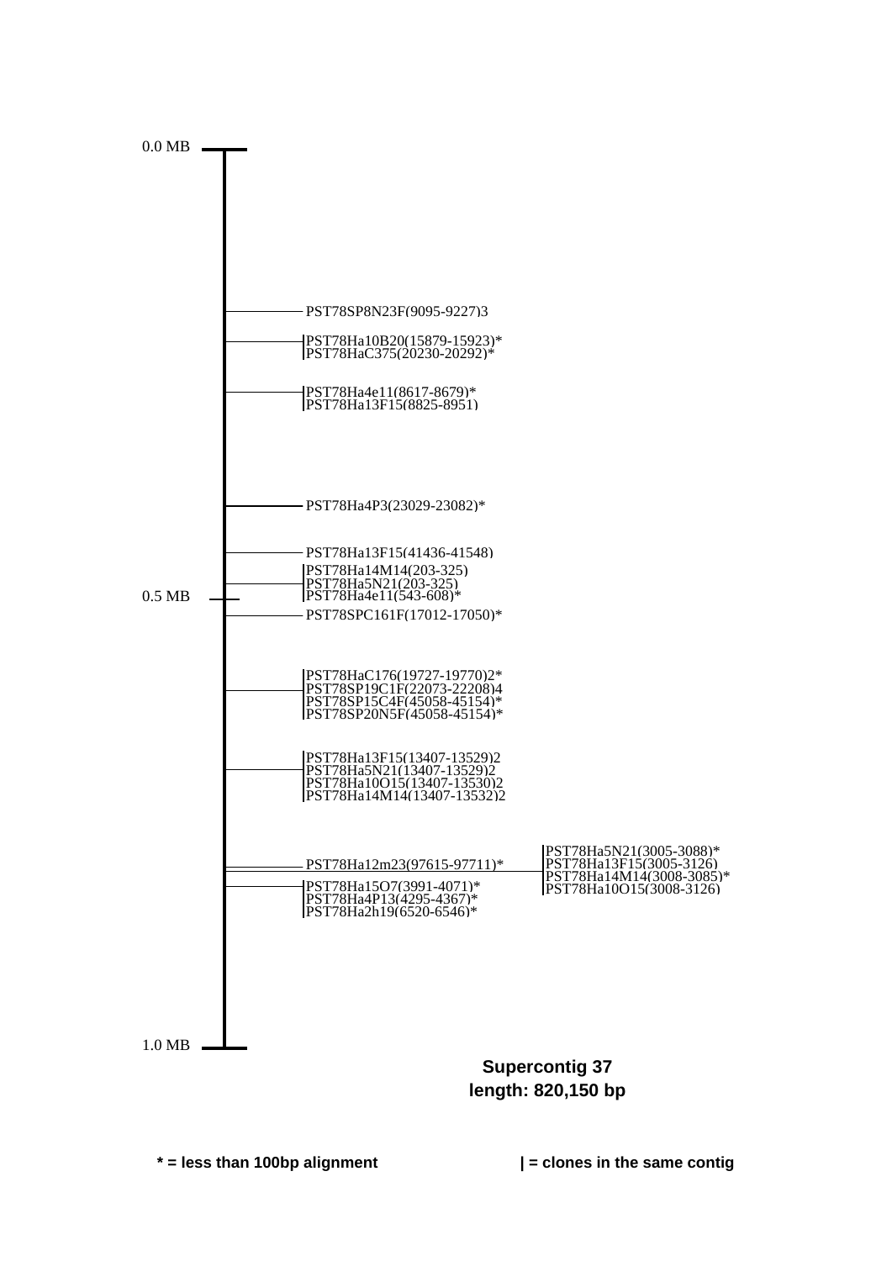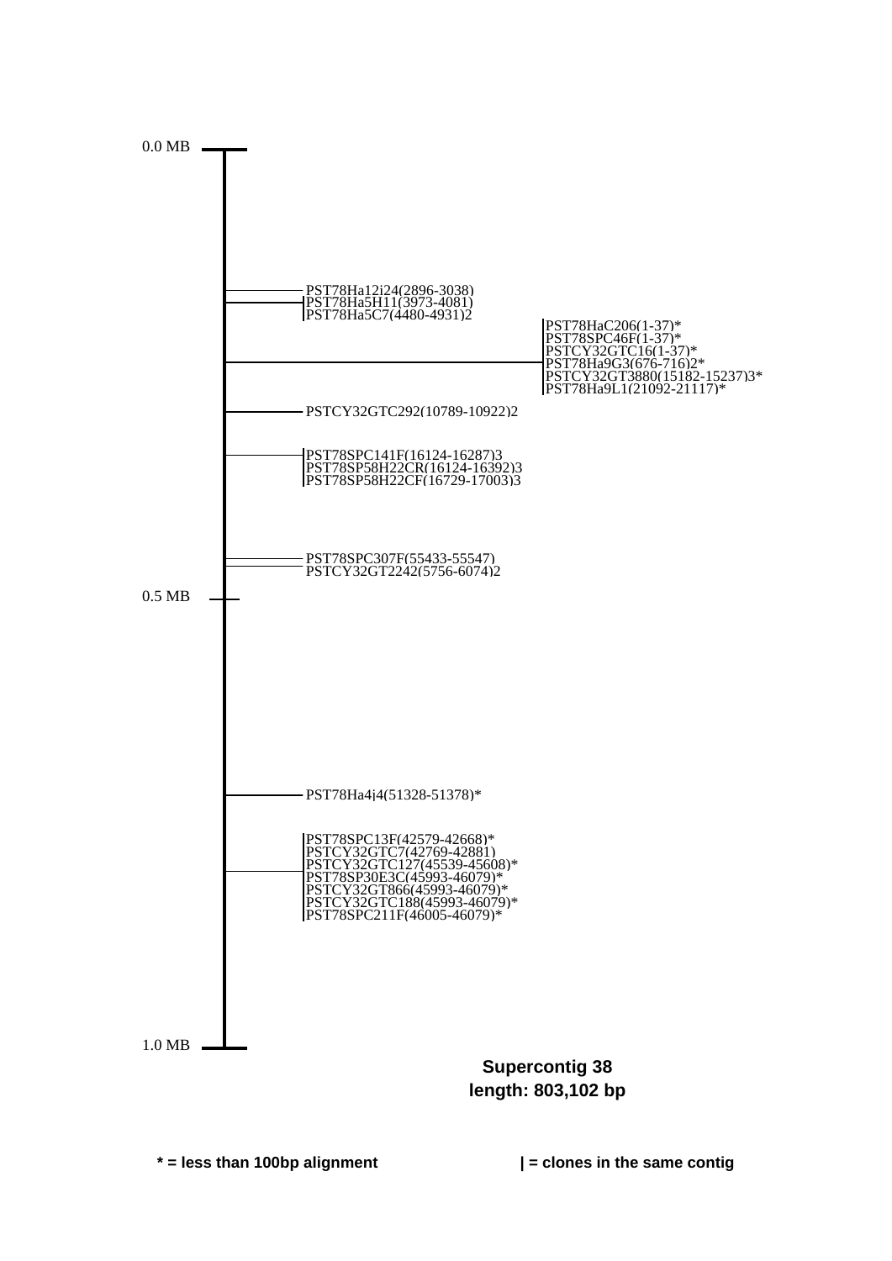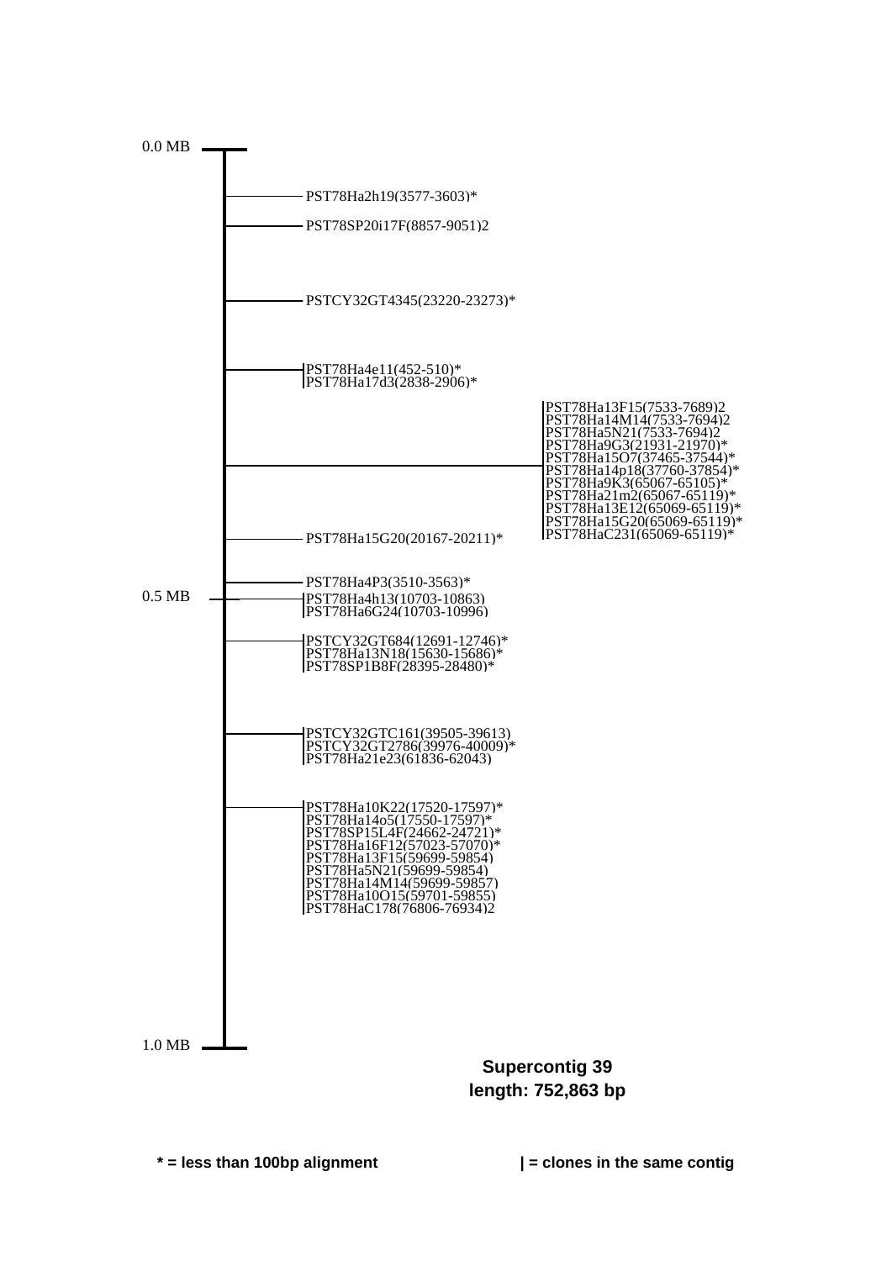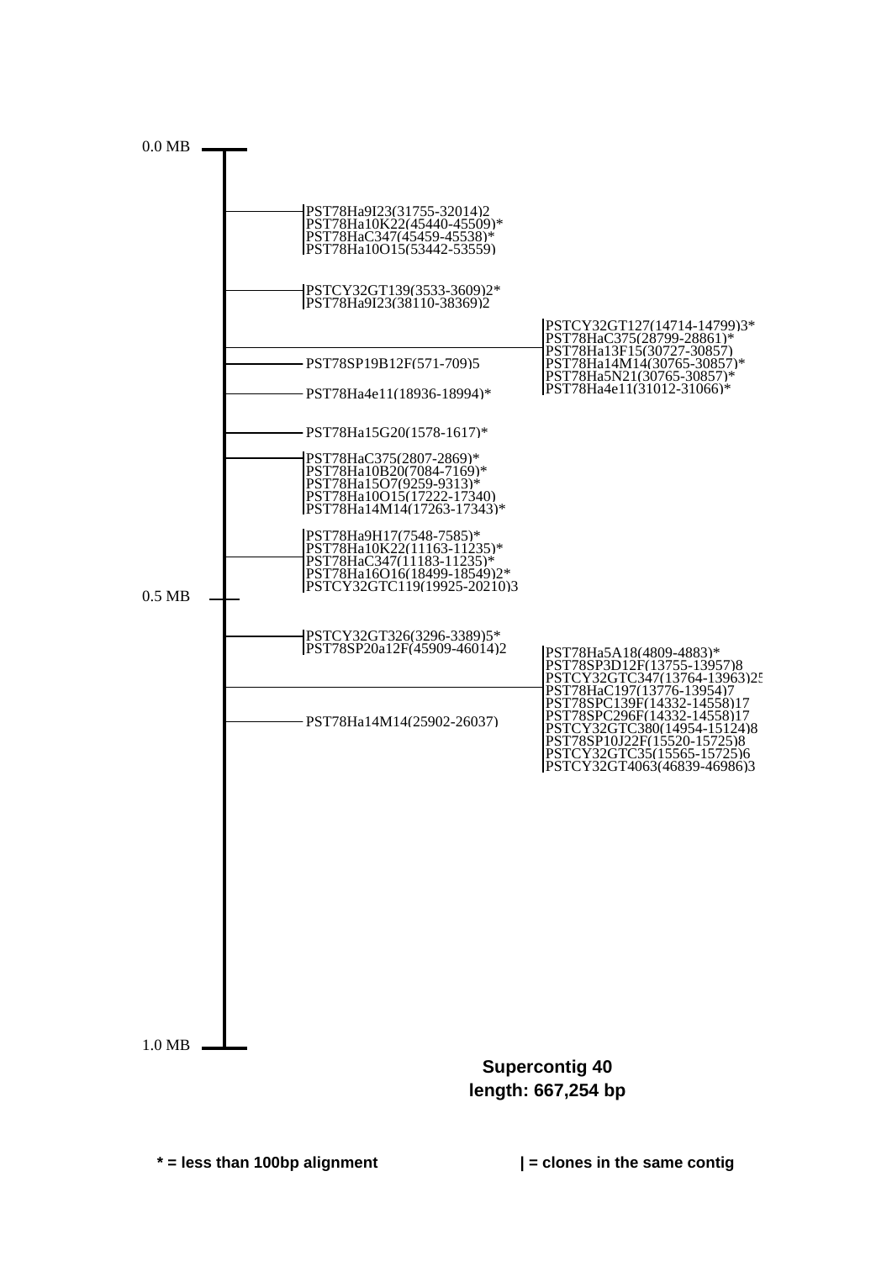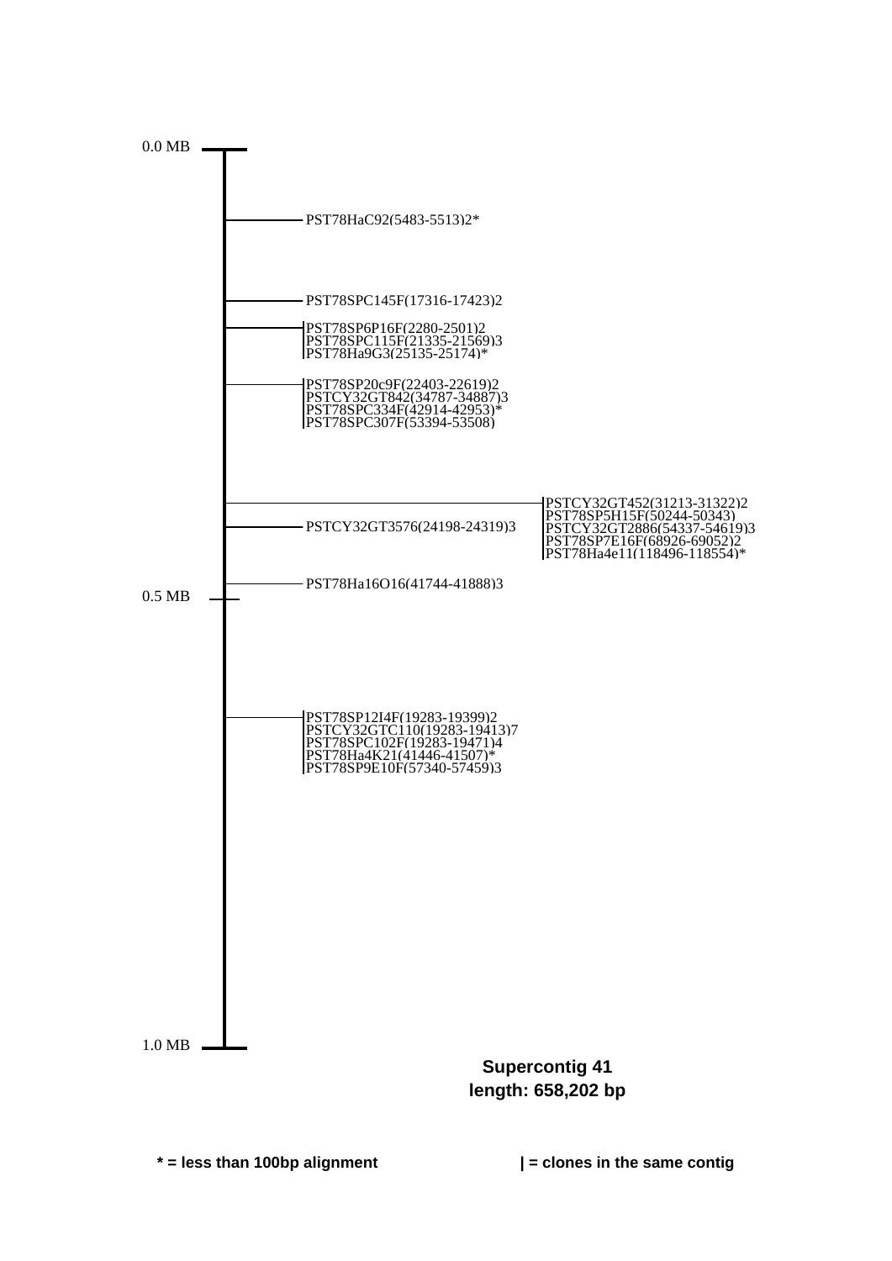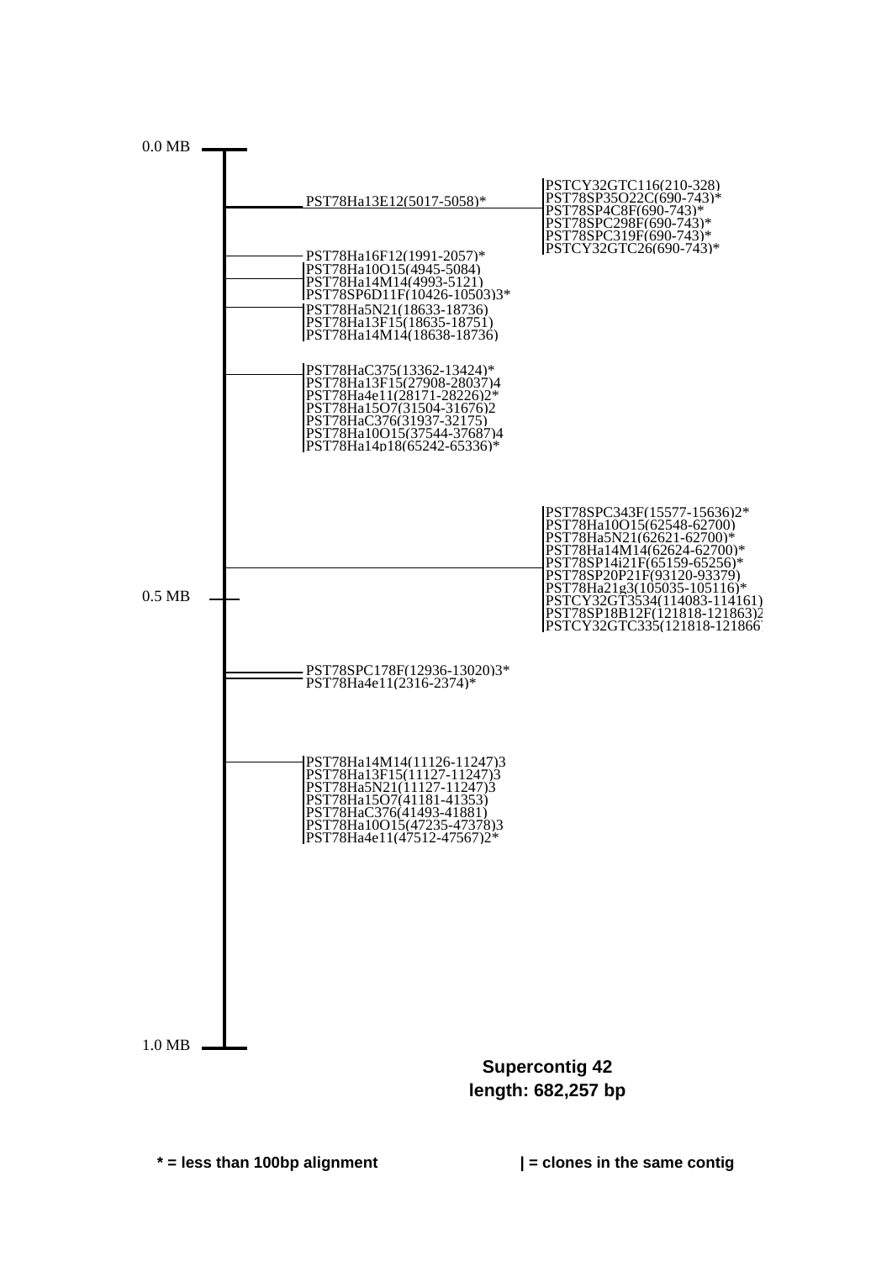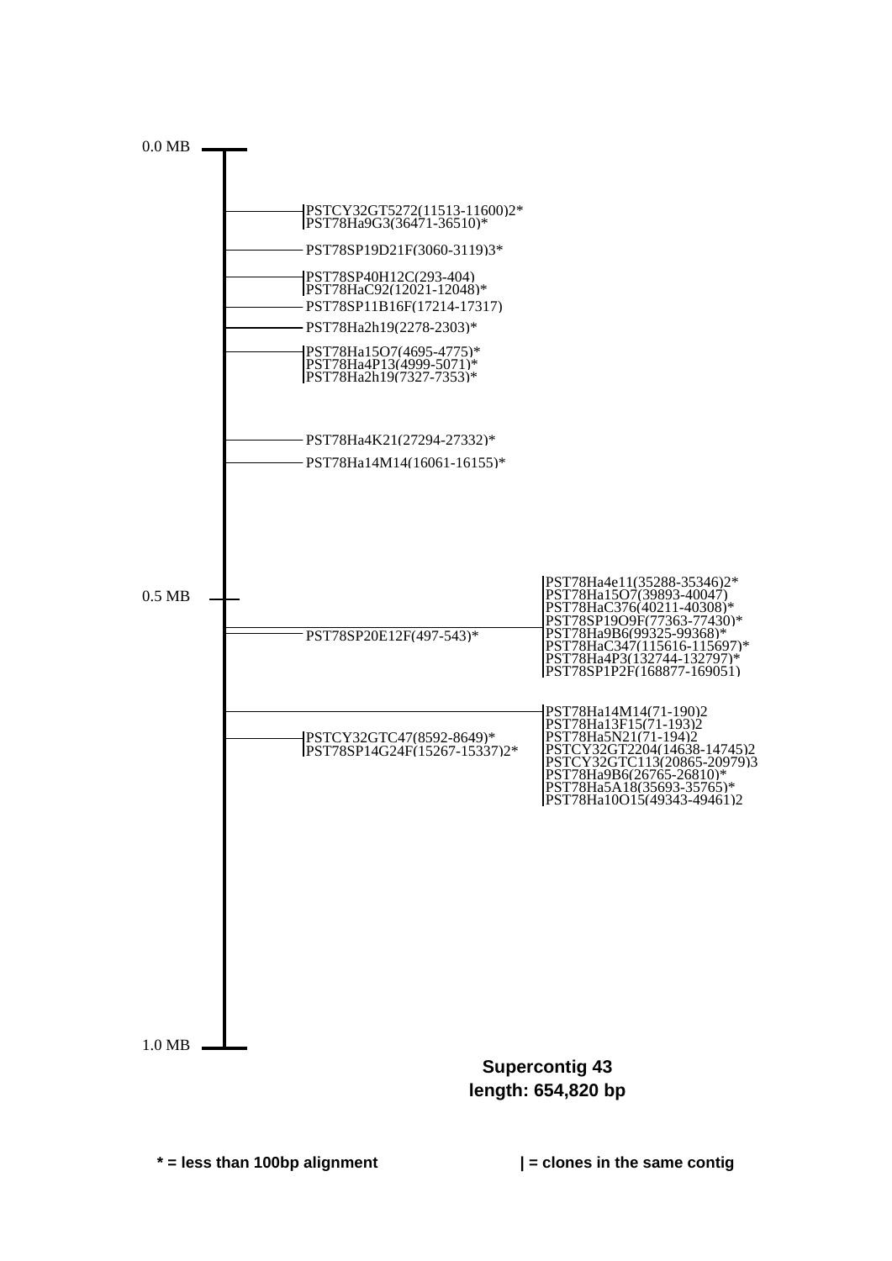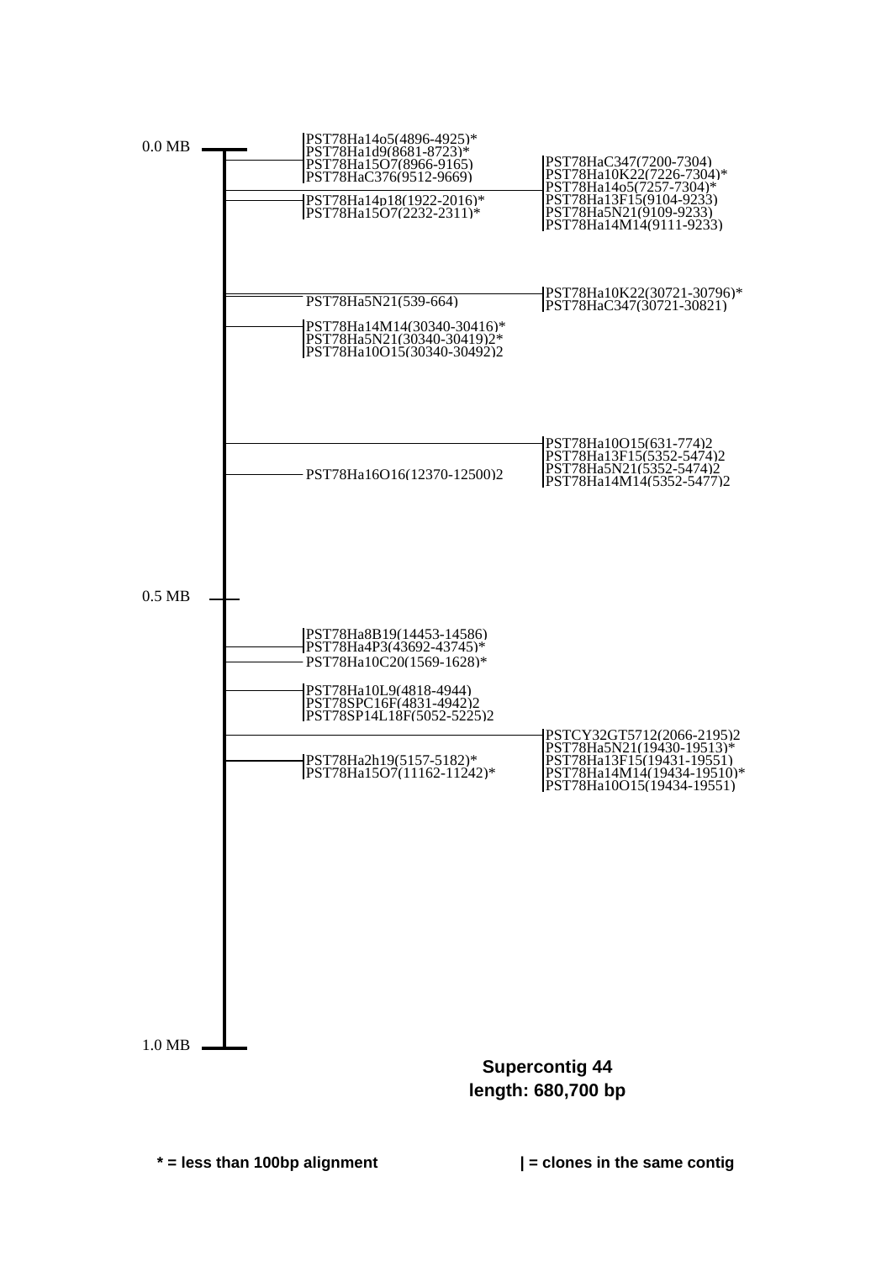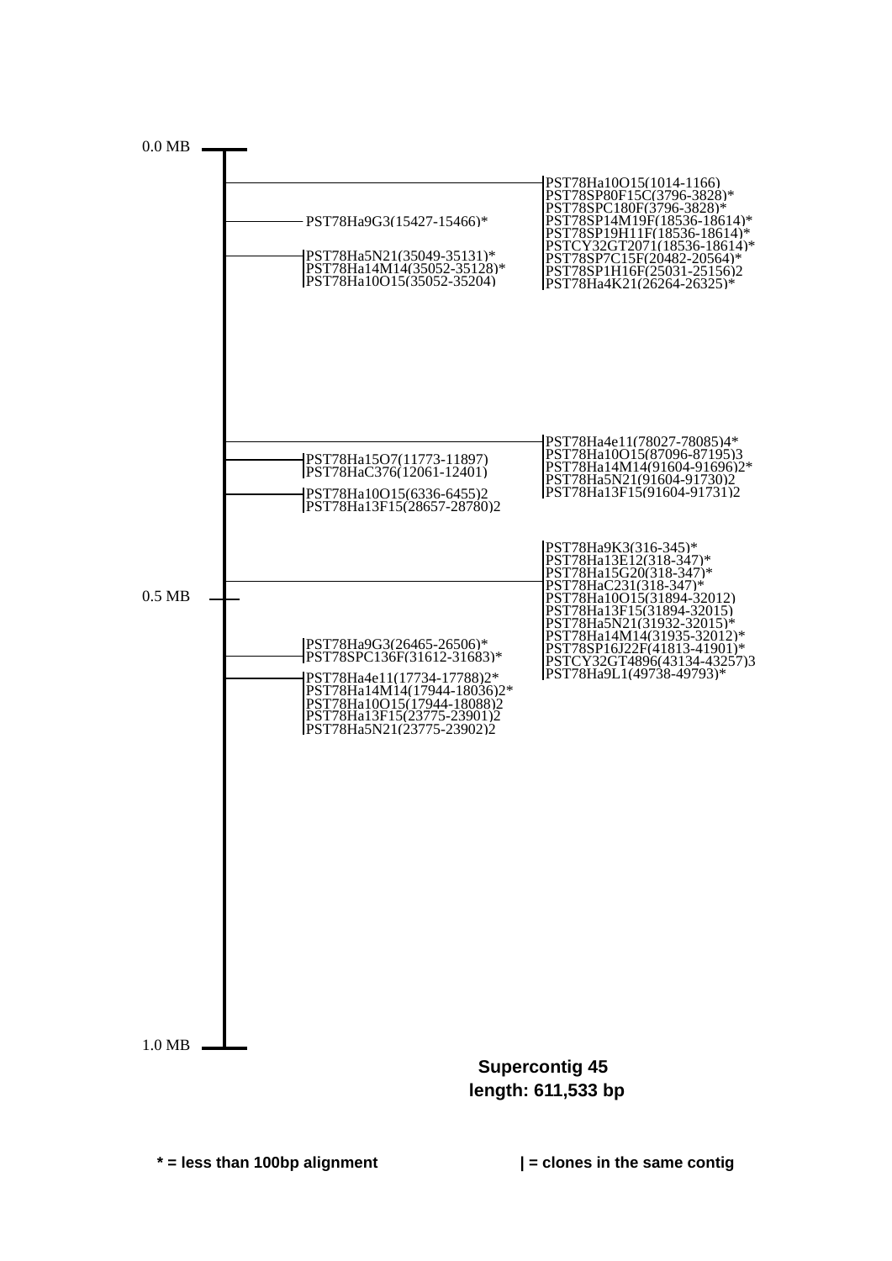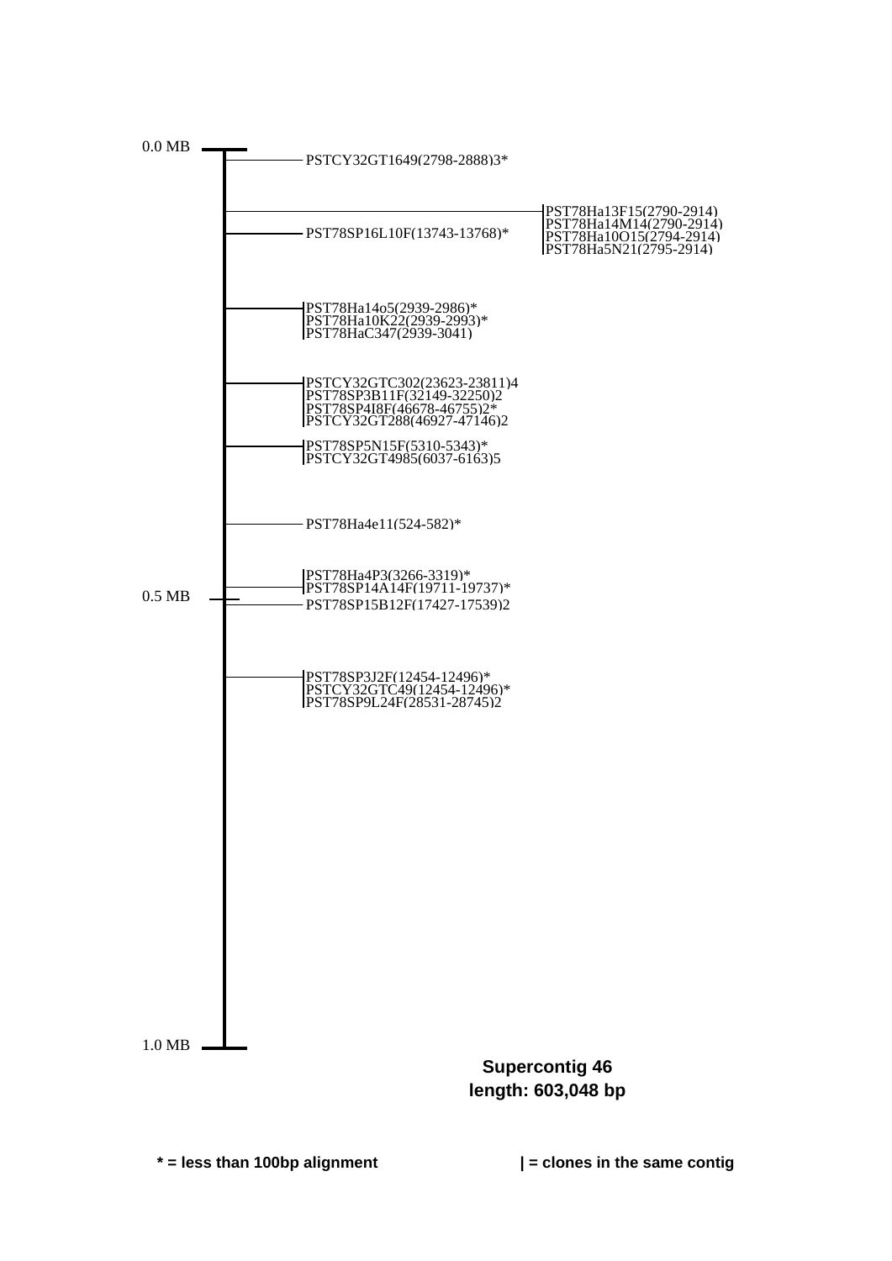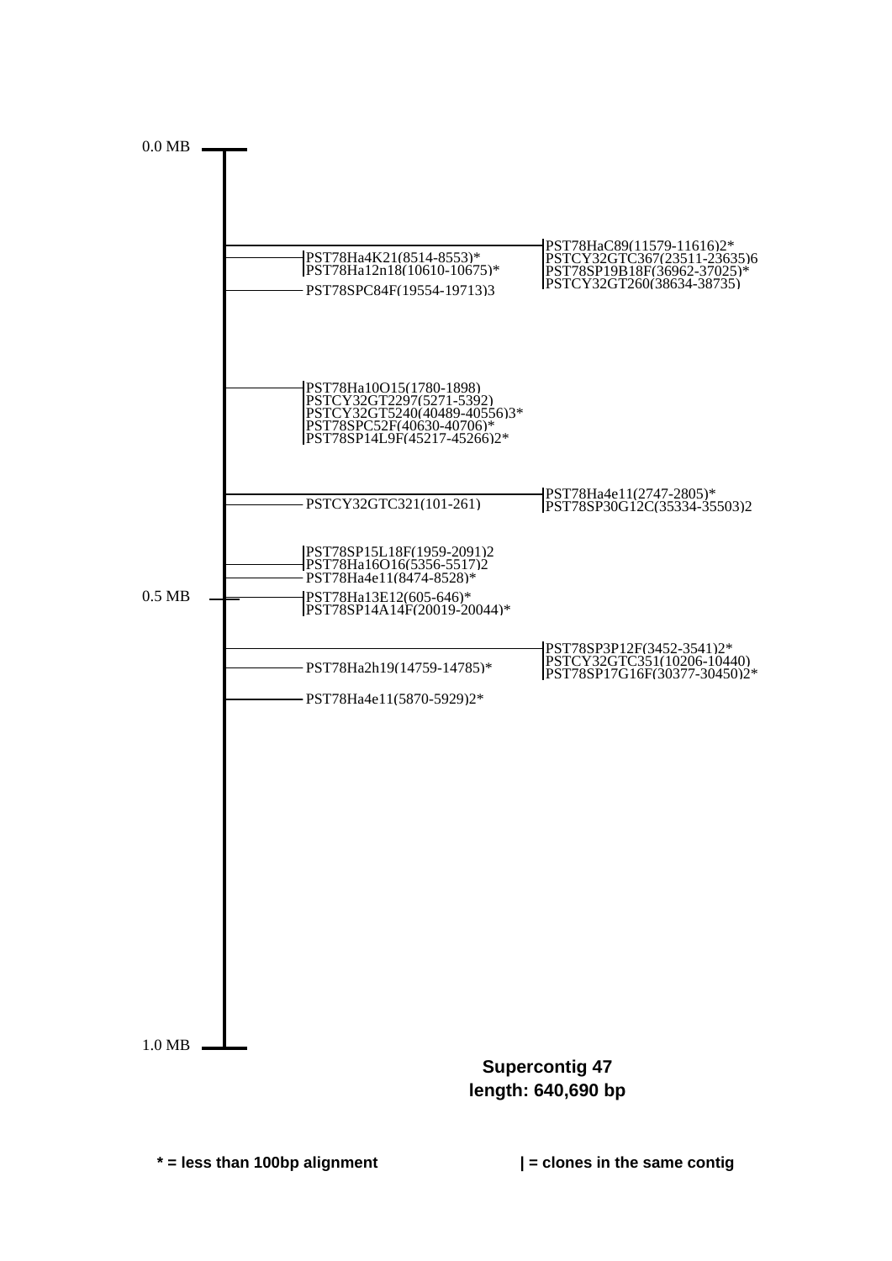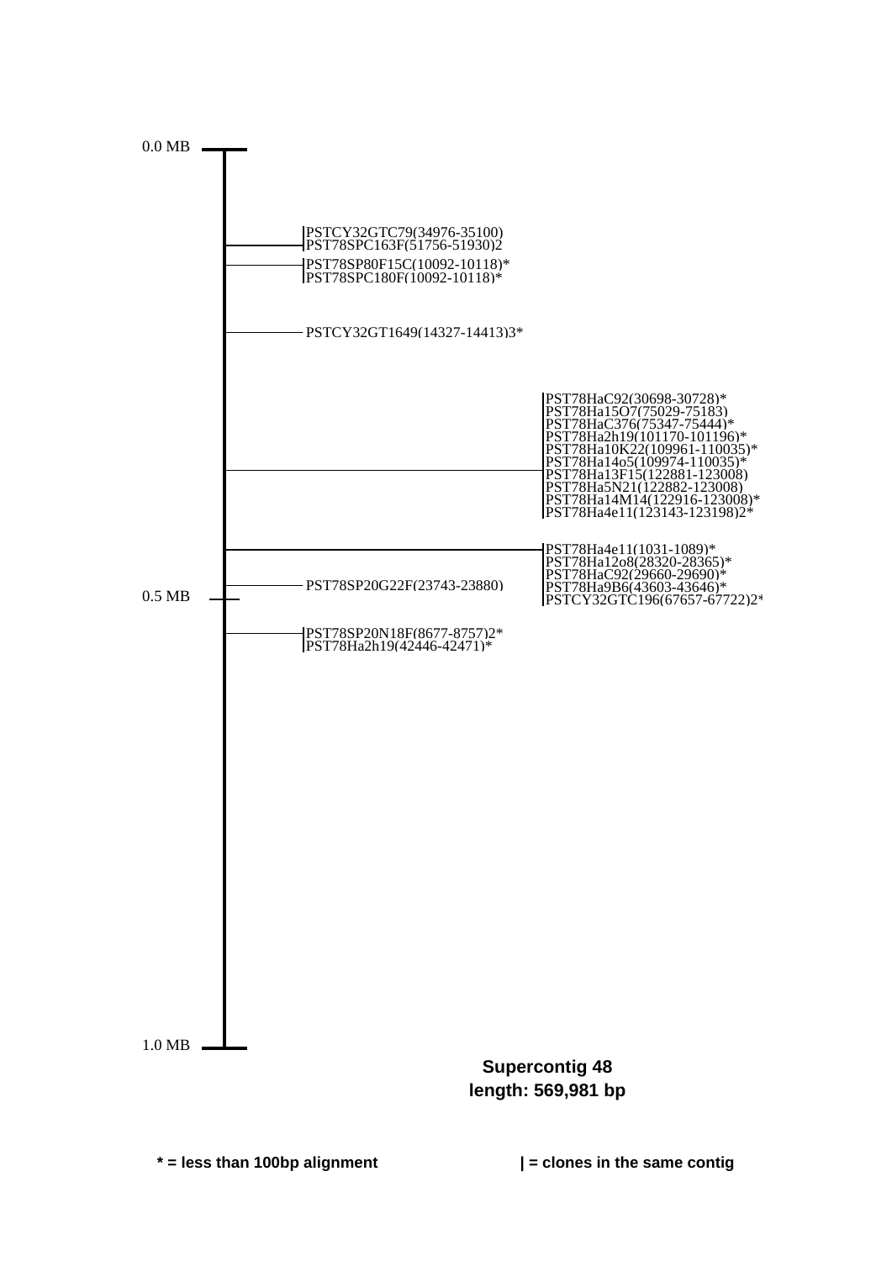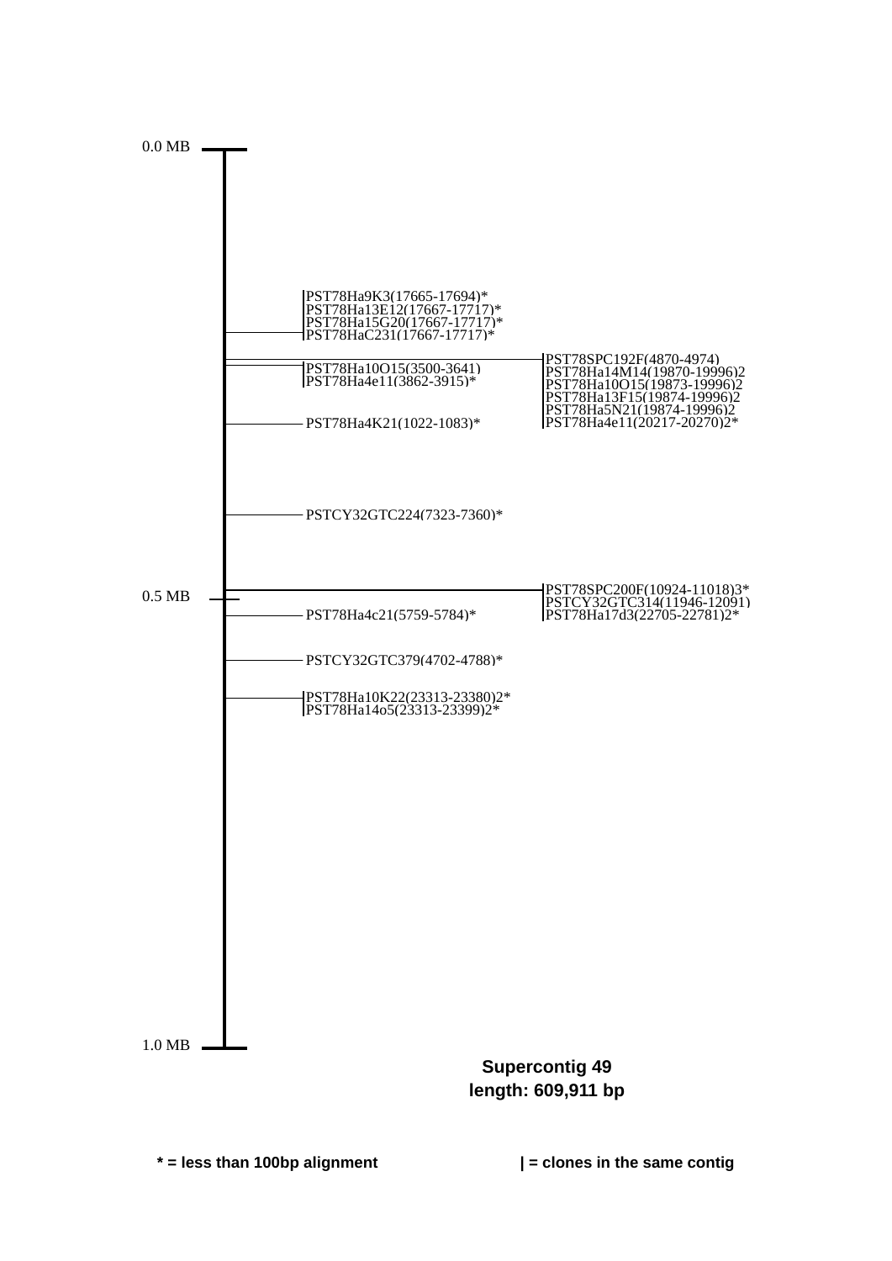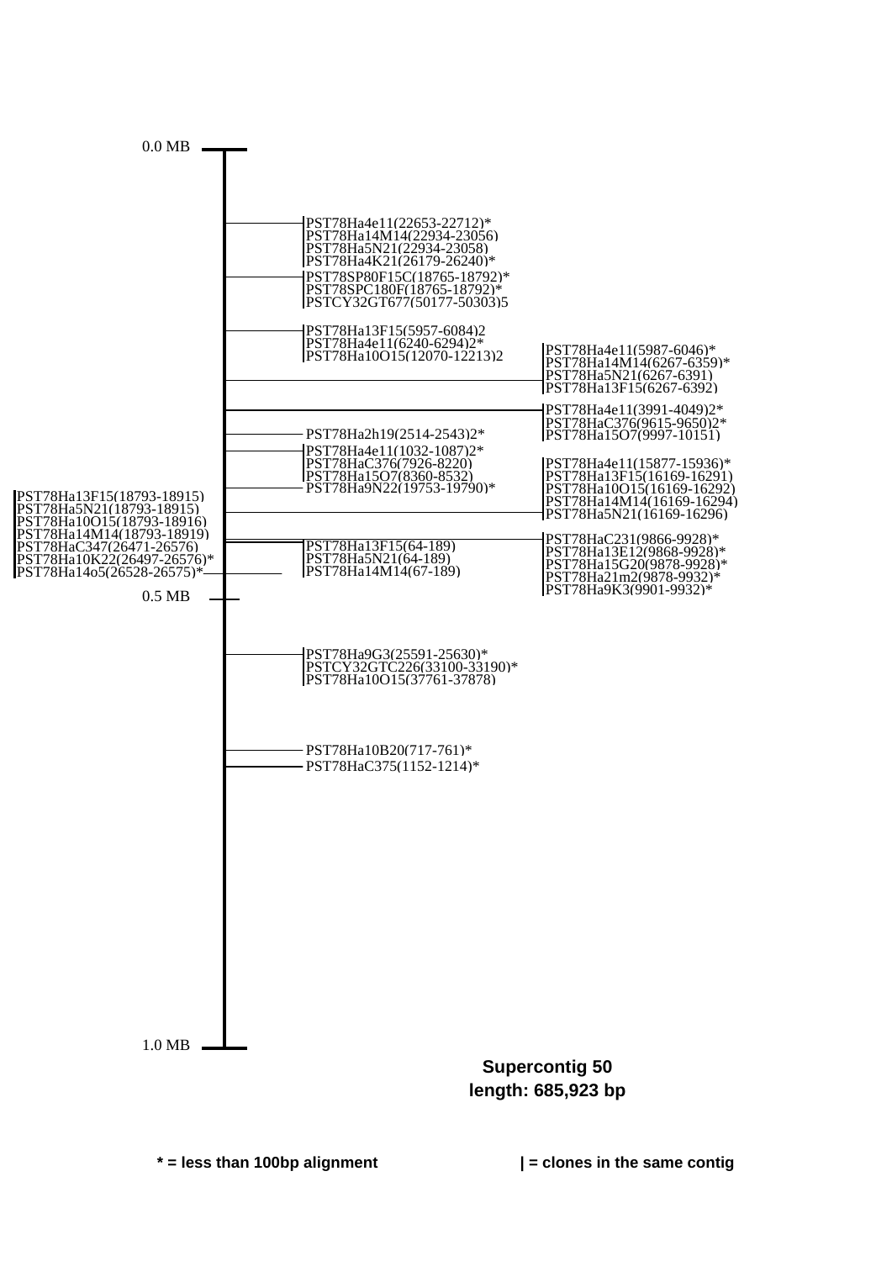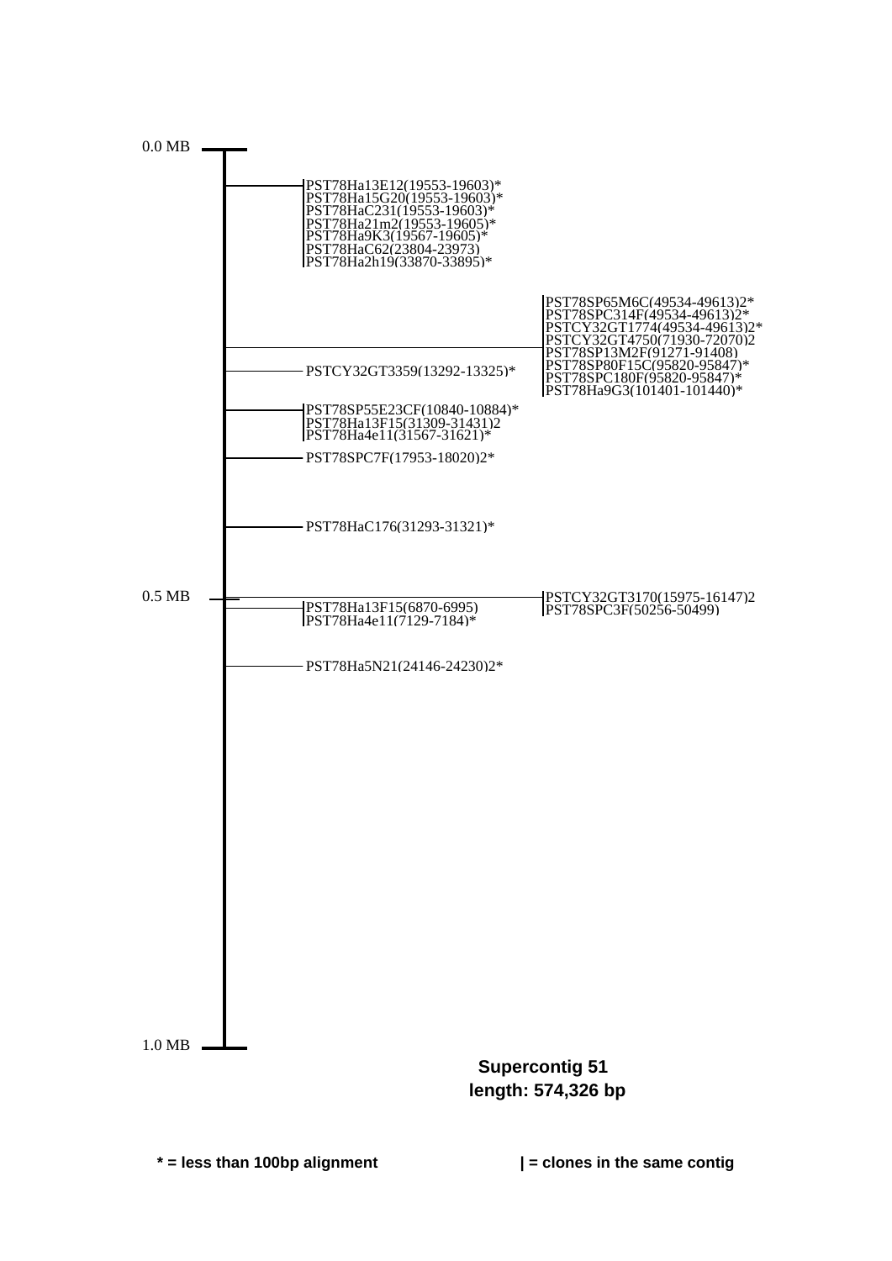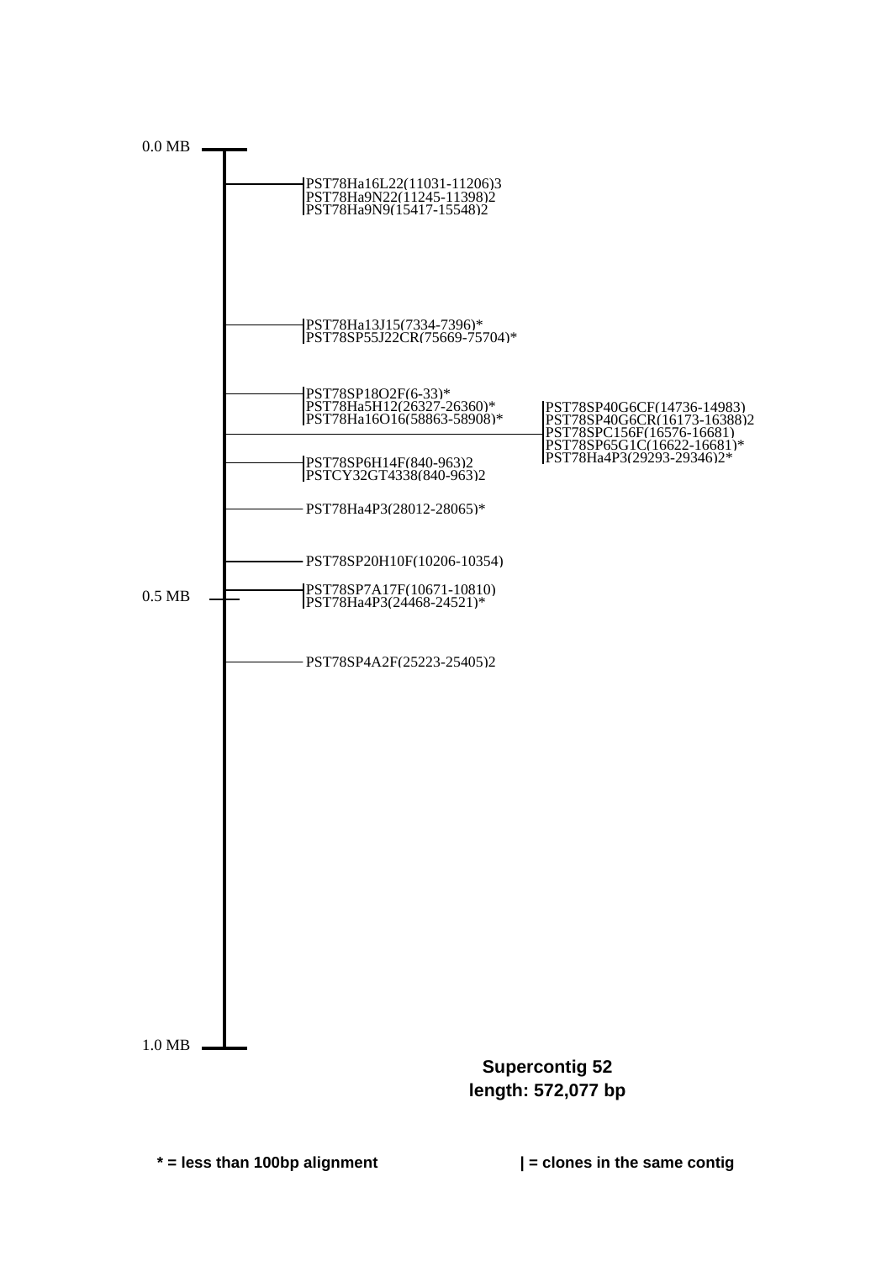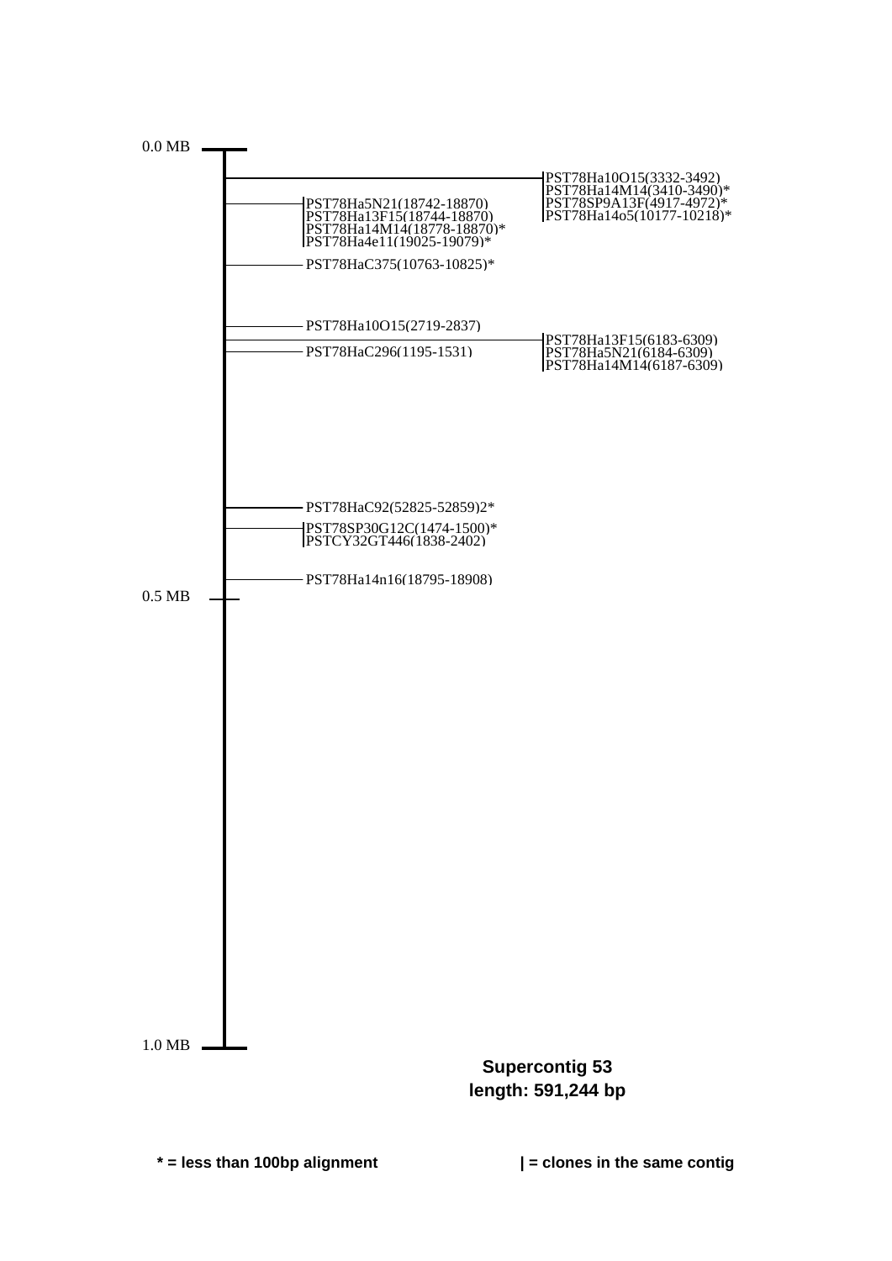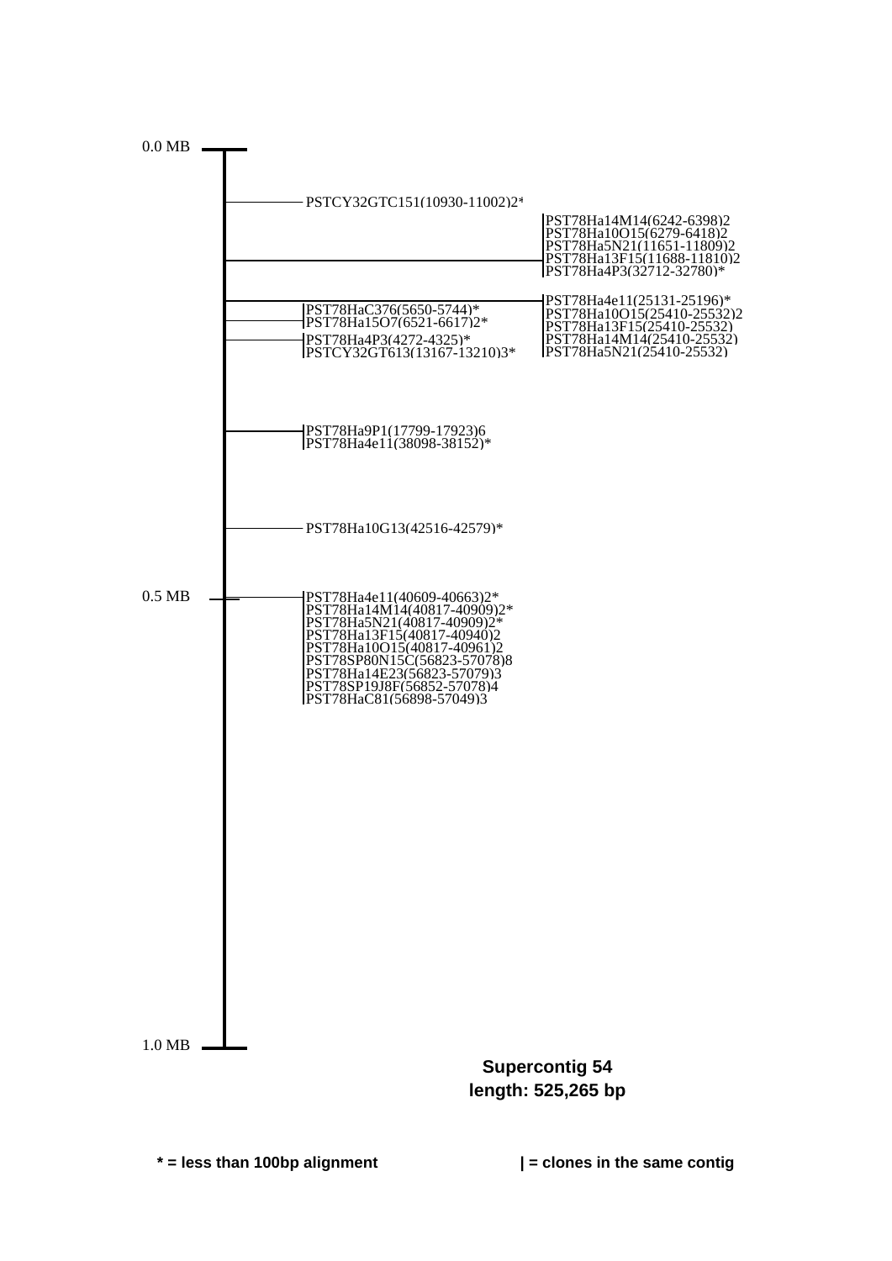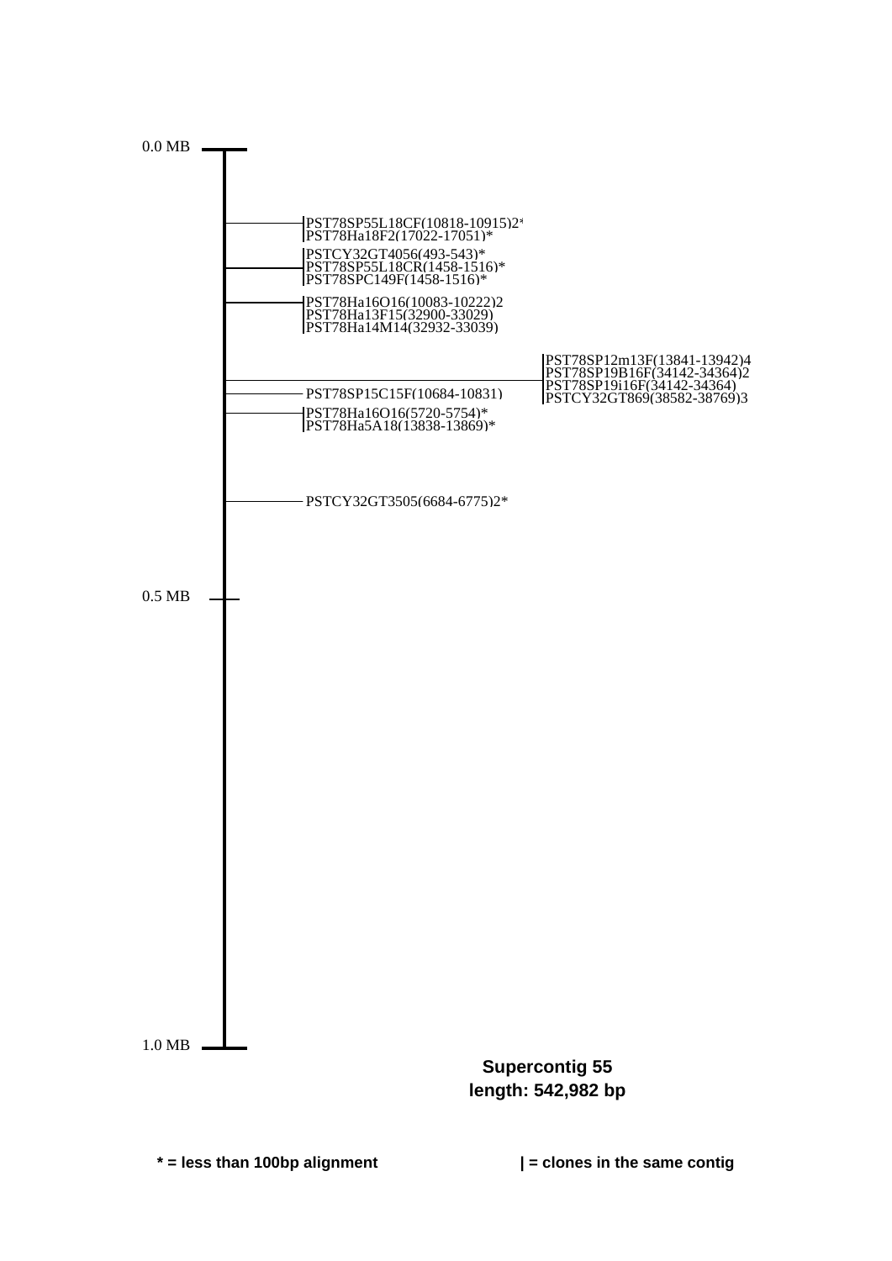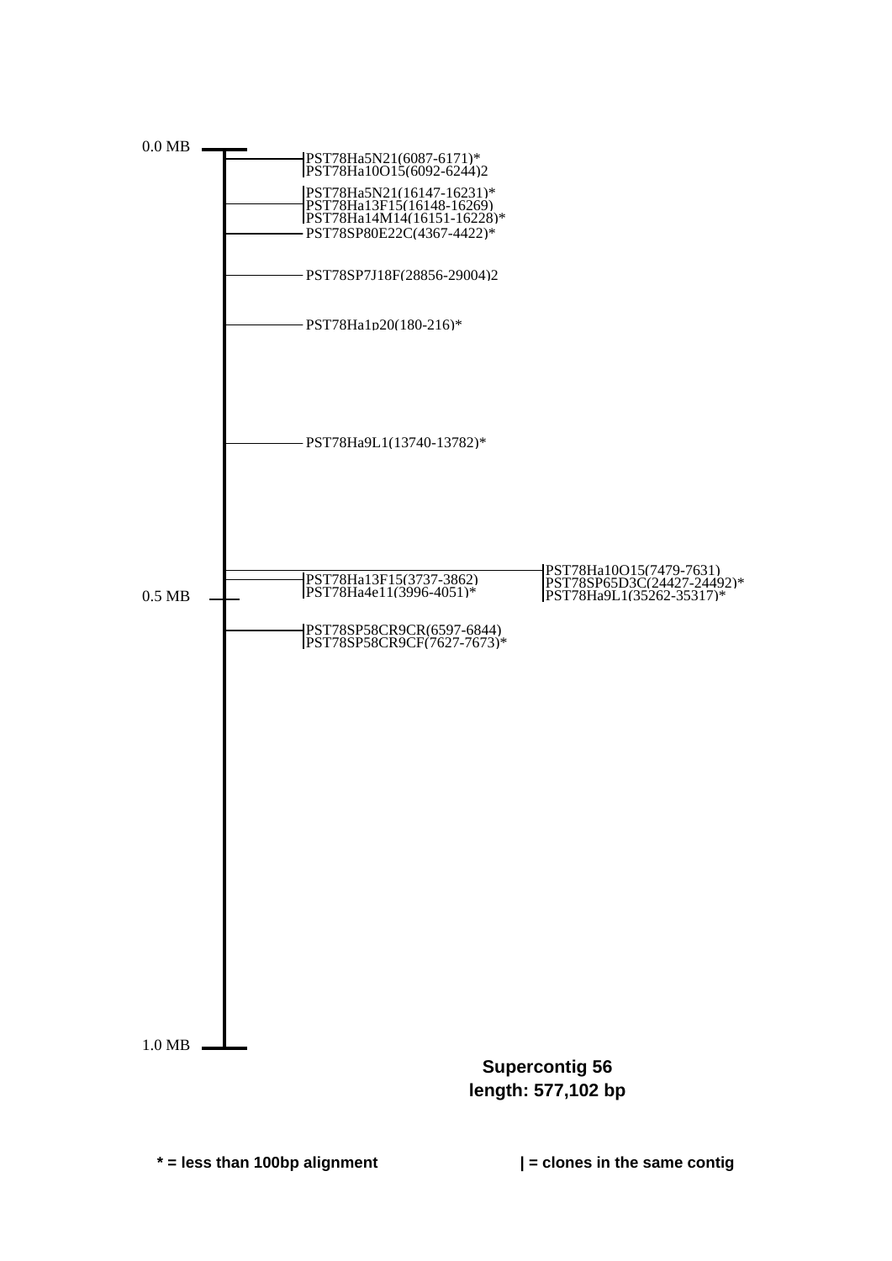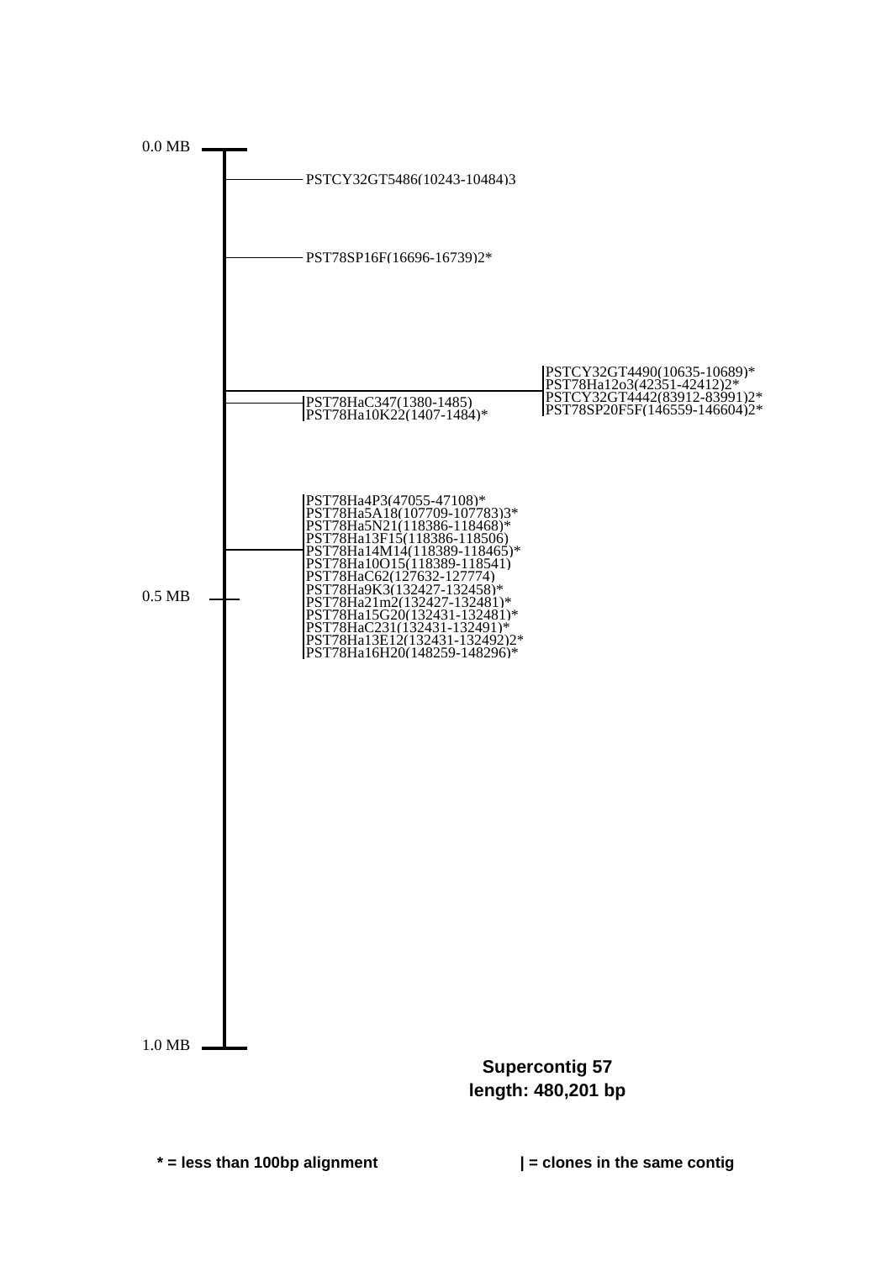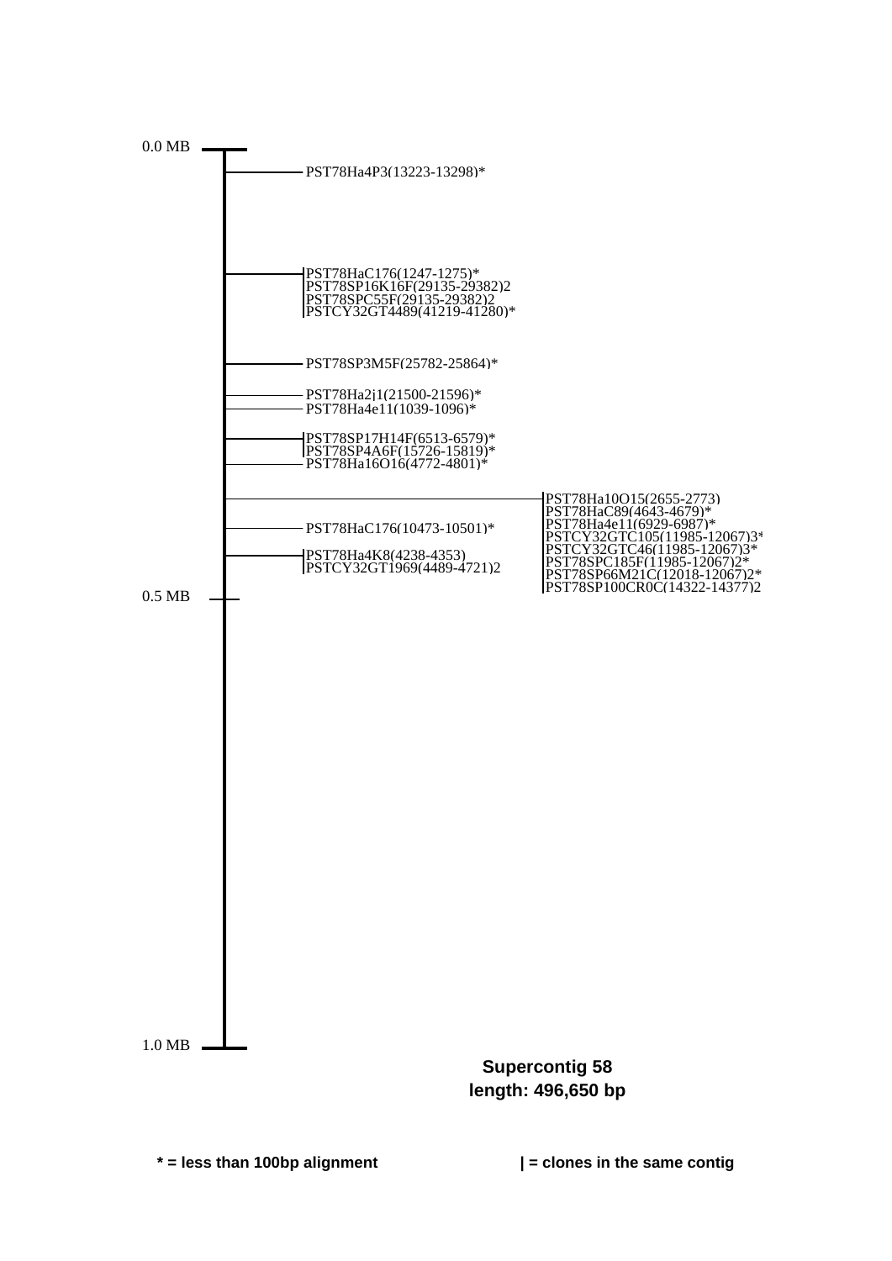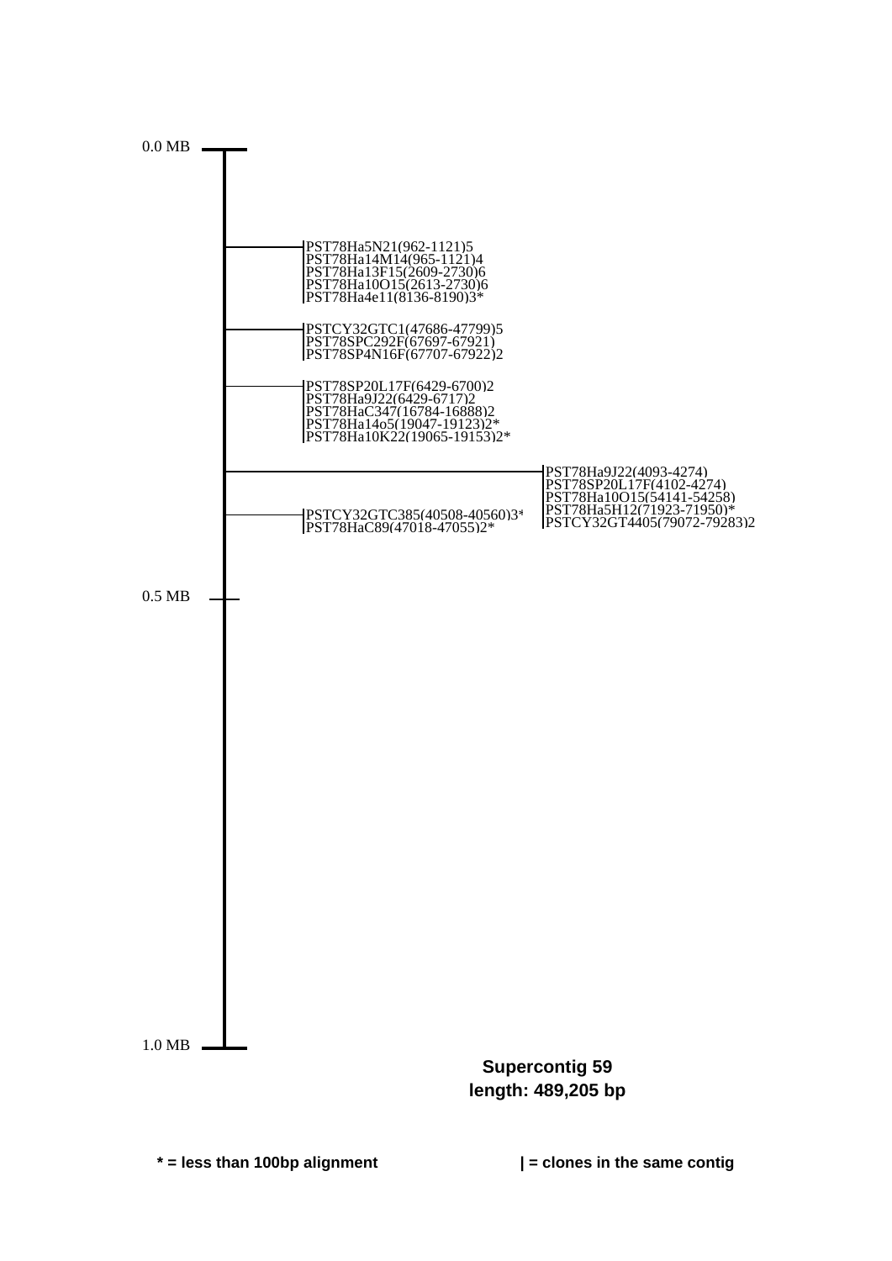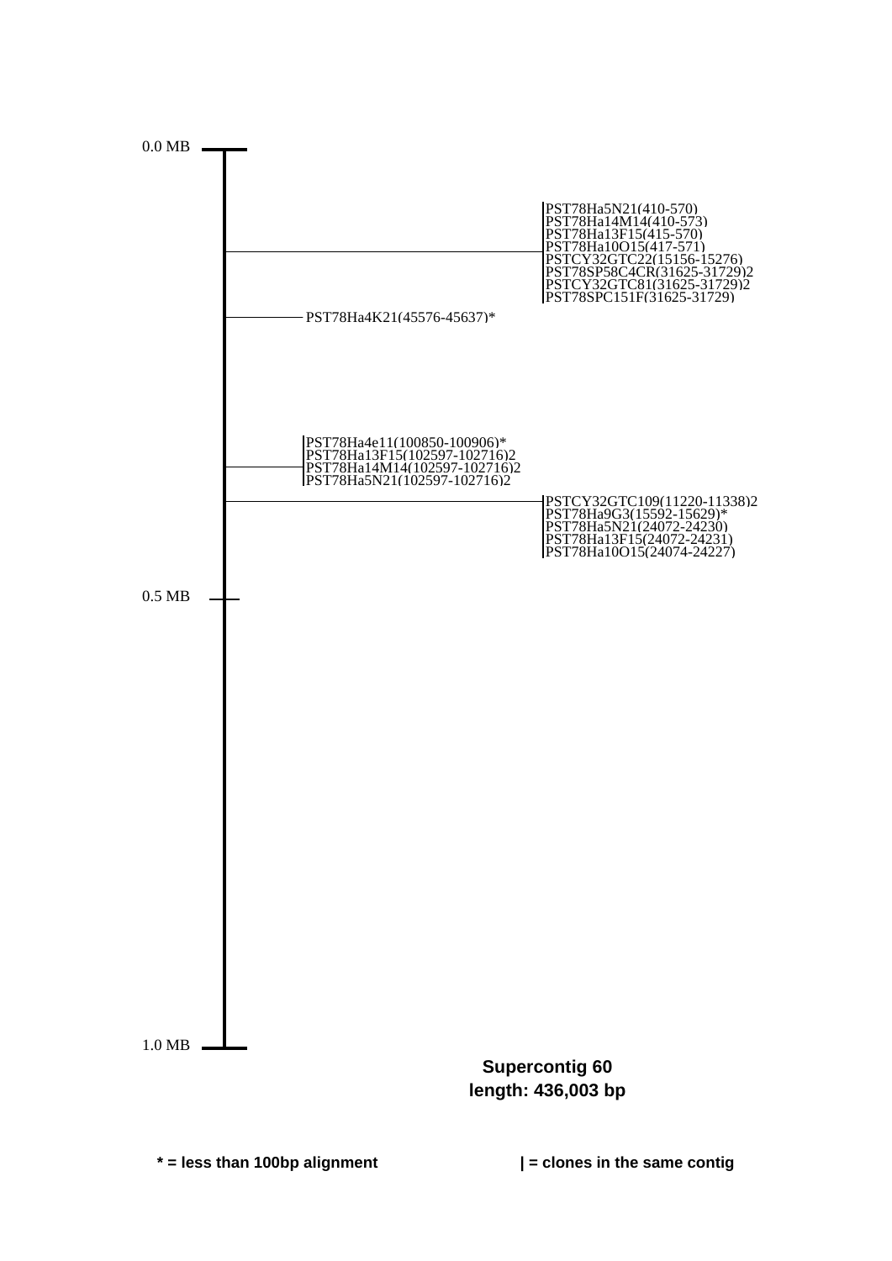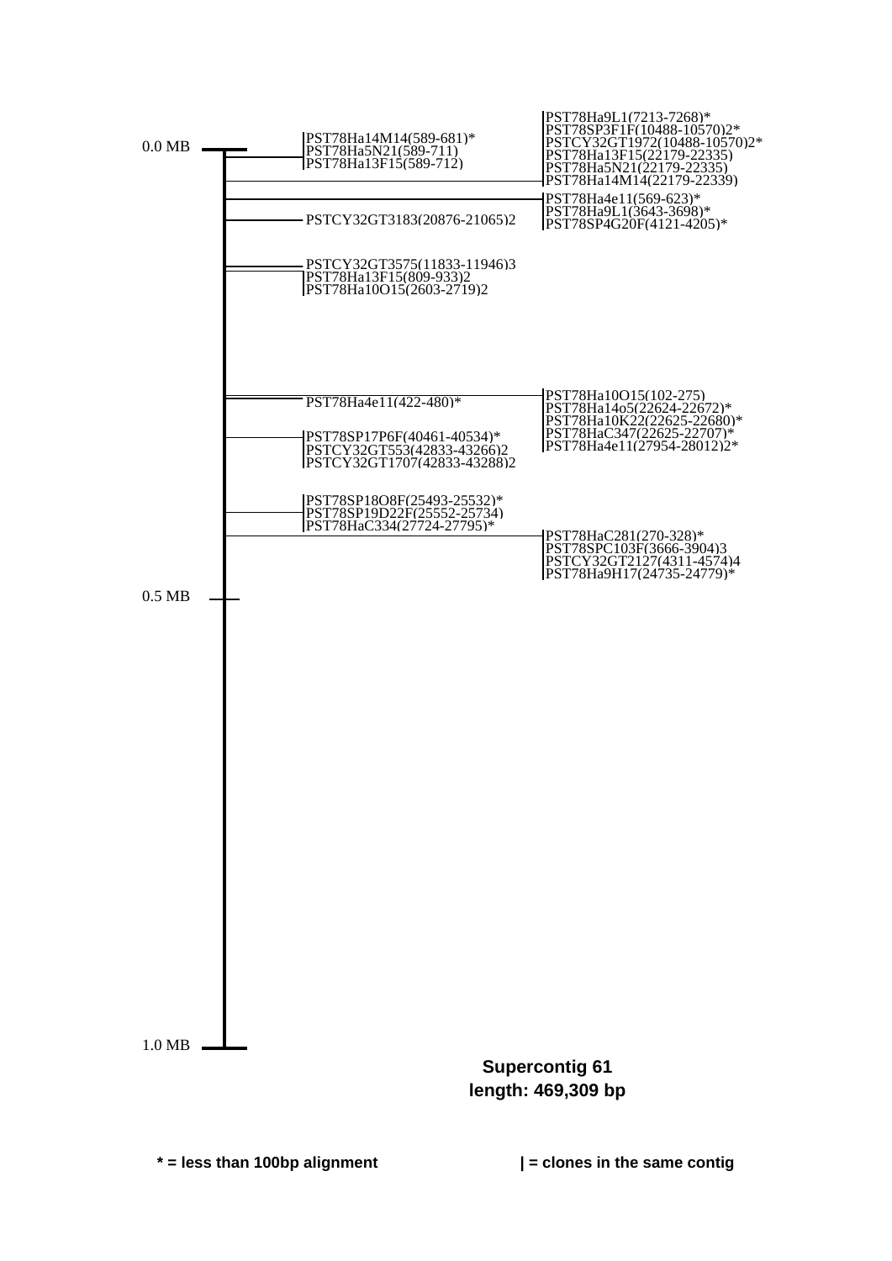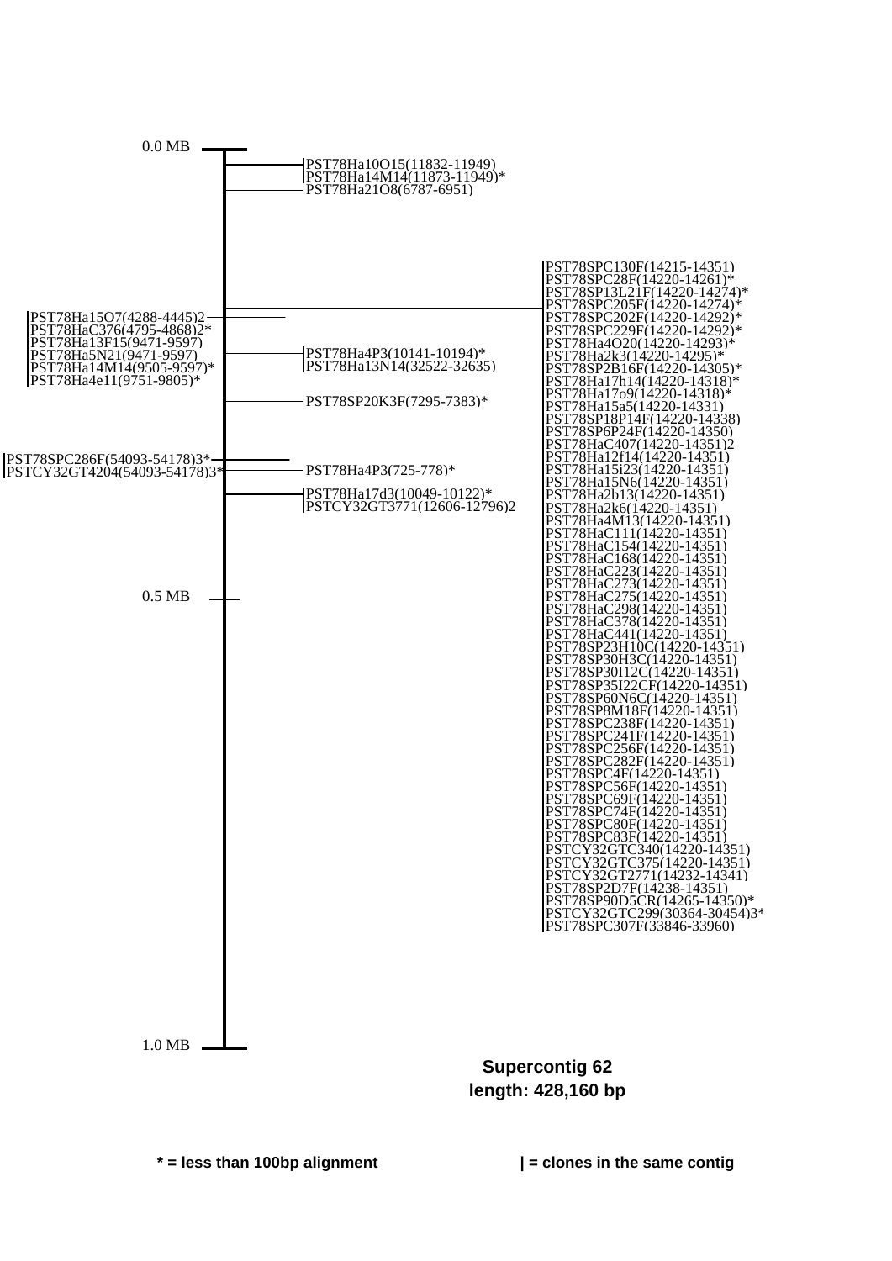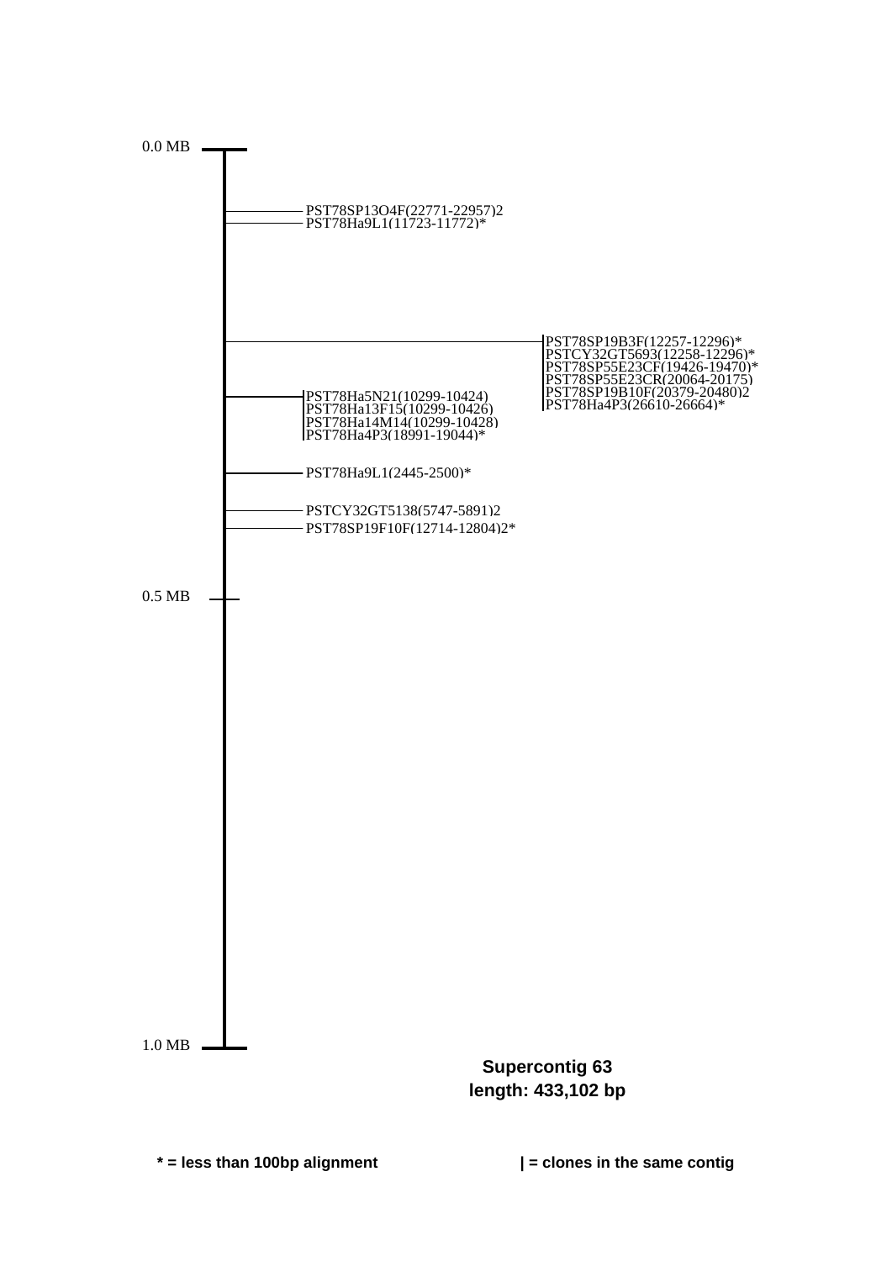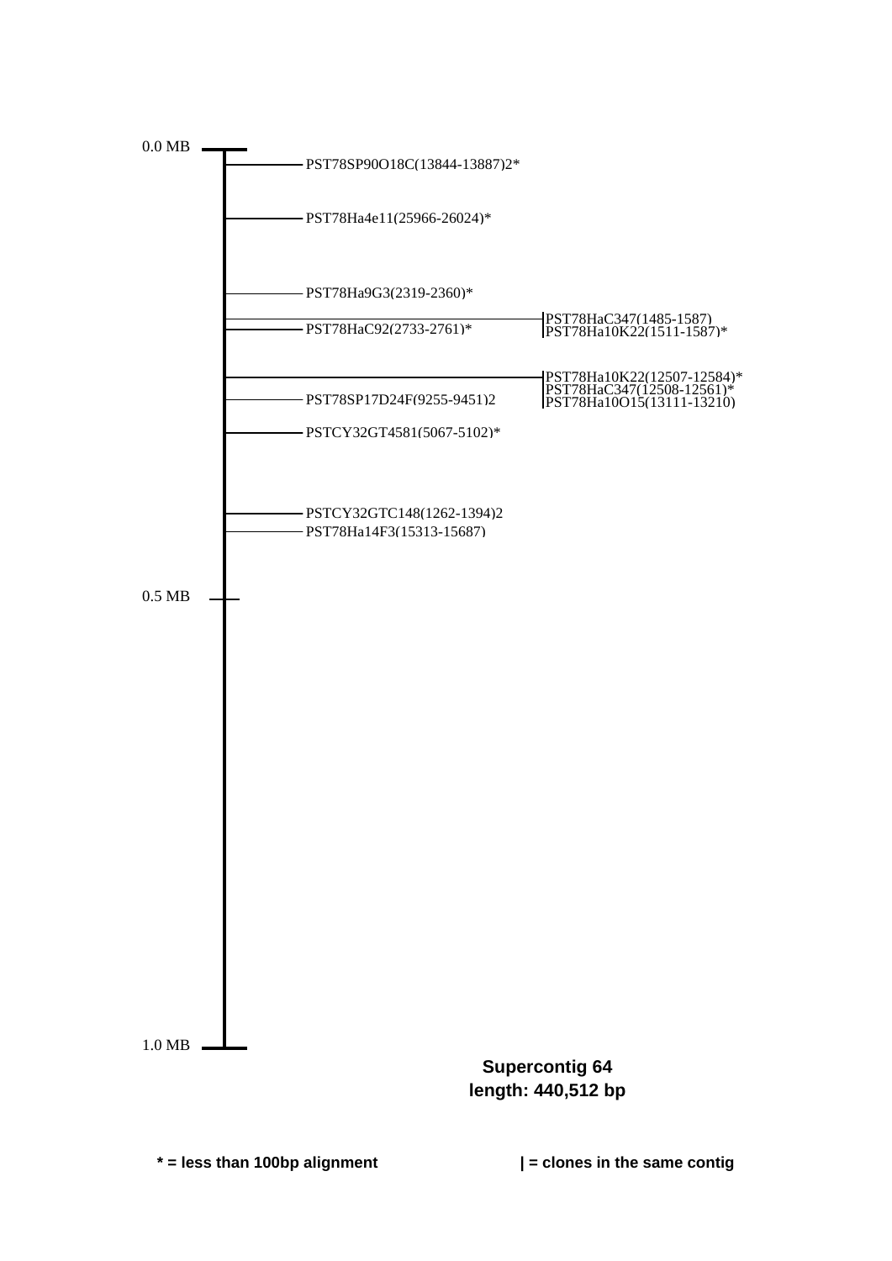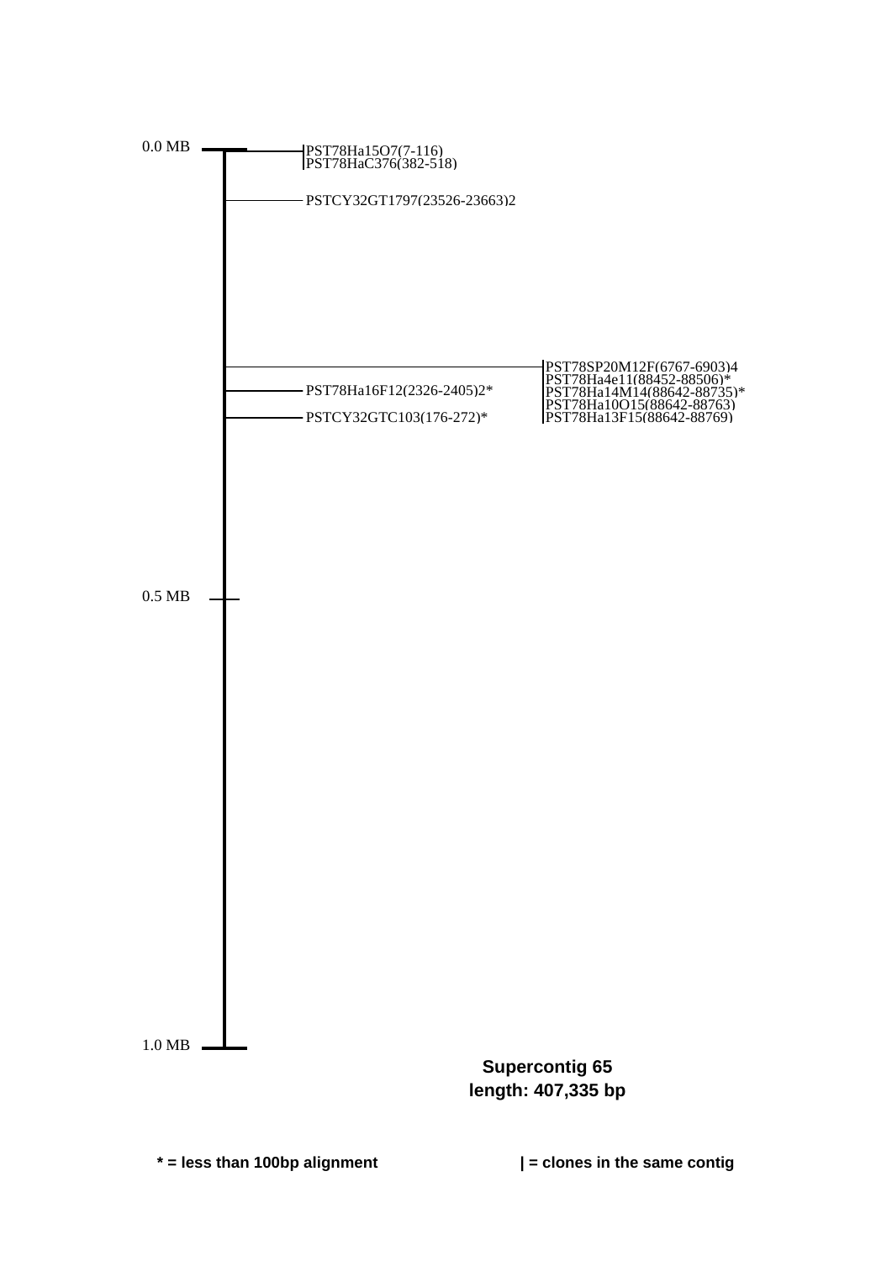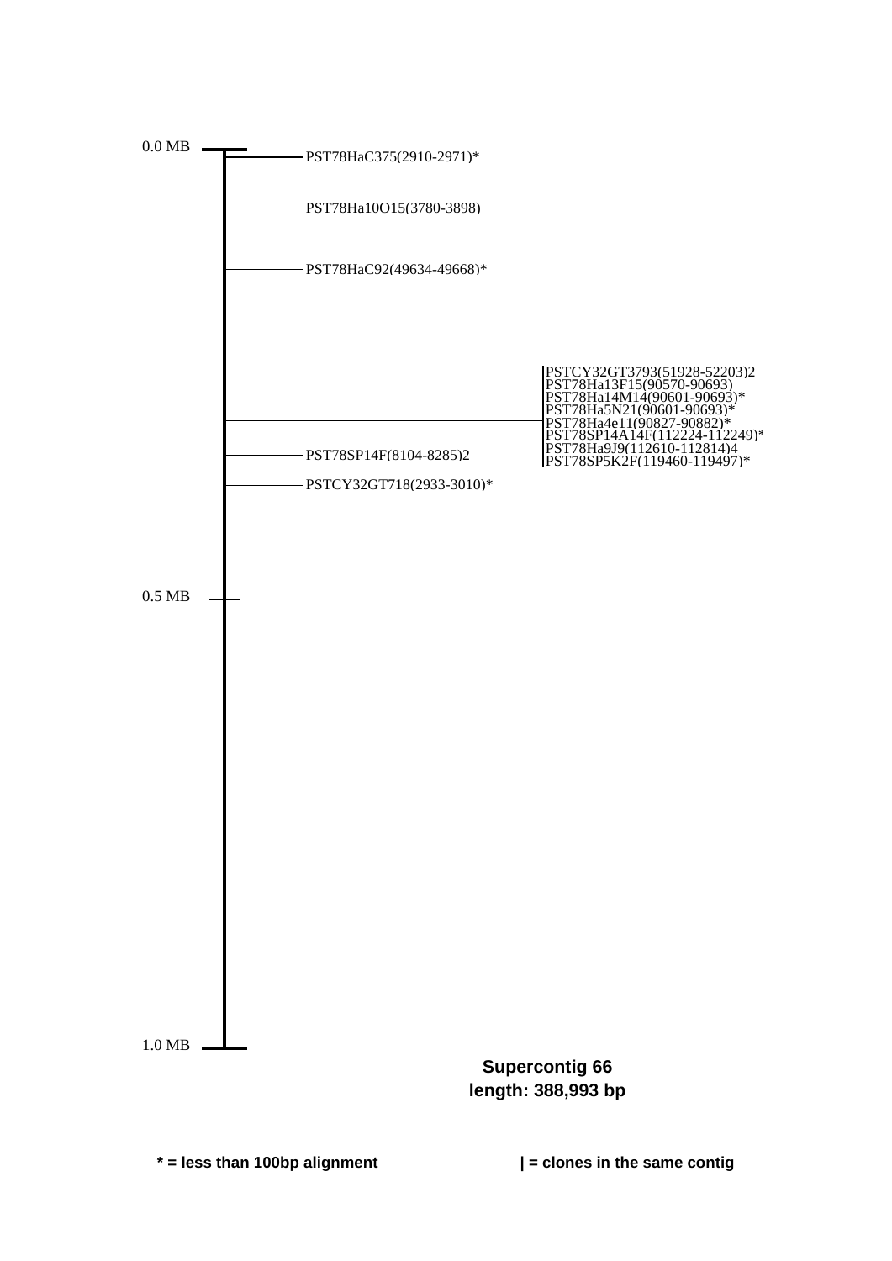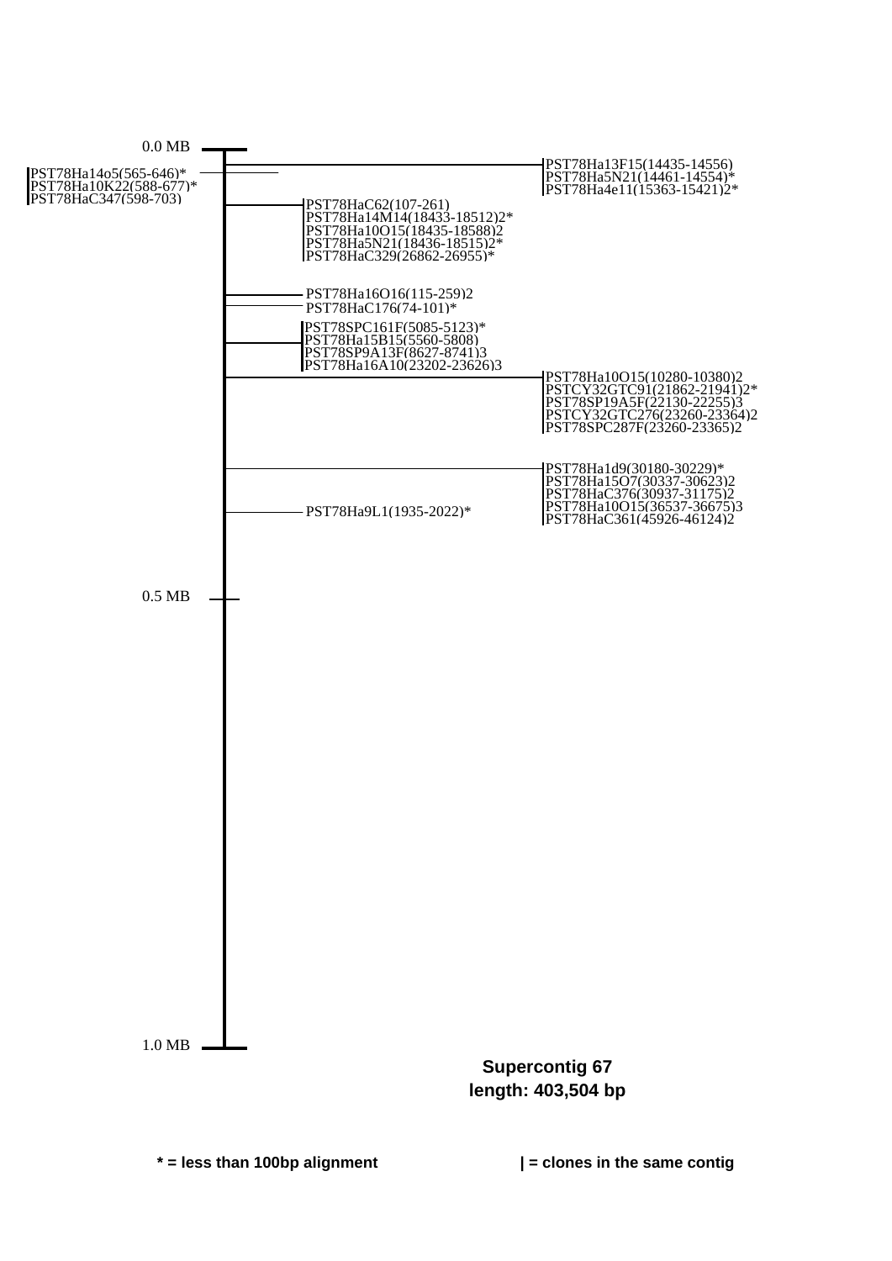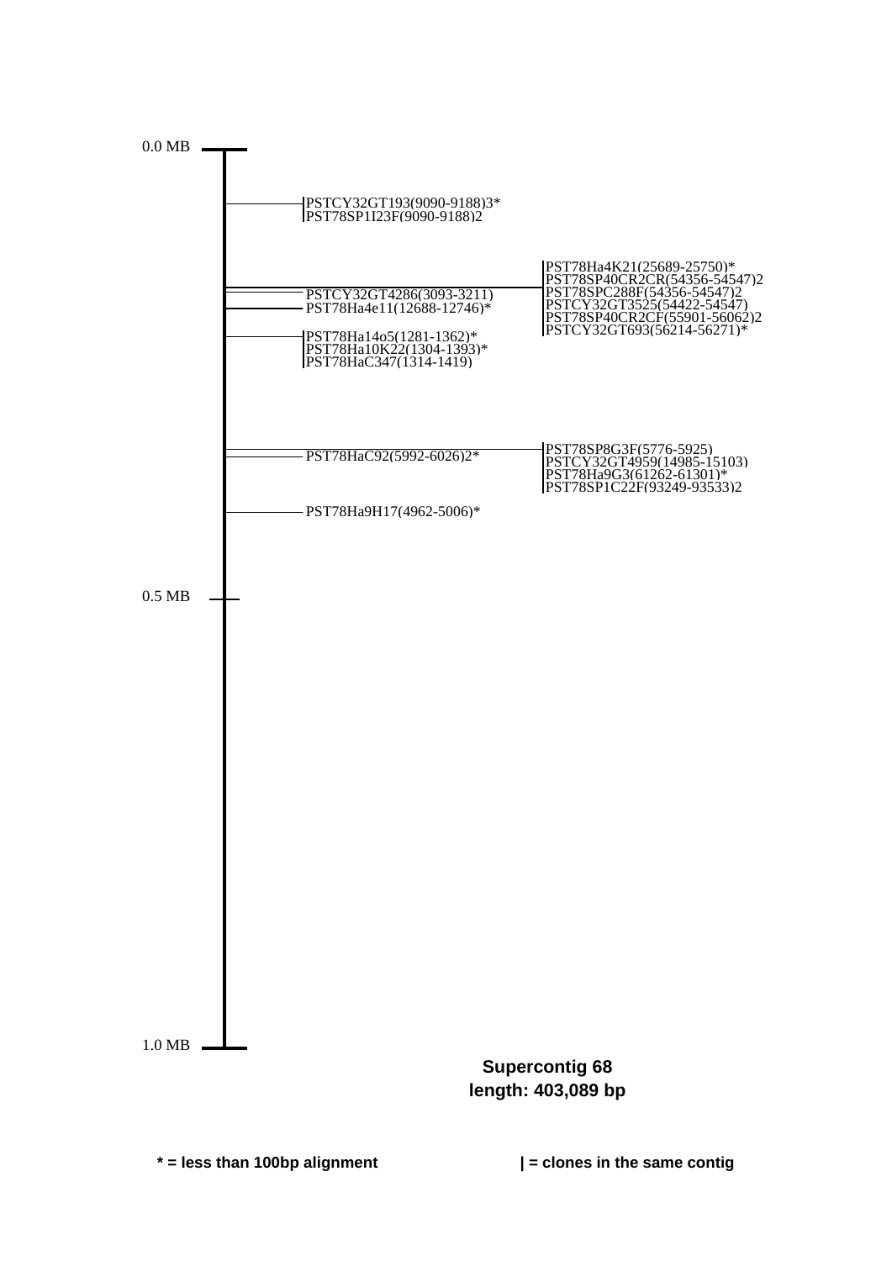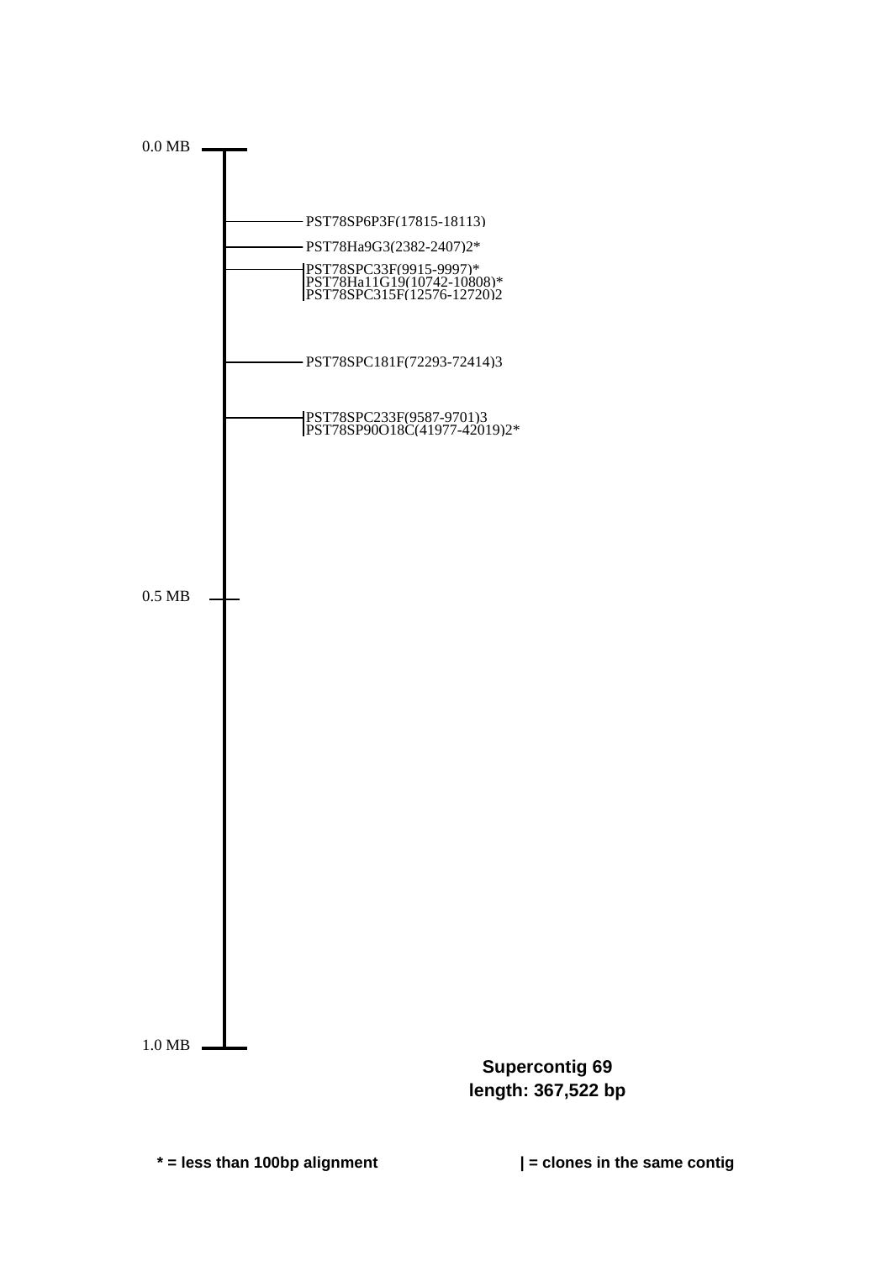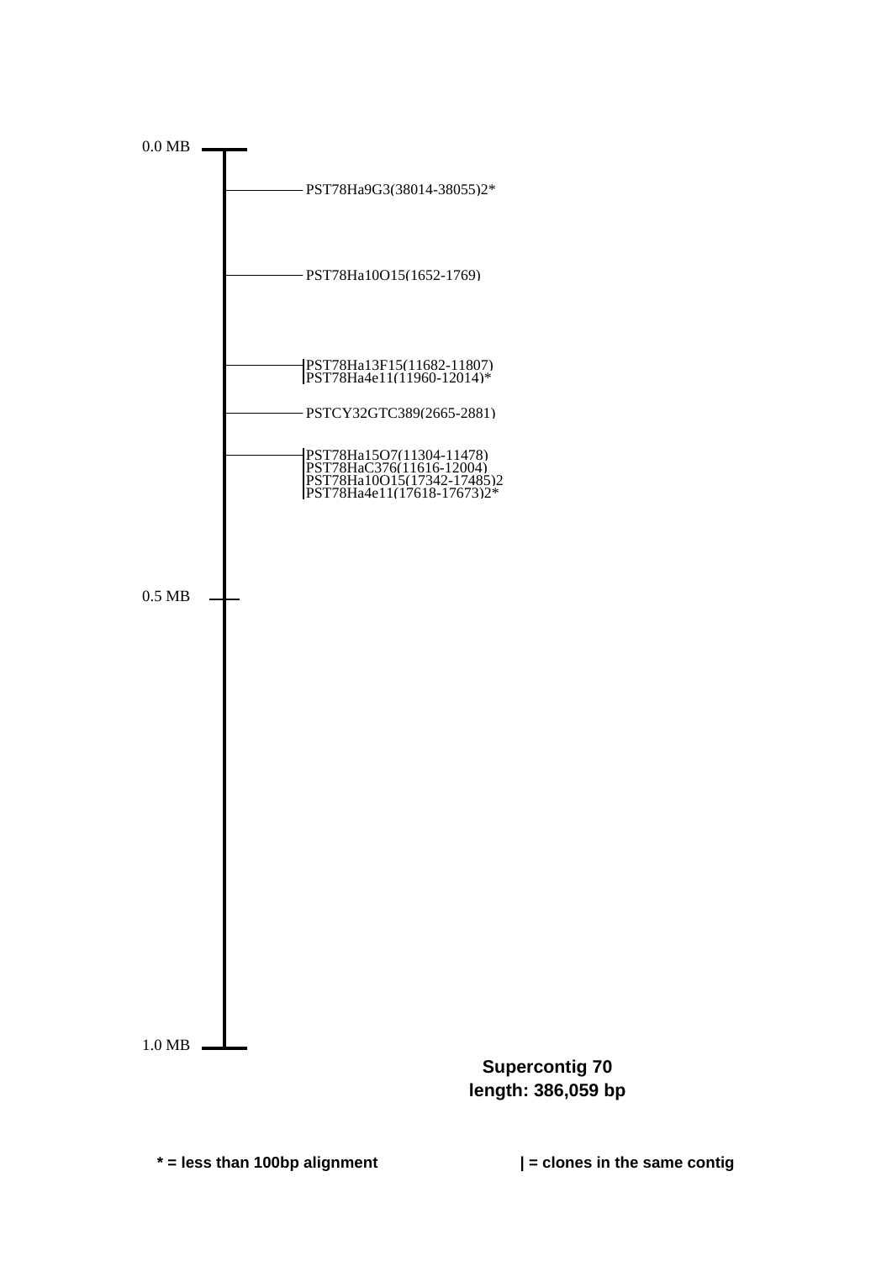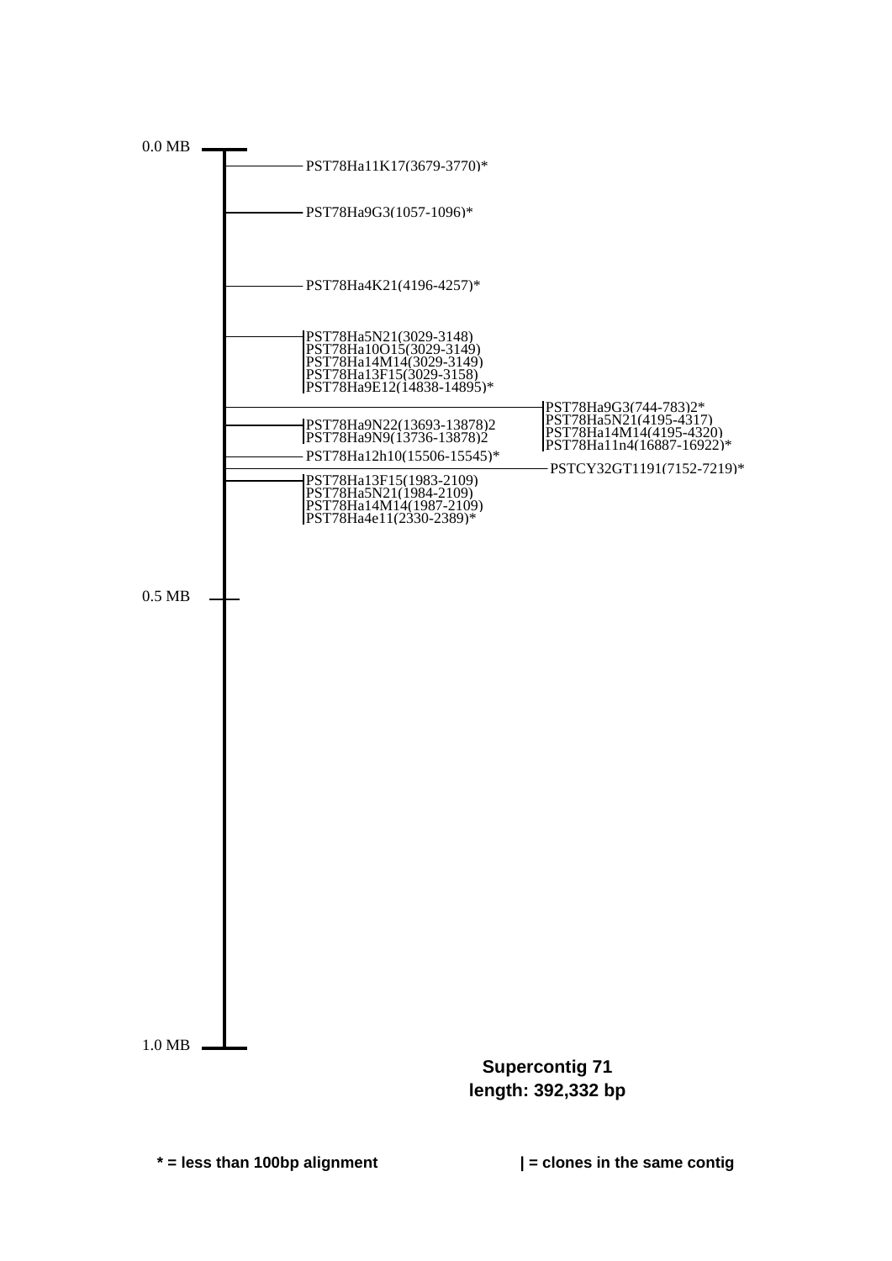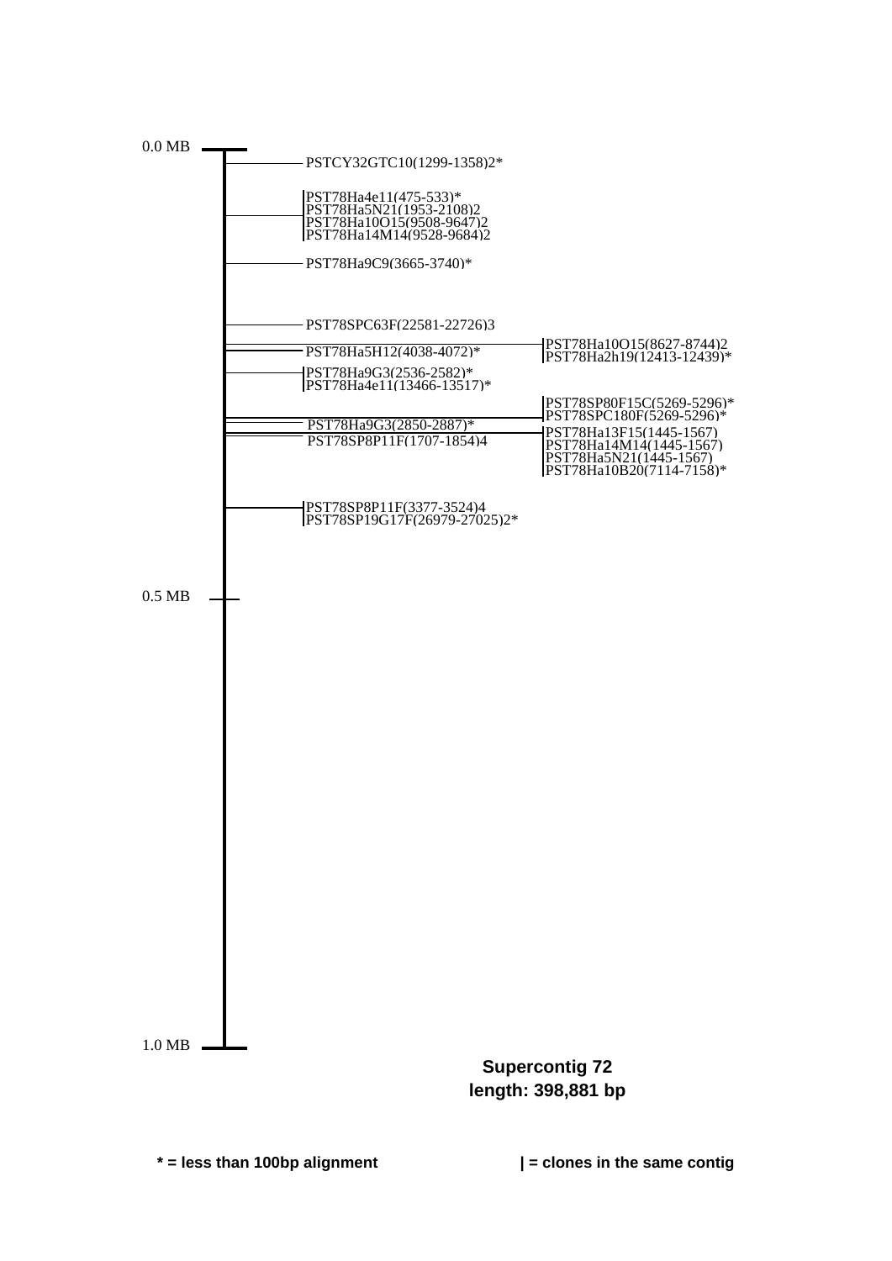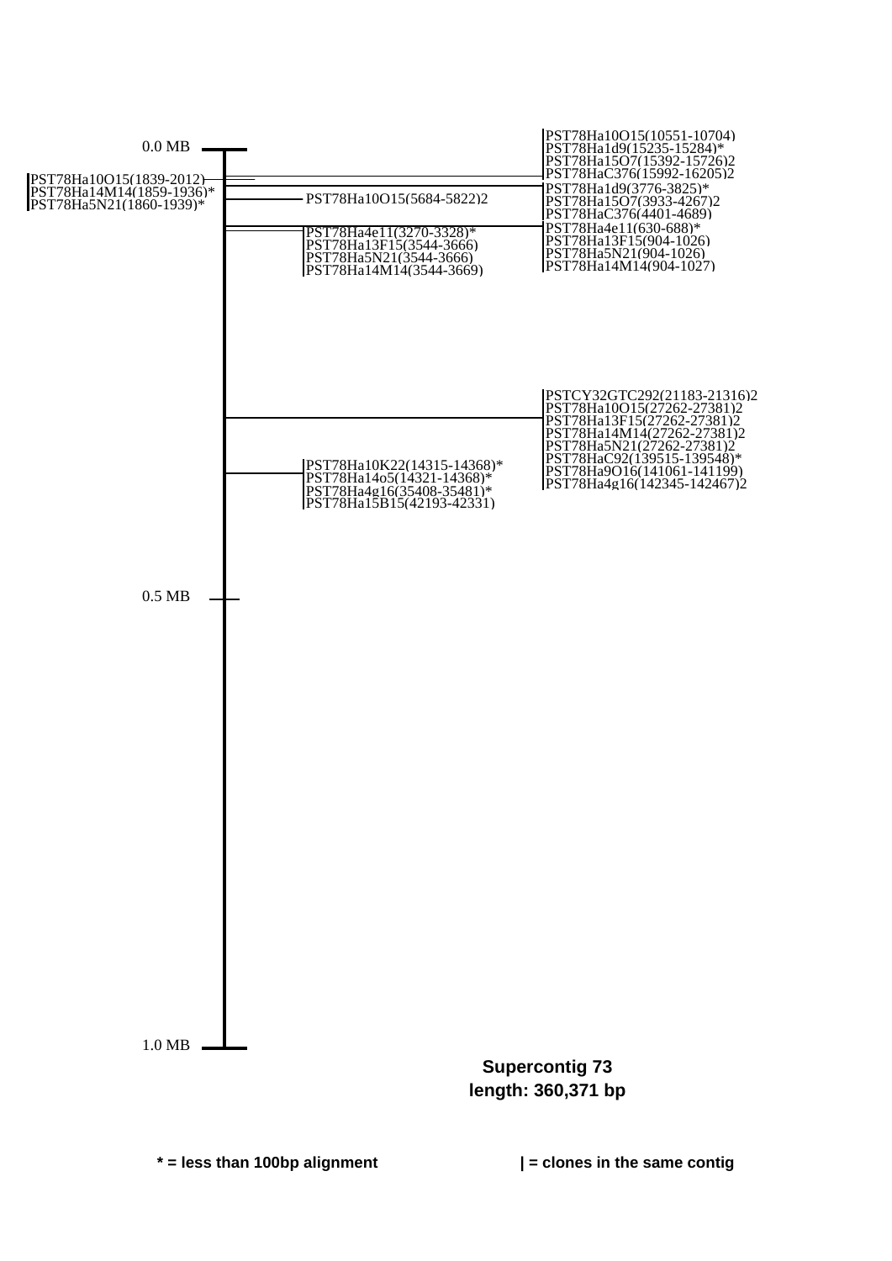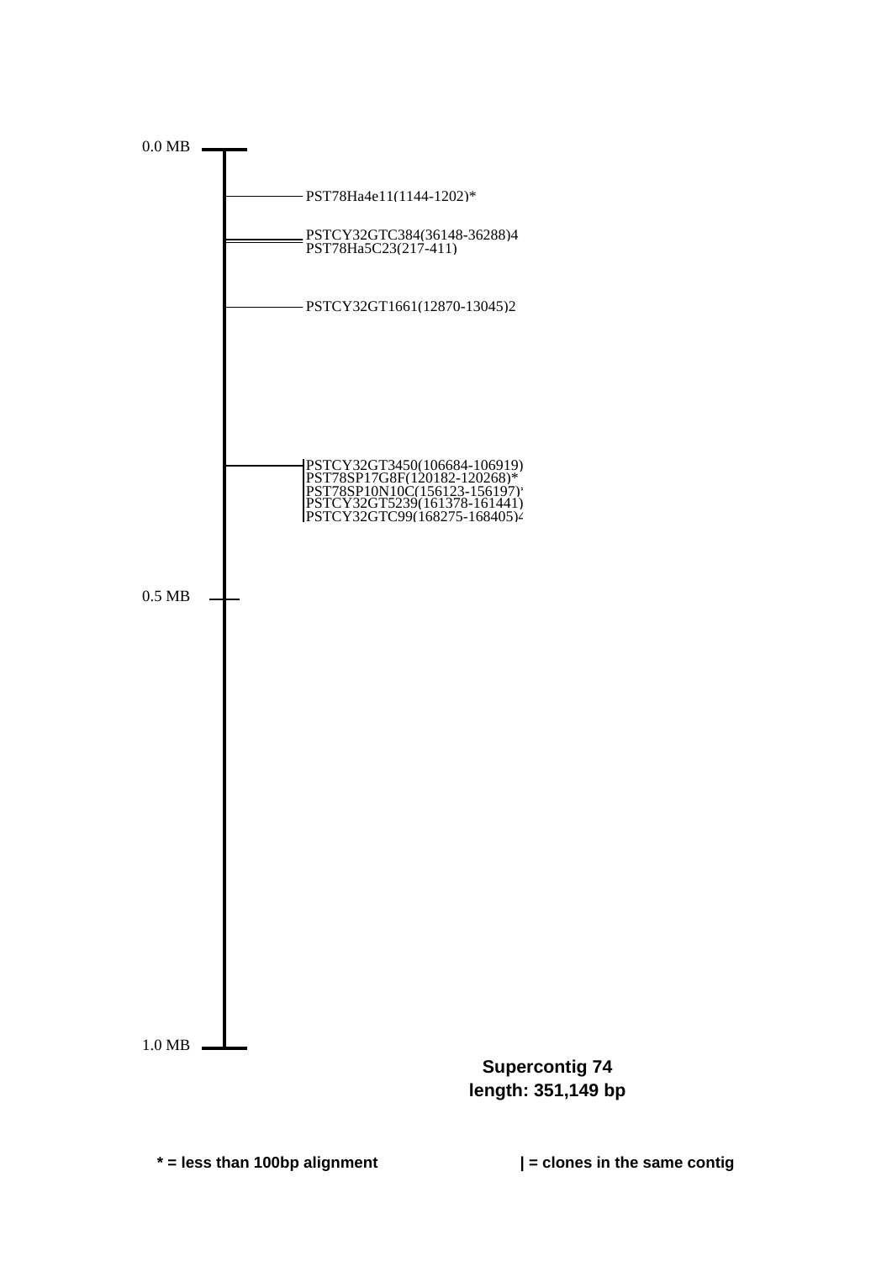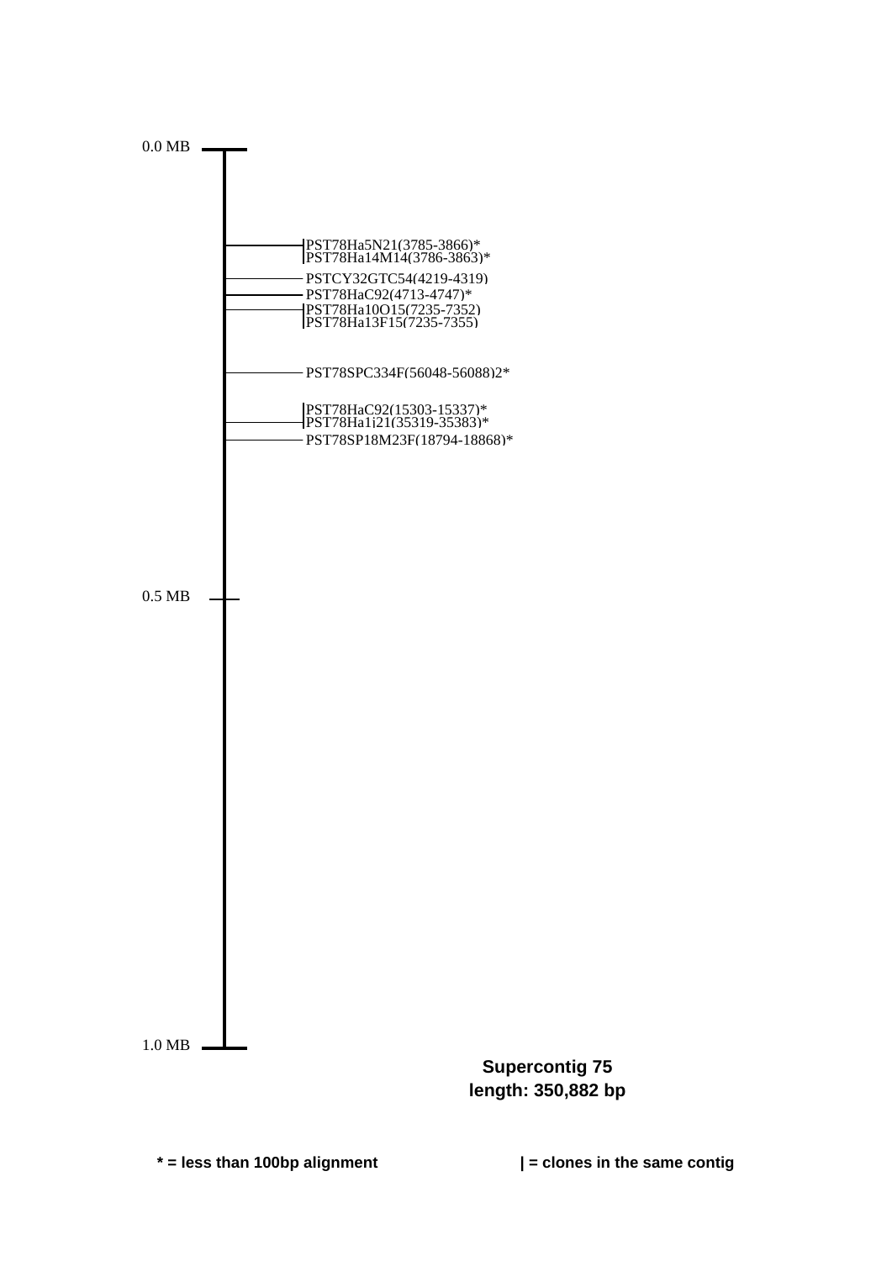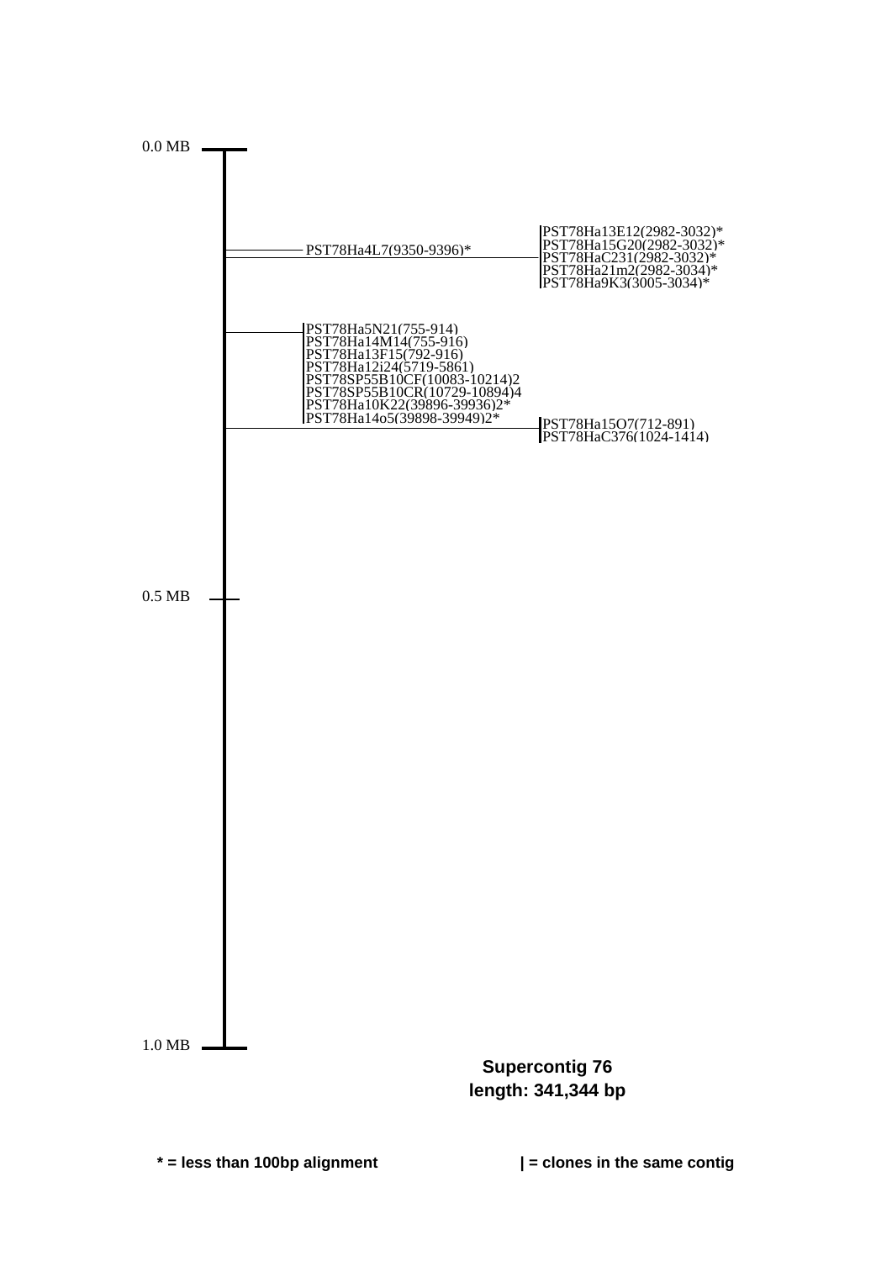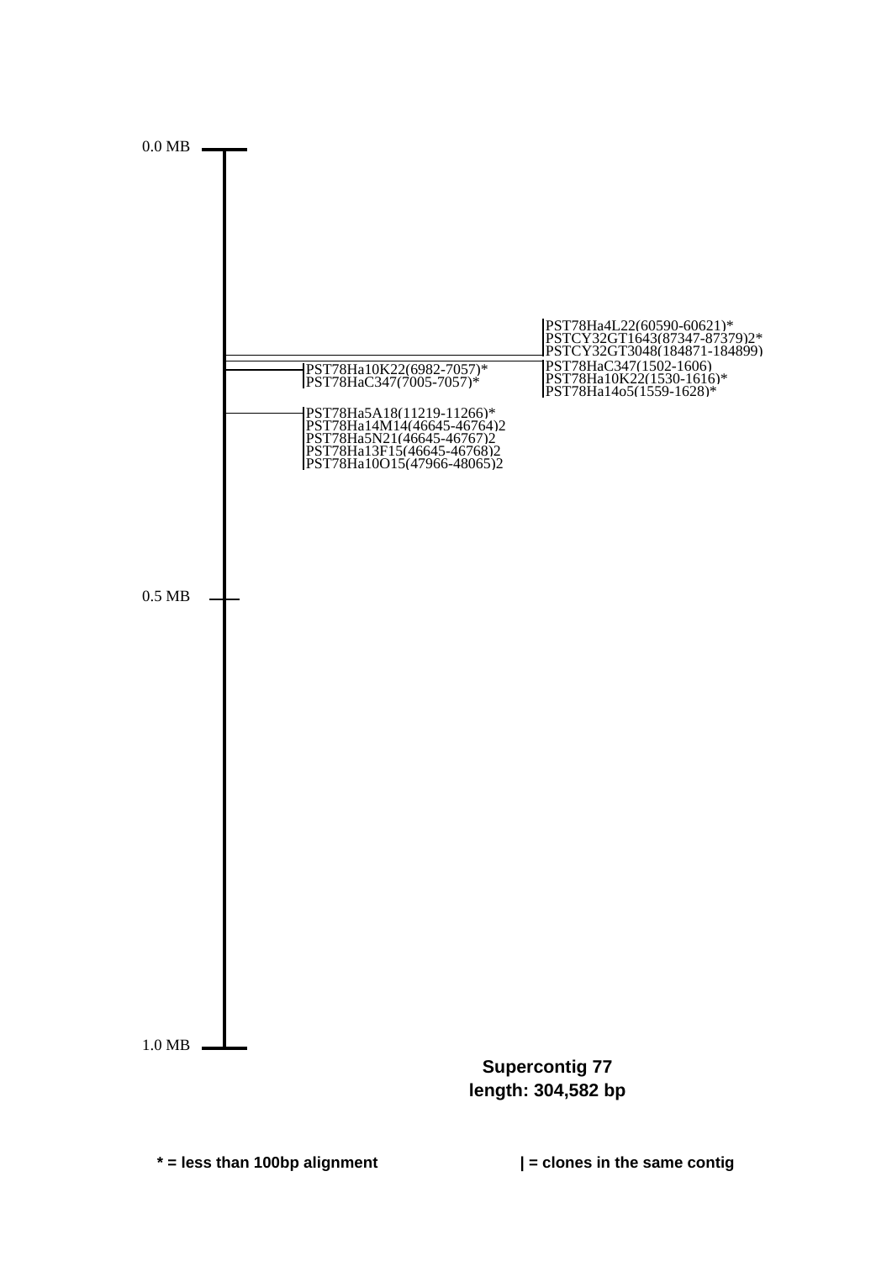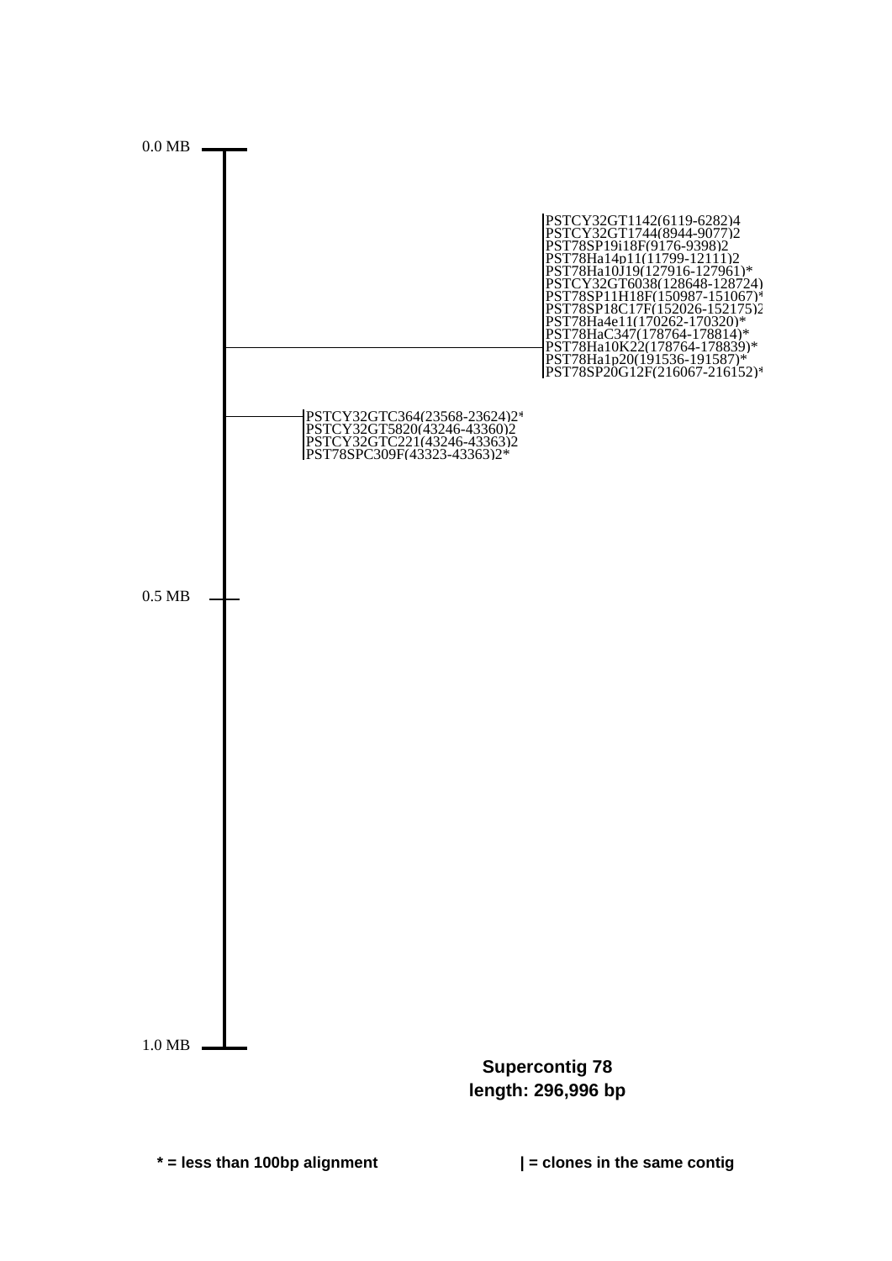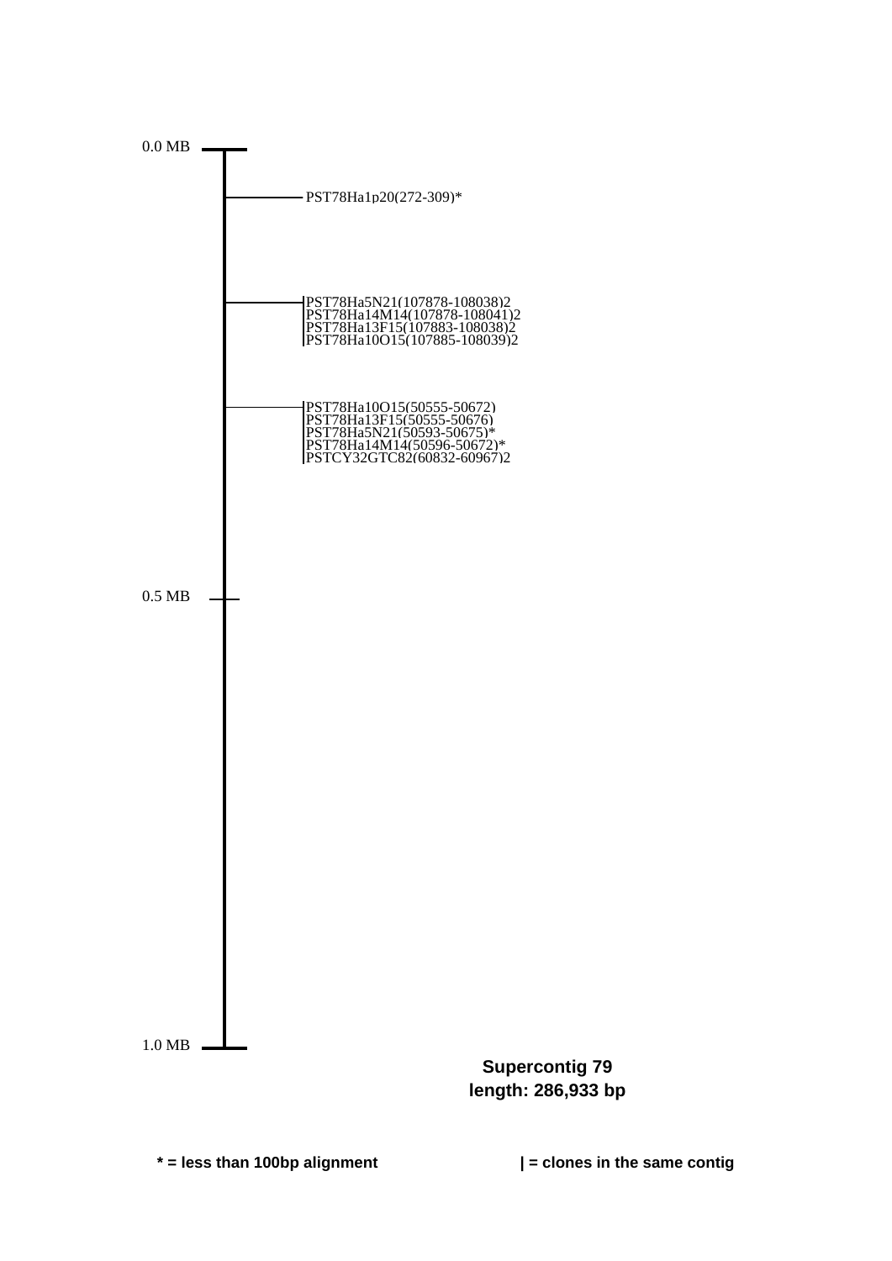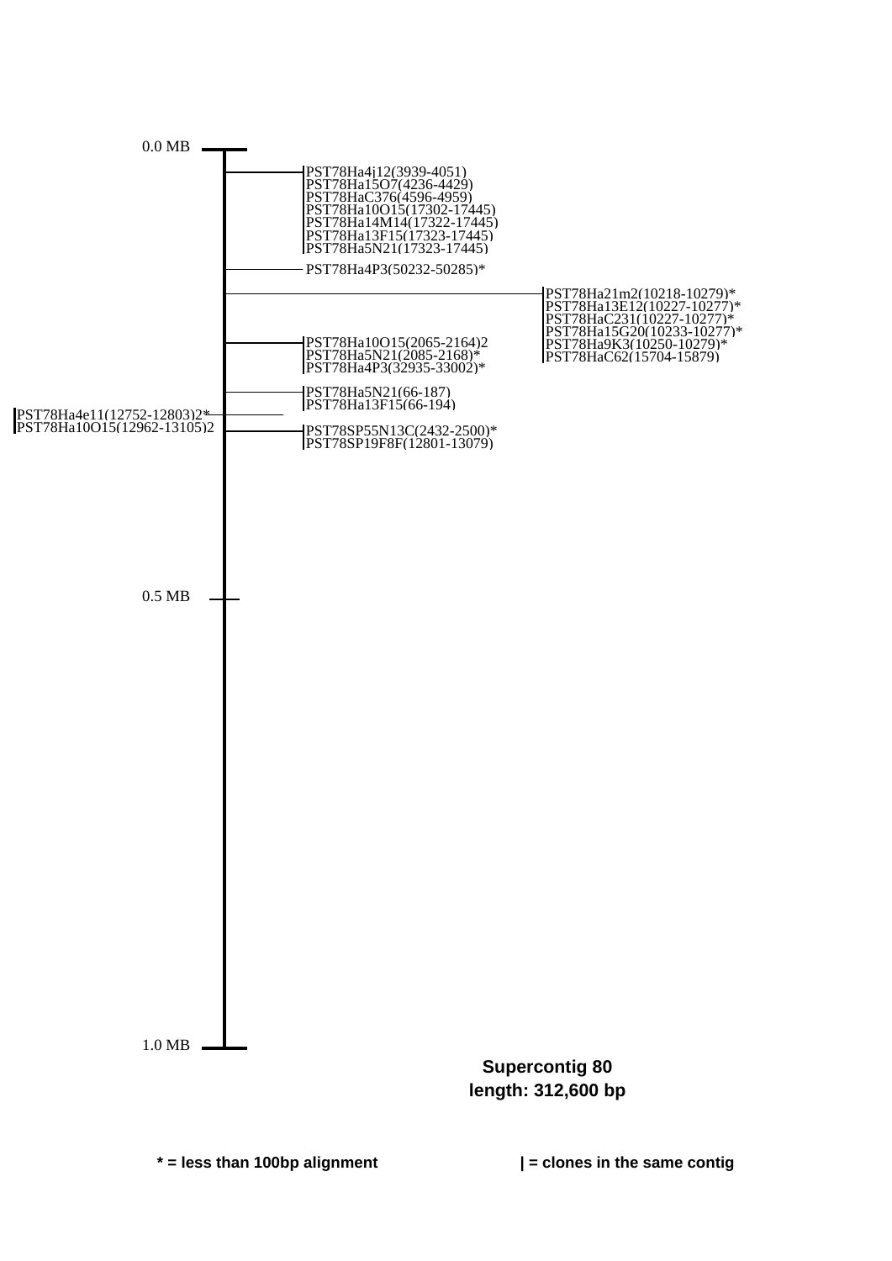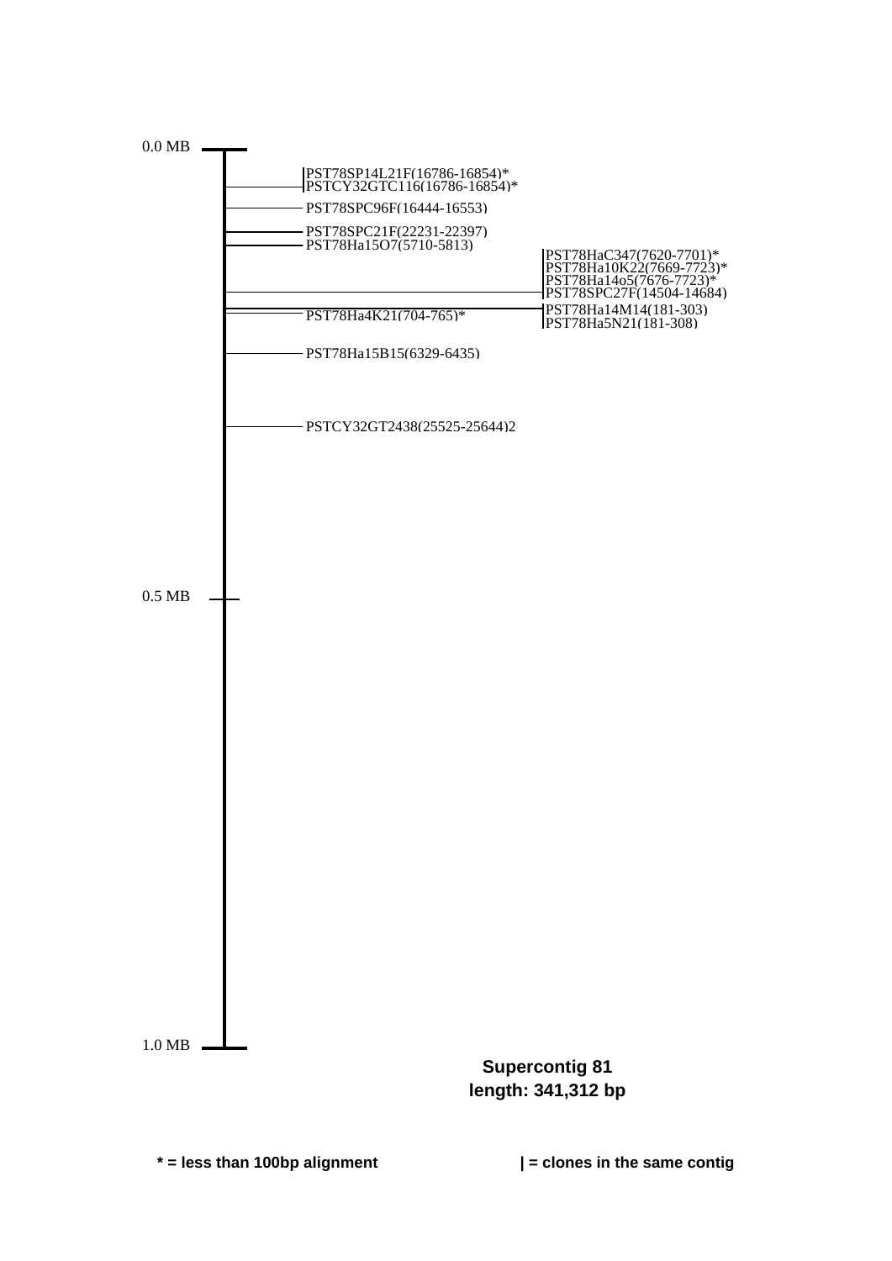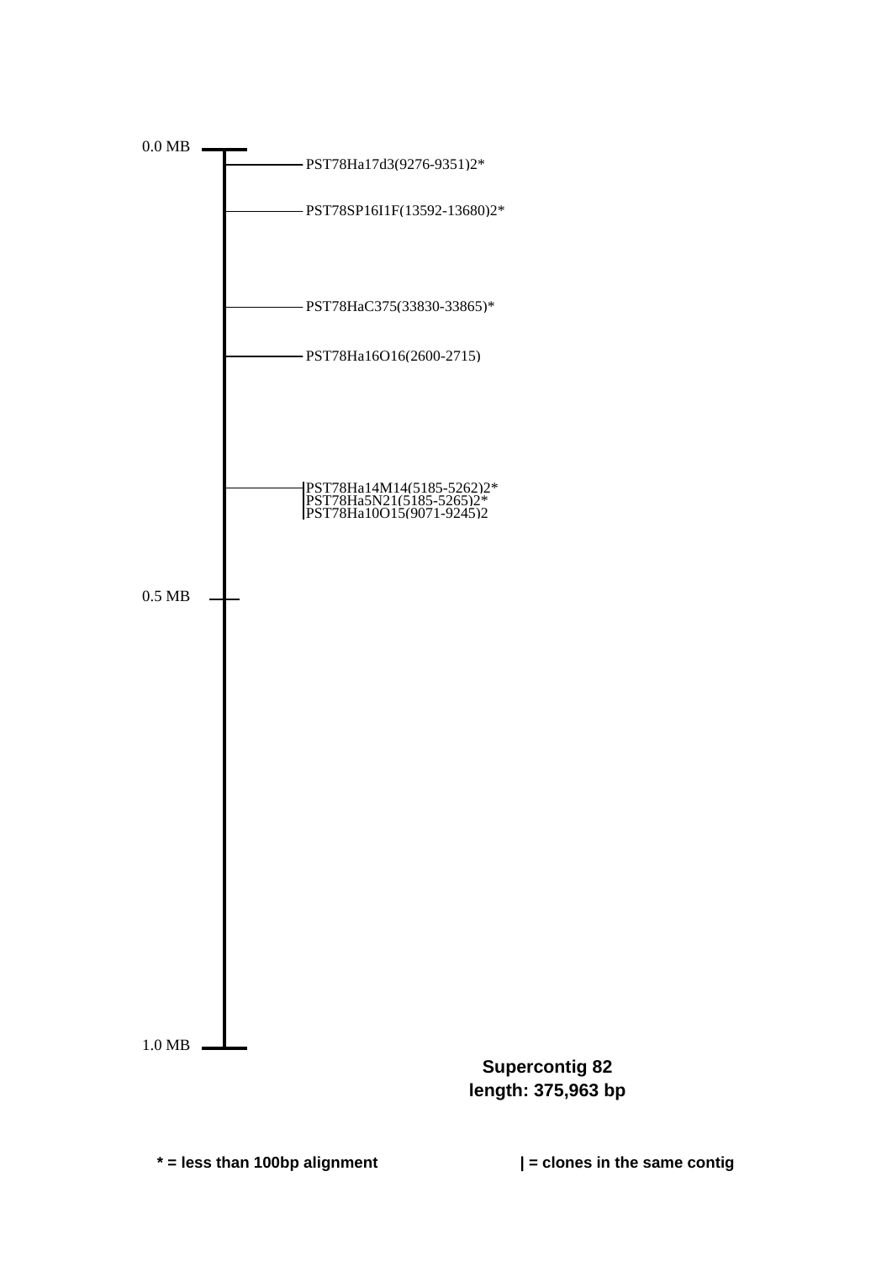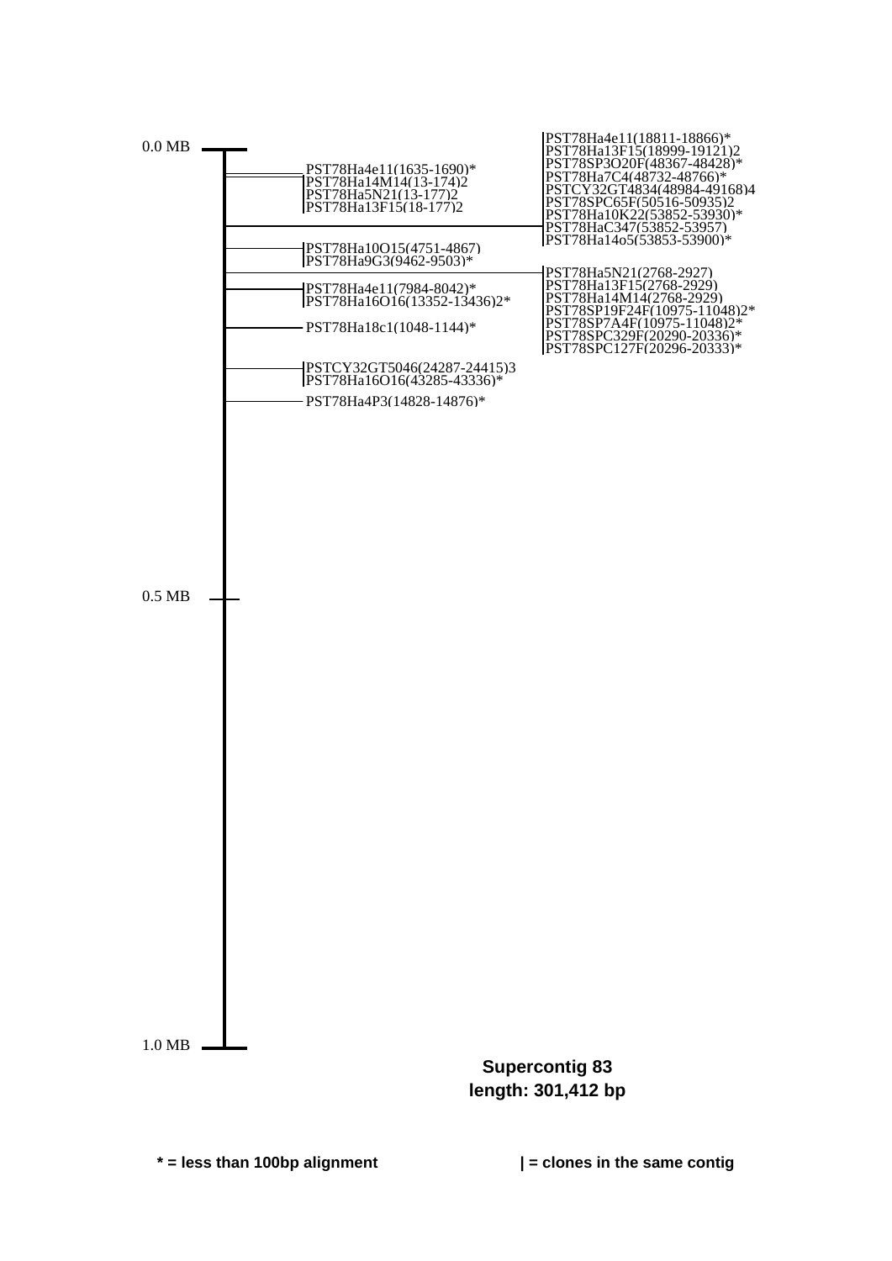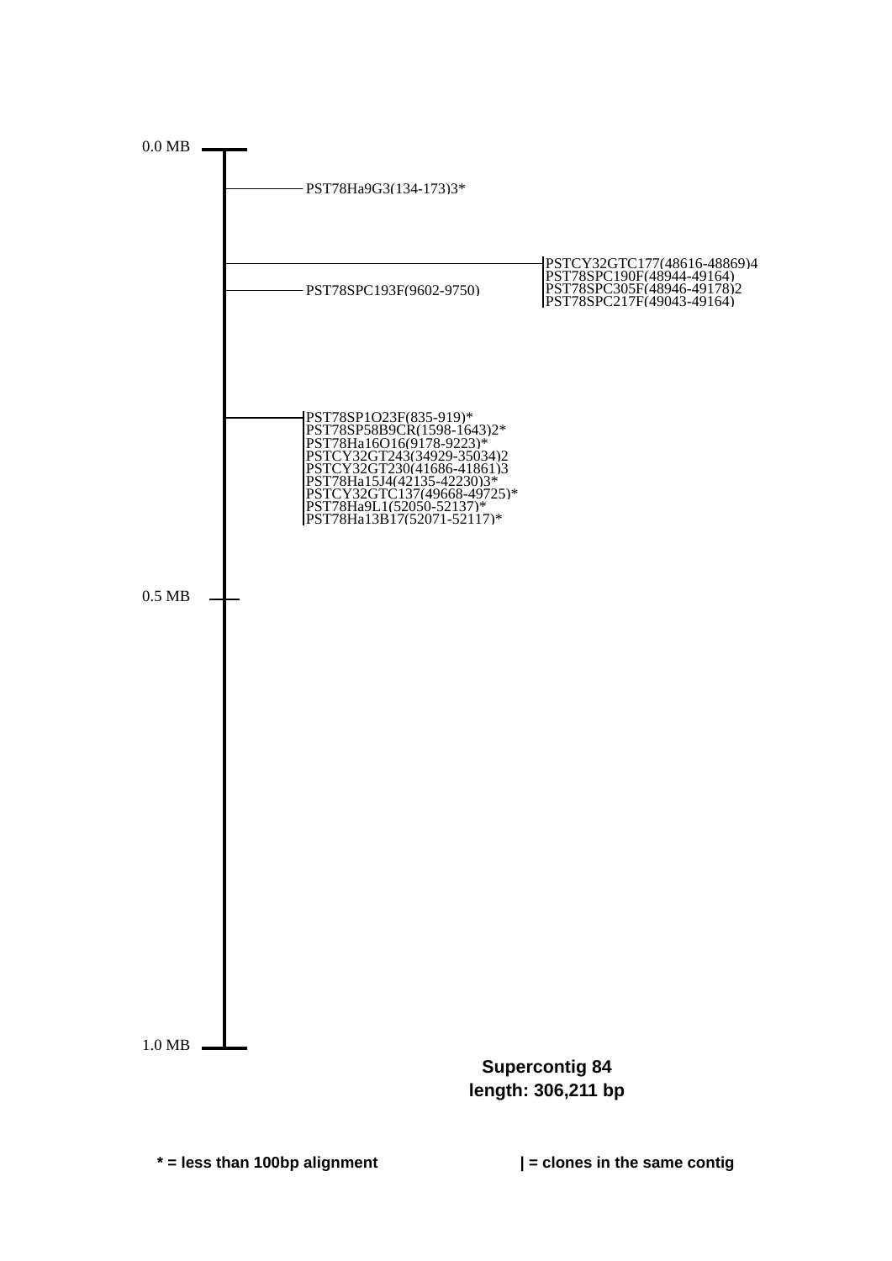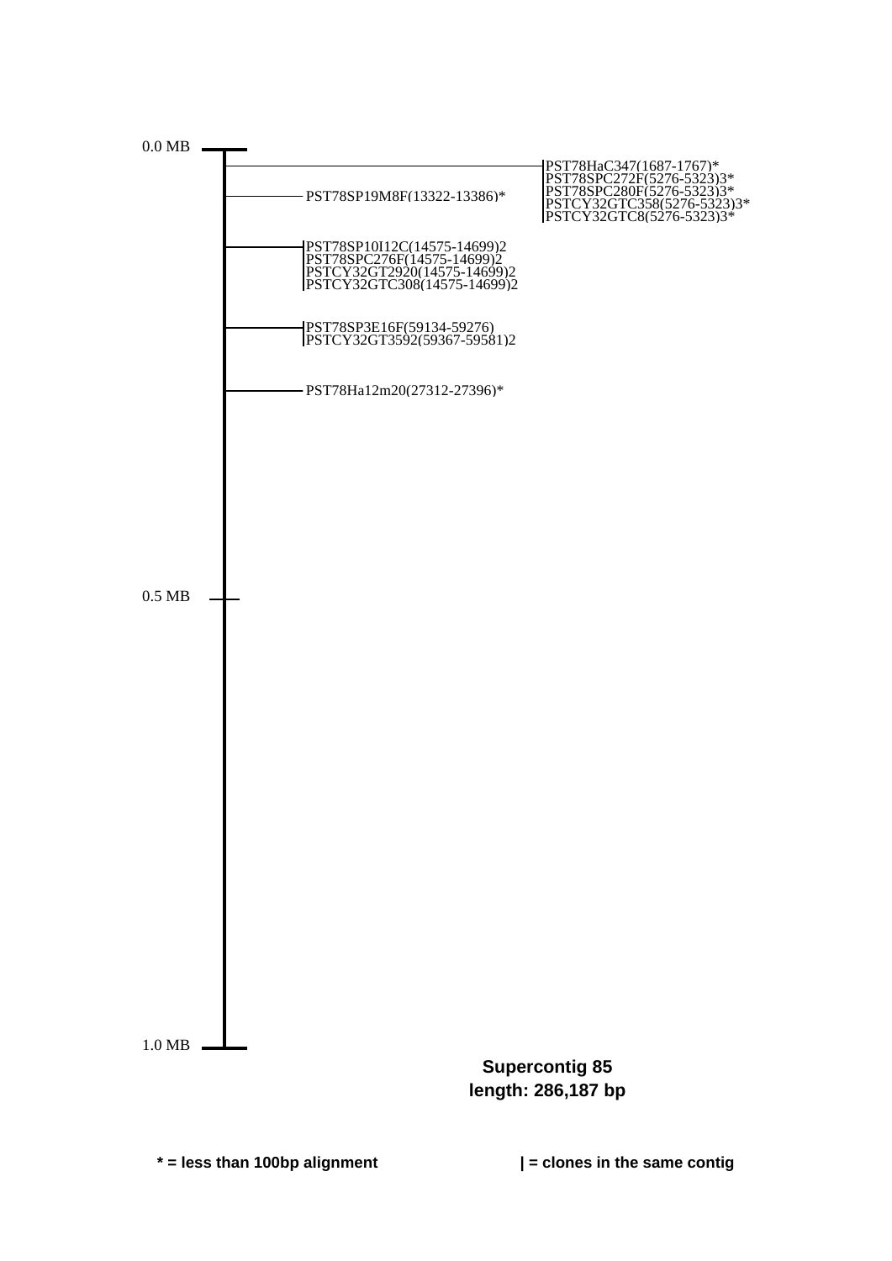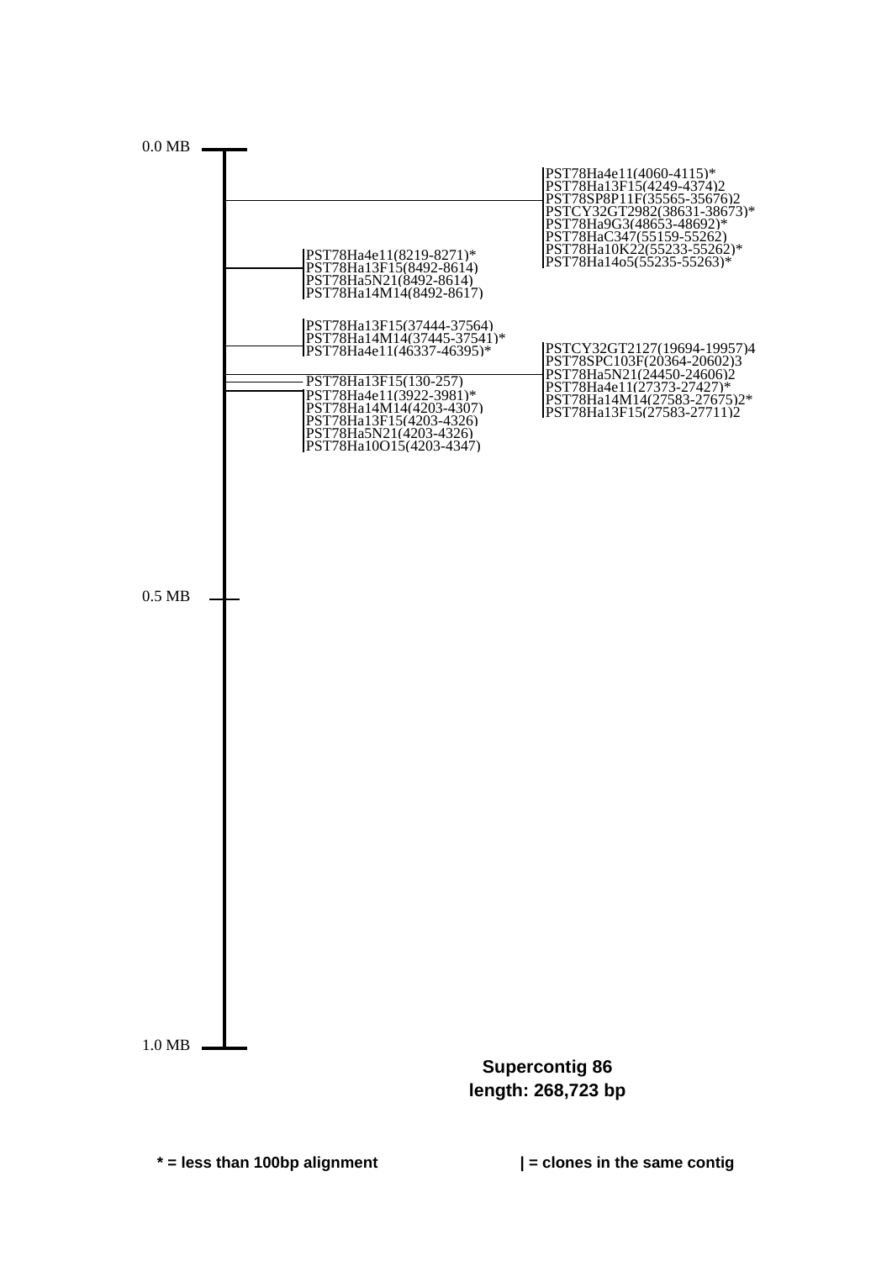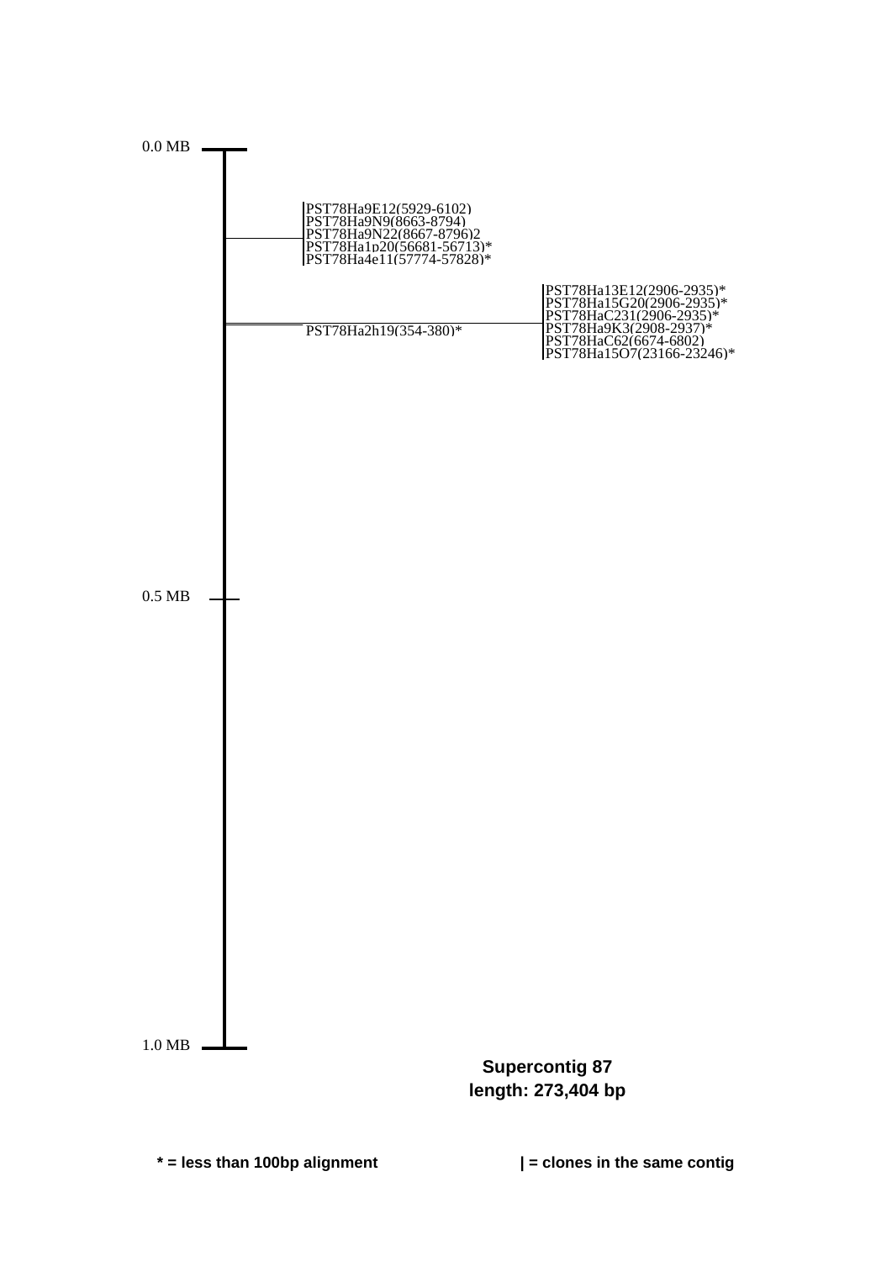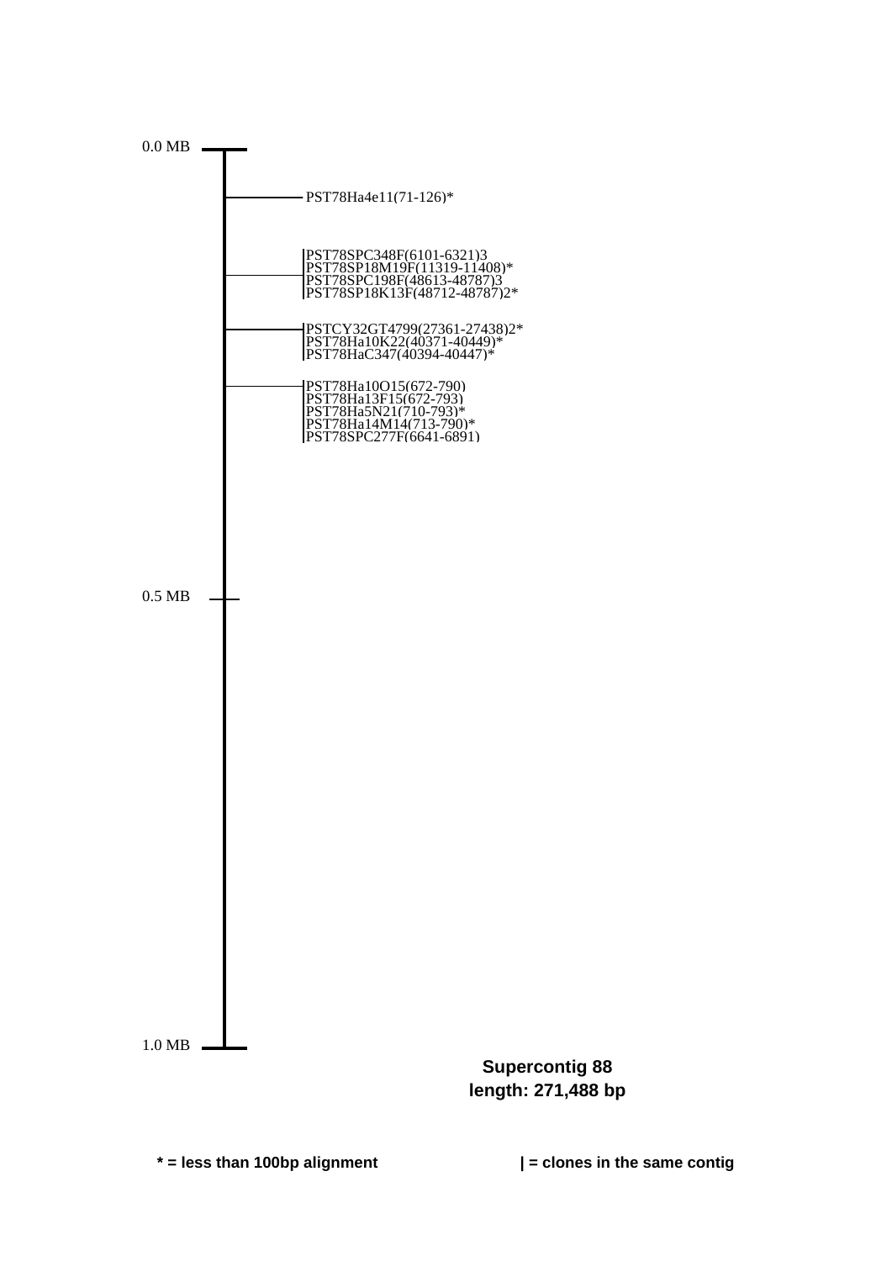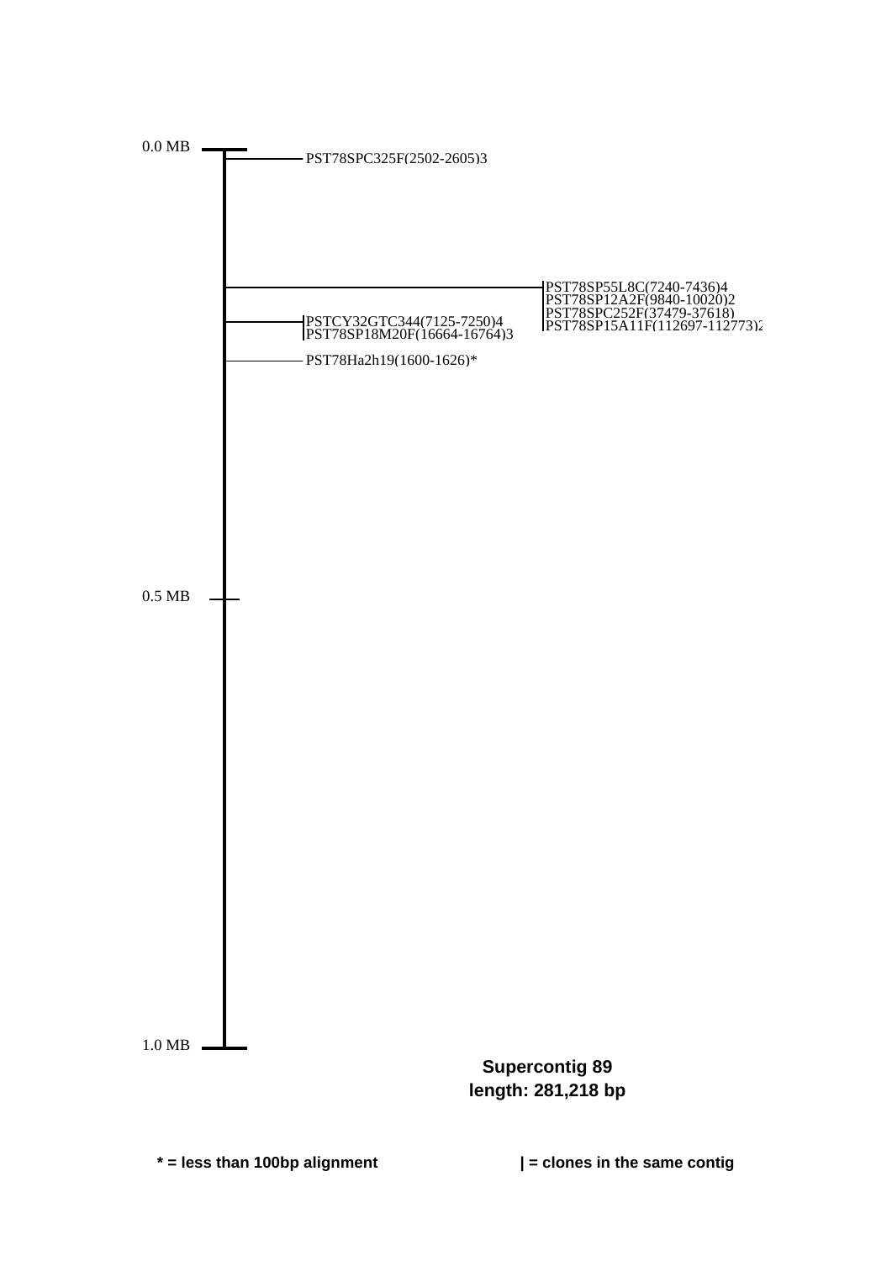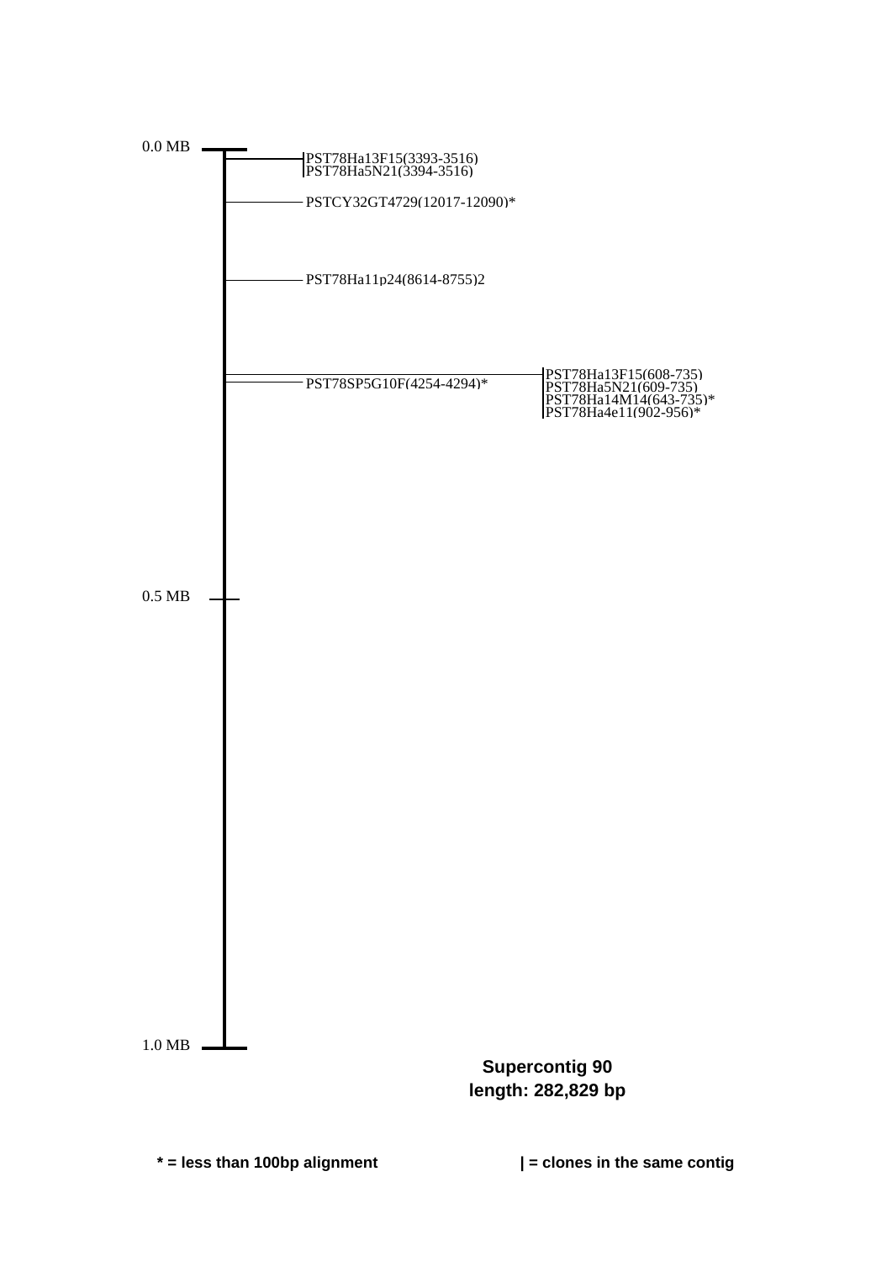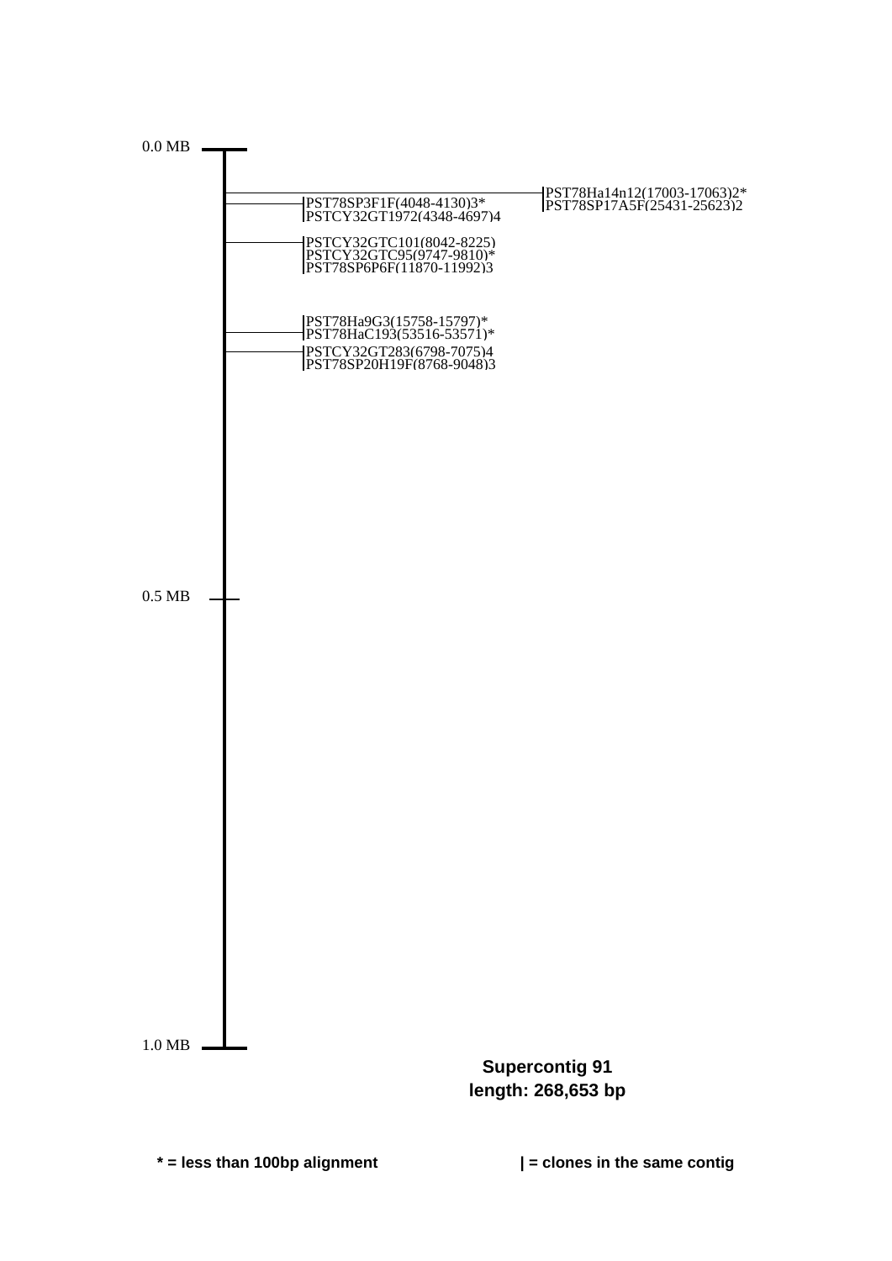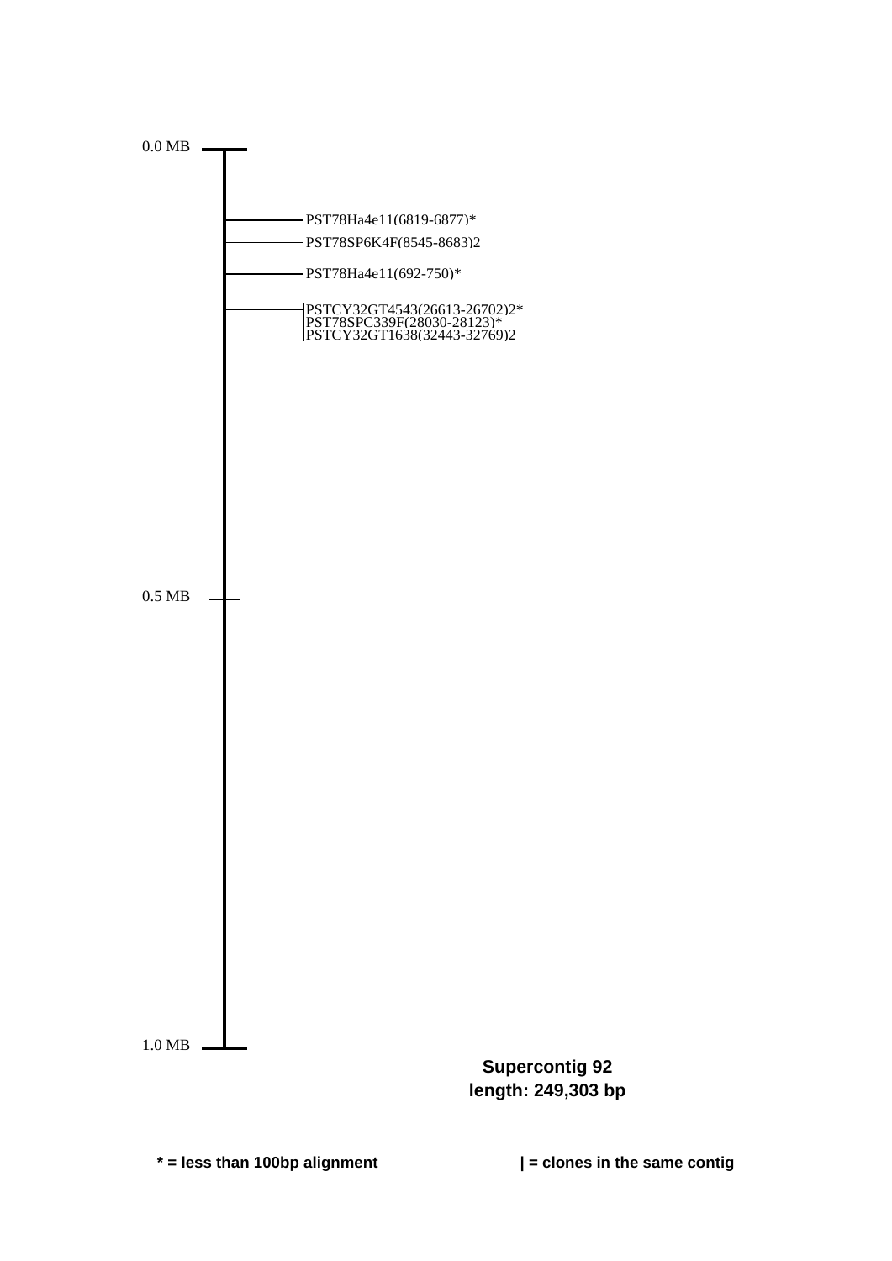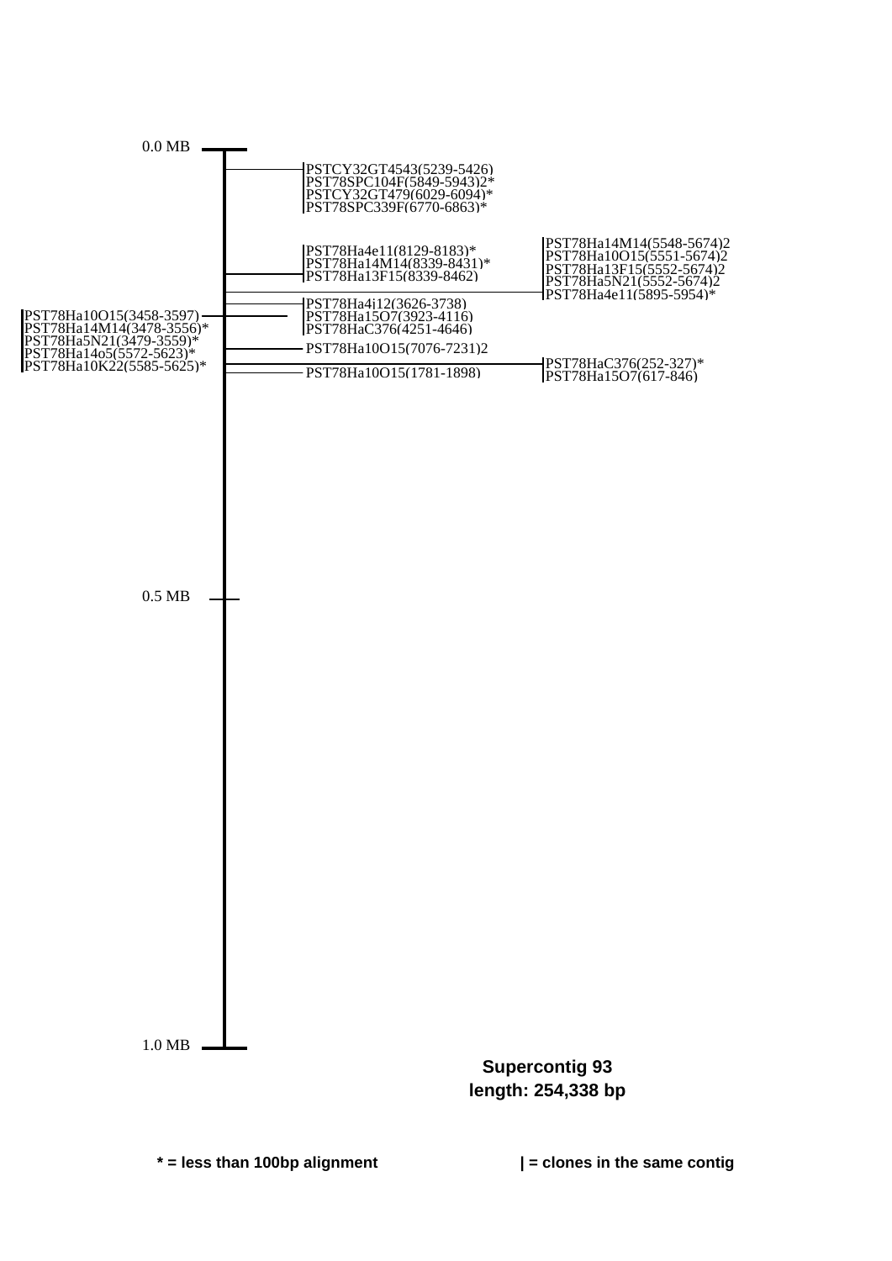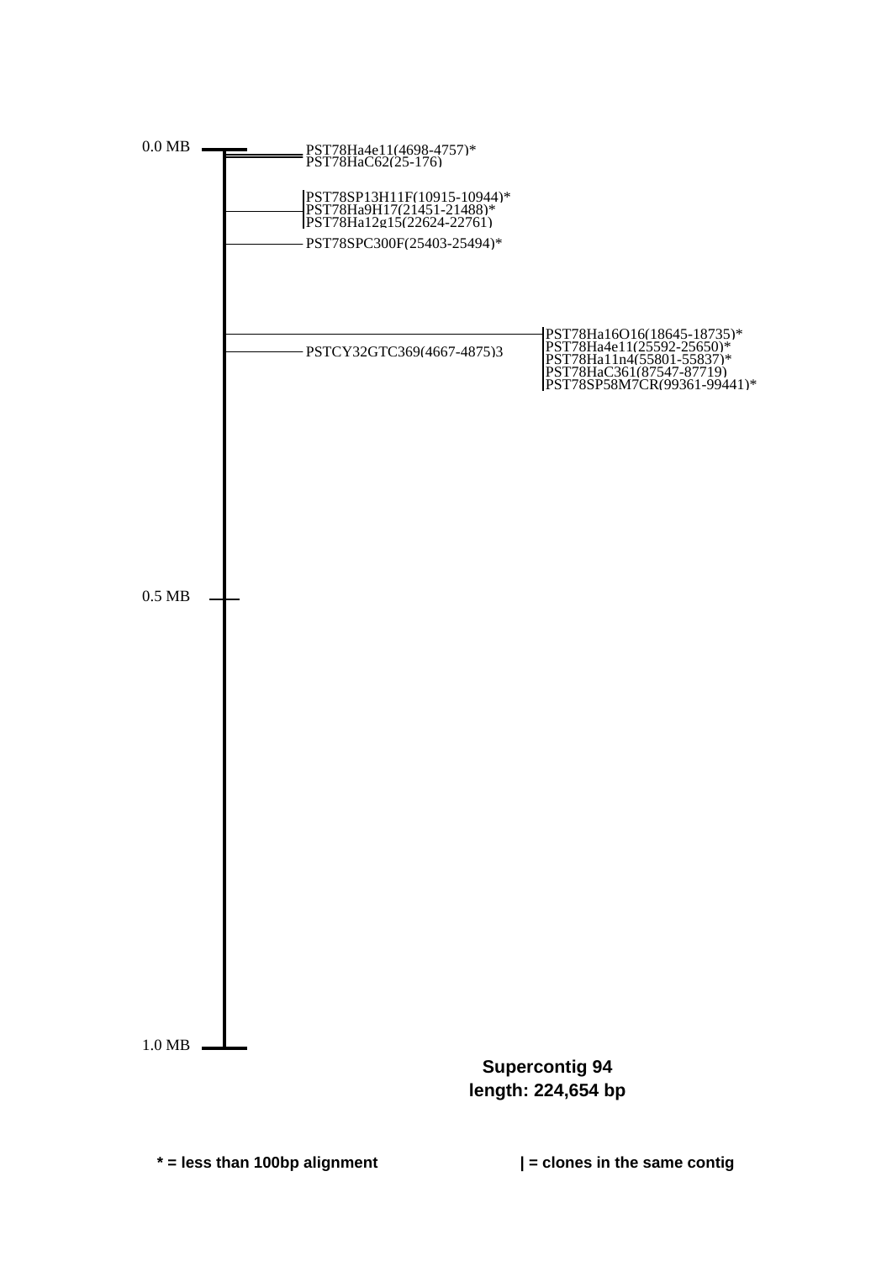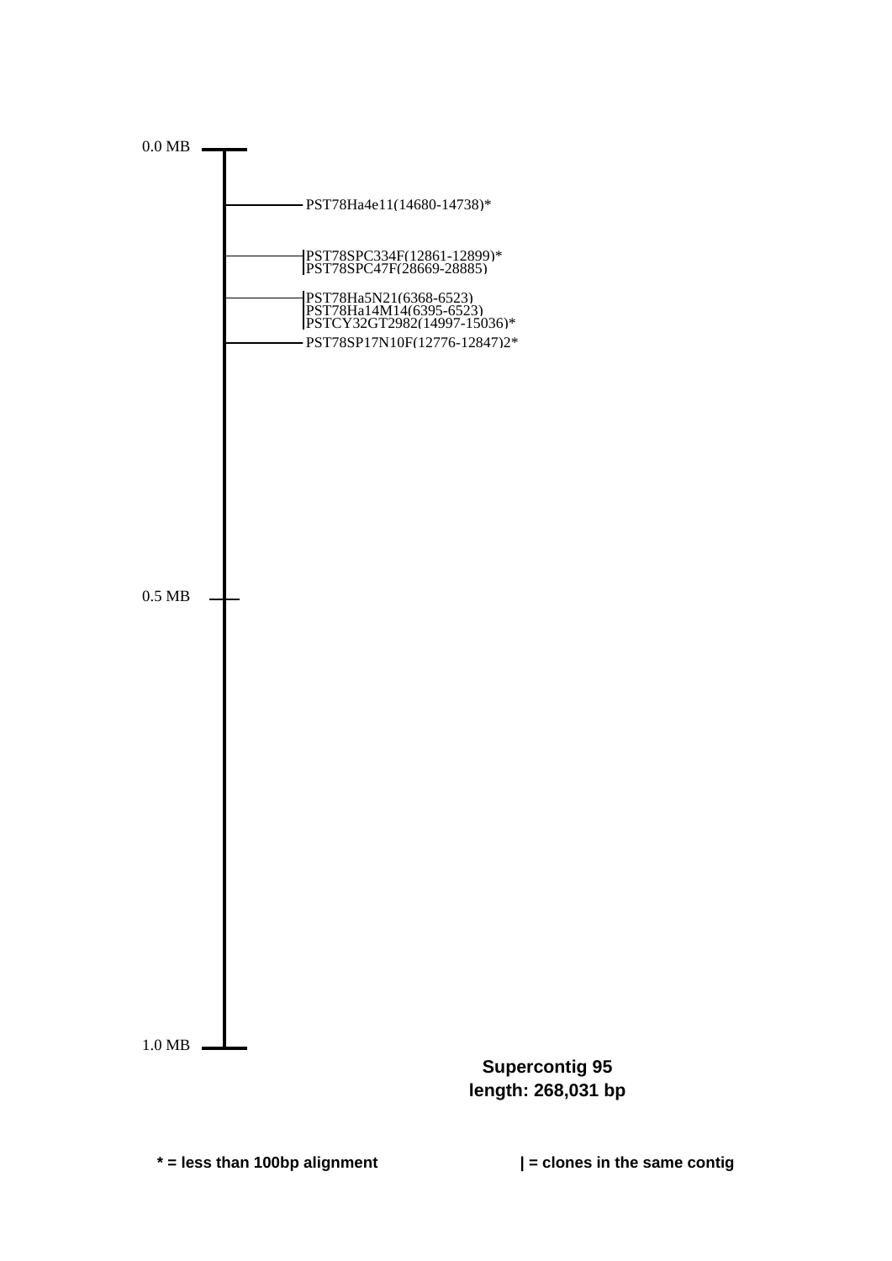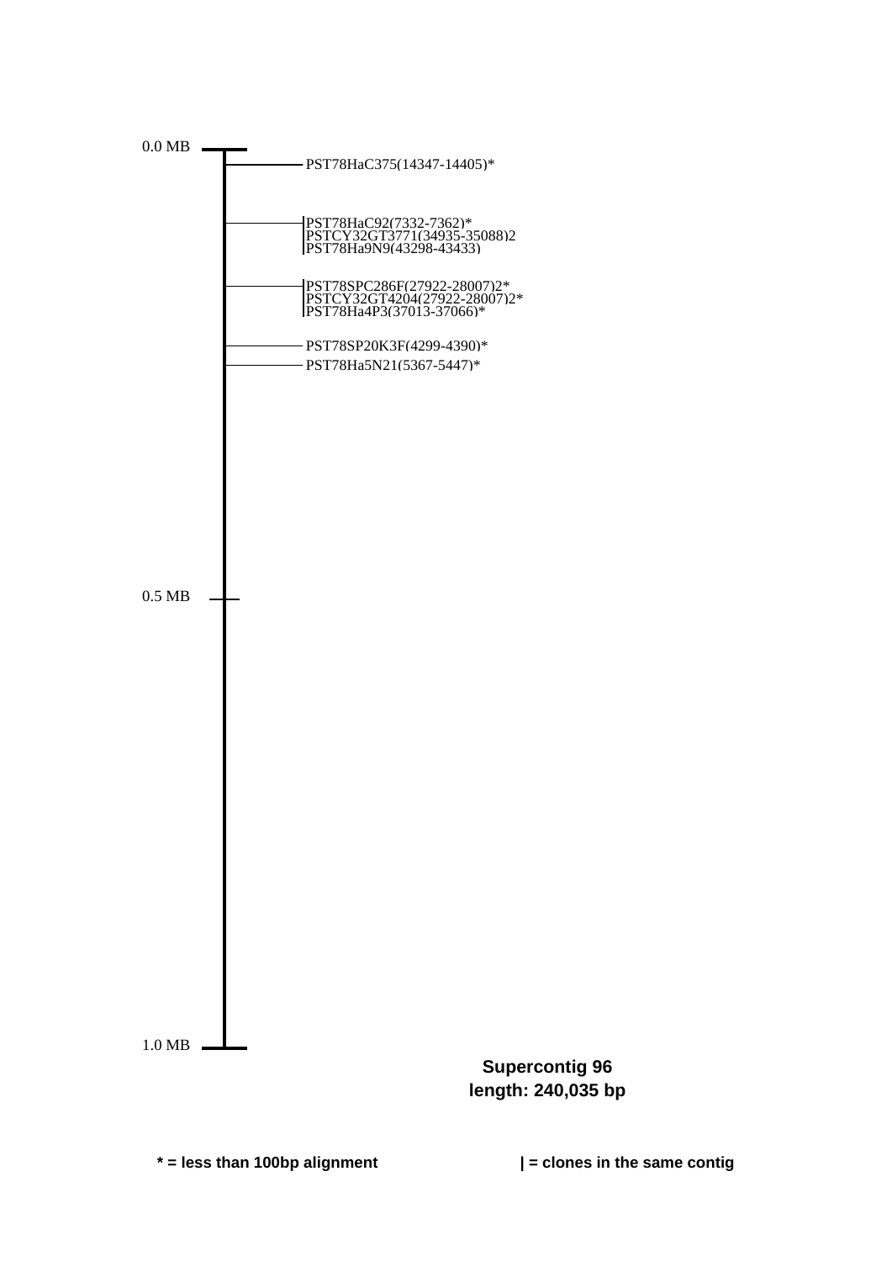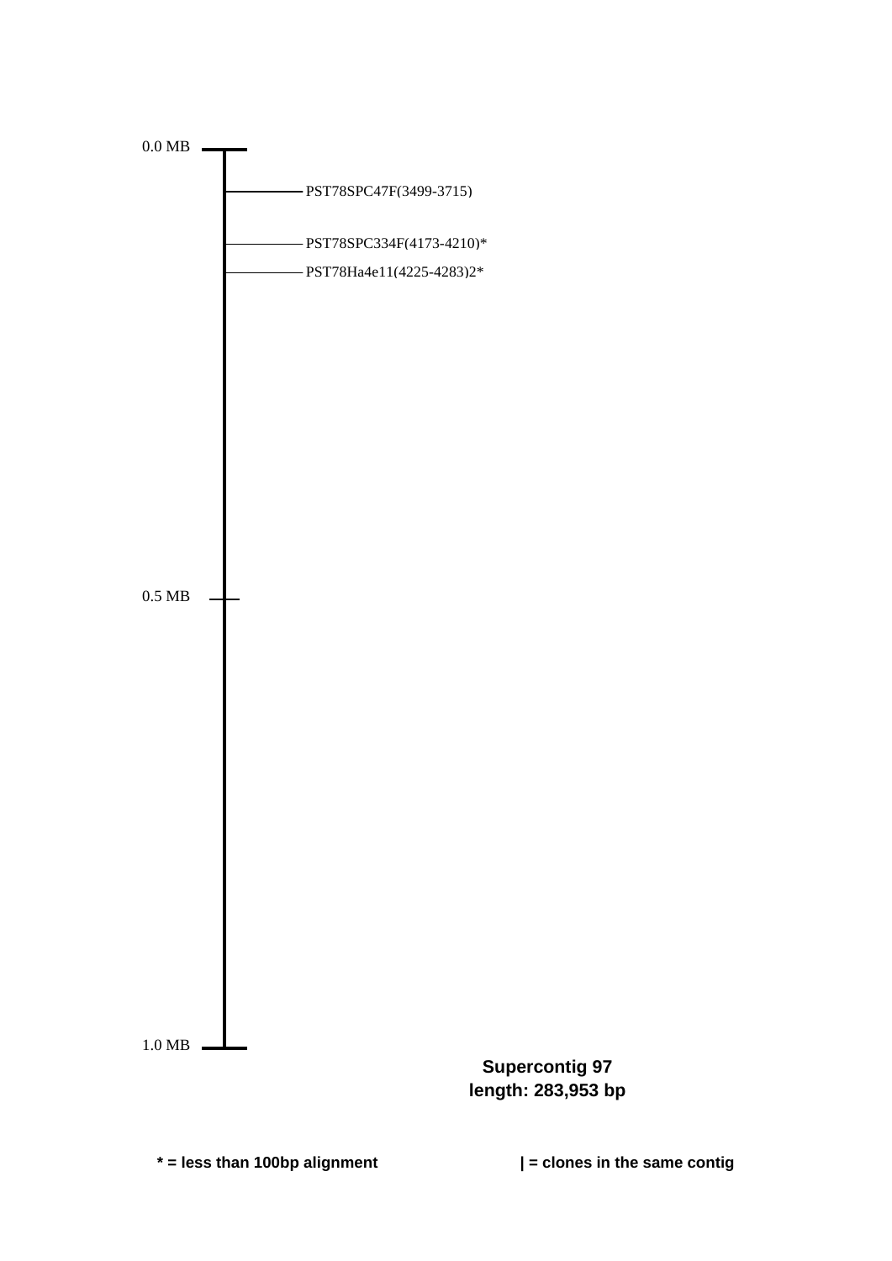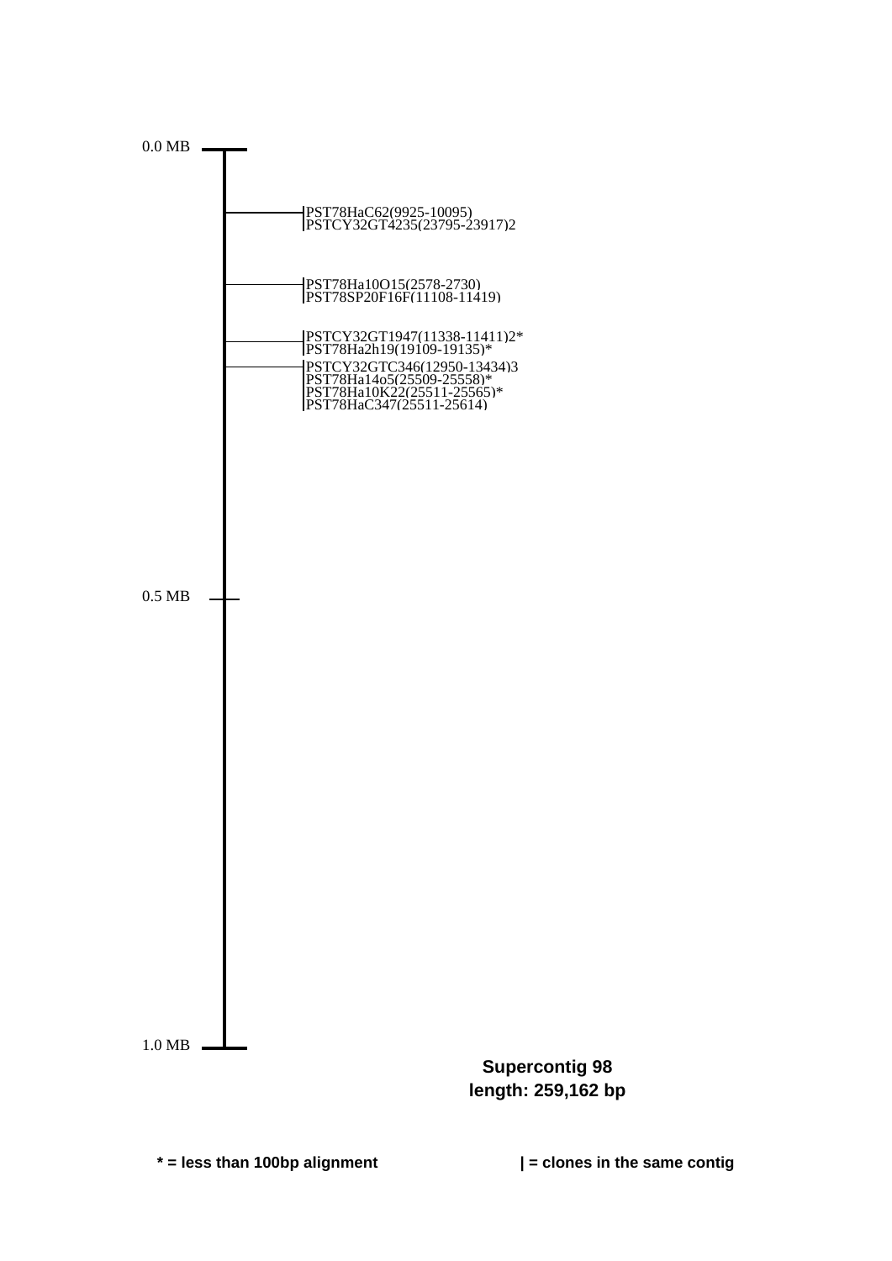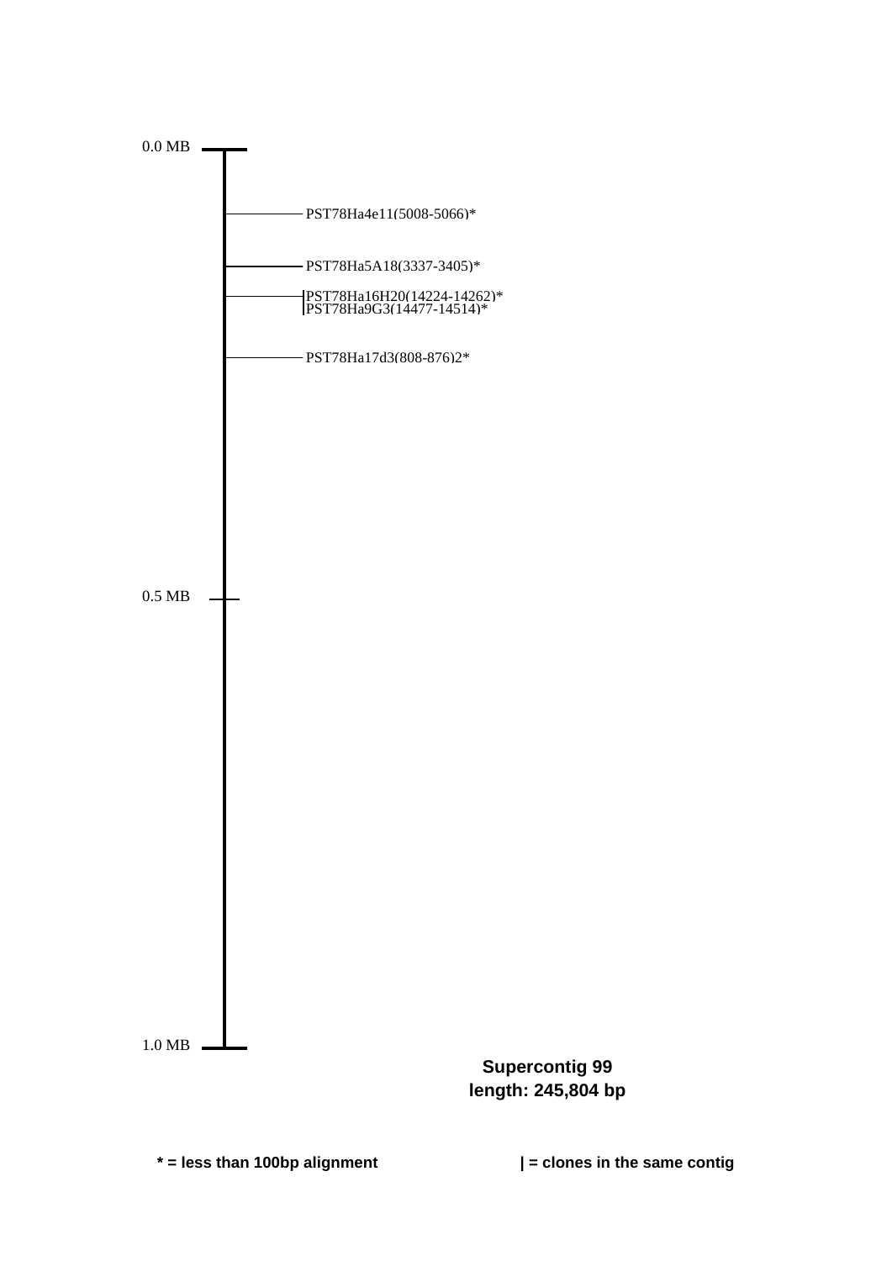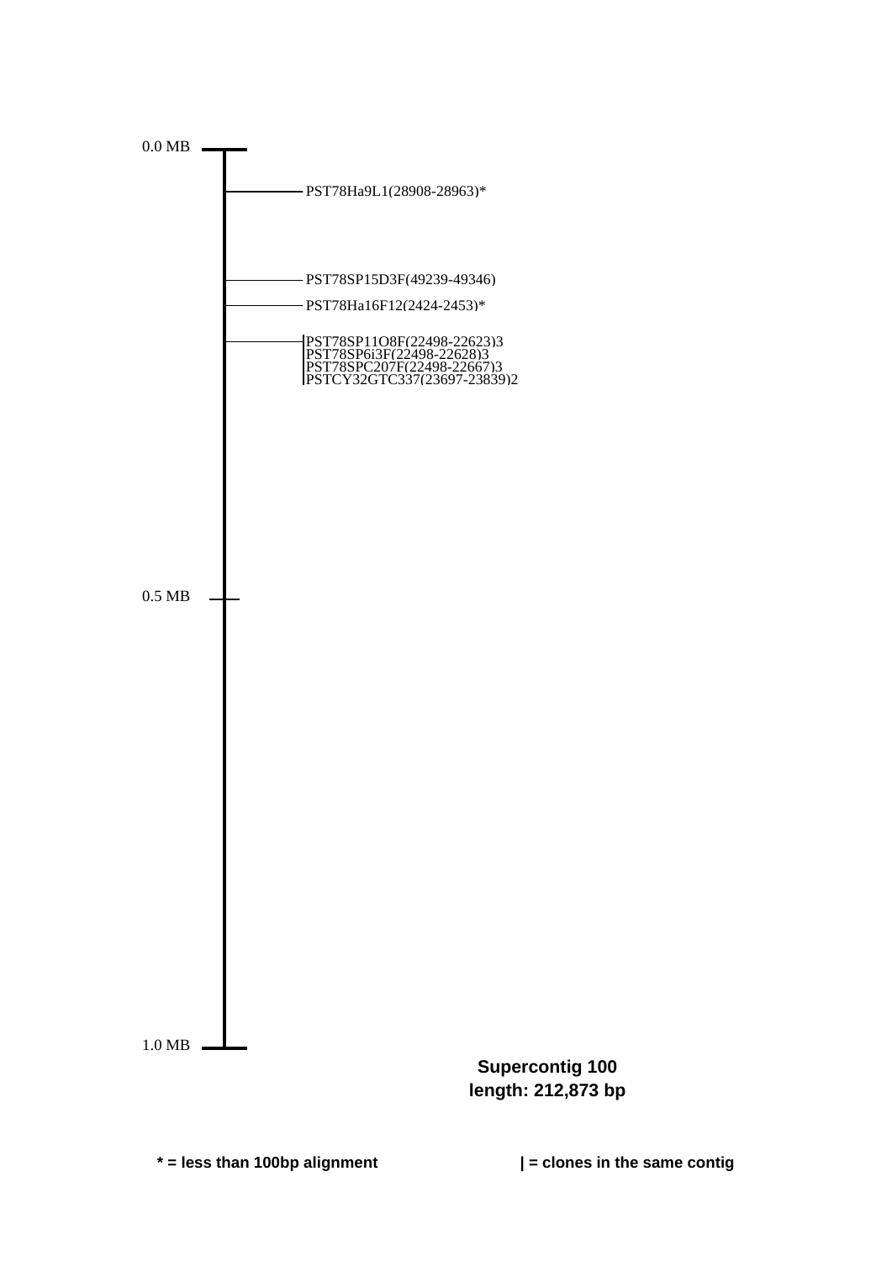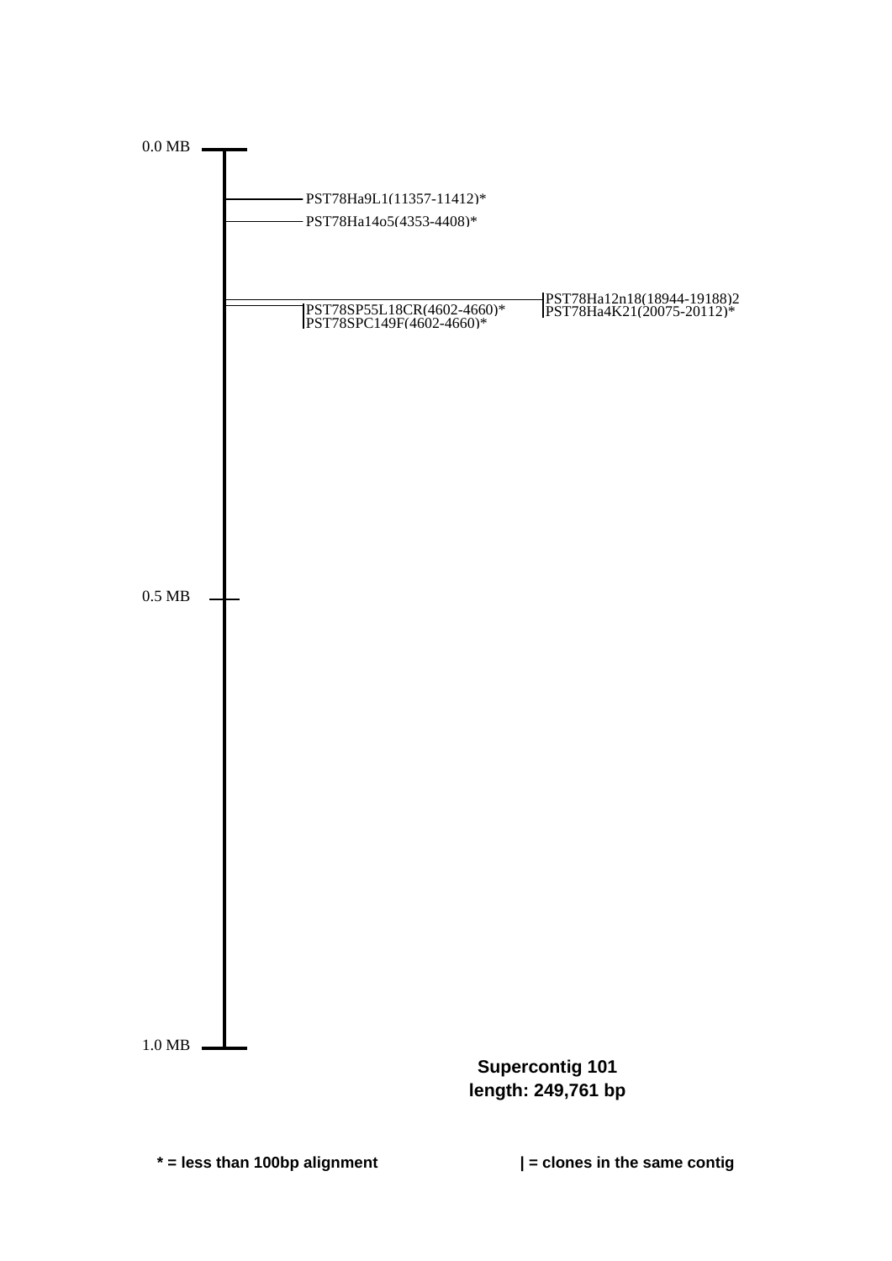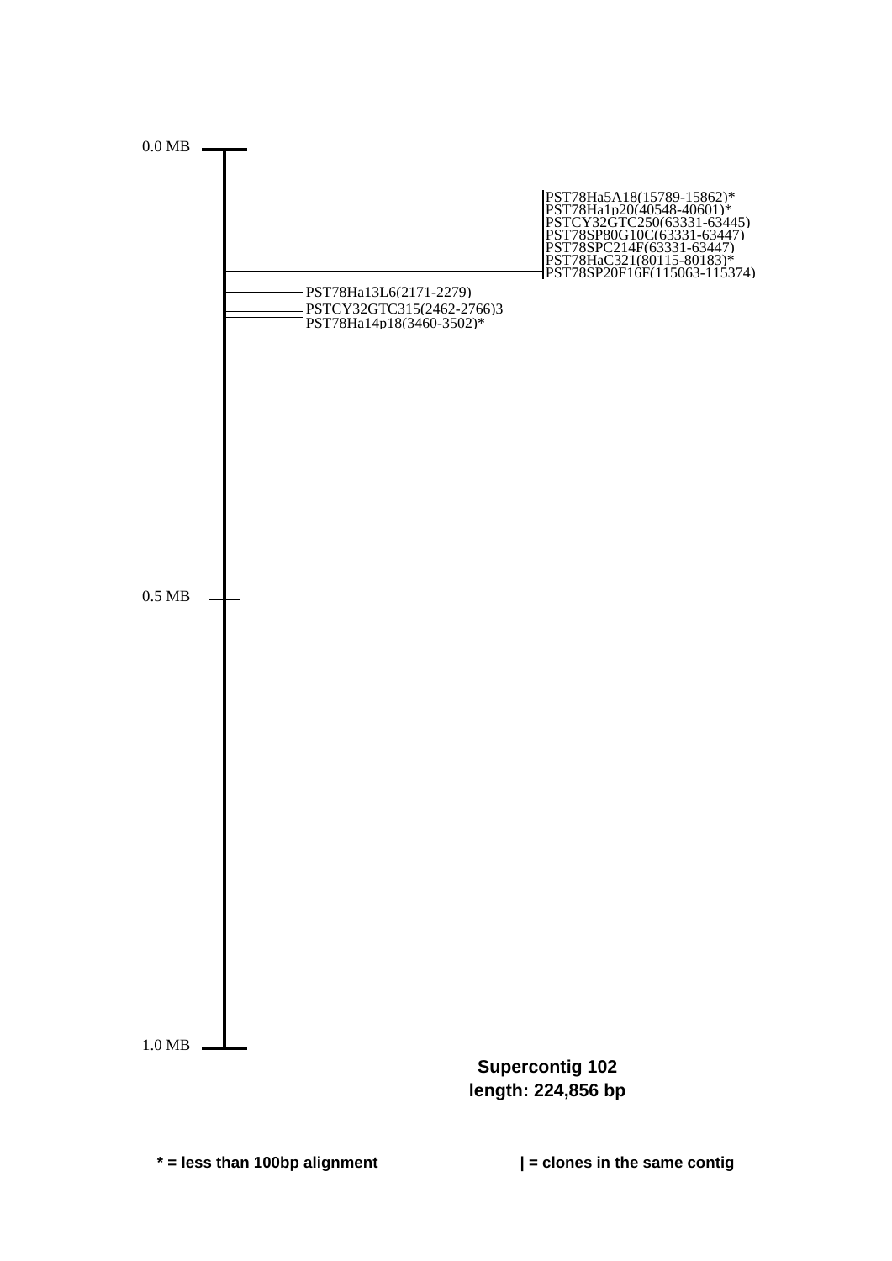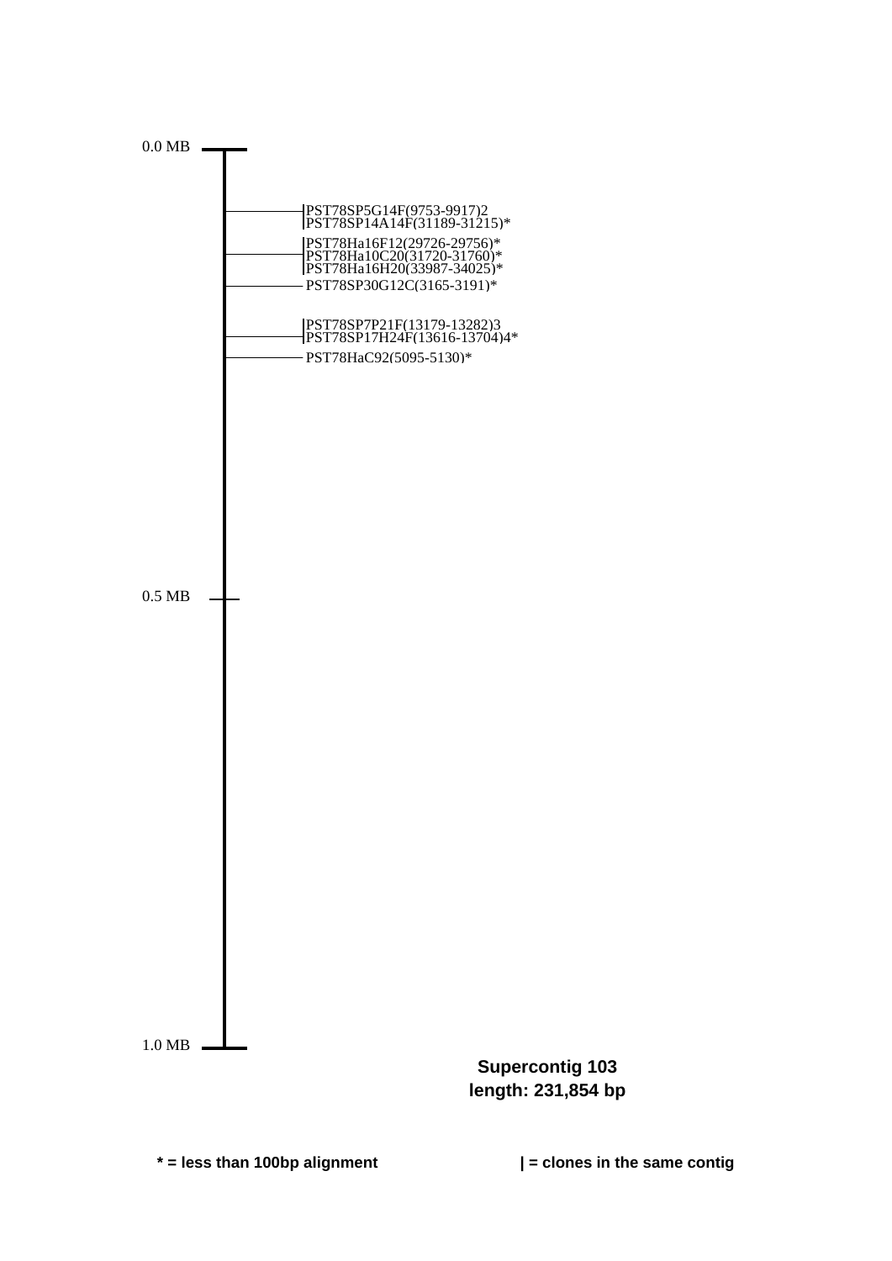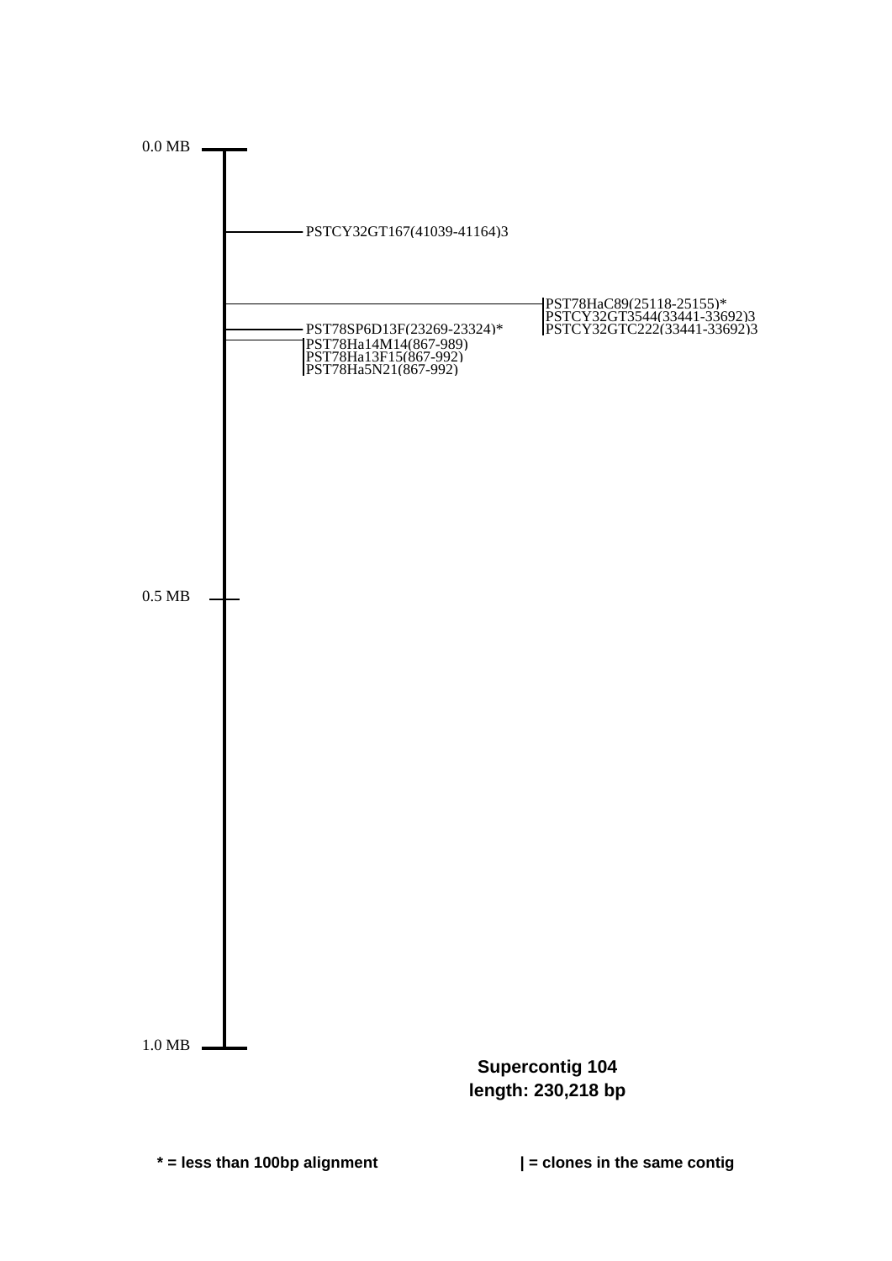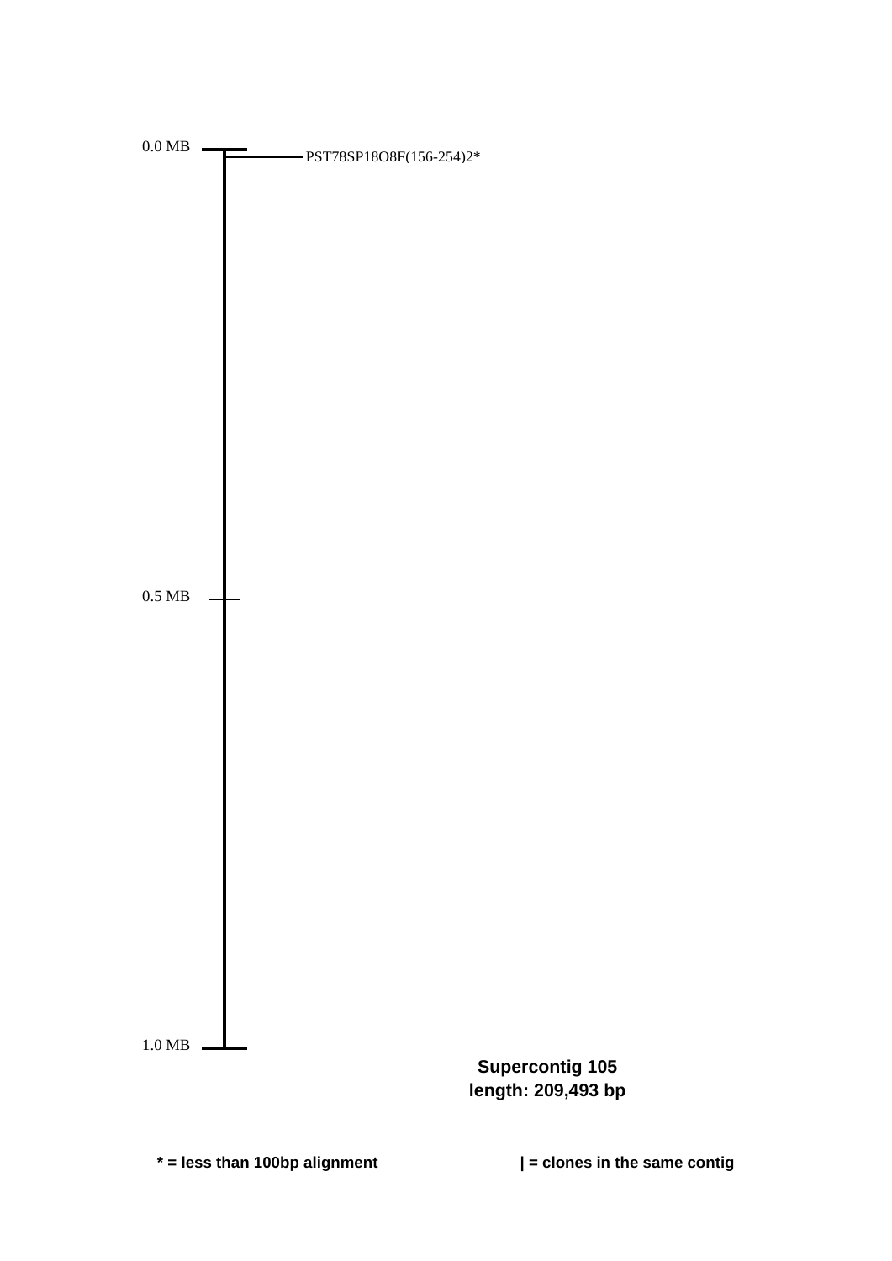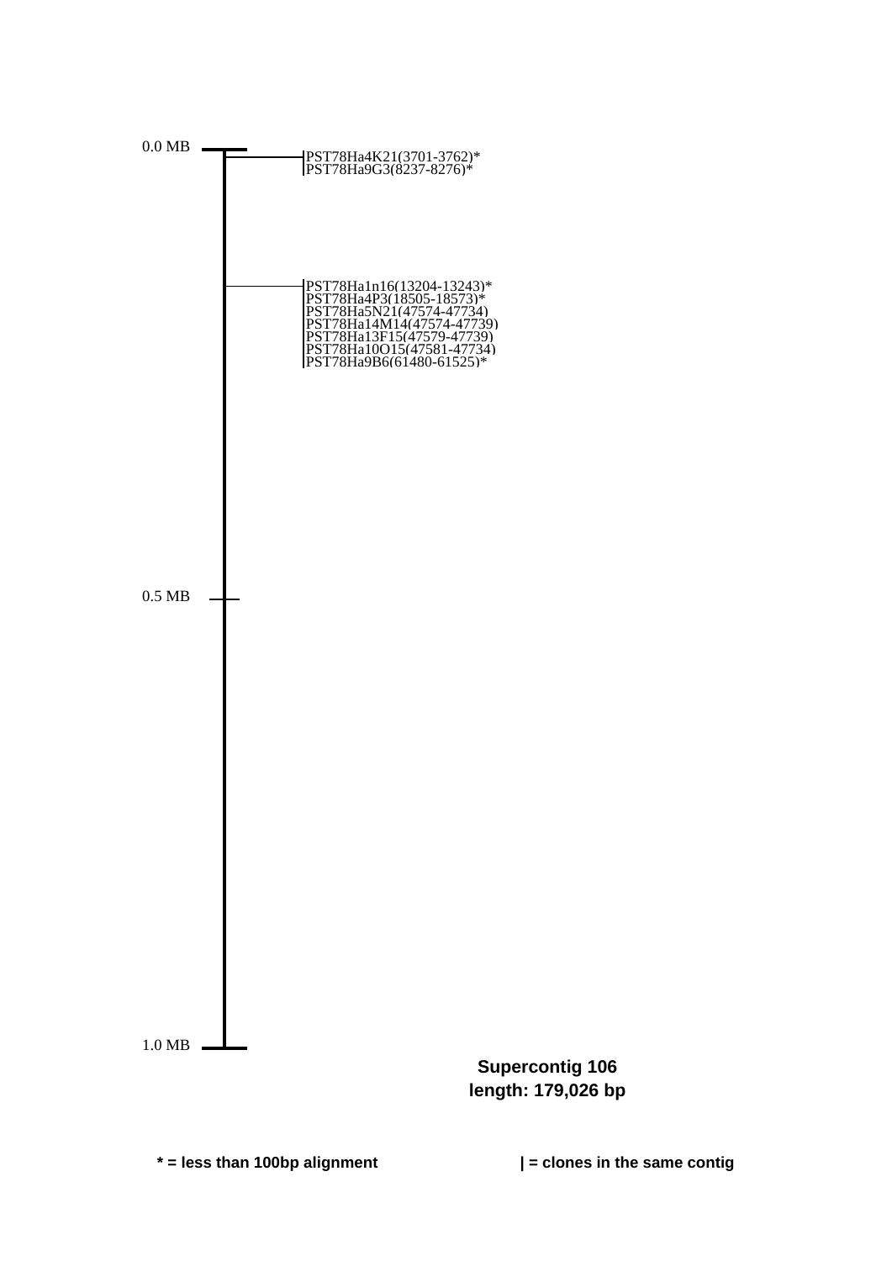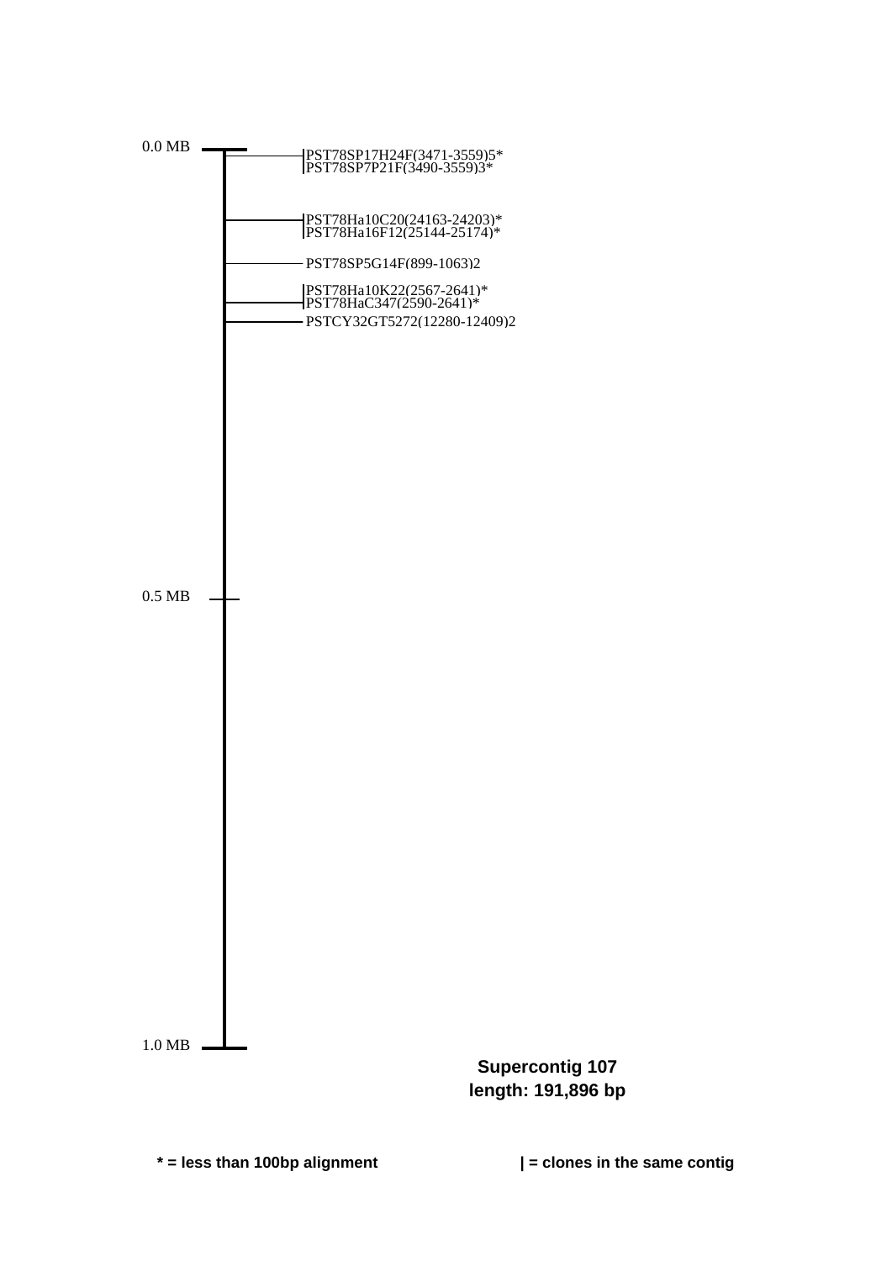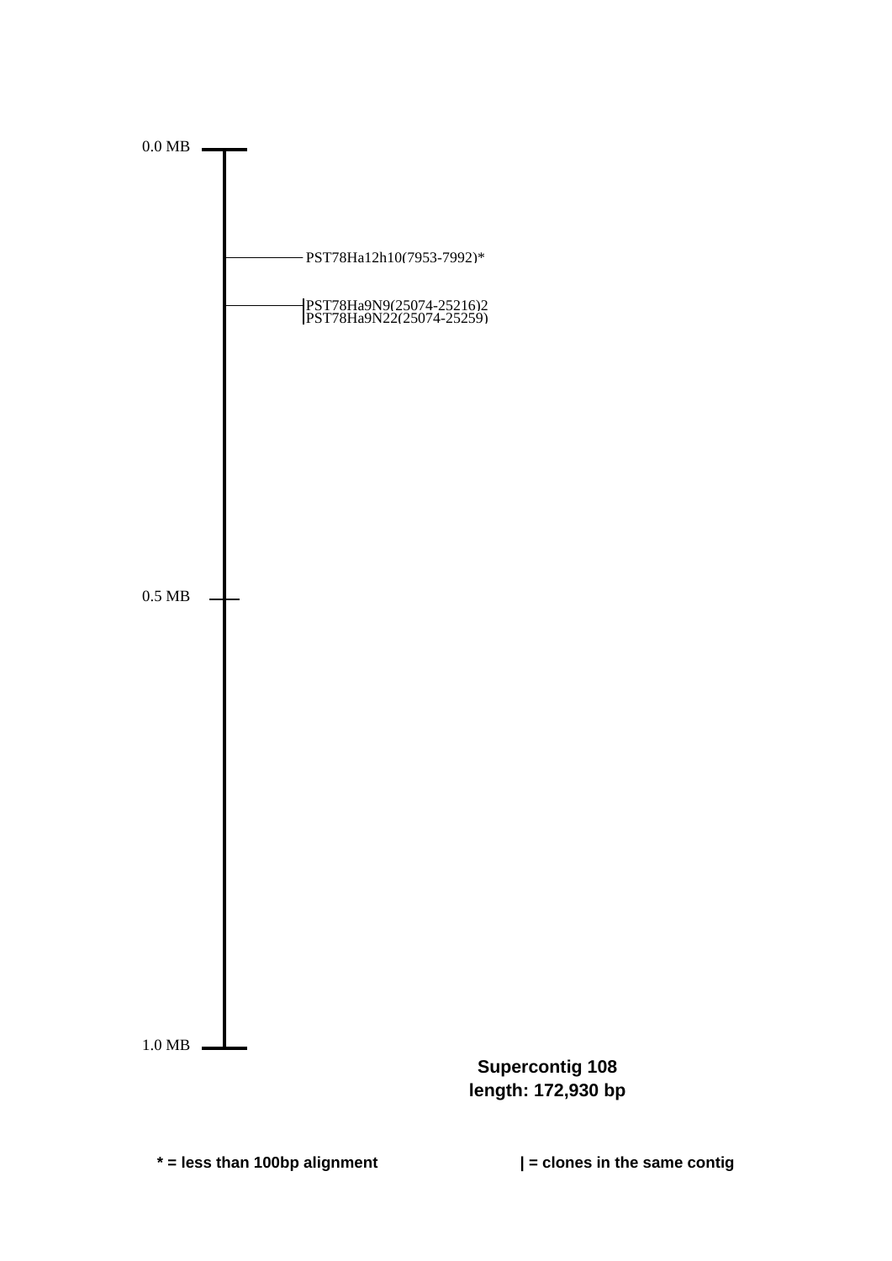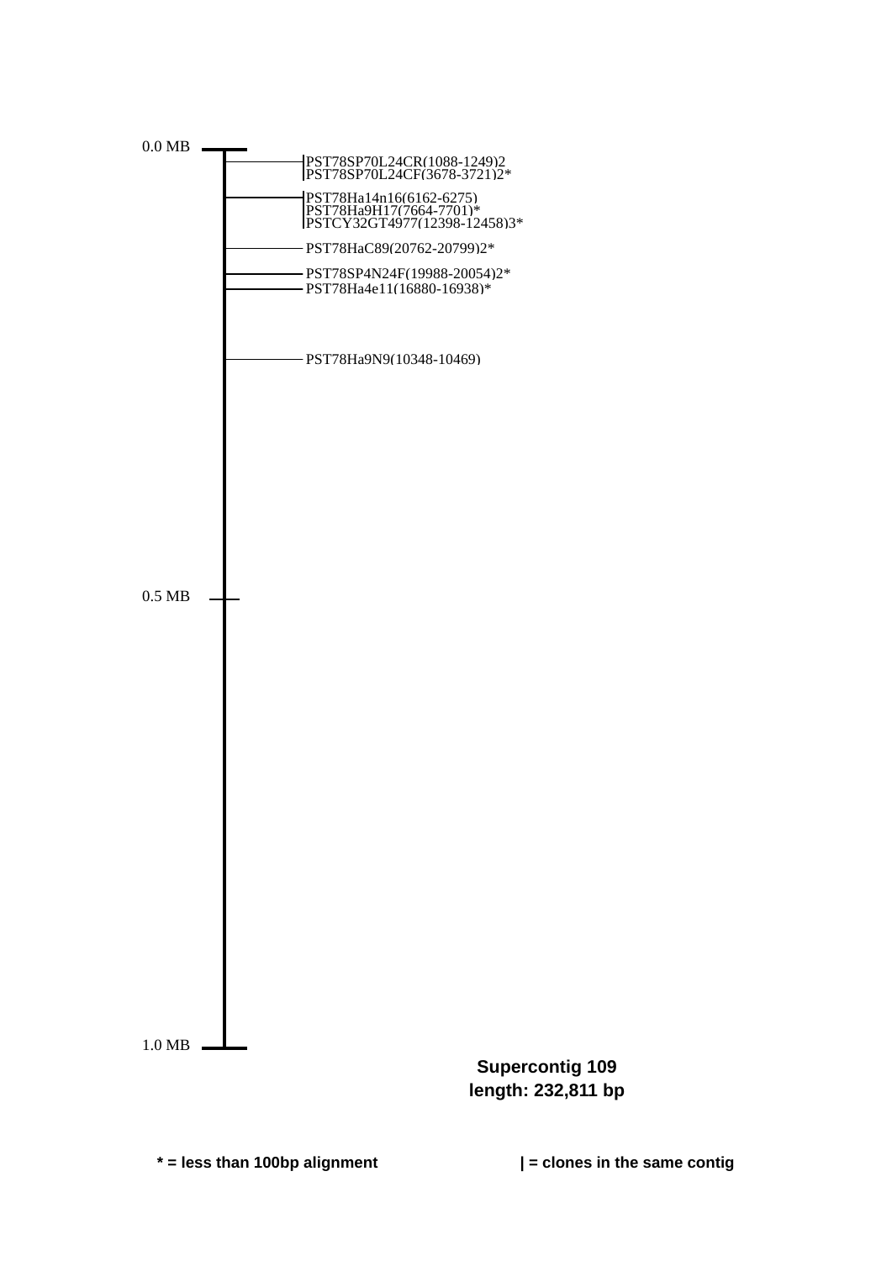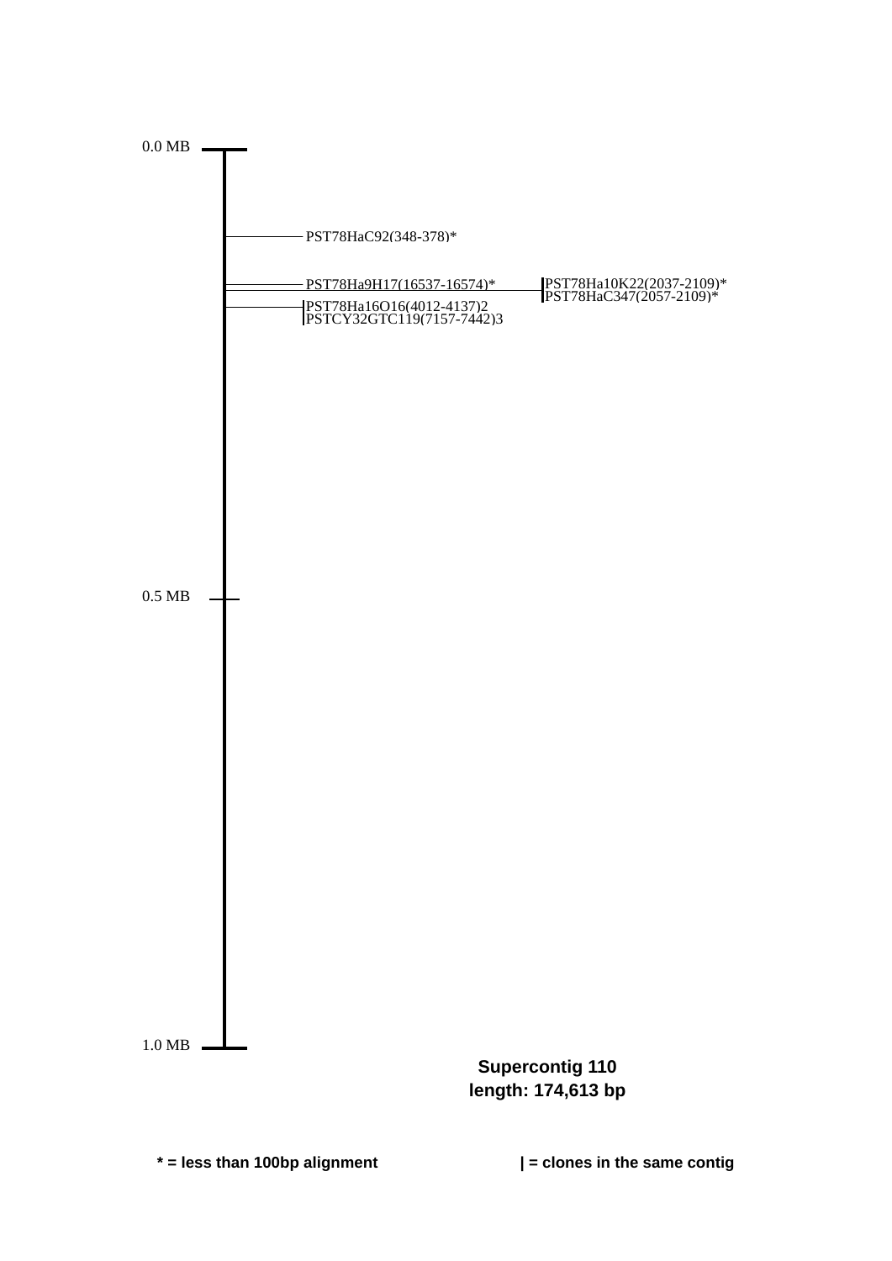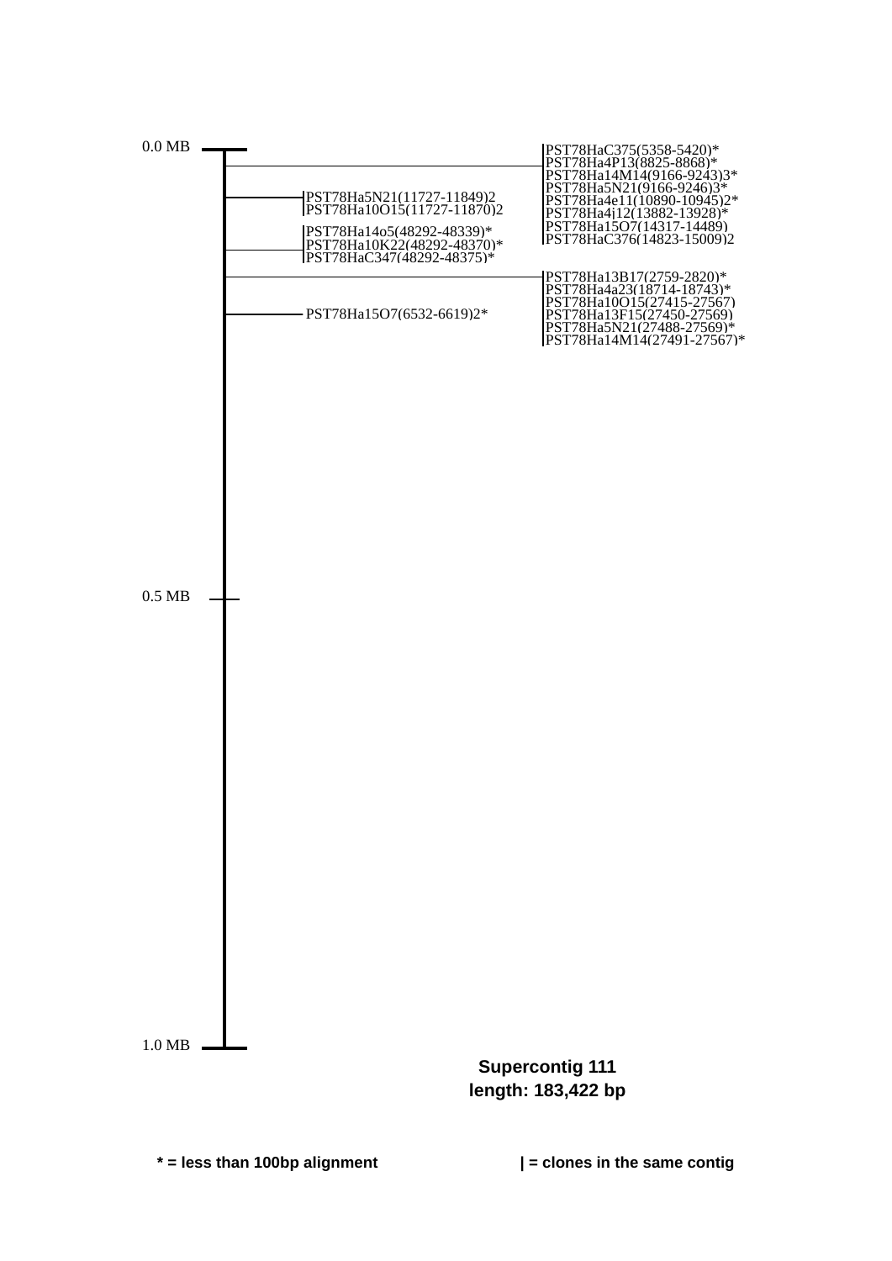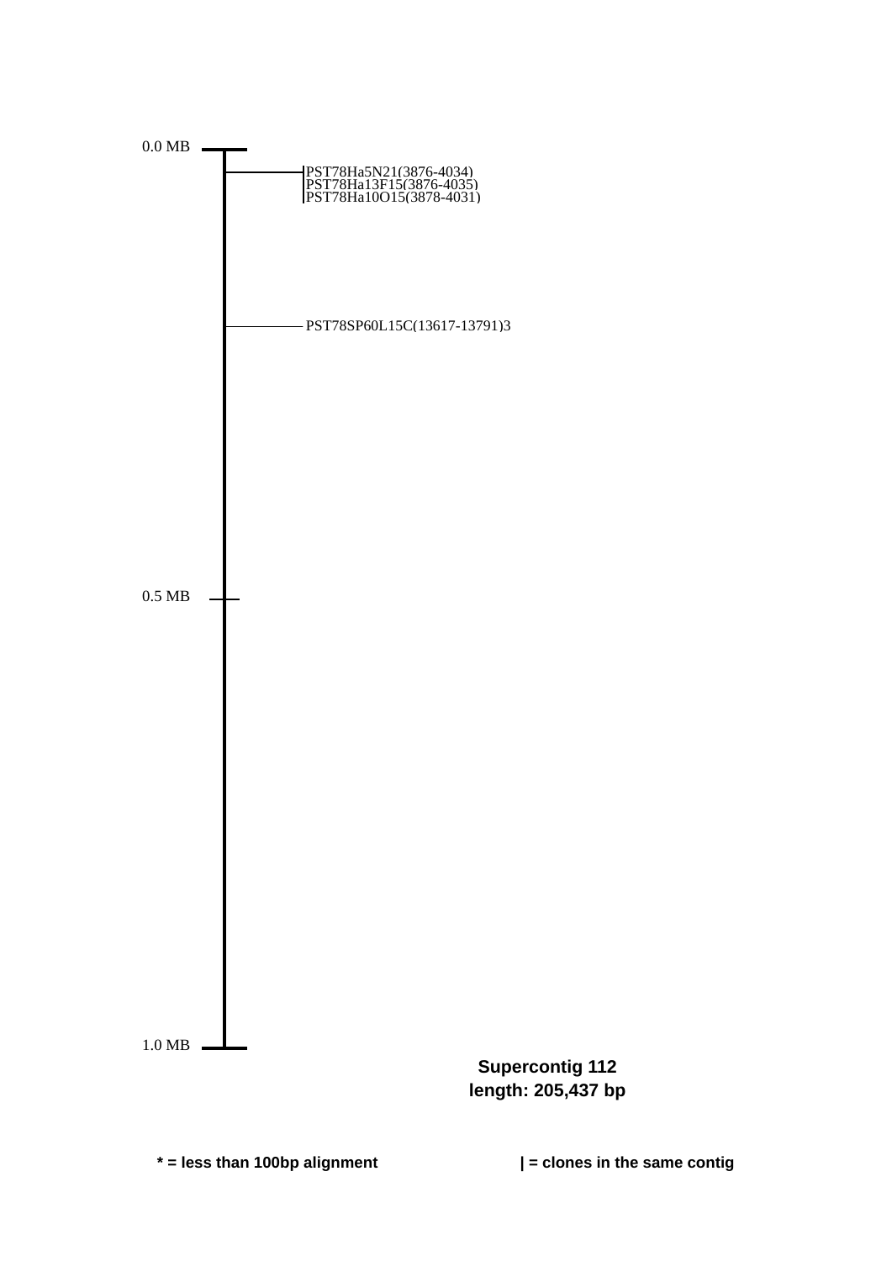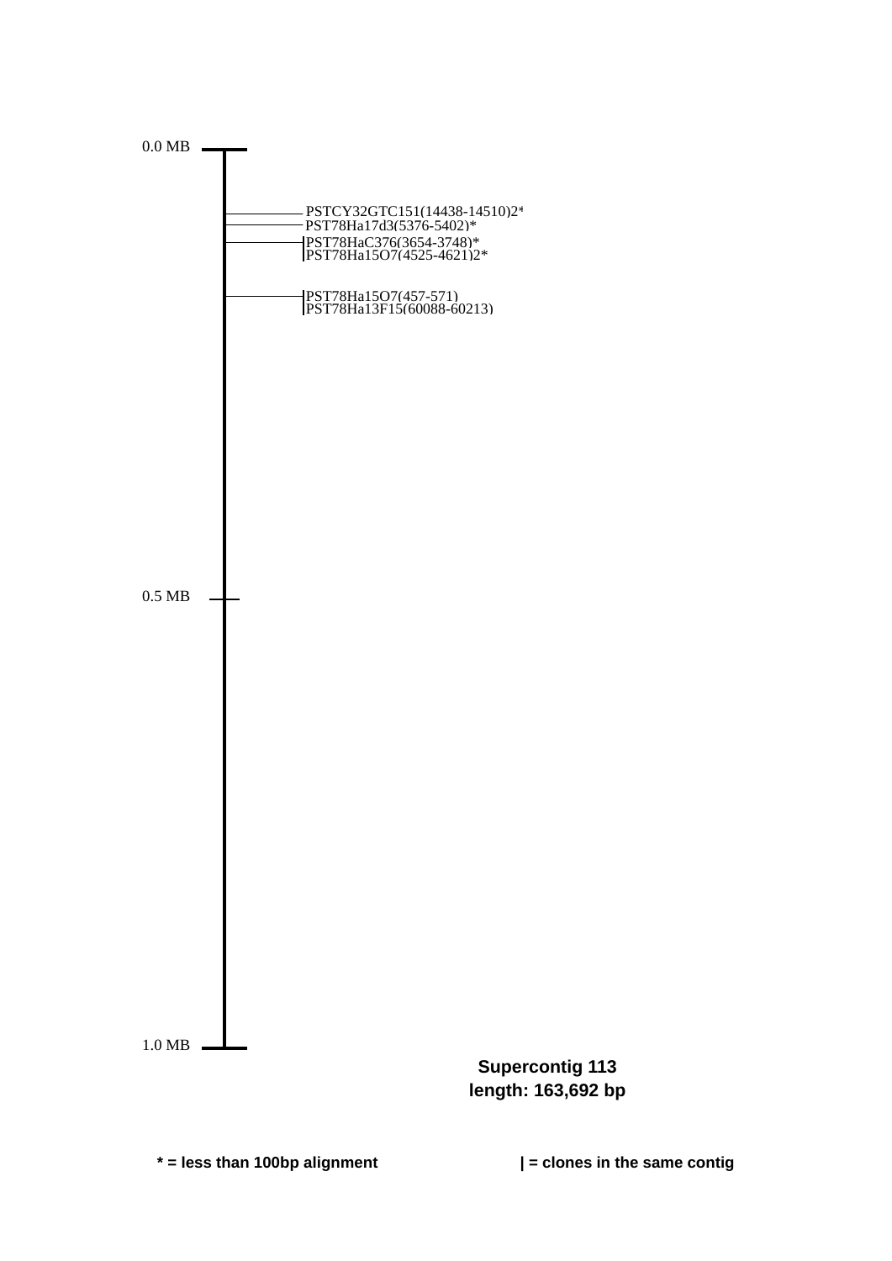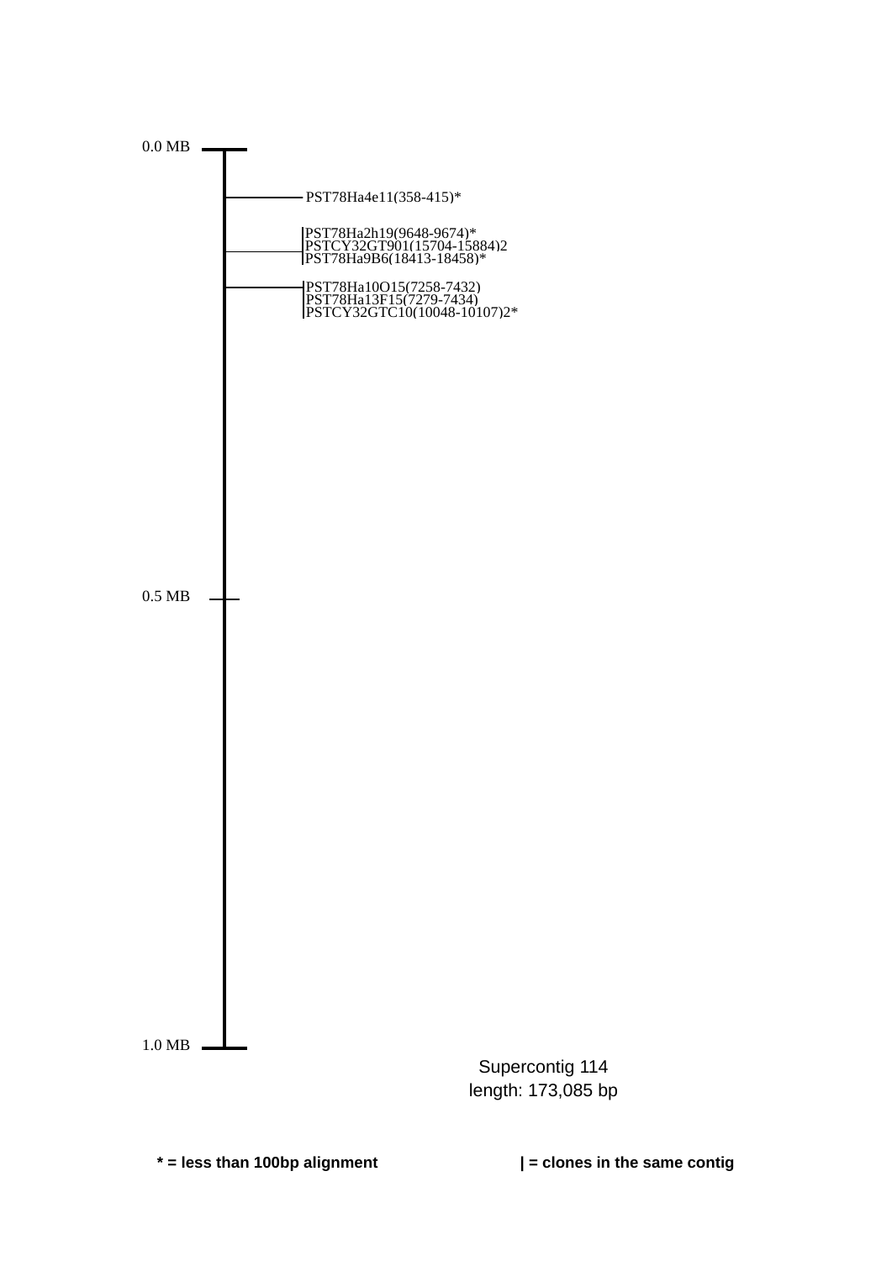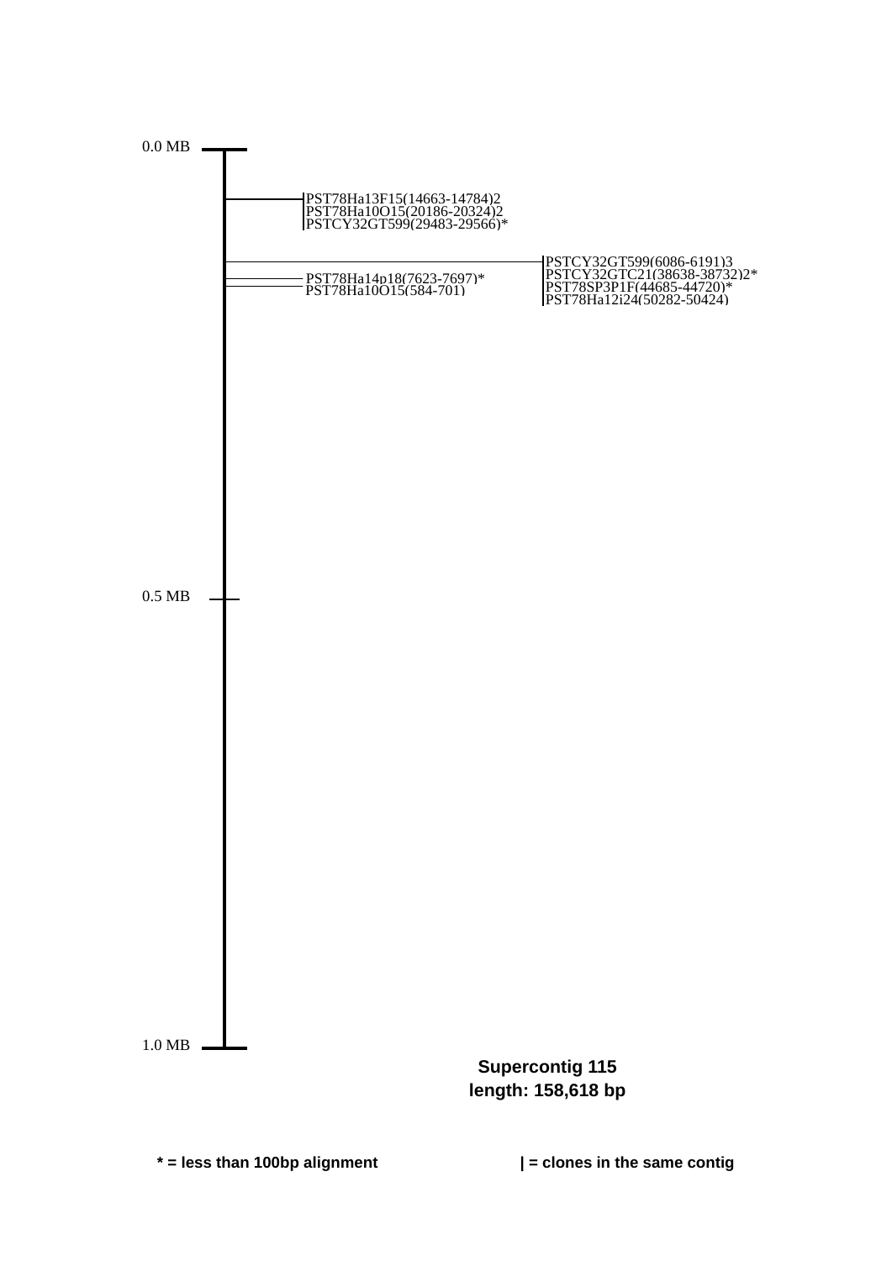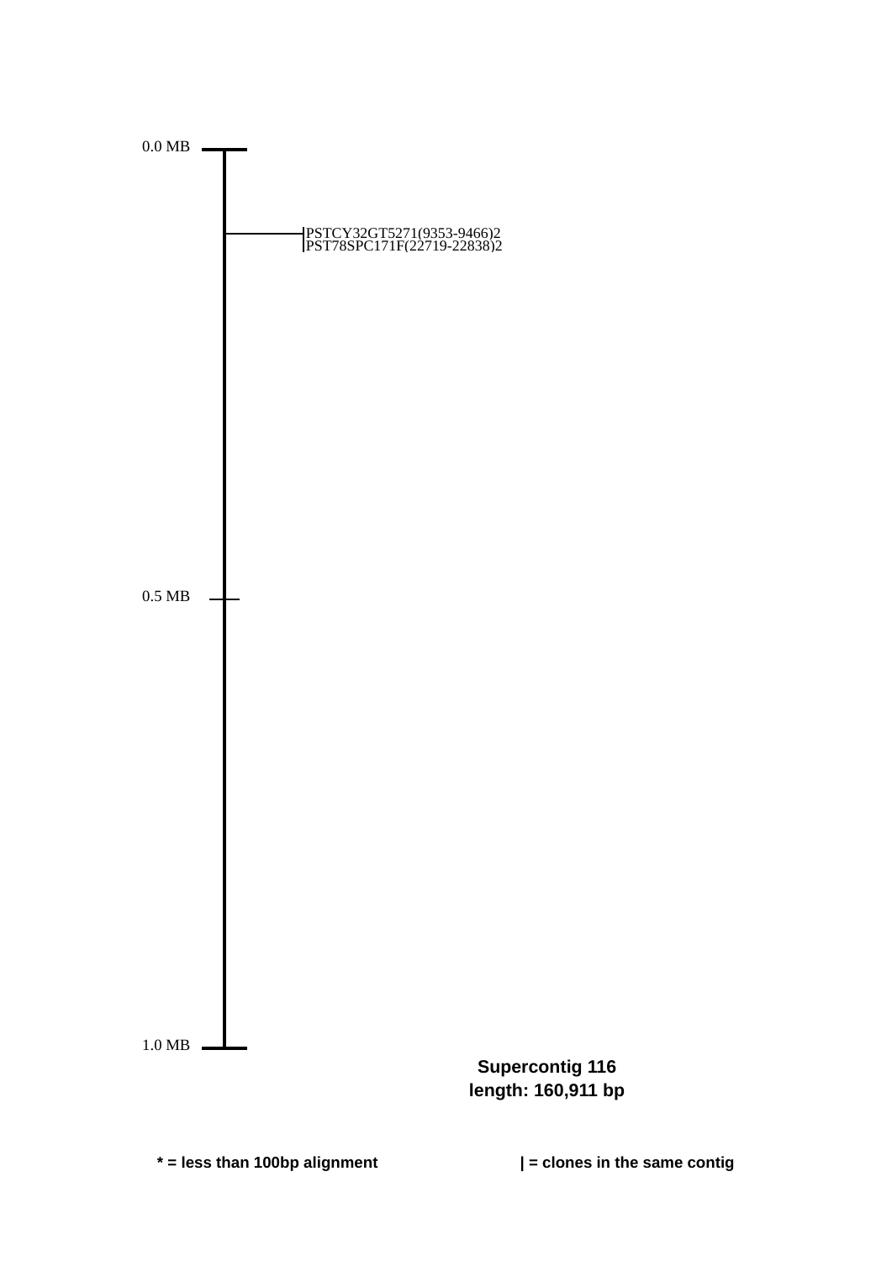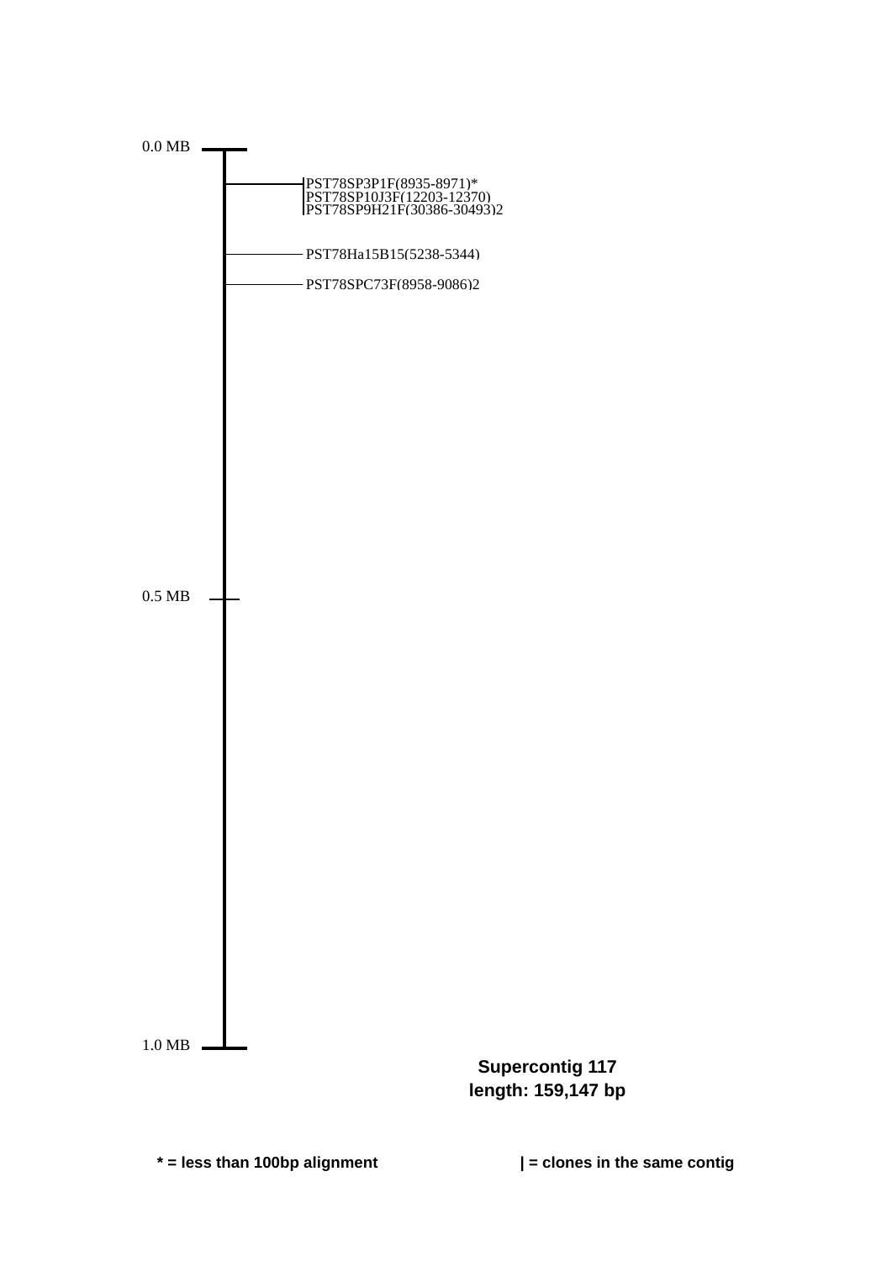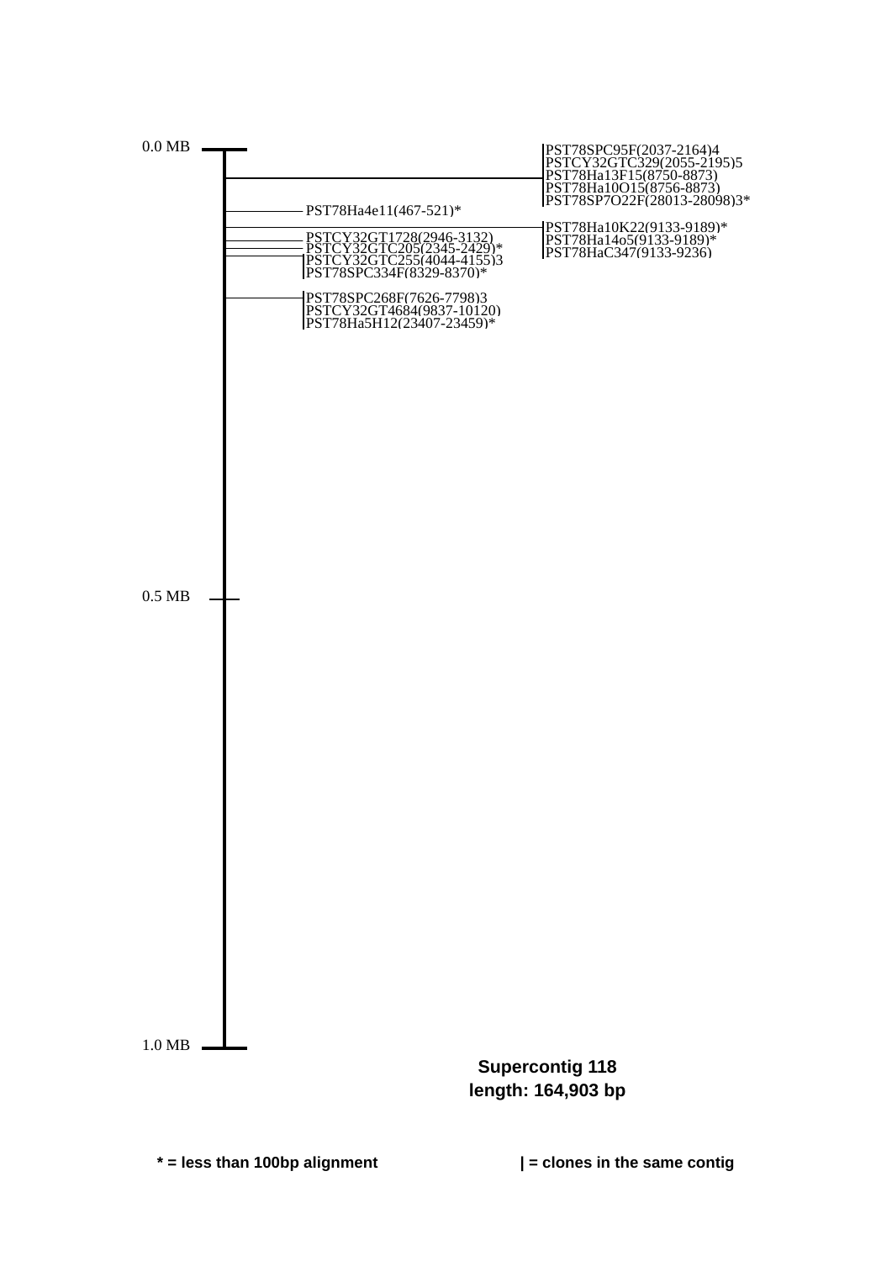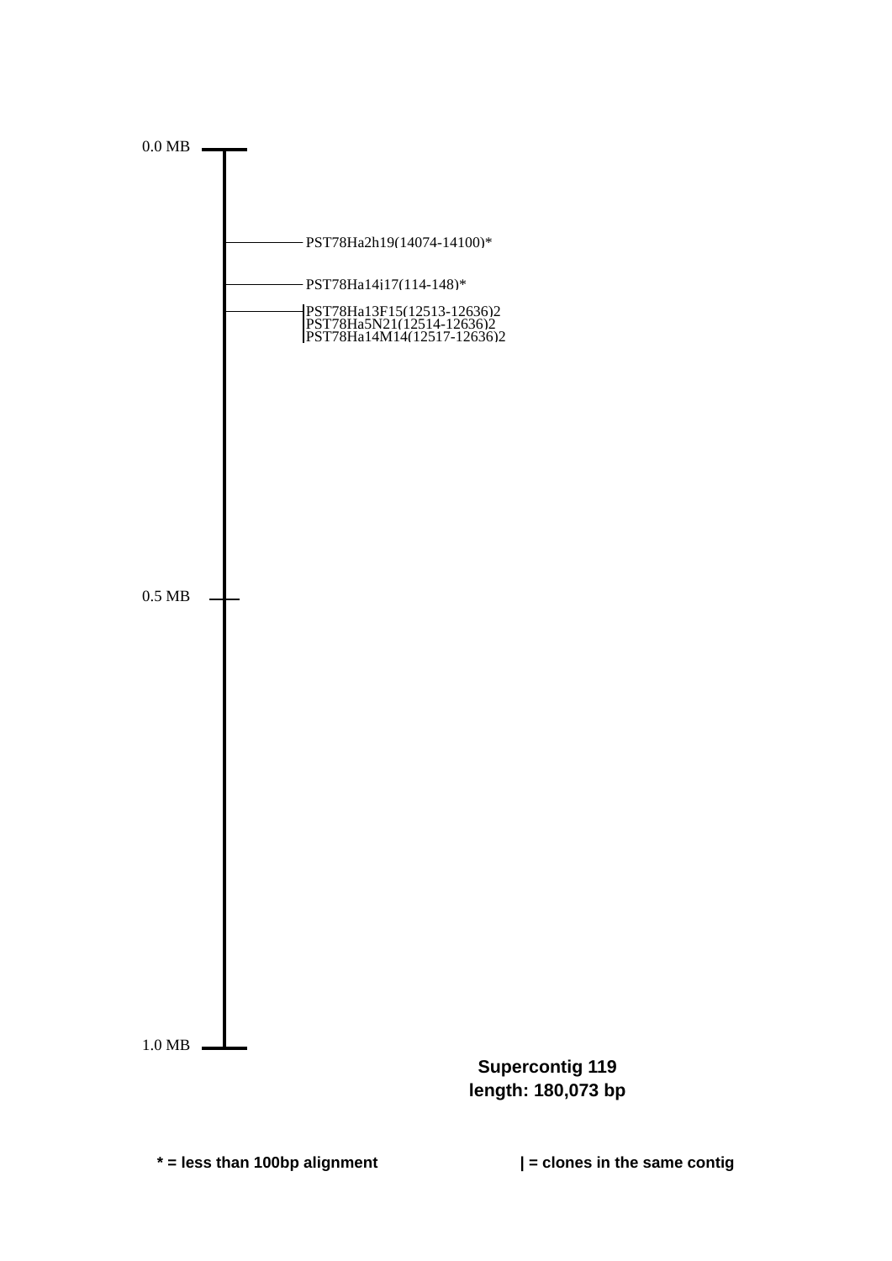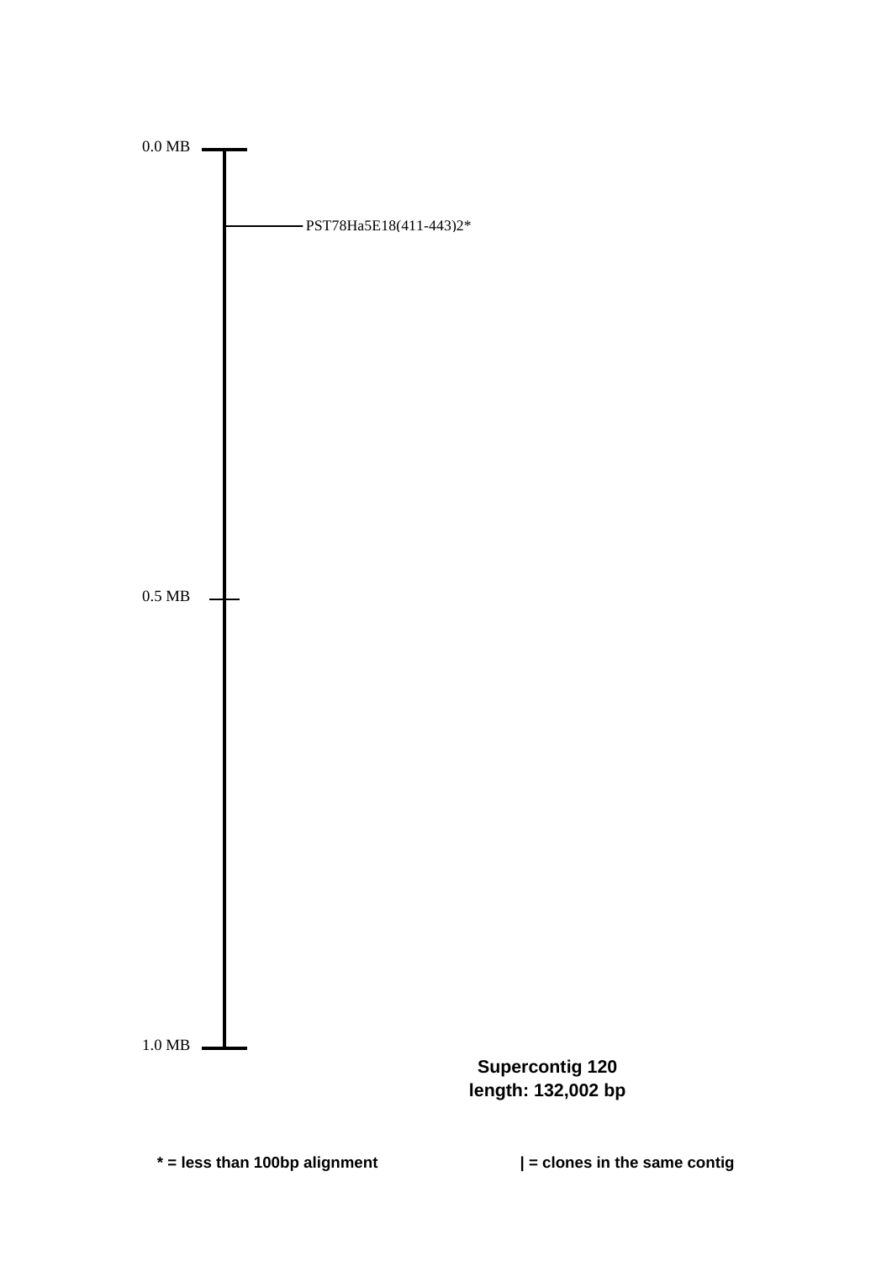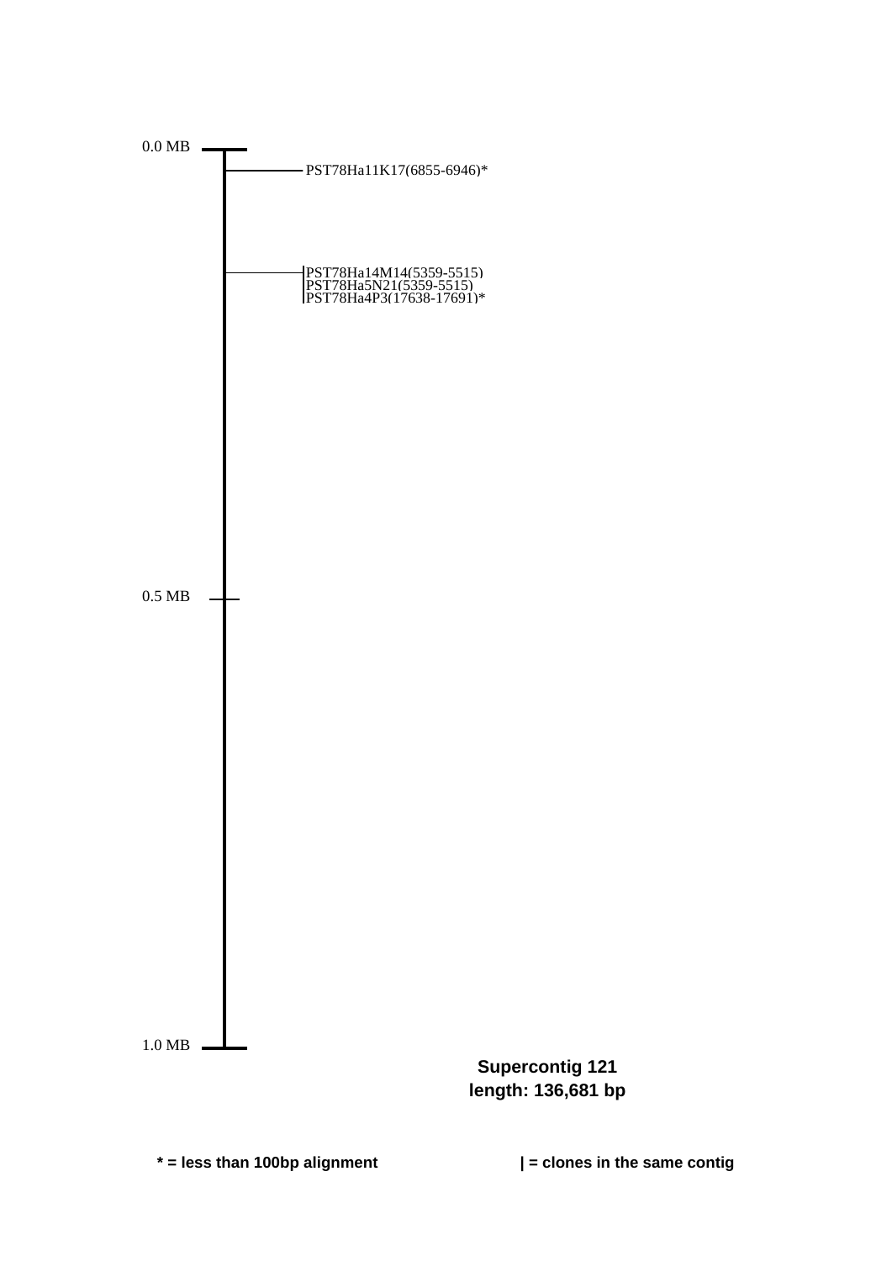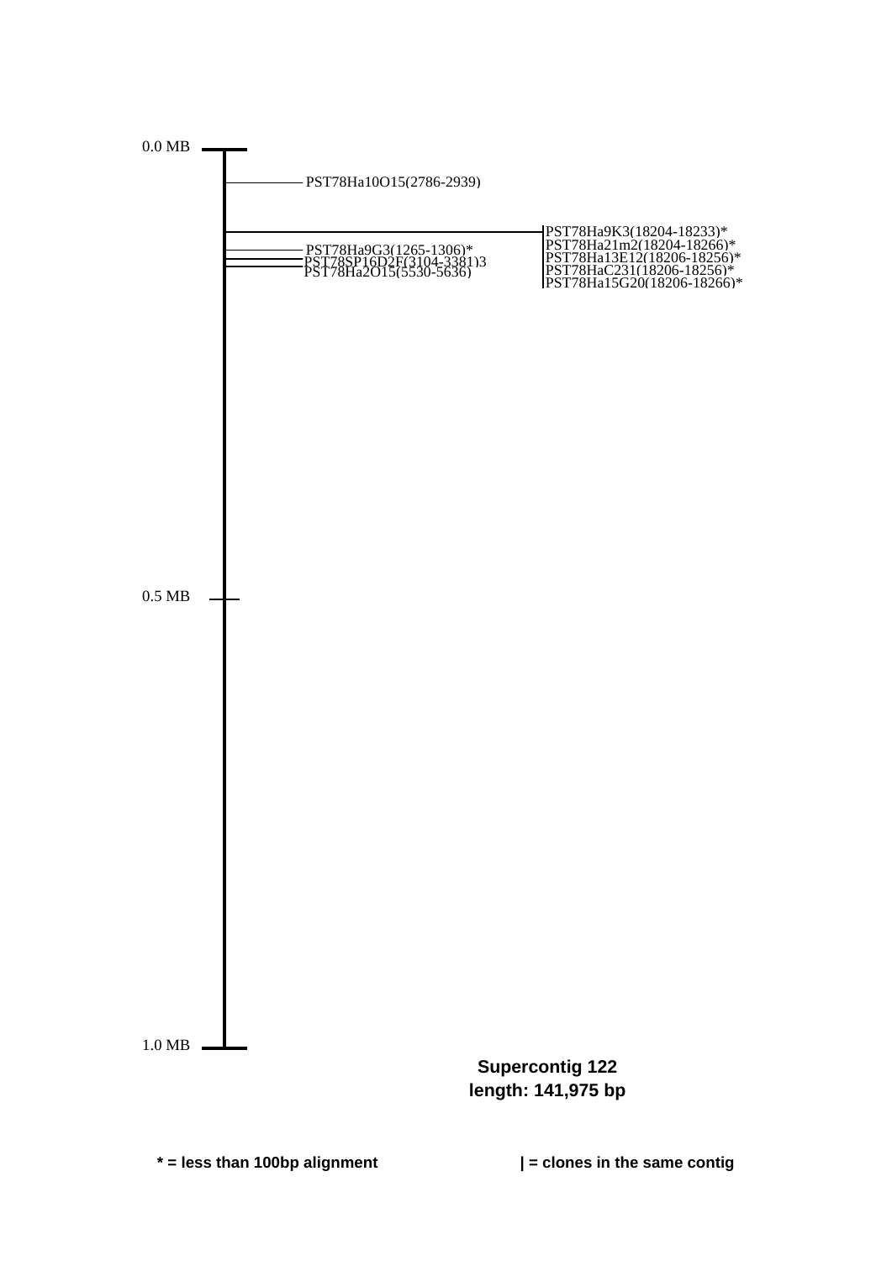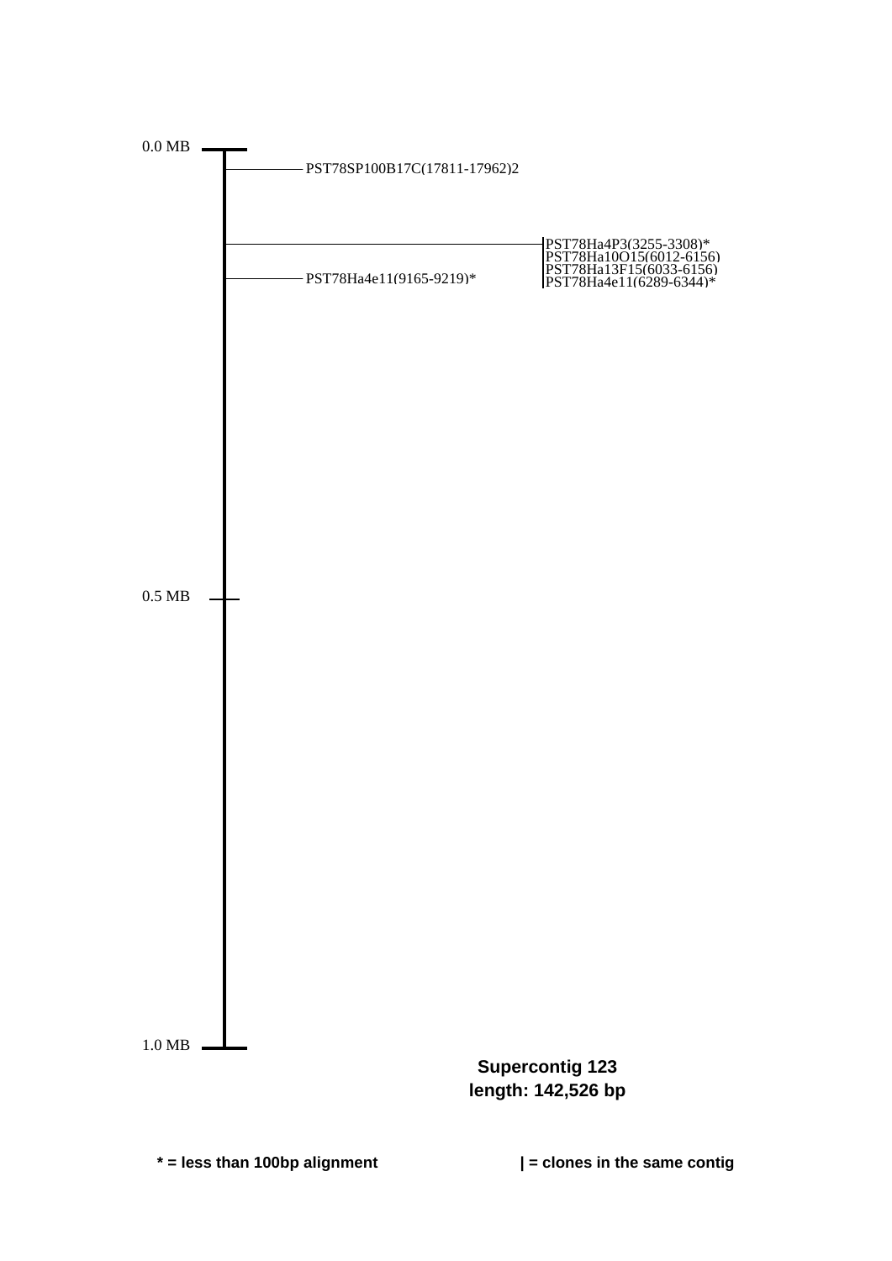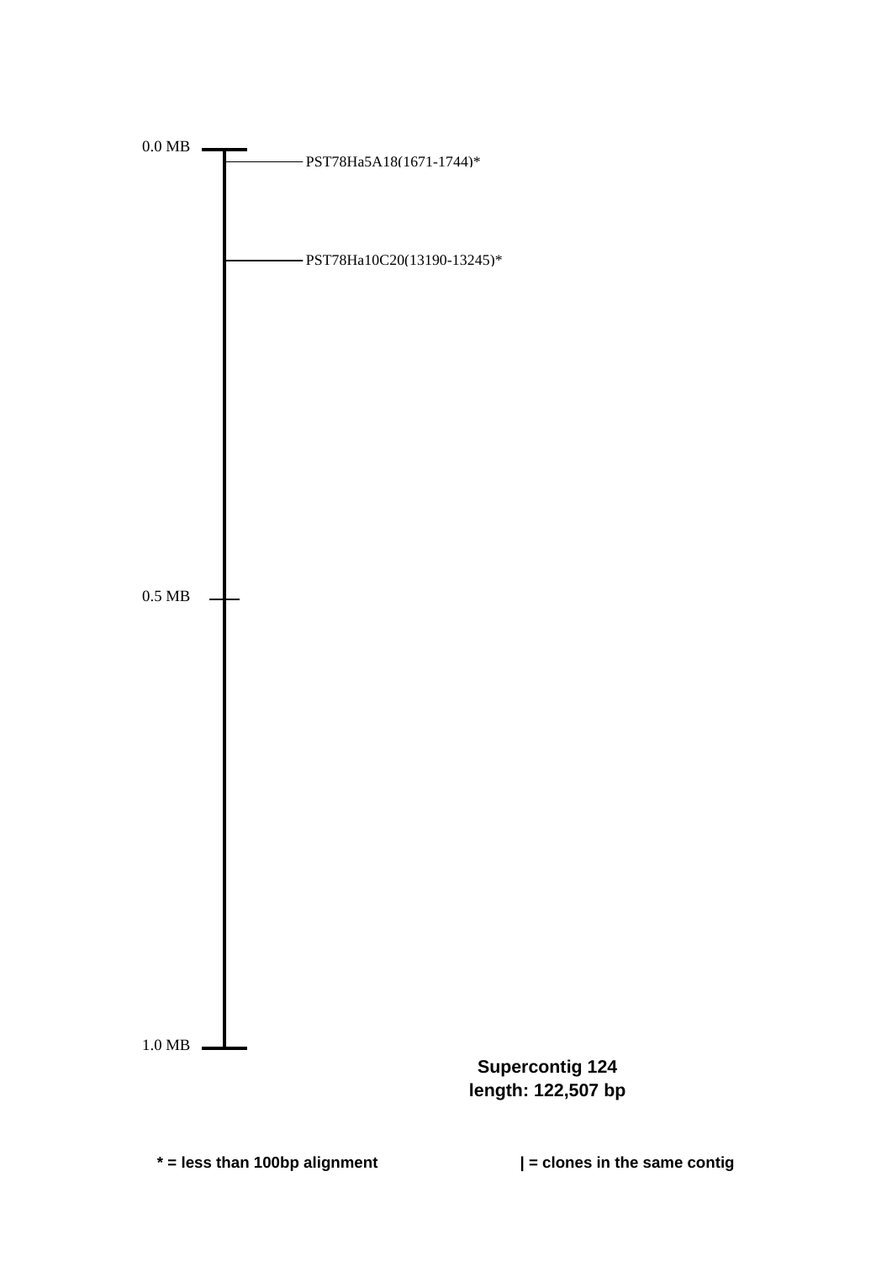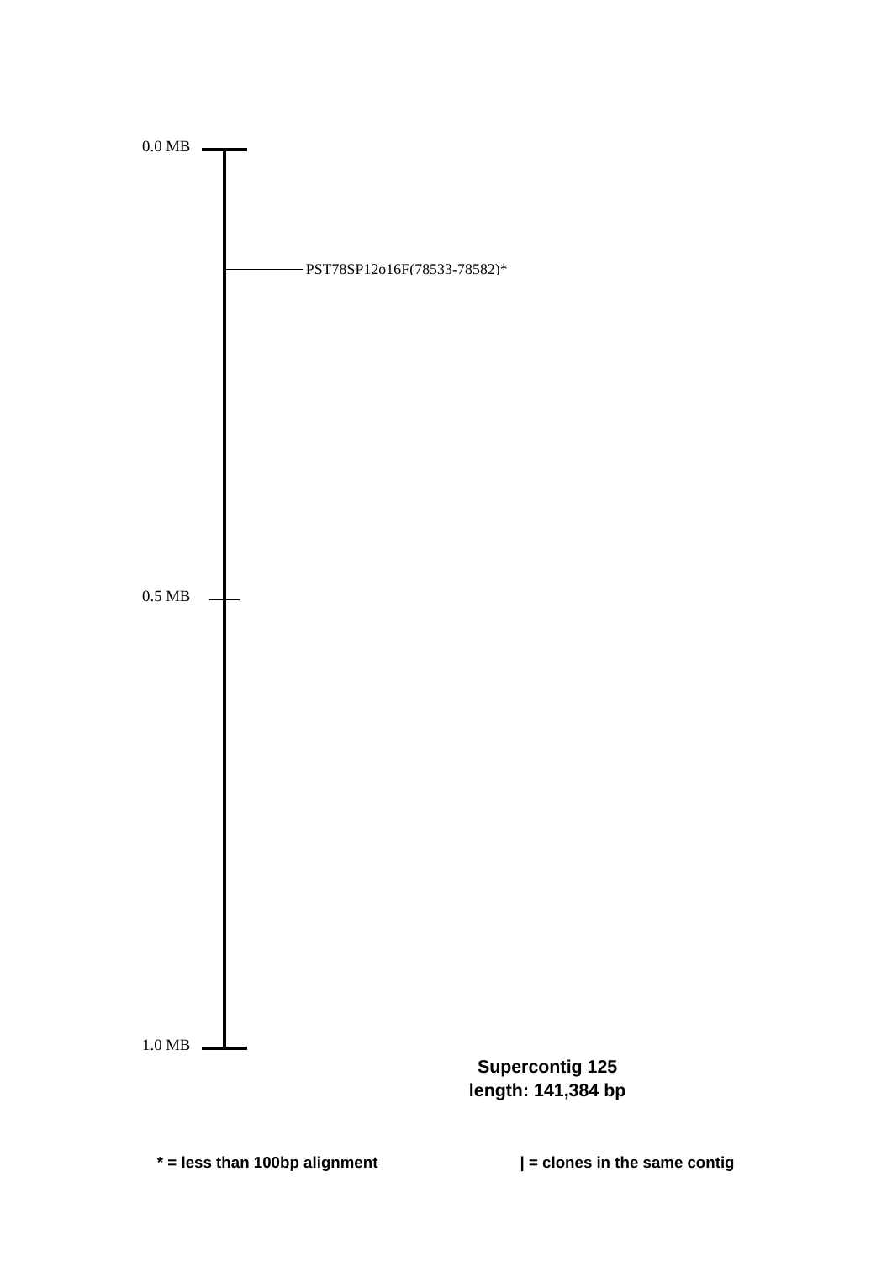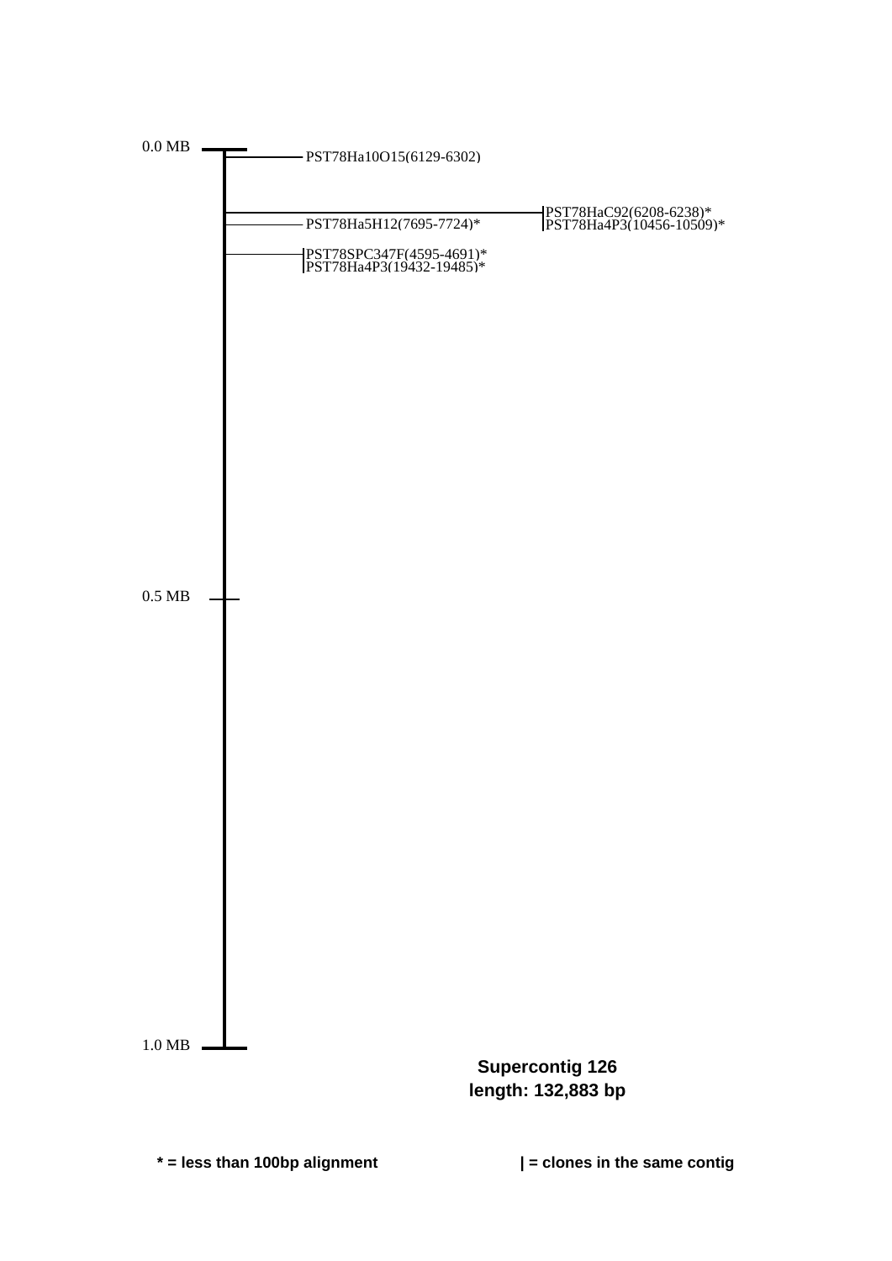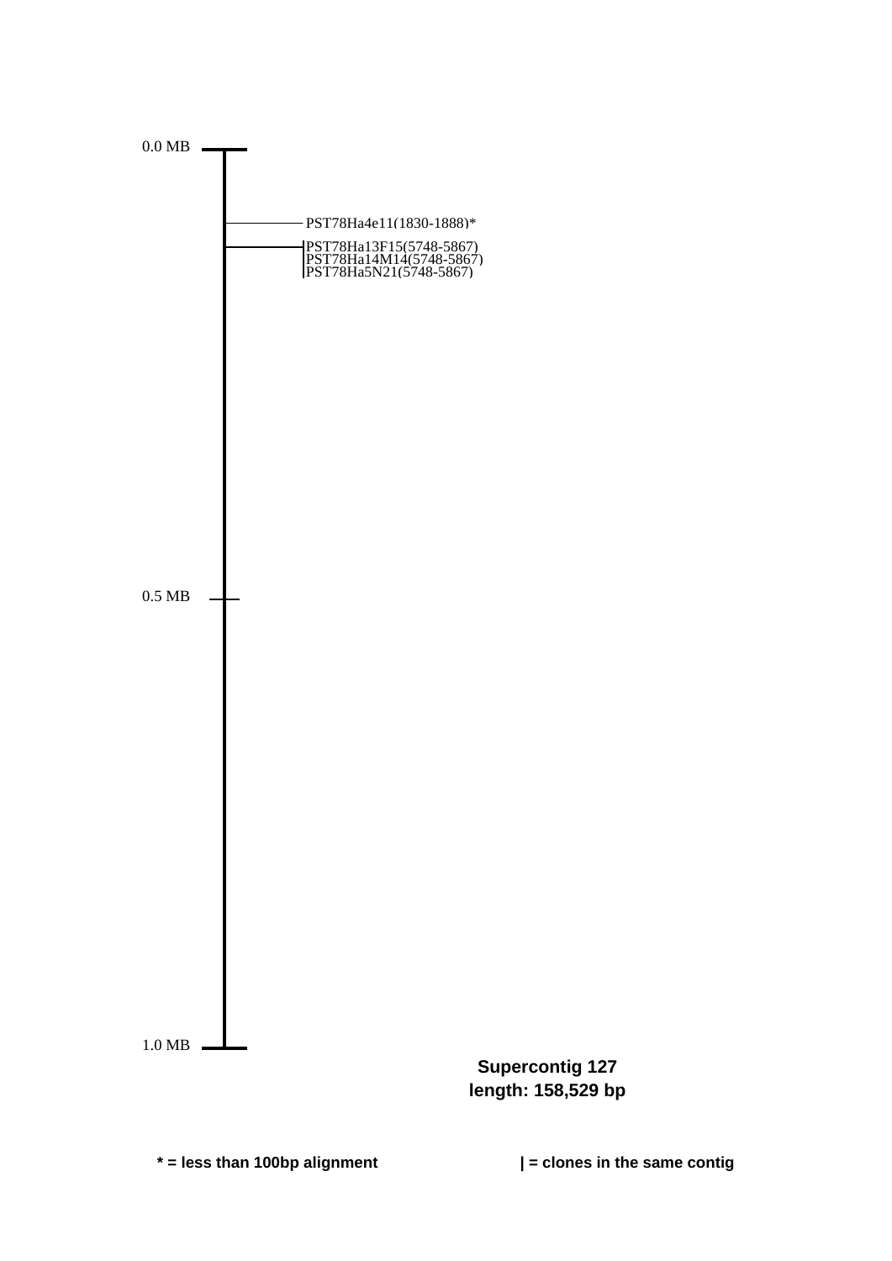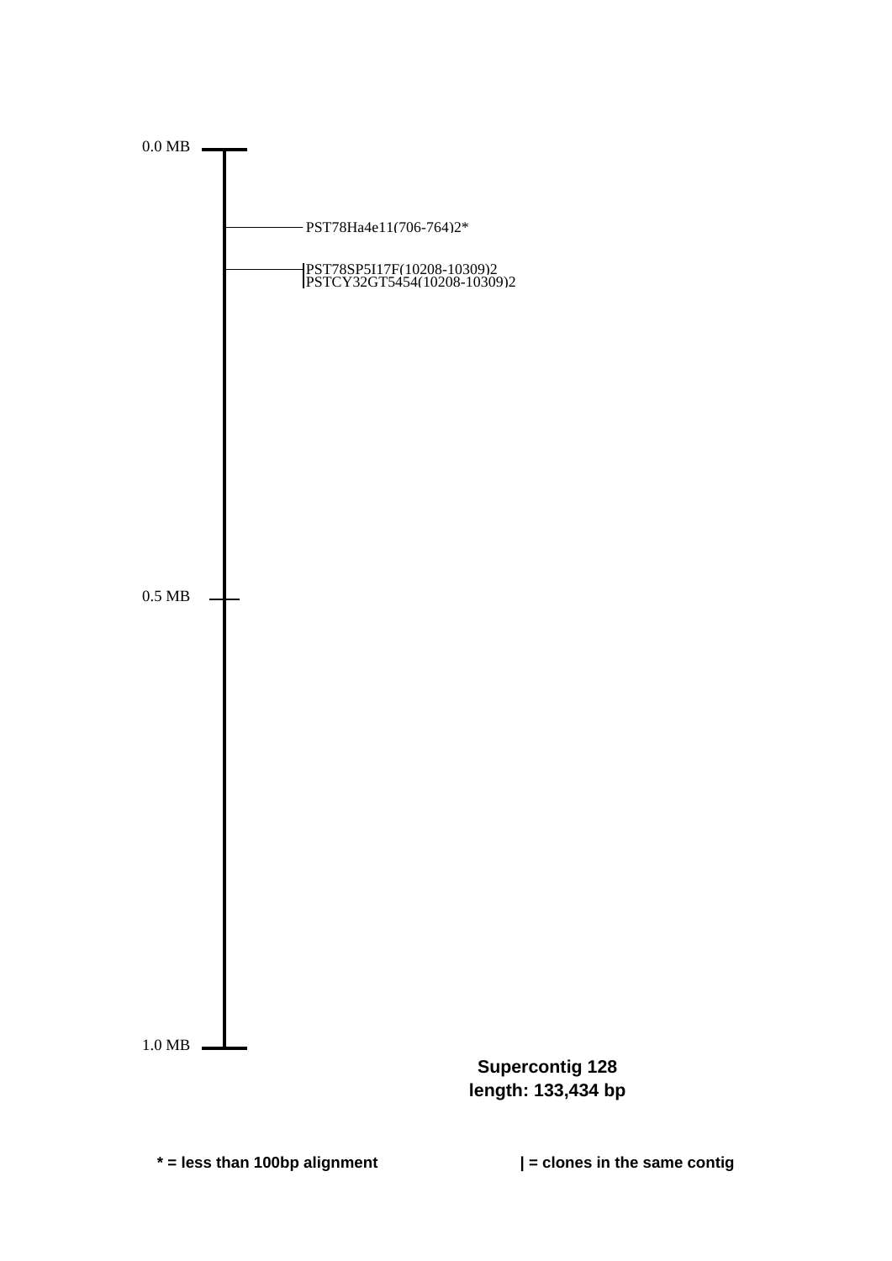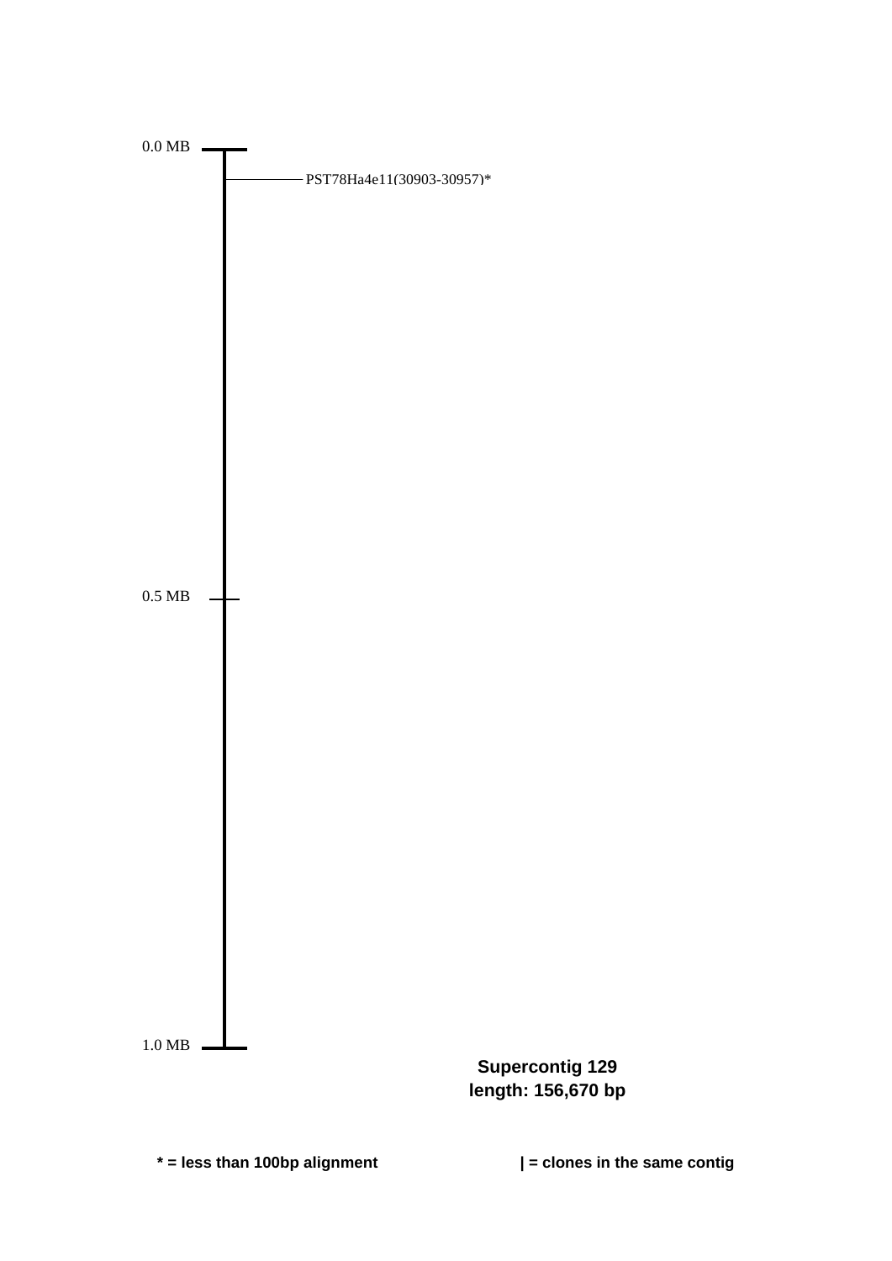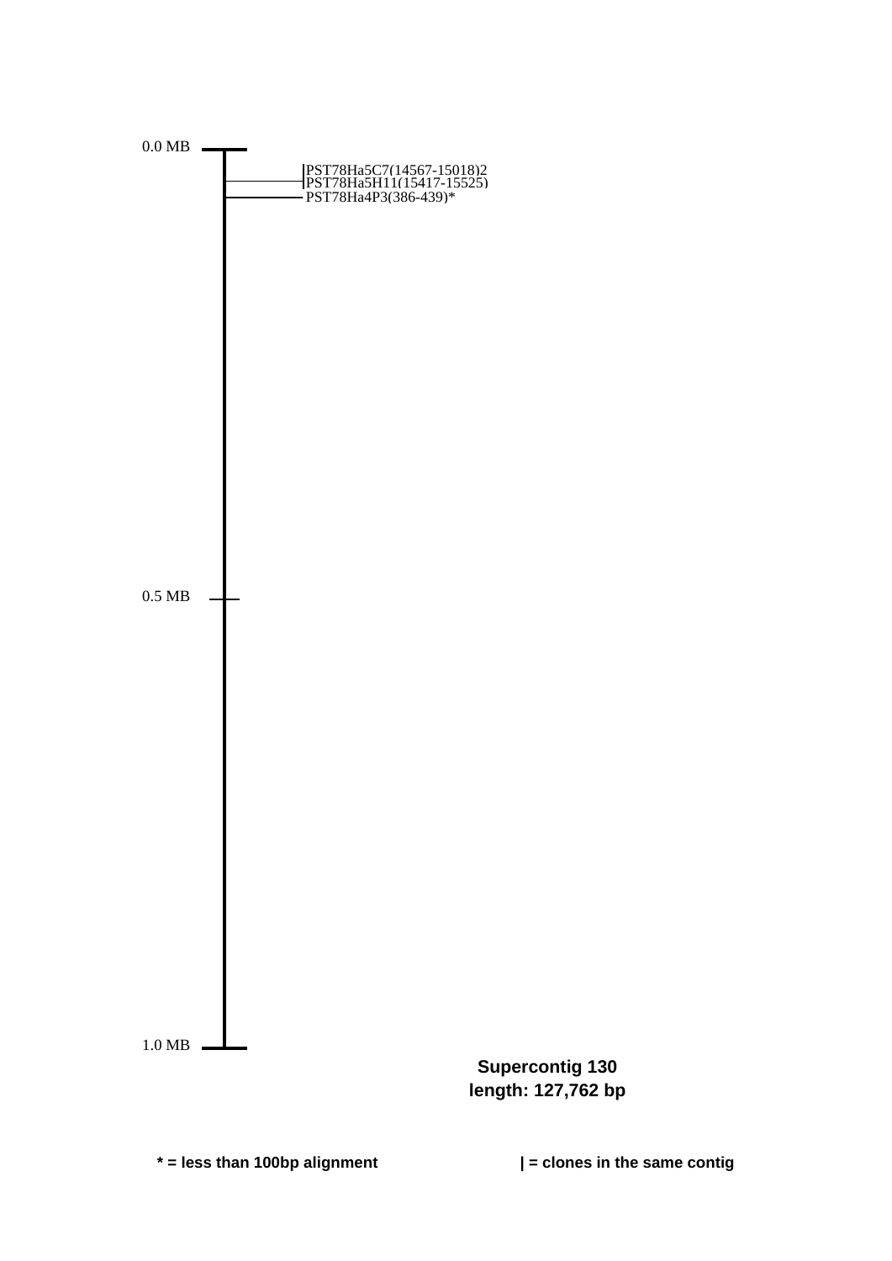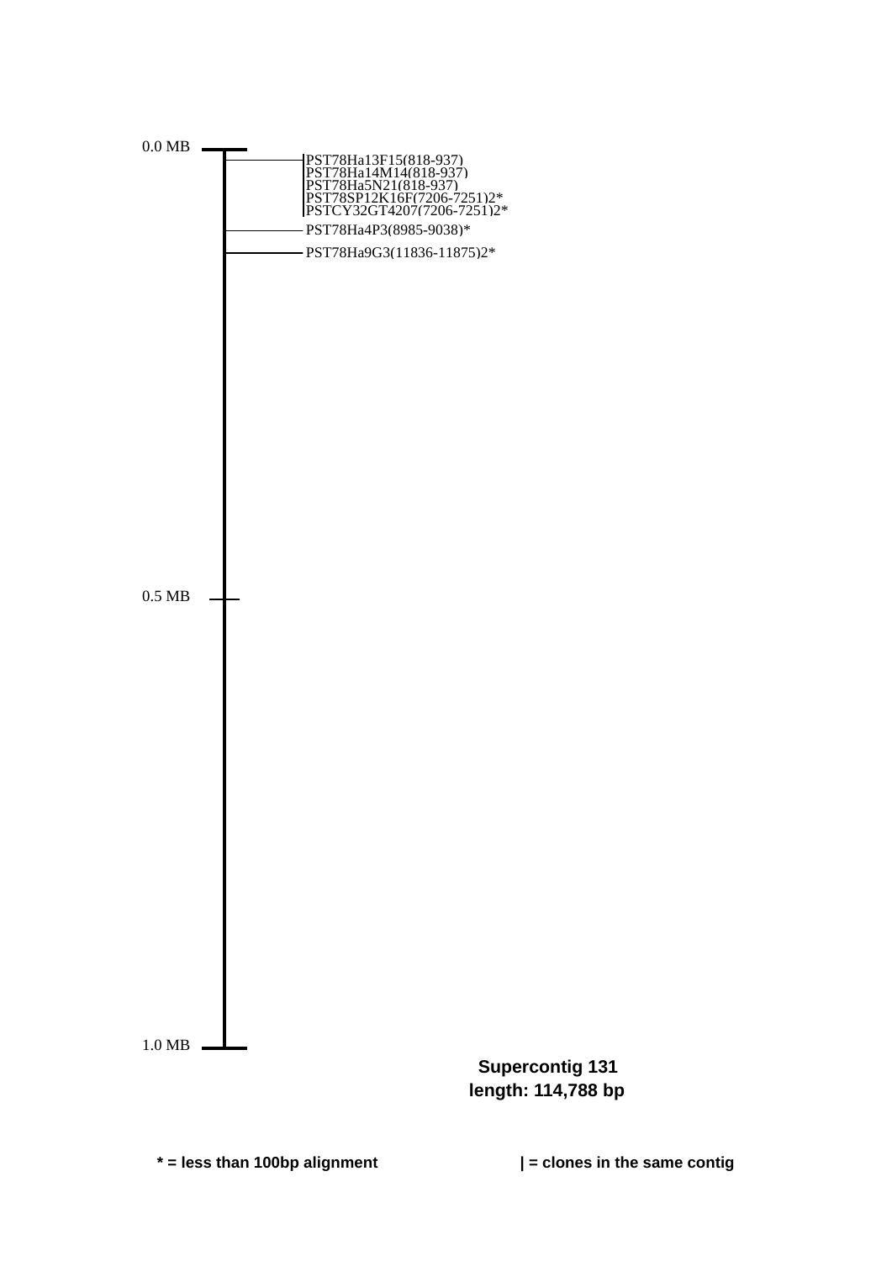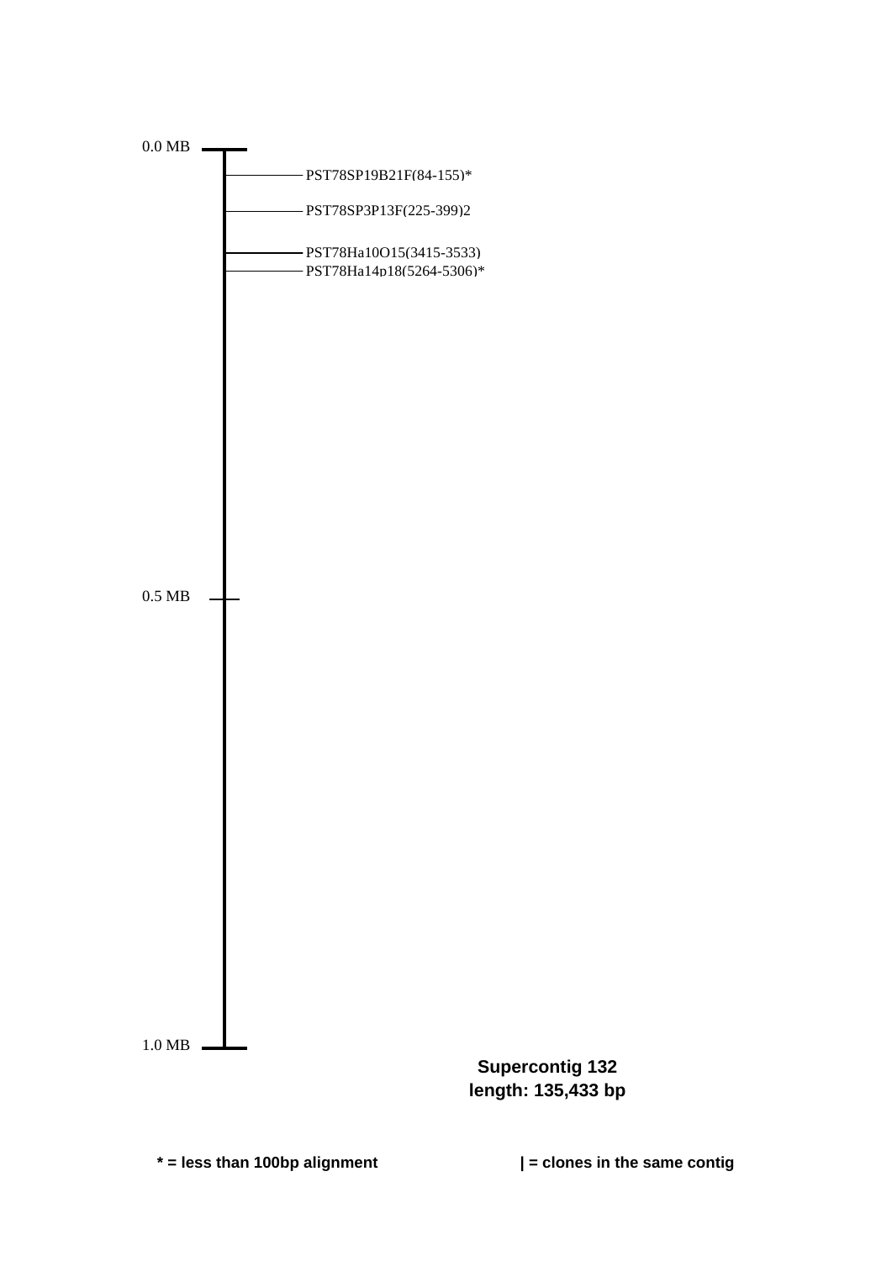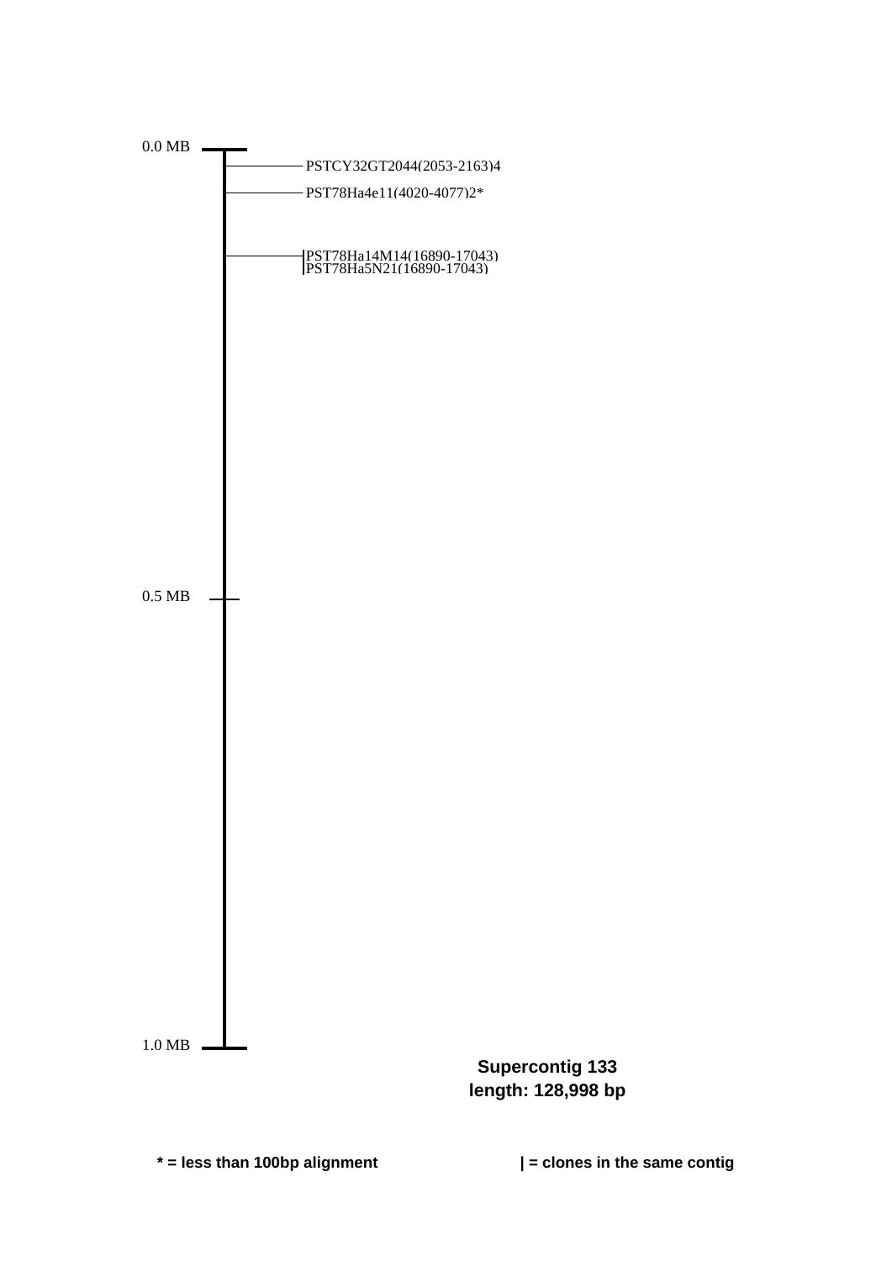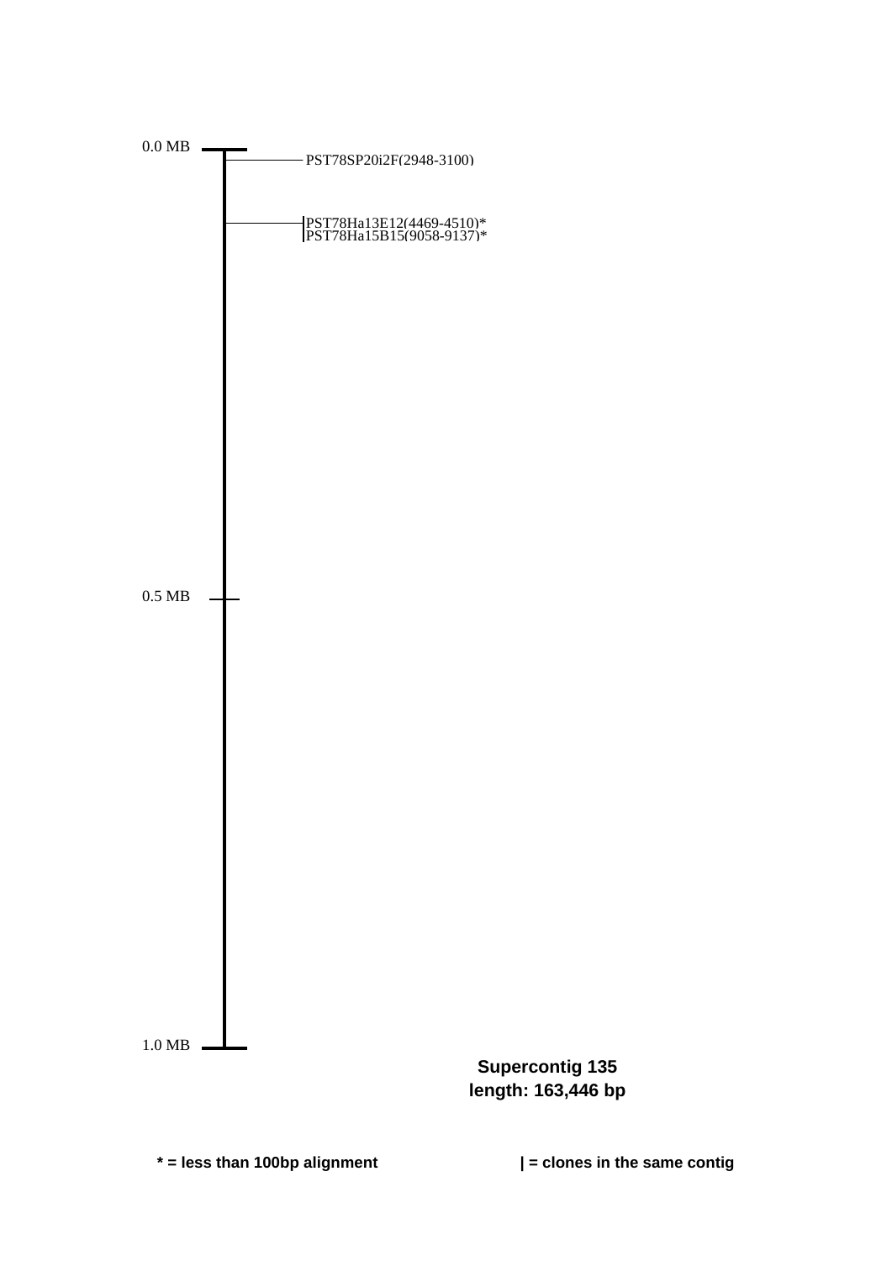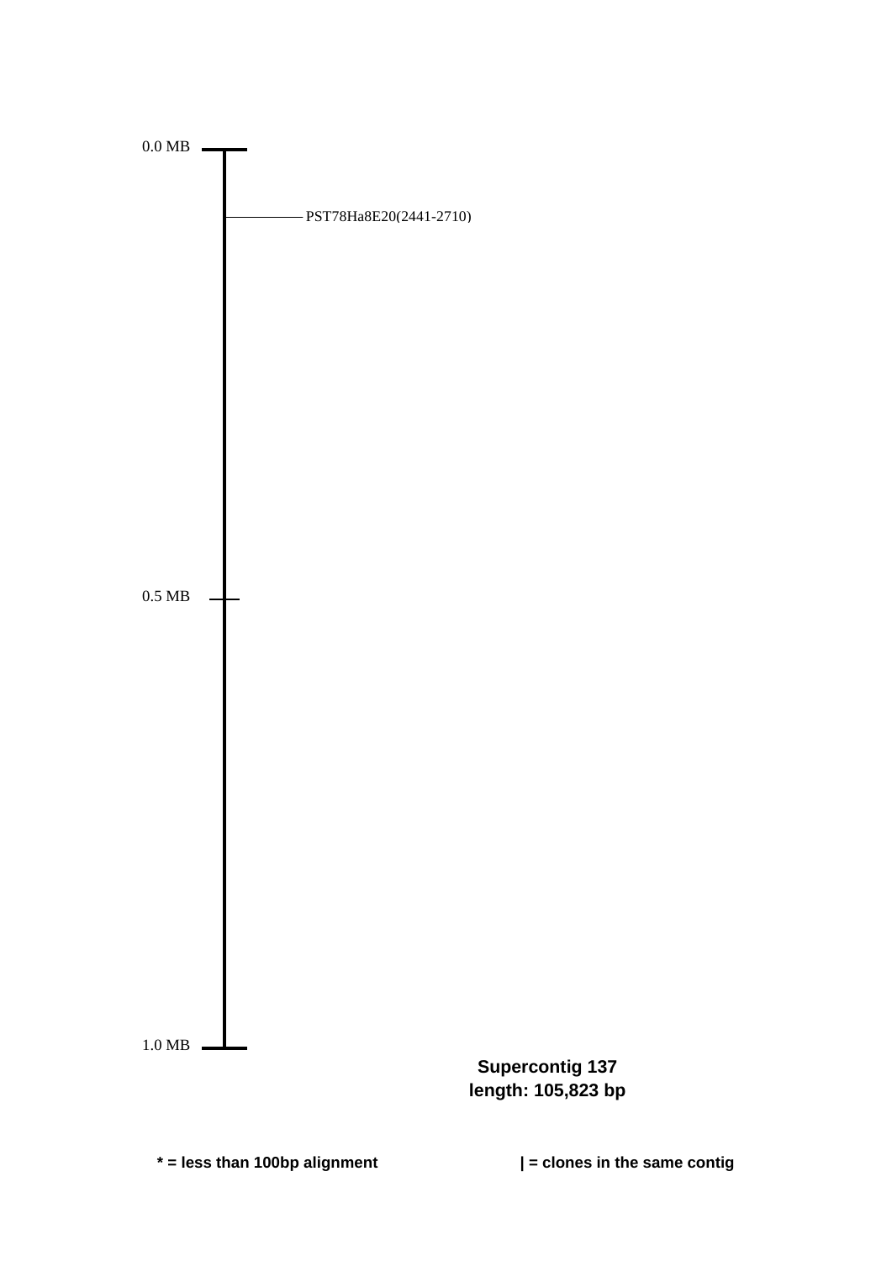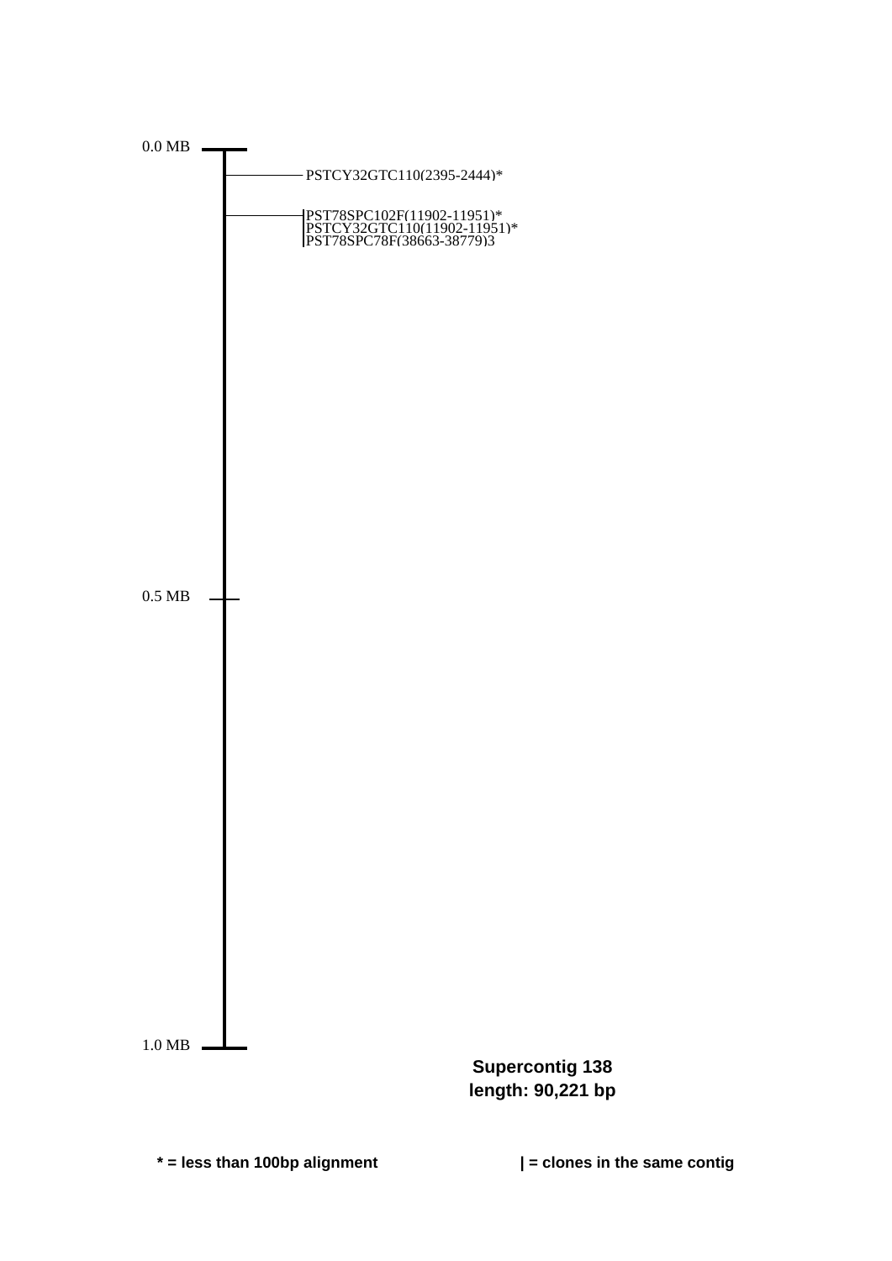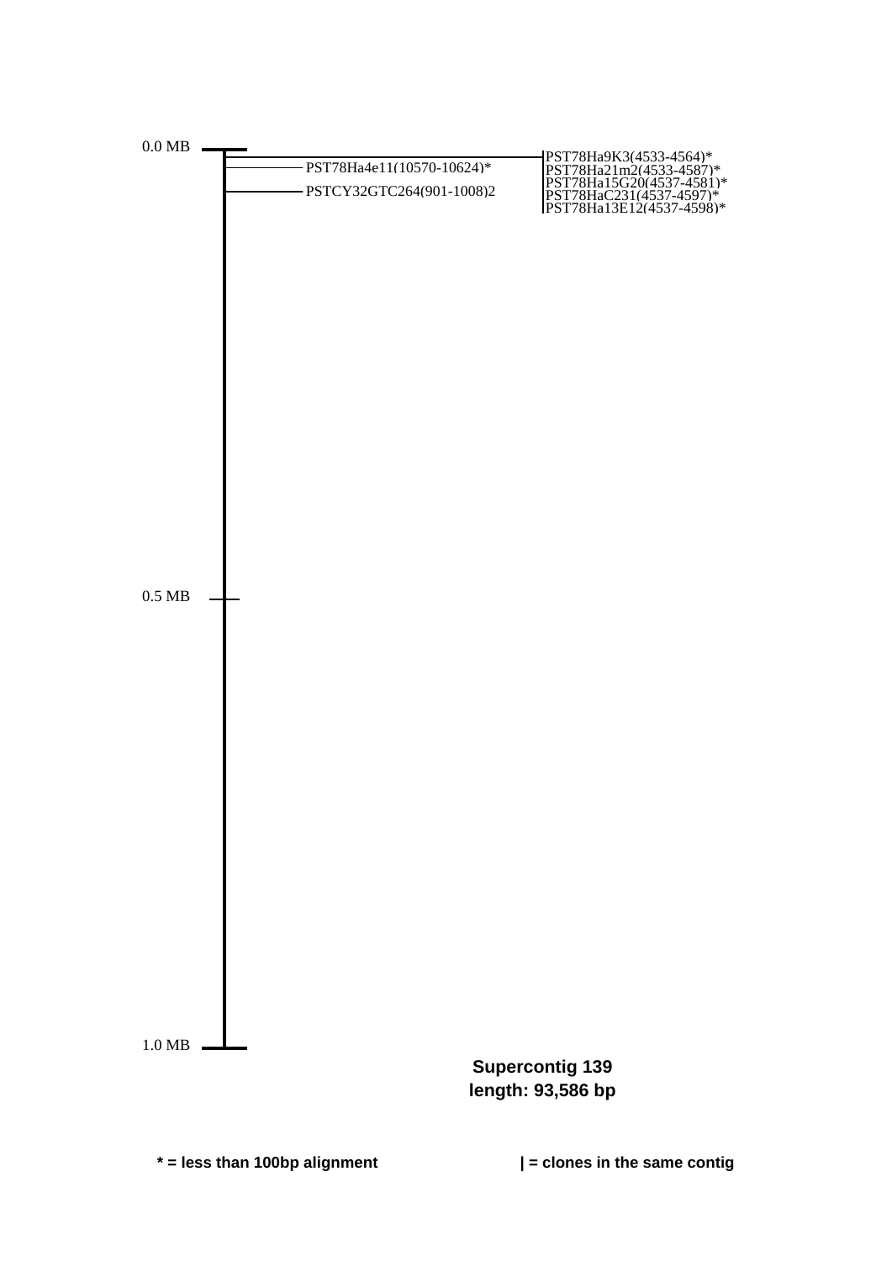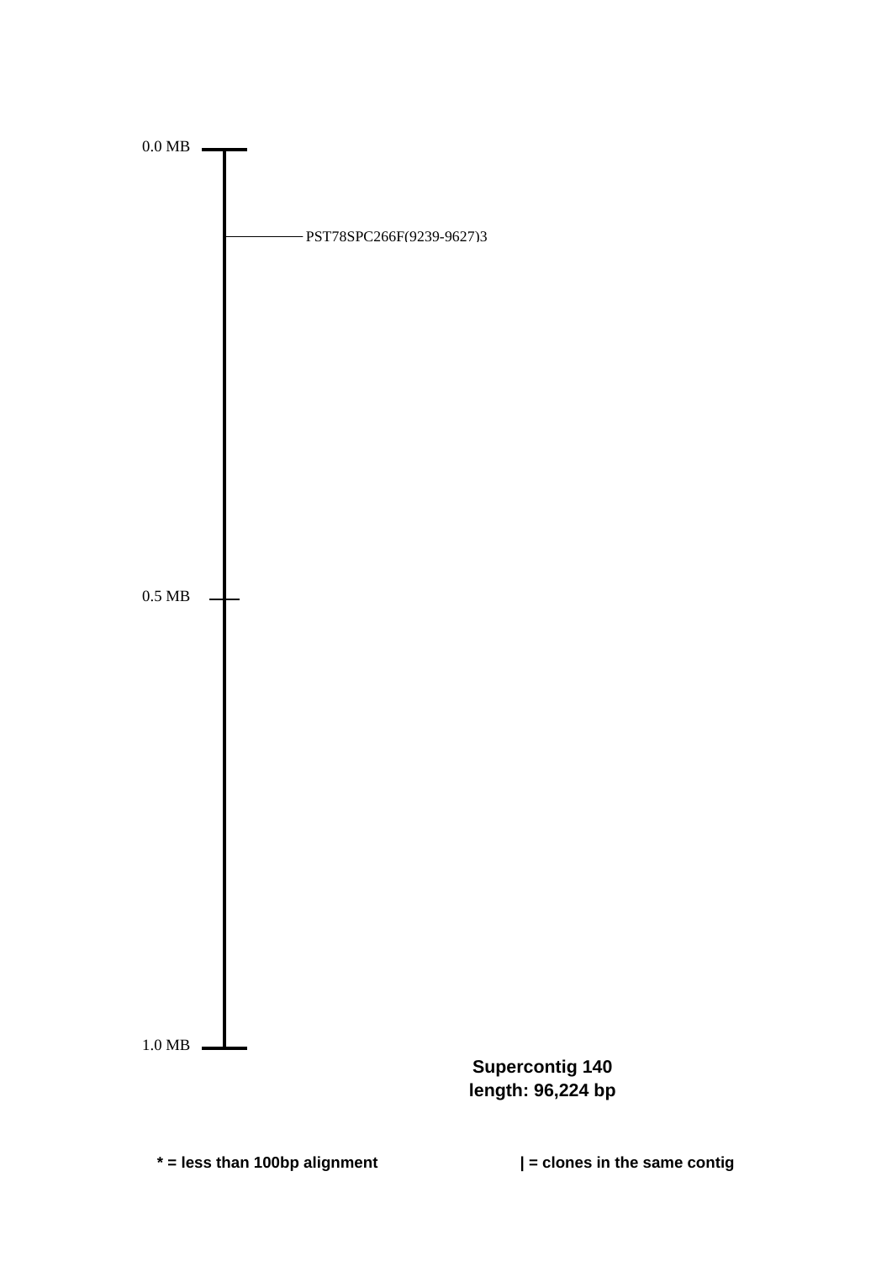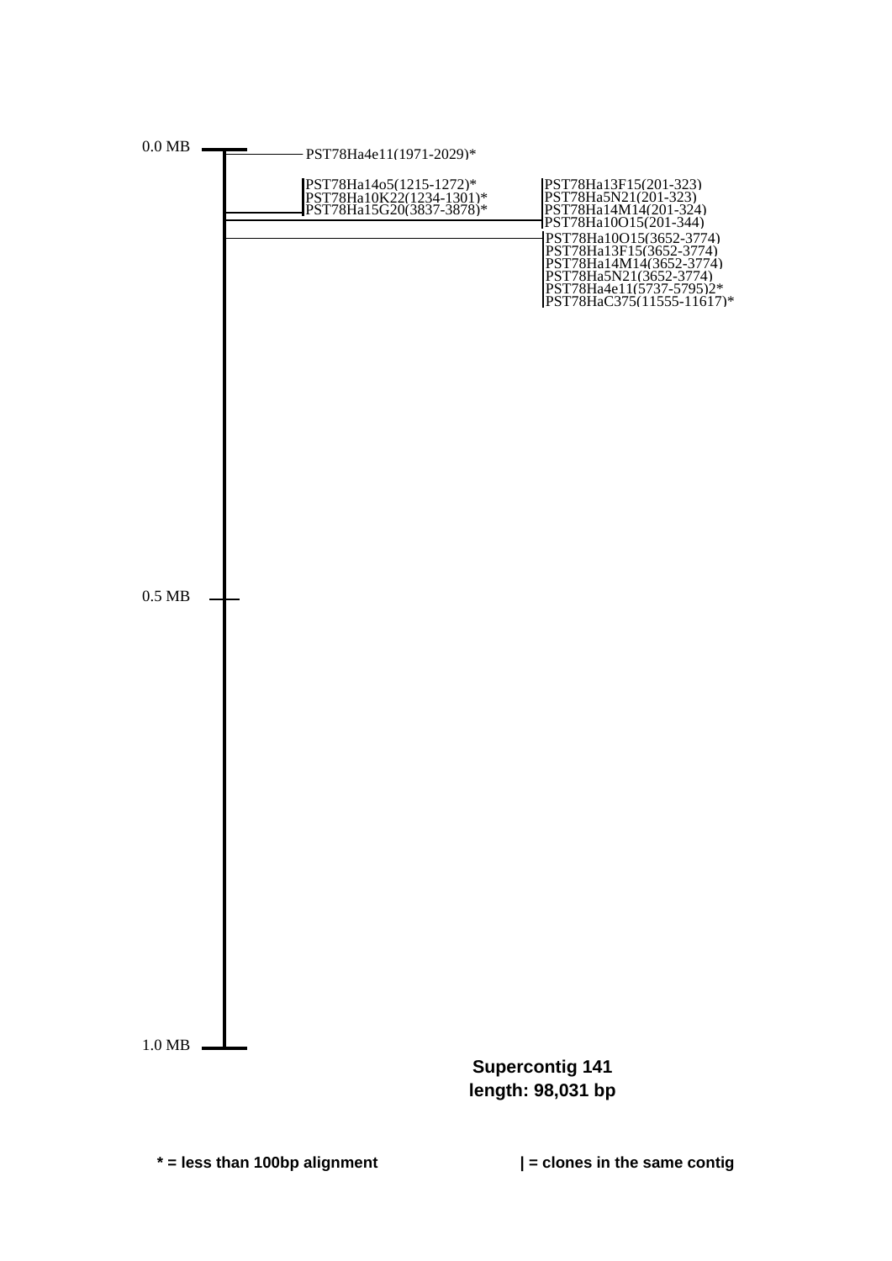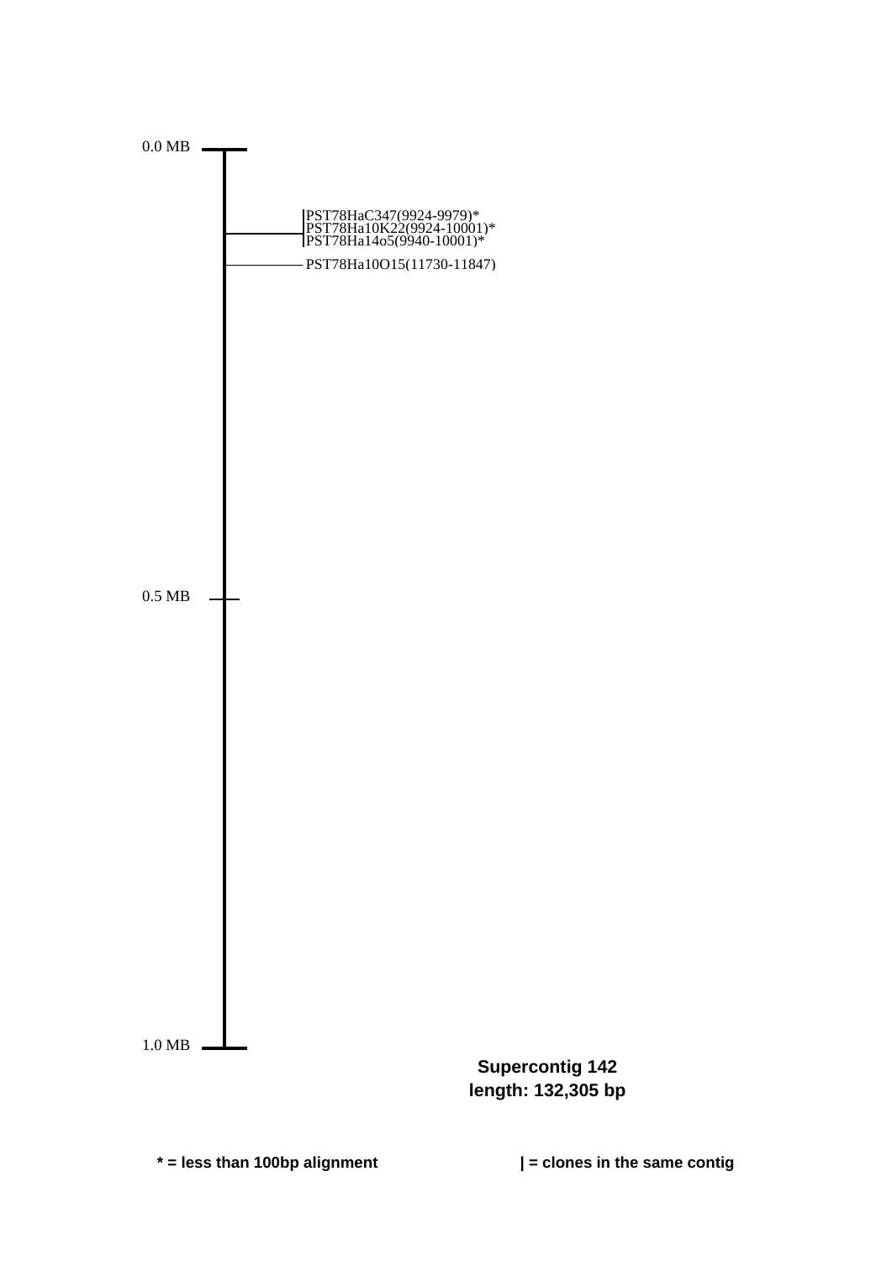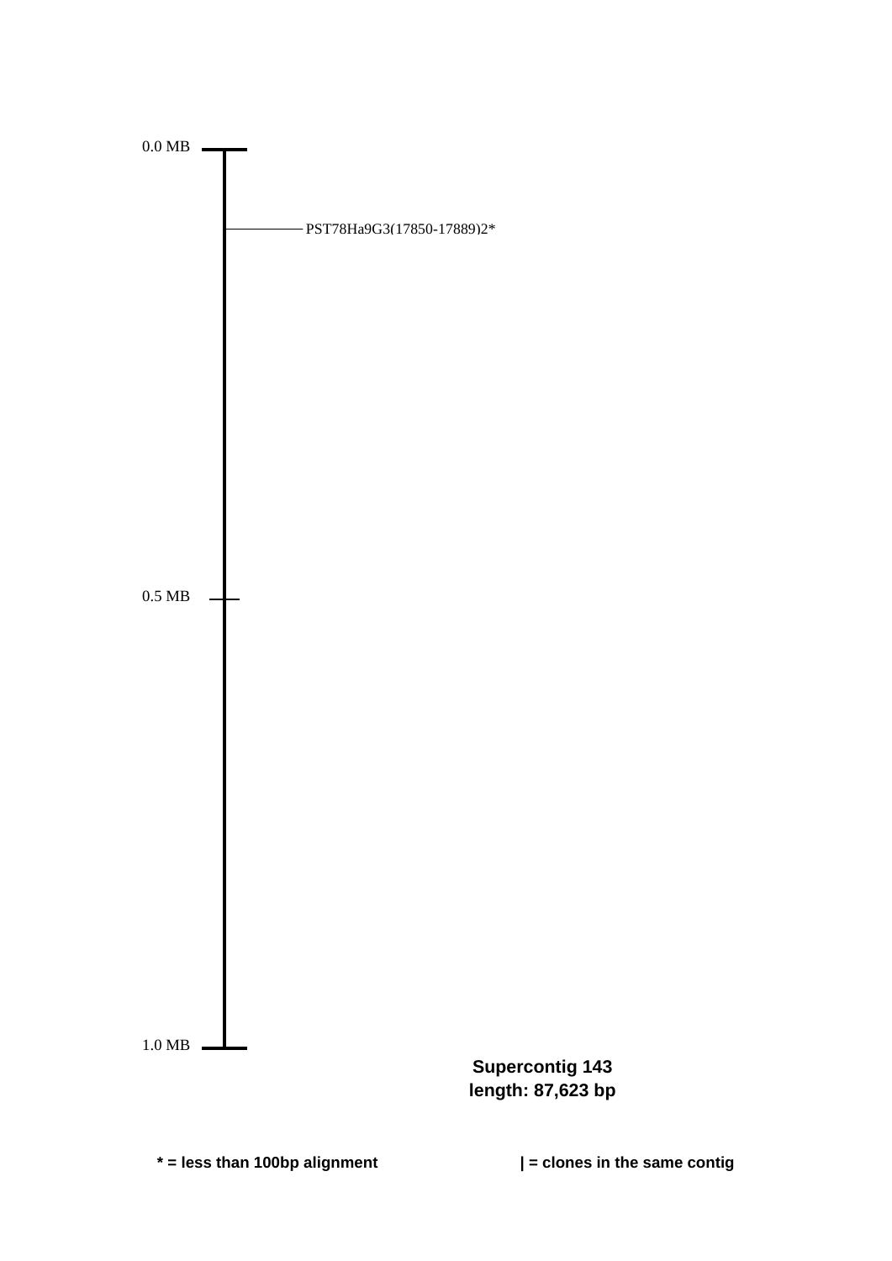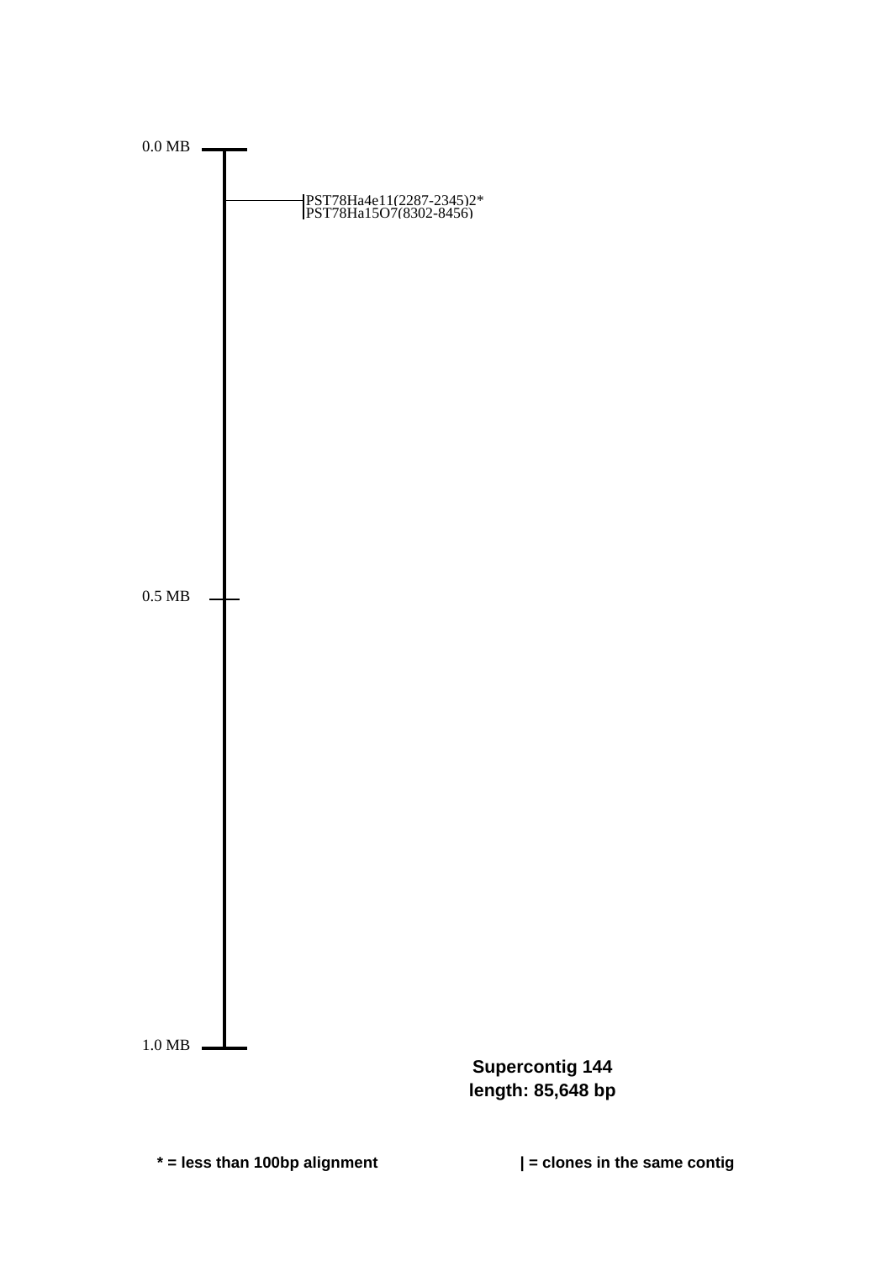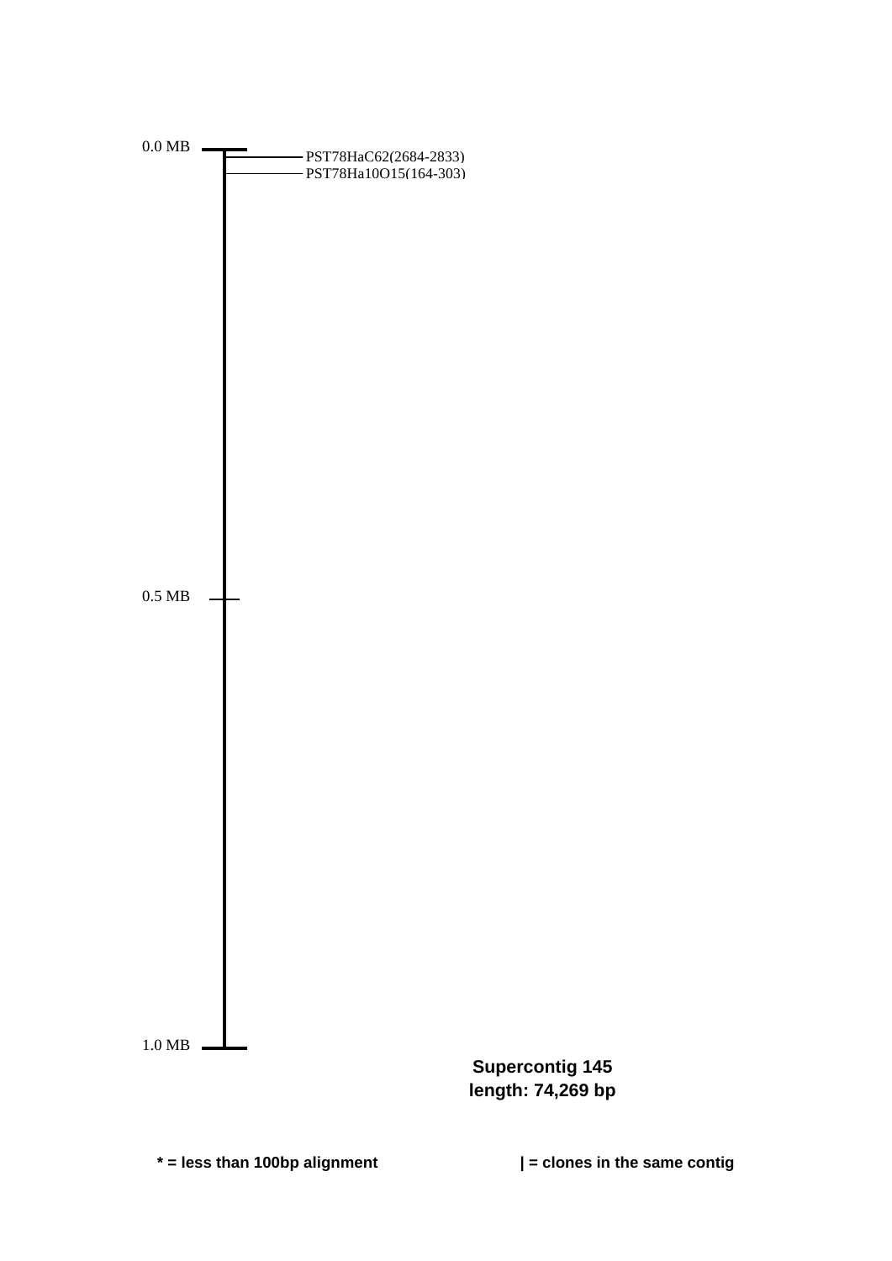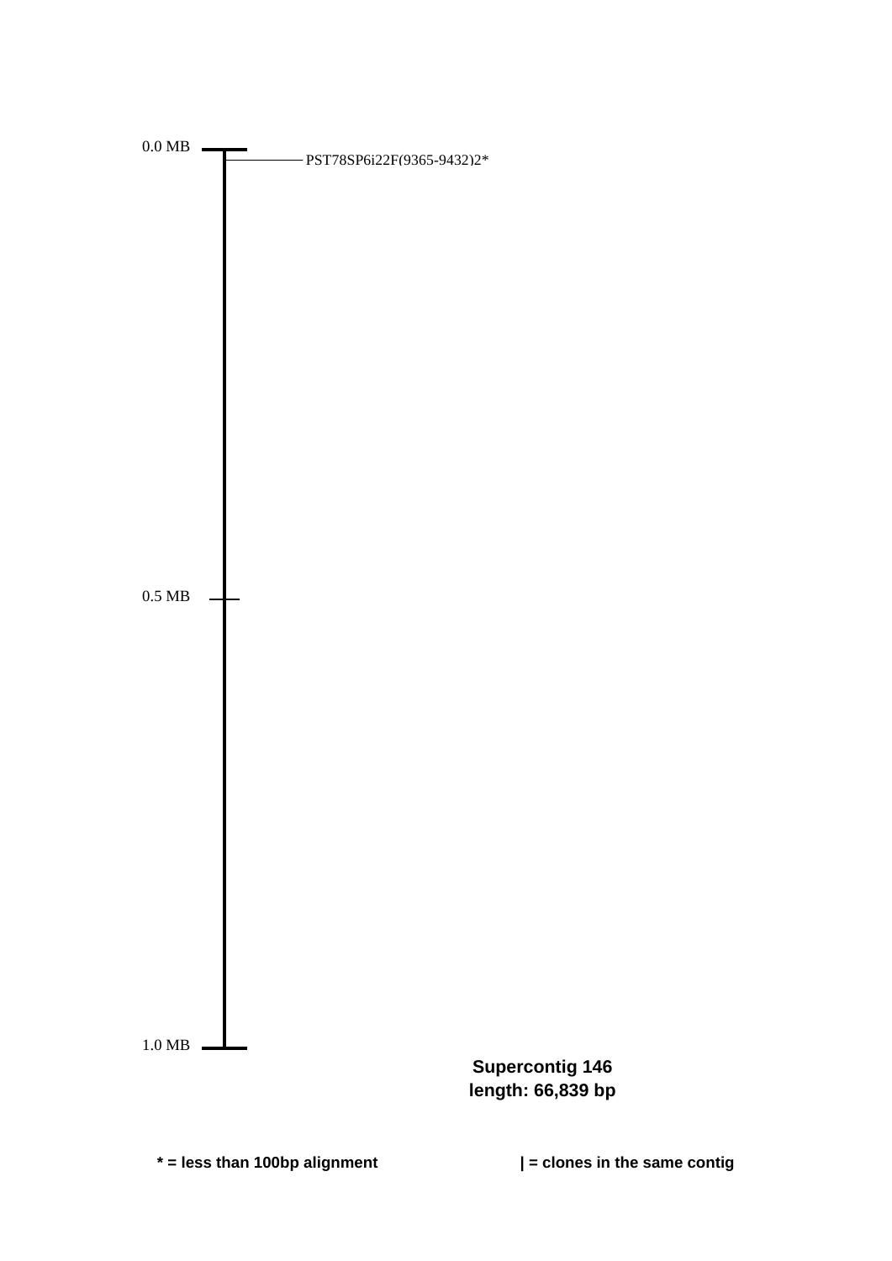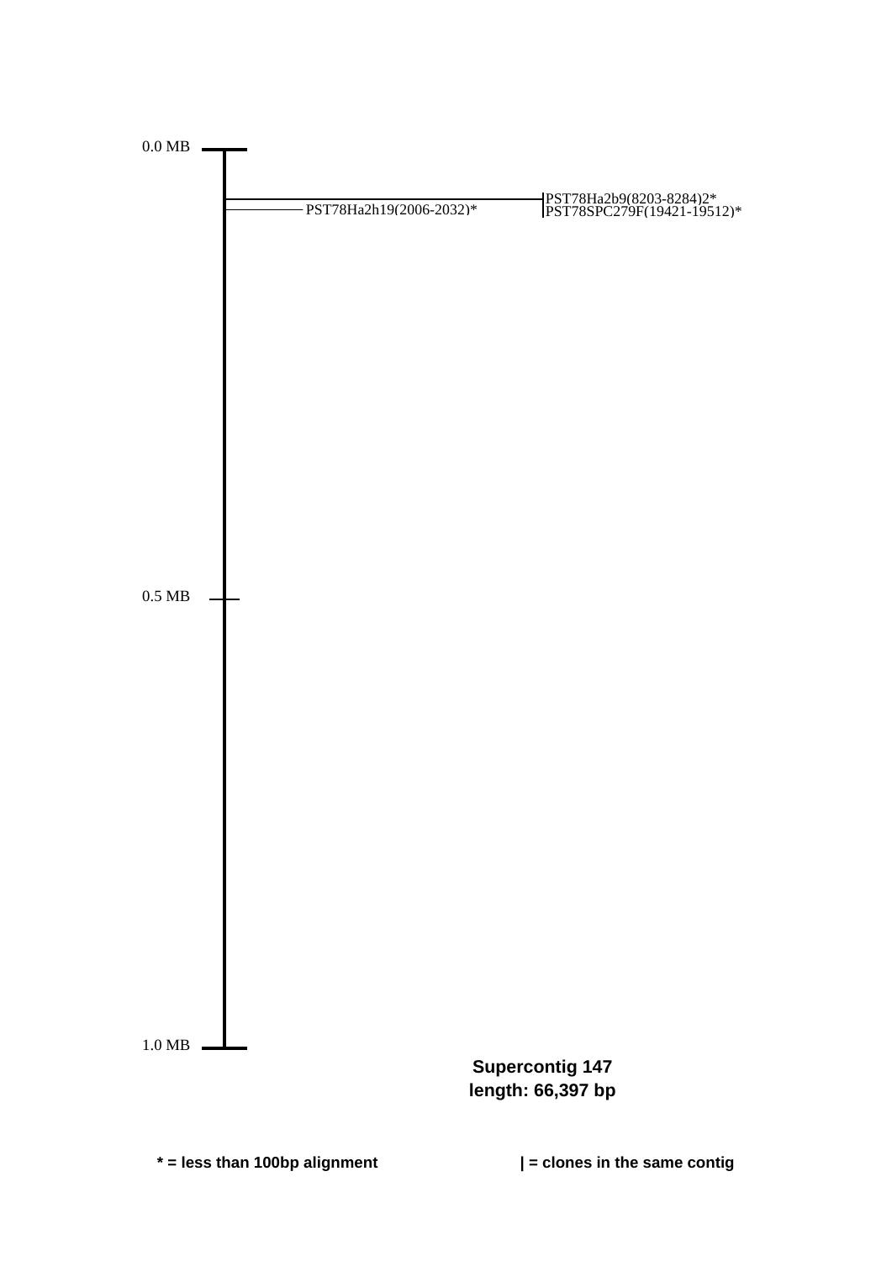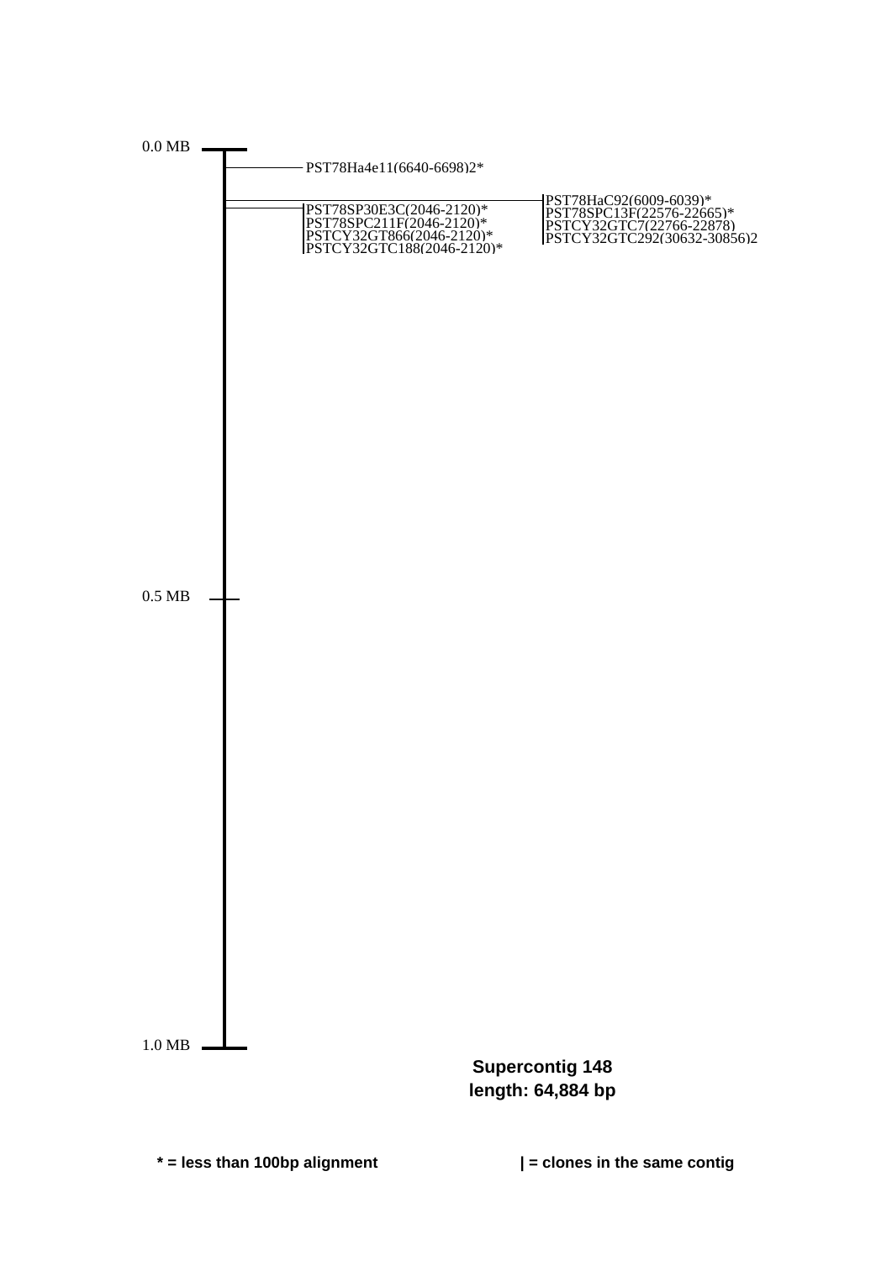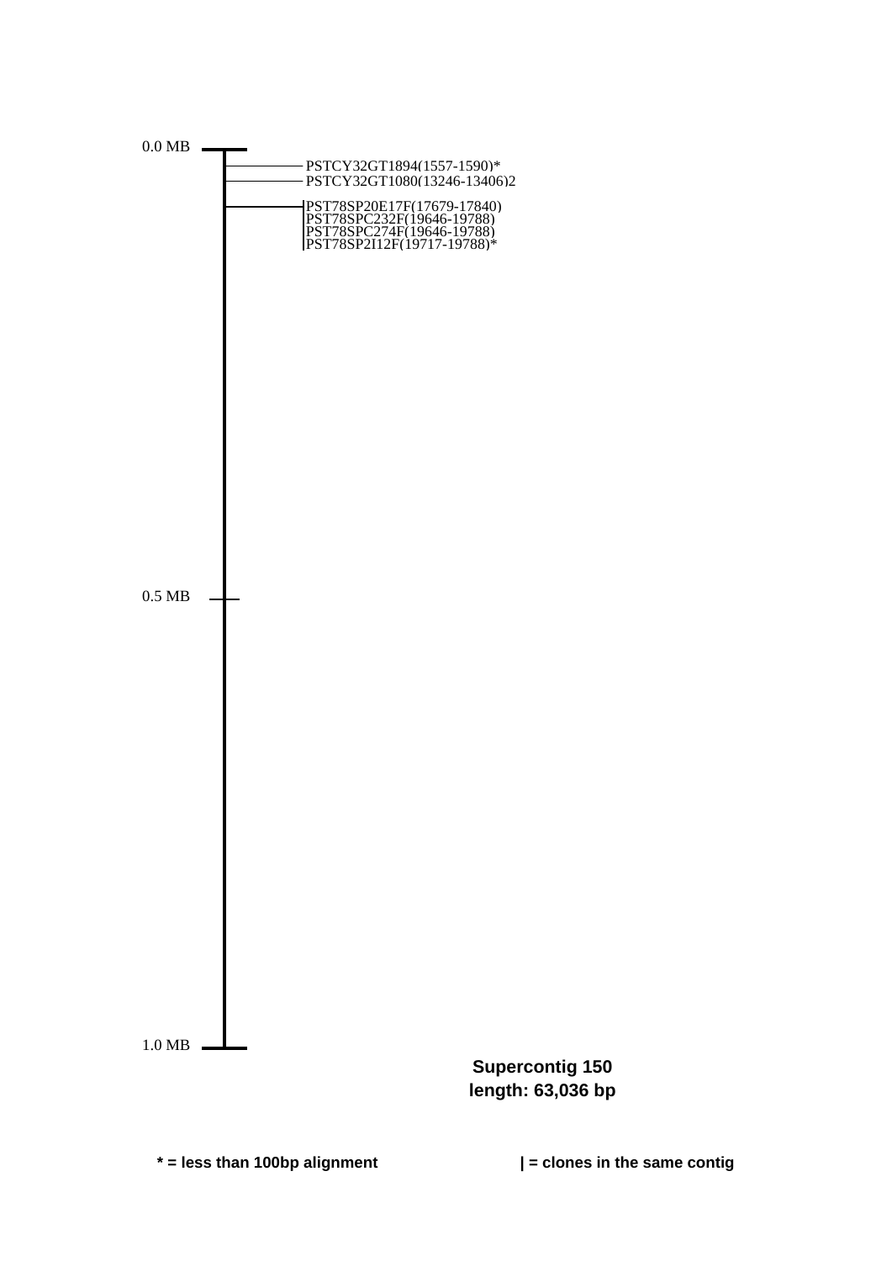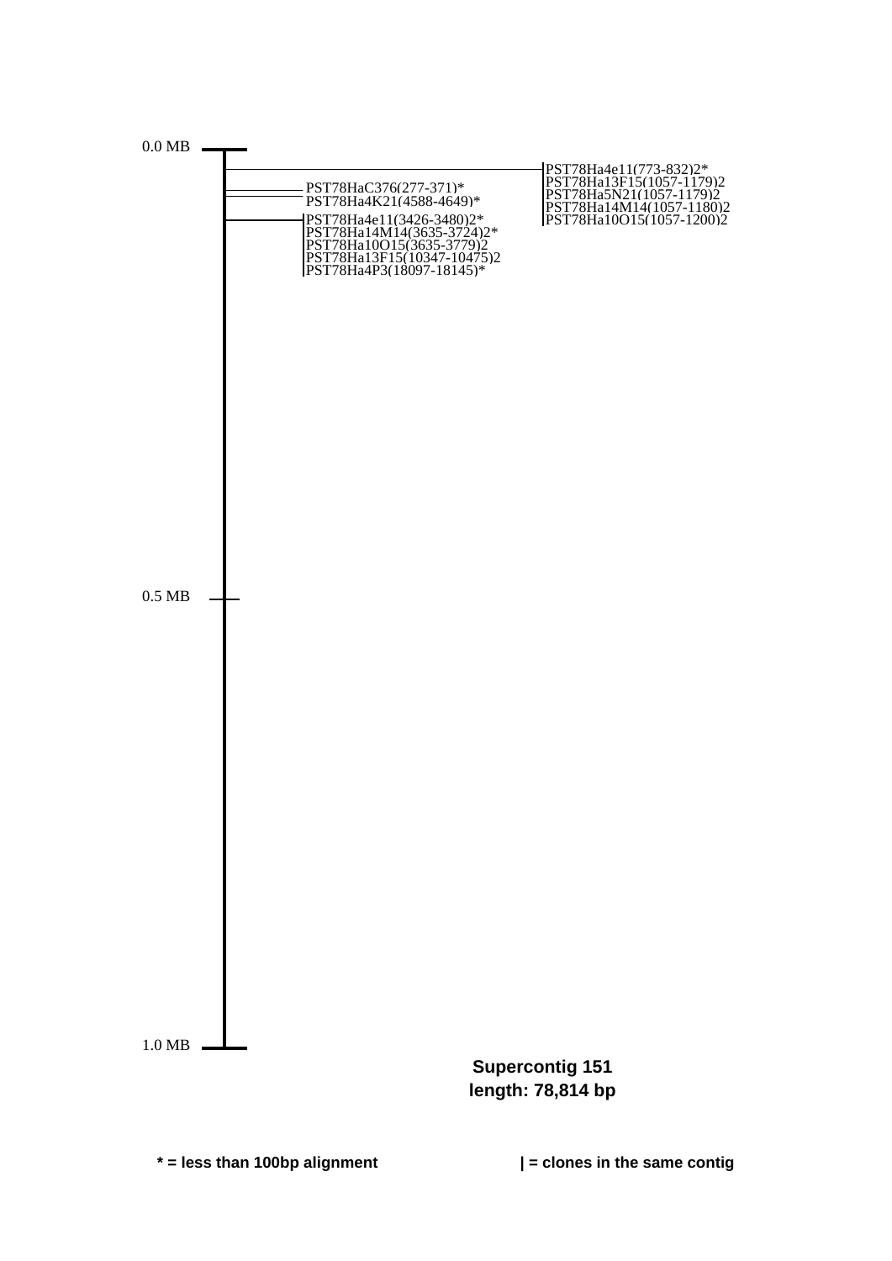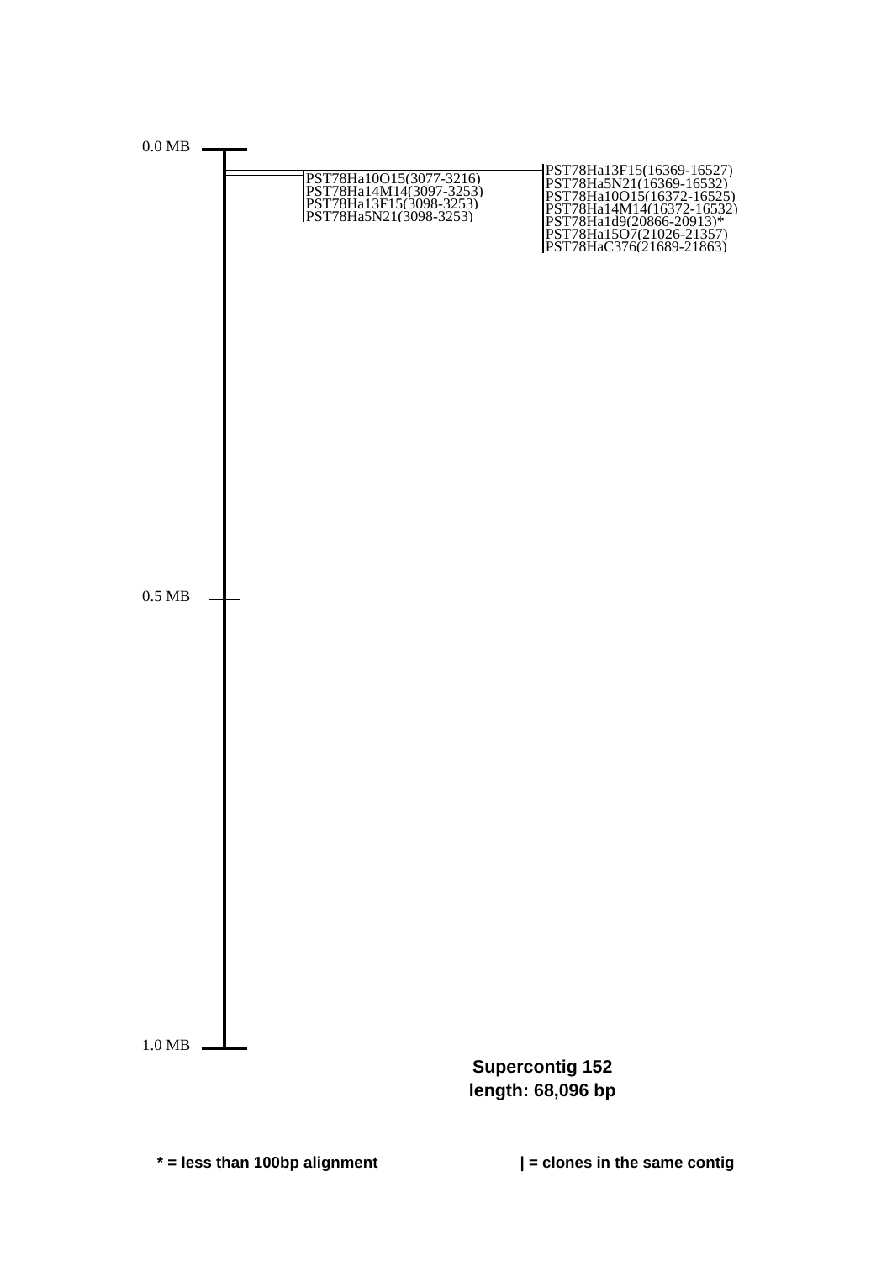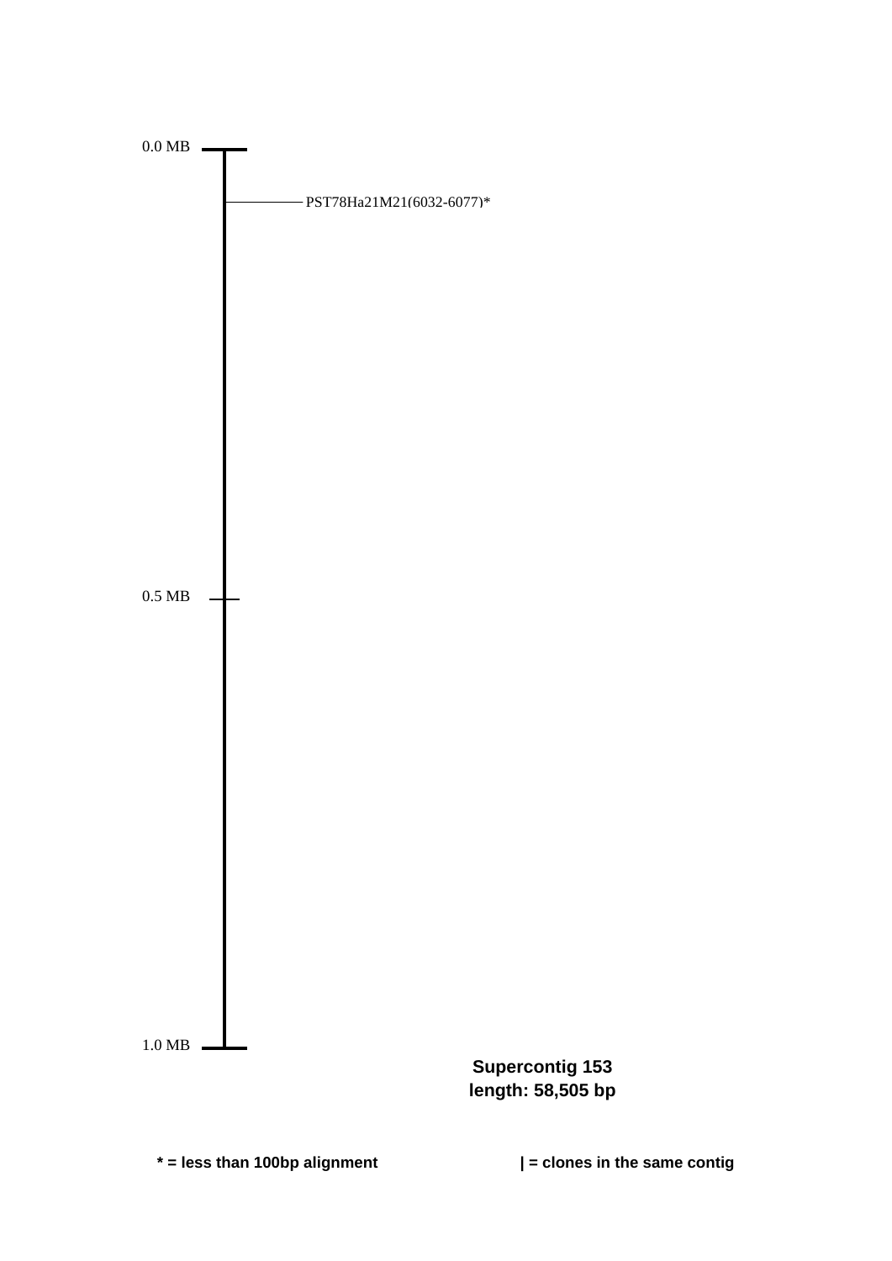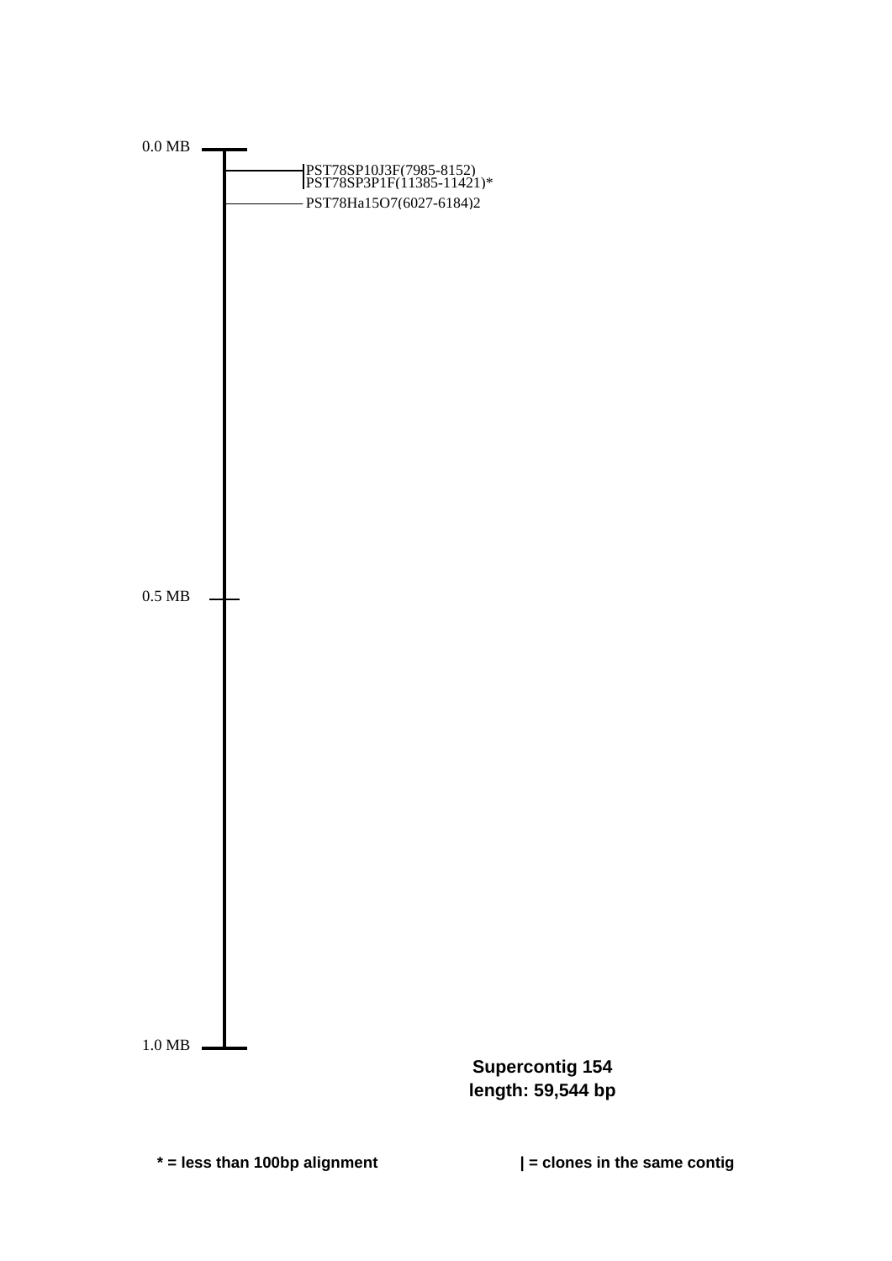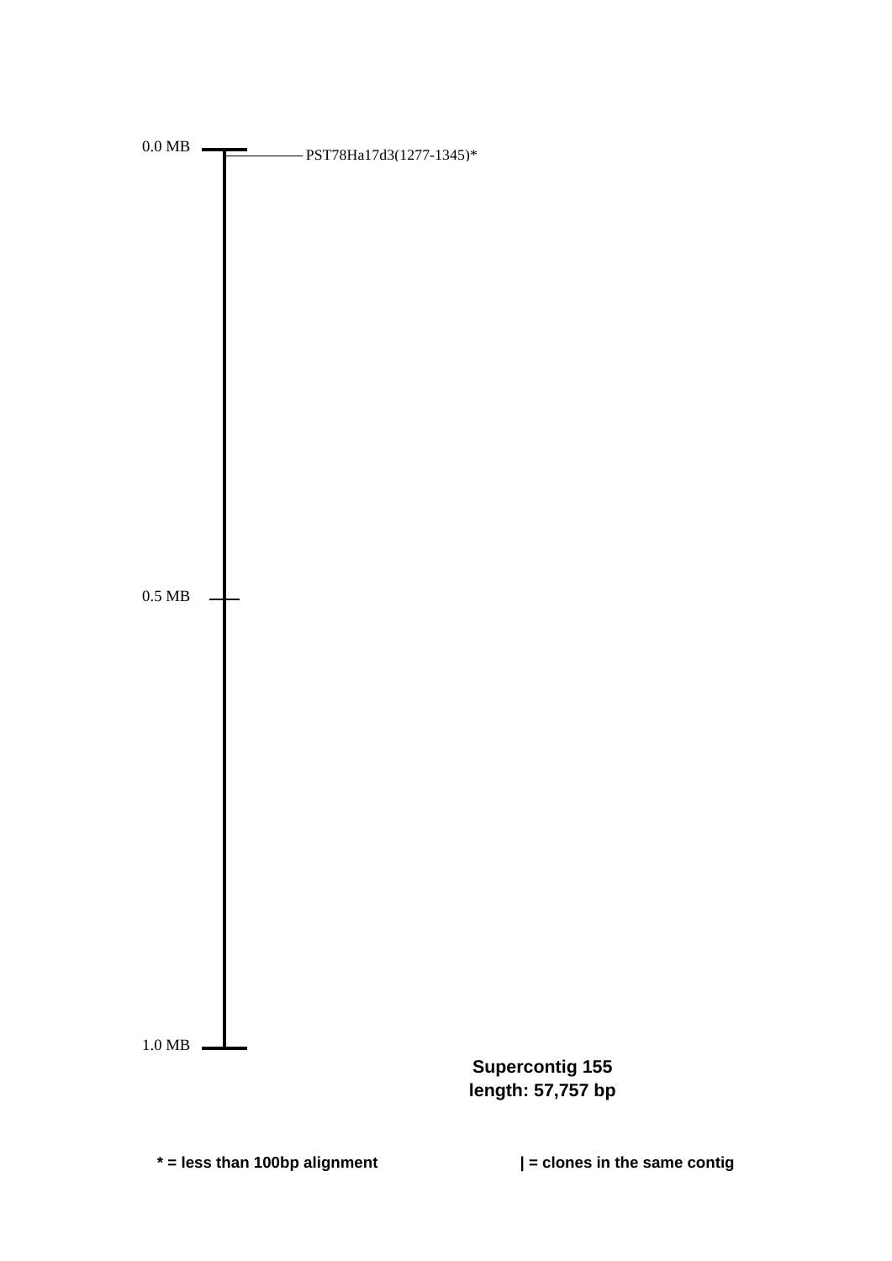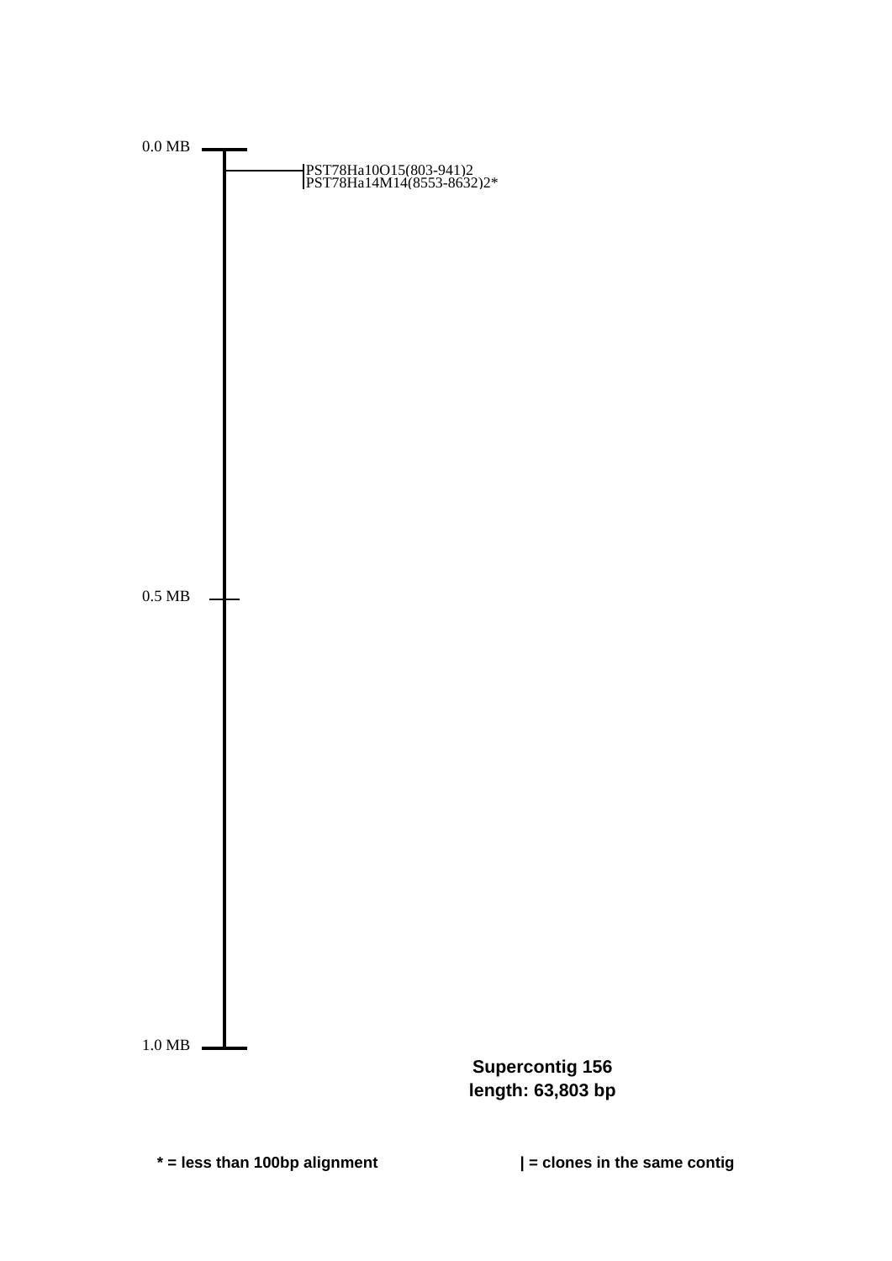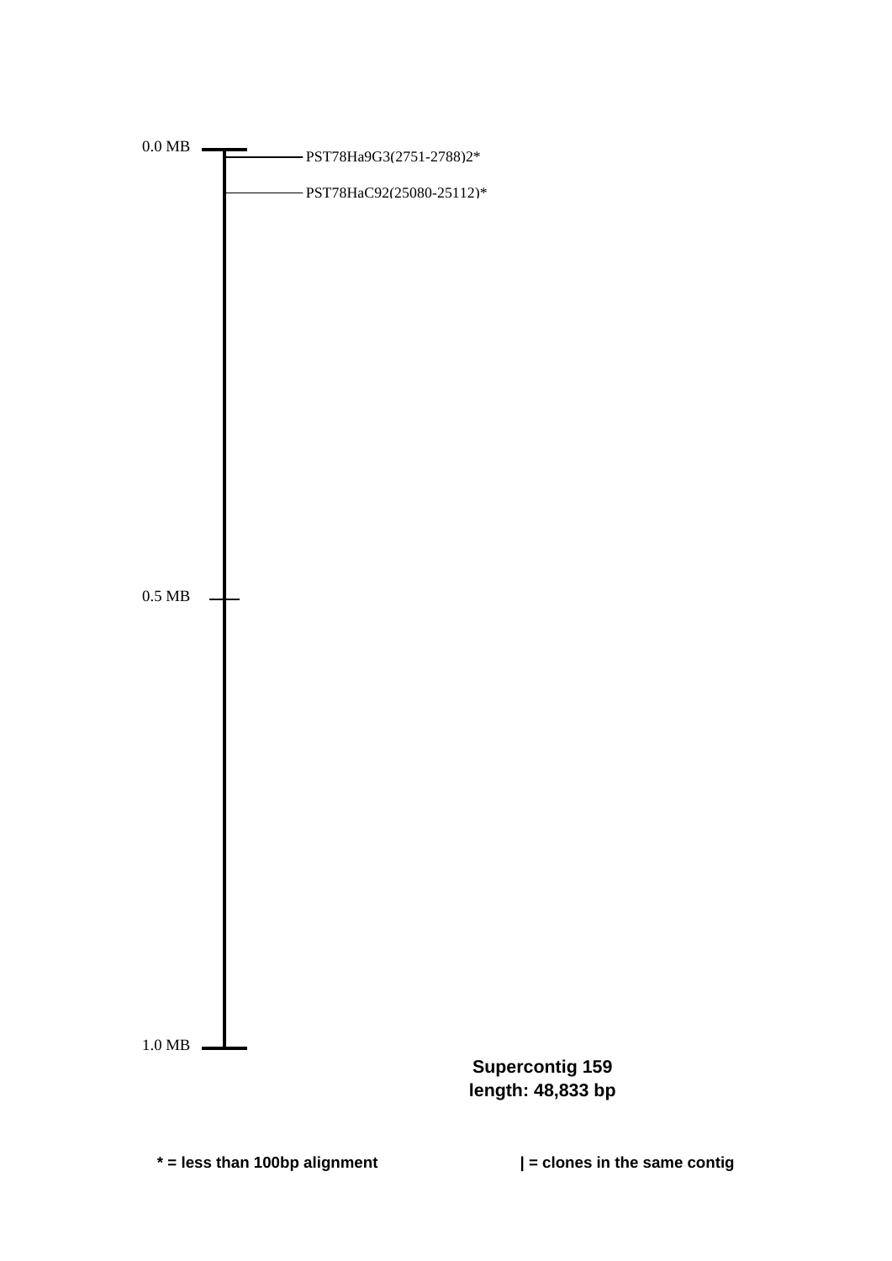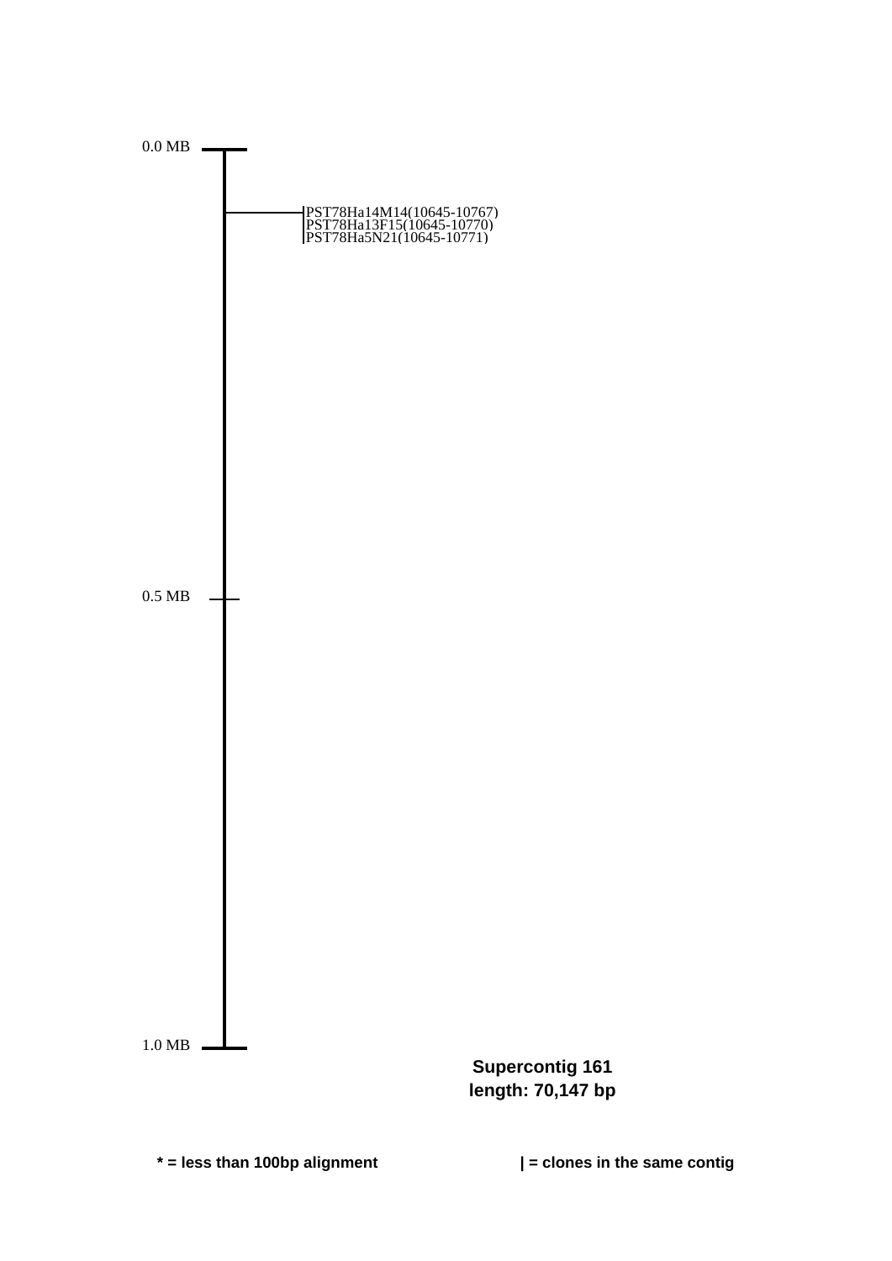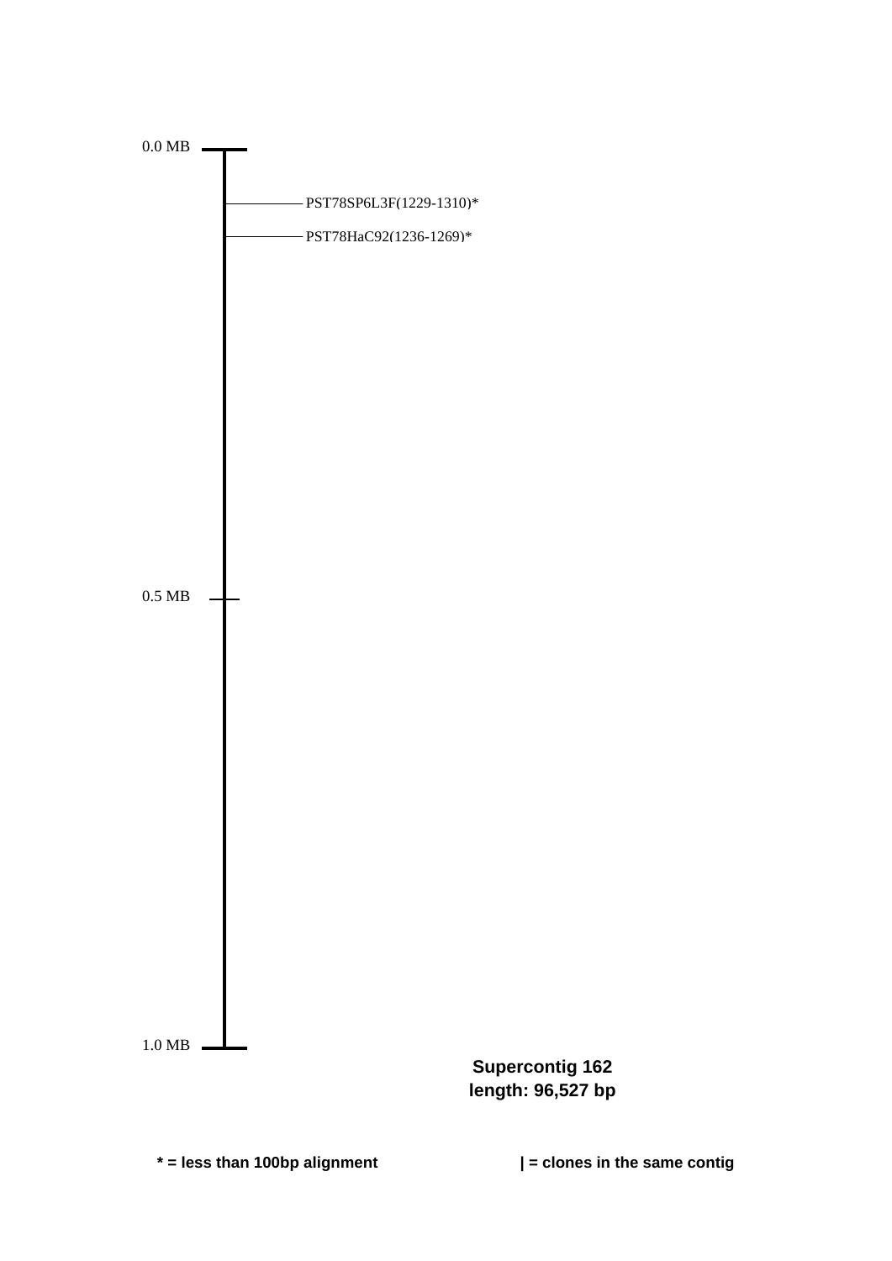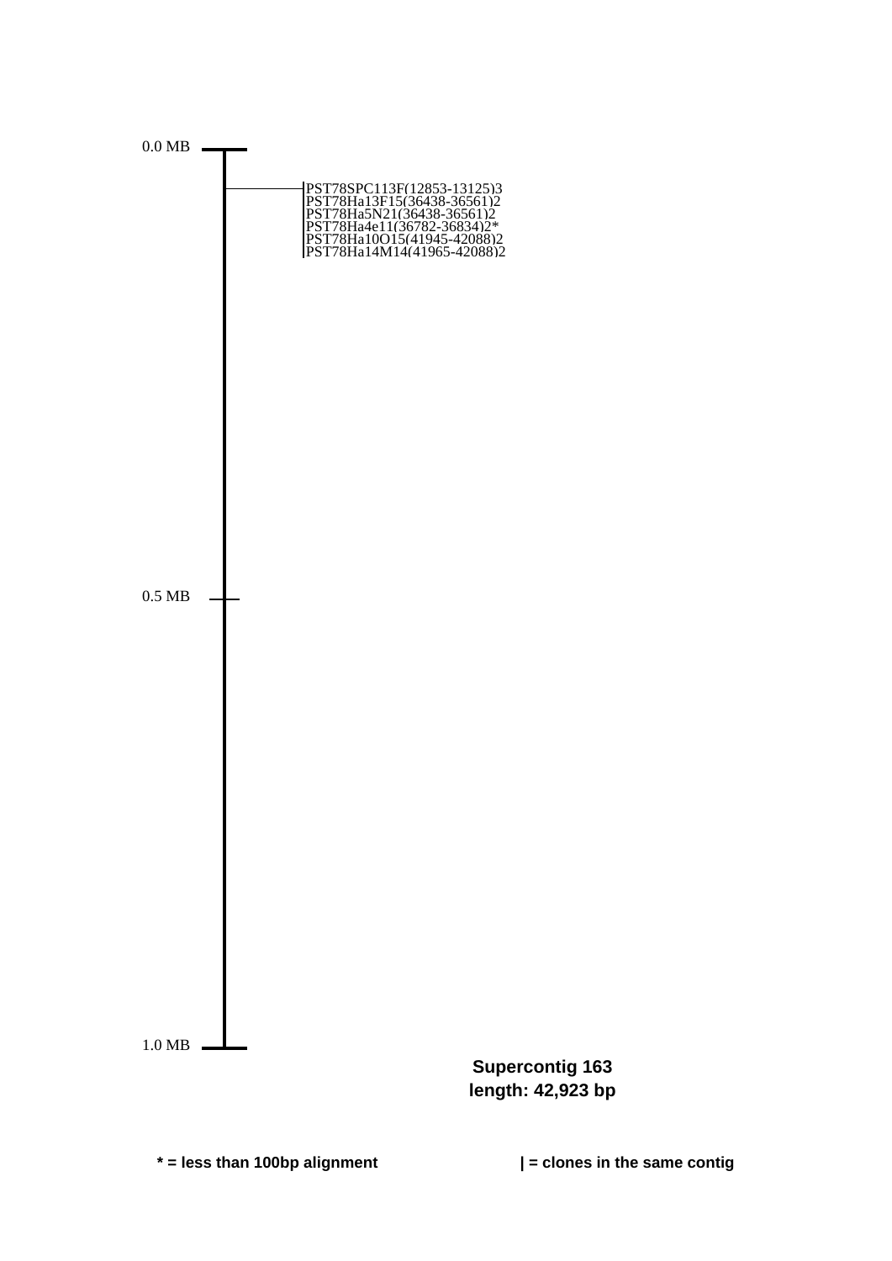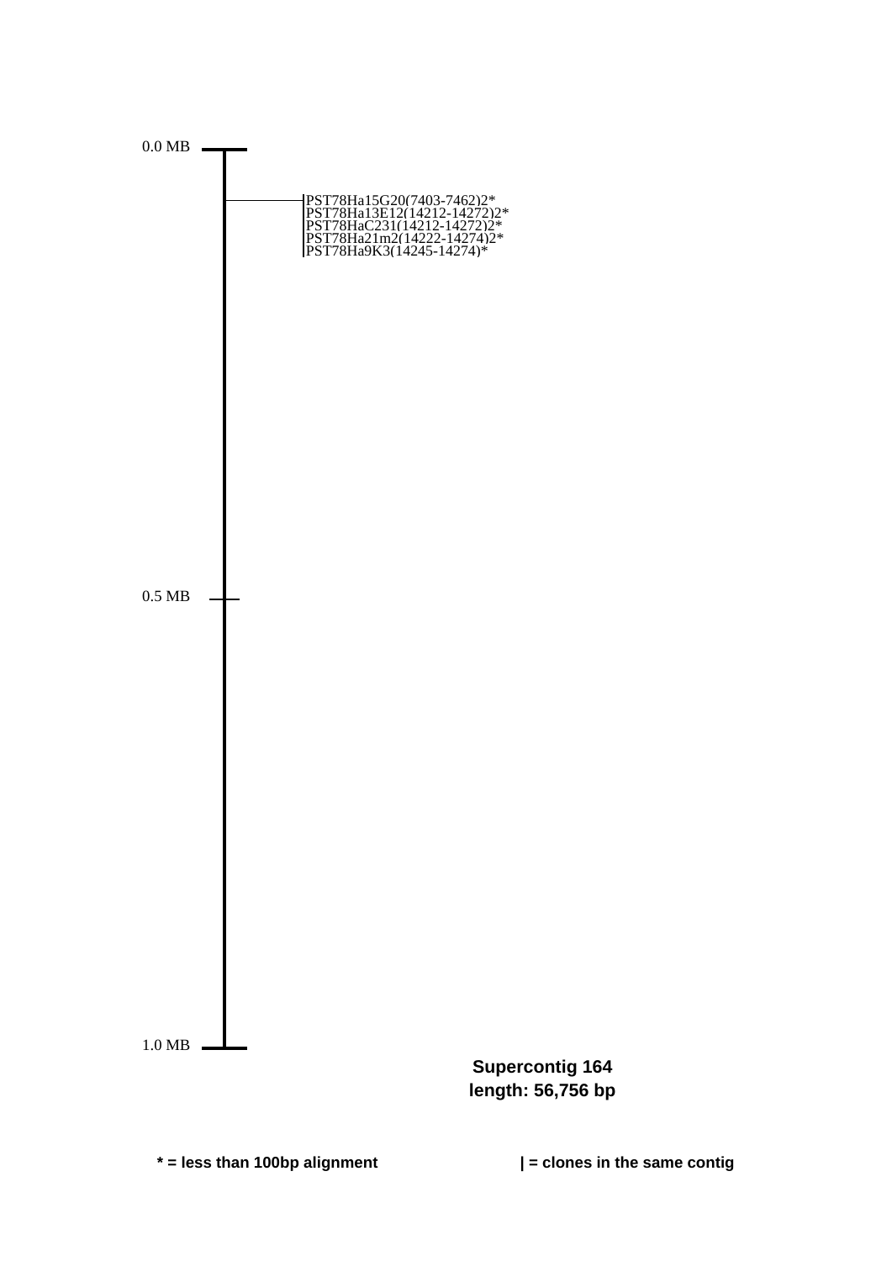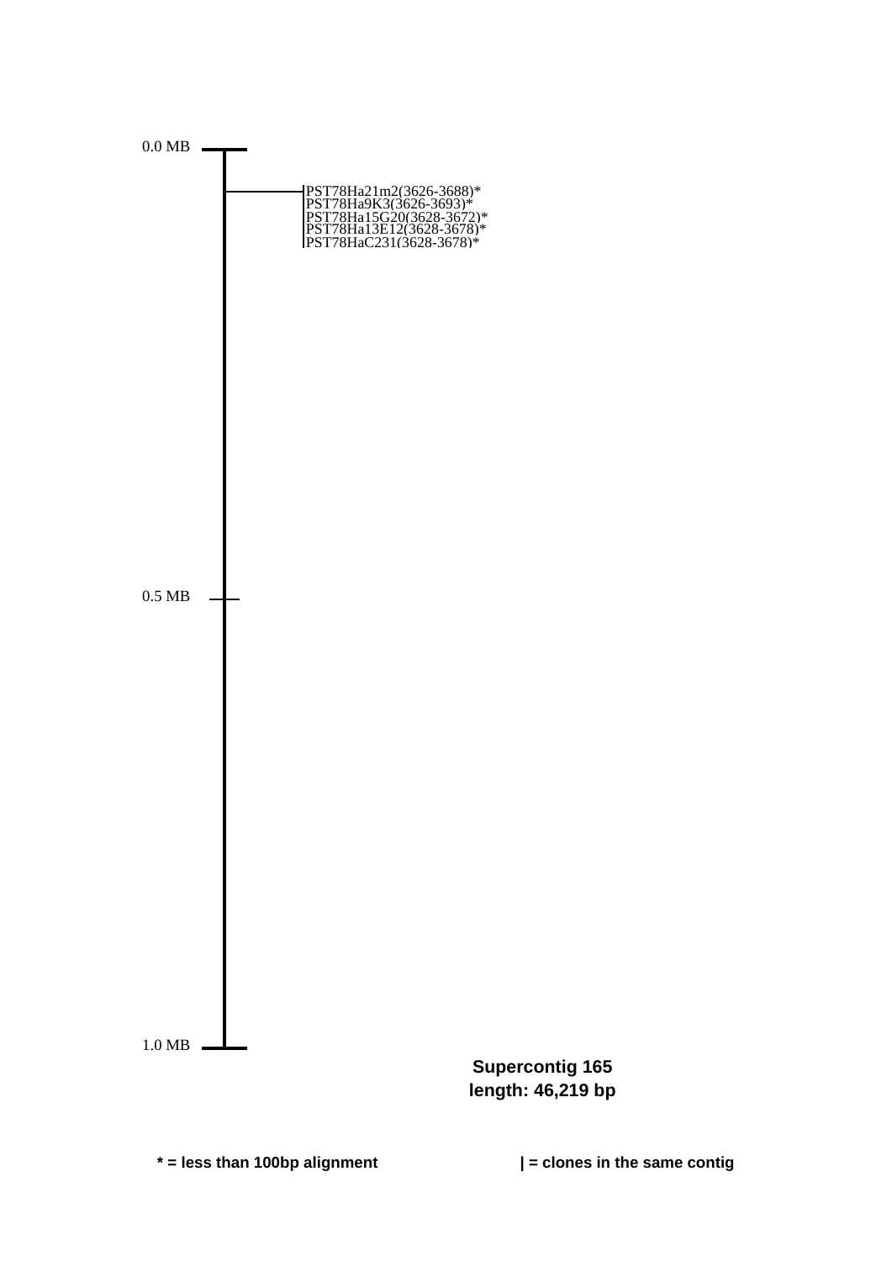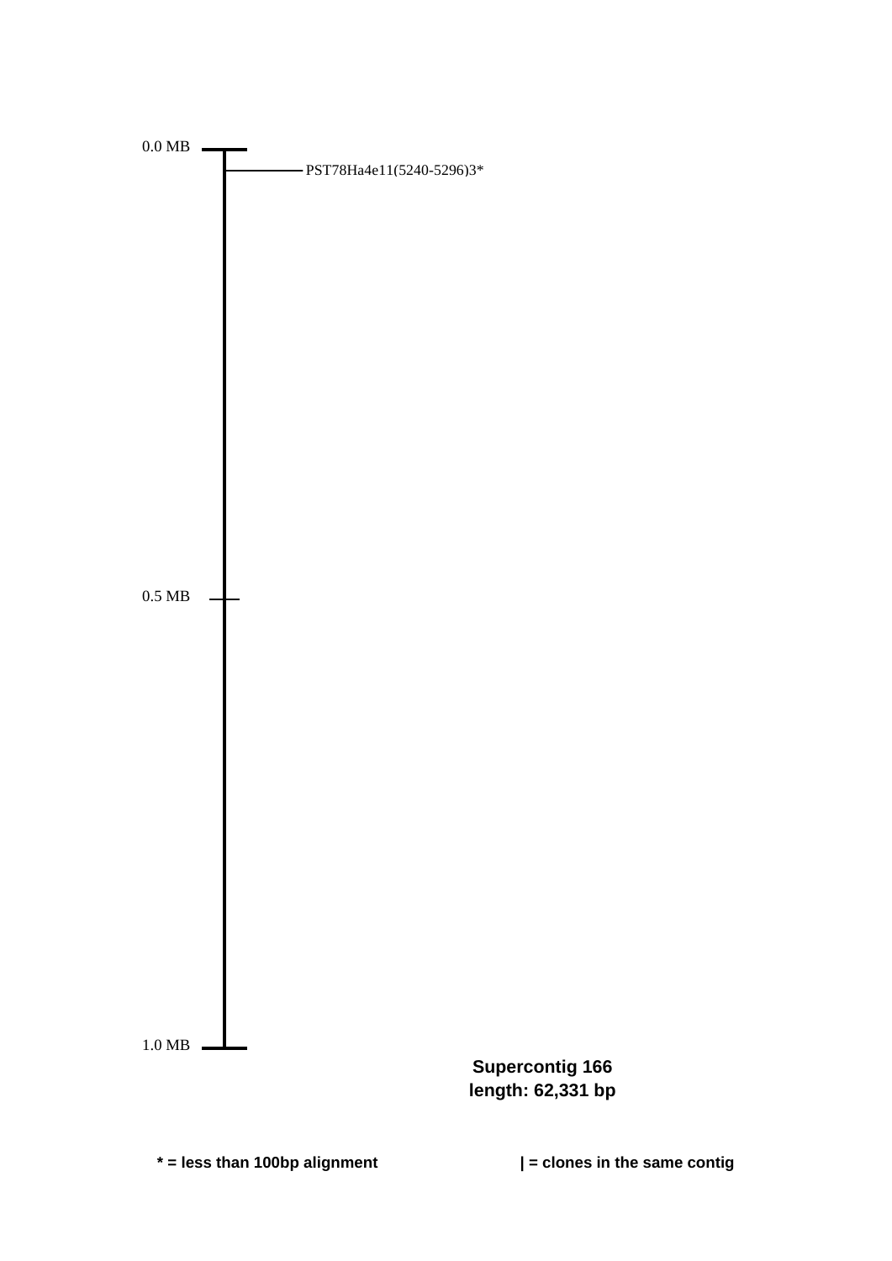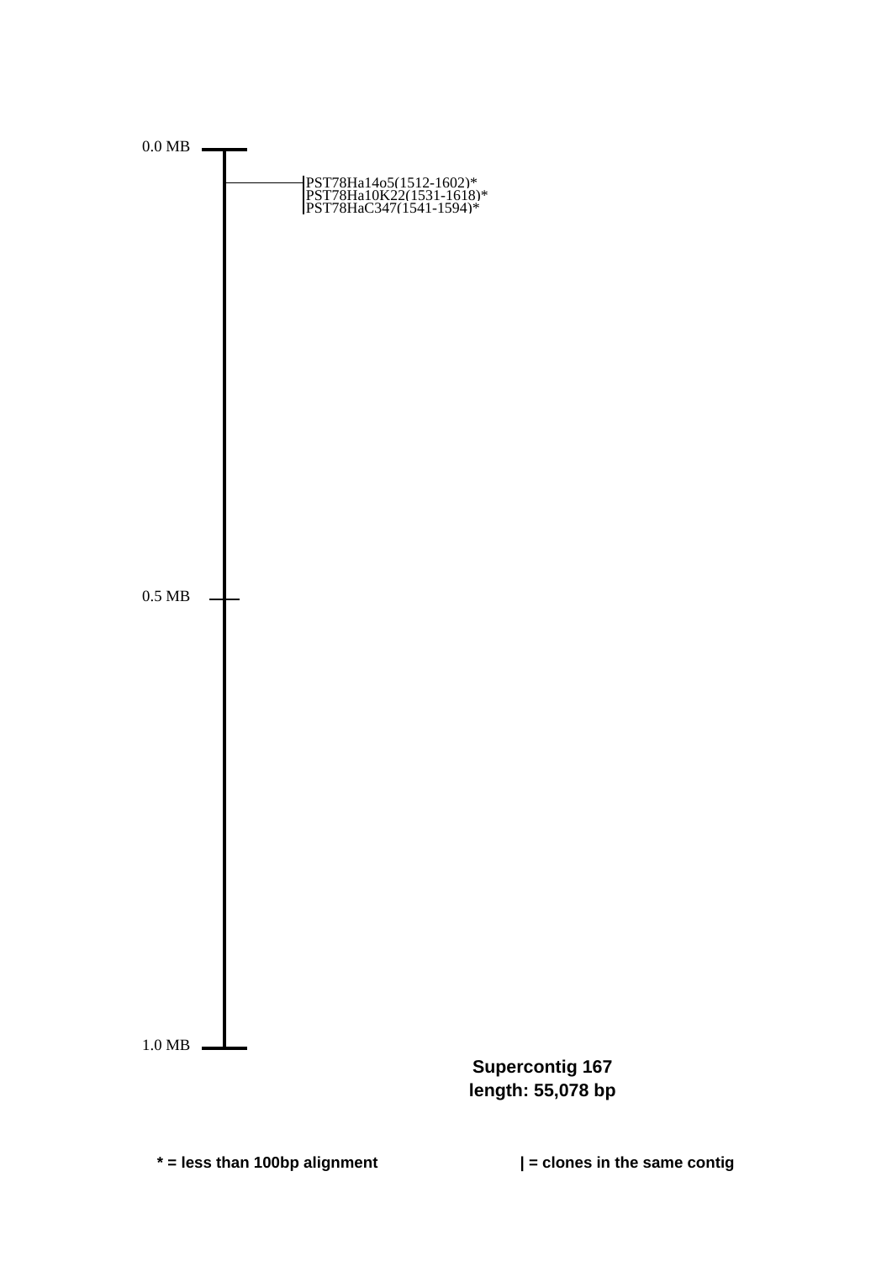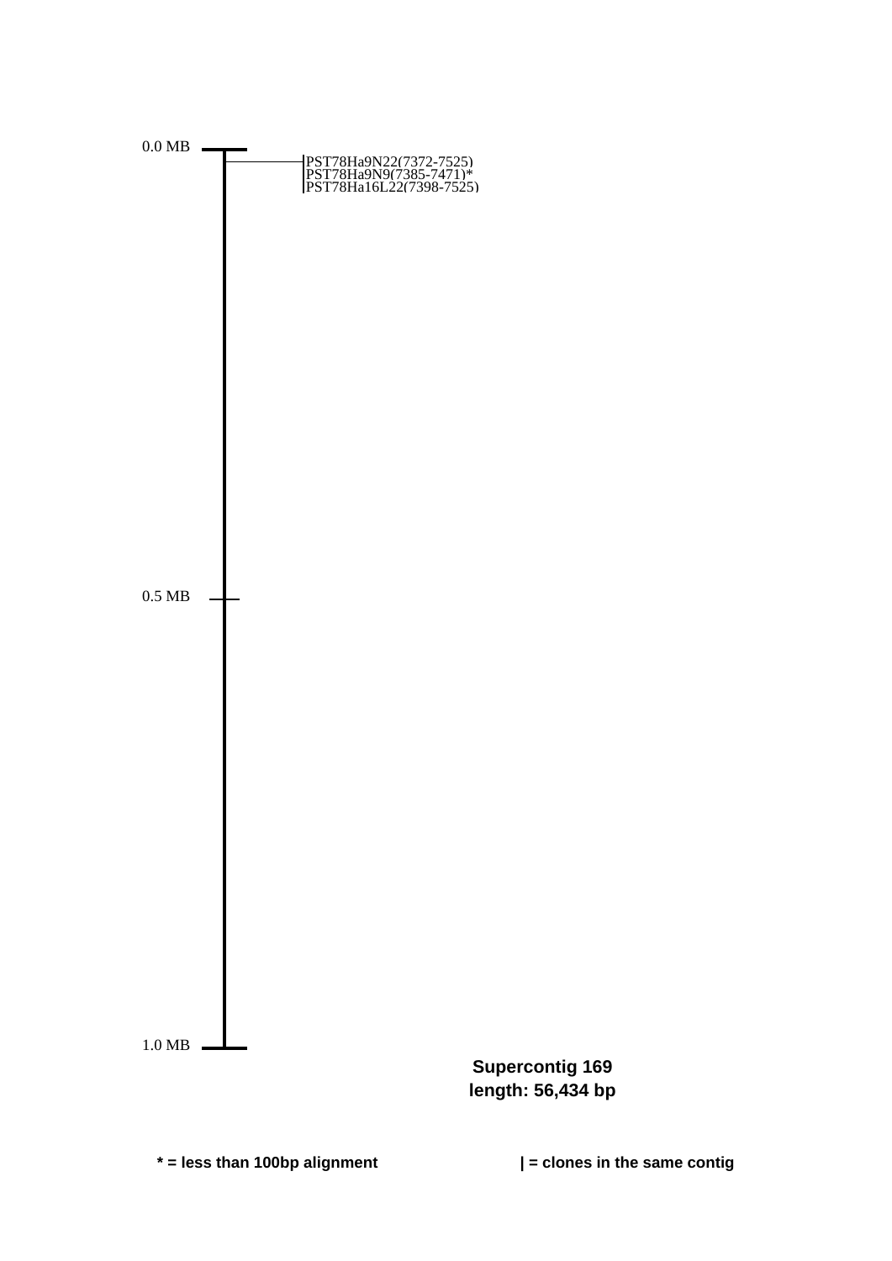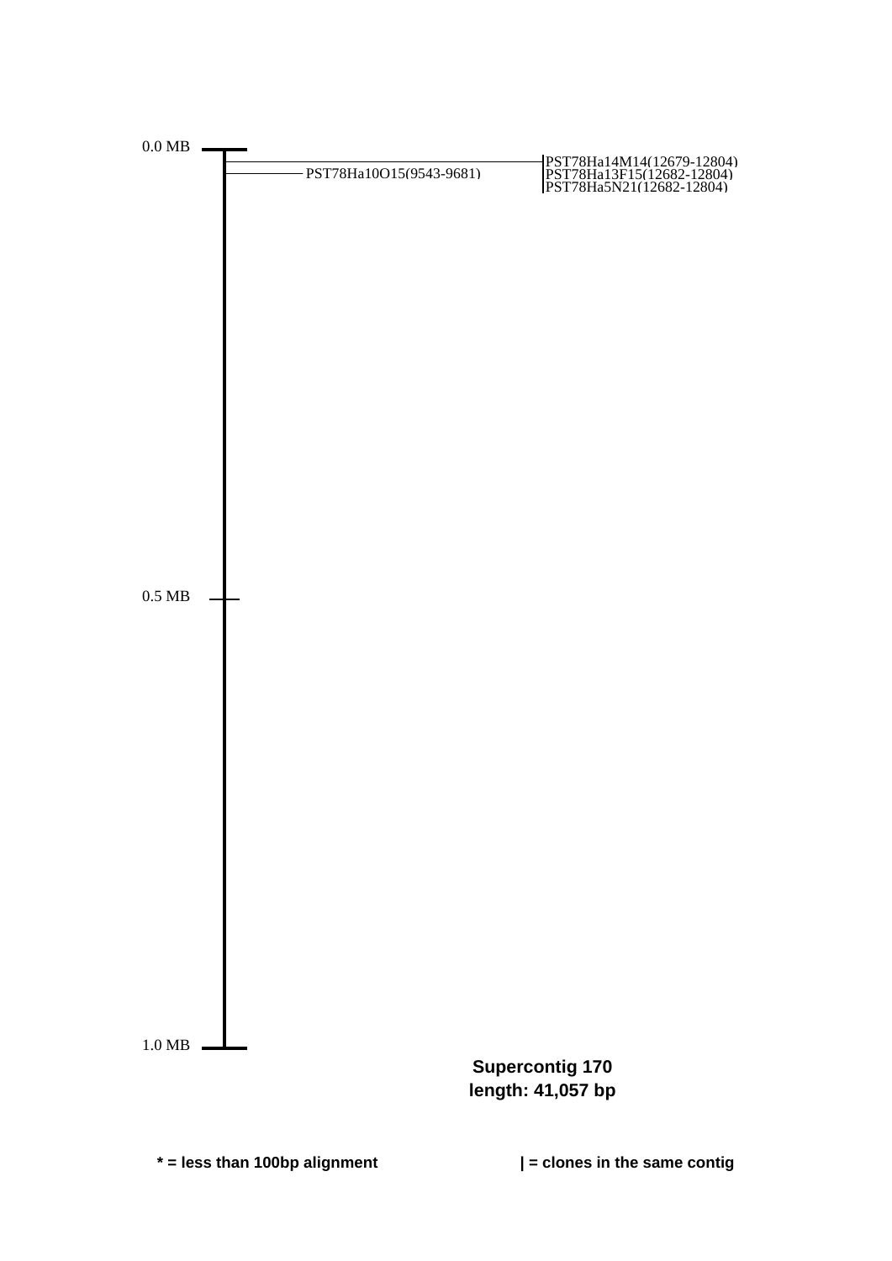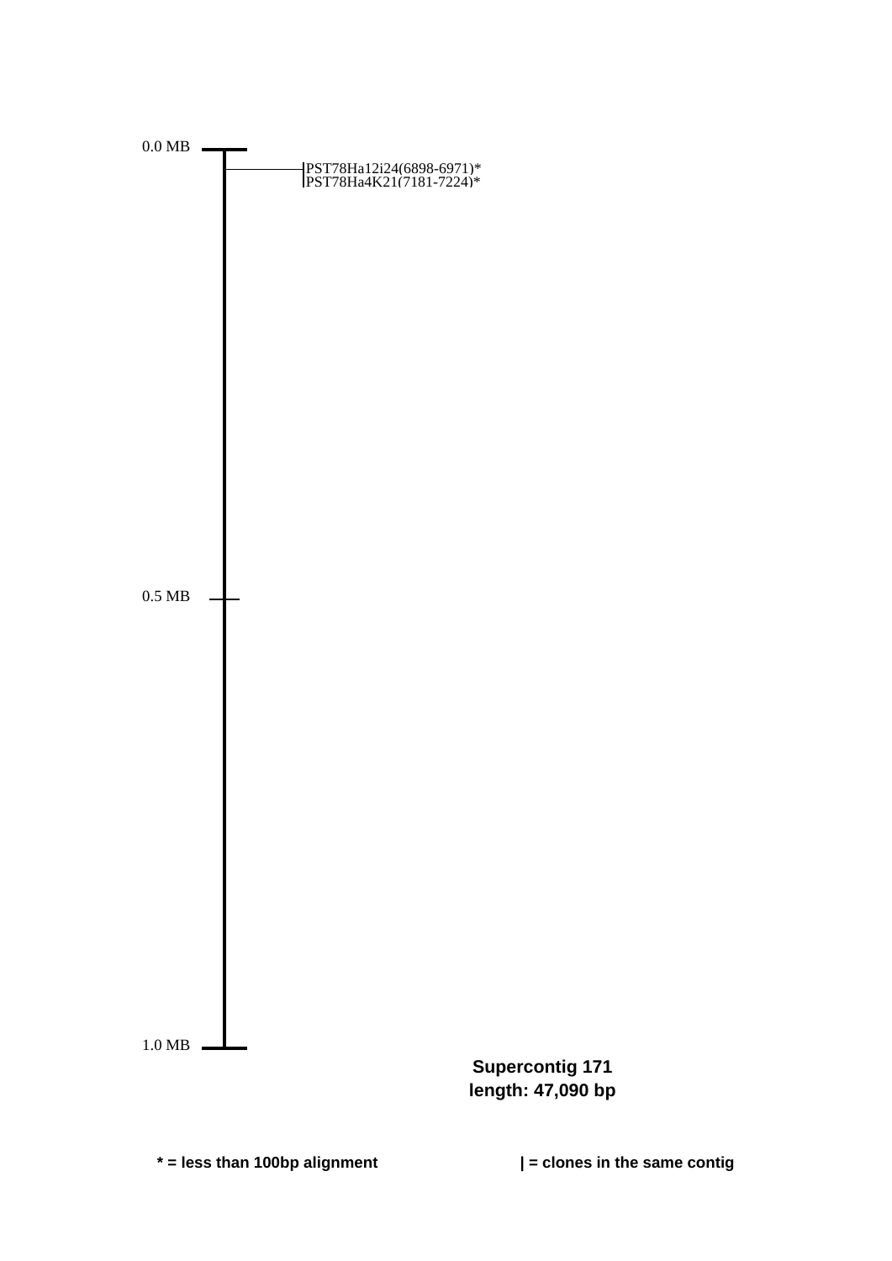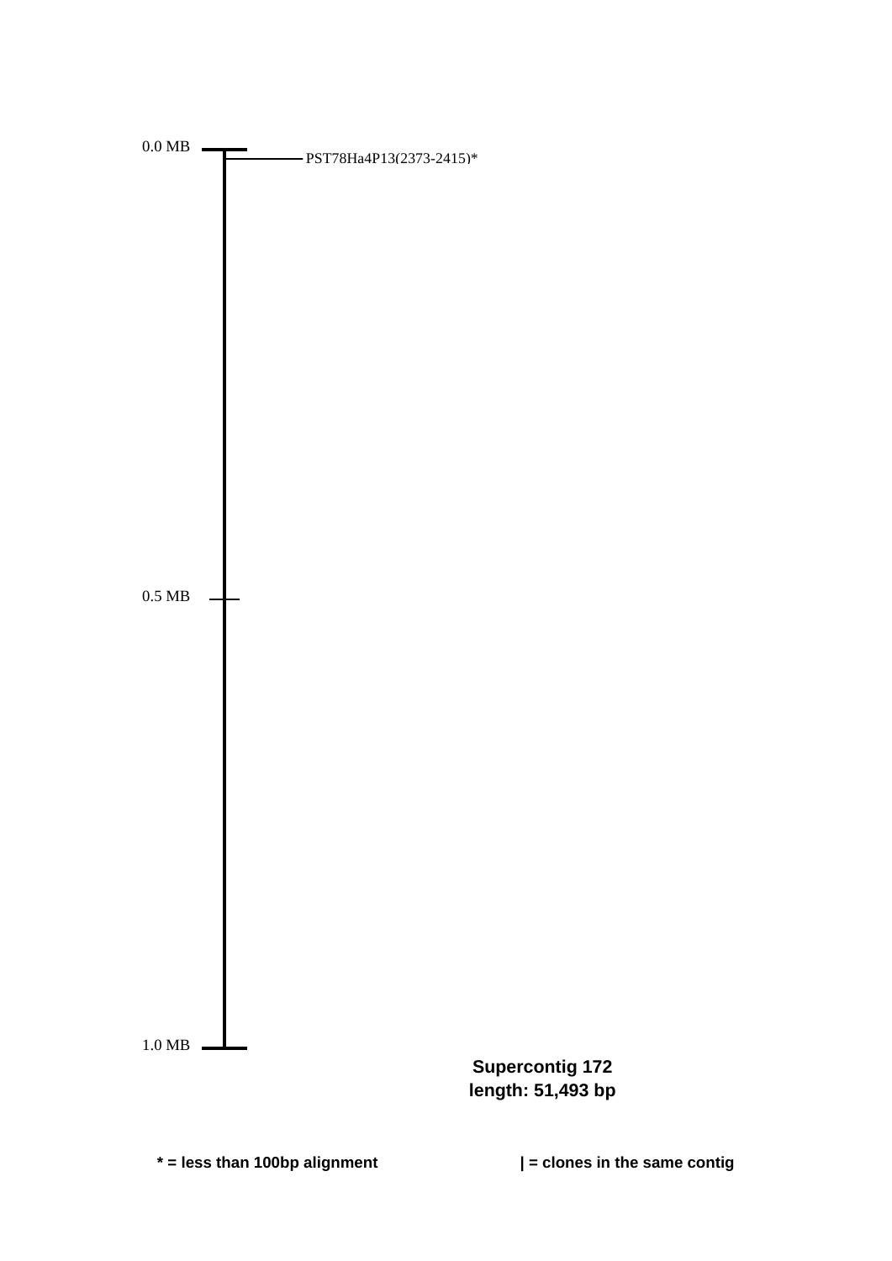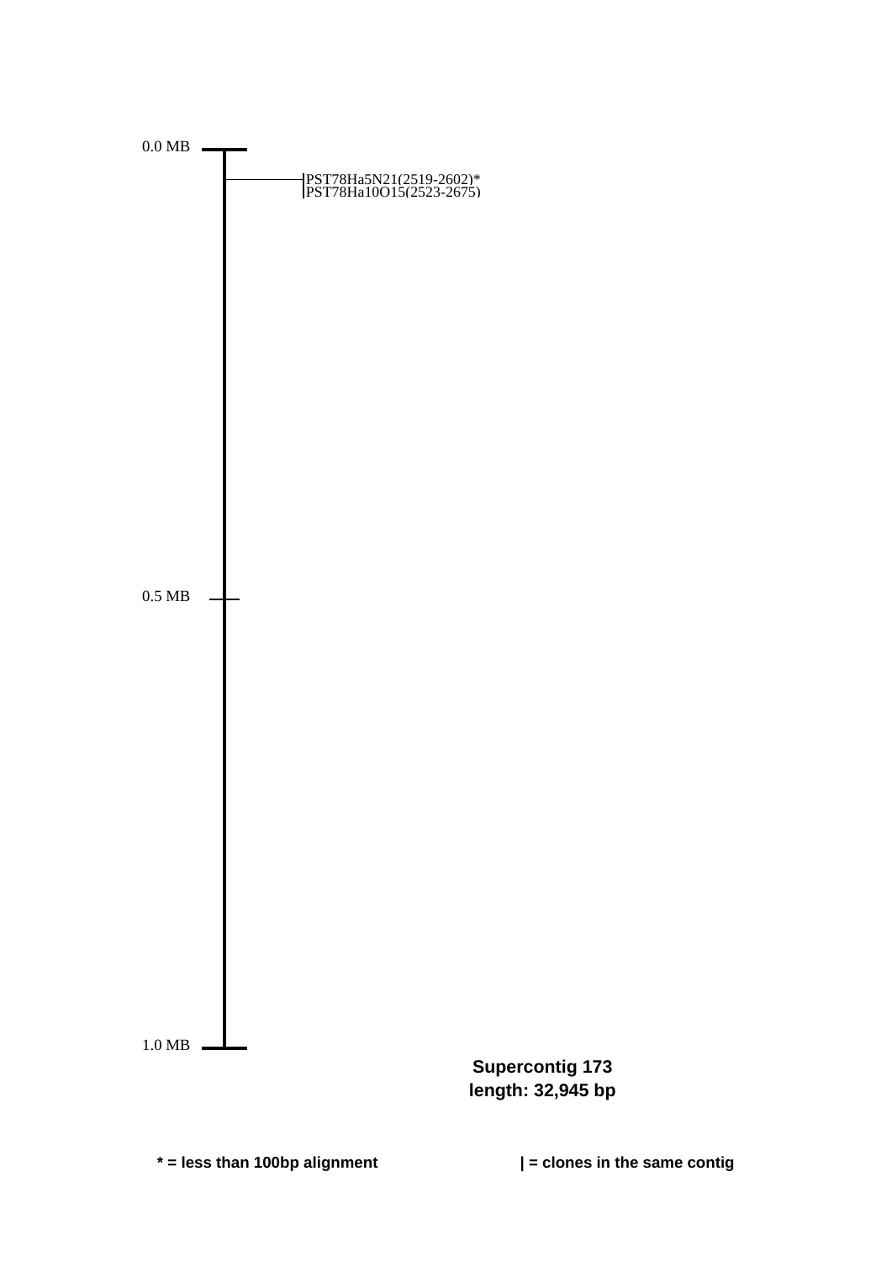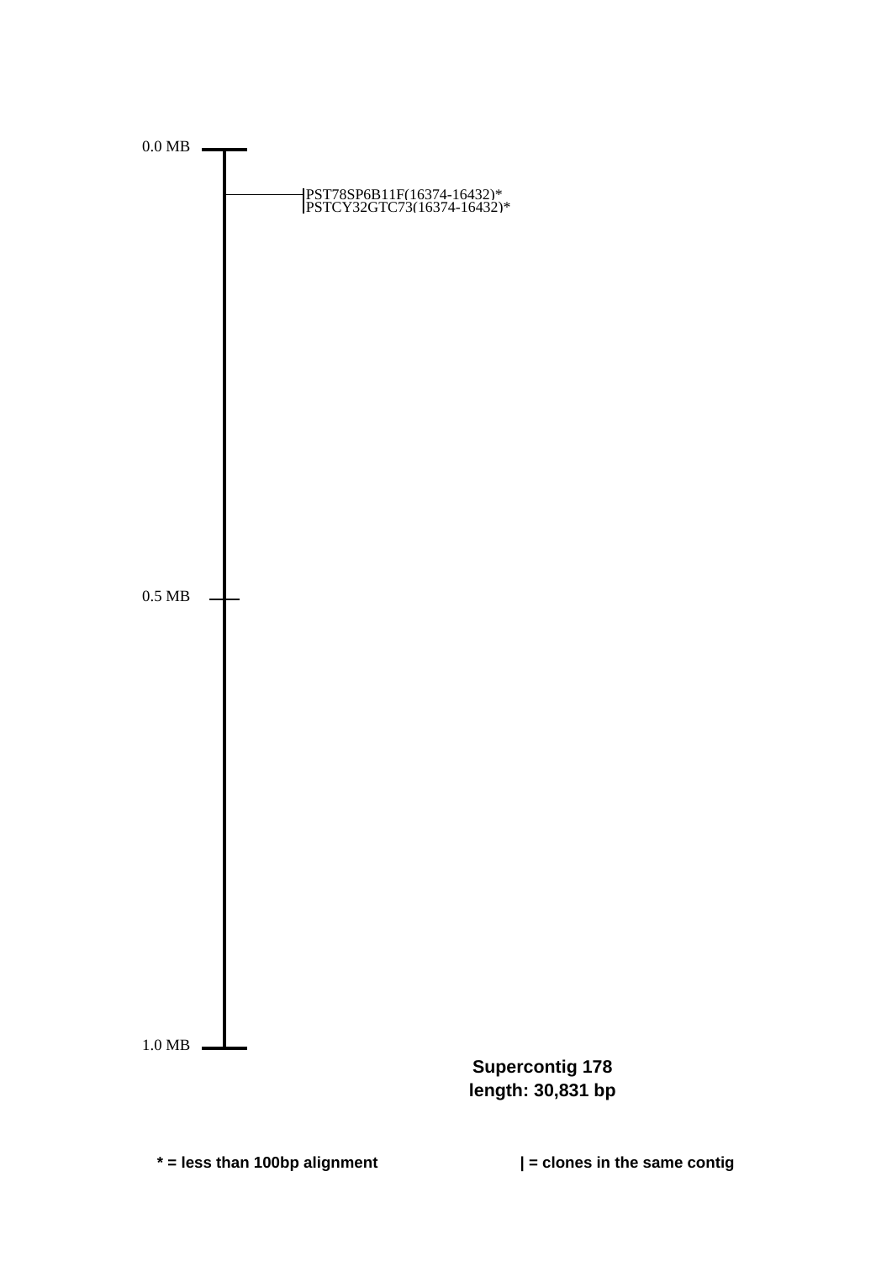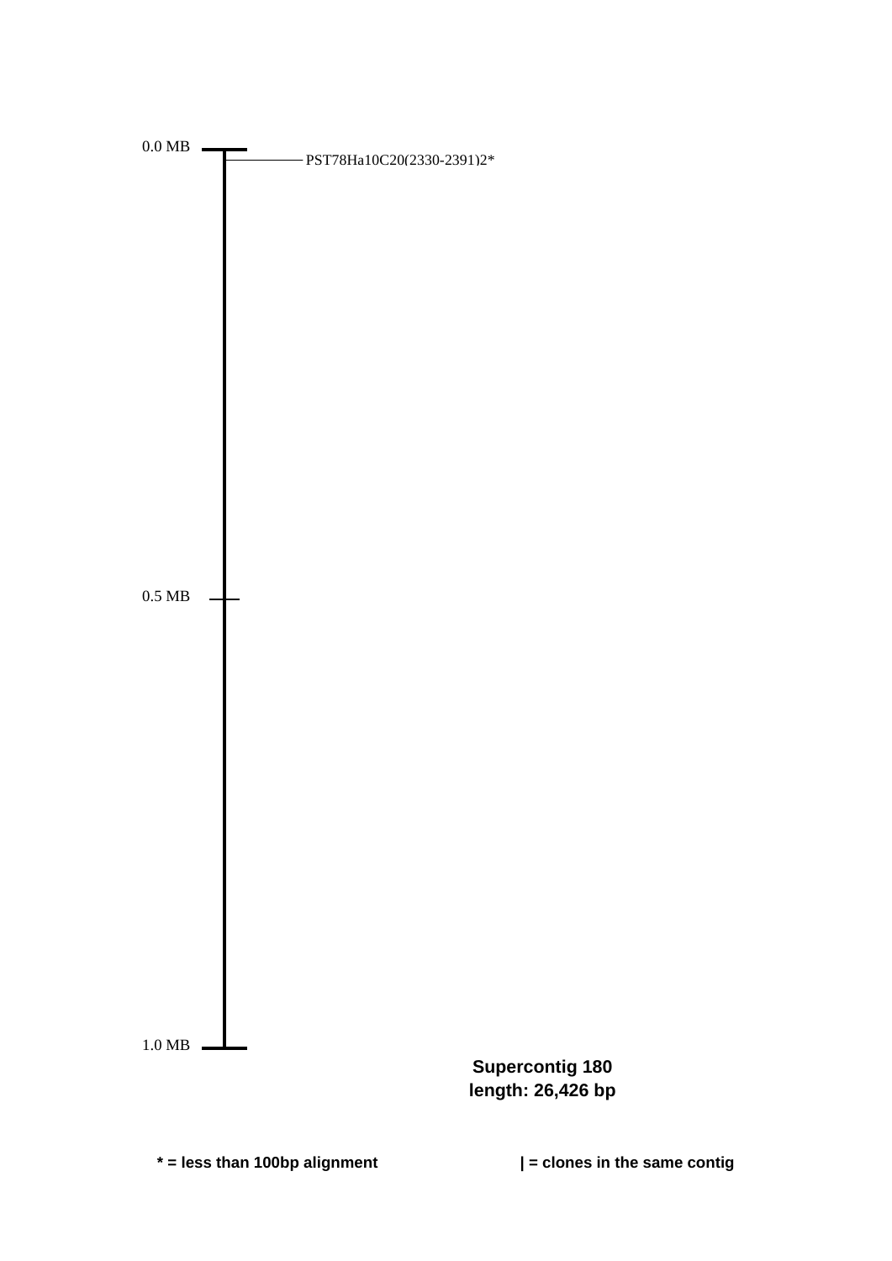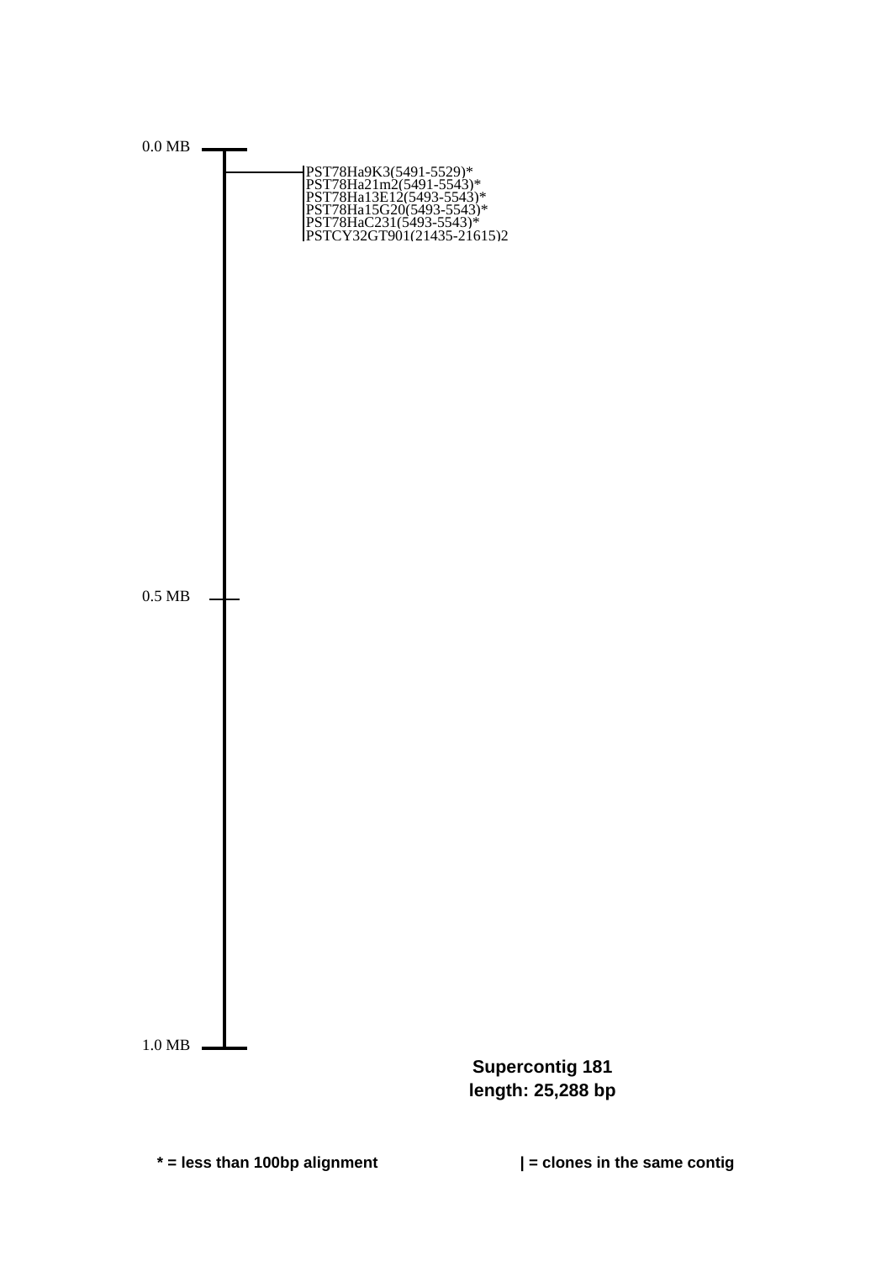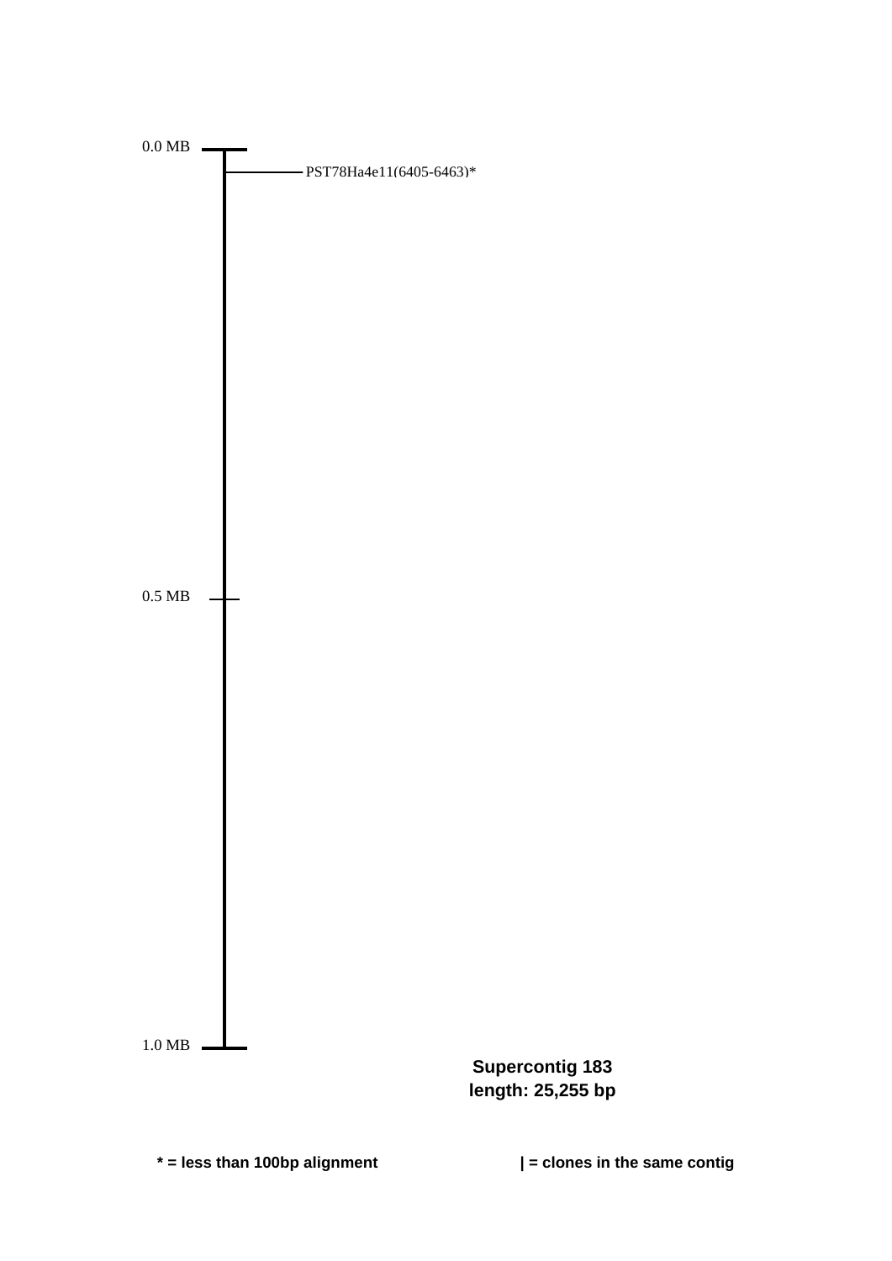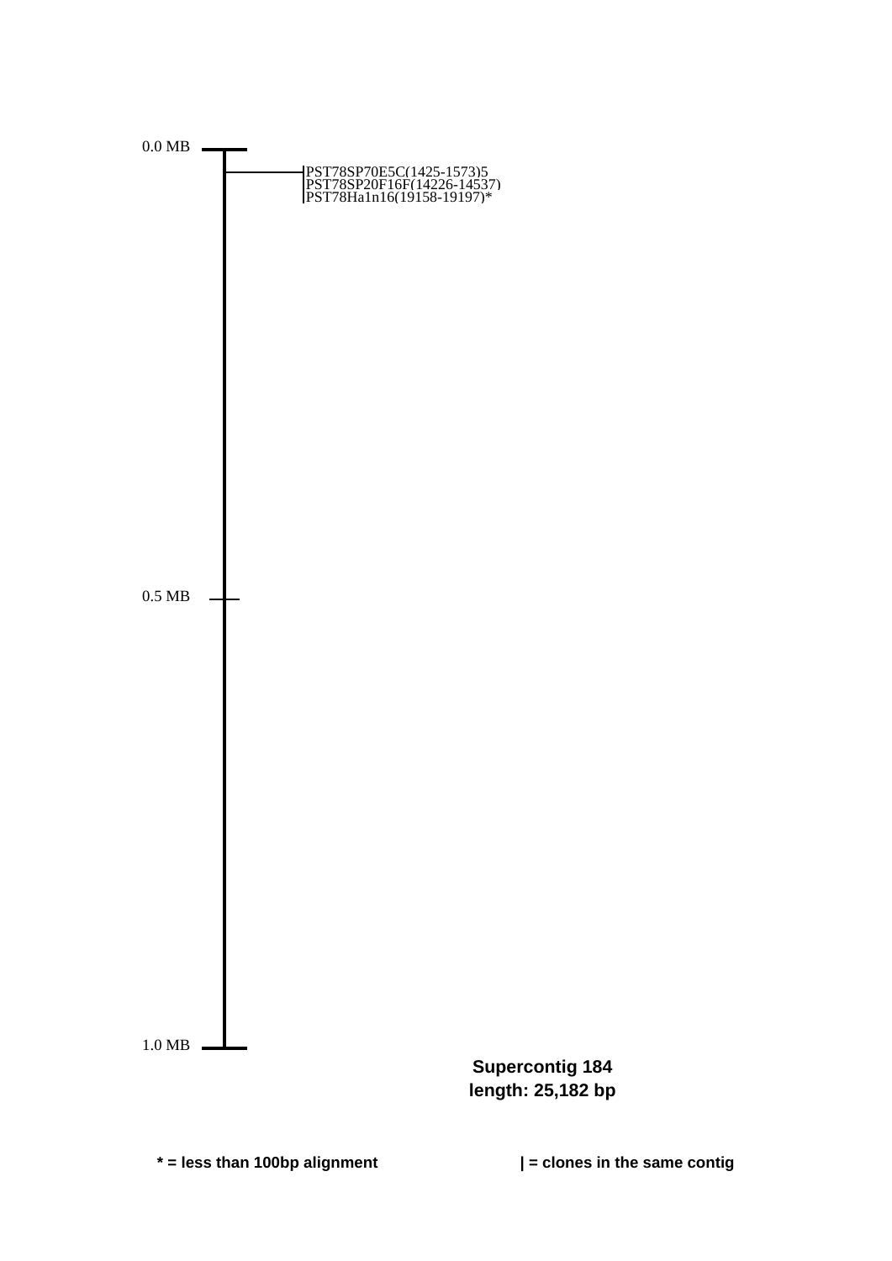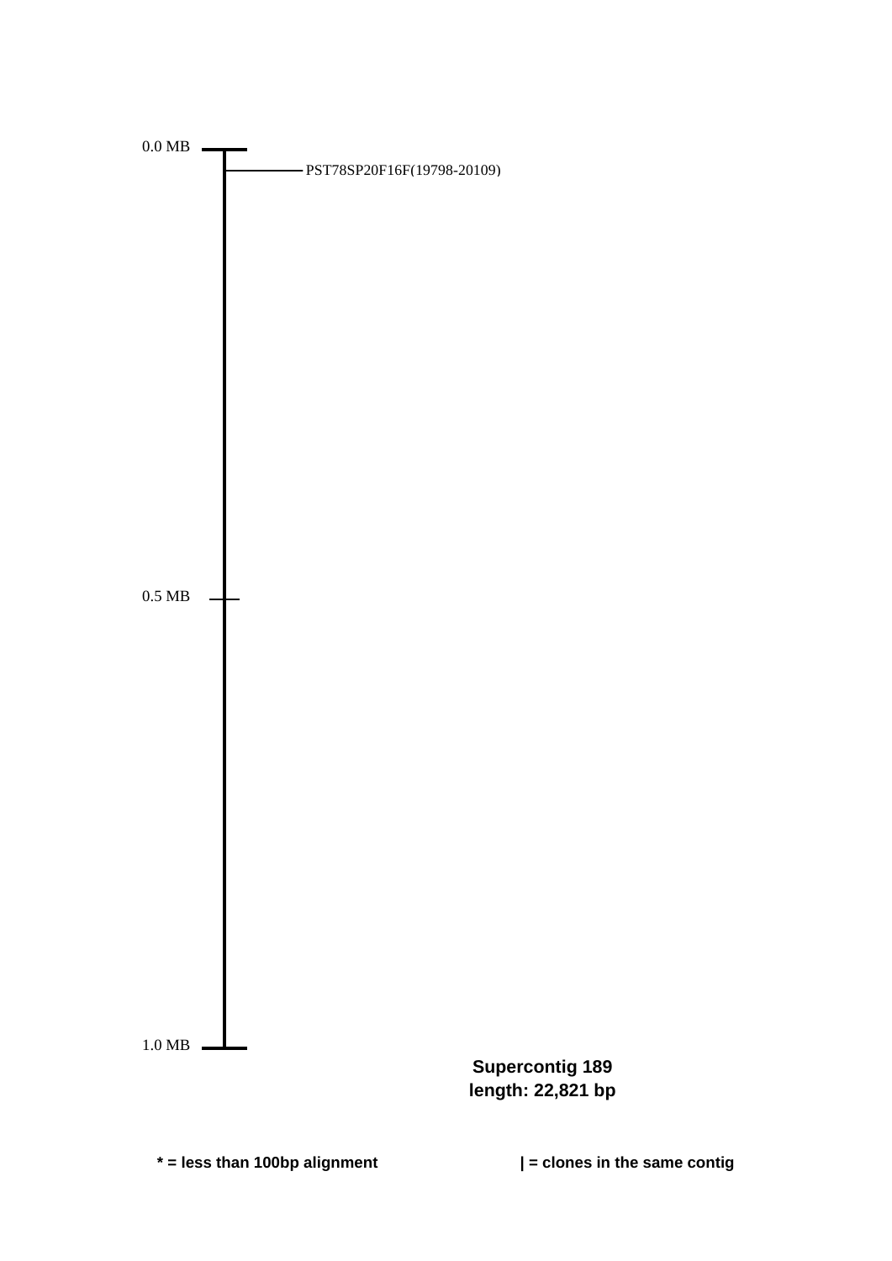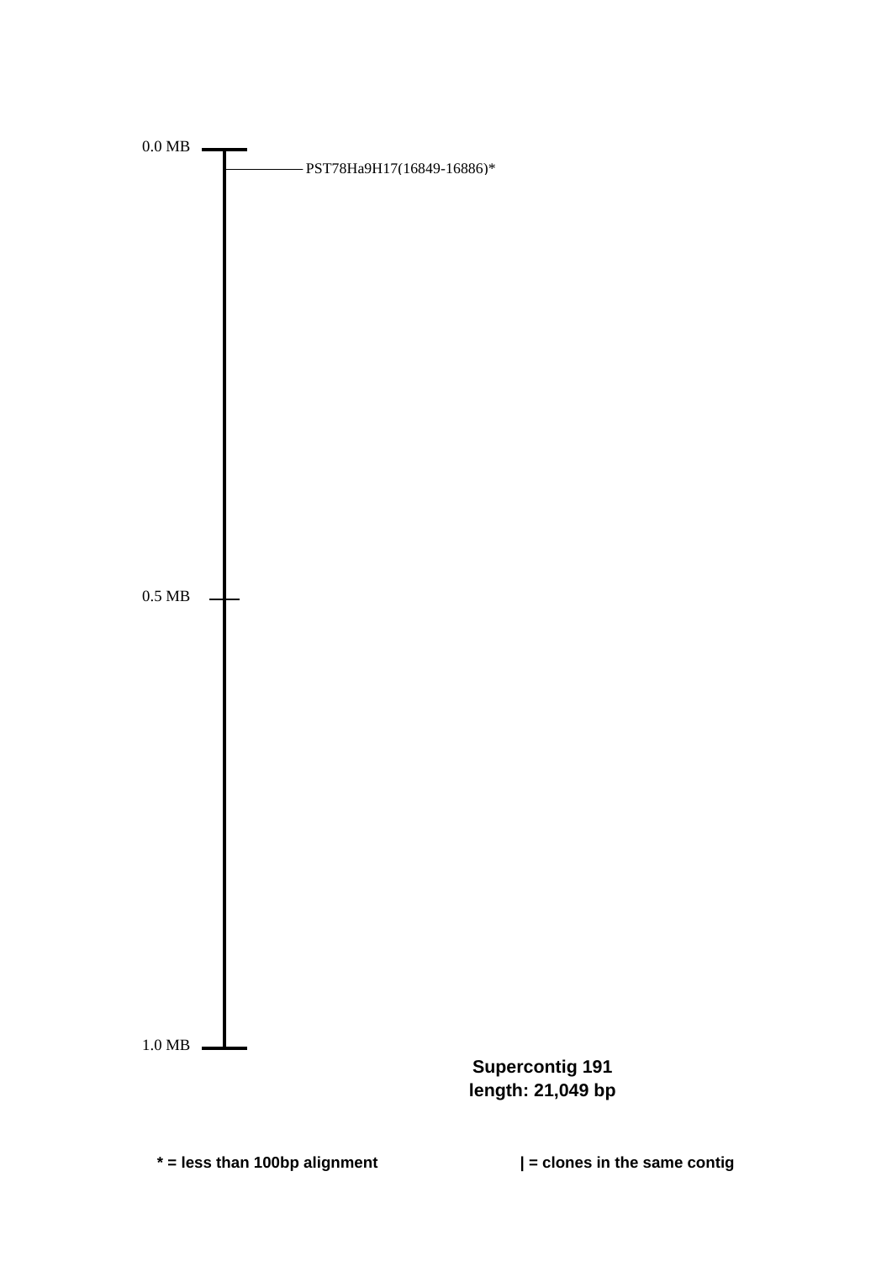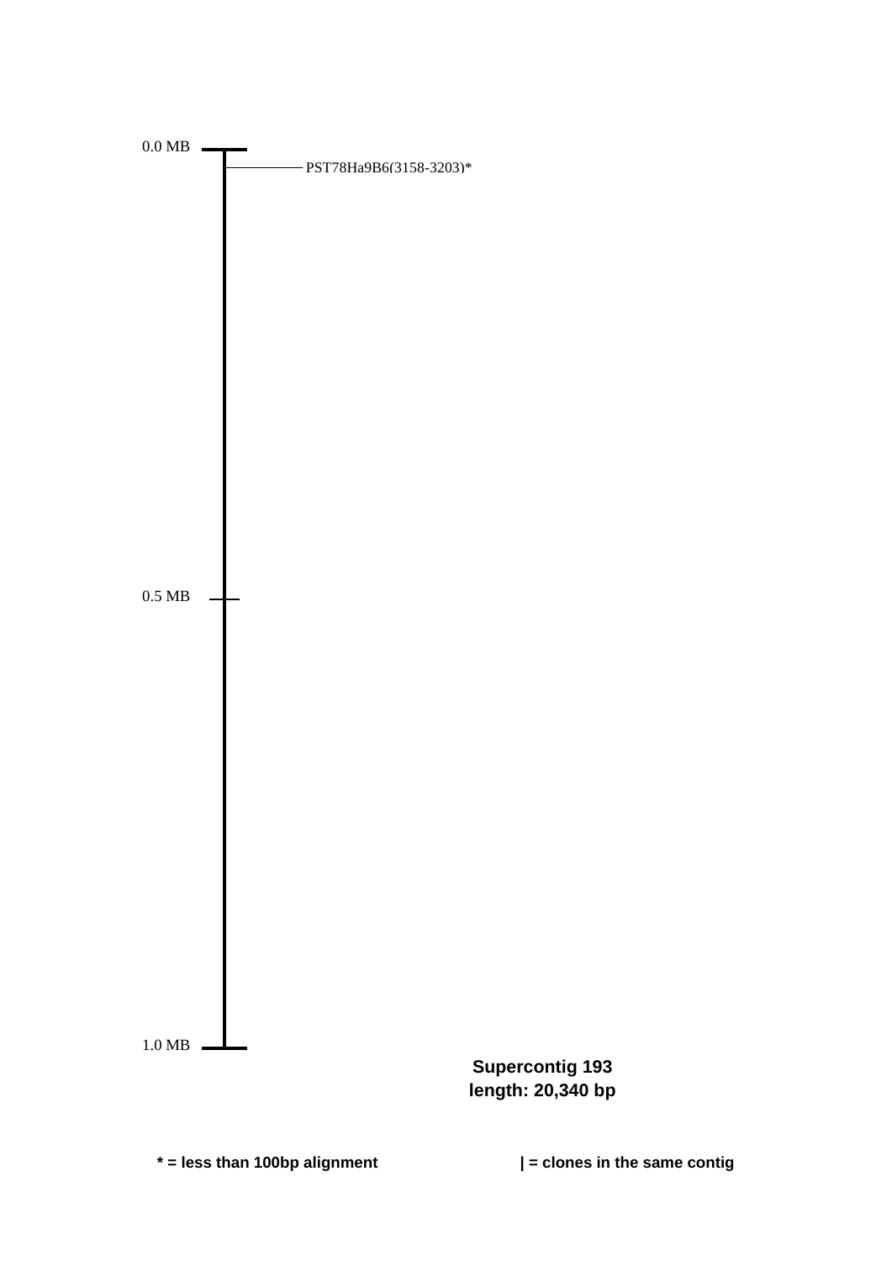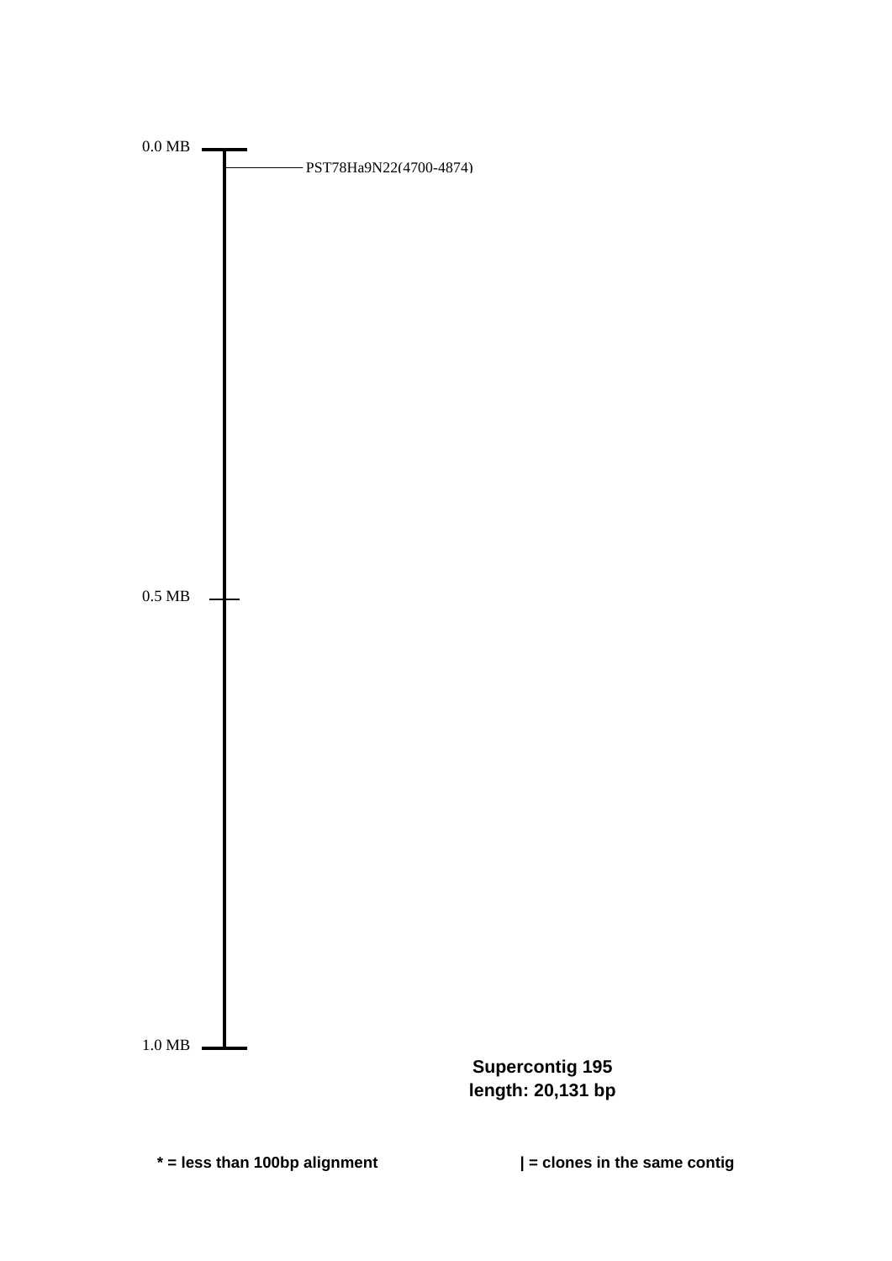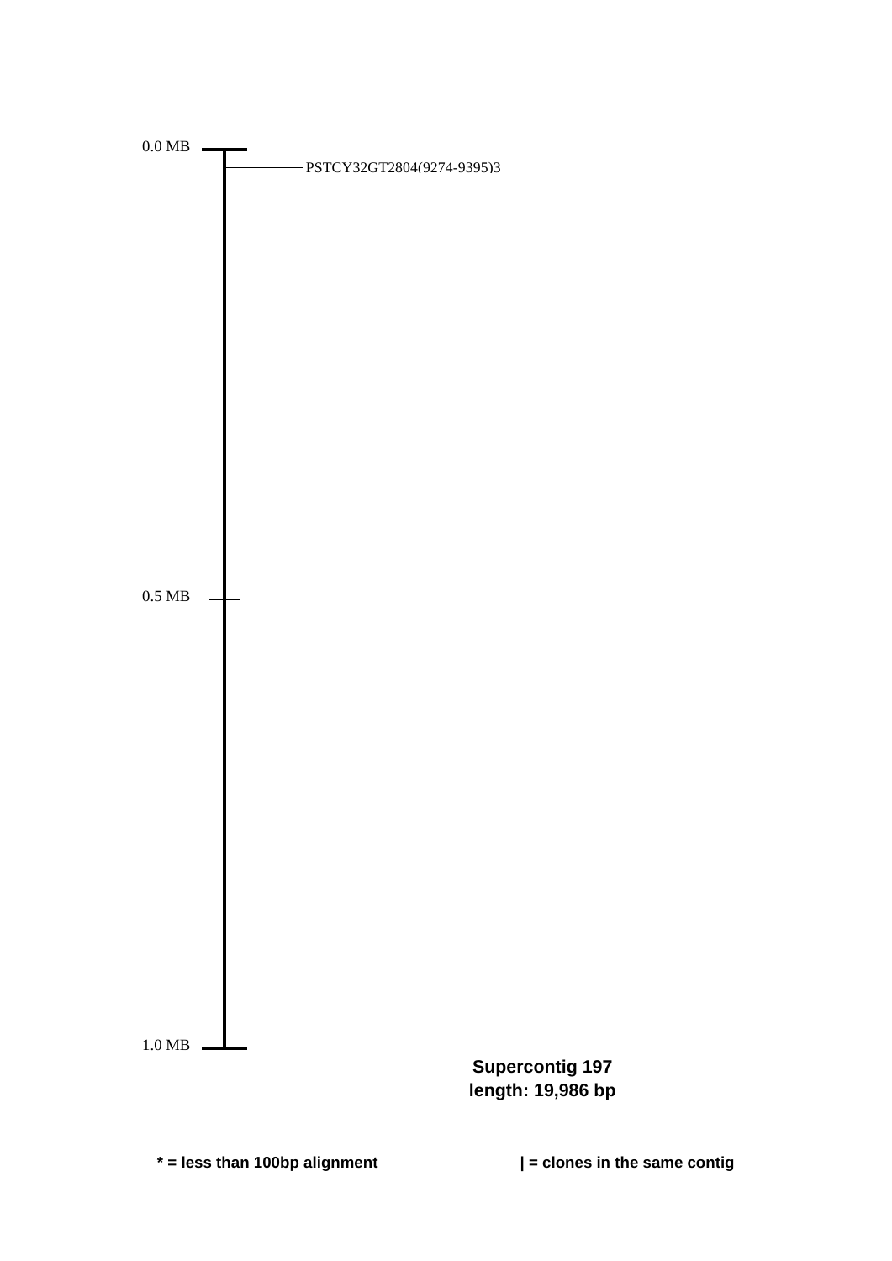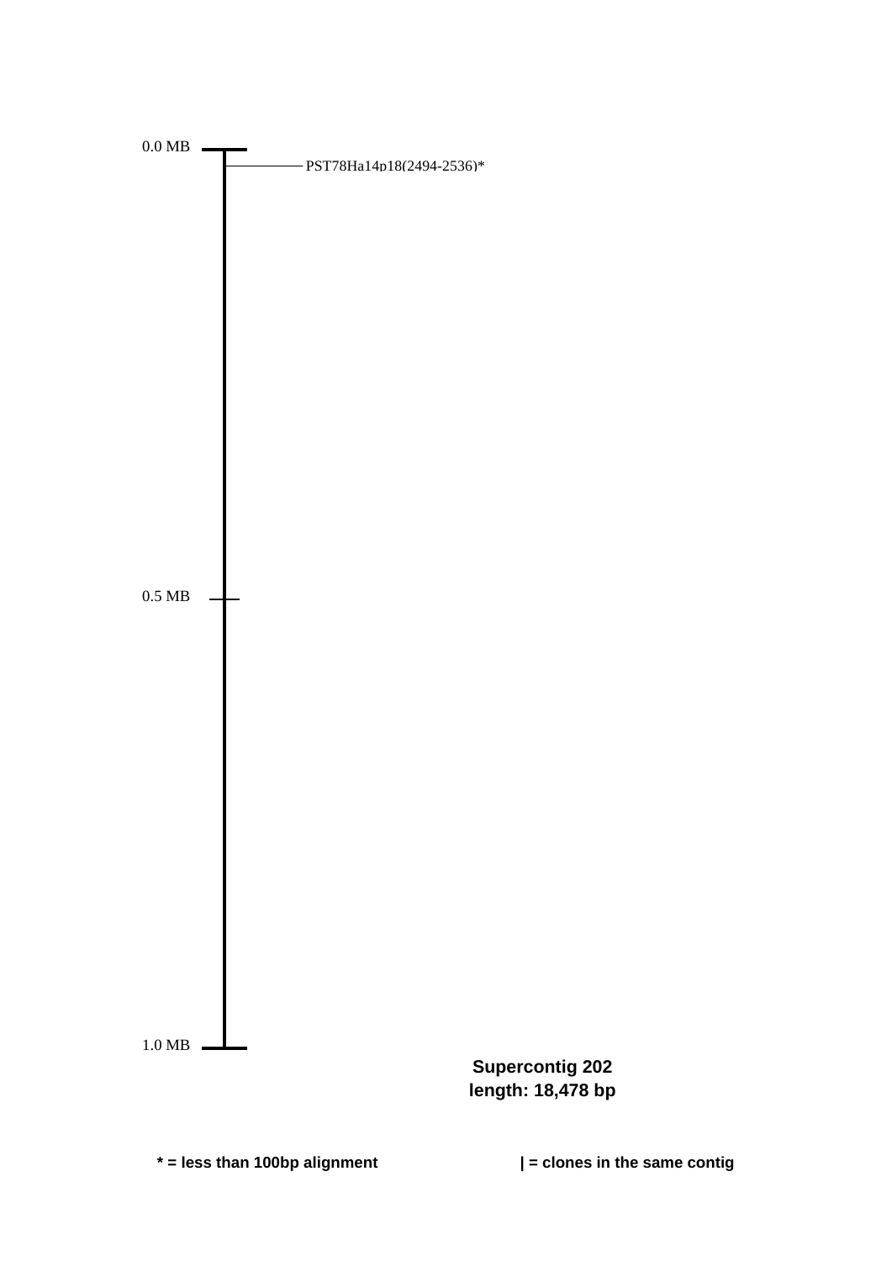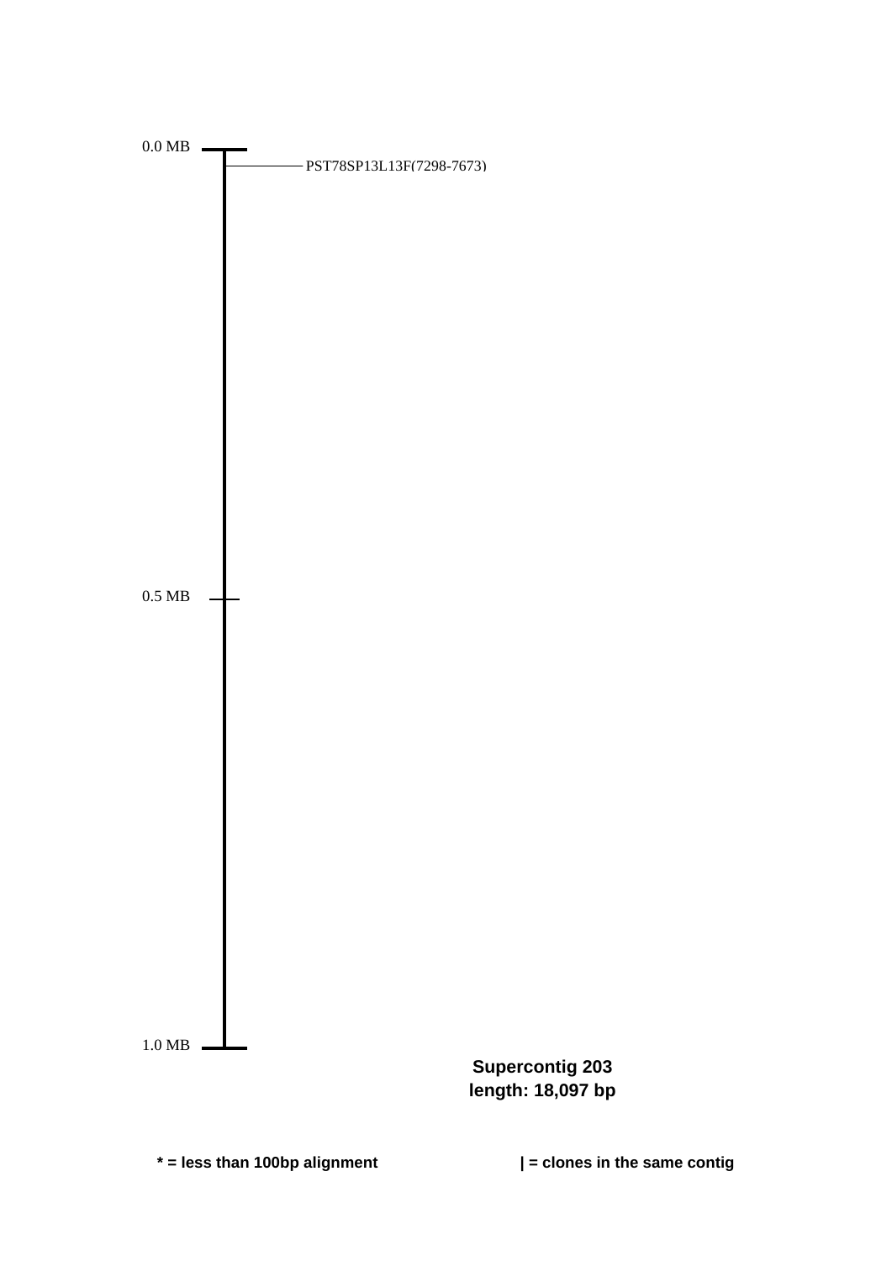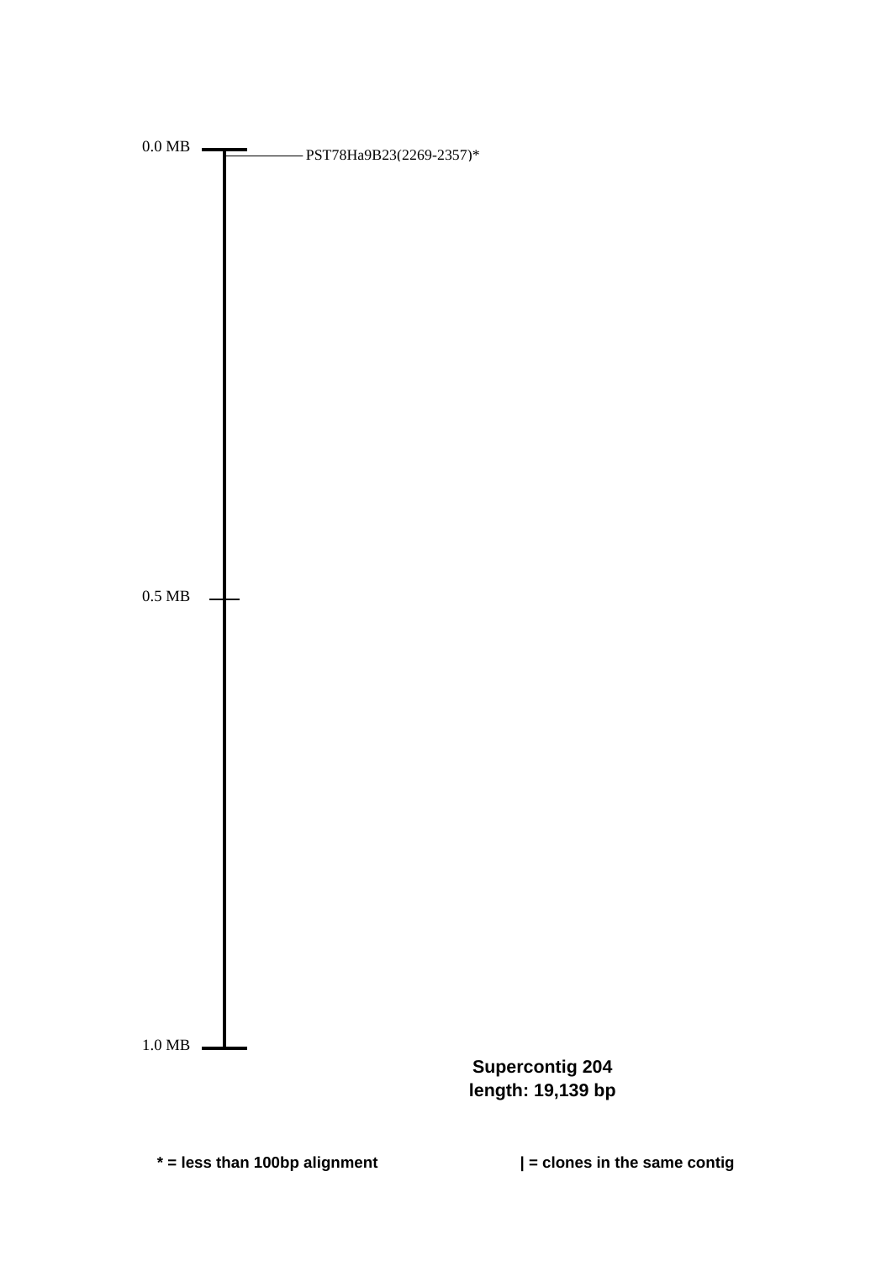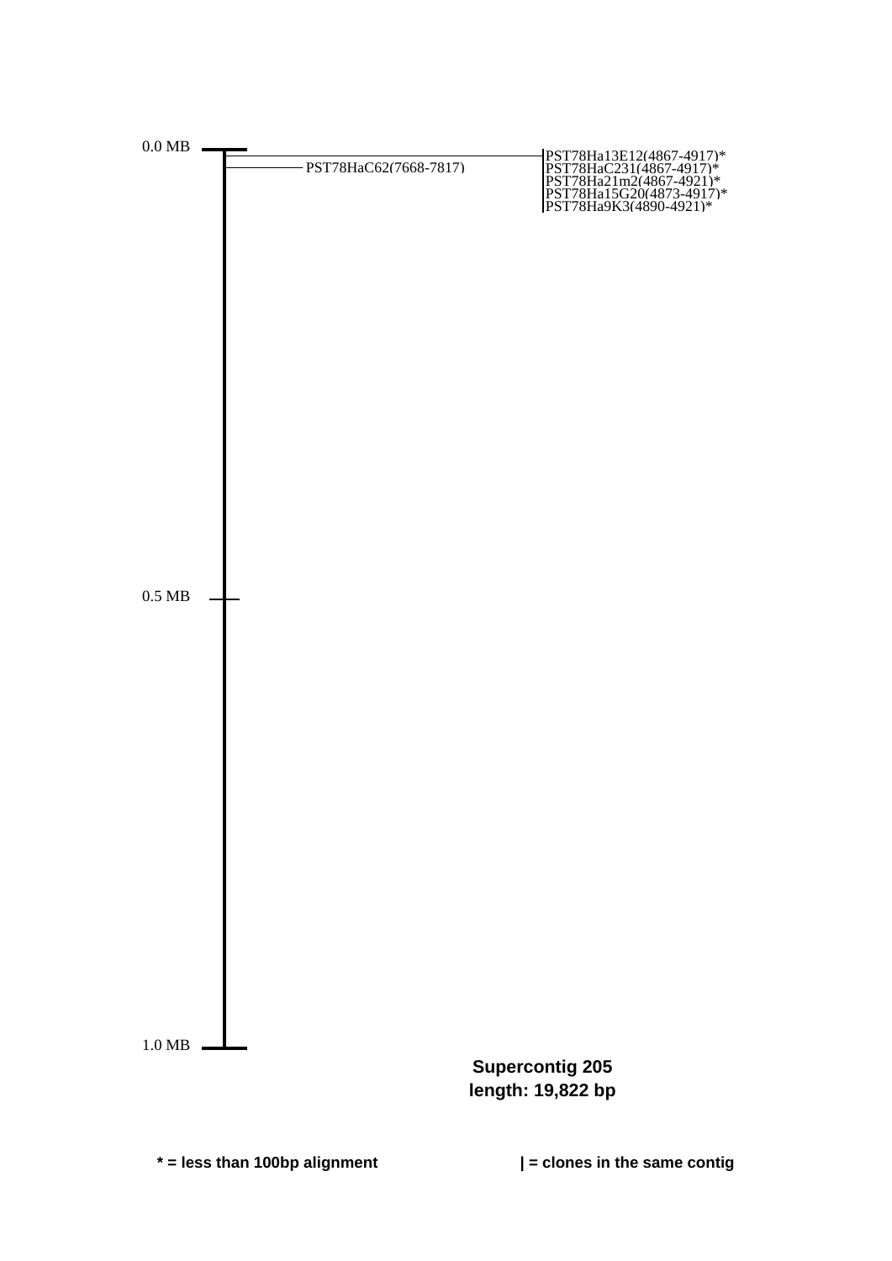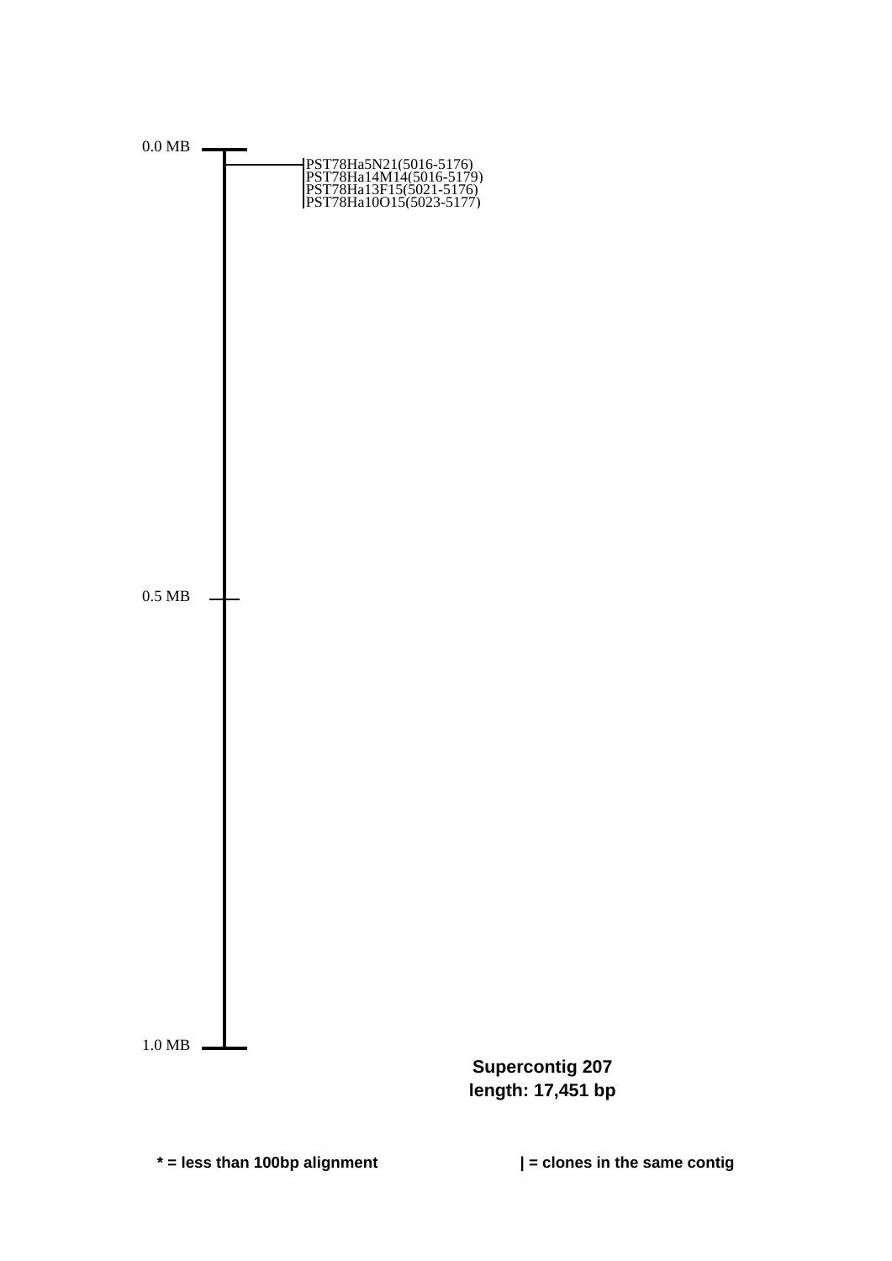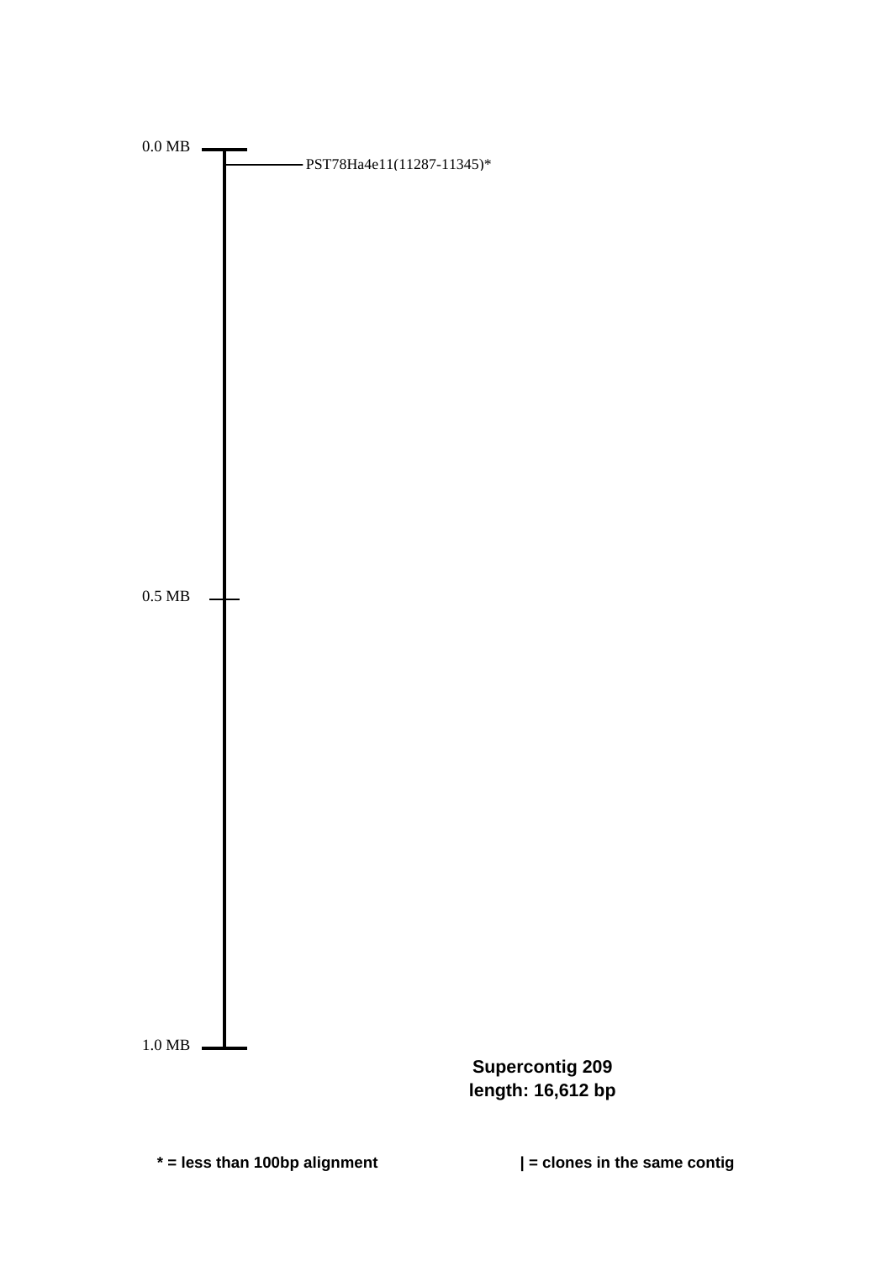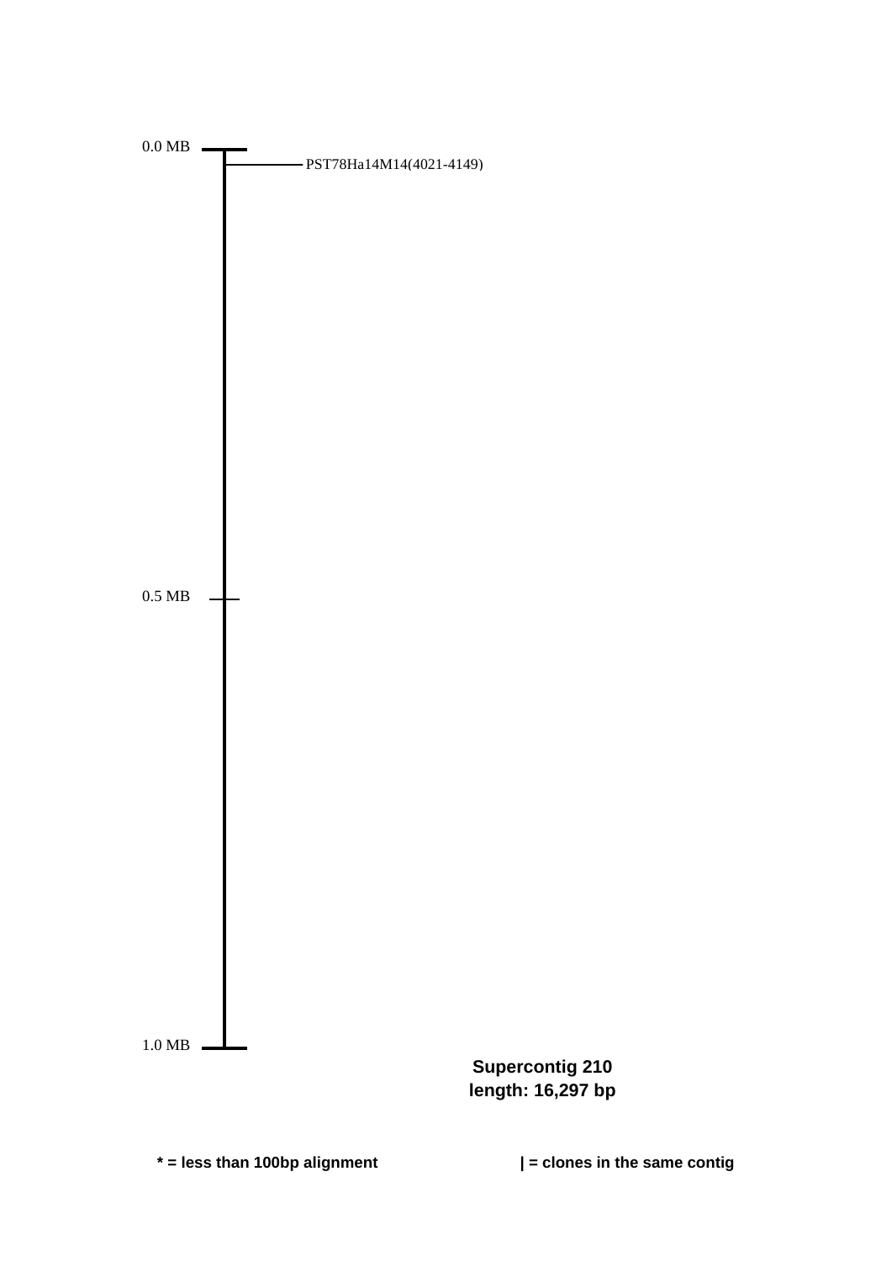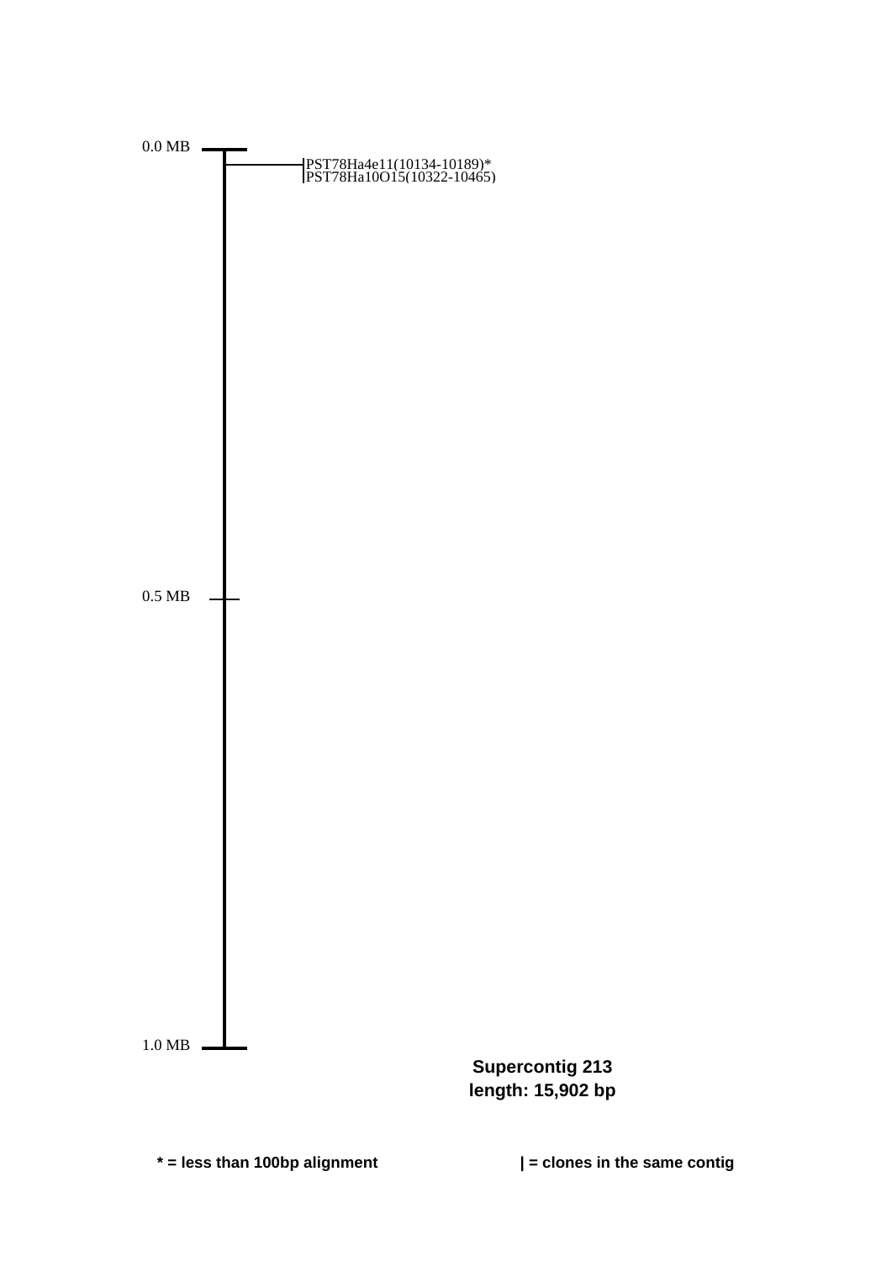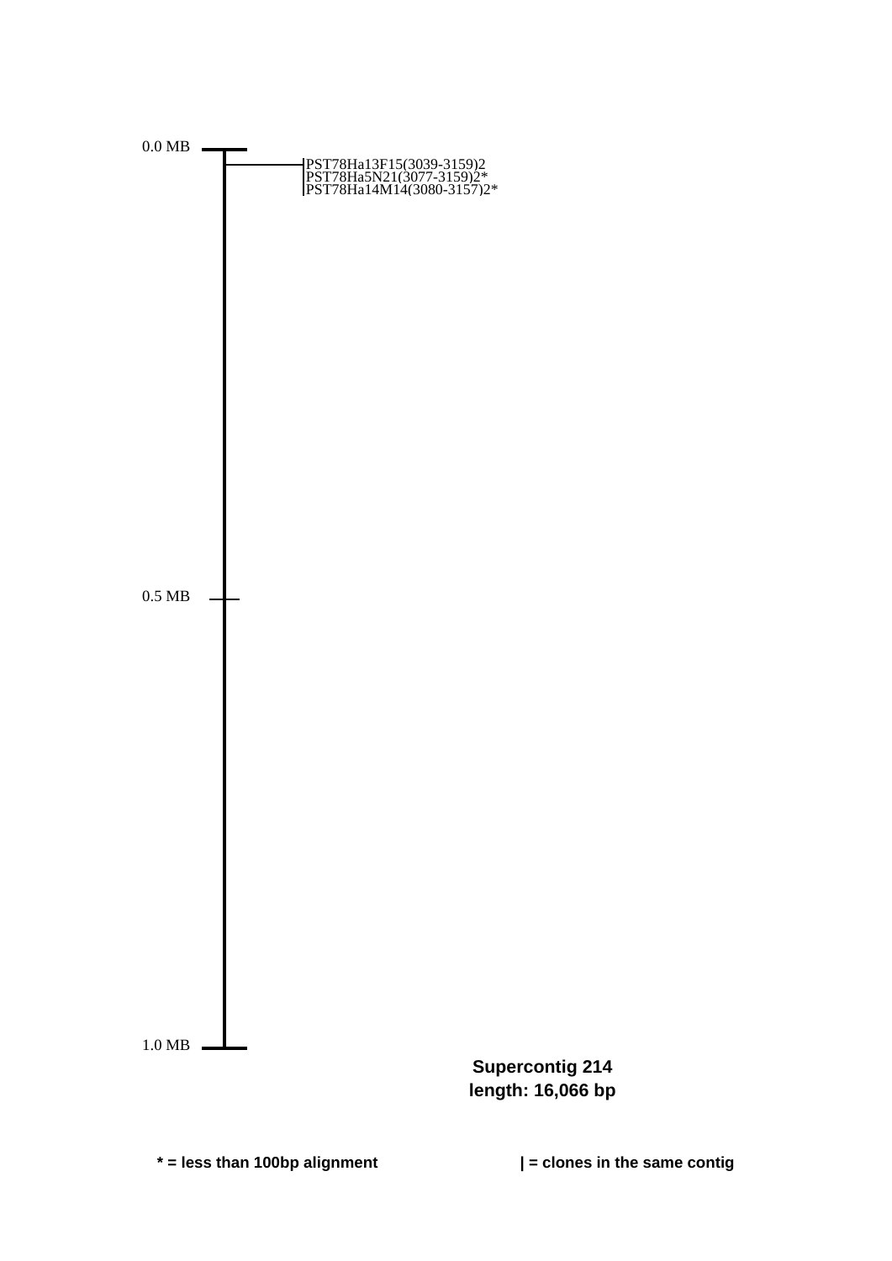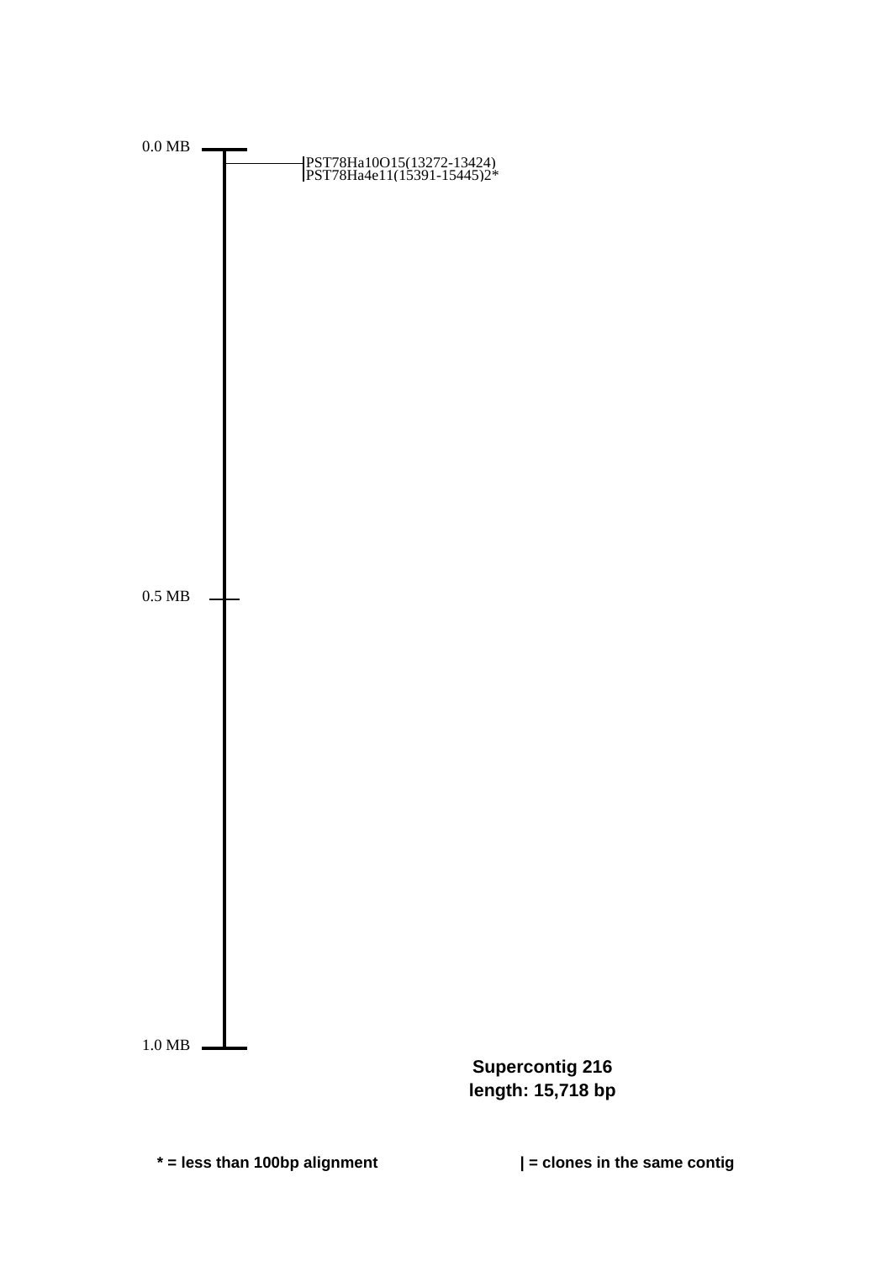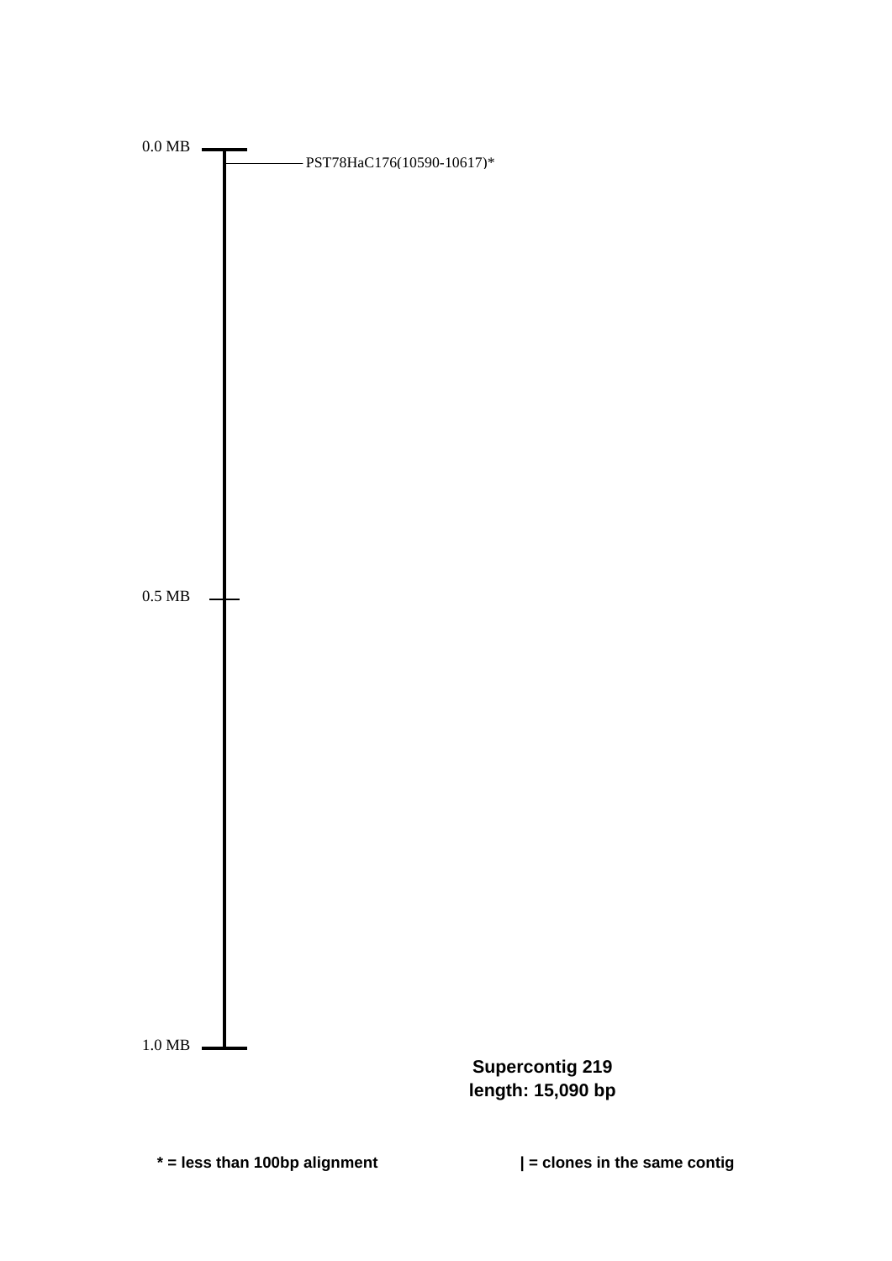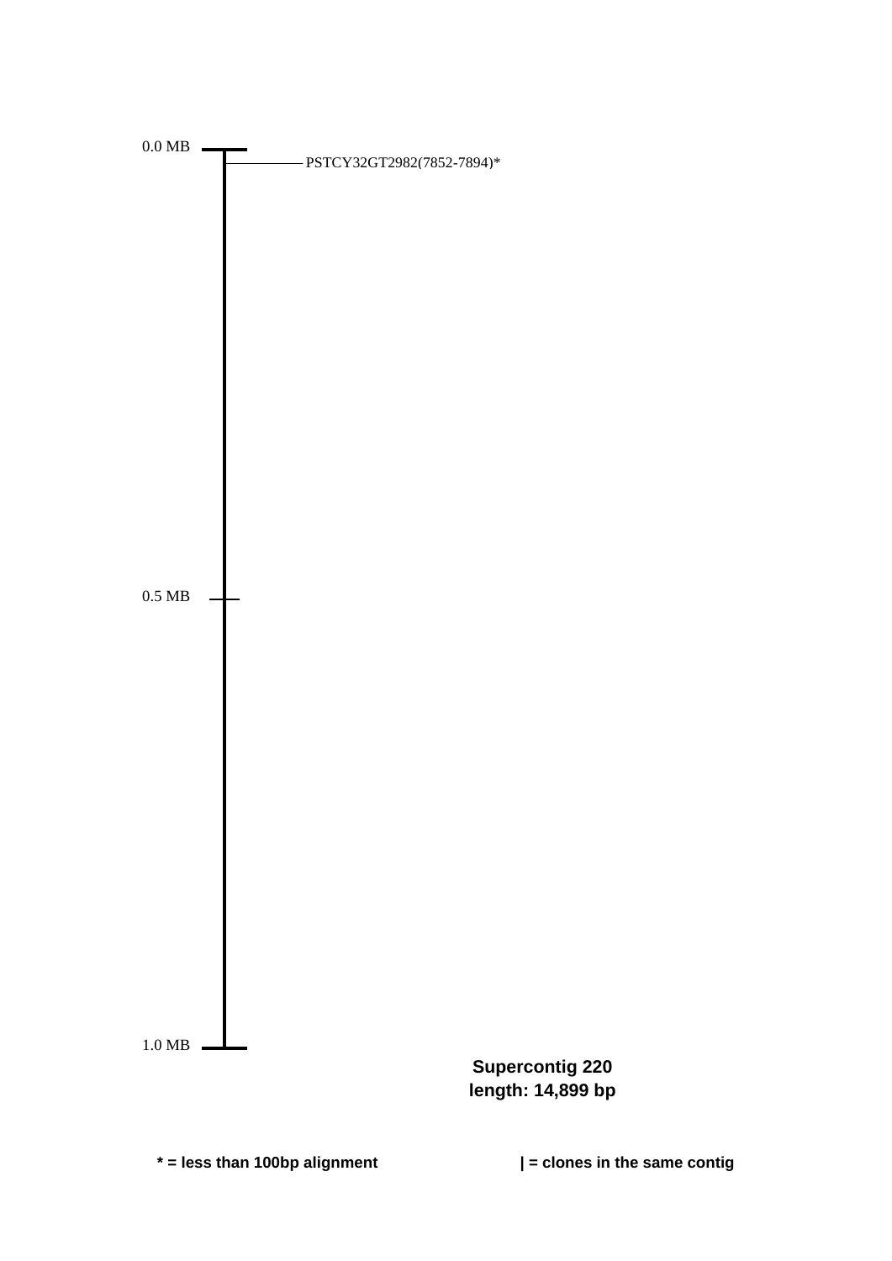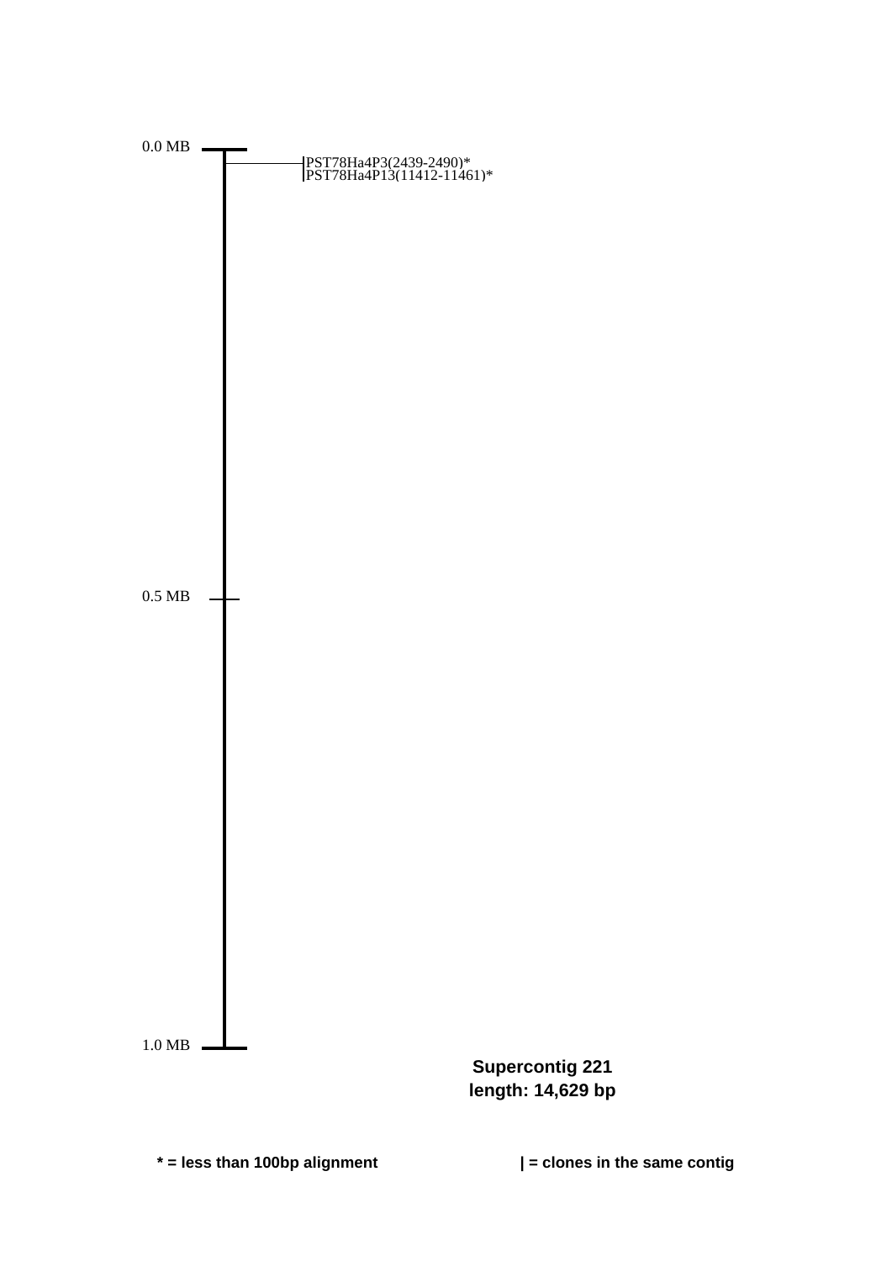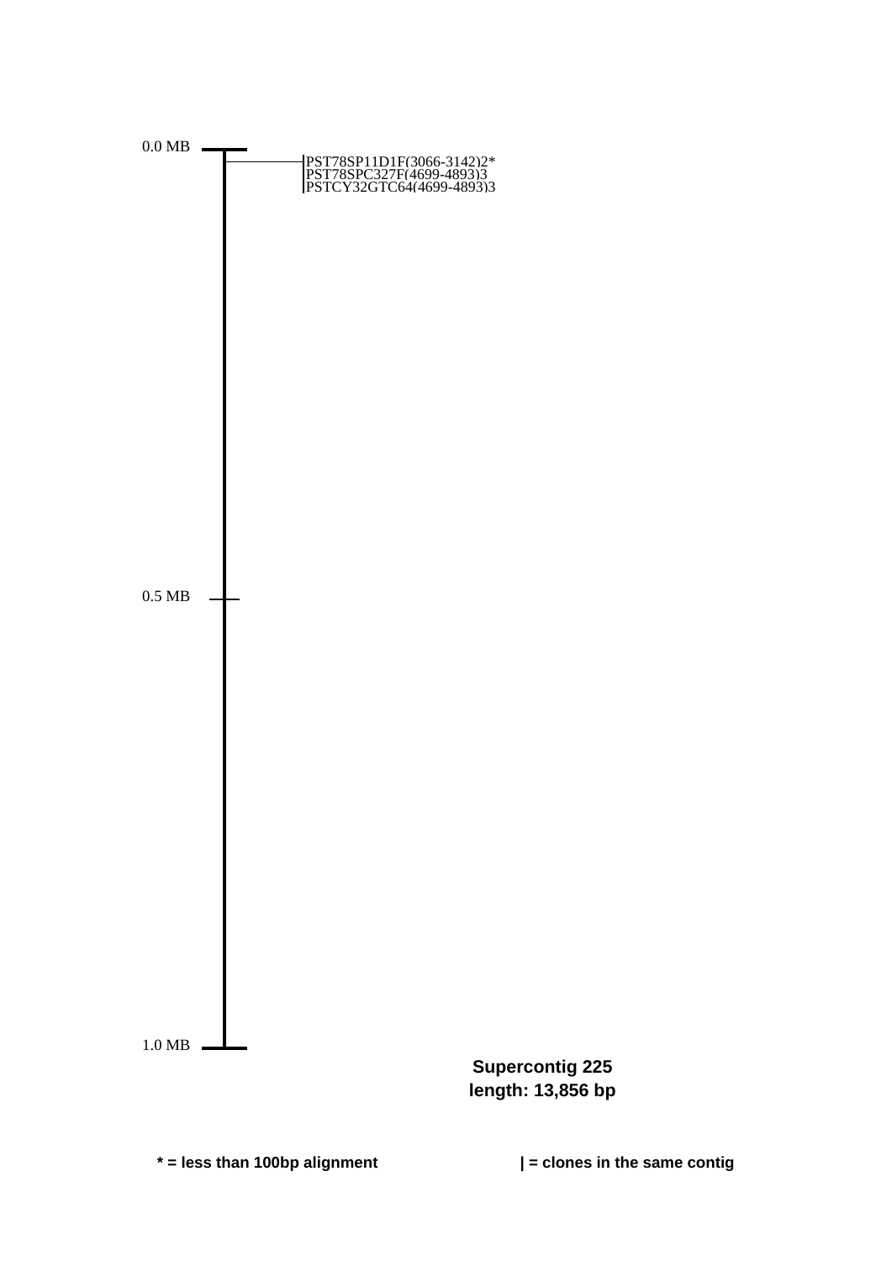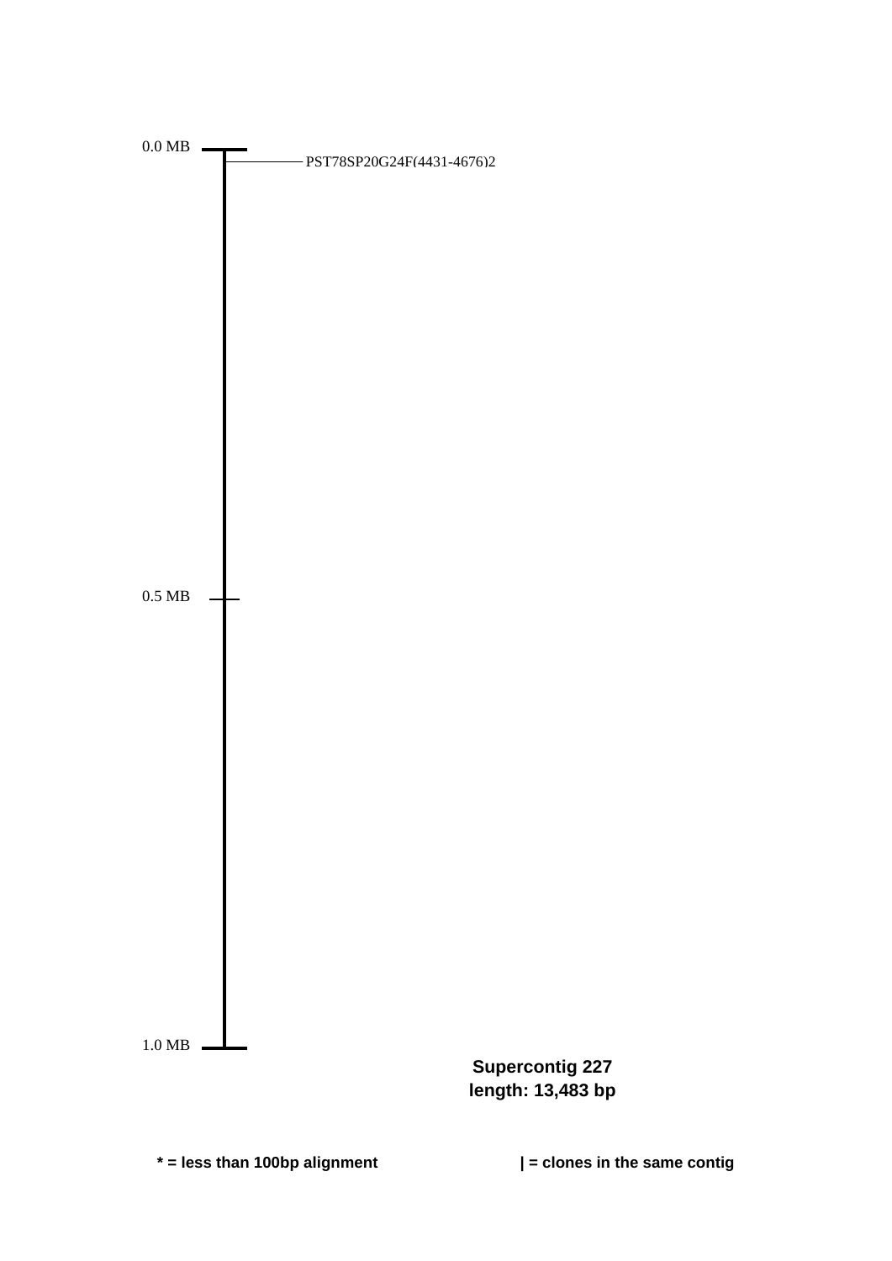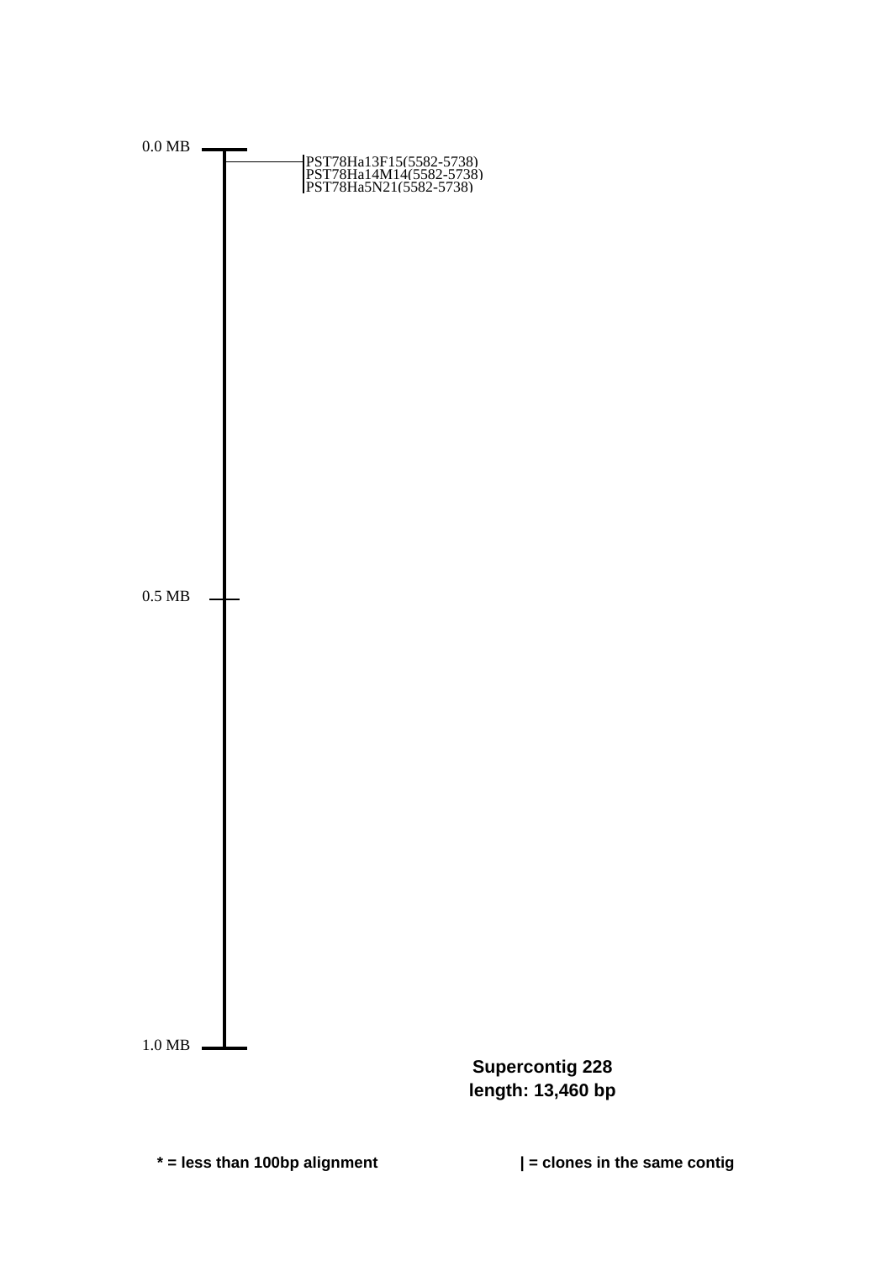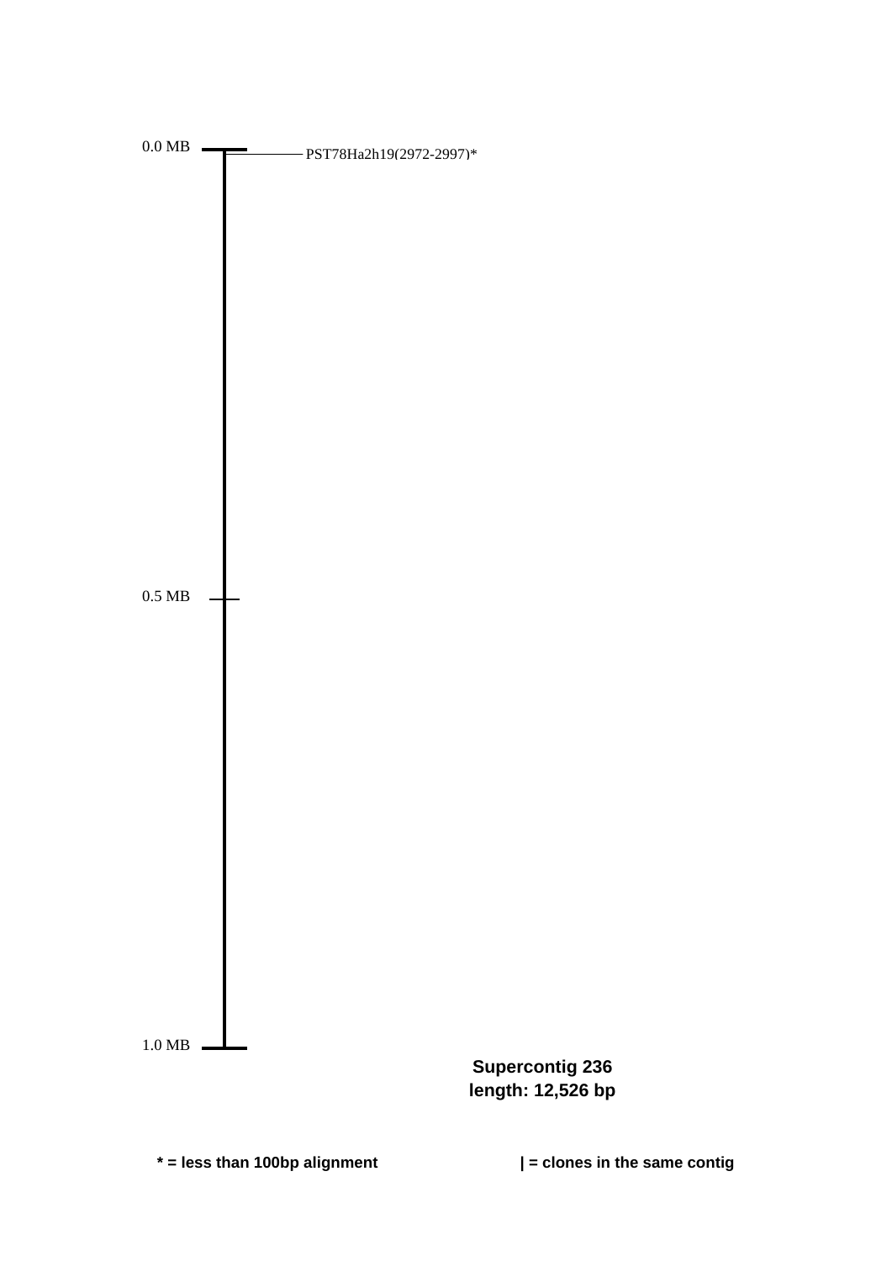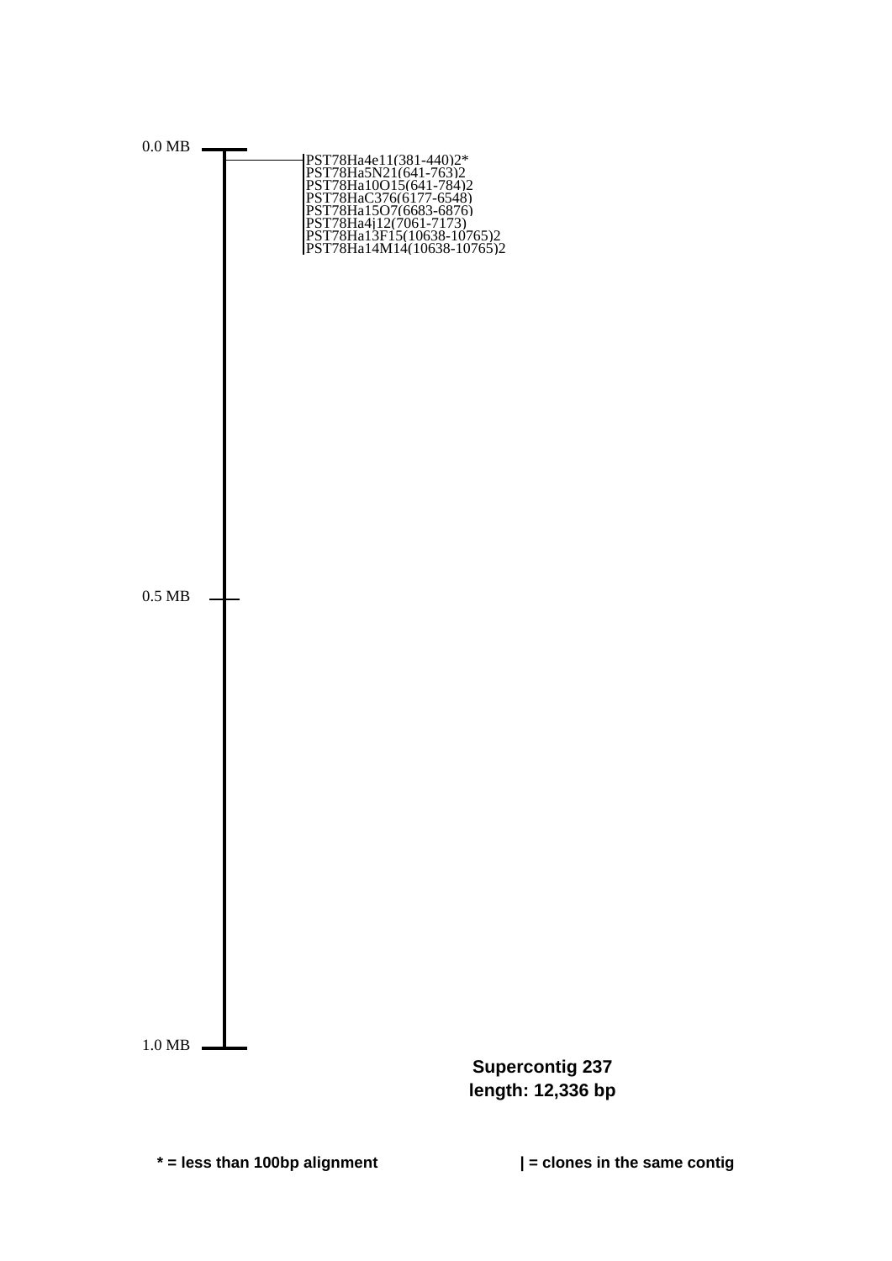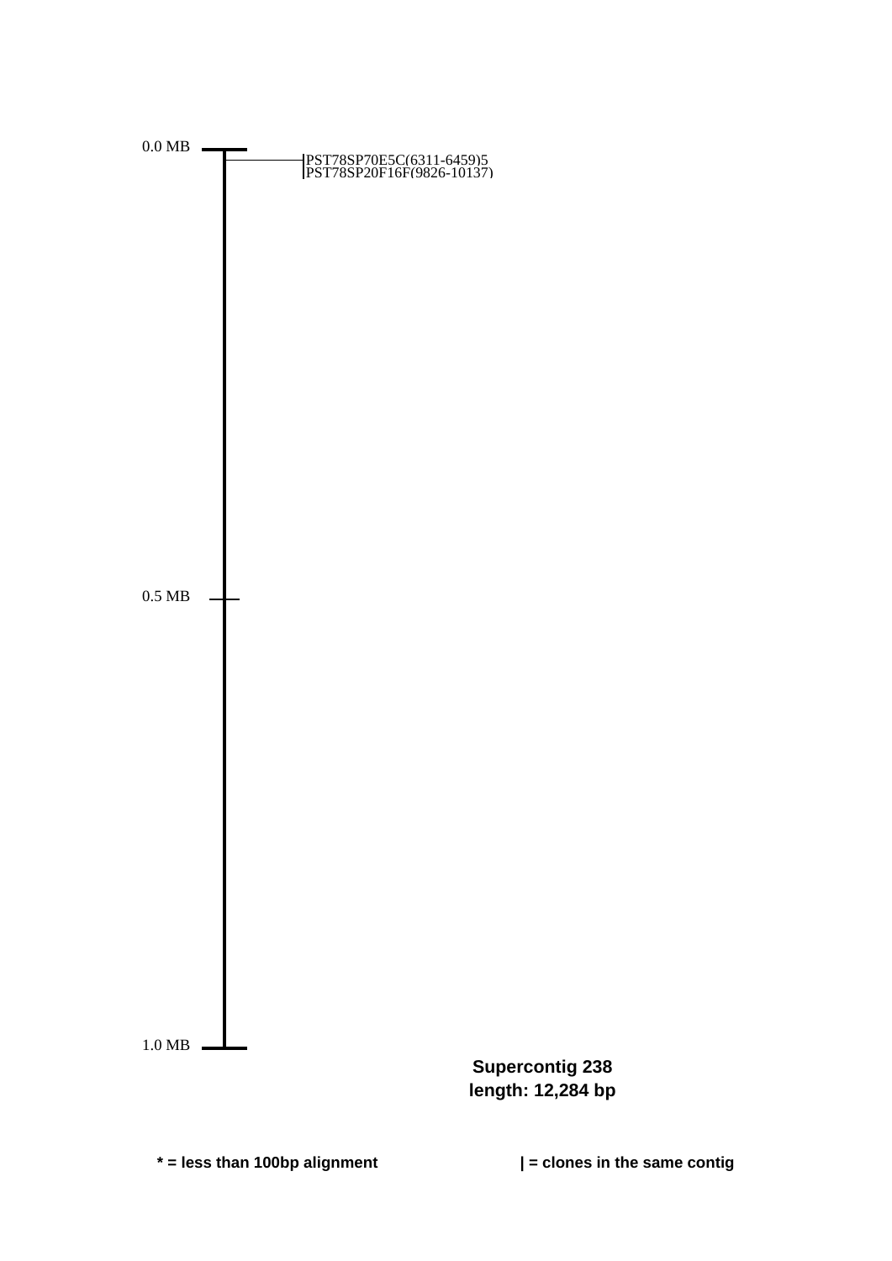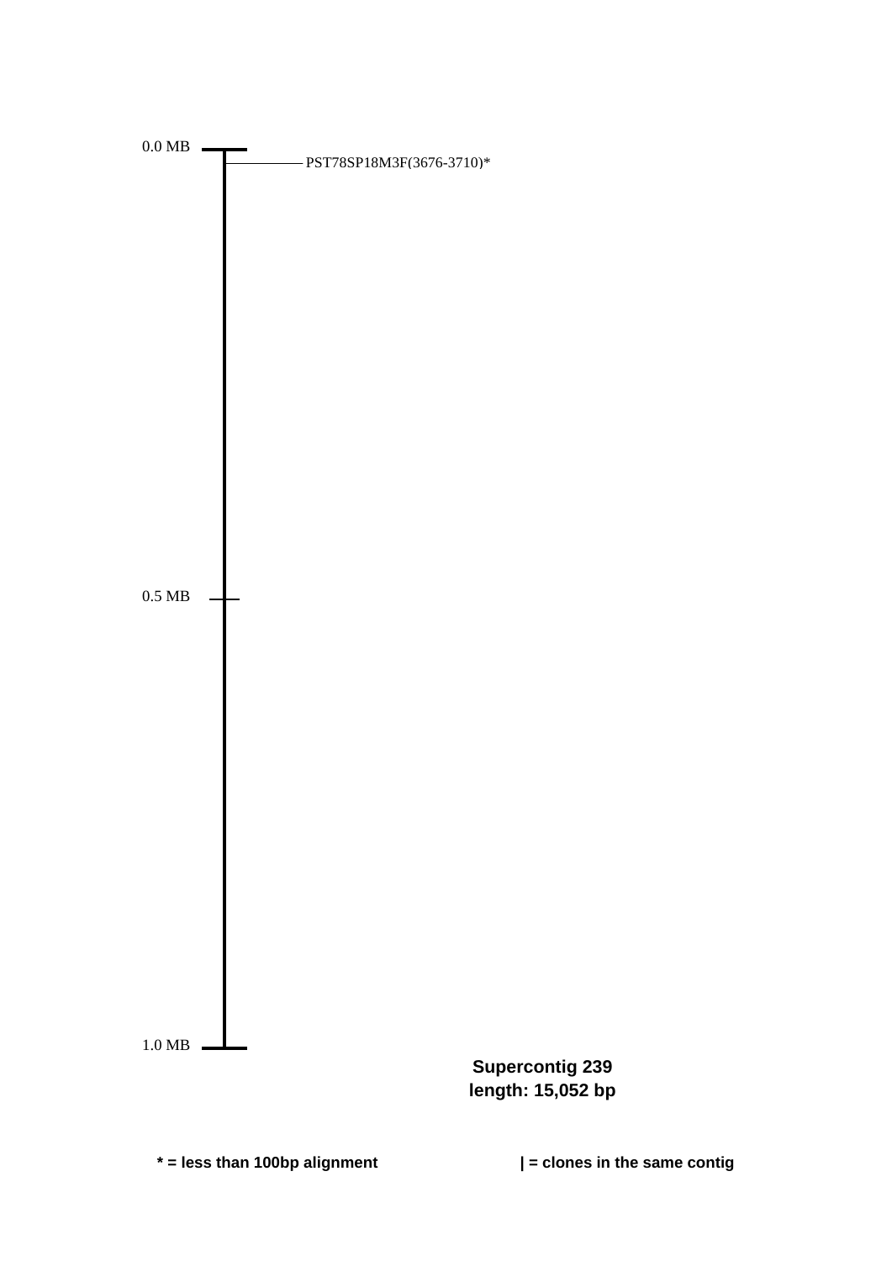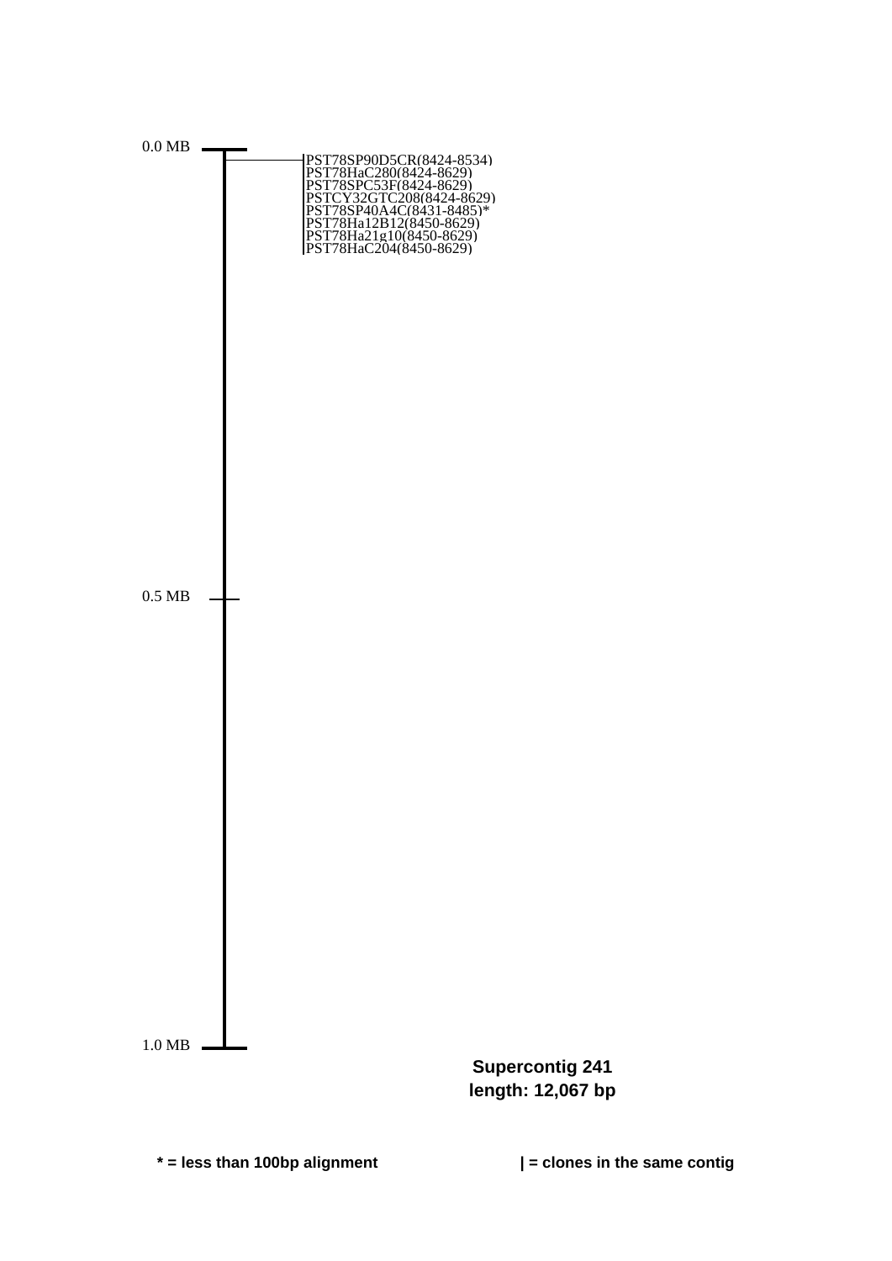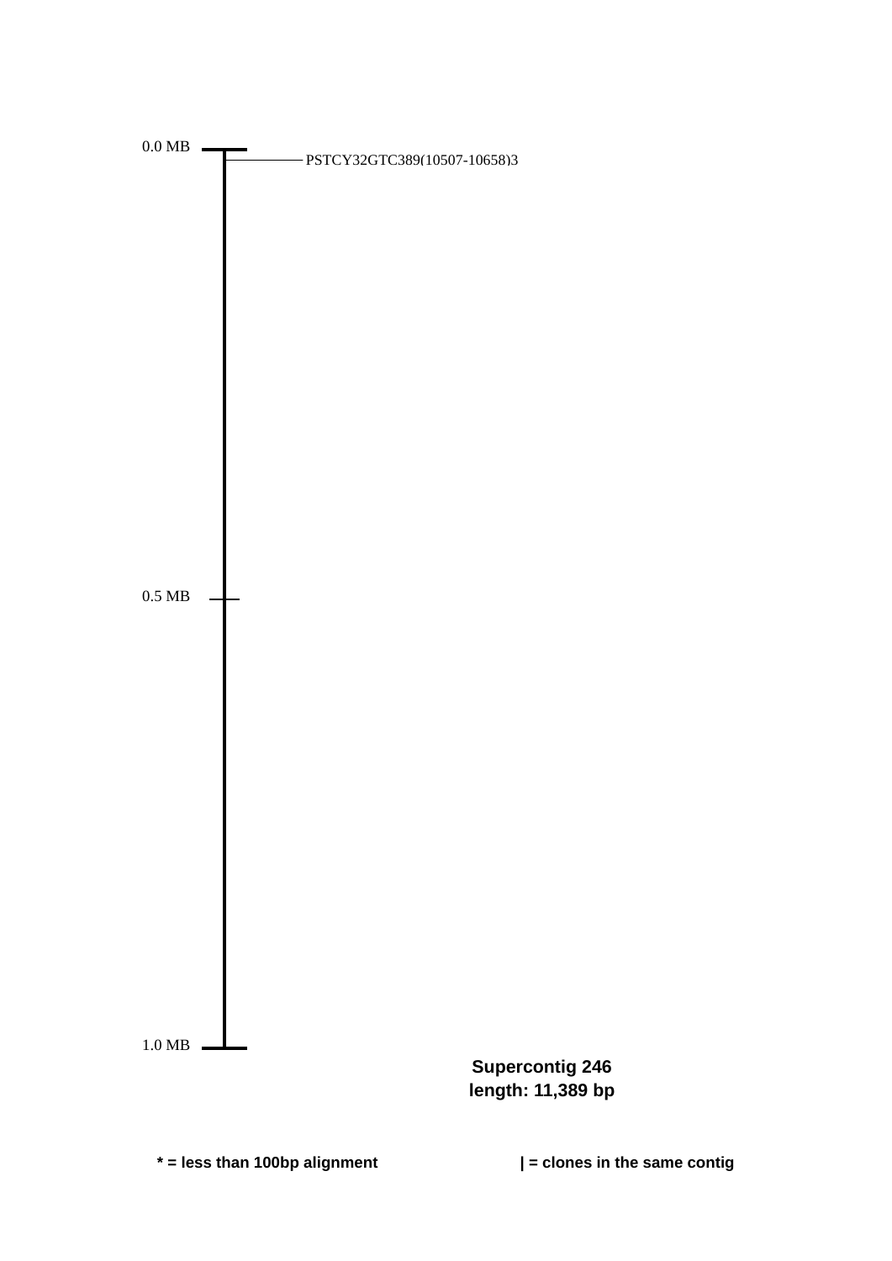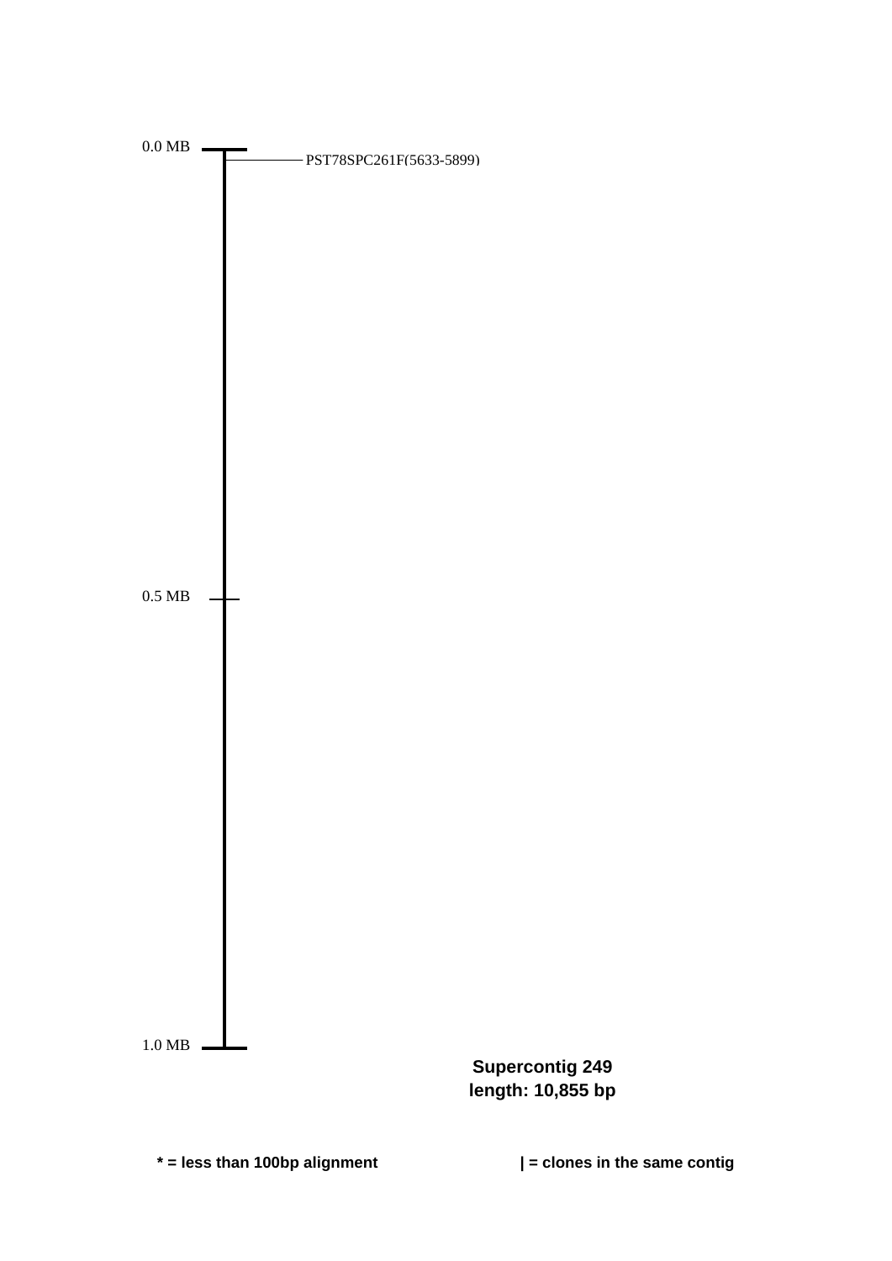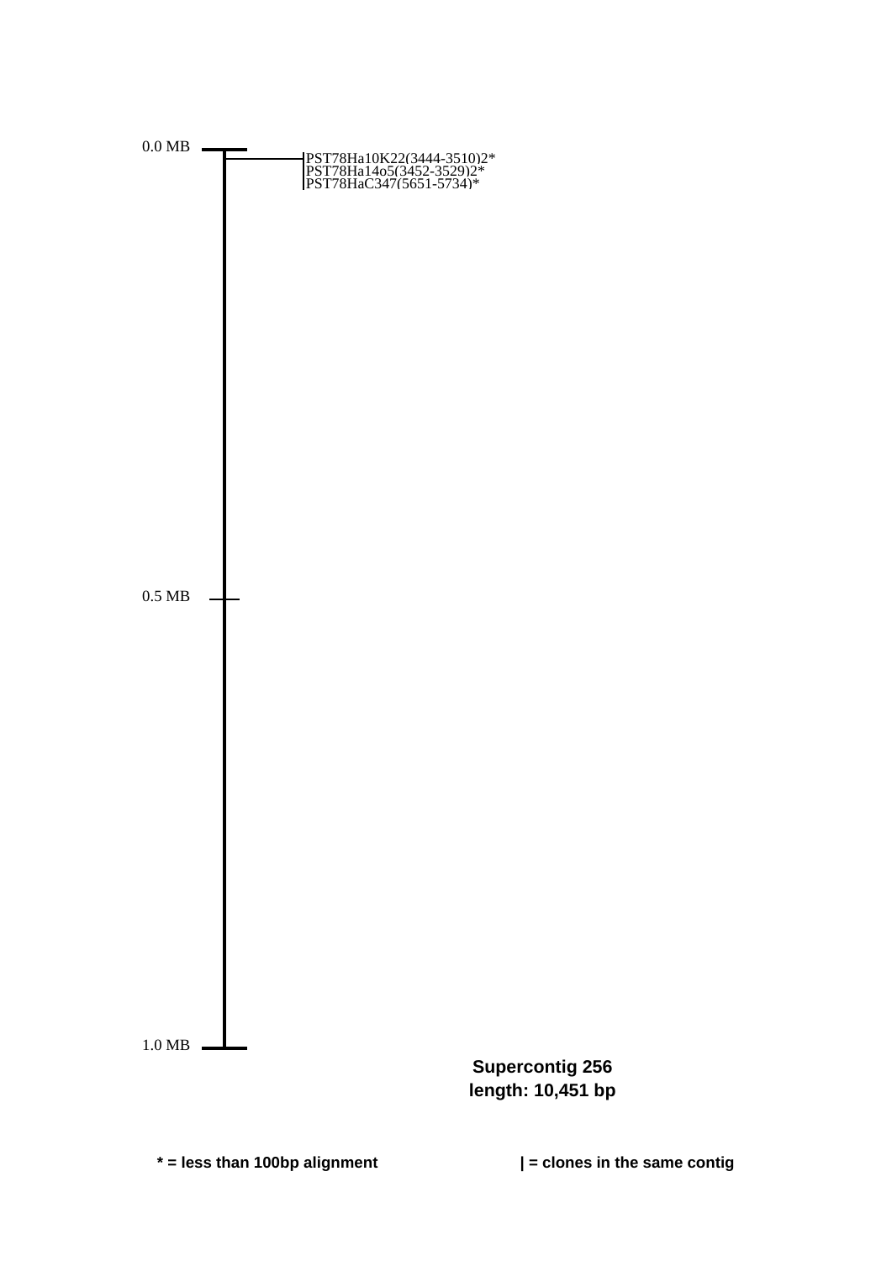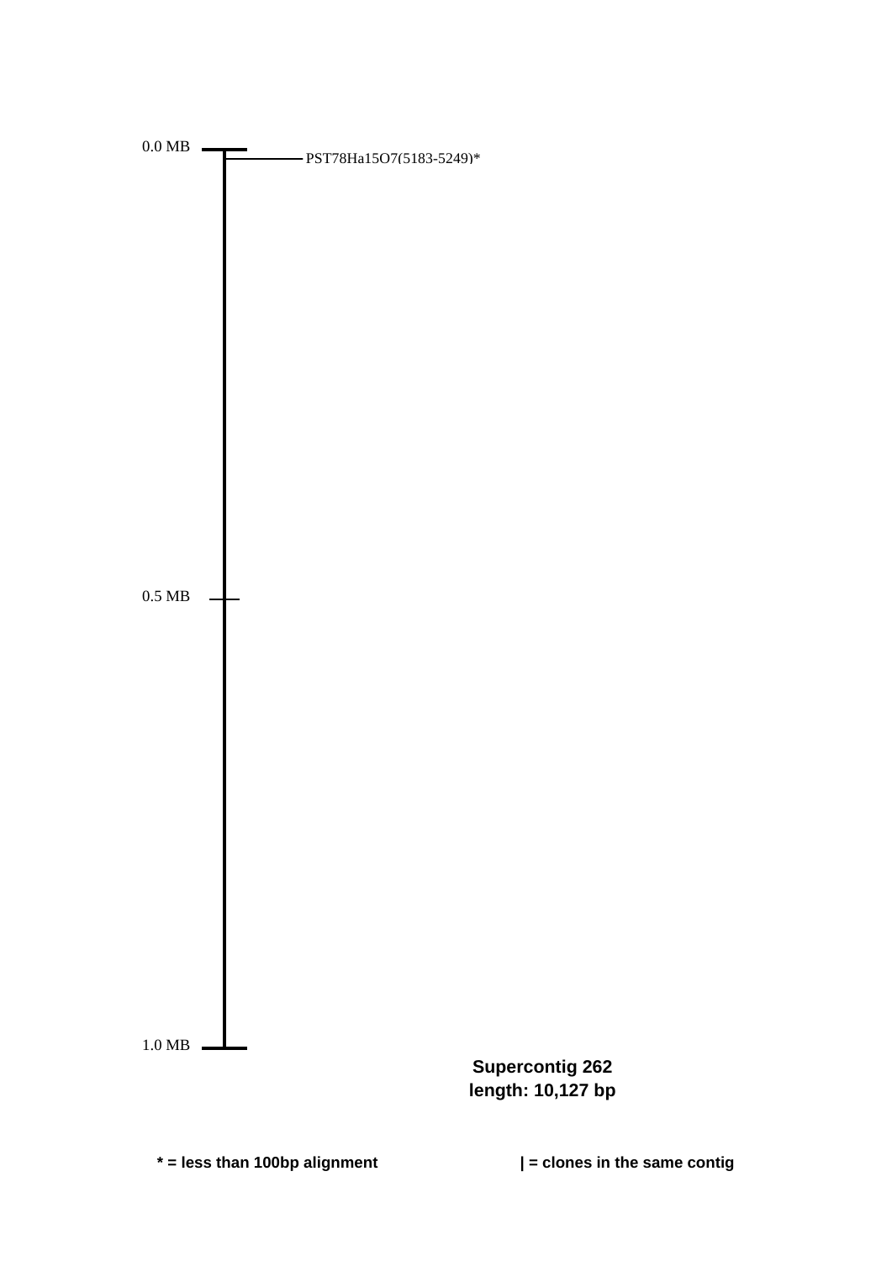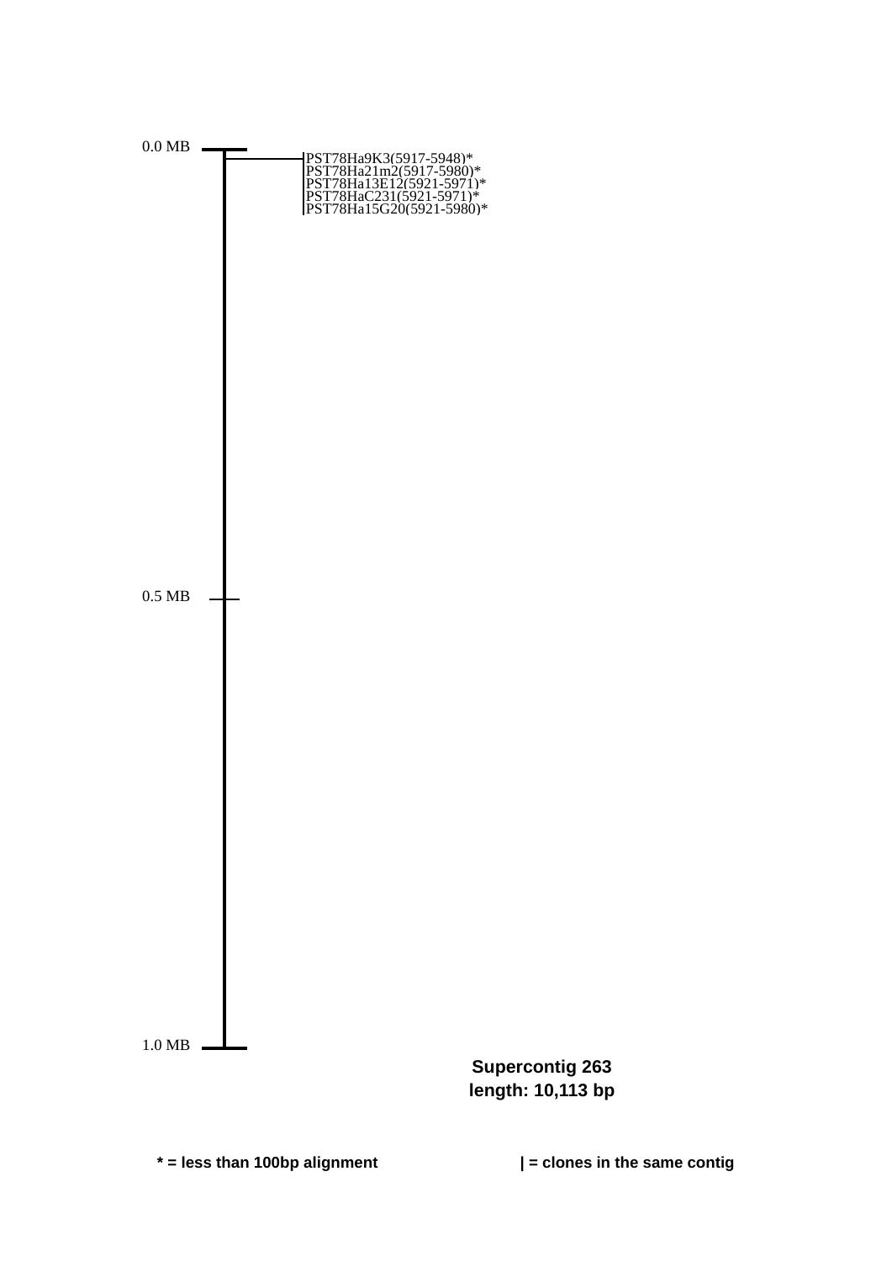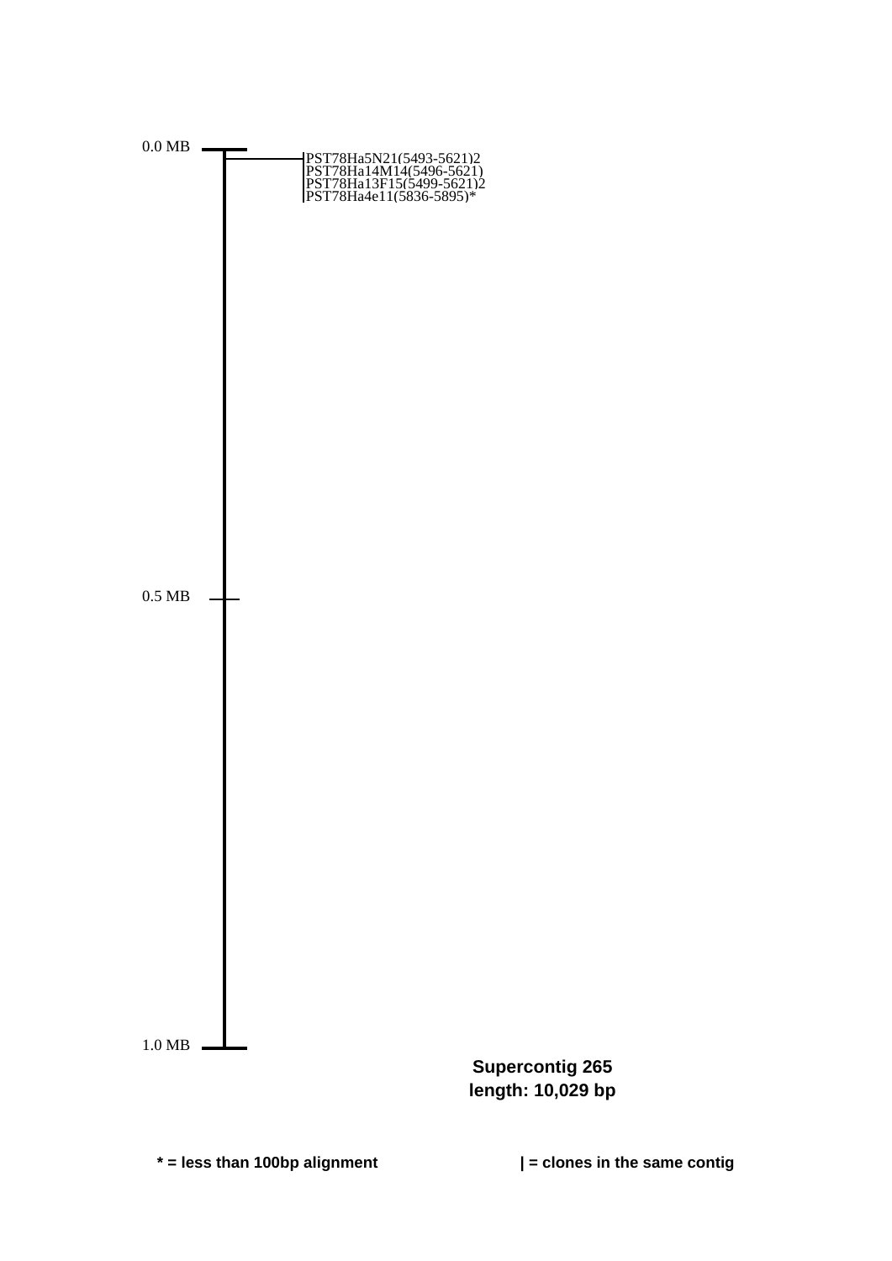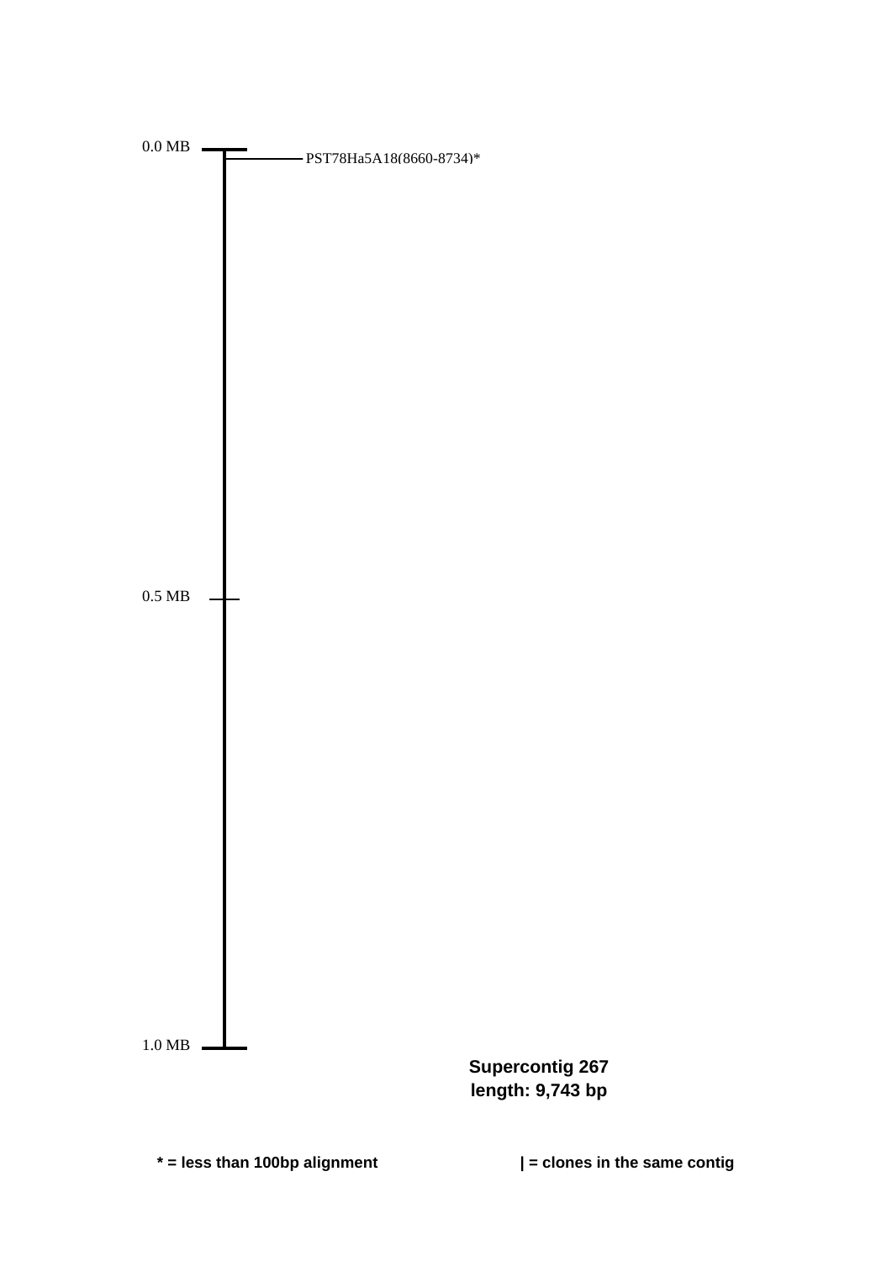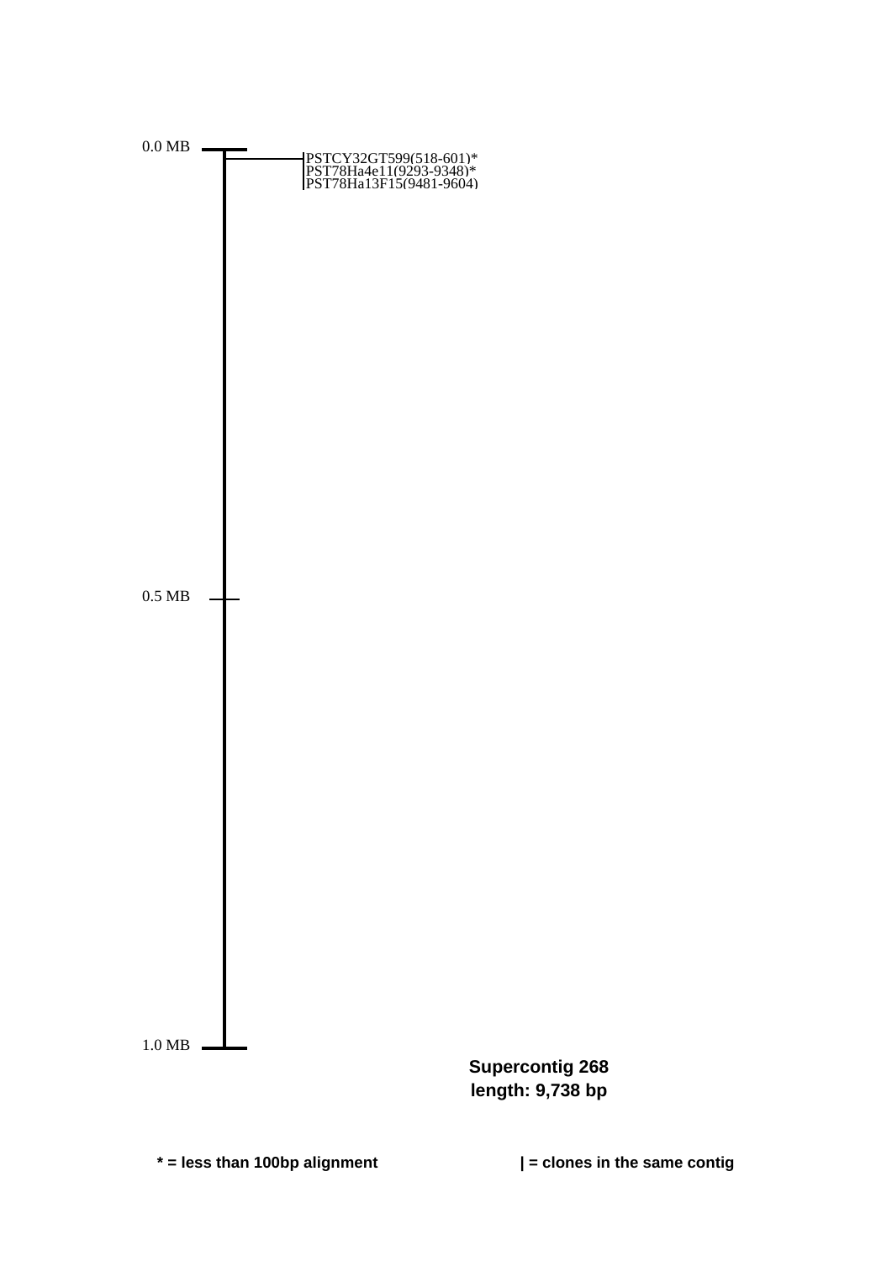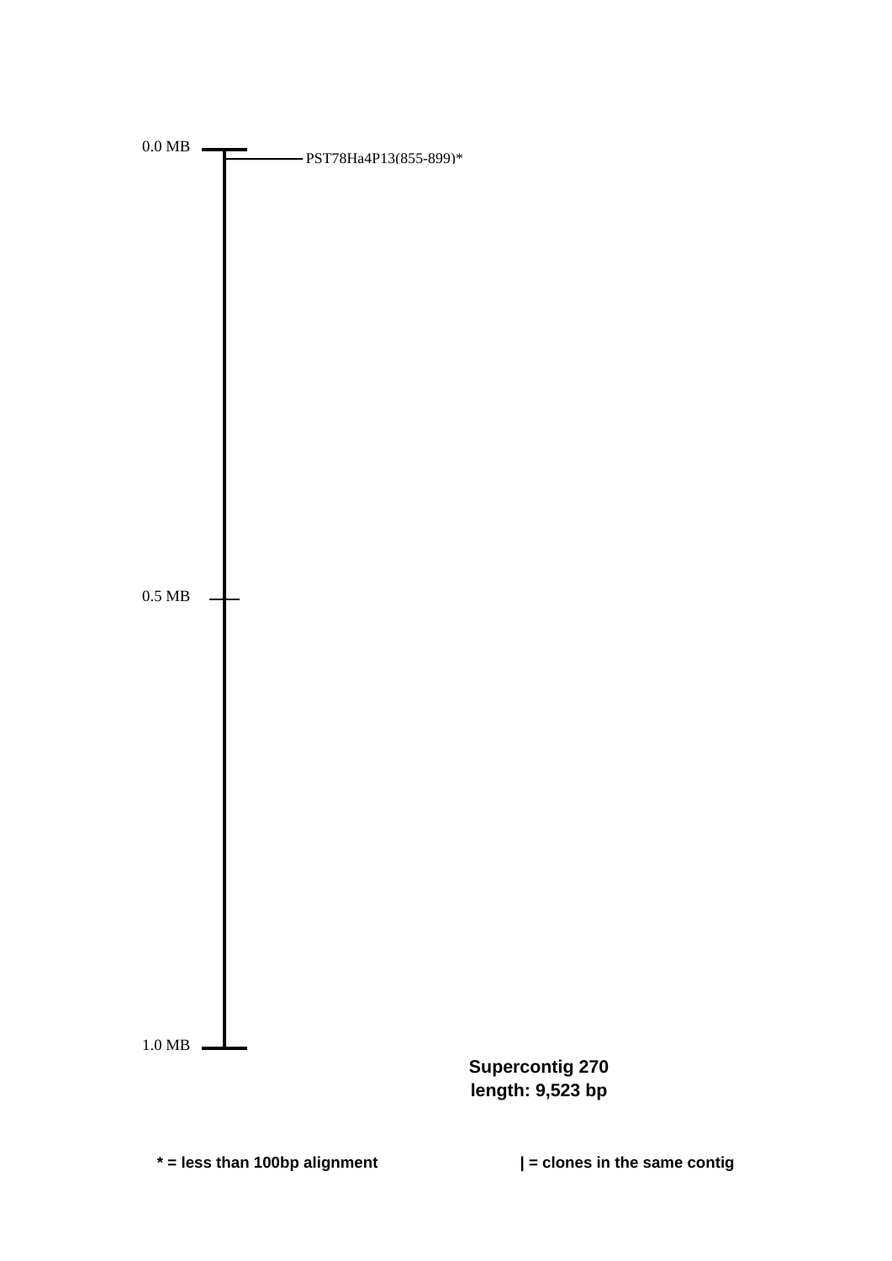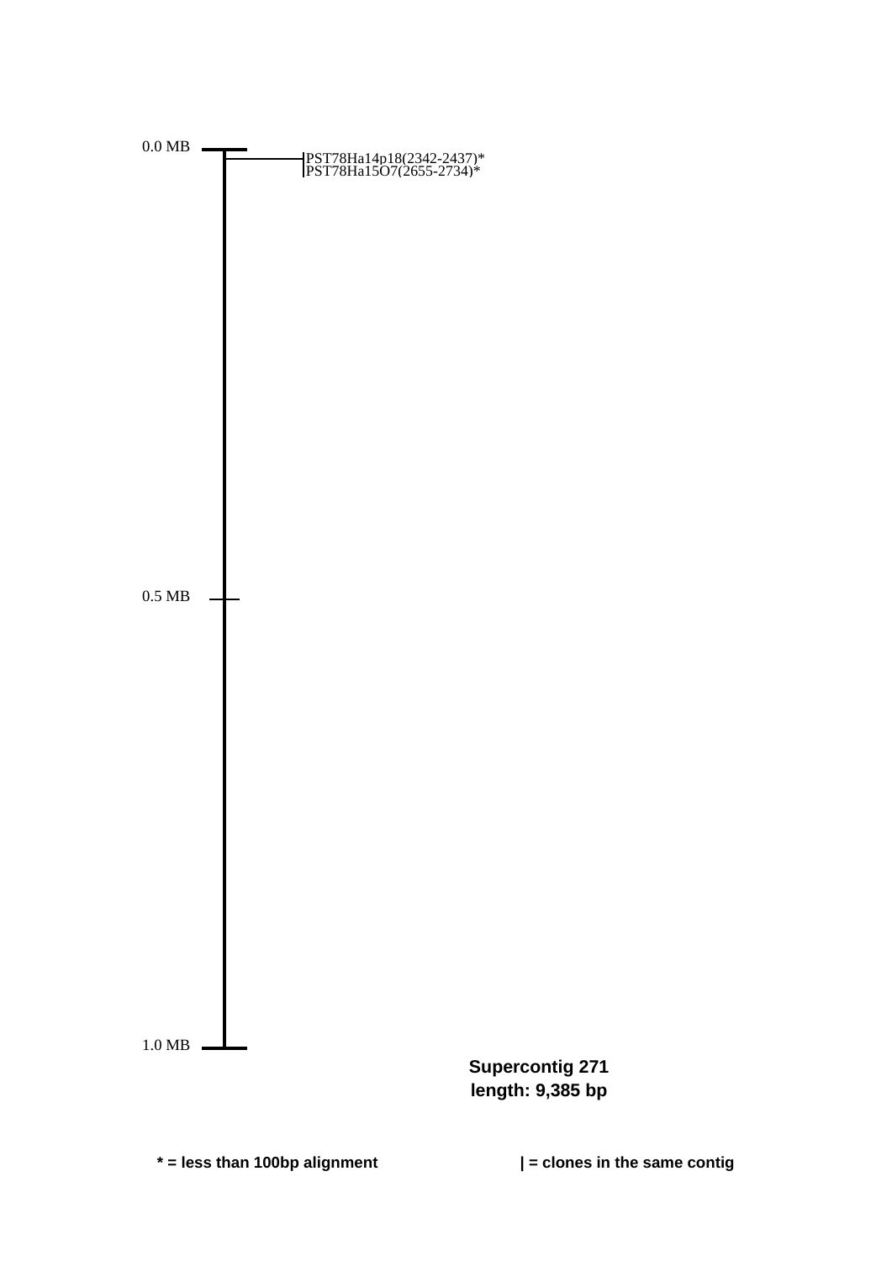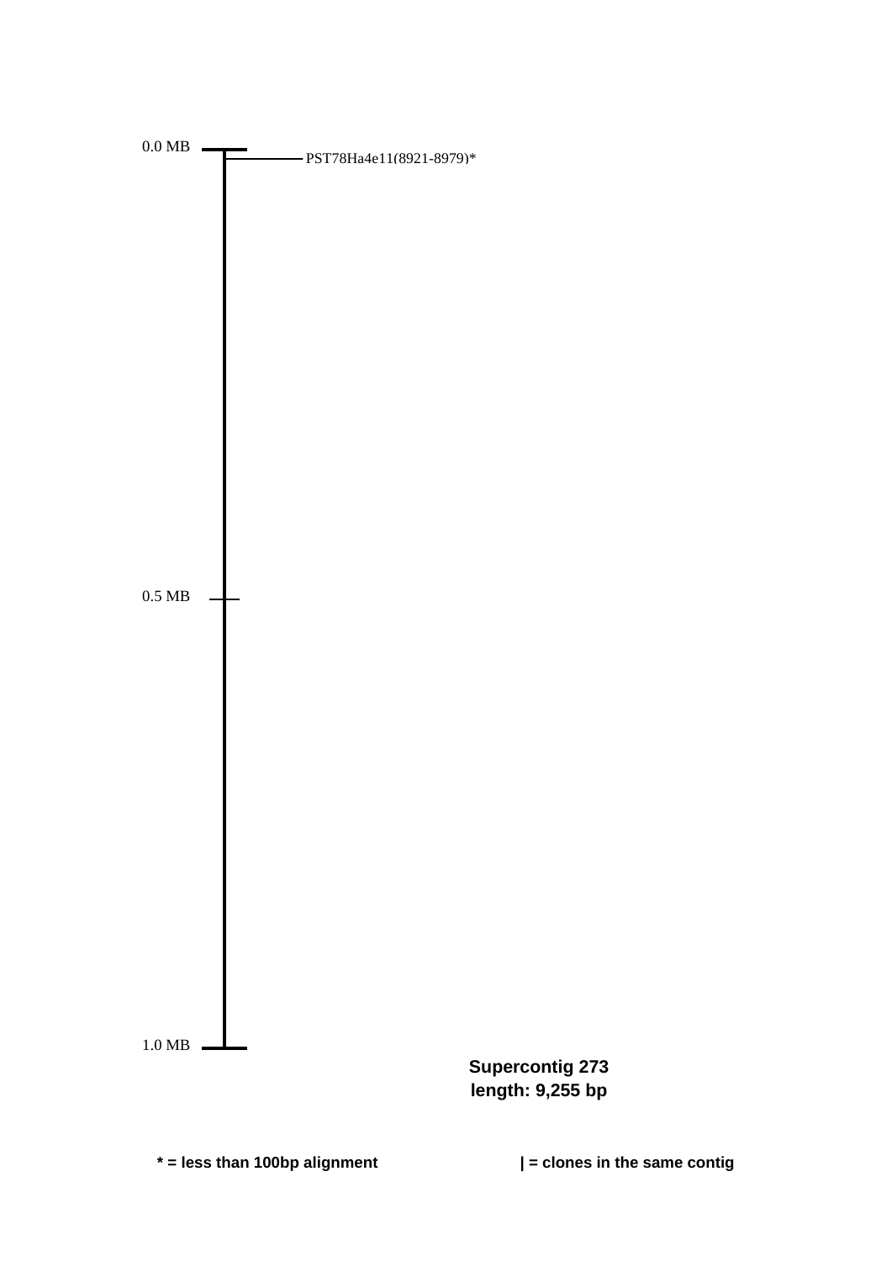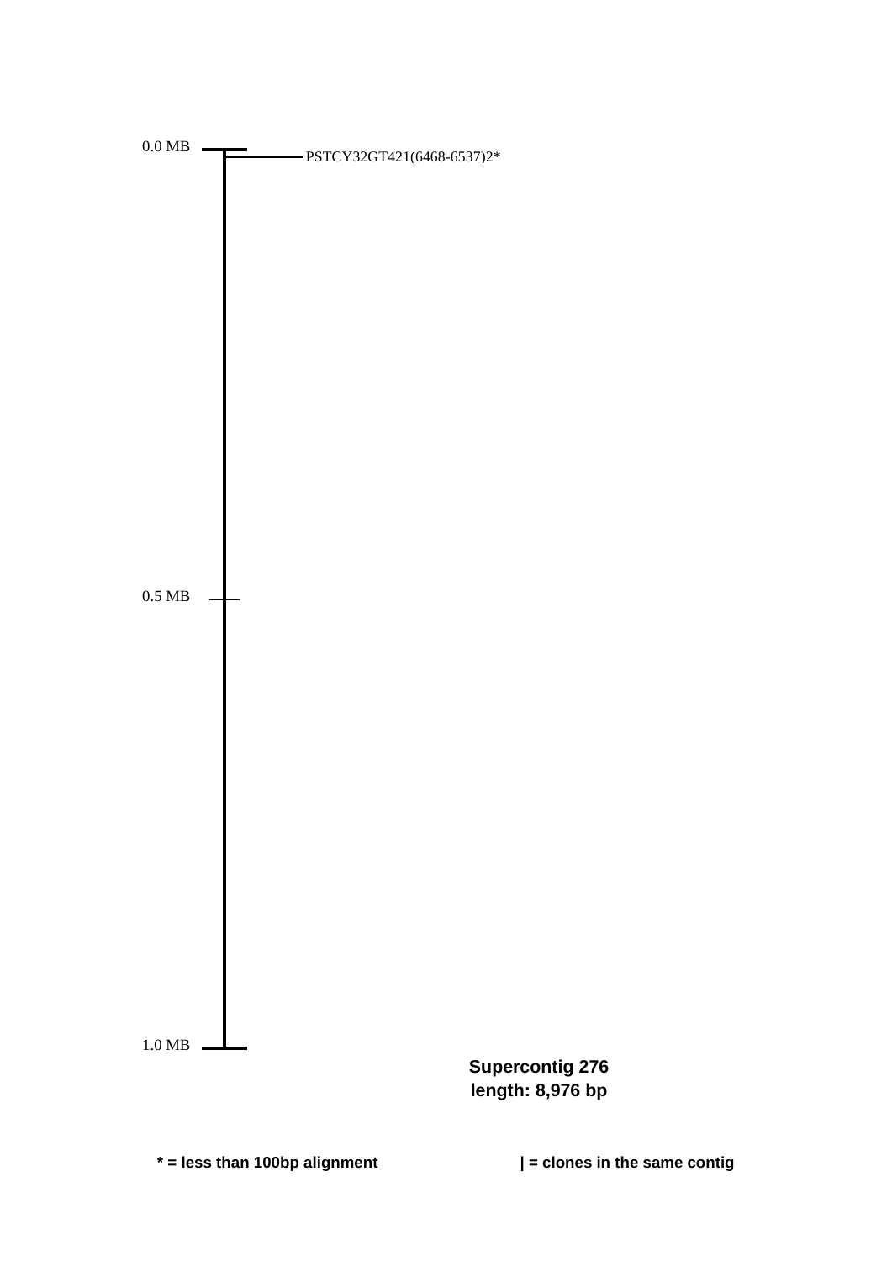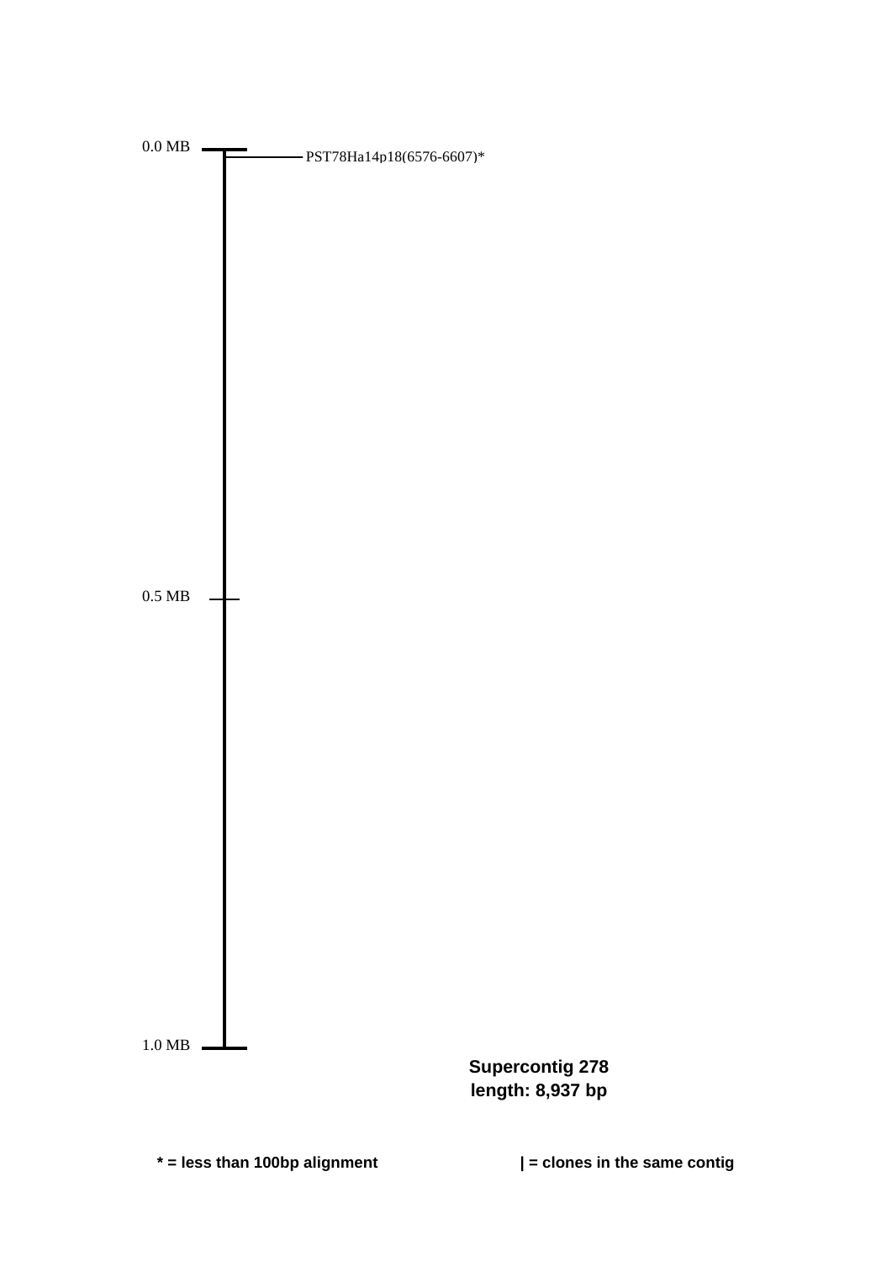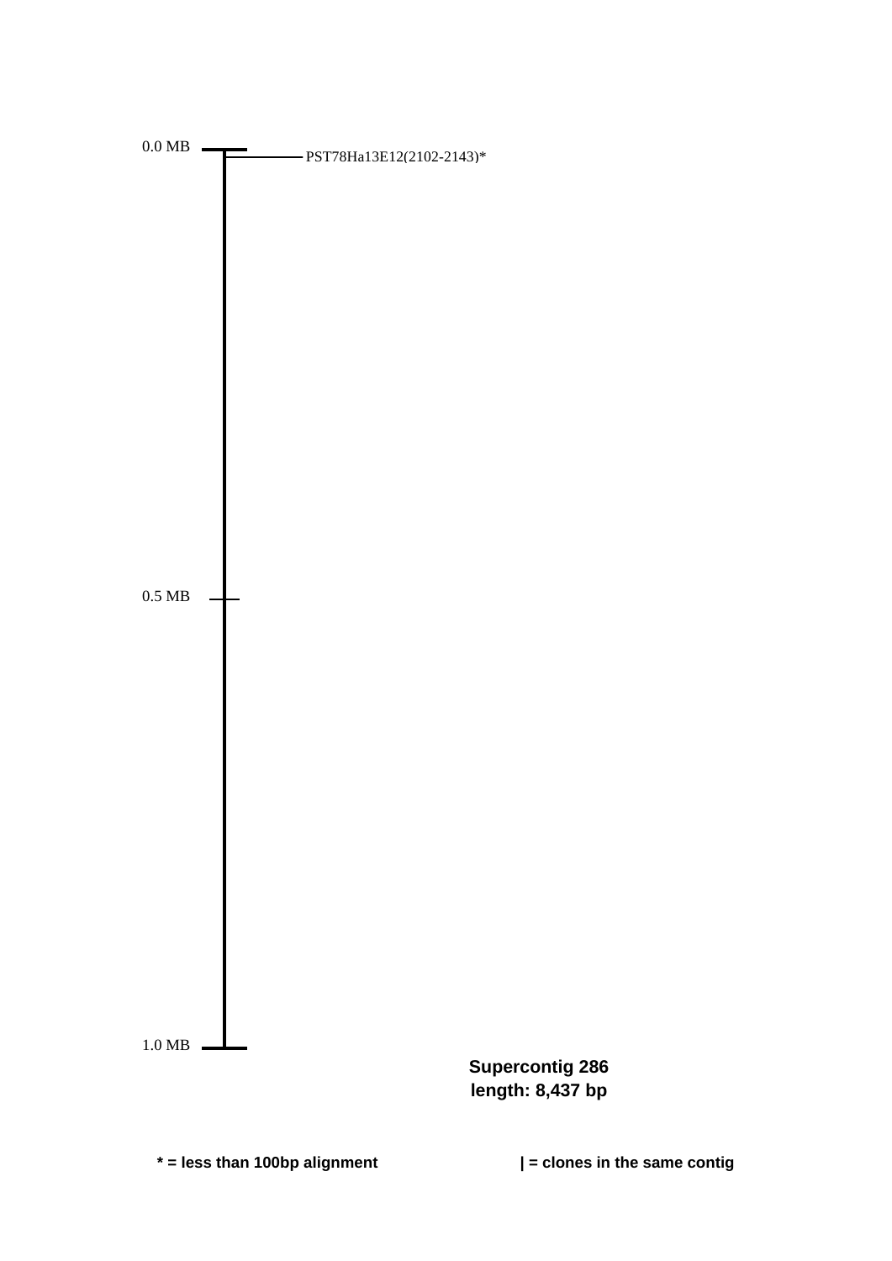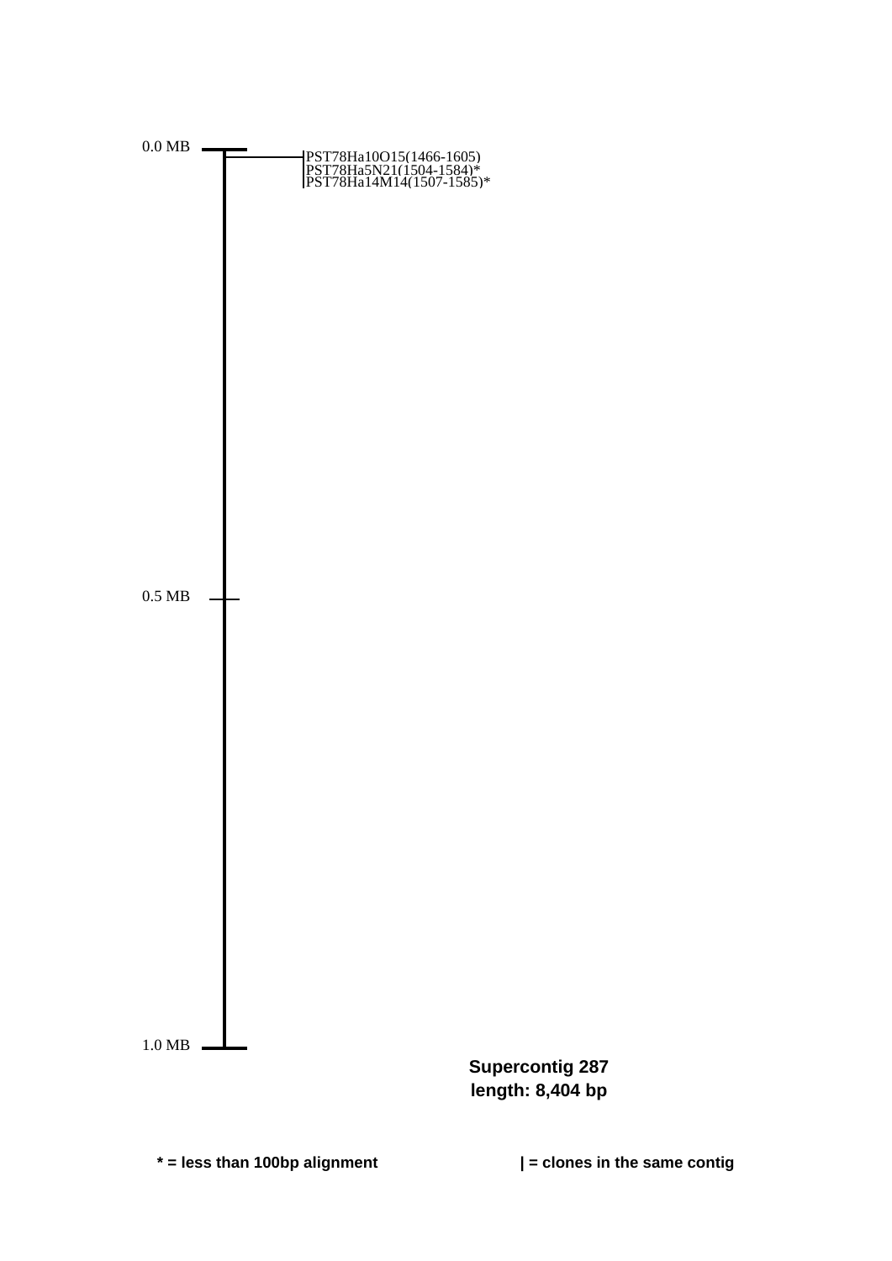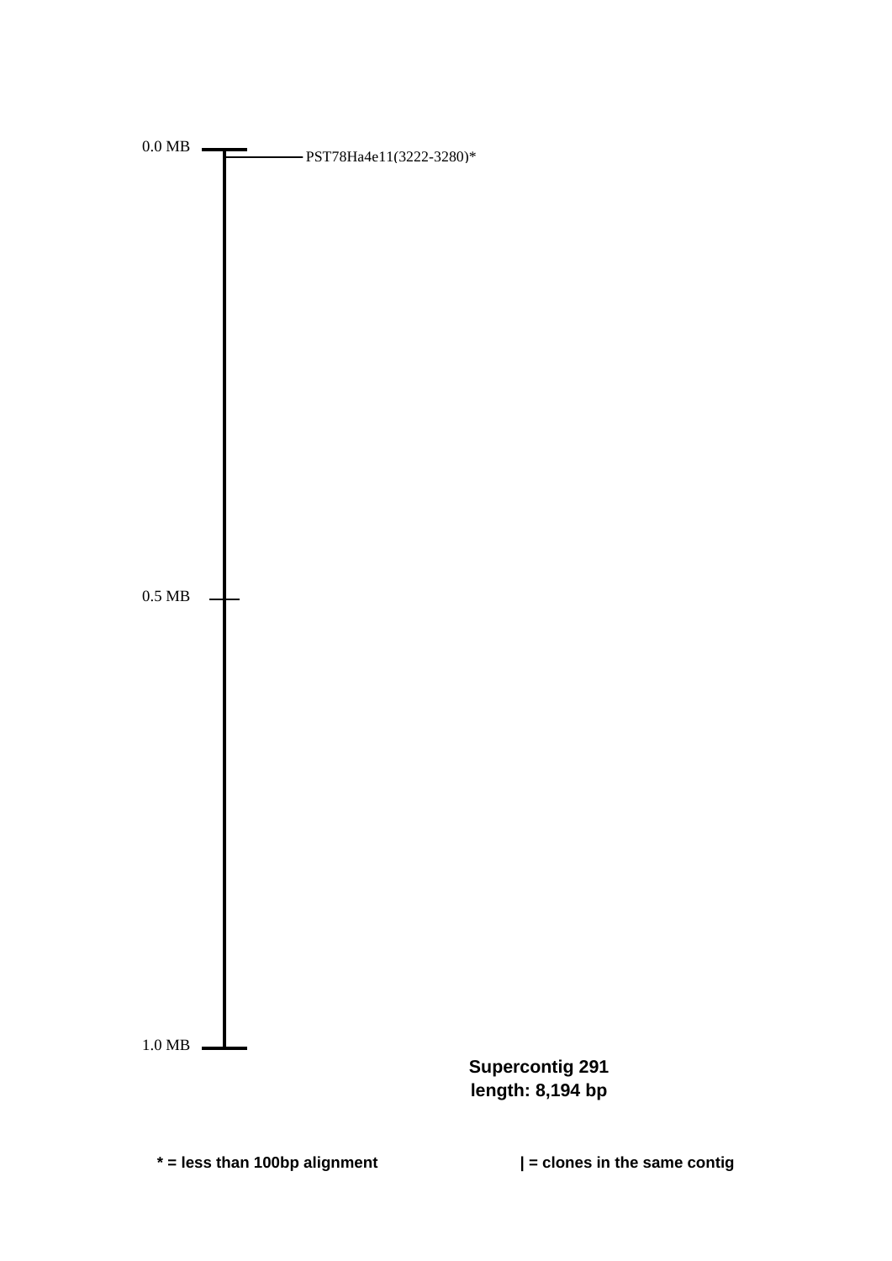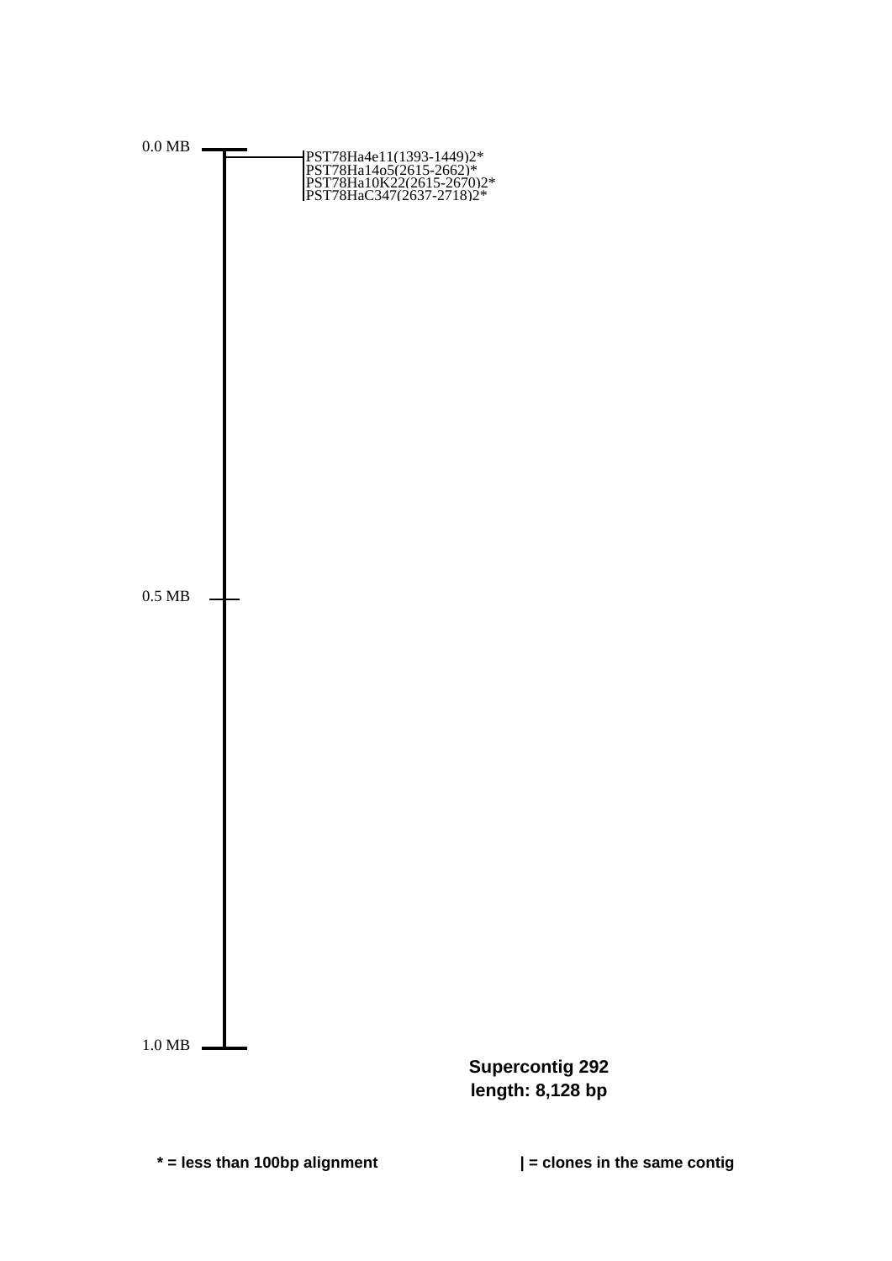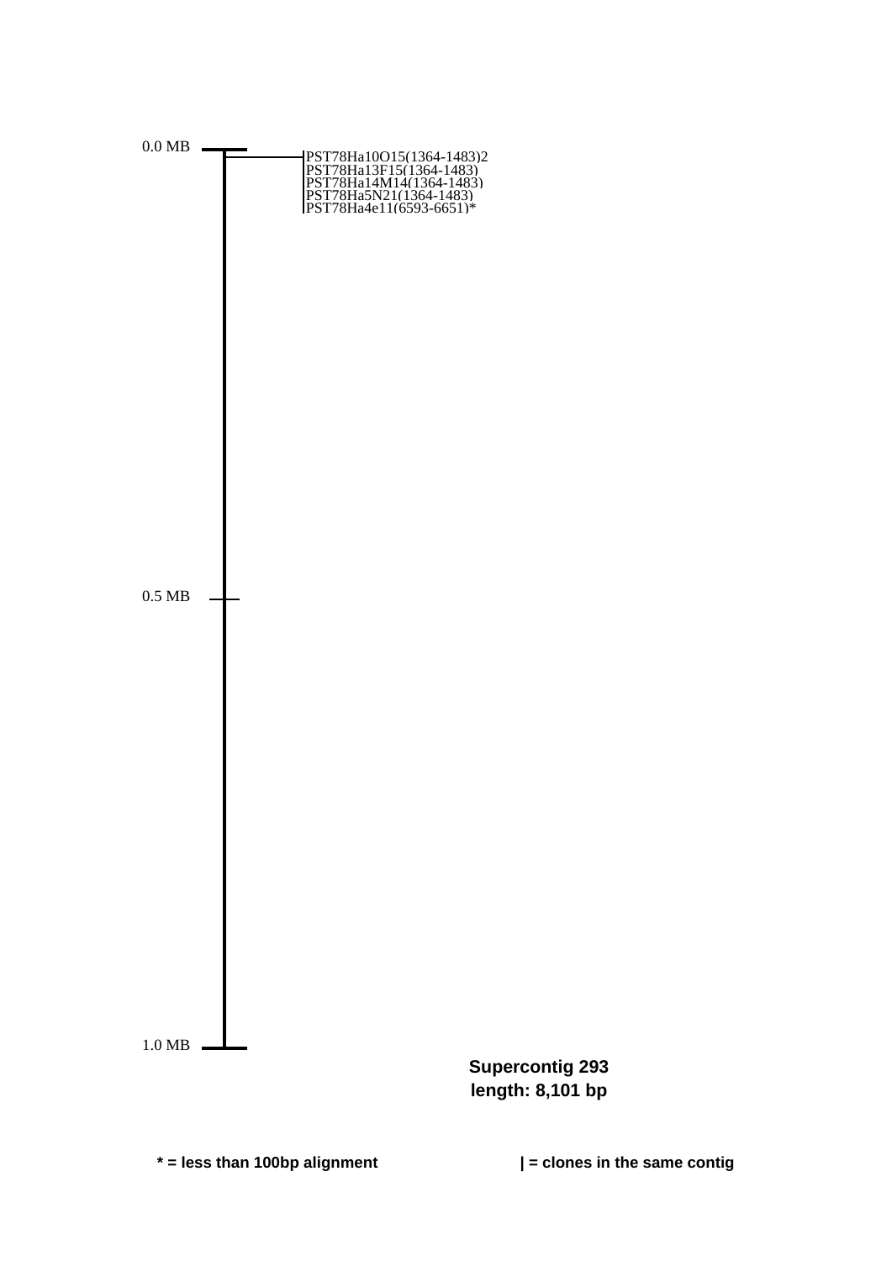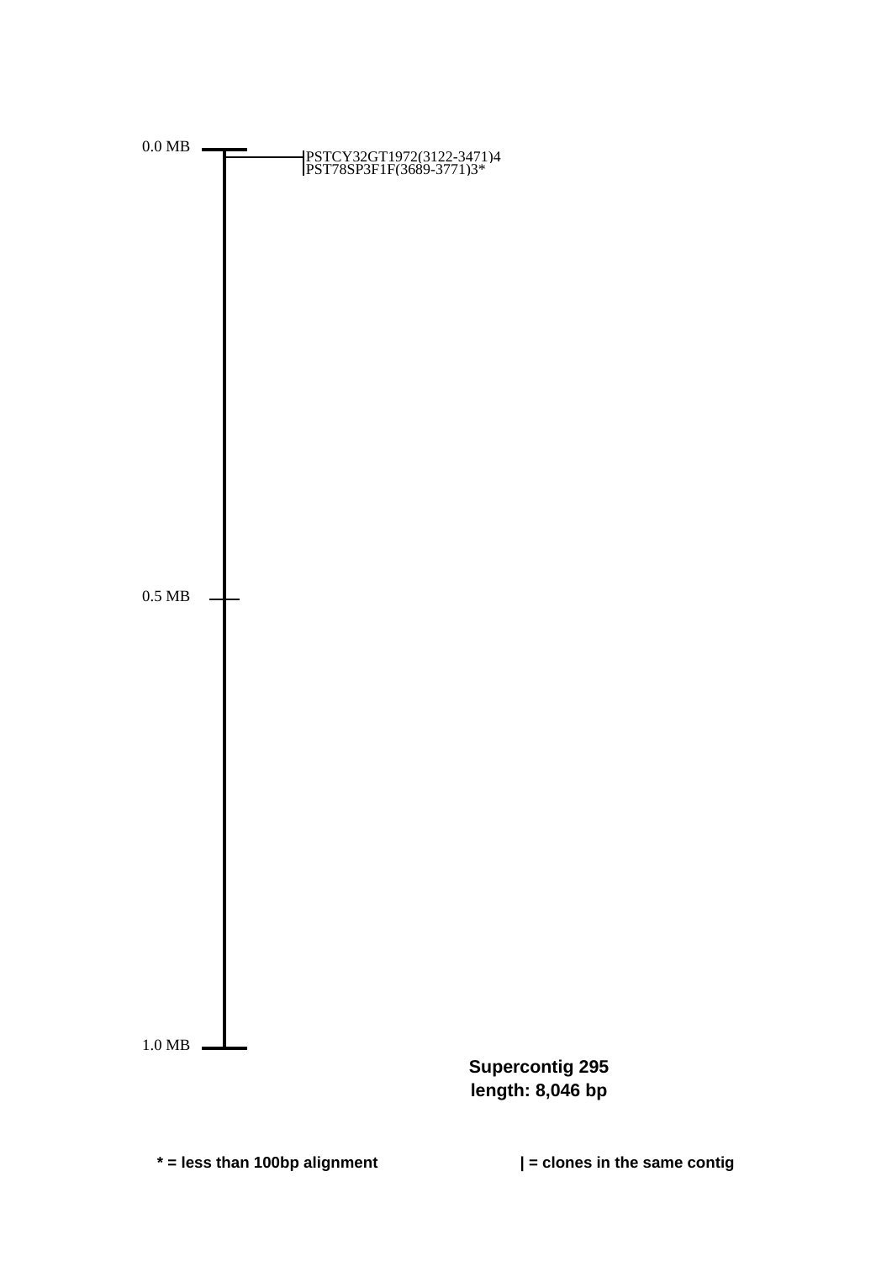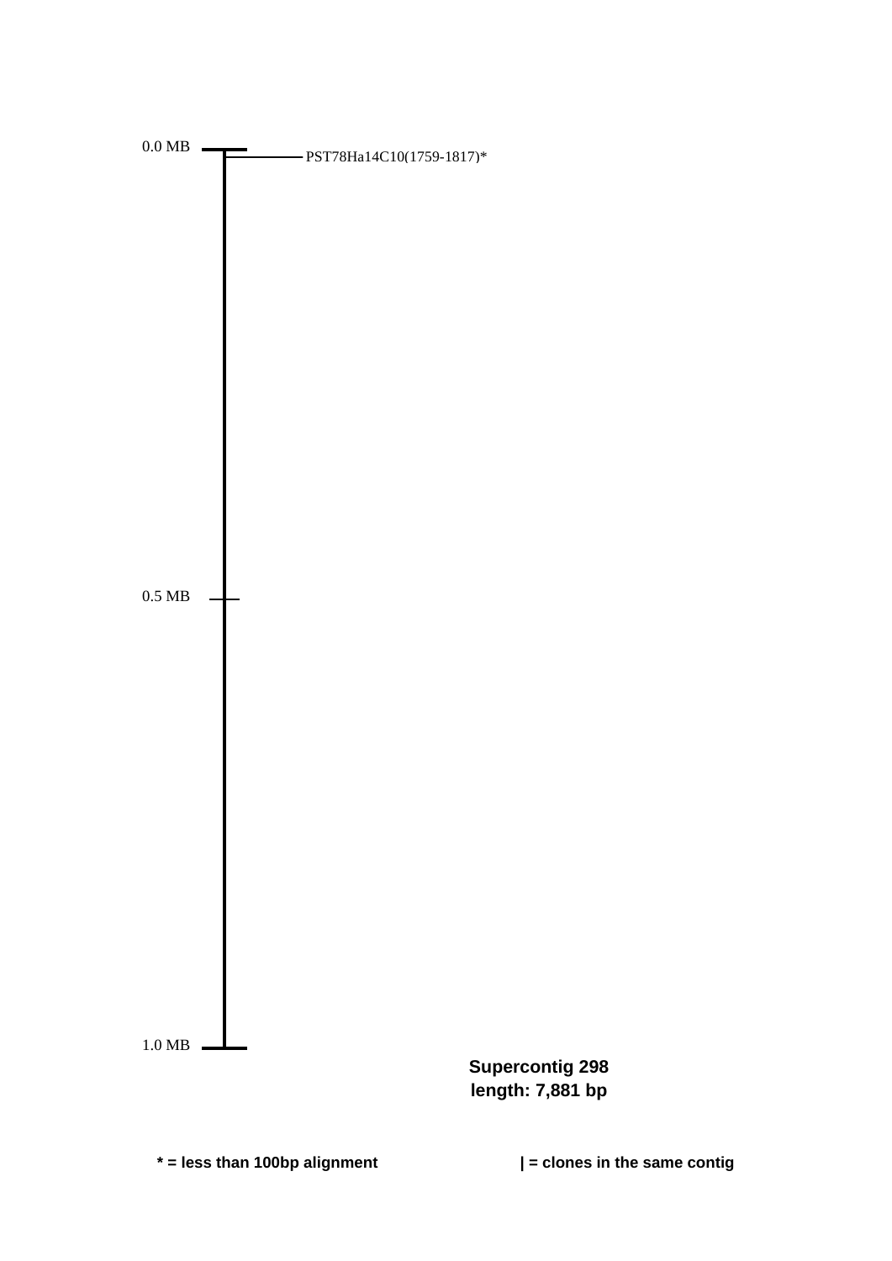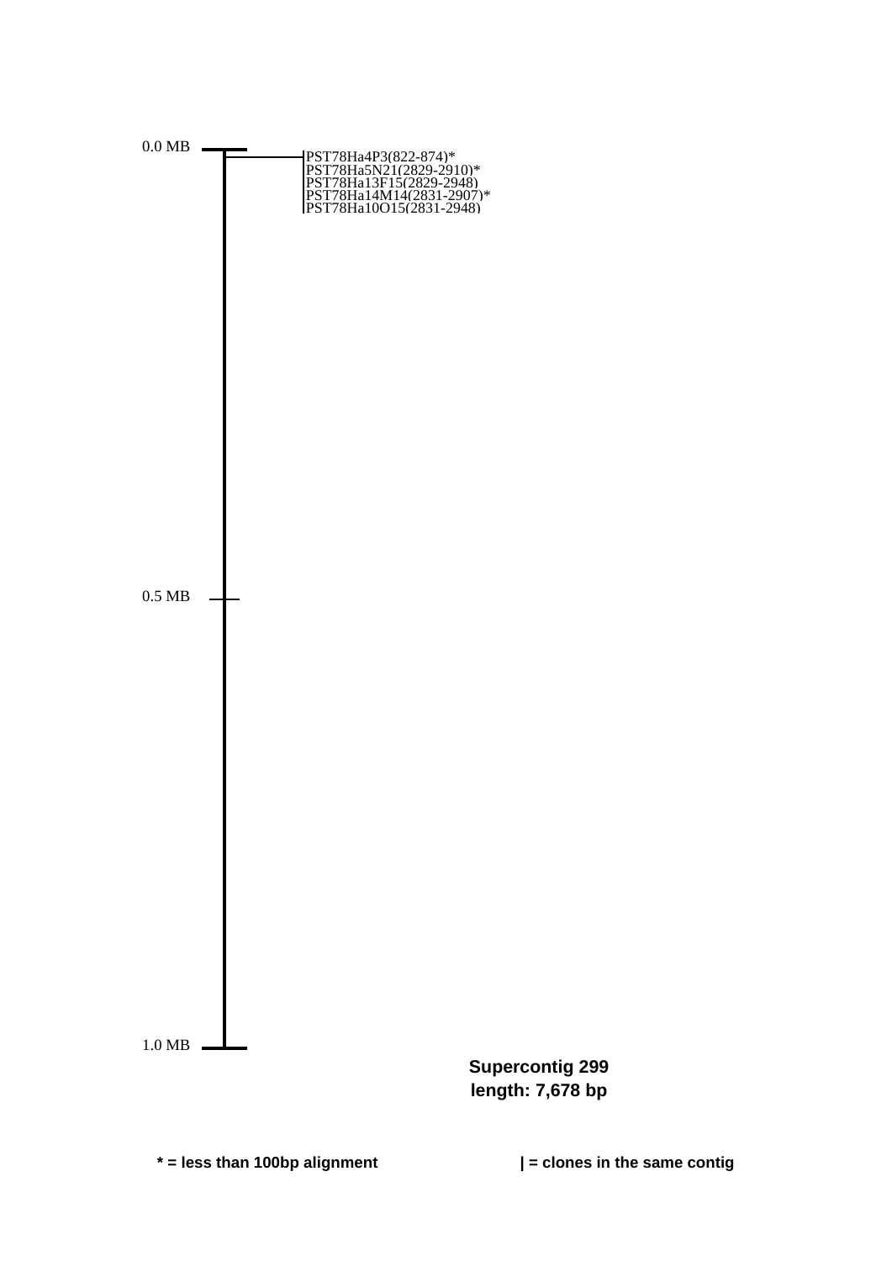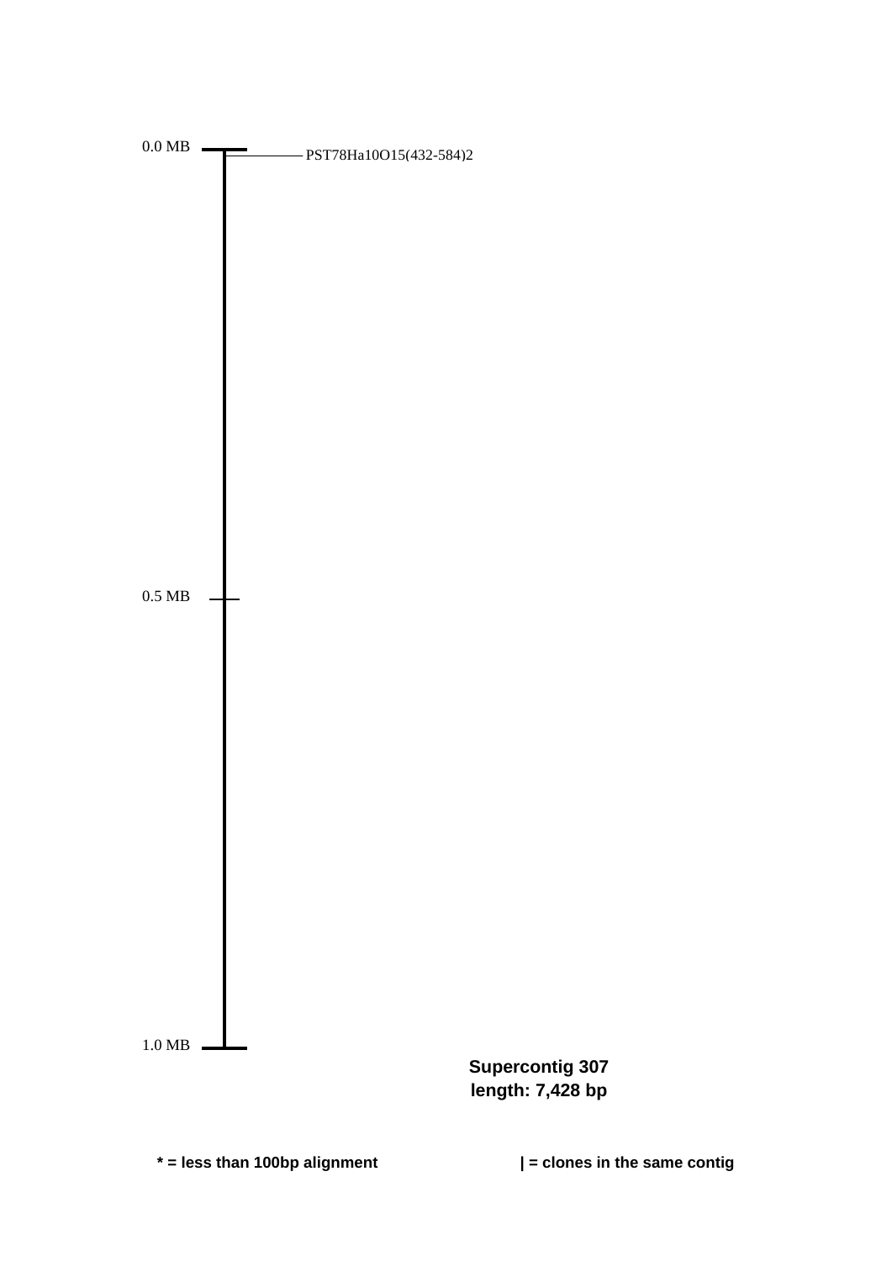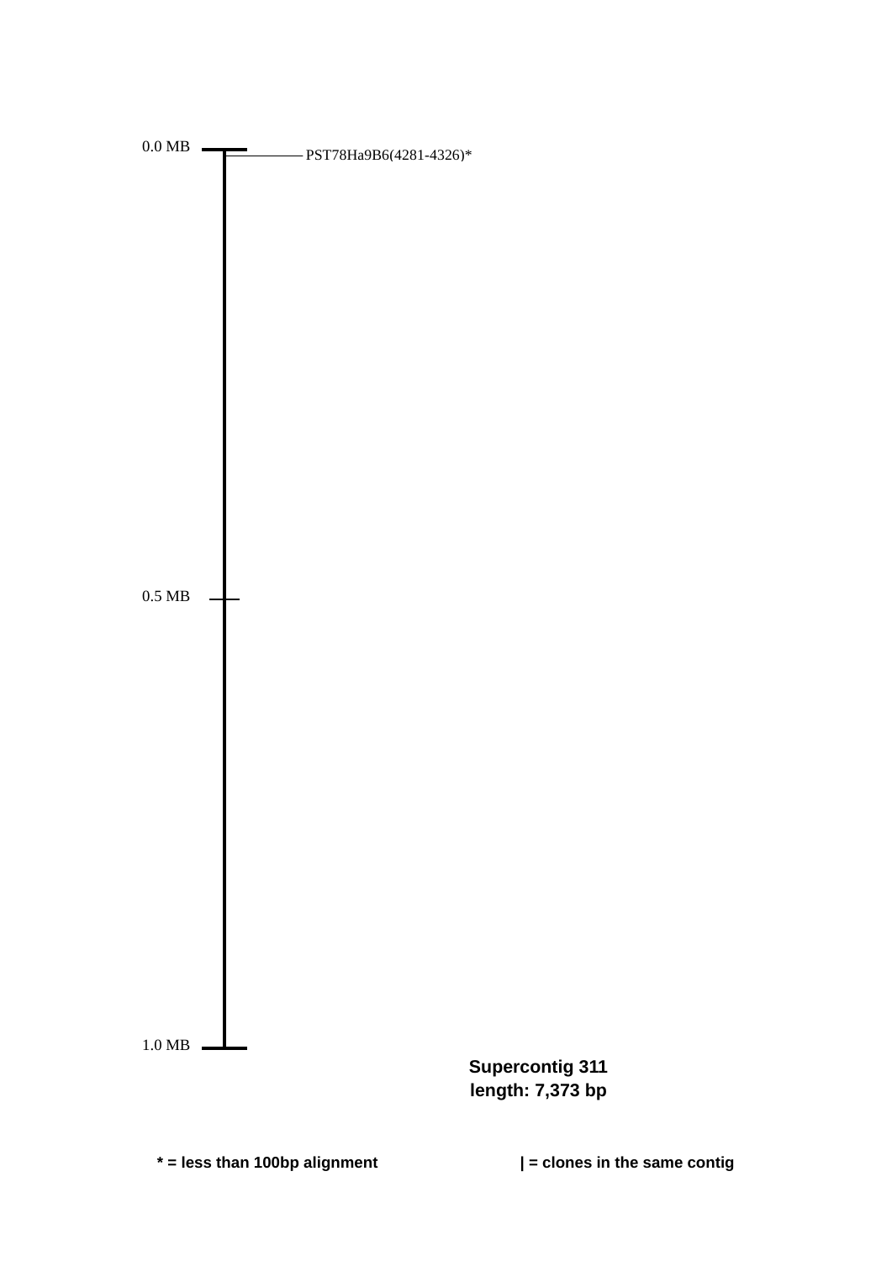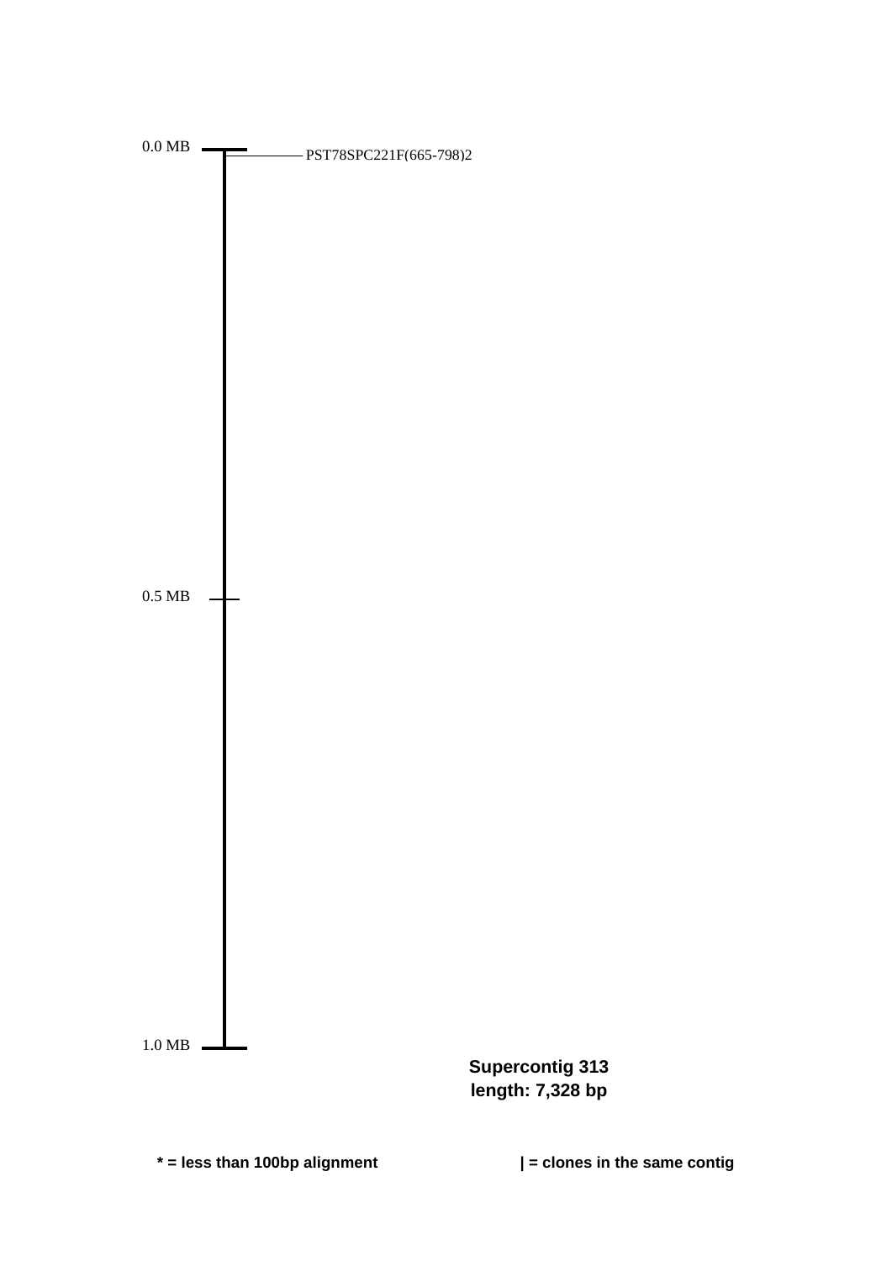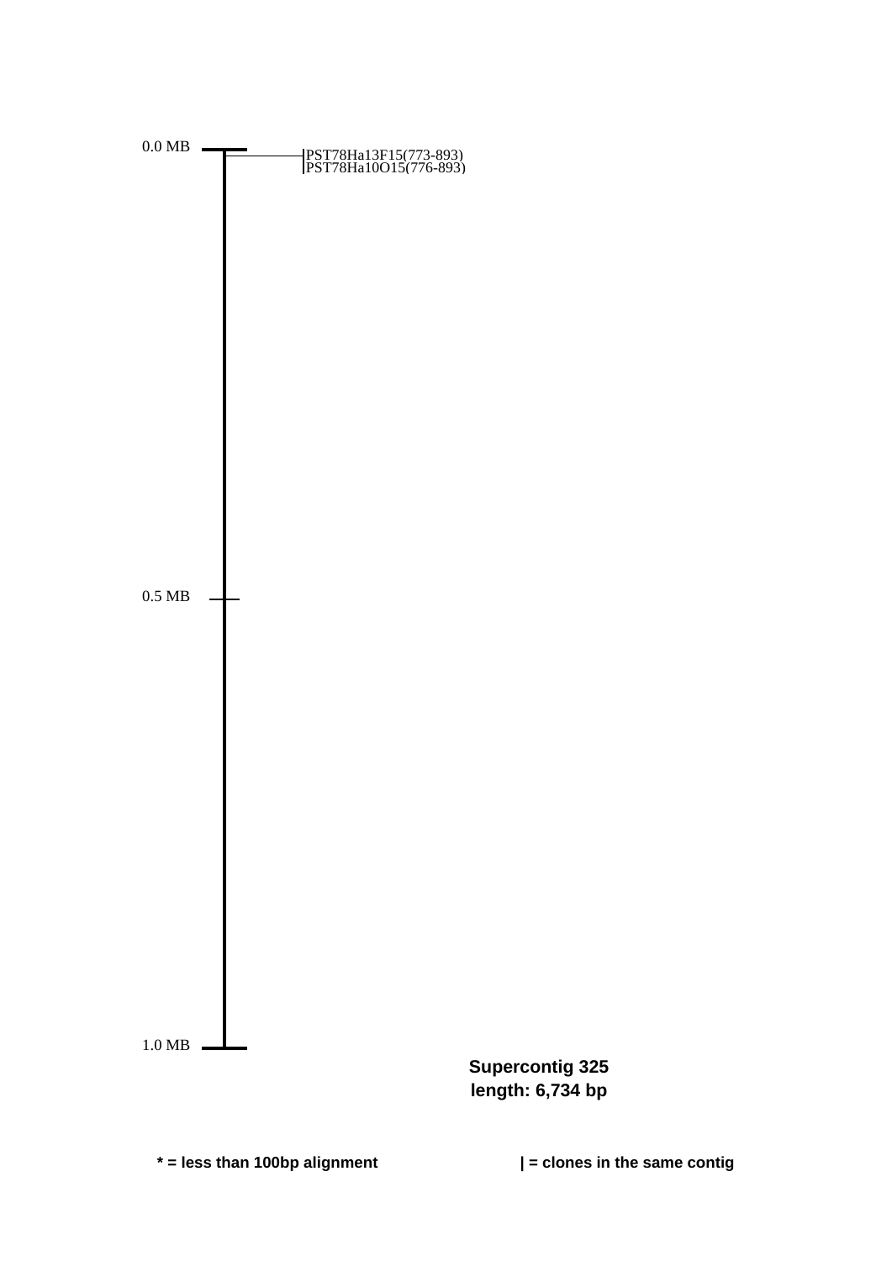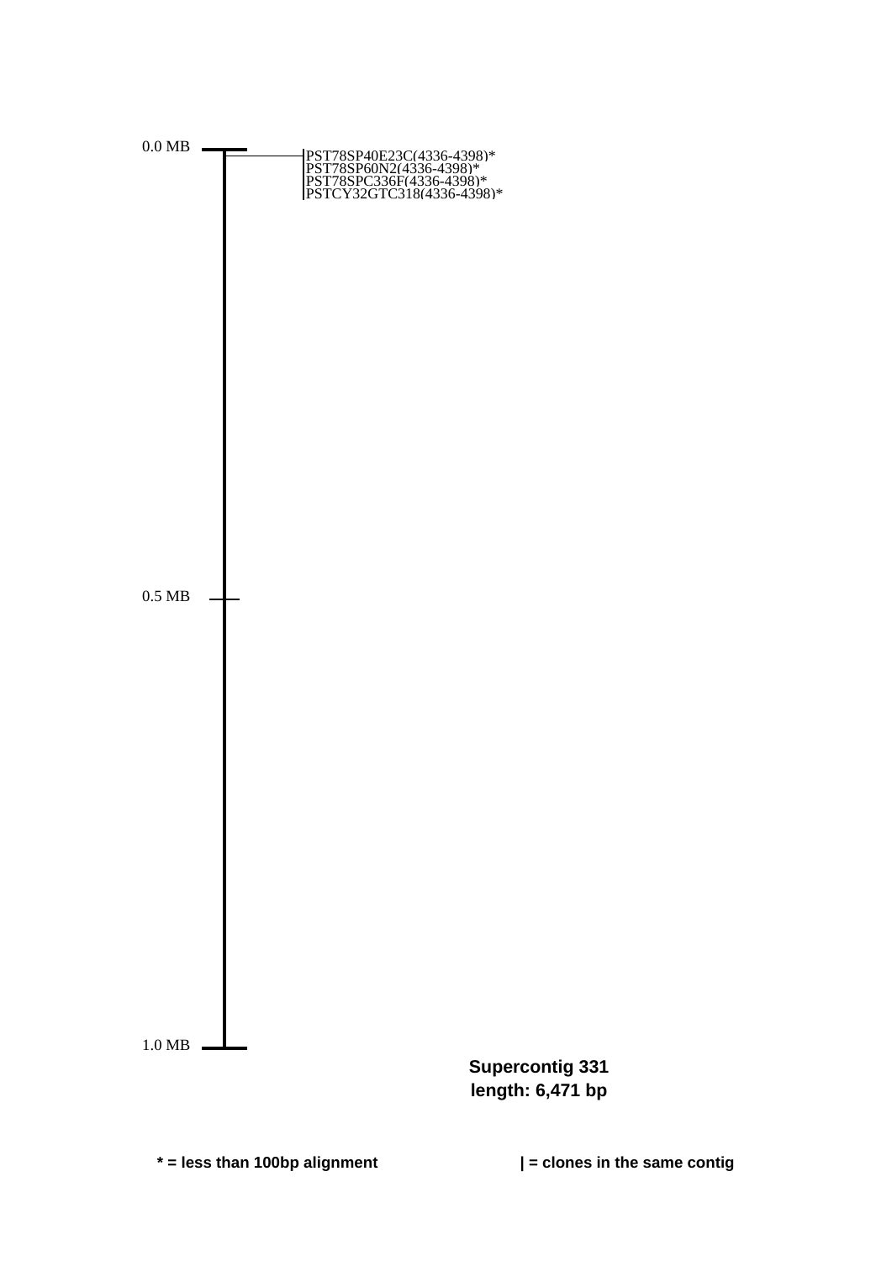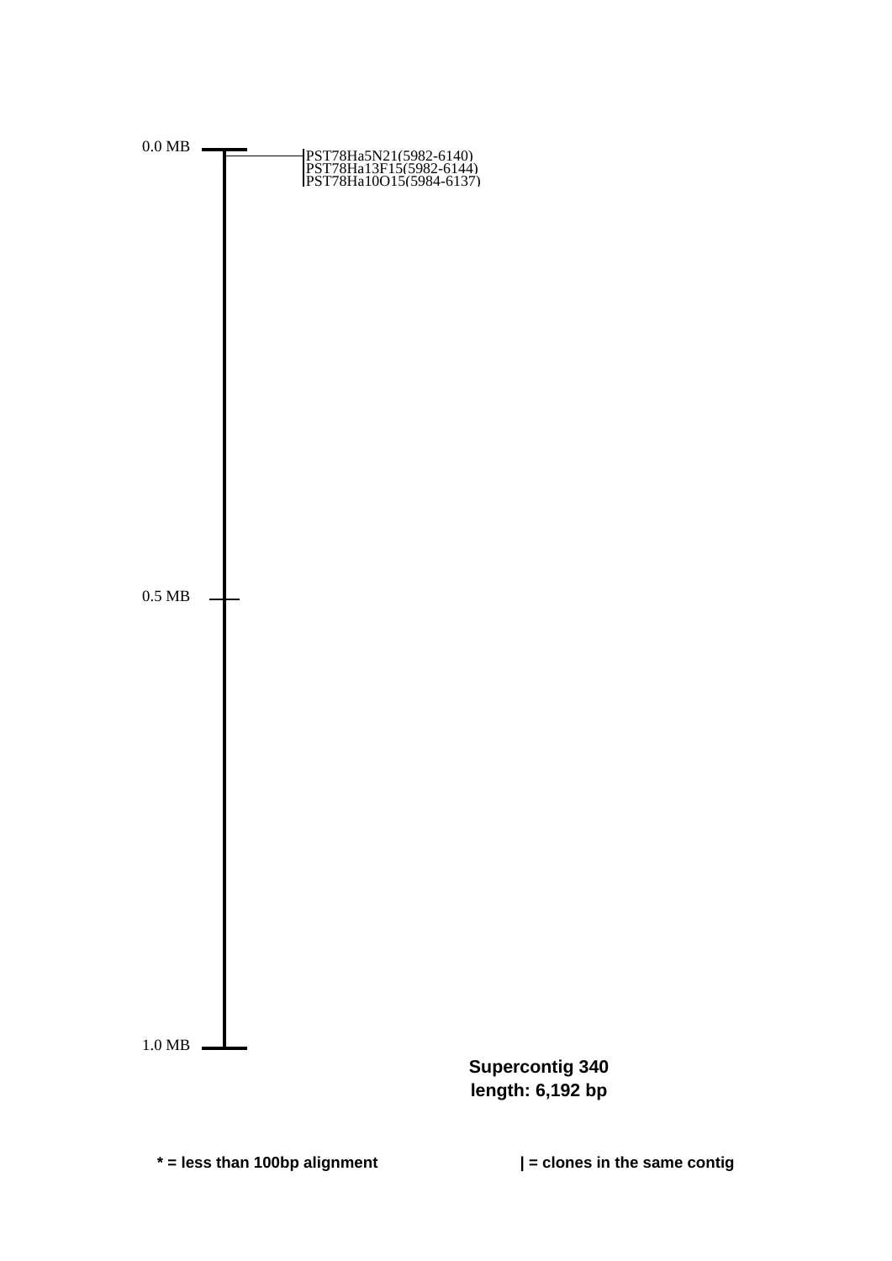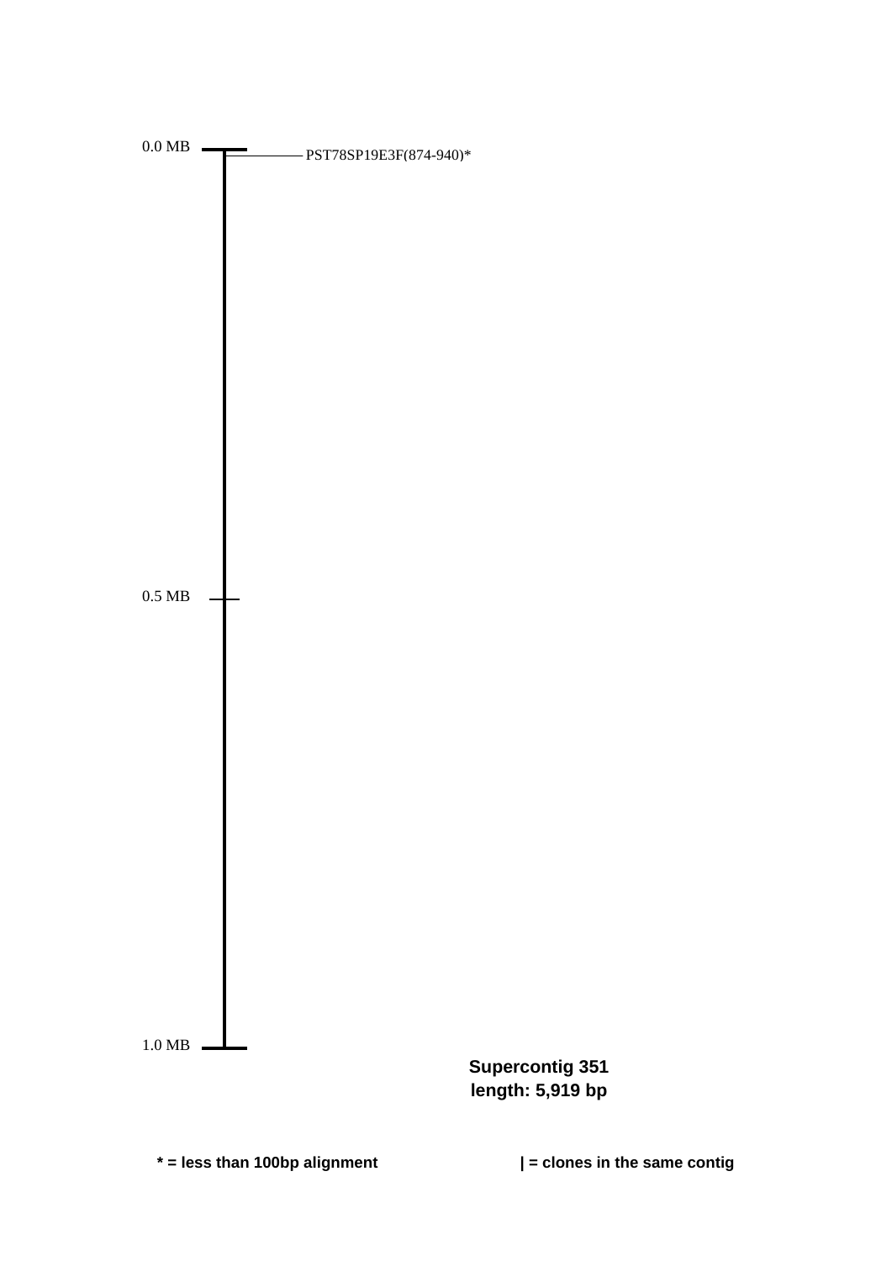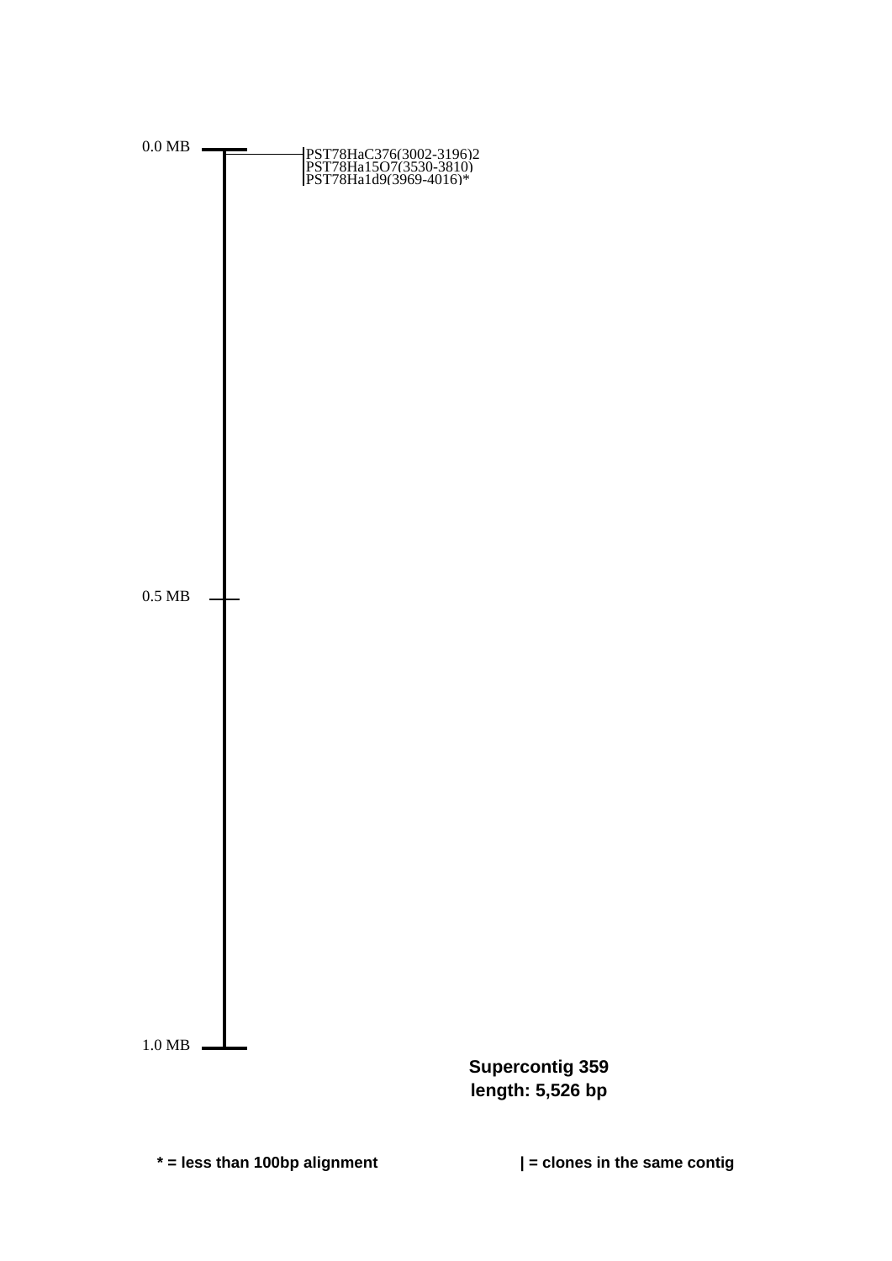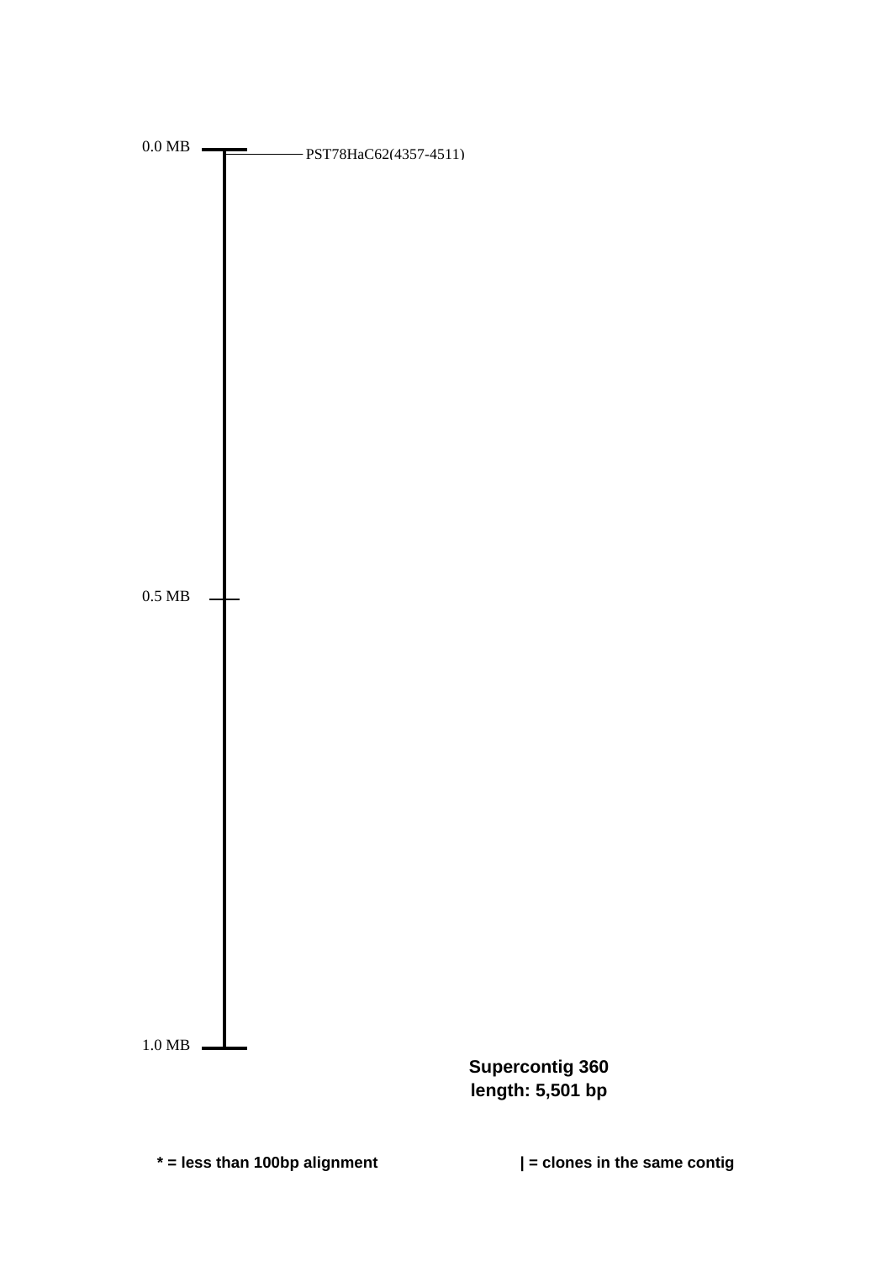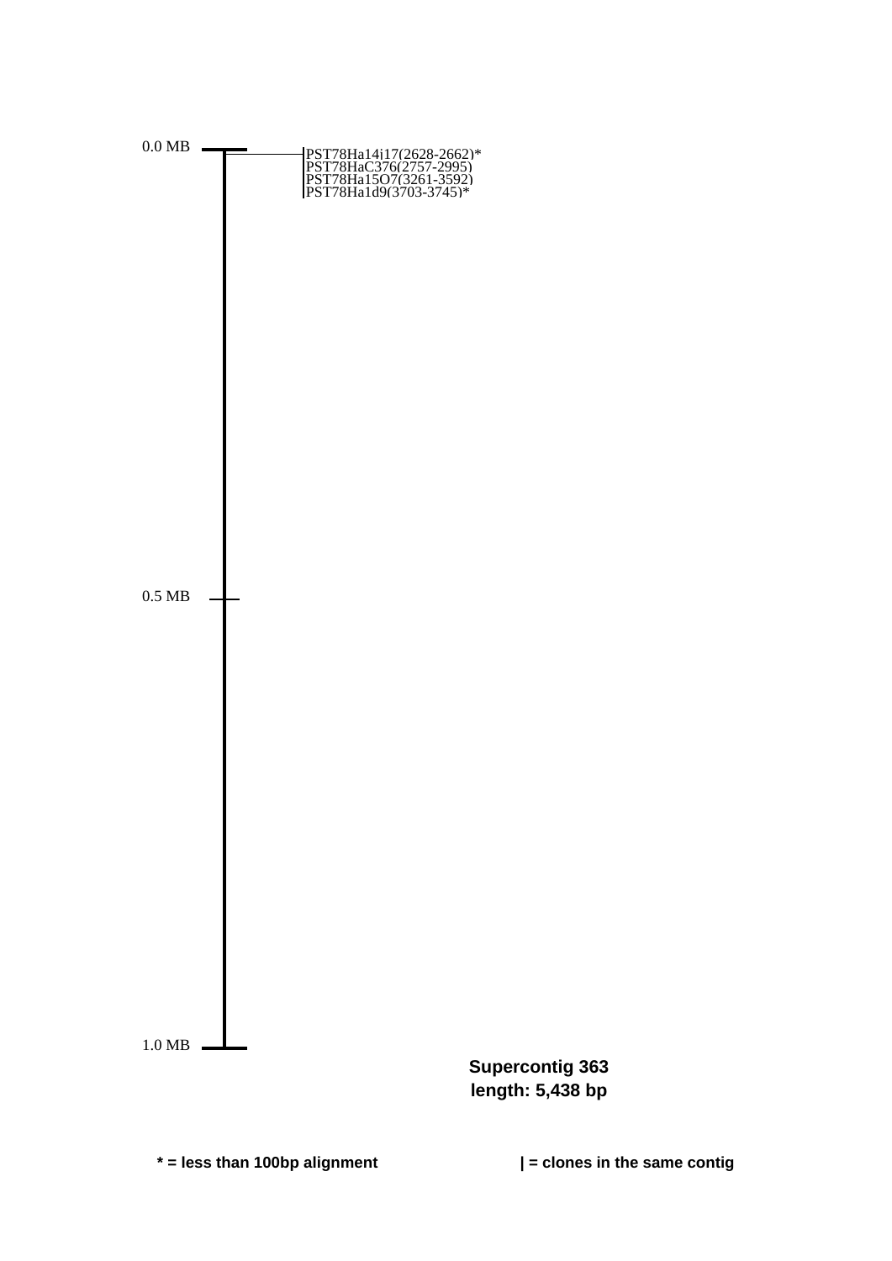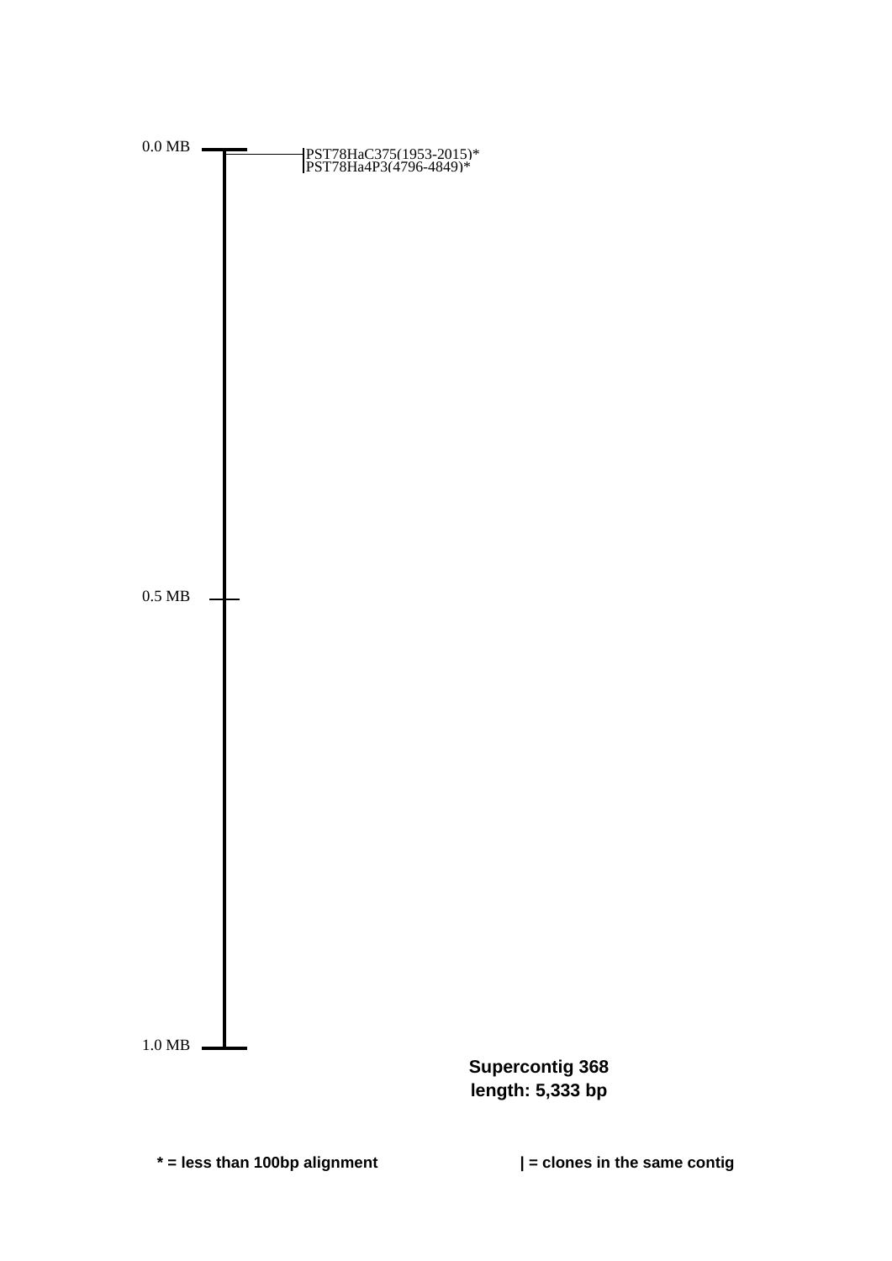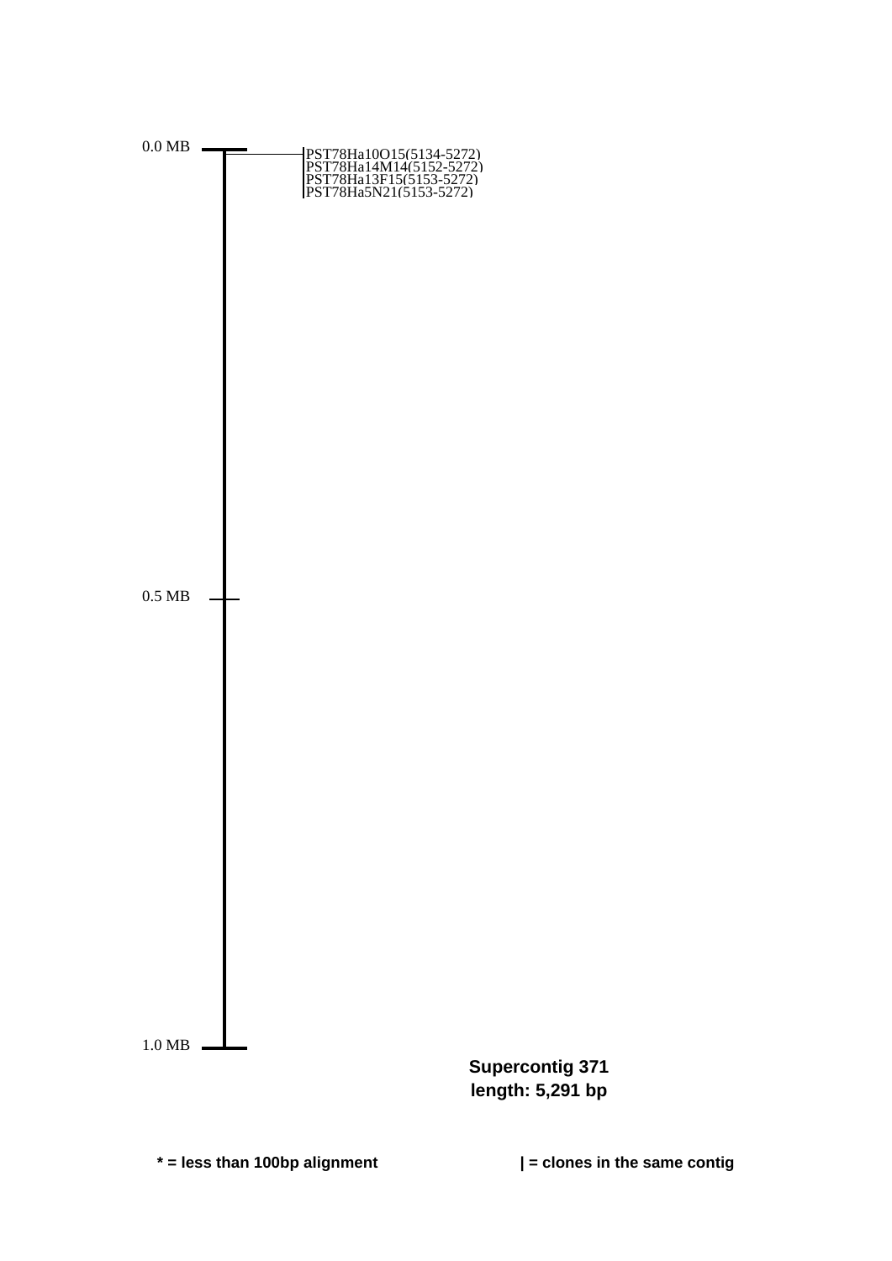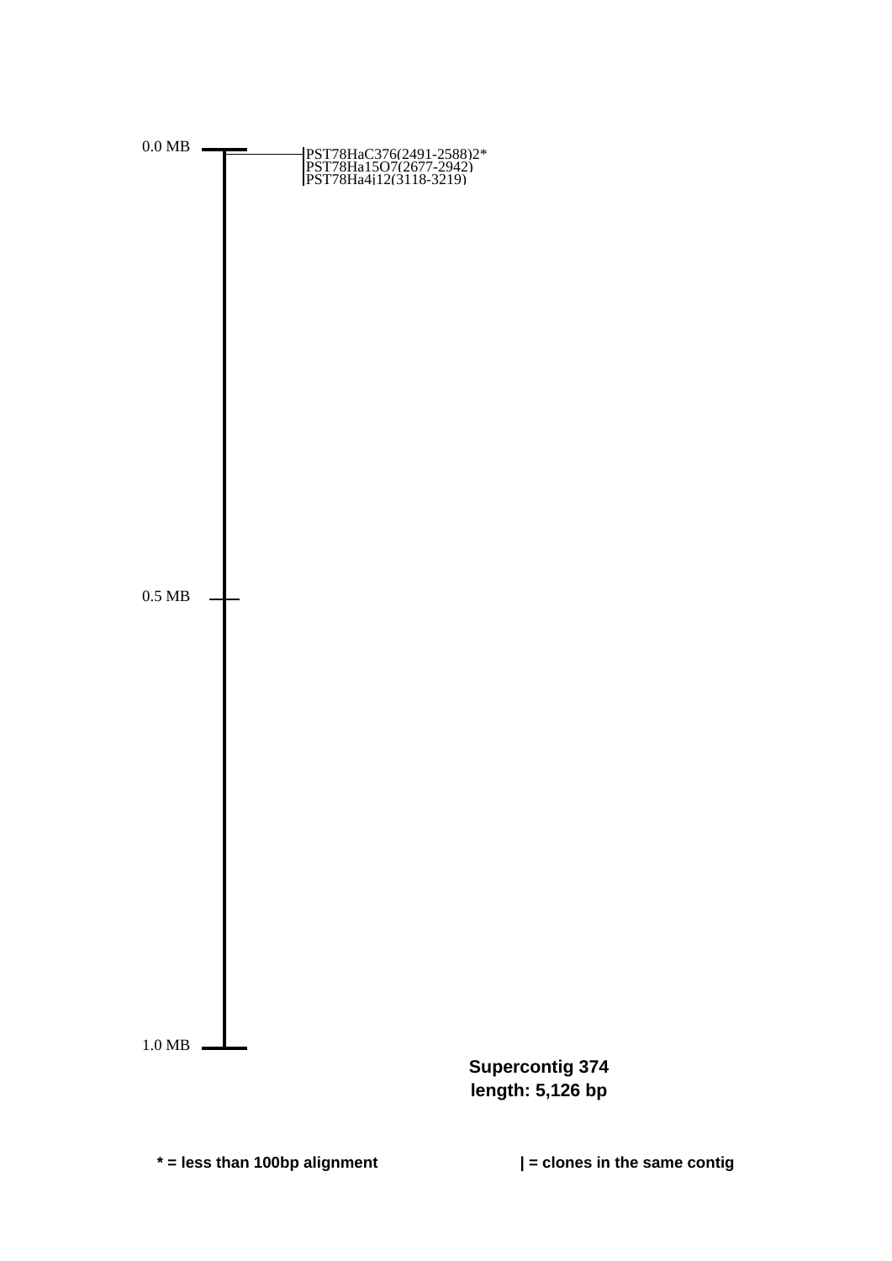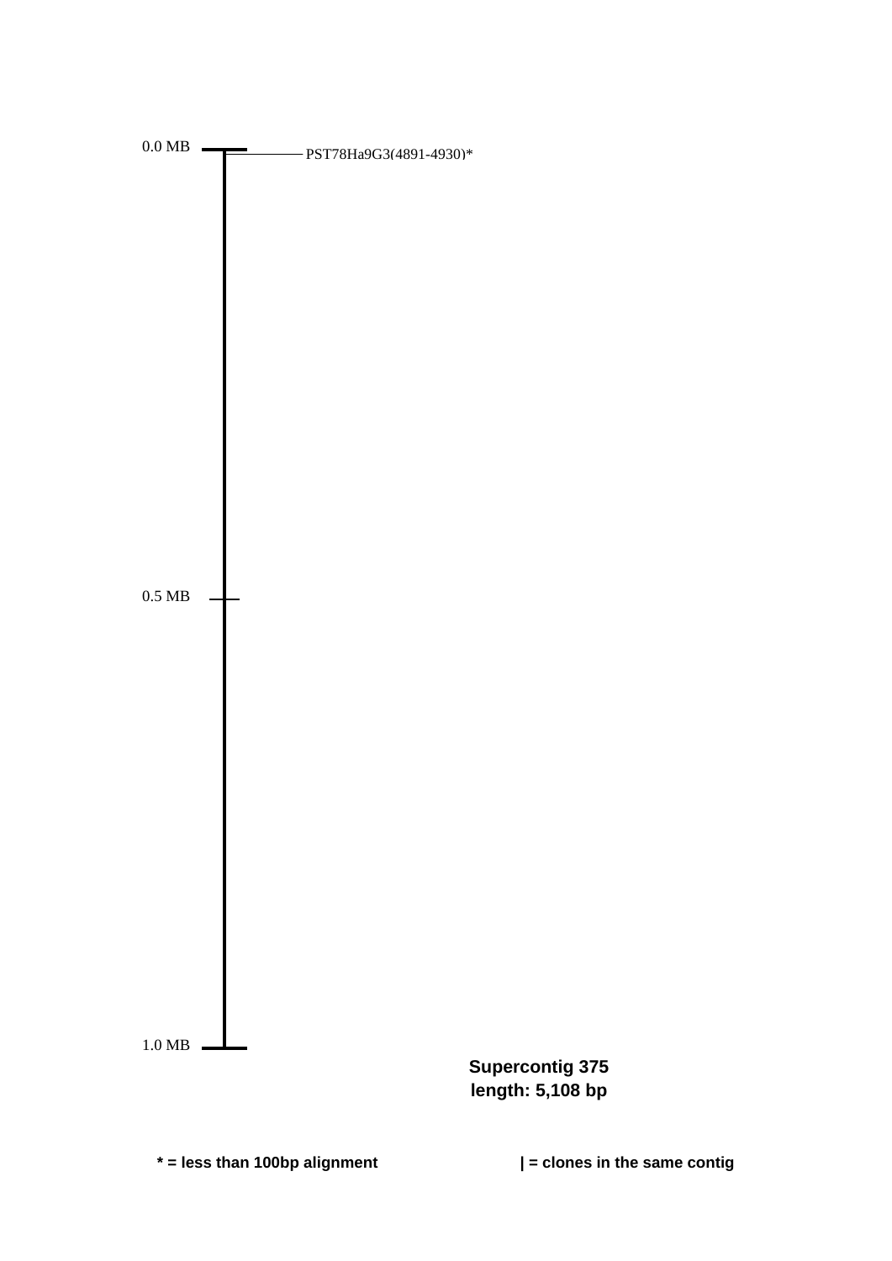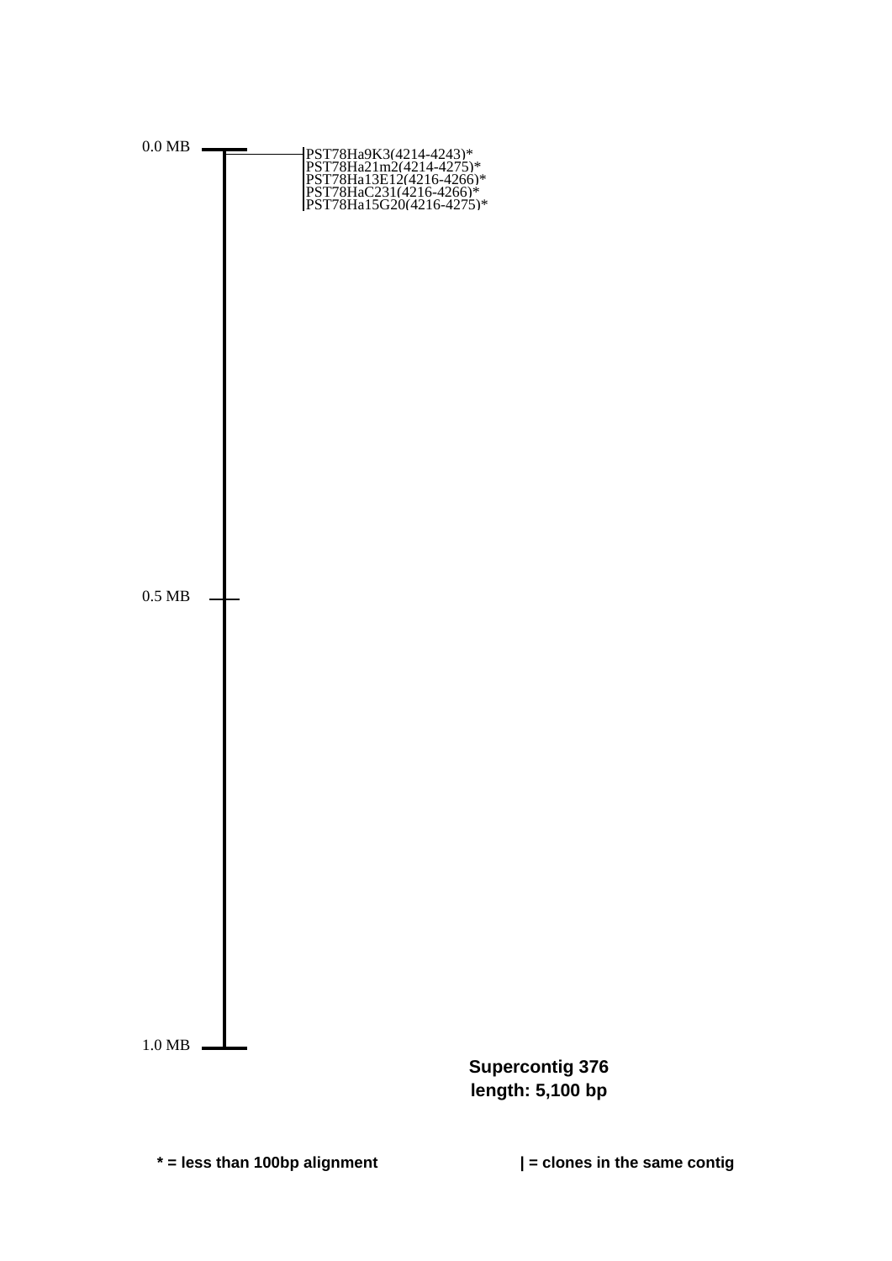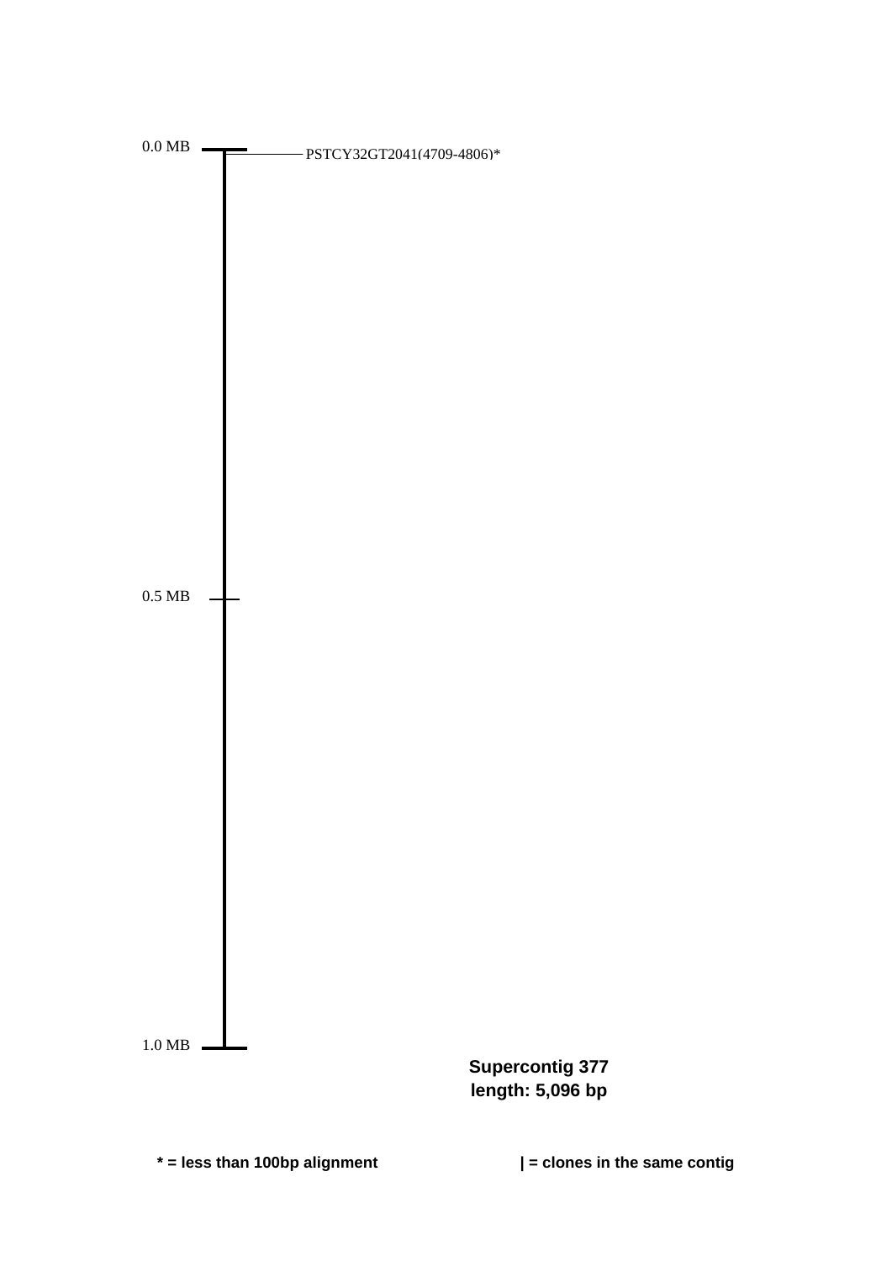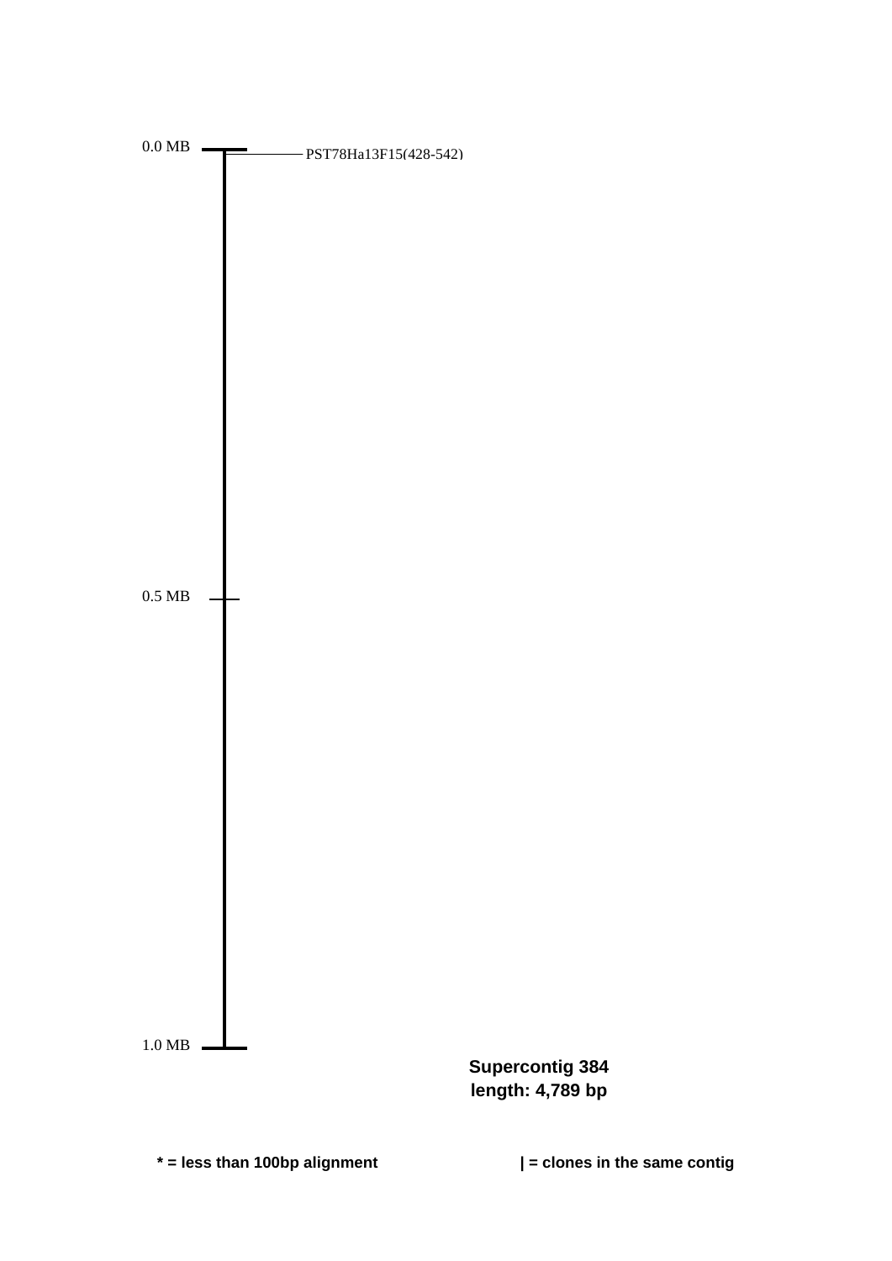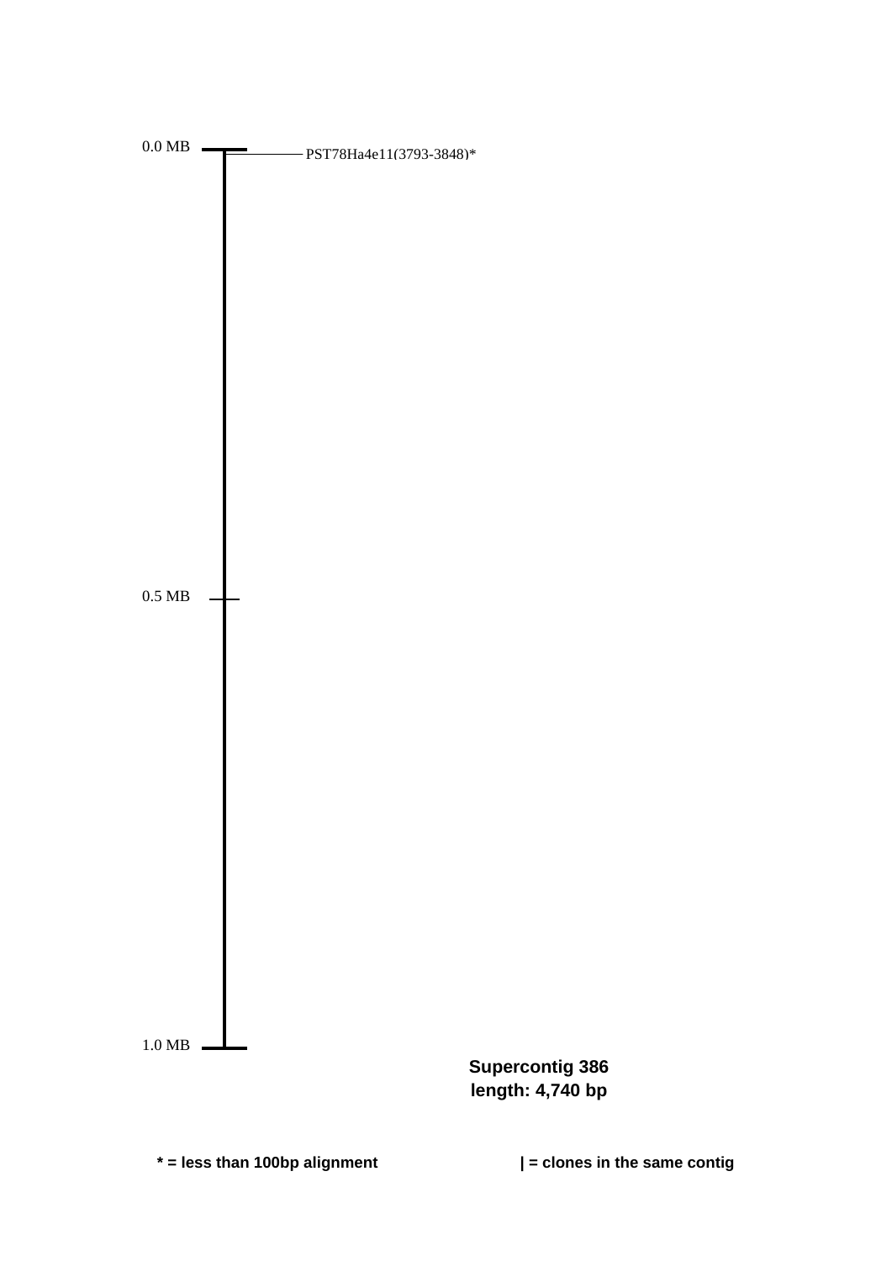